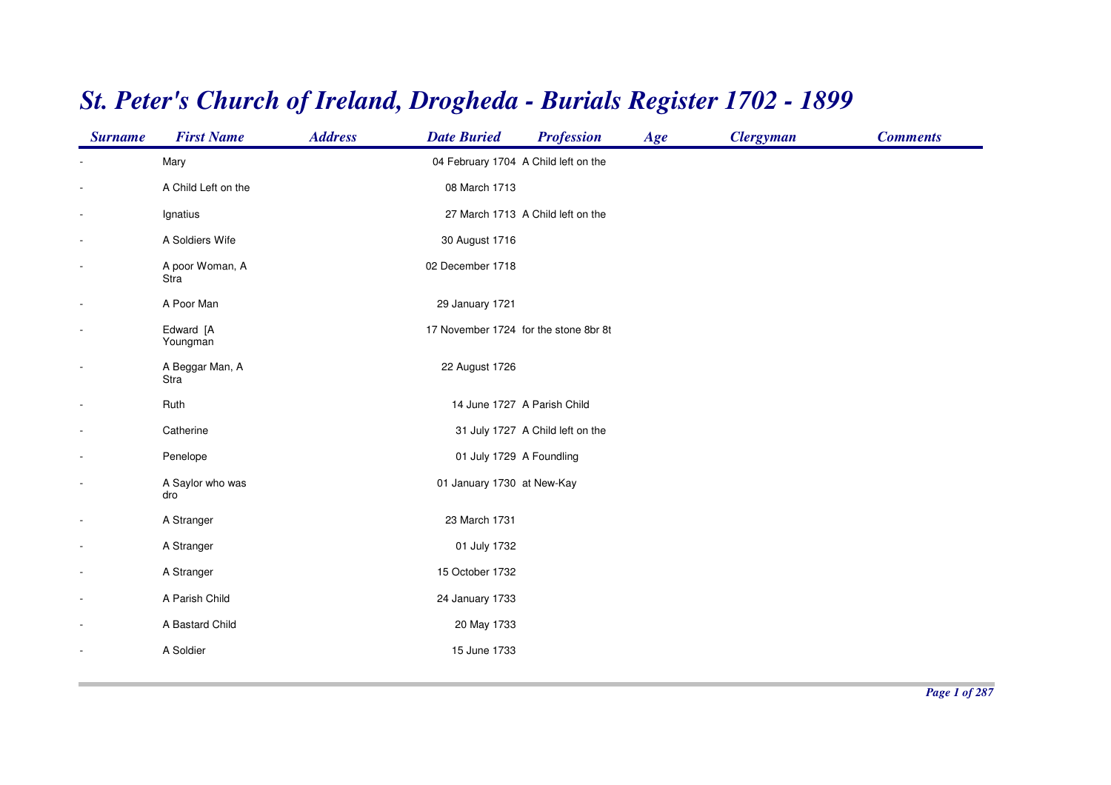| <b>Surname</b>           | <b>First Name</b>       | <b>Address</b> | <b>Date Buried</b>                   | <b>Profession</b>                     | Age | <b>Clergyman</b> | <b>Comments</b> |
|--------------------------|-------------------------|----------------|--------------------------------------|---------------------------------------|-----|------------------|-----------------|
|                          | Mary                    |                | 04 February 1704 A Child left on the |                                       |     |                  |                 |
|                          | A Child Left on the     |                | 08 March 1713                        |                                       |     |                  |                 |
| $\overline{\phantom{a}}$ | Ignatius                |                |                                      | 27 March 1713 A Child left on the     |     |                  |                 |
| $\overline{\phantom{a}}$ | A Soldiers Wife         |                | 30 August 1716                       |                                       |     |                  |                 |
| $\blacksquare$           | A poor Woman, A<br>Stra |                | 02 December 1718                     |                                       |     |                  |                 |
| $\overline{\phantom{a}}$ | A Poor Man              |                | 29 January 1721                      |                                       |     |                  |                 |
| $\overline{\phantom{a}}$ | Edward [A<br>Youngman   |                |                                      | 17 November 1724 for the stone 8br 8t |     |                  |                 |
| $\overline{\phantom{a}}$ | A Beggar Man, A<br>Stra |                | 22 August 1726                       |                                       |     |                  |                 |
| $\blacksquare$           | Ruth                    |                |                                      | 14 June 1727 A Parish Child           |     |                  |                 |
| $\blacksquare$           | Catherine               |                |                                      | 31 July 1727 A Child left on the      |     |                  |                 |
| $\blacksquare$           | Penelope                |                | 01 July 1729 A Foundling             |                                       |     |                  |                 |
| $\overline{\phantom{a}}$ | A Saylor who was<br>dro |                | 01 January 1730 at New-Kay           |                                       |     |                  |                 |
| $\overline{\phantom{a}}$ | A Stranger              |                | 23 March 1731                        |                                       |     |                  |                 |
| $\overline{\phantom{a}}$ | A Stranger              |                | 01 July 1732                         |                                       |     |                  |                 |
| $\overline{\phantom{a}}$ | A Stranger              |                | 15 October 1732                      |                                       |     |                  |                 |
| $\overline{\phantom{a}}$ | A Parish Child          |                | 24 January 1733                      |                                       |     |                  |                 |
| $\overline{\phantom{a}}$ | A Bastard Child         |                | 20 May 1733                          |                                       |     |                  |                 |
|                          | A Soldier               |                | 15 June 1733                         |                                       |     |                  |                 |
|                          |                         |                |                                      |                                       |     |                  |                 |

## *St. Peter's Church of Ireland, Drogheda - Burials Register 1702 - 1899*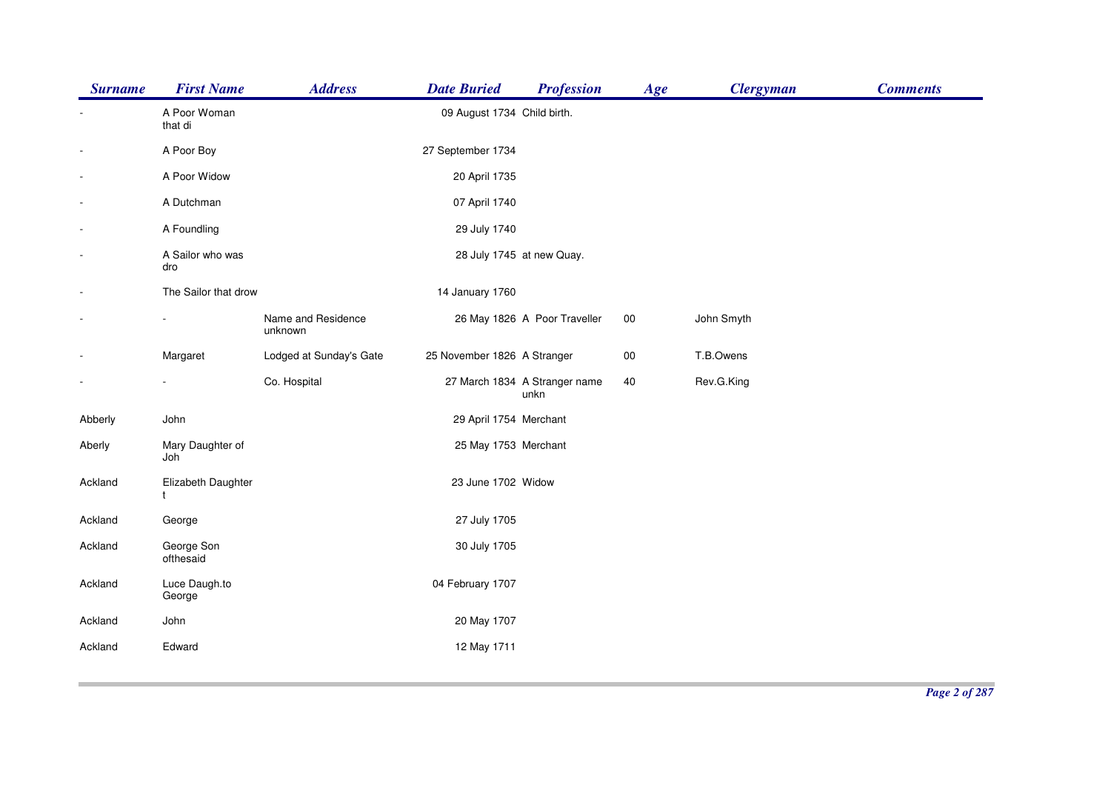| <b>Surname</b>           | <b>First Name</b>       | <b>Address</b>                | <b>Date Buried</b>          | <b>Profession</b>                     | Age    | <b>Clergyman</b> | <b>Comments</b> |
|--------------------------|-------------------------|-------------------------------|-----------------------------|---------------------------------------|--------|------------------|-----------------|
|                          | A Poor Woman<br>that di |                               | 09 August 1734 Child birth. |                                       |        |                  |                 |
| $\overline{\phantom{a}}$ | A Poor Boy              |                               | 27 September 1734           |                                       |        |                  |                 |
| $\overline{\phantom{a}}$ | A Poor Widow            |                               | 20 April 1735               |                                       |        |                  |                 |
| ÷,                       | A Dutchman              |                               | 07 April 1740               |                                       |        |                  |                 |
| $\overline{\phantom{a}}$ | A Foundling             |                               | 29 July 1740                |                                       |        |                  |                 |
| $\blacksquare$           | A Sailor who was<br>dro |                               |                             | 28 July 1745 at new Quay.             |        |                  |                 |
| $\overline{\phantom{a}}$ | The Sailor that drow    |                               | 14 January 1760             |                                       |        |                  |                 |
| $\overline{\phantom{a}}$ |                         | Name and Residence<br>unknown |                             | 26 May 1826 A Poor Traveller          | $00\,$ | John Smyth       |                 |
|                          | Margaret                | Lodged at Sunday's Gate       | 25 November 1826 A Stranger |                                       | $00\,$ | T.B.Owens        |                 |
| $\blacksquare$           | $\blacksquare$          | Co. Hospital                  |                             | 27 March 1834 A Stranger name<br>unkn | 40     | Rev.G.King       |                 |
| Abberly                  | John                    |                               | 29 April 1754 Merchant      |                                       |        |                  |                 |
| Aberly                   | Mary Daughter of<br>Joh |                               | 25 May 1753 Merchant        |                                       |        |                  |                 |
| Ackland                  | Elizabeth Daughter<br>t |                               | 23 June 1702 Widow          |                                       |        |                  |                 |
| Ackland                  | George                  |                               | 27 July 1705                |                                       |        |                  |                 |
| Ackland                  | George Son<br>ofthesaid |                               | 30 July 1705                |                                       |        |                  |                 |
| Ackland                  | Luce Daugh.to<br>George |                               | 04 February 1707            |                                       |        |                  |                 |
| Ackland                  | John                    |                               | 20 May 1707                 |                                       |        |                  |                 |
| Ackland                  | Edward                  |                               | 12 May 1711                 |                                       |        |                  |                 |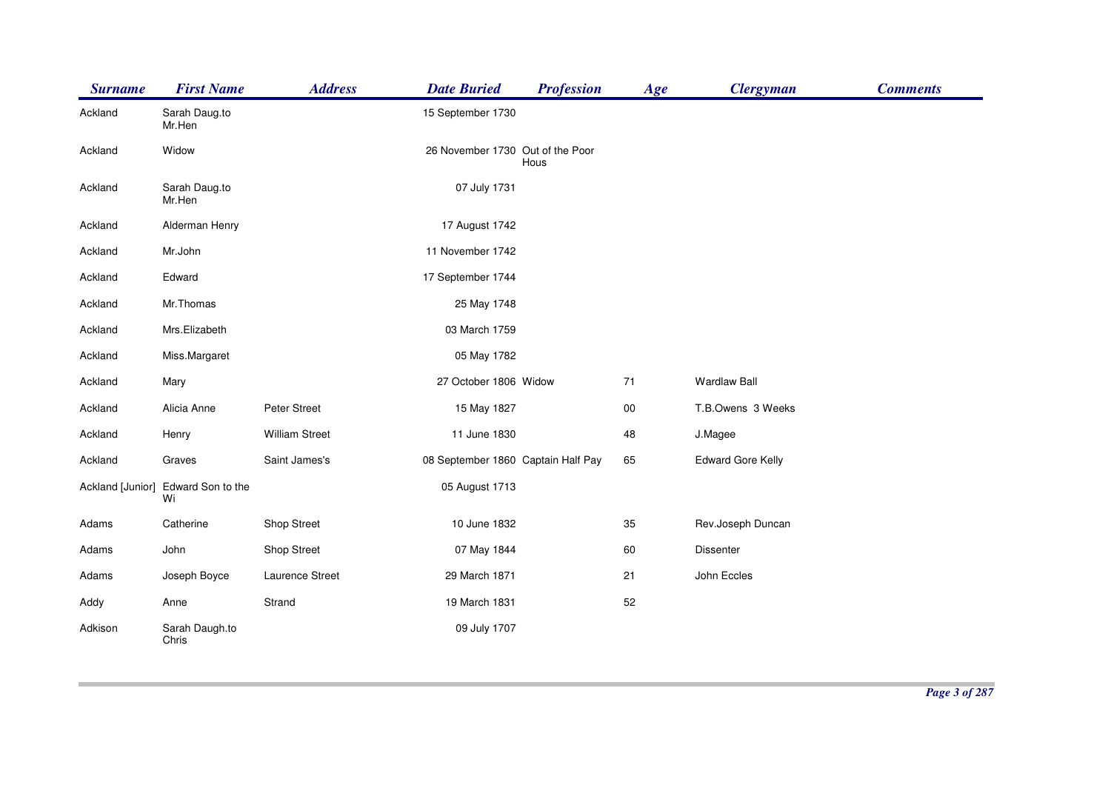| <b>Surname</b>   | <b>First Name</b>       | <b>Address</b>        | <b>Date Buried</b>                 | <b>Profession</b> | Age    | <b>Clergyman</b>         | <b>Comments</b> |
|------------------|-------------------------|-----------------------|------------------------------------|-------------------|--------|--------------------------|-----------------|
| Ackland          | Sarah Daug.to<br>Mr.Hen |                       | 15 September 1730                  |                   |        |                          |                 |
| Ackland          | Widow                   |                       | 26 November 1730 Out of the Poor   | Hous              |        |                          |                 |
| Ackland          | Sarah Daug.to<br>Mr.Hen |                       | 07 July 1731                       |                   |        |                          |                 |
| Ackland          | Alderman Henry          |                       | 17 August 1742                     |                   |        |                          |                 |
| Ackland          | Mr.John                 |                       | 11 November 1742                   |                   |        |                          |                 |
| Ackland          | Edward                  |                       | 17 September 1744                  |                   |        |                          |                 |
| Ackland          | Mr.Thomas               |                       | 25 May 1748                        |                   |        |                          |                 |
| Ackland          | Mrs.Elizabeth           |                       | 03 March 1759                      |                   |        |                          |                 |
| Ackland          | Miss.Margaret           |                       | 05 May 1782                        |                   |        |                          |                 |
| Ackland          | Mary                    |                       | 27 October 1806 Widow              |                   | 71     | <b>Wardlaw Ball</b>      |                 |
| Ackland          | Alicia Anne             | Peter Street          | 15 May 1827                        |                   | $00\,$ | T.B.Owens 3 Weeks        |                 |
| Ackland          | Henry                   | <b>William Street</b> | 11 June 1830                       |                   | 48     | J.Magee                  |                 |
| Ackland          | Graves                  | Saint James's         | 08 September 1860 Captain Half Pay |                   | 65     | <b>Edward Gore Kelly</b> |                 |
| Ackland [Junior] | Edward Son to the<br>Wi |                       | 05 August 1713                     |                   |        |                          |                 |
| Adams            | Catherine               | Shop Street           | 10 June 1832                       |                   | 35     | Rev.Joseph Duncan        |                 |
| Adams            | John                    | Shop Street           | 07 May 1844                        |                   | 60     | Dissenter                |                 |
| Adams            | Joseph Boyce            | Laurence Street       | 29 March 1871                      |                   | 21     | John Eccles              |                 |
| Addy             | Anne                    | Strand                | 19 March 1831                      |                   | 52     |                          |                 |
| Adkison          | Sarah Daugh.to<br>Chris |                       | 09 July 1707                       |                   |        |                          |                 |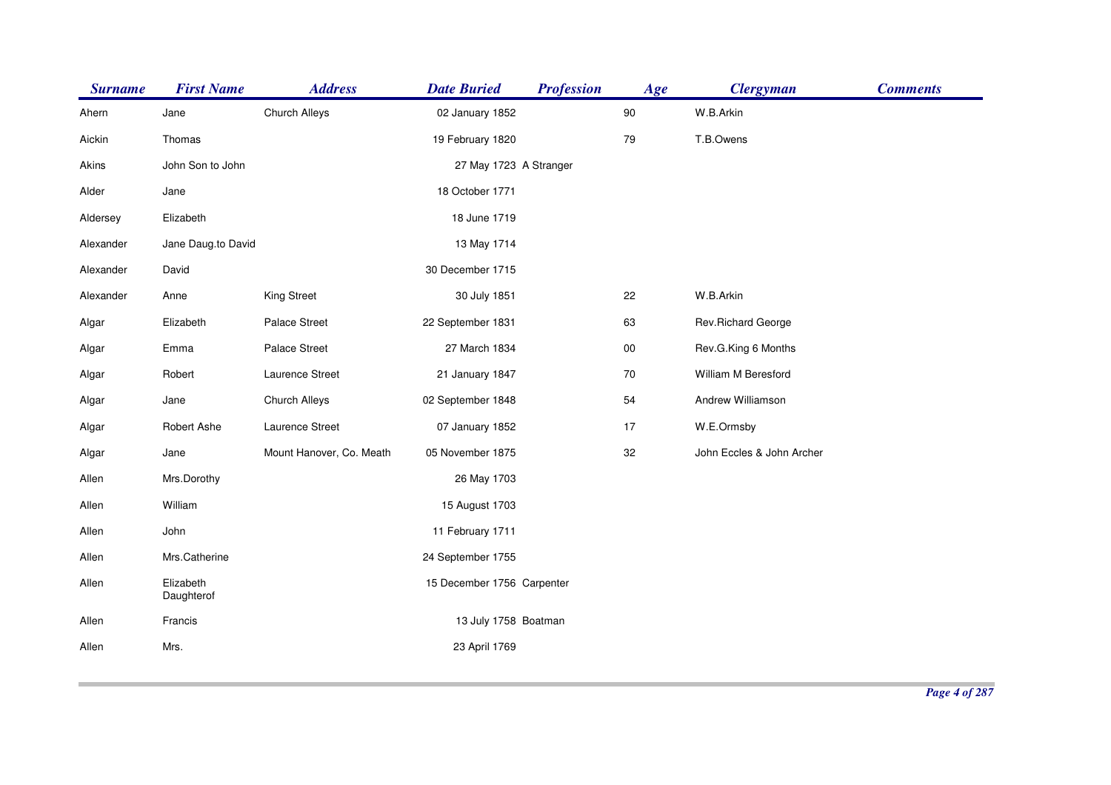| Church Alleys<br>W.B.Arkin<br>$90\,$<br>Ahern<br>02 January 1852<br>Jane<br>T.B.Owens<br>79<br>Thomas<br>19 February 1820<br>Aickin<br>John Son to John<br>Akins<br>27 May 1723 A Stranger<br>18 October 1771<br>Alder<br>Jane<br>Elizabeth<br>18 June 1719<br>Aldersey<br>Alexander<br>Jane Daug.to David<br>13 May 1714<br>30 December 1715<br>Alexander<br>David<br>W.B.Arkin<br>King Street<br>22<br>Alexander<br>30 July 1851<br>Anne<br>Palace Street<br>22 September 1831<br>63<br>Rev.Richard George<br>Algar<br>Elizabeth<br>Palace Street<br>27 March 1834<br>$00\,$<br>Rev.G.King 6 Months<br>Algar<br>Emma<br>Laurence Street<br>21 January 1847<br>70<br>William M Beresford<br>Robert<br>Algar<br>54<br>Andrew Williamson<br>Church Alleys<br>02 September 1848<br>Algar<br>Jane<br>Laurence Street<br>17<br>Algar<br>Robert Ashe<br>07 January 1852<br>W.E.Ormsby<br>Mount Hanover, Co. Meath<br>05 November 1875<br>32<br>Jane<br>John Eccles & John Archer<br>Algar<br>Allen<br>Mrs.Dorothy<br>26 May 1703<br>Allen<br>William<br>15 August 1703<br>11 February 1711<br>Allen<br>John<br>Mrs.Catherine<br>Allen<br>24 September 1755<br>Elizabeth<br>Allen<br>15 December 1756 Carpenter<br>Daughterof<br>13 July 1758 Boatman<br>Allen<br>Francis<br>Mrs.<br>Allen<br>23 April 1769 | <b>Surname</b> | <b>First Name</b> | <b>Address</b> | <b>Date Buried</b> | <b>Profession</b> | Age | <b>Clergyman</b> | <b>Comments</b> |
|-------------------------------------------------------------------------------------------------------------------------------------------------------------------------------------------------------------------------------------------------------------------------------------------------------------------------------------------------------------------------------------------------------------------------------------------------------------------------------------------------------------------------------------------------------------------------------------------------------------------------------------------------------------------------------------------------------------------------------------------------------------------------------------------------------------------------------------------------------------------------------------------------------------------------------------------------------------------------------------------------------------------------------------------------------------------------------------------------------------------------------------------------------------------------------------------------------------------------------------------------------------------------------------------------------|----------------|-------------------|----------------|--------------------|-------------------|-----|------------------|-----------------|
|                                                                                                                                                                                                                                                                                                                                                                                                                                                                                                                                                                                                                                                                                                                                                                                                                                                                                                                                                                                                                                                                                                                                                                                                                                                                                                       |                |                   |                |                    |                   |     |                  |                 |
|                                                                                                                                                                                                                                                                                                                                                                                                                                                                                                                                                                                                                                                                                                                                                                                                                                                                                                                                                                                                                                                                                                                                                                                                                                                                                                       |                |                   |                |                    |                   |     |                  |                 |
|                                                                                                                                                                                                                                                                                                                                                                                                                                                                                                                                                                                                                                                                                                                                                                                                                                                                                                                                                                                                                                                                                                                                                                                                                                                                                                       |                |                   |                |                    |                   |     |                  |                 |
|                                                                                                                                                                                                                                                                                                                                                                                                                                                                                                                                                                                                                                                                                                                                                                                                                                                                                                                                                                                                                                                                                                                                                                                                                                                                                                       |                |                   |                |                    |                   |     |                  |                 |
|                                                                                                                                                                                                                                                                                                                                                                                                                                                                                                                                                                                                                                                                                                                                                                                                                                                                                                                                                                                                                                                                                                                                                                                                                                                                                                       |                |                   |                |                    |                   |     |                  |                 |
|                                                                                                                                                                                                                                                                                                                                                                                                                                                                                                                                                                                                                                                                                                                                                                                                                                                                                                                                                                                                                                                                                                                                                                                                                                                                                                       |                |                   |                |                    |                   |     |                  |                 |
|                                                                                                                                                                                                                                                                                                                                                                                                                                                                                                                                                                                                                                                                                                                                                                                                                                                                                                                                                                                                                                                                                                                                                                                                                                                                                                       |                |                   |                |                    |                   |     |                  |                 |
|                                                                                                                                                                                                                                                                                                                                                                                                                                                                                                                                                                                                                                                                                                                                                                                                                                                                                                                                                                                                                                                                                                                                                                                                                                                                                                       |                |                   |                |                    |                   |     |                  |                 |
|                                                                                                                                                                                                                                                                                                                                                                                                                                                                                                                                                                                                                                                                                                                                                                                                                                                                                                                                                                                                                                                                                                                                                                                                                                                                                                       |                |                   |                |                    |                   |     |                  |                 |
|                                                                                                                                                                                                                                                                                                                                                                                                                                                                                                                                                                                                                                                                                                                                                                                                                                                                                                                                                                                                                                                                                                                                                                                                                                                                                                       |                |                   |                |                    |                   |     |                  |                 |
|                                                                                                                                                                                                                                                                                                                                                                                                                                                                                                                                                                                                                                                                                                                                                                                                                                                                                                                                                                                                                                                                                                                                                                                                                                                                                                       |                |                   |                |                    |                   |     |                  |                 |
|                                                                                                                                                                                                                                                                                                                                                                                                                                                                                                                                                                                                                                                                                                                                                                                                                                                                                                                                                                                                                                                                                                                                                                                                                                                                                                       |                |                   |                |                    |                   |     |                  |                 |
|                                                                                                                                                                                                                                                                                                                                                                                                                                                                                                                                                                                                                                                                                                                                                                                                                                                                                                                                                                                                                                                                                                                                                                                                                                                                                                       |                |                   |                |                    |                   |     |                  |                 |
|                                                                                                                                                                                                                                                                                                                                                                                                                                                                                                                                                                                                                                                                                                                                                                                                                                                                                                                                                                                                                                                                                                                                                                                                                                                                                                       |                |                   |                |                    |                   |     |                  |                 |
|                                                                                                                                                                                                                                                                                                                                                                                                                                                                                                                                                                                                                                                                                                                                                                                                                                                                                                                                                                                                                                                                                                                                                                                                                                                                                                       |                |                   |                |                    |                   |     |                  |                 |
|                                                                                                                                                                                                                                                                                                                                                                                                                                                                                                                                                                                                                                                                                                                                                                                                                                                                                                                                                                                                                                                                                                                                                                                                                                                                                                       |                |                   |                |                    |                   |     |                  |                 |
|                                                                                                                                                                                                                                                                                                                                                                                                                                                                                                                                                                                                                                                                                                                                                                                                                                                                                                                                                                                                                                                                                                                                                                                                                                                                                                       |                |                   |                |                    |                   |     |                  |                 |
|                                                                                                                                                                                                                                                                                                                                                                                                                                                                                                                                                                                                                                                                                                                                                                                                                                                                                                                                                                                                                                                                                                                                                                                                                                                                                                       |                |                   |                |                    |                   |     |                  |                 |
|                                                                                                                                                                                                                                                                                                                                                                                                                                                                                                                                                                                                                                                                                                                                                                                                                                                                                                                                                                                                                                                                                                                                                                                                                                                                                                       |                |                   |                |                    |                   |     |                  |                 |
|                                                                                                                                                                                                                                                                                                                                                                                                                                                                                                                                                                                                                                                                                                                                                                                                                                                                                                                                                                                                                                                                                                                                                                                                                                                                                                       |                |                   |                |                    |                   |     |                  |                 |
|                                                                                                                                                                                                                                                                                                                                                                                                                                                                                                                                                                                                                                                                                                                                                                                                                                                                                                                                                                                                                                                                                                                                                                                                                                                                                                       |                |                   |                |                    |                   |     |                  |                 |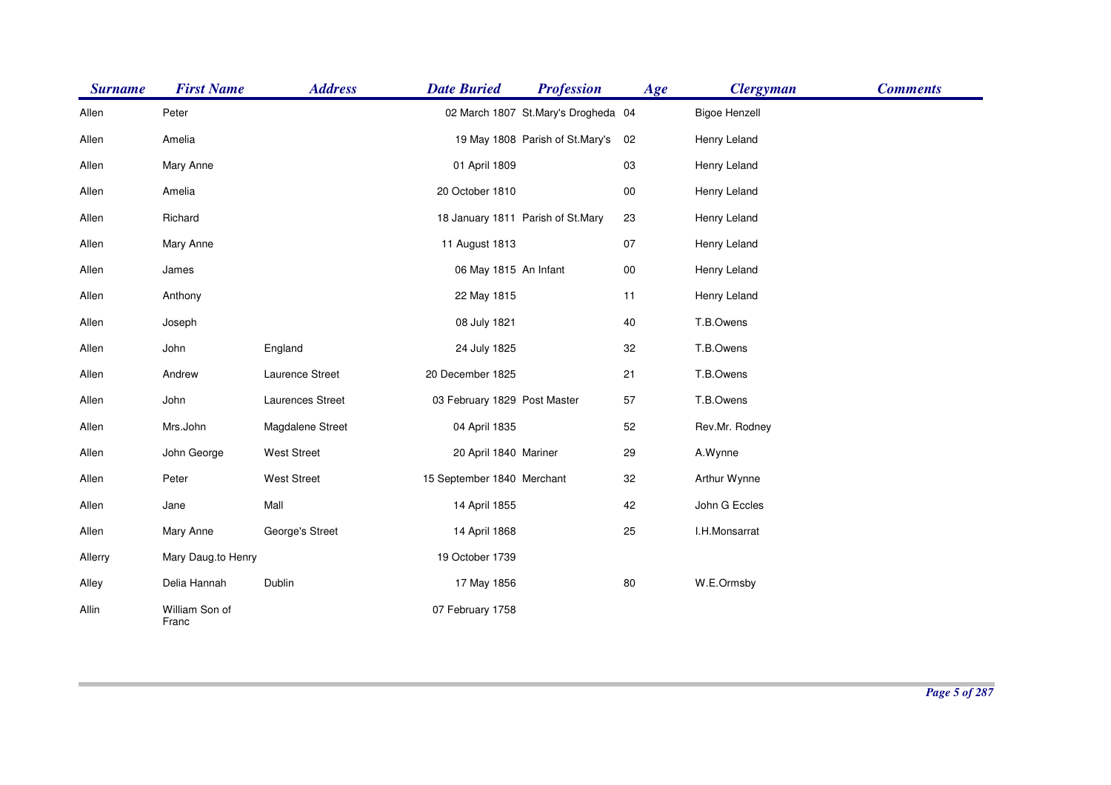| <b>Surname</b> | <b>First Name</b>       | <b>Address</b>     | <b>Date Buried</b>           | <b>Profession</b>                   | Age        | <b>Clergyman</b>     | <b>Comments</b> |
|----------------|-------------------------|--------------------|------------------------------|-------------------------------------|------------|----------------------|-----------------|
| Allen          | Peter                   |                    |                              | 02 March 1807 St.Mary's Drogheda 04 |            | <b>Bigoe Henzell</b> |                 |
| Allen          | Amelia                  |                    |                              | 19 May 1808 Parish of St.Mary's     | 02         | Henry Leland         |                 |
| Allen          | Mary Anne               |                    | 01 April 1809                |                                     | 03         | Henry Leland         |                 |
| Allen          | Amelia                  |                    | 20 October 1810              |                                     | $00\,$     | Henry Leland         |                 |
| Allen          | Richard                 |                    |                              | 18 January 1811 Parish of St.Mary   | 23         | Henry Leland         |                 |
| Allen          | Mary Anne               |                    | 11 August 1813               |                                     | 07         | Henry Leland         |                 |
| Allen          | James                   |                    | 06 May 1815 An Infant        |                                     | ${\bf 00}$ | Henry Leland         |                 |
| Allen          | Anthony                 |                    | 22 May 1815                  |                                     | 11         | Henry Leland         |                 |
| Allen          | Joseph                  |                    | 08 July 1821                 |                                     | 40         | T.B.Owens            |                 |
| Allen          | John                    | England            | 24 July 1825                 |                                     | 32         | T.B.Owens            |                 |
| Allen          | Andrew                  | Laurence Street    | 20 December 1825             |                                     | 21         | T.B.Owens            |                 |
| Allen          | John                    | Laurences Street   | 03 February 1829 Post Master |                                     | 57         | T.B.Owens            |                 |
| Allen          | Mrs.John                | Magdalene Street   | 04 April 1835                |                                     | 52         | Rev.Mr. Rodney       |                 |
| Allen          | John George             | <b>West Street</b> | 20 April 1840 Mariner        |                                     | 29         | A.Wynne              |                 |
| Allen          | Peter                   | <b>West Street</b> | 15 September 1840 Merchant   |                                     | 32         | Arthur Wynne         |                 |
| Allen          | Jane                    | Mall               | 14 April 1855                |                                     | 42         | John G Eccles        |                 |
| Allen          | Mary Anne               | George's Street    | 14 April 1868                |                                     | 25         | I.H.Monsarrat        |                 |
| Allerry        | Mary Daug.to Henry      |                    | 19 October 1739              |                                     |            |                      |                 |
| Alley          | Delia Hannah            | Dublin             | 17 May 1856                  |                                     | 80         | W.E.Ormsby           |                 |
| Allin          | William Son of<br>Franc |                    | 07 February 1758             |                                     |            |                      |                 |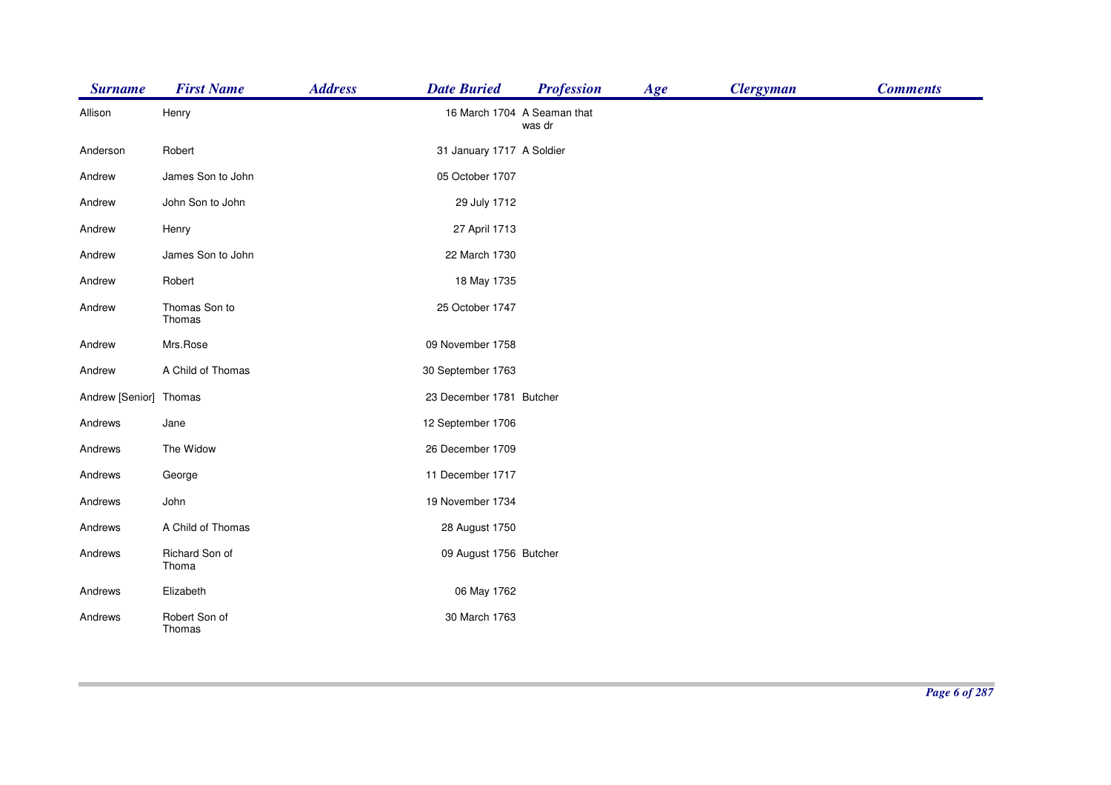| <b>Surname</b>         | <b>First Name</b>       | <b>Address</b> | <b>Date Buried</b>          | <b>Profession</b> | Age | <b>Clergyman</b> | <b>Comments</b> |
|------------------------|-------------------------|----------------|-----------------------------|-------------------|-----|------------------|-----------------|
| Allison                | Henry                   |                | 16 March 1704 A Seaman that | was dr            |     |                  |                 |
| Anderson               | Robert                  |                | 31 January 1717 A Soldier   |                   |     |                  |                 |
| Andrew                 | James Son to John       |                | 05 October 1707             |                   |     |                  |                 |
| Andrew                 | John Son to John        |                | 29 July 1712                |                   |     |                  |                 |
| Andrew                 | Henry                   |                | 27 April 1713               |                   |     |                  |                 |
| Andrew                 | James Son to John       |                | 22 March 1730               |                   |     |                  |                 |
| Andrew                 | Robert                  |                | 18 May 1735                 |                   |     |                  |                 |
| Andrew                 | Thomas Son to<br>Thomas |                | 25 October 1747             |                   |     |                  |                 |
| Andrew                 | Mrs.Rose                |                | 09 November 1758            |                   |     |                  |                 |
| Andrew                 | A Child of Thomas       |                | 30 September 1763           |                   |     |                  |                 |
| Andrew [Senior] Thomas |                         |                | 23 December 1781 Butcher    |                   |     |                  |                 |
| Andrews                | Jane                    |                | 12 September 1706           |                   |     |                  |                 |
| Andrews                | The Widow               |                | 26 December 1709            |                   |     |                  |                 |
| Andrews                | George                  |                | 11 December 1717            |                   |     |                  |                 |
| Andrews                | John                    |                | 19 November 1734            |                   |     |                  |                 |
| Andrews                | A Child of Thomas       |                | 28 August 1750              |                   |     |                  |                 |
| Andrews                | Richard Son of<br>Thoma |                | 09 August 1756 Butcher      |                   |     |                  |                 |
| Andrews                | Elizabeth               |                | 06 May 1762                 |                   |     |                  |                 |
| Andrews                | Robert Son of<br>Thomas |                | 30 March 1763               |                   |     |                  |                 |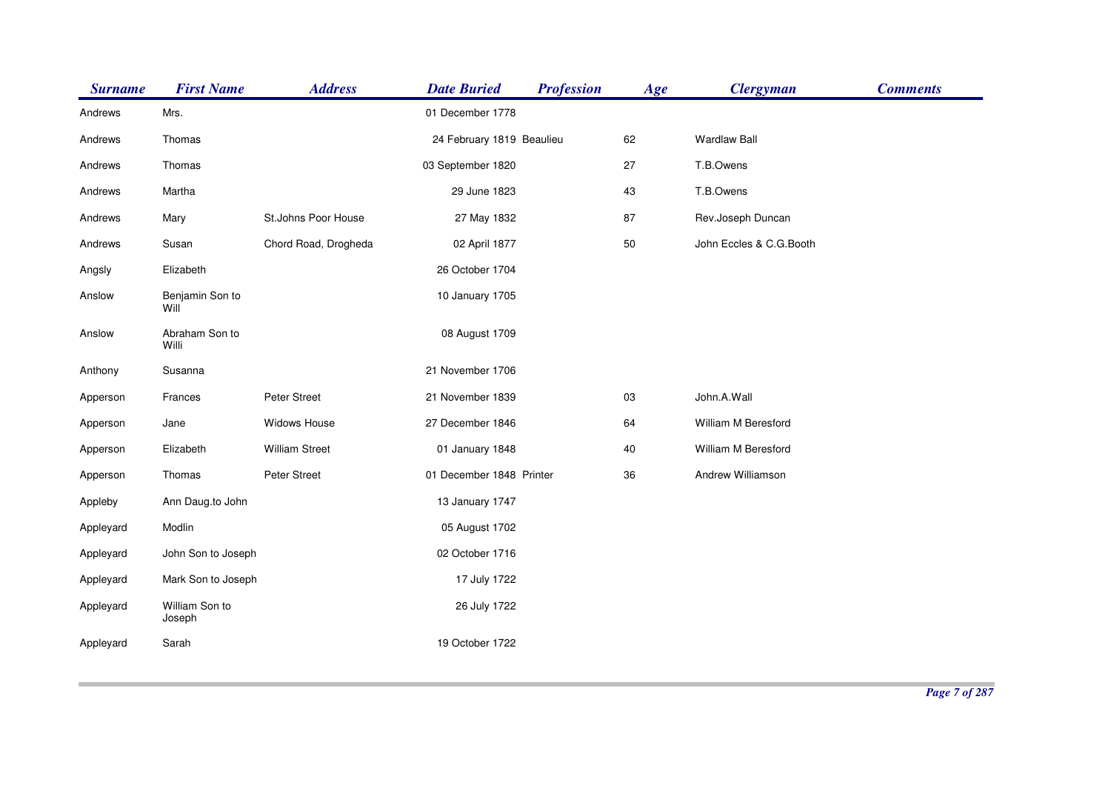| <b>Surname</b> | <b>First Name</b>        | <b>Address</b>        | <b>Date Buried</b>        | <b>Profession</b> | Age    | <b>Clergyman</b>        | <b>Comments</b> |
|----------------|--------------------------|-----------------------|---------------------------|-------------------|--------|-------------------------|-----------------|
| Andrews        | Mrs.                     |                       | 01 December 1778          |                   |        |                         |                 |
| Andrews        | Thomas                   |                       | 24 February 1819 Beaulieu |                   | 62     | <b>Wardlaw Ball</b>     |                 |
| Andrews        | Thomas                   |                       | 03 September 1820         |                   | 27     | T.B.Owens               |                 |
| Andrews        | Martha                   |                       | 29 June 1823              |                   | 43     | T.B.Owens               |                 |
| Andrews        | Mary                     | St.Johns Poor House   | 27 May 1832               |                   | 87     | Rev.Joseph Duncan       |                 |
| Andrews        | Susan                    | Chord Road, Drogheda  | 02 April 1877             |                   | 50     | John Eccles & C.G.Booth |                 |
| Angsly         | Elizabeth                |                       | 26 October 1704           |                   |        |                         |                 |
| Anslow         | Benjamin Son to<br>Will  |                       | 10 January 1705           |                   |        |                         |                 |
| Anslow         | Abraham Son to<br>Willi  |                       | 08 August 1709            |                   |        |                         |                 |
| Anthony        | Susanna                  |                       | 21 November 1706          |                   |        |                         |                 |
| Apperson       | Frances                  | Peter Street          | 21 November 1839          |                   | 03     | John.A.Wall             |                 |
| Apperson       | Jane                     | Widows House          | 27 December 1846          |                   | 64     | William M Beresford     |                 |
| Apperson       | Elizabeth                | <b>William Street</b> | 01 January 1848           |                   | $40\,$ | William M Beresford     |                 |
| Apperson       | Thomas                   | Peter Street          | 01 December 1848 Printer  |                   | 36     | Andrew Williamson       |                 |
| Appleby        | Ann Daug.to John         |                       | 13 January 1747           |                   |        |                         |                 |
| Appleyard      | Modlin                   |                       | 05 August 1702            |                   |        |                         |                 |
| Appleyard      | John Son to Joseph       |                       | 02 October 1716           |                   |        |                         |                 |
| Appleyard      | Mark Son to Joseph       |                       | 17 July 1722              |                   |        |                         |                 |
| Appleyard      | William Son to<br>Joseph |                       | 26 July 1722              |                   |        |                         |                 |
| Appleyard      | Sarah                    |                       | 19 October 1722           |                   |        |                         |                 |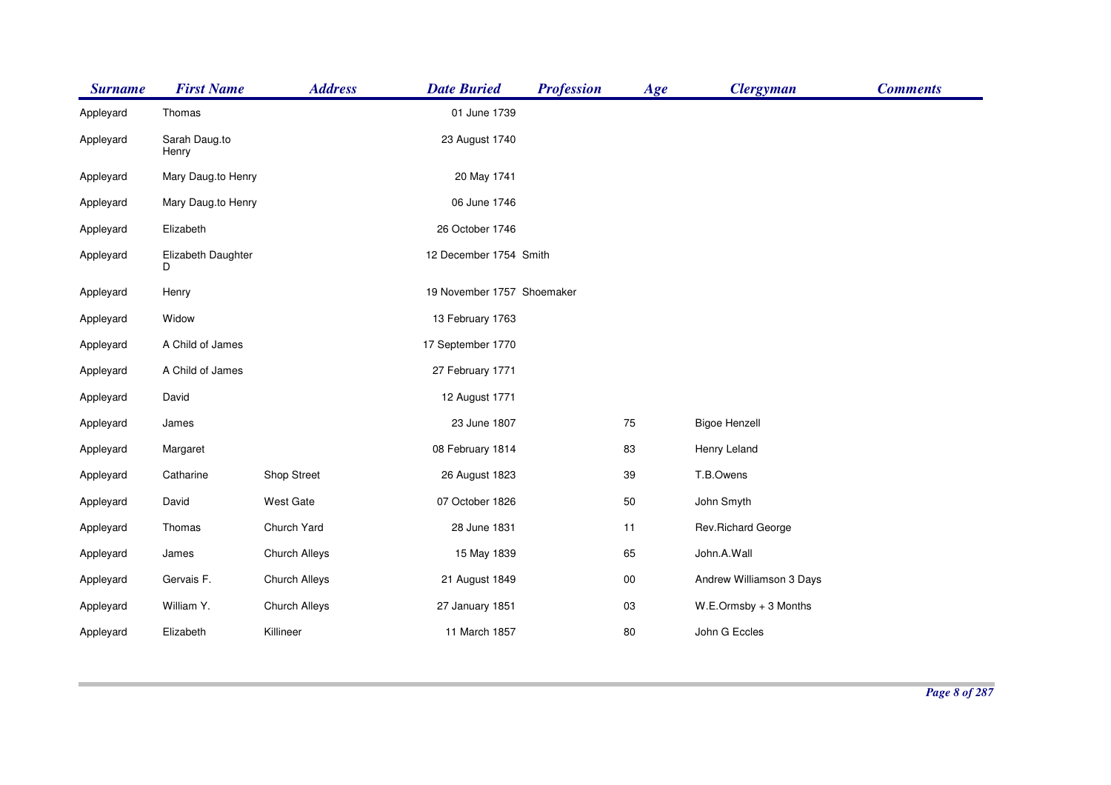| <b>Surname</b> | <b>First Name</b>       | <b>Address</b> | <b>Date Buried</b>         | <b>Profession</b> | Age    | <b>Clergyman</b>         | <b>Comments</b> |
|----------------|-------------------------|----------------|----------------------------|-------------------|--------|--------------------------|-----------------|
| Appleyard      | Thomas                  |                | 01 June 1739               |                   |        |                          |                 |
| Appleyard      | Sarah Daug.to<br>Henry  |                | 23 August 1740             |                   |        |                          |                 |
| Appleyard      | Mary Daug.to Henry      |                | 20 May 1741                |                   |        |                          |                 |
| Appleyard      | Mary Daug.to Henry      |                | 06 June 1746               |                   |        |                          |                 |
| Appleyard      | Elizabeth               |                | 26 October 1746            |                   |        |                          |                 |
| Appleyard      | Elizabeth Daughter<br>D |                | 12 December 1754 Smith     |                   |        |                          |                 |
| Appleyard      | Henry                   |                | 19 November 1757 Shoemaker |                   |        |                          |                 |
| Appleyard      | Widow                   |                | 13 February 1763           |                   |        |                          |                 |
| Appleyard      | A Child of James        |                | 17 September 1770          |                   |        |                          |                 |
| Appleyard      | A Child of James        |                | 27 February 1771           |                   |        |                          |                 |
| Appleyard      | David                   |                | 12 August 1771             |                   |        |                          |                 |
| Appleyard      | James                   |                | 23 June 1807               |                   | 75     | <b>Bigoe Henzell</b>     |                 |
| Appleyard      | Margaret                |                | 08 February 1814           |                   | 83     | Henry Leland             |                 |
| Appleyard      | Catharine               | Shop Street    | 26 August 1823             |                   | 39     | T.B.Owens                |                 |
| Appleyard      | David                   | West Gate      | 07 October 1826            |                   | 50     | John Smyth               |                 |
| Appleyard      | Thomas                  | Church Yard    | 28 June 1831               |                   | 11     | Rev.Richard George       |                 |
| Appleyard      | James                   | Church Alleys  | 15 May 1839                |                   | 65     | John.A.Wall              |                 |
| Appleyard      | Gervais F.              | Church Alleys  | 21 August 1849             |                   | $00\,$ | Andrew Williamson 3 Days |                 |
| Appleyard      | William Y.              | Church Alleys  | 27 January 1851            |                   | 03     | W.E.Ormsby + 3 Months    |                 |
| Appleyard      | Elizabeth               | Killineer      | 11 March 1857              |                   | 80     | John G Eccles            |                 |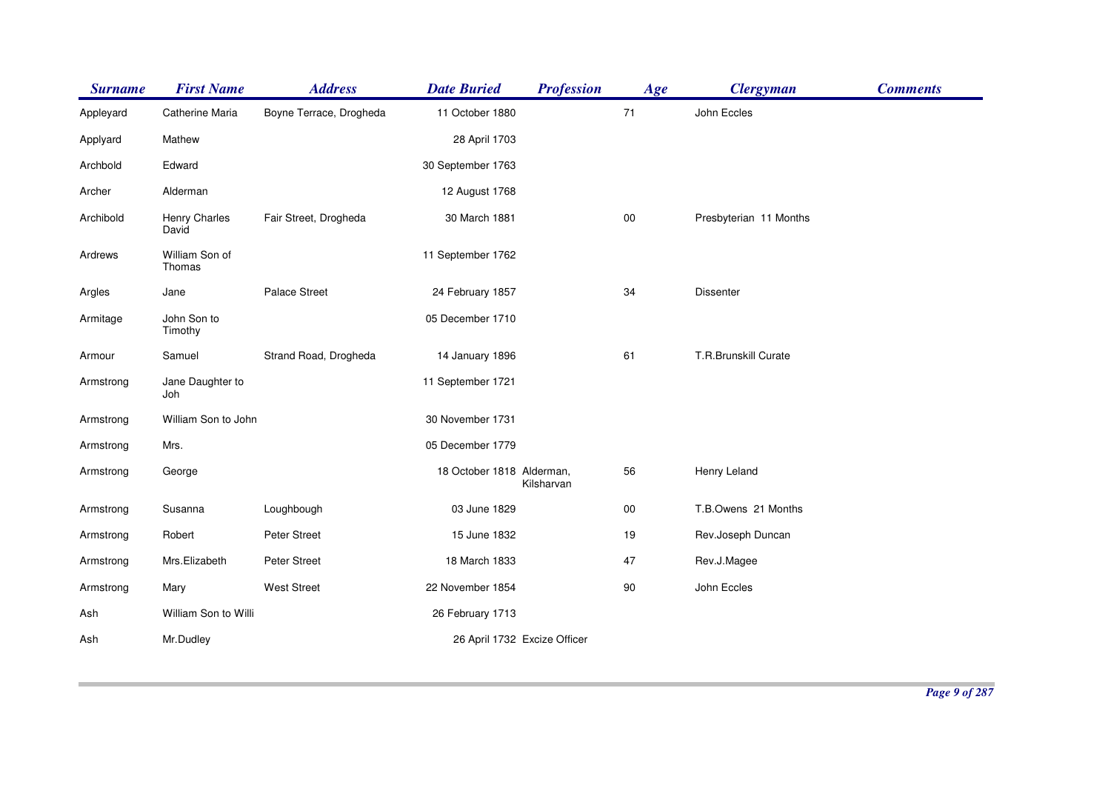| <b>Surname</b> | <b>First Name</b>        | <b>Address</b>          | <b>Date Buried</b>        | <b>Profession</b>            | Age    | <b>Clergyman</b>       | <b>Comments</b> |
|----------------|--------------------------|-------------------------|---------------------------|------------------------------|--------|------------------------|-----------------|
| Appleyard      | Catherine Maria          | Boyne Terrace, Drogheda | 11 October 1880           |                              | 71     | John Eccles            |                 |
| Applyard       | Mathew                   |                         | 28 April 1703             |                              |        |                        |                 |
| Archbold       | Edward                   |                         | 30 September 1763         |                              |        |                        |                 |
| Archer         | Alderman                 |                         | 12 August 1768            |                              |        |                        |                 |
| Archibold      | Henry Charles<br>David   | Fair Street, Drogheda   | 30 March 1881             |                              | $00\,$ | Presbyterian 11 Months |                 |
| Ardrews        | William Son of<br>Thomas |                         | 11 September 1762         |                              |        |                        |                 |
| Argles         | Jane                     | <b>Palace Street</b>    | 24 February 1857          |                              | 34     | <b>Dissenter</b>       |                 |
| Armitage       | John Son to<br>Timothy   |                         | 05 December 1710          |                              |        |                        |                 |
| Armour         | Samuel                   | Strand Road, Drogheda   | 14 January 1896           |                              | 61     | T.R.Brunskill Curate   |                 |
| Armstrong      | Jane Daughter to<br>Joh  |                         | 11 September 1721         |                              |        |                        |                 |
| Armstrong      | William Son to John      |                         | 30 November 1731          |                              |        |                        |                 |
| Armstrong      | Mrs.                     |                         | 05 December 1779          |                              |        |                        |                 |
| Armstrong      | George                   |                         | 18 October 1818 Alderman, | Kilsharvan                   | 56     | Henry Leland           |                 |
| Armstrong      | Susanna                  | Loughbough              | 03 June 1829              |                              | $00\,$ | T.B.Owens 21 Months    |                 |
| Armstrong      | Robert                   | Peter Street            | 15 June 1832              |                              | 19     | Rev.Joseph Duncan      |                 |
| Armstrong      | Mrs.Elizabeth            | Peter Street            | 18 March 1833             |                              | 47     | Rev.J.Magee            |                 |
| Armstrong      | Mary                     | <b>West Street</b>      | 22 November 1854          |                              | 90     | John Eccles            |                 |
| Ash            | William Son to Willi     |                         | 26 February 1713          |                              |        |                        |                 |
| Ash            | Mr.Dudley                |                         |                           | 26 April 1732 Excize Officer |        |                        |                 |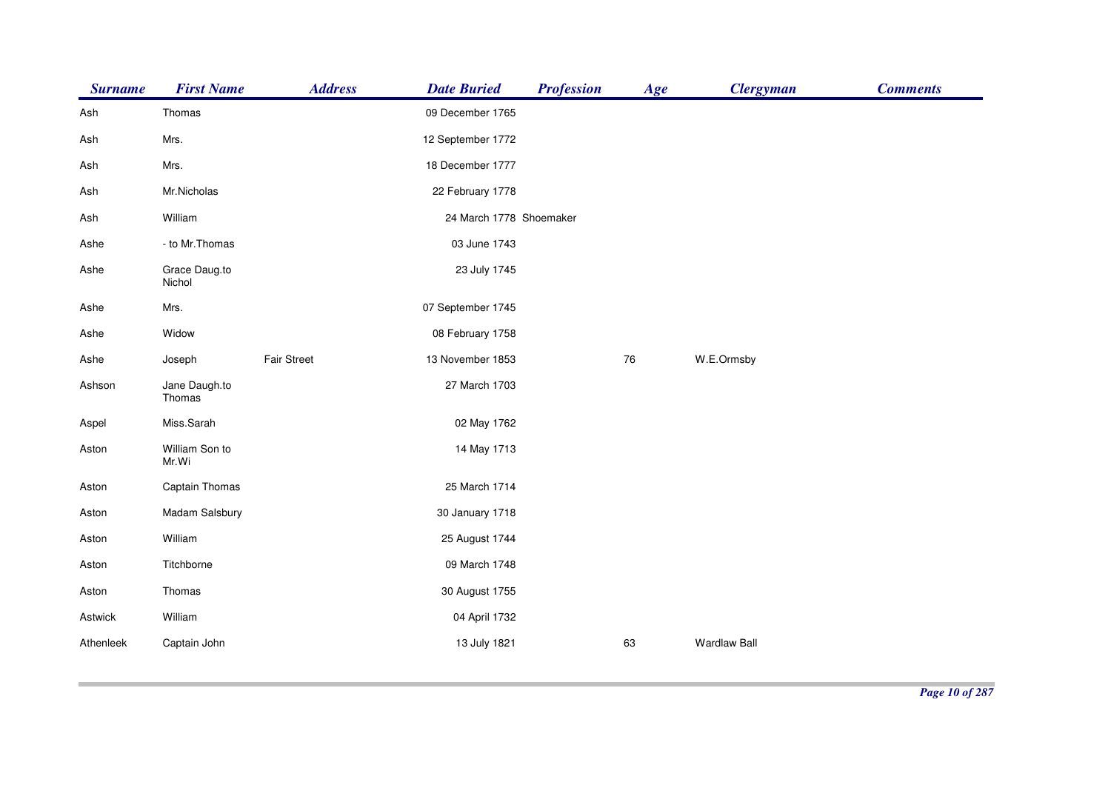| <b>Surname</b> | <b>First Name</b>       | <b>Address</b>     | <b>Date Buried</b>      | <b>Profession</b> | Age | <b>Clergyman</b>    | <b>Comments</b> |
|----------------|-------------------------|--------------------|-------------------------|-------------------|-----|---------------------|-----------------|
| Ash            | Thomas                  |                    | 09 December 1765        |                   |     |                     |                 |
| Ash            | Mrs.                    |                    | 12 September 1772       |                   |     |                     |                 |
| Ash            | Mrs.                    |                    | 18 December 1777        |                   |     |                     |                 |
| Ash            | Mr.Nicholas             |                    | 22 February 1778        |                   |     |                     |                 |
| Ash            | William                 |                    | 24 March 1778 Shoemaker |                   |     |                     |                 |
| Ashe           | - to Mr. Thomas         |                    | 03 June 1743            |                   |     |                     |                 |
| Ashe           | Grace Daug.to<br>Nichol |                    | 23 July 1745            |                   |     |                     |                 |
| Ashe           | Mrs.                    |                    | 07 September 1745       |                   |     |                     |                 |
| Ashe           | Widow                   |                    | 08 February 1758        |                   |     |                     |                 |
| Ashe           | Joseph                  | <b>Fair Street</b> | 13 November 1853        |                   | 76  | W.E.Ormsby          |                 |
| Ashson         | Jane Daugh.to<br>Thomas |                    | 27 March 1703           |                   |     |                     |                 |
| Aspel          | Miss.Sarah              |                    | 02 May 1762             |                   |     |                     |                 |
| Aston          | William Son to<br>Mr.Wi |                    | 14 May 1713             |                   |     |                     |                 |
| Aston          | Captain Thomas          |                    | 25 March 1714           |                   |     |                     |                 |
| Aston          | Madam Salsbury          |                    | 30 January 1718         |                   |     |                     |                 |
| Aston          | William                 |                    | 25 August 1744          |                   |     |                     |                 |
| Aston          | Titchborne              |                    | 09 March 1748           |                   |     |                     |                 |
| Aston          | Thomas                  |                    | 30 August 1755          |                   |     |                     |                 |
| Astwick        | William                 |                    | 04 April 1732           |                   |     |                     |                 |
| Athenleek      | Captain John            |                    | 13 July 1821            |                   | 63  | <b>Wardlaw Ball</b> |                 |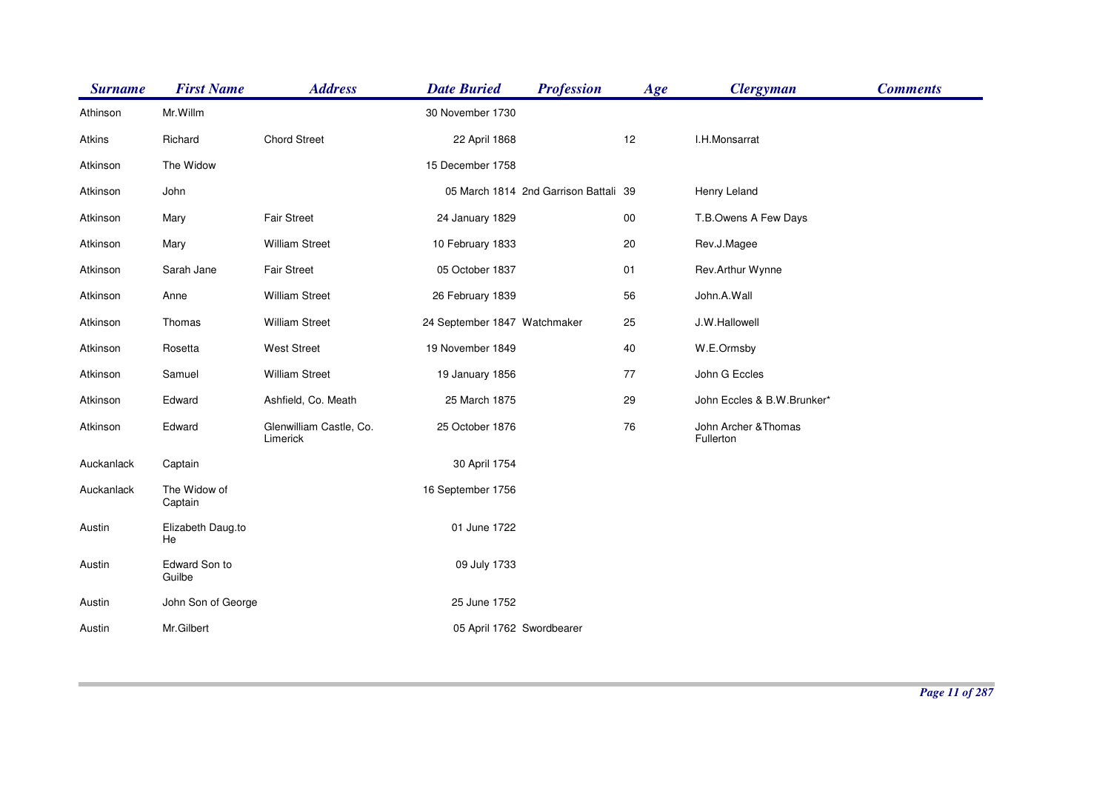| <b>Surname</b> | <b>First Name</b>       | <b>Address</b>                      | <b>Date Buried</b>           | <b>Profession</b>                     | Age    | <b>Clergyman</b>                  | <b>Comments</b> |
|----------------|-------------------------|-------------------------------------|------------------------------|---------------------------------------|--------|-----------------------------------|-----------------|
| Athinson       | Mr. Willm               |                                     | 30 November 1730             |                                       |        |                                   |                 |
| Atkins         | Richard                 | <b>Chord Street</b>                 | 22 April 1868                |                                       | 12     | I.H.Monsarrat                     |                 |
| Atkinson       | The Widow               |                                     | 15 December 1758             |                                       |        |                                   |                 |
| Atkinson       | John                    |                                     |                              | 05 March 1814 2nd Garrison Battali 39 |        | Henry Leland                      |                 |
| Atkinson       | Mary                    | <b>Fair Street</b>                  | 24 January 1829              |                                       | $00\,$ | T.B.Owens A Few Days              |                 |
| Atkinson       | Mary                    | <b>William Street</b>               | 10 February 1833             |                                       | 20     | Rev.J.Magee                       |                 |
| Atkinson       | Sarah Jane              | Fair Street                         | 05 October 1837              |                                       | 01     | Rev.Arthur Wynne                  |                 |
| Atkinson       | Anne                    | <b>William Street</b>               | 26 February 1839             |                                       | 56     | John.A.Wall                       |                 |
| Atkinson       | Thomas                  | <b>William Street</b>               | 24 September 1847 Watchmaker |                                       | 25     | J.W.Hallowell                     |                 |
| Atkinson       | Rosetta                 | <b>West Street</b>                  | 19 November 1849             |                                       | 40     | W.E.Ormsby                        |                 |
| Atkinson       | Samuel                  | <b>William Street</b>               | 19 January 1856              |                                       | 77     | John G Eccles                     |                 |
| Atkinson       | Edward                  | Ashfield, Co. Meath                 | 25 March 1875                |                                       | 29     | John Eccles & B.W.Brunker*        |                 |
| Atkinson       | Edward                  | Glenwilliam Castle, Co.<br>Limerick | 25 October 1876              |                                       | 76     | John Archer & Thomas<br>Fullerton |                 |
| Auckanlack     | Captain                 |                                     | 30 April 1754                |                                       |        |                                   |                 |
| Auckanlack     | The Widow of<br>Captain |                                     | 16 September 1756            |                                       |        |                                   |                 |
| Austin         | Elizabeth Daug.to<br>He |                                     | 01 June 1722                 |                                       |        |                                   |                 |
| Austin         | Edward Son to<br>Guilbe |                                     | 09 July 1733                 |                                       |        |                                   |                 |
| Austin         | John Son of George      |                                     | 25 June 1752                 |                                       |        |                                   |                 |
| Austin         | Mr.Gilbert              |                                     | 05 April 1762 Swordbearer    |                                       |        |                                   |                 |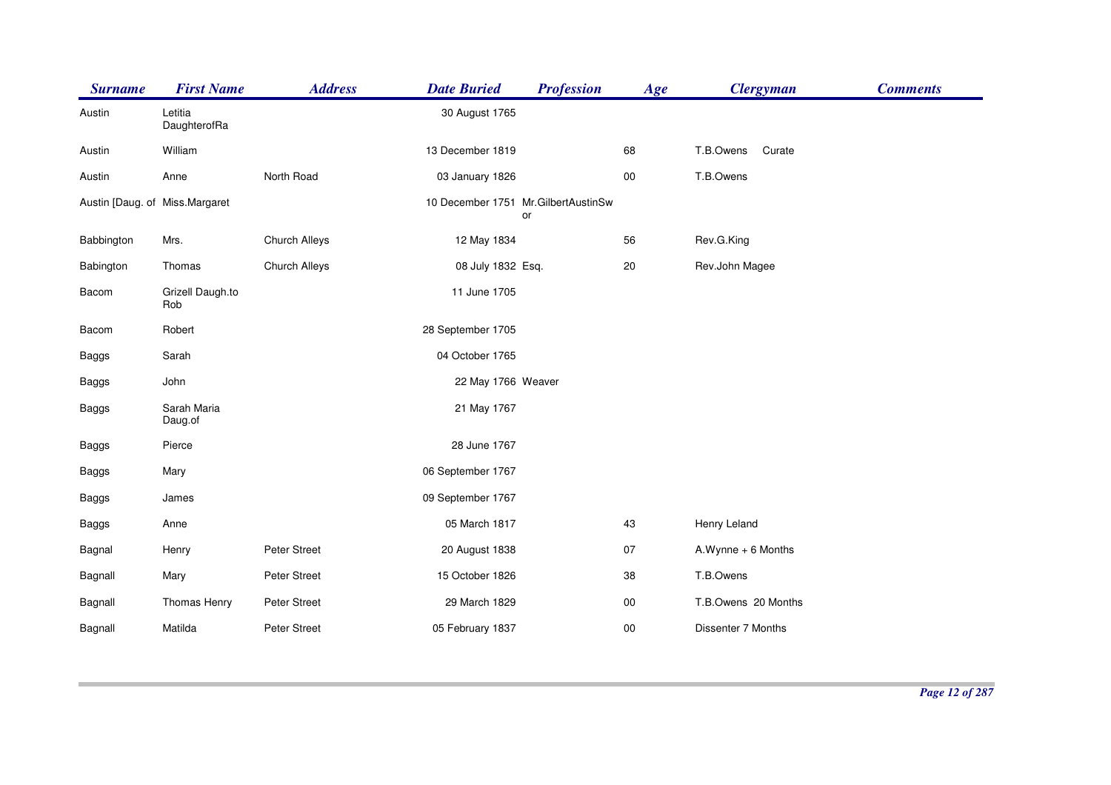| <b>Surname</b> | <b>First Name</b>              | <b>Address</b> | <b>Date Buried</b> | <b>Profession</b>                          | Age    | <b>Clergyman</b>    | <b>Comments</b> |
|----------------|--------------------------------|----------------|--------------------|--------------------------------------------|--------|---------------------|-----------------|
| Austin         | Letitia<br>DaughterofRa        |                | 30 August 1765     |                                            |        |                     |                 |
| Austin         | William                        |                | 13 December 1819   |                                            | 68     | T.B.Owens<br>Curate |                 |
| Austin         | Anne                           | North Road     | 03 January 1826    |                                            | $00\,$ | T.B.Owens           |                 |
|                | Austin [Daug. of Miss.Margaret |                |                    | 10 December 1751 Mr. GilbertAustinSw<br>or |        |                     |                 |
| Babbington     | Mrs.                           | Church Alleys  | 12 May 1834        |                                            | 56     | Rev.G.King          |                 |
| Babington      | Thomas                         | Church Alleys  | 08 July 1832 Esq.  |                                            | $20\,$ | Rev.John Magee      |                 |
| Bacom          | Grizell Daugh.to<br>Rob        |                | 11 June 1705       |                                            |        |                     |                 |
| Bacom          | Robert                         |                | 28 September 1705  |                                            |        |                     |                 |
| Baggs          | Sarah                          |                | 04 October 1765    |                                            |        |                     |                 |
| <b>Baggs</b>   | John                           |                | 22 May 1766 Weaver |                                            |        |                     |                 |
| Baggs          | Sarah Maria<br>Daug.of         |                | 21 May 1767        |                                            |        |                     |                 |
| Baggs          | Pierce                         |                | 28 June 1767       |                                            |        |                     |                 |
| Baggs          | Mary                           |                | 06 September 1767  |                                            |        |                     |                 |
| Baggs          | James                          |                | 09 September 1767  |                                            |        |                     |                 |
| <b>Baggs</b>   | Anne                           |                | 05 March 1817      |                                            | 43     | Henry Leland        |                 |
| Bagnal         | Henry                          | Peter Street   | 20 August 1838     |                                            | 07     | A.Wynne + 6 Months  |                 |
| Bagnall        | Mary                           | Peter Street   | 15 October 1826    |                                            | 38     | T.B.Owens           |                 |
| Bagnall        | Thomas Henry                   | Peter Street   | 29 March 1829      |                                            | $00\,$ | T.B.Owens 20 Months |                 |
| Bagnall        | Matilda                        | Peter Street   | 05 February 1837   |                                            | $00\,$ | Dissenter 7 Months  |                 |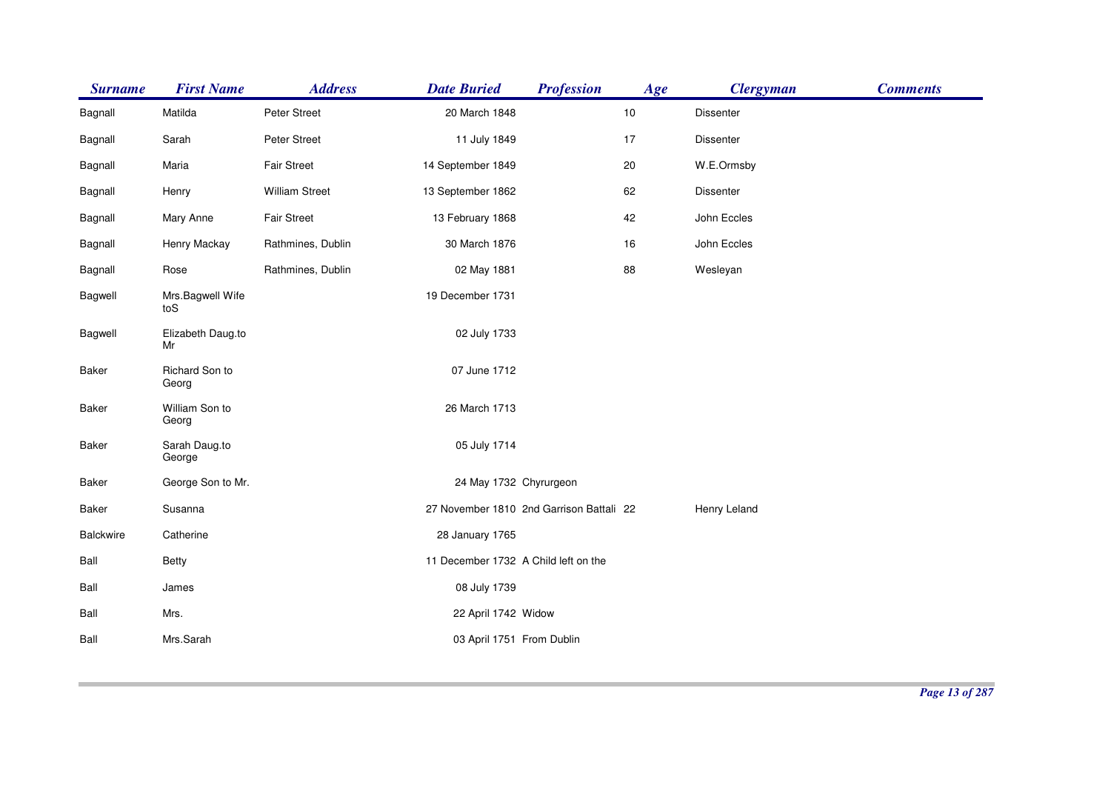| <b>Surname</b> | <b>First Name</b>       | <b>Address</b>        | <b>Date Buried</b>                       | <b>Profession</b> | Age | <b>Clergyman</b> | <b>Comments</b> |
|----------------|-------------------------|-----------------------|------------------------------------------|-------------------|-----|------------------|-----------------|
| Bagnall        | Matilda                 | Peter Street          | 20 March 1848                            |                   | 10  | <b>Dissenter</b> |                 |
| Bagnall        | Sarah                   | Peter Street          | 11 July 1849                             |                   | 17  | Dissenter        |                 |
| Bagnall        | Maria                   | <b>Fair Street</b>    | 14 September 1849                        |                   | 20  | W.E.Ormsby       |                 |
| Bagnall        | Henry                   | <b>William Street</b> | 13 September 1862                        |                   | 62  | Dissenter        |                 |
| Bagnall        | Mary Anne               | Fair Street           | 13 February 1868                         |                   | 42  | John Eccles      |                 |
| Bagnall        | Henry Mackay            | Rathmines, Dublin     | 30 March 1876                            |                   | 16  | John Eccles      |                 |
| Bagnall        | Rose                    | Rathmines, Dublin     | 02 May 1881                              |                   | 88  | Wesleyan         |                 |
| Bagwell        | Mrs.Bagwell Wife<br>toS |                       | 19 December 1731                         |                   |     |                  |                 |
| Bagwell        | Elizabeth Daug.to<br>Mr |                       | 02 July 1733                             |                   |     |                  |                 |
| Baker          | Richard Son to<br>Georg |                       | 07 June 1712                             |                   |     |                  |                 |
| Baker          | William Son to<br>Georg |                       | 26 March 1713                            |                   |     |                  |                 |
| <b>Baker</b>   | Sarah Daug.to<br>George |                       | 05 July 1714                             |                   |     |                  |                 |
| Baker          | George Son to Mr.       |                       | 24 May 1732 Chyrurgeon                   |                   |     |                  |                 |
| Baker          | Susanna                 |                       | 27 November 1810 2nd Garrison Battali 22 |                   |     | Henry Leland     |                 |
| Balckwire      | Catherine               |                       | 28 January 1765                          |                   |     |                  |                 |
| Ball           | <b>Betty</b>            |                       | 11 December 1732 A Child left on the     |                   |     |                  |                 |
| Ball           | James                   |                       | 08 July 1739                             |                   |     |                  |                 |
| Ball           | Mrs.                    |                       | 22 April 1742 Widow                      |                   |     |                  |                 |
| Ball           | Mrs.Sarah               |                       | 03 April 1751 From Dublin                |                   |     |                  |                 |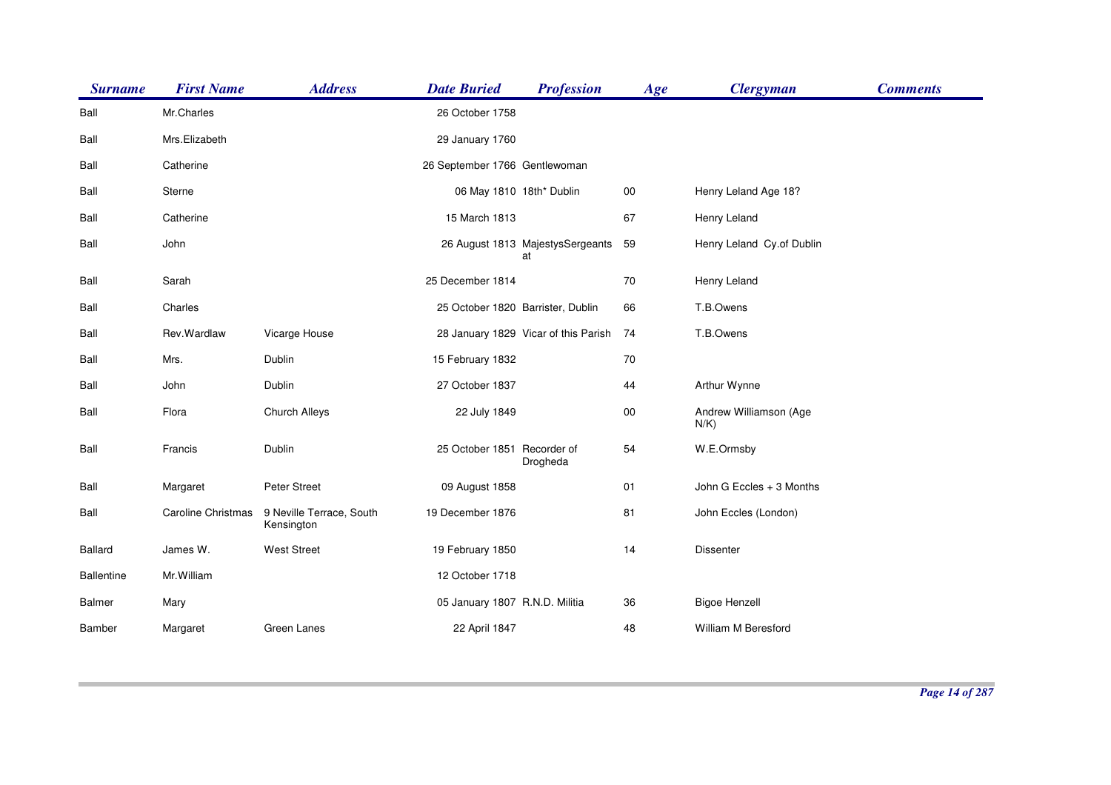| <b>Surname</b>    | <b>First Name</b>  | <b>Address</b>                         | <b>Date Buried</b>                | <b>Profession</b>                      | Age    | <b>Clergyman</b>                  | <b>Comments</b> |
|-------------------|--------------------|----------------------------------------|-----------------------------------|----------------------------------------|--------|-----------------------------------|-----------------|
| Ball              | Mr.Charles         |                                        | 26 October 1758                   |                                        |        |                                   |                 |
| Ball              | Mrs.Elizabeth      |                                        | 29 January 1760                   |                                        |        |                                   |                 |
| Ball              | Catherine          |                                        | 26 September 1766 Gentlewoman     |                                        |        |                                   |                 |
| Ball              | Sterne             |                                        | 06 May 1810 18th* Dublin          |                                        | $00\,$ | Henry Leland Age 18?              |                 |
| Ball              | Catherine          |                                        | 15 March 1813                     |                                        | 67     | Henry Leland                      |                 |
| Ball              | John               |                                        |                                   | 26 August 1813 MajestysSergeants<br>at | 59     | Henry Leland Cy.of Dublin         |                 |
| Ball              | Sarah              |                                        | 25 December 1814                  |                                        | 70     | Henry Leland                      |                 |
| Ball              | Charles            |                                        | 25 October 1820 Barrister, Dublin |                                        | 66     | T.B.Owens                         |                 |
| Ball              | Rev.Wardlaw        | Vicarge House                          |                                   | 28 January 1829 Vicar of this Parish   | 74     | T.B.Owens                         |                 |
| Ball              | Mrs.               | Dublin                                 | 15 February 1832                  |                                        | 70     |                                   |                 |
| Ball              | John               | Dublin                                 | 27 October 1837                   |                                        | 44     | Arthur Wynne                      |                 |
| Ball              | Flora              | Church Alleys                          | 22 July 1849                      |                                        | $00\,$ | Andrew Williamson (Age<br>$N/K$ ) |                 |
| Ball              | Francis            | Dublin                                 | 25 October 1851 Recorder of       | Drogheda                               | 54     | W.E.Ormsby                        |                 |
| Ball              | Margaret           | Peter Street                           | 09 August 1858                    |                                        | 01     | John G Eccles + 3 Months          |                 |
| Ball              | Caroline Christmas | 9 Neville Terrace, South<br>Kensington | 19 December 1876                  |                                        | 81     | John Eccles (London)              |                 |
| <b>Ballard</b>    | James W.           | <b>West Street</b>                     | 19 February 1850                  |                                        | 14     | <b>Dissenter</b>                  |                 |
| <b>Ballentine</b> | Mr. William        |                                        | 12 October 1718                   |                                        |        |                                   |                 |
| <b>Balmer</b>     | Mary               |                                        | 05 January 1807 R.N.D. Militia    |                                        | 36     | <b>Bigoe Henzell</b>              |                 |
| <b>Bamber</b>     | Margaret           | Green Lanes                            | 22 April 1847                     |                                        | 48     | William M Beresford               |                 |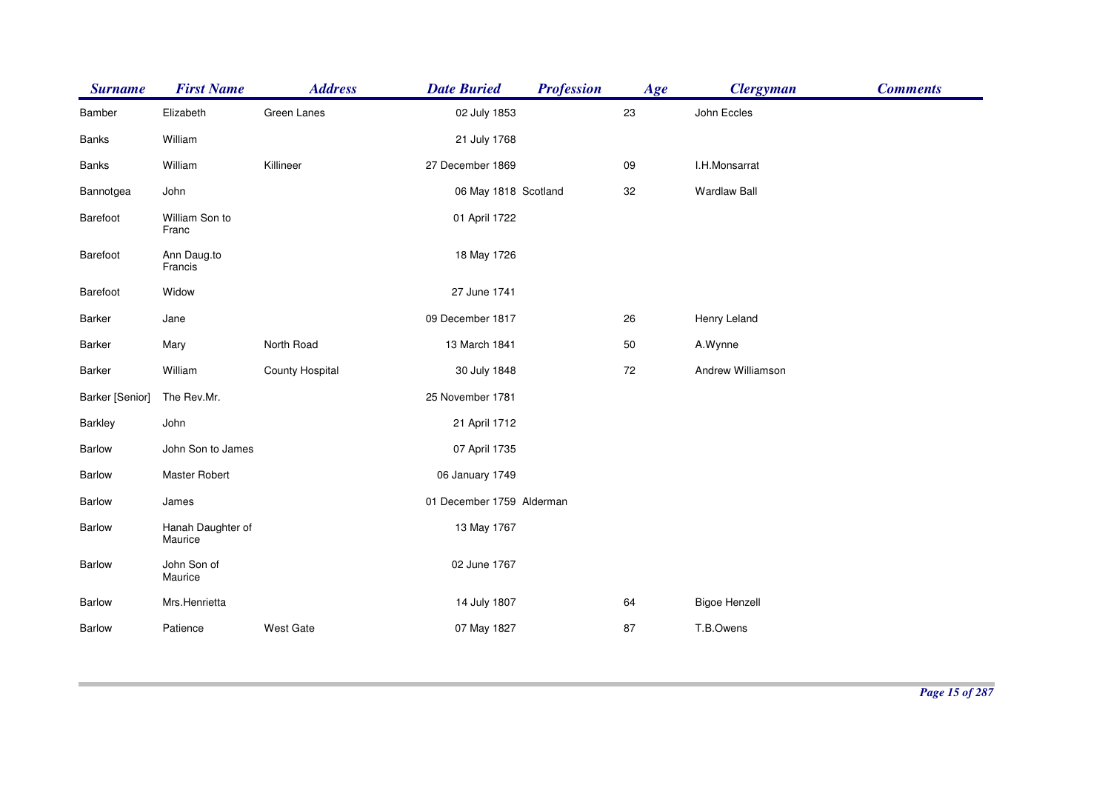| <b>Surname</b>         | <b>First Name</b>            | <b>Address</b>  | <b>Date Buried</b>        | <b>Profession</b> | Age | <b>Clergyman</b>     | <b>Comments</b> |
|------------------------|------------------------------|-----------------|---------------------------|-------------------|-----|----------------------|-----------------|
| Bamber                 | Elizabeth                    | Green Lanes     | 02 July 1853              |                   | 23  | John Eccles          |                 |
| Banks                  | William                      |                 | 21 July 1768              |                   |     |                      |                 |
| Banks                  | William                      | Killineer       | 27 December 1869          |                   | 09  | I.H.Monsarrat        |                 |
| Bannotgea              | John                         |                 | 06 May 1818 Scotland      |                   | 32  | <b>Wardlaw Ball</b>  |                 |
| Barefoot               | William Son to<br>Franc      |                 | 01 April 1722             |                   |     |                      |                 |
| Barefoot               | Ann Daug.to<br>Francis       |                 | 18 May 1726               |                   |     |                      |                 |
| Barefoot               | Widow                        |                 | 27 June 1741              |                   |     |                      |                 |
| Barker                 | Jane                         |                 | 09 December 1817          |                   | 26  | Henry Leland         |                 |
| Barker                 | Mary                         | North Road      | 13 March 1841             |                   | 50  | A.Wynne              |                 |
| Barker                 | William                      | County Hospital | 30 July 1848              |                   | 72  | Andrew Williamson    |                 |
| <b>Barker</b> [Senior] | The Rev.Mr.                  |                 | 25 November 1781          |                   |     |                      |                 |
| Barkley                | John                         |                 | 21 April 1712             |                   |     |                      |                 |
| Barlow                 | John Son to James            |                 | 07 April 1735             |                   |     |                      |                 |
| Barlow                 | Master Robert                |                 | 06 January 1749           |                   |     |                      |                 |
| Barlow                 | James                        |                 | 01 December 1759 Alderman |                   |     |                      |                 |
| Barlow                 | Hanah Daughter of<br>Maurice |                 | 13 May 1767               |                   |     |                      |                 |
| Barlow                 | John Son of<br>Maurice       |                 | 02 June 1767              |                   |     |                      |                 |
| <b>Barlow</b>          | Mrs.Henrietta                |                 | 14 July 1807              |                   | 64  | <b>Bigoe Henzell</b> |                 |
| Barlow                 | Patience                     | West Gate       | 07 May 1827               |                   | 87  | T.B.Owens            |                 |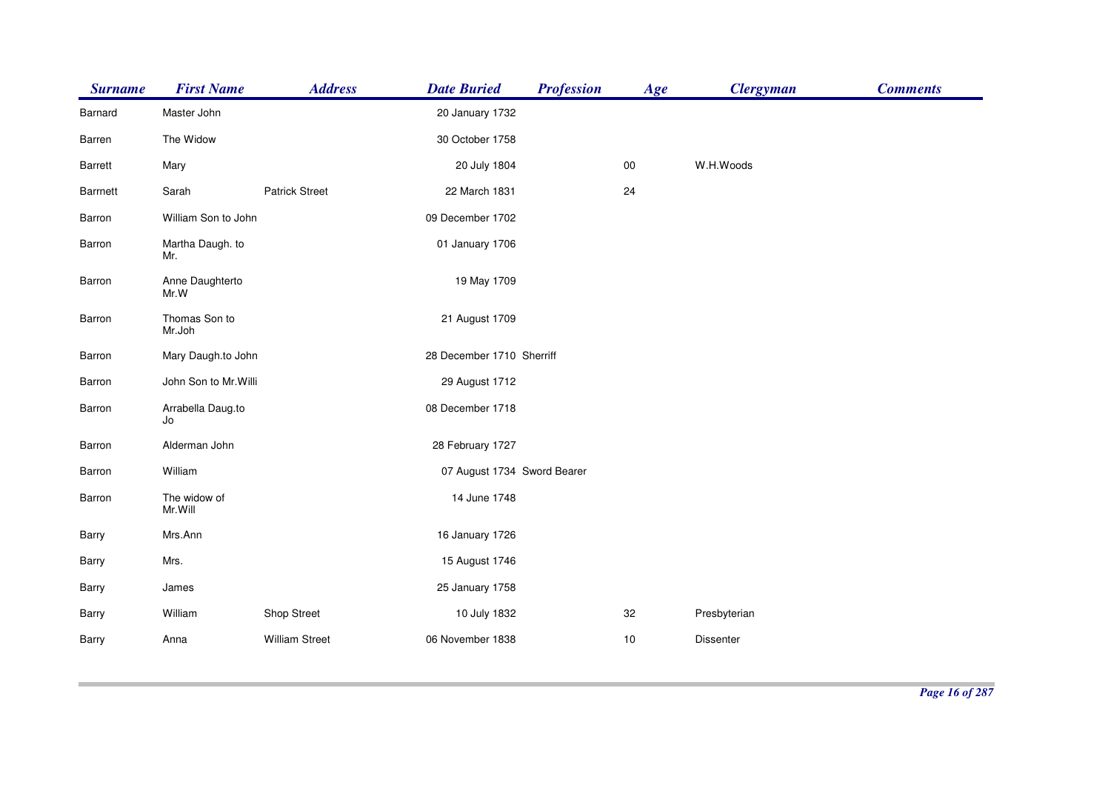| <b>Surname</b>  | <b>First Name</b>       | <b>Address</b>        | <b>Date Buried</b>          | <b>Profession</b> | Age    | <b>Clergyman</b> | <b>Comments</b> |
|-----------------|-------------------------|-----------------------|-----------------------------|-------------------|--------|------------------|-----------------|
| Barnard         | Master John             |                       | 20 January 1732             |                   |        |                  |                 |
| Barren          | The Widow               |                       | 30 October 1758             |                   |        |                  |                 |
| <b>Barrett</b>  | Mary                    |                       | 20 July 1804                |                   | $00\,$ | W.H.Woods        |                 |
| <b>Barrnett</b> | Sarah                   | <b>Patrick Street</b> | 22 March 1831               |                   | 24     |                  |                 |
| Barron          | William Son to John     |                       | 09 December 1702            |                   |        |                  |                 |
| Barron          | Martha Daugh. to<br>Mr. |                       | 01 January 1706             |                   |        |                  |                 |
| Barron          | Anne Daughterto<br>Mr.W |                       | 19 May 1709                 |                   |        |                  |                 |
| Barron          | Thomas Son to<br>Mr.Joh |                       | 21 August 1709              |                   |        |                  |                 |
| Barron          | Mary Daugh.to John      |                       | 28 December 1710 Sherriff   |                   |        |                  |                 |
| Barron          | John Son to Mr. Willi   |                       | 29 August 1712              |                   |        |                  |                 |
| Barron          | Arrabella Daug.to<br>Jo |                       | 08 December 1718            |                   |        |                  |                 |
| Barron          | Alderman John           |                       | 28 February 1727            |                   |        |                  |                 |
| Barron          | William                 |                       | 07 August 1734 Sword Bearer |                   |        |                  |                 |
| Barron          | The widow of<br>Mr.Will |                       | 14 June 1748                |                   |        |                  |                 |
| Barry           | Mrs.Ann                 |                       | 16 January 1726             |                   |        |                  |                 |
| Barry           | Mrs.                    |                       | 15 August 1746              |                   |        |                  |                 |
| Barry           | James                   |                       | 25 January 1758             |                   |        |                  |                 |
| Barry           | William                 | Shop Street           | 10 July 1832                |                   | 32     | Presbyterian     |                 |
| Barry           | Anna                    | <b>William Street</b> | 06 November 1838            |                   | 10     | <b>Dissenter</b> |                 |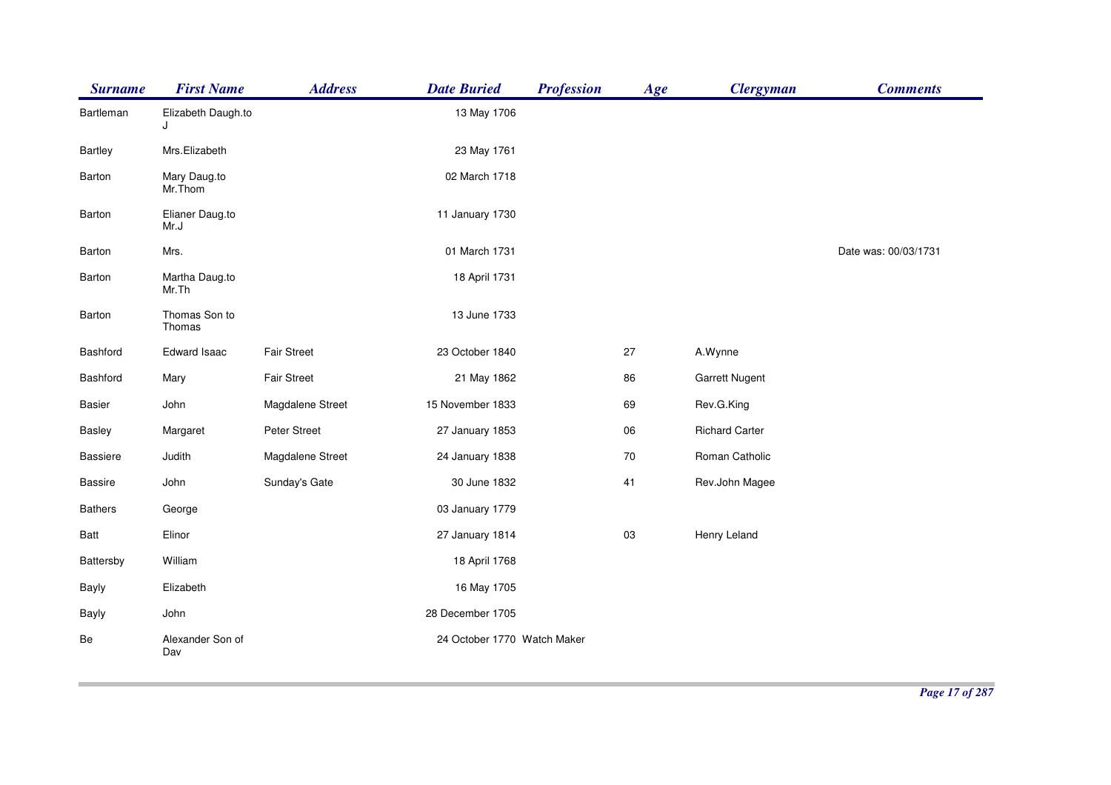| <b>Surname</b>  | <b>First Name</b>       | <b>Address</b>     | <b>Date Buried</b>          | <b>Profession</b> | Age | <b>Clergyman</b>      | <b>Comments</b>      |
|-----------------|-------------------------|--------------------|-----------------------------|-------------------|-----|-----------------------|----------------------|
| Bartleman       | Elizabeth Daugh.to<br>J |                    | 13 May 1706                 |                   |     |                       |                      |
| <b>Bartley</b>  | Mrs.Elizabeth           |                    | 23 May 1761                 |                   |     |                       |                      |
| Barton          | Mary Daug.to<br>Mr.Thom |                    | 02 March 1718               |                   |     |                       |                      |
| Barton          | Elianer Daug.to<br>Mr.J |                    | 11 January 1730             |                   |     |                       |                      |
| Barton          | Mrs.                    |                    | 01 March 1731               |                   |     |                       | Date was: 00/03/1731 |
| Barton          | Martha Daug.to<br>Mr.Th |                    | 18 April 1731               |                   |     |                       |                      |
| Barton          | Thomas Son to<br>Thomas |                    | 13 June 1733                |                   |     |                       |                      |
| Bashford        | Edward Isaac            | <b>Fair Street</b> | 23 October 1840             |                   | 27  | A.Wynne               |                      |
| Bashford        | Mary                    | <b>Fair Street</b> | 21 May 1862                 |                   | 86  | <b>Garrett Nugent</b> |                      |
| <b>Basier</b>   | John                    | Magdalene Street   | 15 November 1833            |                   | 69  | Rev.G.King            |                      |
| <b>Basley</b>   | Margaret                | Peter Street       | 27 January 1853             |                   | 06  | <b>Richard Carter</b> |                      |
| <b>Bassiere</b> | Judith                  | Magdalene Street   | 24 January 1838             |                   | 70  | Roman Catholic        |                      |
| <b>Bassire</b>  | John                    | Sunday's Gate      | 30 June 1832                |                   | 41  | Rev.John Magee        |                      |
| <b>Bathers</b>  | George                  |                    | 03 January 1779             |                   |     |                       |                      |
| Batt            | Elinor                  |                    | 27 January 1814             |                   | 03  | Henry Leland          |                      |
| Battersby       | William                 |                    | 18 April 1768               |                   |     |                       |                      |
| <b>Bayly</b>    | Elizabeth               |                    | 16 May 1705                 |                   |     |                       |                      |
| Bayly           | John                    |                    | 28 December 1705            |                   |     |                       |                      |
| Be              | Alexander Son of<br>Dav |                    | 24 October 1770 Watch Maker |                   |     |                       |                      |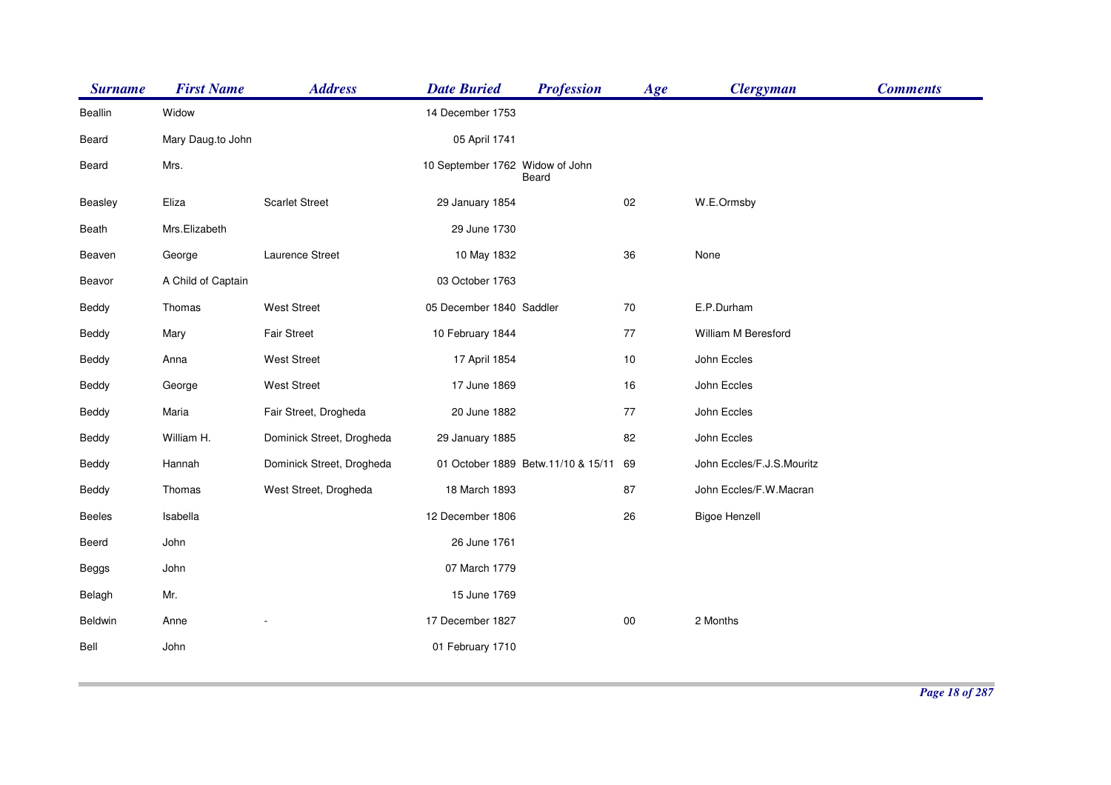| <b>Surname</b> | <b>First Name</b>  | <b>Address</b>            | <b>Date Buried</b>              | <b>Profession</b>                  | Age    | <b>Clergyman</b>          | <b>Comments</b> |
|----------------|--------------------|---------------------------|---------------------------------|------------------------------------|--------|---------------------------|-----------------|
| <b>Beallin</b> | Widow              |                           | 14 December 1753                |                                    |        |                           |                 |
| Beard          | Mary Daug.to John  |                           | 05 April 1741                   |                                    |        |                           |                 |
| Beard          | Mrs.               |                           | 10 September 1762 Widow of John | Beard                              |        |                           |                 |
| Beasley        | Eliza              | <b>Scarlet Street</b>     | 29 January 1854                 |                                    | $02\,$ | W.E.Ormsby                |                 |
| Beath          | Mrs.Elizabeth      |                           | 29 June 1730                    |                                    |        |                           |                 |
| Beaven         | George             | Laurence Street           | 10 May 1832                     |                                    | 36     | None                      |                 |
| Beavor         | A Child of Captain |                           | 03 October 1763                 |                                    |        |                           |                 |
| Beddy          | Thomas             | <b>West Street</b>        | 05 December 1840 Saddler        |                                    | $70\,$ | E.P.Durham                |                 |
| Beddy          | Mary               | Fair Street               | 10 February 1844                |                                    | $77\,$ | William M Beresford       |                 |
| Beddy          | Anna               | <b>West Street</b>        | 17 April 1854                   |                                    | 10     | John Eccles               |                 |
| Beddy          | George             | <b>West Street</b>        | 17 June 1869                    |                                    | 16     | John Eccles               |                 |
| Beddy          | Maria              | Fair Street, Drogheda     | 20 June 1882                    |                                    | 77     | John Eccles               |                 |
| Beddy          | William H.         | Dominick Street, Drogheda | 29 January 1885                 |                                    | 82     | John Eccles               |                 |
| Beddy          | Hannah             | Dominick Street, Drogheda |                                 | 01 October 1889 Betw.11/10 & 15/11 | 69     | John Eccles/F.J.S.Mouritz |                 |
| Beddy          | Thomas             | West Street, Drogheda     | 18 March 1893                   |                                    | 87     | John Eccles/F.W.Macran    |                 |
| Beeles         | Isabella           |                           | 12 December 1806                |                                    | 26     | <b>Bigoe Henzell</b>      |                 |
| Beerd          | John               |                           | 26 June 1761                    |                                    |        |                           |                 |
| Beggs          | John               |                           | 07 March 1779                   |                                    |        |                           |                 |
| Belagh         | Mr.                |                           | 15 June 1769                    |                                    |        |                           |                 |
| Beldwin        | Anne               |                           | 17 December 1827                |                                    | $00\,$ | 2 Months                  |                 |
| Bell           | John               |                           | 01 February 1710                |                                    |        |                           |                 |
|                |                    |                           |                                 |                                    |        |                           |                 |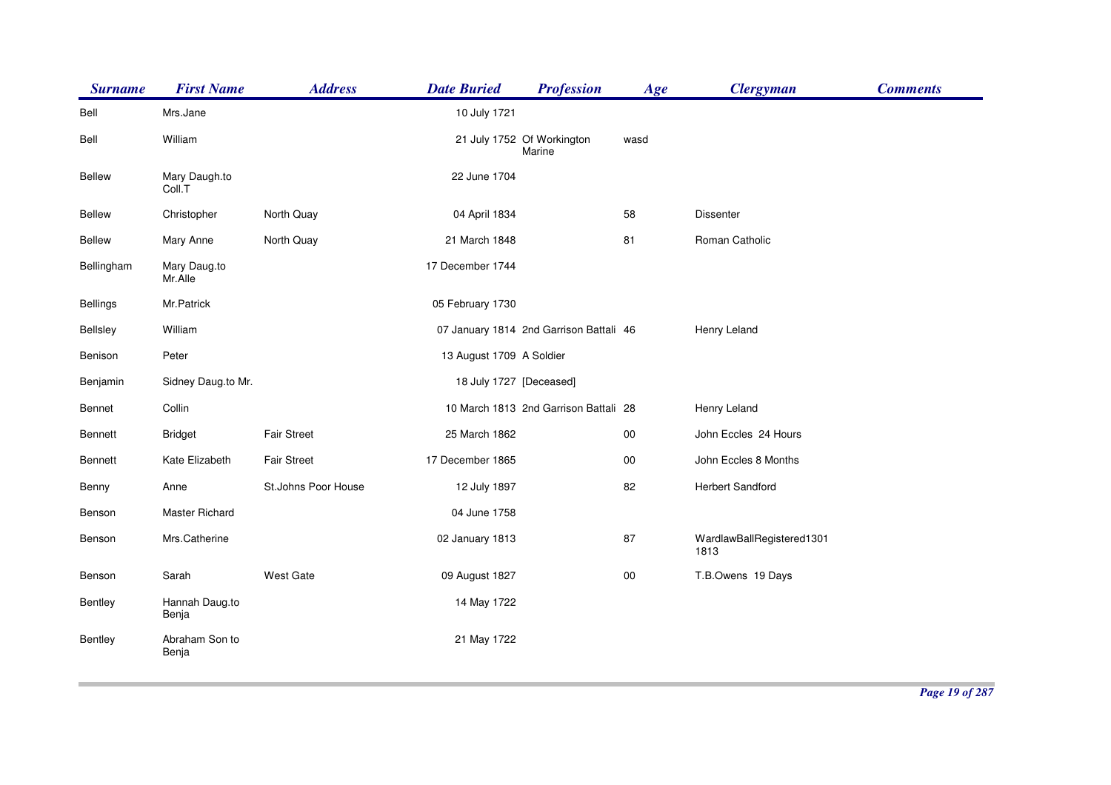| <b>Surname</b>  | <b>First Name</b>       | <b>Address</b>      | <b>Date Buried</b>       | <b>Profession</b>                       | Age    | <b>Clergyman</b>                  | <b>Comments</b> |
|-----------------|-------------------------|---------------------|--------------------------|-----------------------------------------|--------|-----------------------------------|-----------------|
| Bell            | Mrs.Jane                |                     | 10 July 1721             |                                         |        |                                   |                 |
| Bell            | William                 |                     |                          | 21 July 1752 Of Workington<br>Marine    | wasd   |                                   |                 |
| <b>Bellew</b>   | Mary Daugh.to<br>Coll.T |                     | 22 June 1704             |                                         |        |                                   |                 |
| <b>Bellew</b>   | Christopher             | North Quay          | 04 April 1834            |                                         | 58     | <b>Dissenter</b>                  |                 |
| <b>Bellew</b>   | Mary Anne               | North Quay          | 21 March 1848            |                                         | 81     | Roman Catholic                    |                 |
| Bellingham      | Mary Daug.to<br>Mr.Alle |                     | 17 December 1744         |                                         |        |                                   |                 |
| <b>Bellings</b> | Mr.Patrick              |                     | 05 February 1730         |                                         |        |                                   |                 |
| <b>Bellsley</b> | William                 |                     |                          | 07 January 1814 2nd Garrison Battali 46 |        | Henry Leland                      |                 |
| Benison         | Peter                   |                     | 13 August 1709 A Soldier |                                         |        |                                   |                 |
| Benjamin        | Sidney Daug.to Mr.      |                     | 18 July 1727 [Deceased]  |                                         |        |                                   |                 |
| Bennet          | Collin                  |                     |                          | 10 March 1813 2nd Garrison Battali 28   |        | Henry Leland                      |                 |
| <b>Bennett</b>  | <b>Bridget</b>          | <b>Fair Street</b>  | 25 March 1862            |                                         | 00     | John Eccles 24 Hours              |                 |
| <b>Bennett</b>  | Kate Elizabeth          | <b>Fair Street</b>  | 17 December 1865         |                                         | $00\,$ | John Eccles 8 Months              |                 |
| Benny           | Anne                    | St.Johns Poor House | 12 July 1897             |                                         | 82     | Herbert Sandford                  |                 |
| Benson          | Master Richard          |                     | 04 June 1758             |                                         |        |                                   |                 |
| Benson          | Mrs.Catherine           |                     | 02 January 1813          |                                         | 87     | WardlawBallRegistered1301<br>1813 |                 |
| Benson          | Sarah                   | <b>West Gate</b>    | 09 August 1827           |                                         | $00\,$ | T.B.Owens 19 Days                 |                 |
| Bentley         | Hannah Daug.to<br>Benja |                     | 14 May 1722              |                                         |        |                                   |                 |
| <b>Bentley</b>  | Abraham Son to<br>Benja |                     | 21 May 1722              |                                         |        |                                   |                 |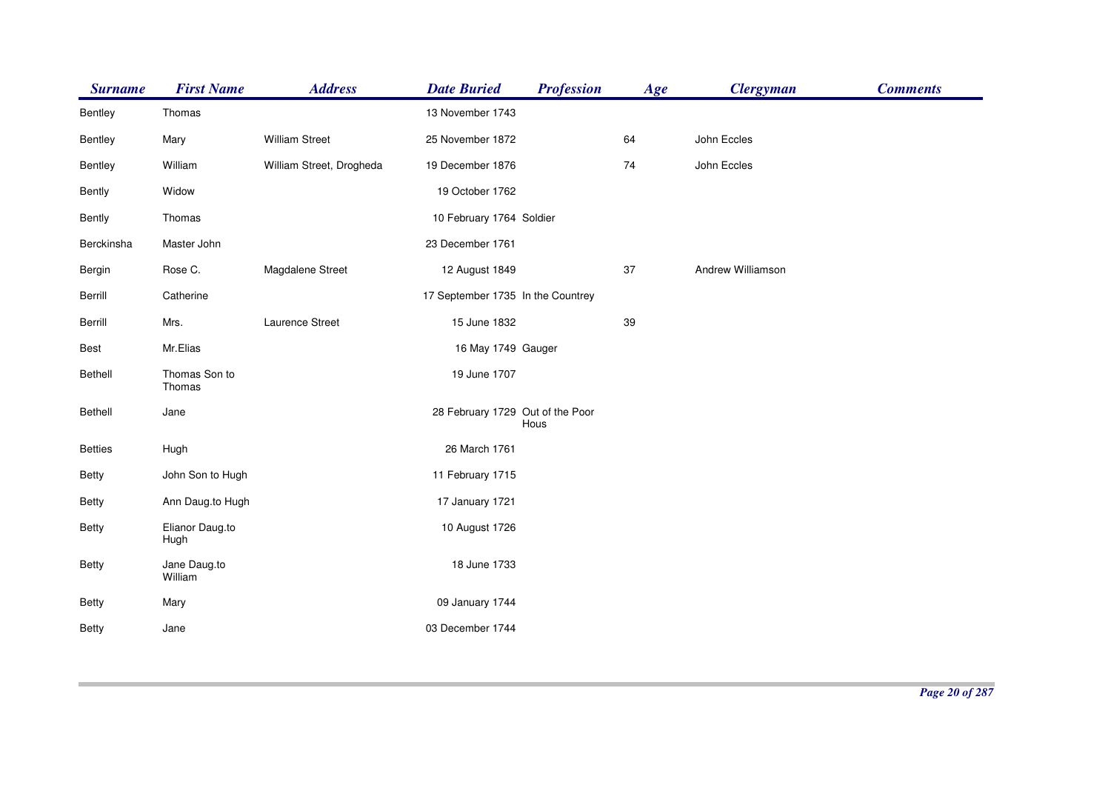| <b>Surname</b> | <b>First Name</b>       | <b>Address</b>           | <b>Date Buried</b>                | <b>Profession</b> | Age | <b>Clergyman</b>  | <b>Comments</b> |
|----------------|-------------------------|--------------------------|-----------------------------------|-------------------|-----|-------------------|-----------------|
| Bentley        | Thomas                  |                          | 13 November 1743                  |                   |     |                   |                 |
| Bentley        | Mary                    | <b>William Street</b>    | 25 November 1872                  |                   | 64  | John Eccles       |                 |
| Bentley        | William                 | William Street, Drogheda | 19 December 1876                  |                   | 74  | John Eccles       |                 |
| <b>Bently</b>  | Widow                   |                          | 19 October 1762                   |                   |     |                   |                 |
| <b>Bently</b>  | Thomas                  |                          | 10 February 1764 Soldier          |                   |     |                   |                 |
| Berckinsha     | Master John             |                          | 23 December 1761                  |                   |     |                   |                 |
| Bergin         | Rose C.                 | Magdalene Street         | 12 August 1849                    |                   | 37  | Andrew Williamson |                 |
| Berrill        | Catherine               |                          | 17 September 1735 In the Countrey |                   |     |                   |                 |
| Berrill        | Mrs.                    | Laurence Street          | 15 June 1832                      |                   | 39  |                   |                 |
| Best           | Mr.Elias                |                          | 16 May 1749 Gauger                |                   |     |                   |                 |
| <b>Bethell</b> | Thomas Son to<br>Thomas |                          | 19 June 1707                      |                   |     |                   |                 |
| <b>Bethell</b> | Jane                    |                          | 28 February 1729 Out of the Poor  | Hous              |     |                   |                 |
| <b>Betties</b> | Hugh                    |                          | 26 March 1761                     |                   |     |                   |                 |
| Betty          | John Son to Hugh        |                          | 11 February 1715                  |                   |     |                   |                 |
| <b>Betty</b>   | Ann Daug.to Hugh        |                          | 17 January 1721                   |                   |     |                   |                 |
| <b>Betty</b>   | Elianor Daug.to<br>Hugh |                          | 10 August 1726                    |                   |     |                   |                 |
| <b>Betty</b>   | Jane Daug.to<br>William |                          | 18 June 1733                      |                   |     |                   |                 |
| <b>Betty</b>   | Mary                    |                          | 09 January 1744                   |                   |     |                   |                 |
| <b>Betty</b>   | Jane                    |                          | 03 December 1744                  |                   |     |                   |                 |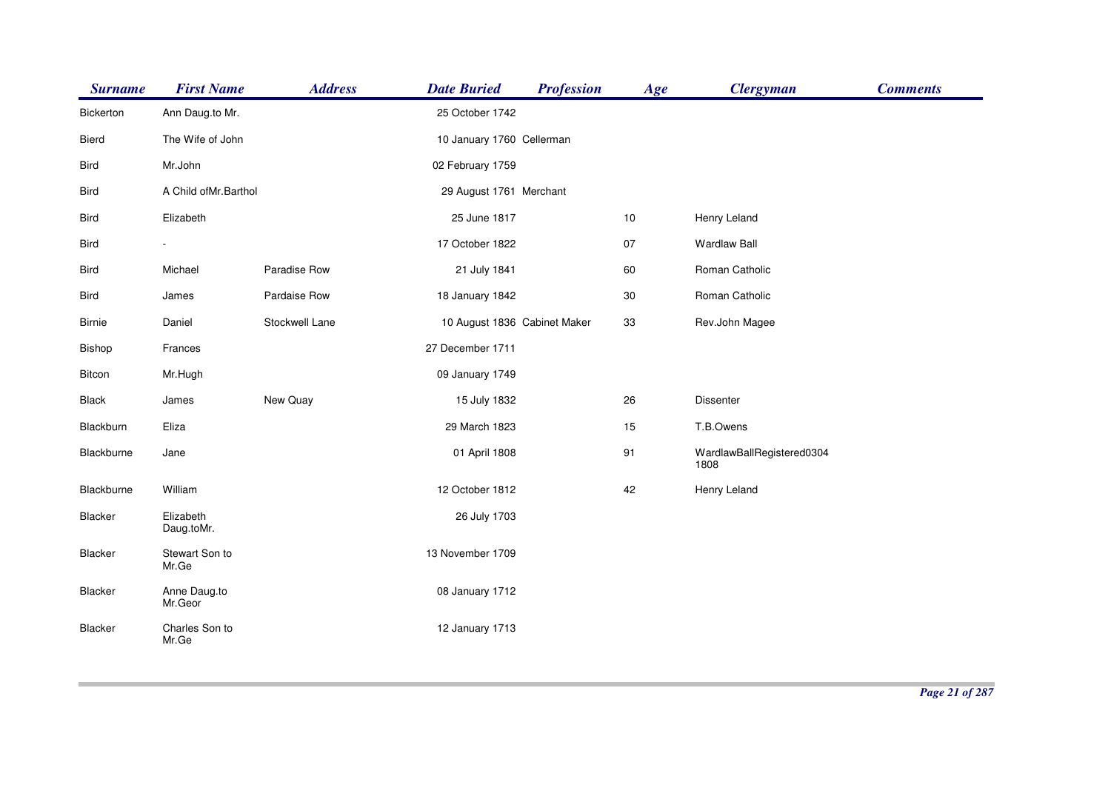| <b>Surname</b>   | <b>First Name</b>       | <b>Address</b> | <b>Date Buried</b>           | <b>Profession</b> | Age | <b>Clergyman</b>                  | <b>Comments</b> |
|------------------|-------------------------|----------------|------------------------------|-------------------|-----|-----------------------------------|-----------------|
| <b>Bickerton</b> | Ann Daug.to Mr.         |                | 25 October 1742              |                   |     |                                   |                 |
| Bierd            | The Wife of John        |                | 10 January 1760 Cellerman    |                   |     |                                   |                 |
| <b>Bird</b>      | Mr.John                 |                | 02 February 1759             |                   |     |                                   |                 |
| <b>Bird</b>      | A Child of Mr. Barthol  |                | 29 August 1761 Merchant      |                   |     |                                   |                 |
| <b>Bird</b>      | Elizabeth               |                | 25 June 1817                 |                   | 10  | Henry Leland                      |                 |
| <b>Bird</b>      | $\frac{1}{2}$           |                | 17 October 1822              |                   | 07  | <b>Wardlaw Ball</b>               |                 |
| <b>Bird</b>      | Michael                 | Paradise Row   | 21 July 1841                 |                   | 60  | Roman Catholic                    |                 |
| Bird             | James                   | Pardaise Row   | 18 January 1842              |                   | 30  | Roman Catholic                    |                 |
| <b>Birnie</b>    | Daniel                  | Stockwell Lane | 10 August 1836 Cabinet Maker |                   | 33  | Rev.John Magee                    |                 |
| <b>Bishop</b>    | Frances                 |                | 27 December 1711             |                   |     |                                   |                 |
| Bitcon           | Mr.Hugh                 |                | 09 January 1749              |                   |     |                                   |                 |
| <b>Black</b>     | James                   | New Quay       | 15 July 1832                 |                   | 26  | <b>Dissenter</b>                  |                 |
| Blackburn        | Eliza                   |                | 29 March 1823                |                   | 15  | T.B.Owens                         |                 |
| Blackburne       | Jane                    |                | 01 April 1808                |                   | 91  | WardlawBallRegistered0304<br>1808 |                 |
| Blackburne       | William                 |                | 12 October 1812              |                   | 42  | Henry Leland                      |                 |
| Blacker          | Elizabeth<br>Daug.toMr. |                | 26 July 1703                 |                   |     |                                   |                 |
| <b>Blacker</b>   | Stewart Son to<br>Mr.Ge |                | 13 November 1709             |                   |     |                                   |                 |
| <b>Blacker</b>   | Anne Daug.to<br>Mr.Geor |                | 08 January 1712              |                   |     |                                   |                 |
| <b>Blacker</b>   | Charles Son to<br>Mr.Ge |                | 12 January 1713              |                   |     |                                   |                 |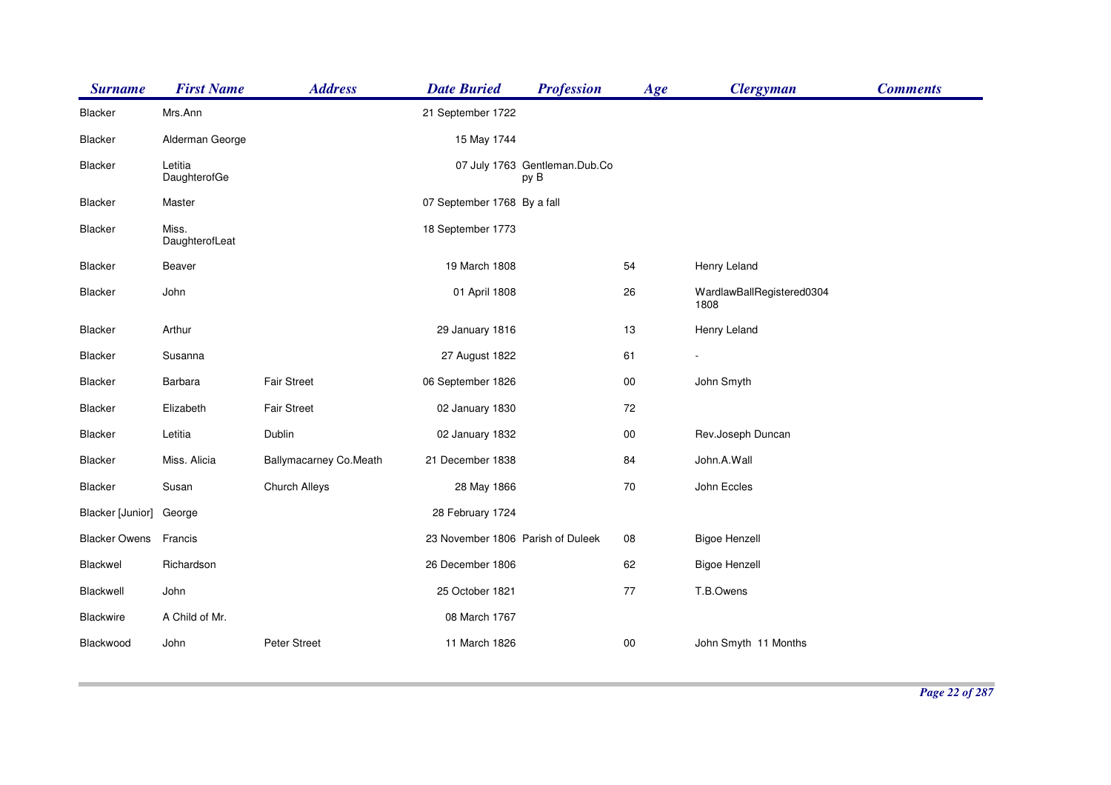| <b>Surname</b>       | <b>First Name</b>       | <b>Address</b>         | <b>Date Buried</b>                | <b>Profession</b>                     | Age    | <b>Clergyman</b>                  | <b>Comments</b> |
|----------------------|-------------------------|------------------------|-----------------------------------|---------------------------------------|--------|-----------------------------------|-----------------|
| Blacker              | Mrs.Ann                 |                        | 21 September 1722                 |                                       |        |                                   |                 |
| <b>Blacker</b>       | Alderman George         |                        | 15 May 1744                       |                                       |        |                                   |                 |
| Blacker              | Letitia<br>DaughterofGe |                        |                                   | 07 July 1763 Gentleman.Dub.Co<br>py B |        |                                   |                 |
| Blacker              | Master                  |                        | 07 September 1768 By a fall       |                                       |        |                                   |                 |
| Blacker              | Miss.<br>DaughterofLeat |                        | 18 September 1773                 |                                       |        |                                   |                 |
| <b>Blacker</b>       | Beaver                  |                        | 19 March 1808                     |                                       | 54     | Henry Leland                      |                 |
| <b>Blacker</b>       | John                    |                        | 01 April 1808                     |                                       | 26     | WardlawBallRegistered0304<br>1808 |                 |
| Blacker              | Arthur                  |                        | 29 January 1816                   |                                       | 13     | Henry Leland                      |                 |
| Blacker              | Susanna                 |                        | 27 August 1822                    |                                       | 61     |                                   |                 |
| Blacker              | Barbara                 | <b>Fair Street</b>     | 06 September 1826                 |                                       | $00\,$ | John Smyth                        |                 |
| <b>Blacker</b>       | Elizabeth               | <b>Fair Street</b>     | 02 January 1830                   |                                       | $72\,$ |                                   |                 |
| Blacker              | Letitia                 | Dublin                 | 02 January 1832                   |                                       | $00\,$ | Rev.Joseph Duncan                 |                 |
| <b>Blacker</b>       | Miss. Alicia            | Ballymacarney Co.Meath | 21 December 1838                  |                                       | 84     | John.A.Wall                       |                 |
| <b>Blacker</b>       | Susan                   | Church Alleys          | 28 May 1866                       |                                       | 70     | John Eccles                       |                 |
| Blacker [Junior]     | George                  |                        | 28 February 1724                  |                                       |        |                                   |                 |
| <b>Blacker Owens</b> | Francis                 |                        | 23 November 1806 Parish of Duleek |                                       | 08     | <b>Bigoe Henzell</b>              |                 |
| Blackwel             | Richardson              |                        | 26 December 1806                  |                                       | 62     | <b>Bigoe Henzell</b>              |                 |
| Blackwell            | John                    |                        | 25 October 1821                   |                                       | 77     | T.B.Owens                         |                 |
| Blackwire            | A Child of Mr.          |                        | 08 March 1767                     |                                       |        |                                   |                 |
| Blackwood            | John                    | Peter Street           | 11 March 1826                     |                                       | $00\,$ | John Smyth 11 Months              |                 |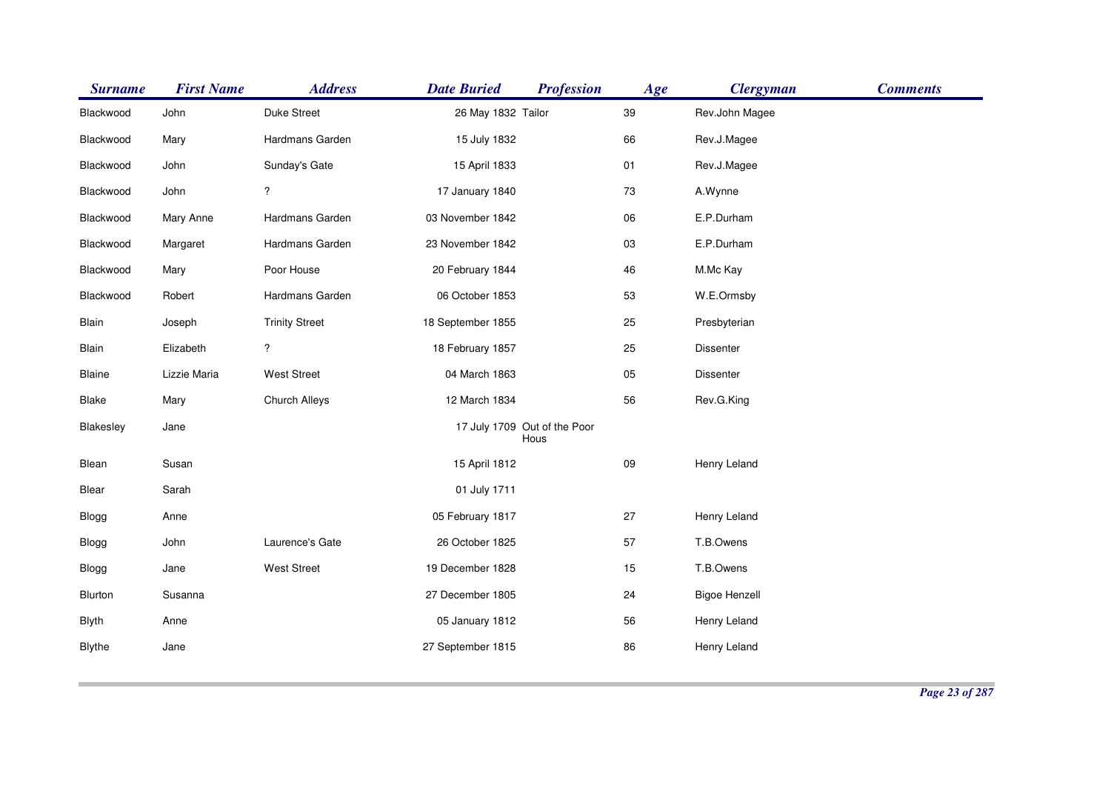| <b>Surname</b> | <b>First Name</b> | <b>Address</b>        | <b>Date Buried</b> | <b>Profession</b>                    | Age | <b>Clergyman</b>     | <b>Comments</b> |
|----------------|-------------------|-----------------------|--------------------|--------------------------------------|-----|----------------------|-----------------|
| Blackwood      | John              | Duke Street           | 26 May 1832 Tailor |                                      | 39  | Rev.John Magee       |                 |
| Blackwood      | Mary              | Hardmans Garden       | 15 July 1832       |                                      | 66  | Rev.J.Magee          |                 |
| Blackwood      | John              | Sunday's Gate         | 15 April 1833      |                                      | 01  | Rev.J.Magee          |                 |
| Blackwood      | John              | $\ddot{?}$            | 17 January 1840    |                                      | 73  | A.Wynne              |                 |
| Blackwood      | Mary Anne         | Hardmans Garden       | 03 November 1842   |                                      | 06  | E.P.Durham           |                 |
| Blackwood      | Margaret          | Hardmans Garden       | 23 November 1842   |                                      | 03  | E.P.Durham           |                 |
| Blackwood      | Mary              | Poor House            | 20 February 1844   |                                      | 46  | M.Mc Kay             |                 |
| Blackwood      | Robert            | Hardmans Garden       | 06 October 1853    |                                      | 53  | W.E.Ormsby           |                 |
| Blain          | Joseph            | <b>Trinity Street</b> | 18 September 1855  |                                      | 25  | Presbyterian         |                 |
| Blain          | Elizabeth         | $\ddot{?}$            | 18 February 1857   |                                      | 25  | Dissenter            |                 |
| Blaine         | Lizzie Maria      | <b>West Street</b>    | 04 March 1863      |                                      | 05  | Dissenter            |                 |
| <b>Blake</b>   | Mary              | Church Alleys         | 12 March 1834      |                                      | 56  | Rev.G.King           |                 |
| Blakesley      | Jane              |                       |                    | 17 July 1709 Out of the Poor<br>Hous |     |                      |                 |
| Blean          | Susan             |                       | 15 April 1812      |                                      | 09  | Henry Leland         |                 |
| Blear          | Sarah             |                       | 01 July 1711       |                                      |     |                      |                 |
| Blogg          | Anne              |                       | 05 February 1817   |                                      | 27  | Henry Leland         |                 |
| Blogg          | John              | Laurence's Gate       | 26 October 1825    |                                      | 57  | T.B.Owens            |                 |
| Blogg          | Jane              | <b>West Street</b>    | 19 December 1828   |                                      | 15  | T.B.Owens            |                 |
| Blurton        | Susanna           |                       | 27 December 1805   |                                      | 24  | <b>Bigoe Henzell</b> |                 |
| <b>Blyth</b>   | Anne              |                       | 05 January 1812    |                                      | 56  | Henry Leland         |                 |
| <b>Blythe</b>  | Jane              |                       | 27 September 1815  |                                      | 86  | Henry Leland         |                 |
|                |                   |                       |                    |                                      |     |                      |                 |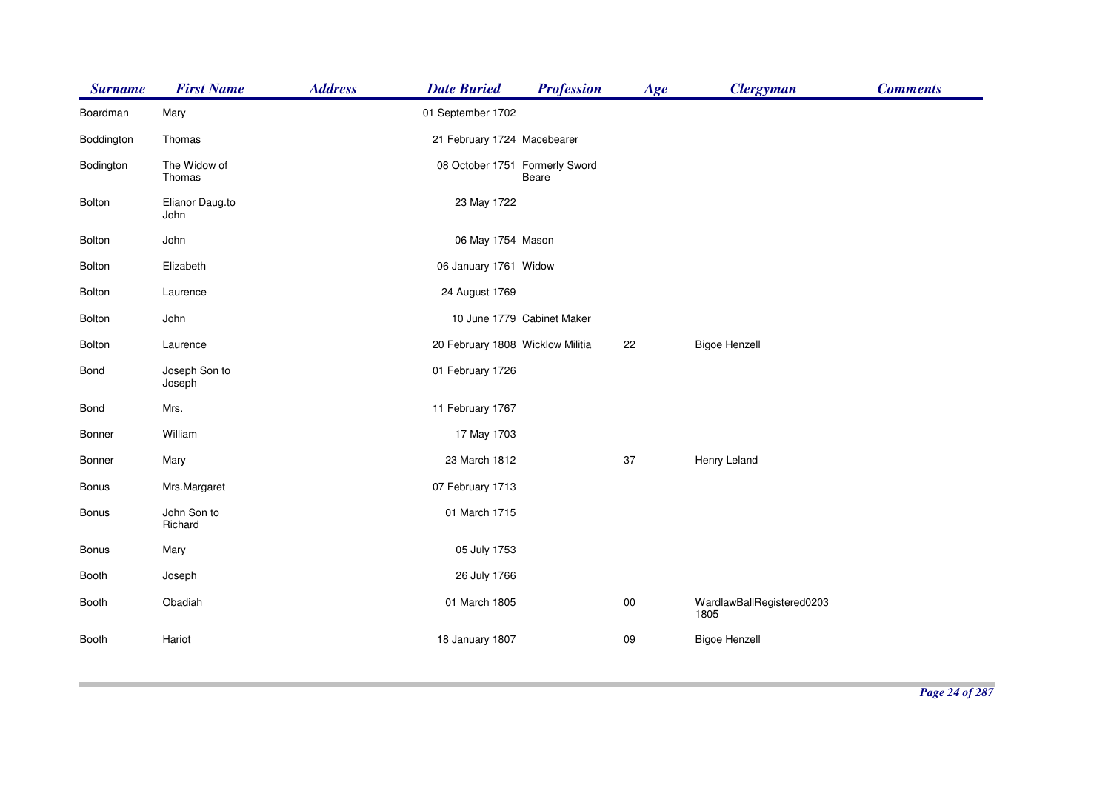| <b>Surname</b> | <b>First Name</b>       | <b>Address</b> | <b>Date Buried</b>               | <b>Profession</b>          | Age    | <b>Clergyman</b>                  | <b>Comments</b> |
|----------------|-------------------------|----------------|----------------------------------|----------------------------|--------|-----------------------------------|-----------------|
| Boardman       | Mary                    |                | 01 September 1702                |                            |        |                                   |                 |
| Boddington     | Thomas                  |                | 21 February 1724 Macebearer      |                            |        |                                   |                 |
| Bodington      | The Widow of<br>Thomas  |                | 08 October 1751 Formerly Sword   | Beare                      |        |                                   |                 |
| <b>Bolton</b>  | Elianor Daug.to<br>John |                | 23 May 1722                      |                            |        |                                   |                 |
| <b>Bolton</b>  | John                    |                | 06 May 1754 Mason                |                            |        |                                   |                 |
| <b>Bolton</b>  | Elizabeth               |                | 06 January 1761 Widow            |                            |        |                                   |                 |
| Bolton         | Laurence                |                | 24 August 1769                   |                            |        |                                   |                 |
| <b>Bolton</b>  | John                    |                |                                  | 10 June 1779 Cabinet Maker |        |                                   |                 |
| Bolton         | Laurence                |                | 20 February 1808 Wicklow Militia |                            | 22     | <b>Bigoe Henzell</b>              |                 |
| Bond           | Joseph Son to<br>Joseph |                | 01 February 1726                 |                            |        |                                   |                 |
| Bond           | Mrs.                    |                | 11 February 1767                 |                            |        |                                   |                 |
| Bonner         | William                 |                | 17 May 1703                      |                            |        |                                   |                 |
| Bonner         | Mary                    |                | 23 March 1812                    |                            | 37     | Henry Leland                      |                 |
| Bonus          | Mrs.Margaret            |                | 07 February 1713                 |                            |        |                                   |                 |
| Bonus          | John Son to<br>Richard  |                | 01 March 1715                    |                            |        |                                   |                 |
| <b>Bonus</b>   | Mary                    |                | 05 July 1753                     |                            |        |                                   |                 |
| Booth          | Joseph                  |                | 26 July 1766                     |                            |        |                                   |                 |
| Booth          | Obadiah                 |                | 01 March 1805                    |                            | $00\,$ | WardlawBallRegistered0203<br>1805 |                 |
| Booth          | Hariot                  |                | 18 January 1807                  |                            | 09     | <b>Bigoe Henzell</b>              |                 |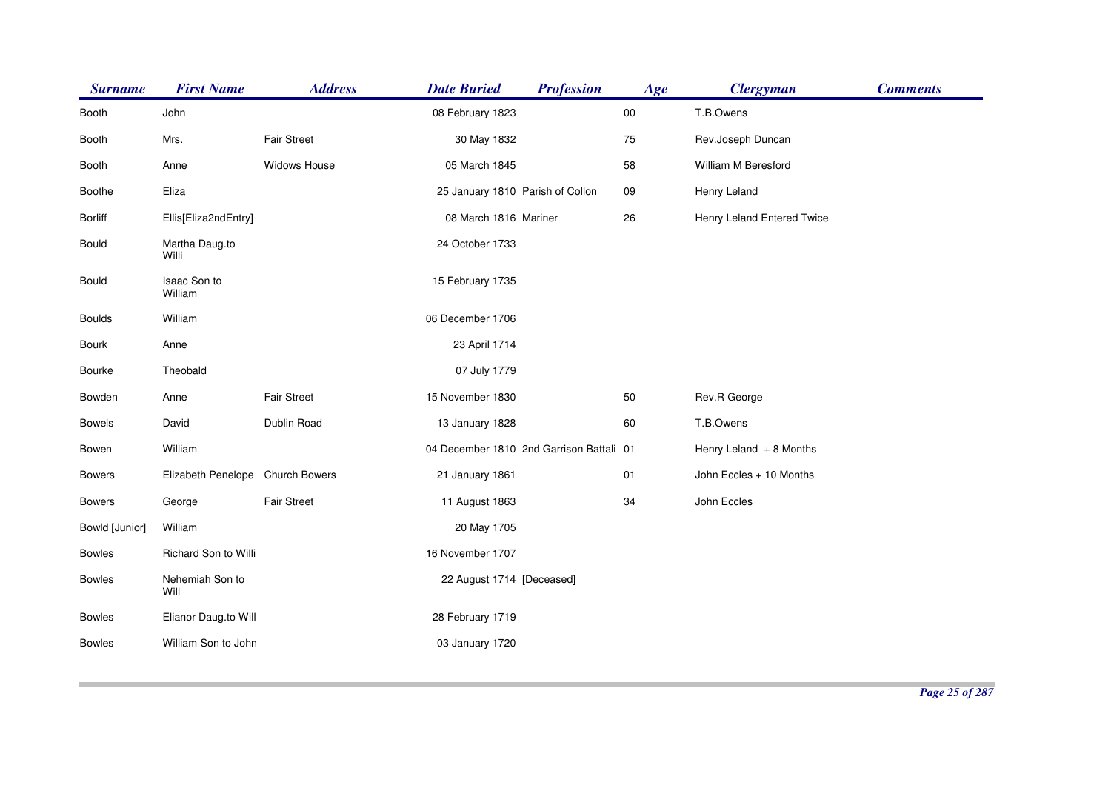| <b>Surname</b> | <b>First Name</b>                | <b>Address</b>     | <b>Date Buried</b>               | <b>Profession</b>                        | Age        | <b>Clergyman</b>           | <b>Comments</b> |
|----------------|----------------------------------|--------------------|----------------------------------|------------------------------------------|------------|----------------------------|-----------------|
| Booth          | John                             |                    | 08 February 1823                 |                                          | ${\bf 00}$ | T.B.Owens                  |                 |
| Booth          | Mrs.                             | <b>Fair Street</b> | 30 May 1832                      |                                          | 75         | Rev.Joseph Duncan          |                 |
| Booth          | Anne                             | Widows House       | 05 March 1845                    |                                          | 58         | William M Beresford        |                 |
| <b>Boothe</b>  | Eliza                            |                    | 25 January 1810 Parish of Collon |                                          | 09         | Henry Leland               |                 |
| <b>Borliff</b> | Ellis[Eliza2ndEntry]             |                    | 08 March 1816 Mariner            |                                          | 26         | Henry Leland Entered Twice |                 |
| Bould          | Martha Daug.to<br>Willi          |                    | 24 October 1733                  |                                          |            |                            |                 |
| <b>Bould</b>   | Isaac Son to<br>William          |                    | 15 February 1735                 |                                          |            |                            |                 |
| <b>Boulds</b>  | William                          |                    | 06 December 1706                 |                                          |            |                            |                 |
| Bourk          | Anne                             |                    | 23 April 1714                    |                                          |            |                            |                 |
| Bourke         | Theobald                         |                    | 07 July 1779                     |                                          |            |                            |                 |
| Bowden         | Anne                             | <b>Fair Street</b> | 15 November 1830                 |                                          | 50         | Rev.R George               |                 |
| <b>Bowels</b>  | David                            | Dublin Road        | 13 January 1828                  |                                          | 60         | T.B.Owens                  |                 |
| Bowen          | William                          |                    |                                  | 04 December 1810 2nd Garrison Battali 01 |            | Henry Leland $+8$ Months   |                 |
| <b>Bowers</b>  | Elizabeth Penelope Church Bowers |                    | 21 January 1861                  |                                          | 01         | John Eccles + 10 Months    |                 |
| <b>Bowers</b>  | George                           | <b>Fair Street</b> | 11 August 1863                   |                                          | 34         | John Eccles                |                 |
| Bowld [Junior] | William                          |                    | 20 May 1705                      |                                          |            |                            |                 |
| <b>Bowles</b>  | Richard Son to Willi             |                    | 16 November 1707                 |                                          |            |                            |                 |
| <b>Bowles</b>  | Nehemiah Son to<br>Will          |                    | 22 August 1714 [Deceased]        |                                          |            |                            |                 |
| <b>Bowles</b>  | Elianor Daug.to Will             |                    | 28 February 1719                 |                                          |            |                            |                 |
| <b>Bowles</b>  | William Son to John              |                    | 03 January 1720                  |                                          |            |                            |                 |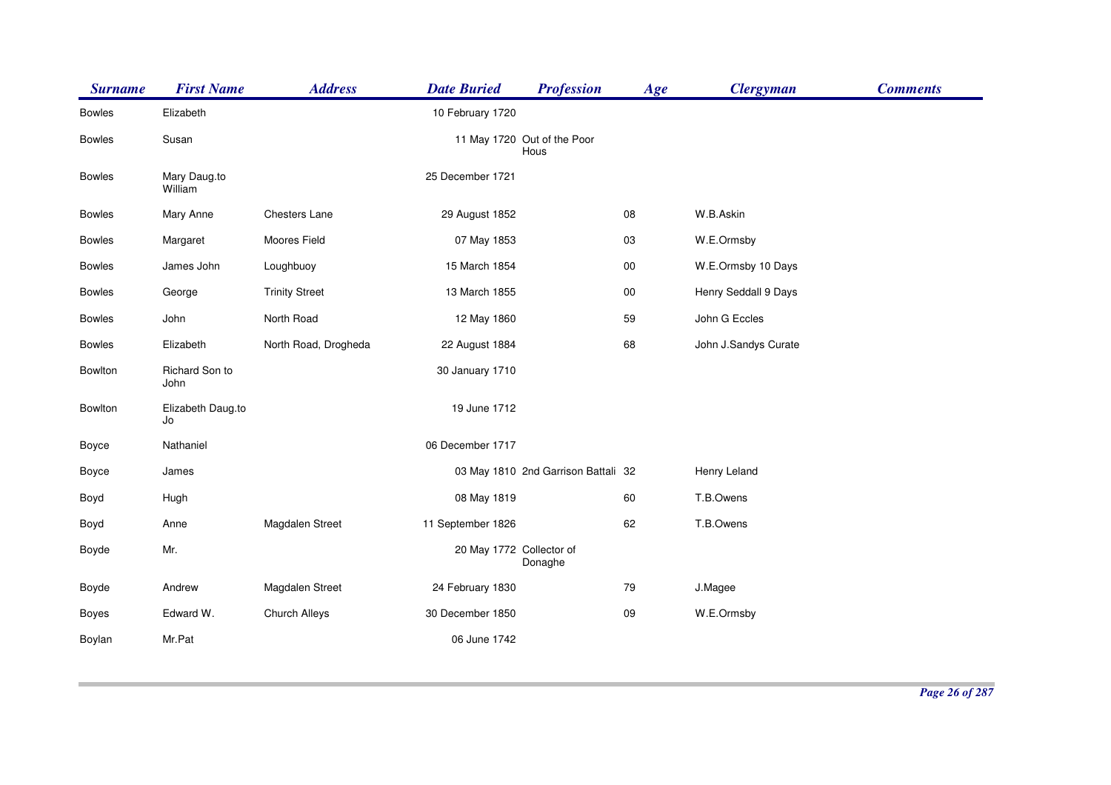| <b>Surname</b> | <b>First Name</b>       | <b>Address</b>        | <b>Date Buried</b>       | <b>Profession</b>                   | Age        | <b>Clergyman</b>     | <b>Comments</b> |
|----------------|-------------------------|-----------------------|--------------------------|-------------------------------------|------------|----------------------|-----------------|
| <b>Bowles</b>  | Elizabeth               |                       | 10 February 1720         |                                     |            |                      |                 |
| <b>Bowles</b>  | Susan                   |                       |                          | 11 May 1720 Out of the Poor<br>Hous |            |                      |                 |
| <b>Bowles</b>  | Mary Daug.to<br>William |                       | 25 December 1721         |                                     |            |                      |                 |
| <b>Bowles</b>  | Mary Anne               | Chesters Lane         | 29 August 1852           |                                     | 08         | W.B.Askin            |                 |
| <b>Bowles</b>  | Margaret                | Moores Field          | 07 May 1853              |                                     | 03         | W.E.Ormsby           |                 |
| <b>Bowles</b>  | James John              | Loughbuoy             | 15 March 1854            |                                     | $00\,$     | W.E.Ormsby 10 Days   |                 |
| <b>Bowles</b>  | George                  | <b>Trinity Street</b> | 13 March 1855            |                                     | ${\bf 00}$ | Henry Seddall 9 Days |                 |
| <b>Bowles</b>  | John                    | North Road            | 12 May 1860              |                                     | 59         | John G Eccles        |                 |
| <b>Bowles</b>  | Elizabeth               | North Road, Drogheda  | 22 August 1884           |                                     | 68         | John J.Sandys Curate |                 |
| Bowlton        | Richard Son to<br>John  |                       | 30 January 1710          |                                     |            |                      |                 |
| Bowlton        | Elizabeth Daug.to<br>Jo |                       | 19 June 1712             |                                     |            |                      |                 |
| Boyce          | Nathaniel               |                       | 06 December 1717         |                                     |            |                      |                 |
| Boyce          | James                   |                       |                          | 03 May 1810 2nd Garrison Battali 32 |            | Henry Leland         |                 |
| Boyd           | Hugh                    |                       | 08 May 1819              |                                     | 60         | T.B.Owens            |                 |
| Boyd           | Anne                    | Magdalen Street       | 11 September 1826        |                                     | 62         | T.B.Owens            |                 |
| Boyde          | Mr.                     |                       | 20 May 1772 Collector of | Donaghe                             |            |                      |                 |
| Boyde          | Andrew                  | Magdalen Street       | 24 February 1830         |                                     | 79         | J.Magee              |                 |
| <b>Boyes</b>   | Edward W.               | Church Alleys         | 30 December 1850         |                                     | 09         | W.E.Ormsby           |                 |
| Boylan         | Mr.Pat                  |                       | 06 June 1742             |                                     |            |                      |                 |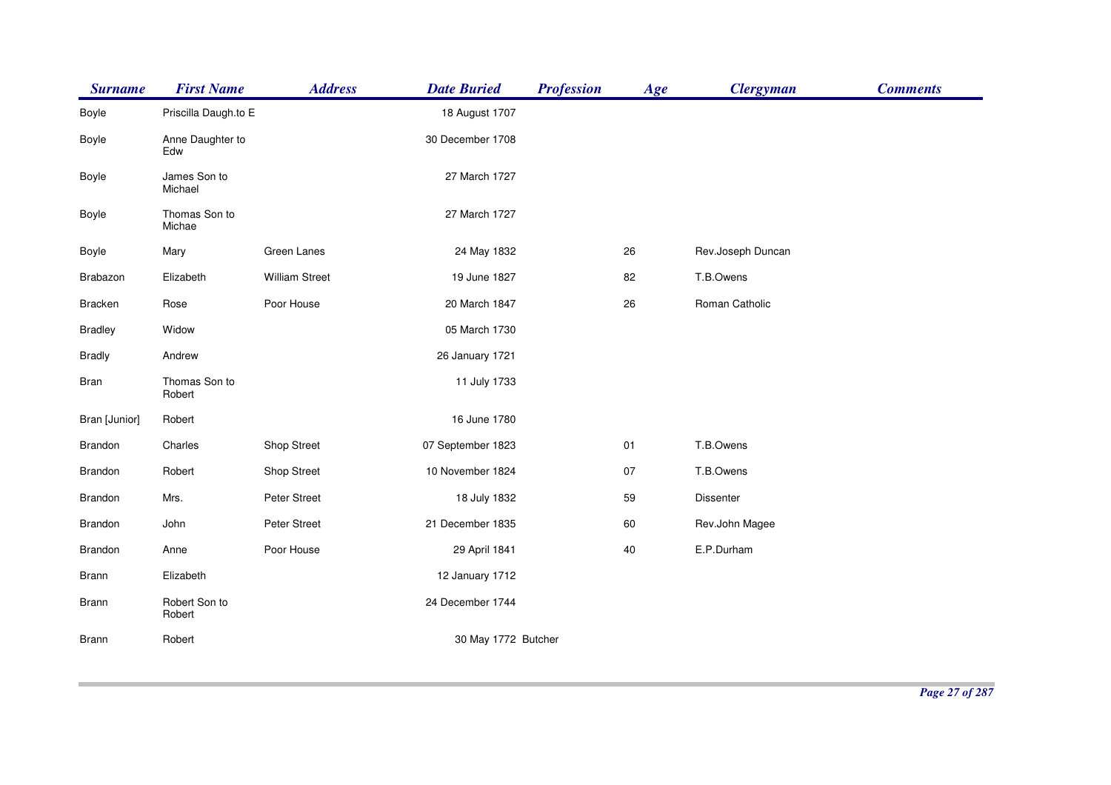| <b>Surname</b> | <b>First Name</b>       | <b>Address</b>        | <b>Date Buried</b>  | <b>Profession</b> | Age    | <b>Clergyman</b>  | <b>Comments</b> |
|----------------|-------------------------|-----------------------|---------------------|-------------------|--------|-------------------|-----------------|
| Boyle          | Priscilla Daugh.to E    |                       | 18 August 1707      |                   |        |                   |                 |
| Boyle          | Anne Daughter to<br>Edw |                       | 30 December 1708    |                   |        |                   |                 |
| Boyle          | James Son to<br>Michael |                       | 27 March 1727       |                   |        |                   |                 |
| Boyle          | Thomas Son to<br>Michae |                       | 27 March 1727       |                   |        |                   |                 |
| Boyle          | Mary                    | Green Lanes           | 24 May 1832         |                   | 26     | Rev.Joseph Duncan |                 |
| Brabazon       | Elizabeth               | <b>William Street</b> | 19 June 1827        |                   | 82     | T.B.Owens         |                 |
| <b>Bracken</b> | Rose                    | Poor House            | 20 March 1847       |                   | 26     | Roman Catholic    |                 |
| <b>Bradley</b> | Widow                   |                       | 05 March 1730       |                   |        |                   |                 |
| <b>Bradly</b>  | Andrew                  |                       | 26 January 1721     |                   |        |                   |                 |
| <b>Bran</b>    | Thomas Son to<br>Robert |                       | 11 July 1733        |                   |        |                   |                 |
| Bran [Junior]  | Robert                  |                       | 16 June 1780        |                   |        |                   |                 |
| Brandon        | Charles                 | Shop Street           | 07 September 1823   |                   | 01     | T.B.Owens         |                 |
| <b>Brandon</b> | Robert                  | Shop Street           | 10 November 1824    |                   | 07     | T.B.Owens         |                 |
| Brandon        | Mrs.                    | Peter Street          | 18 July 1832        |                   | 59     | Dissenter         |                 |
| Brandon        | John                    | Peter Street          | 21 December 1835    |                   | 60     | Rev.John Magee    |                 |
| <b>Brandon</b> | Anne                    | Poor House            | 29 April 1841       |                   | $40\,$ | E.P.Durham        |                 |
| Brann          | Elizabeth               |                       | 12 January 1712     |                   |        |                   |                 |
| <b>Brann</b>   | Robert Son to<br>Robert |                       | 24 December 1744    |                   |        |                   |                 |
| Brann          | Robert                  |                       | 30 May 1772 Butcher |                   |        |                   |                 |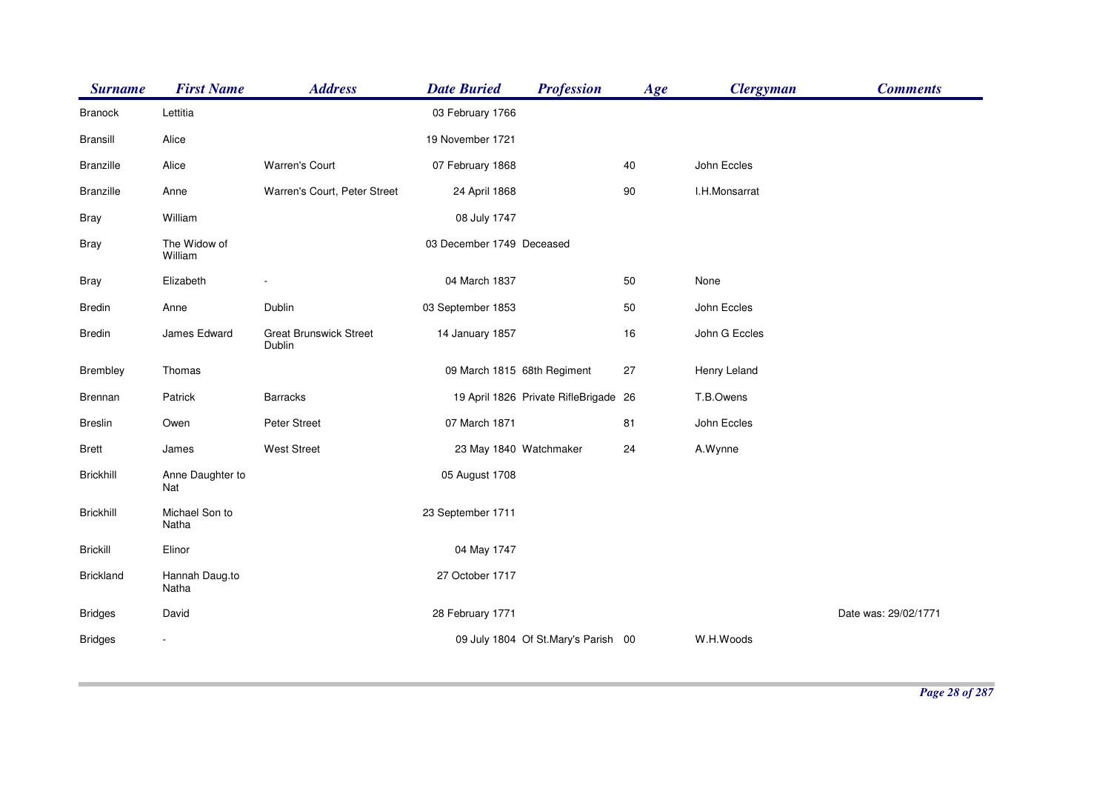| <b>Surname</b>   | <b>First Name</b>       | <b>Address</b>                          | <b>Date Buried</b>          | <b>Profession</b>                     | Age | <b>Clergyman</b> | <b>Comments</b>      |
|------------------|-------------------------|-----------------------------------------|-----------------------------|---------------------------------------|-----|------------------|----------------------|
| <b>Branock</b>   | Lettitia                |                                         | 03 February 1766            |                                       |     |                  |                      |
| Bransill         | Alice                   |                                         | 19 November 1721            |                                       |     |                  |                      |
| <b>Branzille</b> | Alice                   | <b>Warren's Court</b>                   | 07 February 1868            |                                       | 40  | John Eccles      |                      |
| <b>Branzille</b> | Anne                    | Warren's Court, Peter Street            | 24 April 1868               |                                       | 90  | I.H.Monsarrat    |                      |
| <b>Bray</b>      | William                 |                                         | 08 July 1747                |                                       |     |                  |                      |
| <b>Bray</b>      | The Widow of<br>William |                                         | 03 December 1749 Deceased   |                                       |     |                  |                      |
| <b>Bray</b>      | Elizabeth               |                                         | 04 March 1837               |                                       | 50  | None             |                      |
| <b>Bredin</b>    | Anne                    | Dublin                                  | 03 September 1853           |                                       | 50  | John Eccles      |                      |
| <b>Bredin</b>    | James Edward            | <b>Great Brunswick Street</b><br>Dublin | 14 January 1857             |                                       | 16  | John G Eccles    |                      |
| Brembley         | Thomas                  |                                         | 09 March 1815 68th Regiment |                                       | 27  | Henry Leland     |                      |
| Brennan          | Patrick                 | <b>Barracks</b>                         |                             | 19 April 1826 Private RifleBrigade 26 |     | T.B.Owens        |                      |
| <b>Breslin</b>   | Owen                    | Peter Street                            | 07 March 1871               |                                       | 81  | John Eccles      |                      |
| <b>Brett</b>     | James                   | <b>West Street</b>                      | 23 May 1840 Watchmaker      |                                       | 24  | A.Wynne          |                      |
| <b>Brickhill</b> | Anne Daughter to<br>Nat |                                         | 05 August 1708              |                                       |     |                  |                      |
| <b>Brickhill</b> | Michael Son to<br>Natha |                                         | 23 September 1711           |                                       |     |                  |                      |
| <b>Brickill</b>  | Elinor                  |                                         | 04 May 1747                 |                                       |     |                  |                      |
| <b>Brickland</b> | Hannah Daug.to<br>Natha |                                         | 27 October 1717             |                                       |     |                  |                      |
| <b>Bridges</b>   | David                   |                                         | 28 February 1771            |                                       |     |                  | Date was: 29/02/1771 |
| <b>Bridges</b>   |                         |                                         |                             | 09 July 1804 Of St. Mary's Parish 00  |     | W.H.Woods        |                      |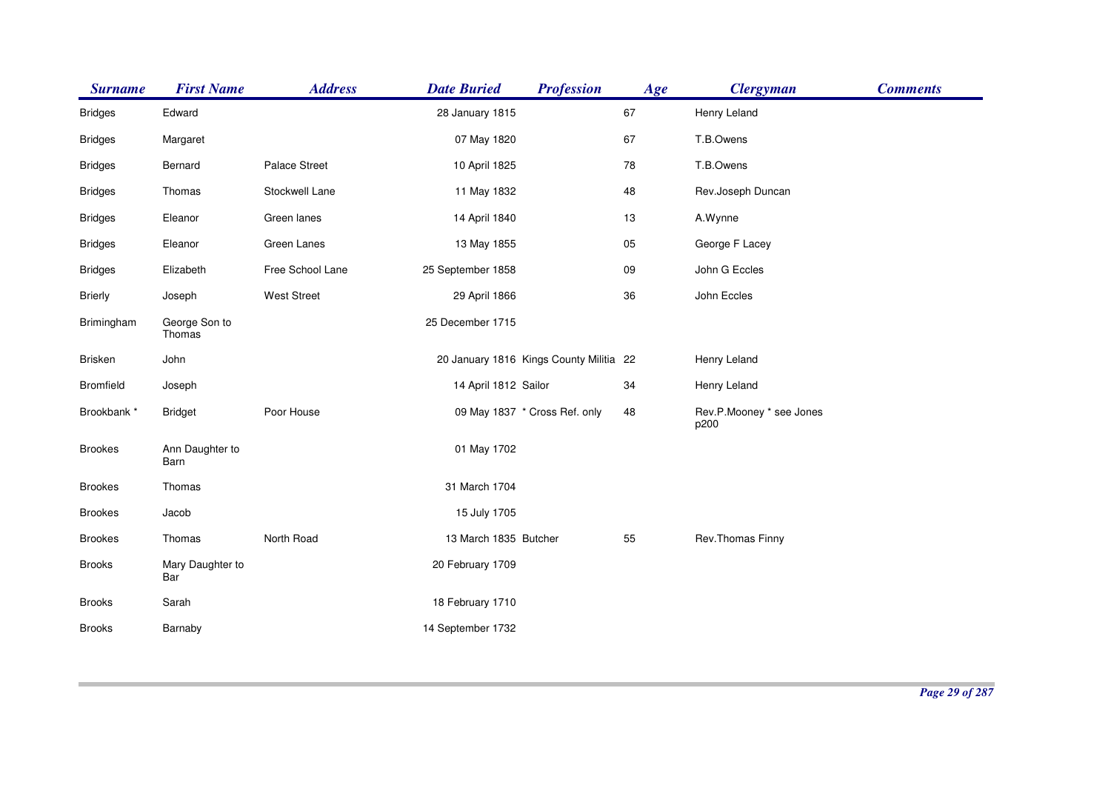| <b>Surname</b>   | <b>First Name</b>       | <b>Address</b>     | <b>Date Buried</b>    | <b>Profession</b>                       | Age | <b>Clergyman</b>                 | <b>Comments</b> |
|------------------|-------------------------|--------------------|-----------------------|-----------------------------------------|-----|----------------------------------|-----------------|
| <b>Bridges</b>   | Edward                  |                    | 28 January 1815       |                                         | 67  | Henry Leland                     |                 |
| <b>Bridges</b>   | Margaret                |                    | 07 May 1820           |                                         | 67  | T.B.Owens                        |                 |
| <b>Bridges</b>   | Bernard                 | Palace Street      | 10 April 1825         |                                         | 78  | T.B.Owens                        |                 |
| <b>Bridges</b>   | Thomas                  | Stockwell Lane     | 11 May 1832           |                                         | 48  | Rev.Joseph Duncan                |                 |
| <b>Bridges</b>   | Eleanor                 | Green lanes        | 14 April 1840         |                                         | 13  | A.Wynne                          |                 |
| <b>Bridges</b>   | Eleanor                 | Green Lanes        | 13 May 1855           |                                         | 05  | George F Lacey                   |                 |
| <b>Bridges</b>   | Elizabeth               | Free School Lane   | 25 September 1858     |                                         | 09  | John G Eccles                    |                 |
| <b>Brierly</b>   | Joseph                  | <b>West Street</b> | 29 April 1866         |                                         | 36  | John Eccles                      |                 |
| Brimingham       | George Son to<br>Thomas |                    | 25 December 1715      |                                         |     |                                  |                 |
| <b>Brisken</b>   | John                    |                    |                       | 20 January 1816 Kings County Militia 22 |     | Henry Leland                     |                 |
| <b>Bromfield</b> | Joseph                  |                    | 14 April 1812 Sailor  |                                         | 34  | Henry Leland                     |                 |
| Brookbank *      | <b>Bridget</b>          | Poor House         |                       | 09 May 1837 * Cross Ref. only           | 48  | Rev.P.Mooney * see Jones<br>p200 |                 |
| <b>Brookes</b>   | Ann Daughter to<br>Barn |                    | 01 May 1702           |                                         |     |                                  |                 |
| <b>Brookes</b>   | Thomas                  |                    | 31 March 1704         |                                         |     |                                  |                 |
| <b>Brookes</b>   | Jacob                   |                    | 15 July 1705          |                                         |     |                                  |                 |
| <b>Brookes</b>   | Thomas                  | North Road         | 13 March 1835 Butcher |                                         | 55  | Rev. Thomas Finny                |                 |
| <b>Brooks</b>    | Mary Daughter to<br>Bar |                    | 20 February 1709      |                                         |     |                                  |                 |
| <b>Brooks</b>    | Sarah                   |                    | 18 February 1710      |                                         |     |                                  |                 |
| <b>Brooks</b>    | Barnaby                 |                    | 14 September 1732     |                                         |     |                                  |                 |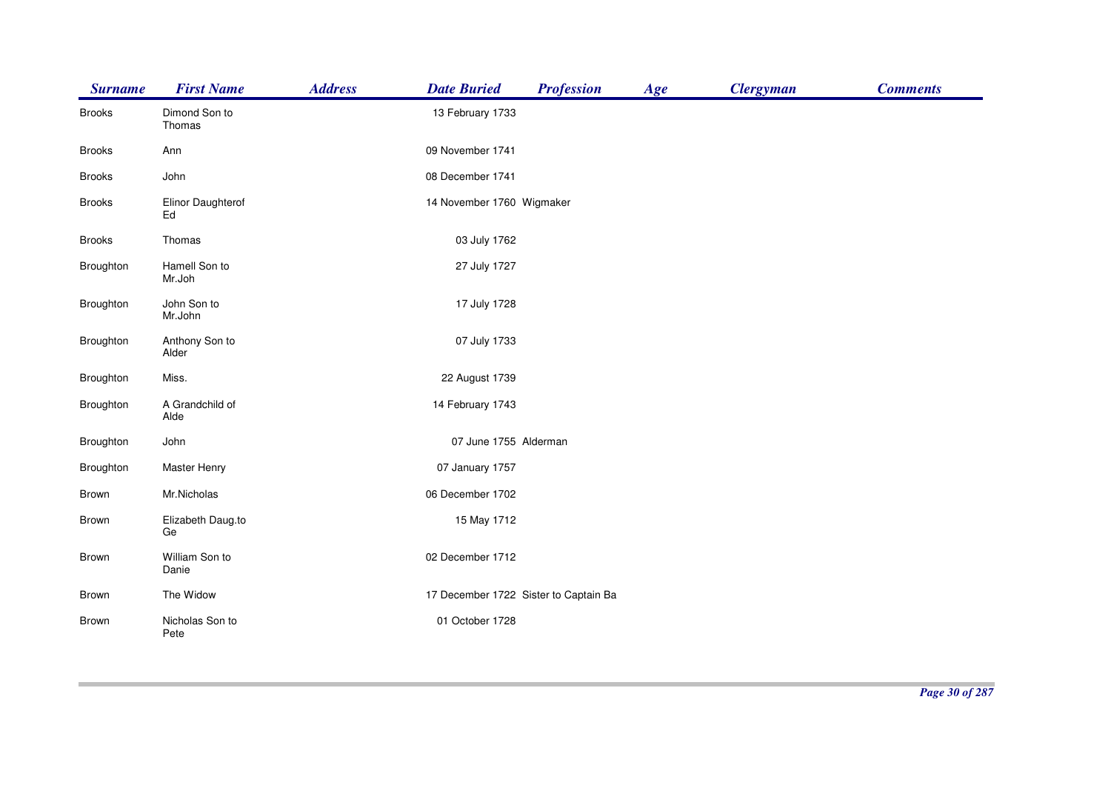| <b>Surname</b> | <b>First Name</b>       | <b>Address</b> | <b>Date Buried</b>                    | <b>Profession</b> | Age | <b>Clergyman</b> | <b>Comments</b> |
|----------------|-------------------------|----------------|---------------------------------------|-------------------|-----|------------------|-----------------|
| <b>Brooks</b>  | Dimond Son to<br>Thomas |                | 13 February 1733                      |                   |     |                  |                 |
| <b>Brooks</b>  | Ann                     |                | 09 November 1741                      |                   |     |                  |                 |
| <b>Brooks</b>  | John                    |                | 08 December 1741                      |                   |     |                  |                 |
| <b>Brooks</b>  | Elinor Daughterof<br>Ed |                | 14 November 1760 Wigmaker             |                   |     |                  |                 |
| <b>Brooks</b>  | Thomas                  |                | 03 July 1762                          |                   |     |                  |                 |
| Broughton      | Hamell Son to<br>Mr.Joh |                | 27 July 1727                          |                   |     |                  |                 |
| Broughton      | John Son to<br>Mr.John  |                | 17 July 1728                          |                   |     |                  |                 |
| Broughton      | Anthony Son to<br>Alder |                | 07 July 1733                          |                   |     |                  |                 |
| Broughton      | Miss.                   |                | 22 August 1739                        |                   |     |                  |                 |
| Broughton      | A Grandchild of<br>Alde |                | 14 February 1743                      |                   |     |                  |                 |
| Broughton      | John                    |                | 07 June 1755 Alderman                 |                   |     |                  |                 |
| Broughton      | <b>Master Henry</b>     |                | 07 January 1757                       |                   |     |                  |                 |
| Brown          | Mr.Nicholas             |                | 06 December 1702                      |                   |     |                  |                 |
| Brown          | Elizabeth Daug.to<br>Ge |                | 15 May 1712                           |                   |     |                  |                 |
| Brown          | William Son to<br>Danie |                | 02 December 1712                      |                   |     |                  |                 |
| Brown          | The Widow               |                | 17 December 1722 Sister to Captain Ba |                   |     |                  |                 |
| Brown          | Nicholas Son to<br>Pete |                | 01 October 1728                       |                   |     |                  |                 |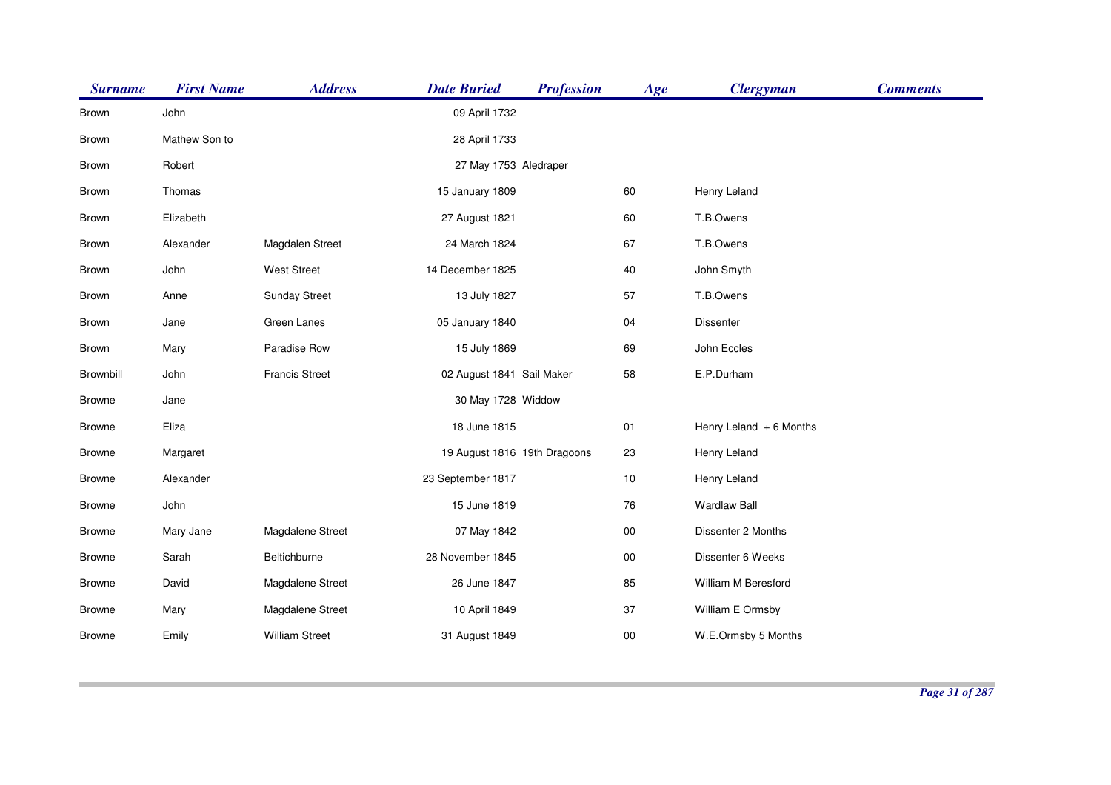| <b>Surname</b> | <b>First Name</b> | <b>Address</b>        | <b>Date Buried</b>           | <b>Profession</b> | Age        | <b>Clergyman</b>         | <b>Comments</b> |
|----------------|-------------------|-----------------------|------------------------------|-------------------|------------|--------------------------|-----------------|
| Brown          | John              |                       | 09 April 1732                |                   |            |                          |                 |
| Brown          | Mathew Son to     |                       | 28 April 1733                |                   |            |                          |                 |
| Brown          | Robert            |                       | 27 May 1753 Aledraper        |                   |            |                          |                 |
| Brown          | Thomas            |                       | 15 January 1809              |                   | 60         | Henry Leland             |                 |
| Brown          | Elizabeth         |                       | 27 August 1821               |                   | 60         | T.B.Owens                |                 |
| Brown          | Alexander         | Magdalen Street       | 24 March 1824                |                   | 67         | T.B.Owens                |                 |
| Brown          | John              | <b>West Street</b>    | 14 December 1825             |                   | 40         | John Smyth               |                 |
| Brown          | Anne              | <b>Sunday Street</b>  | 13 July 1827                 |                   | 57         | T.B.Owens                |                 |
| Brown          | Jane              | Green Lanes           | 05 January 1840              |                   | 04         | Dissenter                |                 |
| Brown          | Mary              | Paradise Row          | 15 July 1869                 |                   | 69         | John Eccles              |                 |
| Brownbill      | John              | <b>Francis Street</b> | 02 August 1841 Sail Maker    |                   | 58         | E.P.Durham               |                 |
| <b>Browne</b>  | Jane              |                       | 30 May 1728 Widdow           |                   |            |                          |                 |
| <b>Browne</b>  | Eliza             |                       | 18 June 1815                 |                   | 01         | Henry Leland $+6$ Months |                 |
| <b>Browne</b>  | Margaret          |                       | 19 August 1816 19th Dragoons |                   | 23         | Henry Leland             |                 |
| <b>Browne</b>  | Alexander         |                       | 23 September 1817            |                   | 10         | Henry Leland             |                 |
| <b>Browne</b>  | John              |                       | 15 June 1819                 |                   | 76         | <b>Wardlaw Ball</b>      |                 |
| <b>Browne</b>  | Mary Jane         | Magdalene Street      | 07 May 1842                  |                   | ${\bf 00}$ | Dissenter 2 Months       |                 |
| <b>Browne</b>  | Sarah             | Beltichburne          | 28 November 1845             |                   | $00\,$     | Dissenter 6 Weeks        |                 |
| <b>Browne</b>  | David             | Magdalene Street      | 26 June 1847                 |                   | 85         | William M Beresford      |                 |
| <b>Browne</b>  | Mary              | Magdalene Street      | 10 April 1849                |                   | 37         | William E Ormsby         |                 |
| <b>Browne</b>  | Emily             | <b>William Street</b> | 31 August 1849               |                   | $00\,$     | W.E.Ormsby 5 Months      |                 |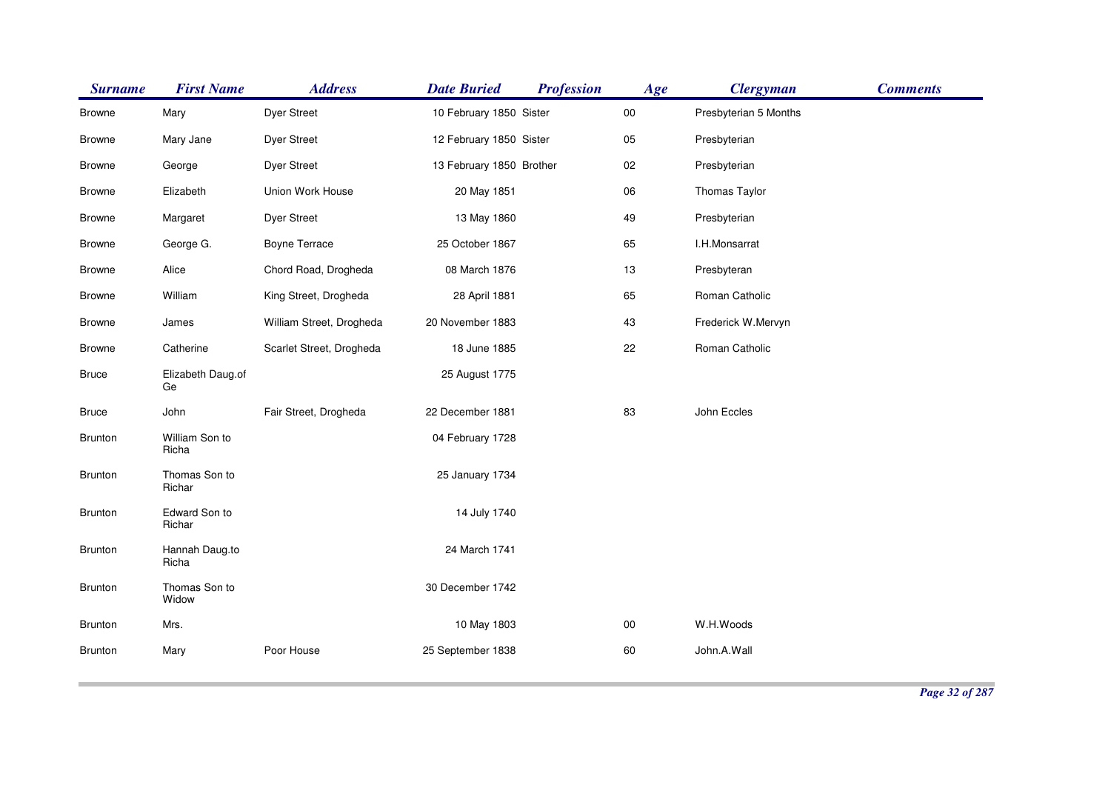| <b>Surname</b> | <b>First Name</b>       | <b>Address</b>           | <b>Date Buried</b>       | <b>Profession</b> | Age    | <b>Clergyman</b>      | <b>Comments</b> |
|----------------|-------------------------|--------------------------|--------------------------|-------------------|--------|-----------------------|-----------------|
| <b>Browne</b>  | Mary                    | <b>Dyer Street</b>       | 10 February 1850 Sister  |                   | $00\,$ | Presbyterian 5 Months |                 |
| <b>Browne</b>  | Mary Jane               | <b>Dyer Street</b>       | 12 February 1850 Sister  |                   | 05     | Presbyterian          |                 |
| <b>Browne</b>  | George                  | <b>Dyer Street</b>       | 13 February 1850 Brother |                   | 02     | Presbyterian          |                 |
| <b>Browne</b>  | Elizabeth               | Union Work House         | 20 May 1851              |                   | 06     | Thomas Taylor         |                 |
| <b>Browne</b>  | Margaret                | <b>Dyer Street</b>       | 13 May 1860              |                   | 49     | Presbyterian          |                 |
| <b>Browne</b>  | George G.               | Boyne Terrace            | 25 October 1867          |                   | 65     | I.H.Monsarrat         |                 |
| <b>Browne</b>  | Alice                   | Chord Road, Drogheda     | 08 March 1876            |                   | 13     | Presbyteran           |                 |
| <b>Browne</b>  | William                 | King Street, Drogheda    | 28 April 1881            |                   | 65     | Roman Catholic        |                 |
| <b>Browne</b>  | James                   | William Street, Drogheda | 20 November 1883         |                   | 43     | Frederick W.Mervyn    |                 |
| <b>Browne</b>  | Catherine               | Scarlet Street, Drogheda | 18 June 1885             |                   | 22     | Roman Catholic        |                 |
| <b>Bruce</b>   | Elizabeth Daug.of<br>Ge |                          | 25 August 1775           |                   |        |                       |                 |
| <b>Bruce</b>   | John                    | Fair Street, Drogheda    | 22 December 1881         |                   | 83     | John Eccles           |                 |
| <b>Brunton</b> | William Son to<br>Richa |                          | 04 February 1728         |                   |        |                       |                 |
| <b>Brunton</b> | Thomas Son to<br>Richar |                          | 25 January 1734          |                   |        |                       |                 |
| <b>Brunton</b> | Edward Son to<br>Richar |                          | 14 July 1740             |                   |        |                       |                 |
| <b>Brunton</b> | Hannah Daug.to<br>Richa |                          | 24 March 1741            |                   |        |                       |                 |
| <b>Brunton</b> | Thomas Son to<br>Widow  |                          | 30 December 1742         |                   |        |                       |                 |
| <b>Brunton</b> | Mrs.                    |                          | 10 May 1803              |                   | $00\,$ | W.H.Woods             |                 |
| <b>Brunton</b> | Mary                    | Poor House               | 25 September 1838        |                   | 60     | John.A.Wall           |                 |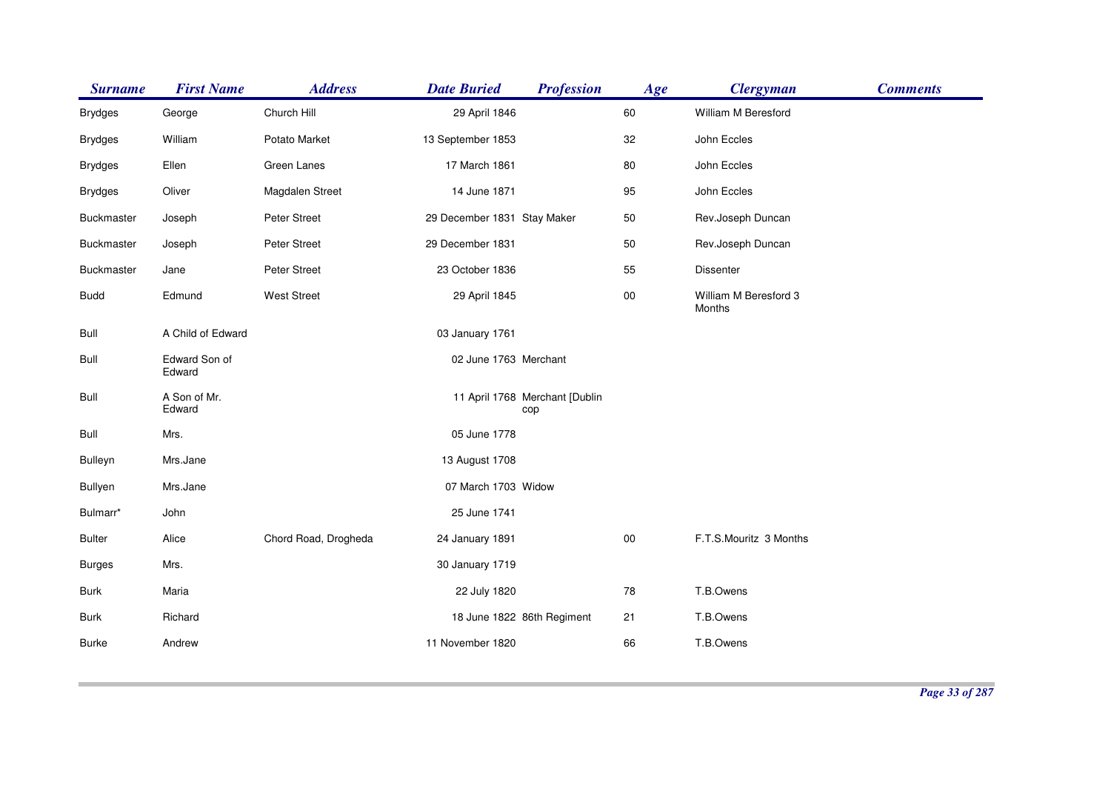| <b>Surname</b>    | <b>First Name</b>       | <b>Address</b>       | <b>Date Buried</b>          | <b>Profession</b>                     | Age        | <b>Clergyman</b>                | <b>Comments</b> |
|-------------------|-------------------------|----------------------|-----------------------------|---------------------------------------|------------|---------------------------------|-----------------|
| <b>Brydges</b>    | George                  | Church Hill          | 29 April 1846               |                                       | 60         | William M Beresford             |                 |
| <b>Brydges</b>    | William                 | Potato Market        | 13 September 1853           |                                       | 32         | John Eccles                     |                 |
| <b>Brydges</b>    | Ellen                   | Green Lanes          | 17 March 1861               |                                       | 80         | John Eccles                     |                 |
| <b>Brydges</b>    | Oliver                  | Magdalen Street      | 14 June 1871                |                                       | 95         | John Eccles                     |                 |
| Buckmaster        | Joseph                  | Peter Street         | 29 December 1831 Stay Maker |                                       | 50         | Rev.Joseph Duncan               |                 |
| <b>Buckmaster</b> | Joseph                  | Peter Street         | 29 December 1831            |                                       | 50         | Rev.Joseph Duncan               |                 |
| Buckmaster        | Jane                    | Peter Street         | 23 October 1836             |                                       | 55         | <b>Dissenter</b>                |                 |
| <b>Budd</b>       | Edmund                  | <b>West Street</b>   | 29 April 1845               |                                       | $00\,$     | William M Beresford 3<br>Months |                 |
| Bull              | A Child of Edward       |                      | 03 January 1761             |                                       |            |                                 |                 |
| Bull              | Edward Son of<br>Edward |                      | 02 June 1763 Merchant       |                                       |            |                                 |                 |
| Bull              | A Son of Mr.<br>Edward  |                      |                             | 11 April 1768 Merchant [Dublin<br>cop |            |                                 |                 |
| Bull              | Mrs.                    |                      | 05 June 1778                |                                       |            |                                 |                 |
| Bulleyn           | Mrs.Jane                |                      | 13 August 1708              |                                       |            |                                 |                 |
| Bullyen           | Mrs.Jane                |                      | 07 March 1703 Widow         |                                       |            |                                 |                 |
| Bulmarr*          | John                    |                      | 25 June 1741                |                                       |            |                                 |                 |
| <b>Bulter</b>     | Alice                   | Chord Road, Drogheda | 24 January 1891             |                                       | ${\bf 00}$ | F.T.S.Mouritz 3 Months          |                 |
| <b>Burges</b>     | Mrs.                    |                      | 30 January 1719             |                                       |            |                                 |                 |
| <b>Burk</b>       | Maria                   |                      | 22 July 1820                |                                       | 78         | T.B.Owens                       |                 |
| <b>Burk</b>       | Richard                 |                      |                             | 18 June 1822 86th Regiment            | 21         | T.B.Owens                       |                 |
| <b>Burke</b>      | Andrew                  |                      | 11 November 1820            |                                       | 66         | T.B.Owens                       |                 |
|                   |                         |                      |                             |                                       |            |                                 |                 |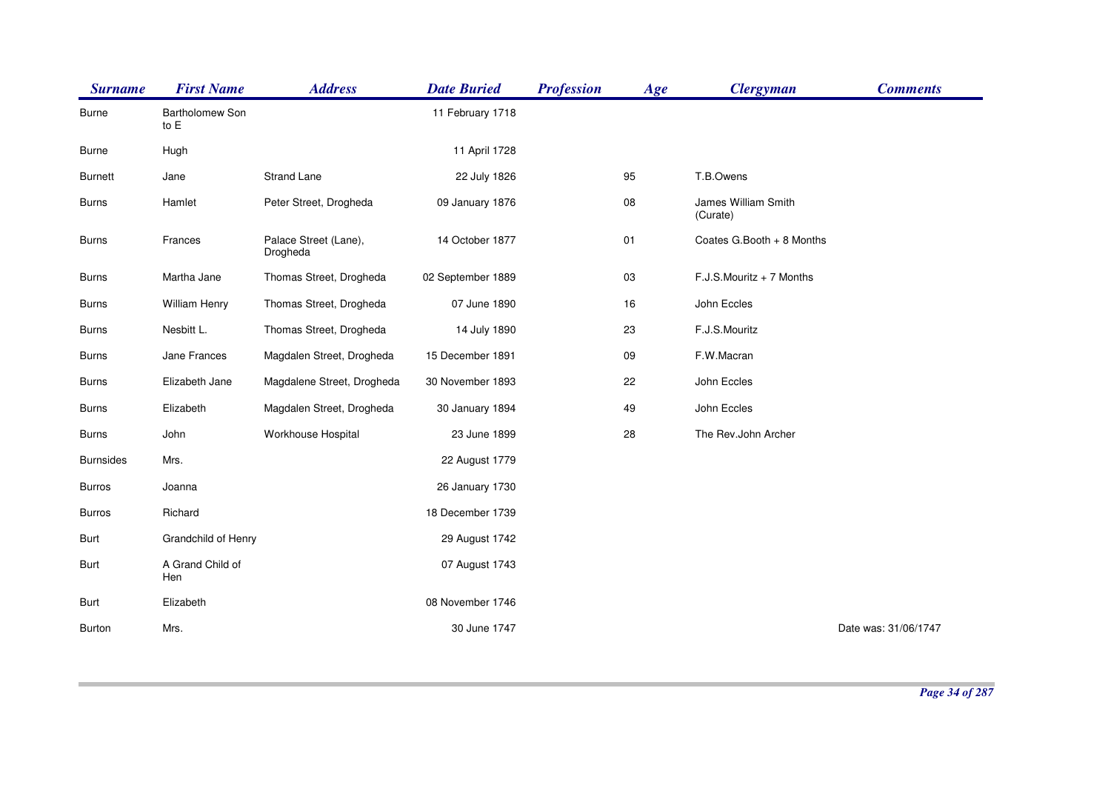| <b>Surname</b>   | <b>First Name</b>       | <b>Address</b>                    | <b>Date Buried</b> | <b>Profession</b> | Age        | <b>Clergyman</b>                | <b>Comments</b>      |
|------------------|-------------------------|-----------------------------------|--------------------|-------------------|------------|---------------------------------|----------------------|
| <b>Burne</b>     | Bartholomew Son<br>to E |                                   | 11 February 1718   |                   |            |                                 |                      |
| Burne            | Hugh                    |                                   | 11 April 1728      |                   |            |                                 |                      |
| <b>Burnett</b>   | Jane                    | <b>Strand Lane</b>                | 22 July 1826       |                   | 95         | T.B.Owens                       |                      |
| <b>Burns</b>     | Hamlet                  | Peter Street, Drogheda            | 09 January 1876    |                   | ${\bf 08}$ | James William Smith<br>(Curate) |                      |
| <b>Burns</b>     | Frances                 | Palace Street (Lane),<br>Drogheda | 14 October 1877    |                   | 01         | Coates G.Booth + 8 Months       |                      |
| <b>Burns</b>     | Martha Jane             | Thomas Street, Drogheda           | 02 September 1889  |                   | 03         | $F.J.S.Mouritz + 7$ Months      |                      |
| <b>Burns</b>     | William Henry           | Thomas Street, Drogheda           | 07 June 1890       |                   | 16         | John Eccles                     |                      |
| <b>Burns</b>     | Nesbitt L.              | Thomas Street, Drogheda           | 14 July 1890       |                   | 23         | F.J.S.Mouritz                   |                      |
| <b>Burns</b>     | Jane Frances            | Magdalen Street, Drogheda         | 15 December 1891   |                   | 09         | F.W.Macran                      |                      |
| <b>Burns</b>     | Elizabeth Jane          | Magdalene Street, Drogheda        | 30 November 1893   |                   | 22         | John Eccles                     |                      |
| <b>Burns</b>     | Elizabeth               | Magdalen Street, Drogheda         | 30 January 1894    |                   | 49         | John Eccles                     |                      |
| <b>Burns</b>     | John                    | Workhouse Hospital                | 23 June 1899       |                   | 28         | The Rev.John Archer             |                      |
| <b>Burnsides</b> | Mrs.                    |                                   | 22 August 1779     |                   |            |                                 |                      |
| Burros           | Joanna                  |                                   | 26 January 1730    |                   |            |                                 |                      |
| <b>Burros</b>    | Richard                 |                                   | 18 December 1739   |                   |            |                                 |                      |
| Burt             | Grandchild of Henry     |                                   | 29 August 1742     |                   |            |                                 |                      |
| Burt             | A Grand Child of<br>Hen |                                   | 07 August 1743     |                   |            |                                 |                      |
| Burt             | Elizabeth               |                                   | 08 November 1746   |                   |            |                                 |                      |
| <b>Burton</b>    | Mrs.                    |                                   | 30 June 1747       |                   |            |                                 | Date was: 31/06/1747 |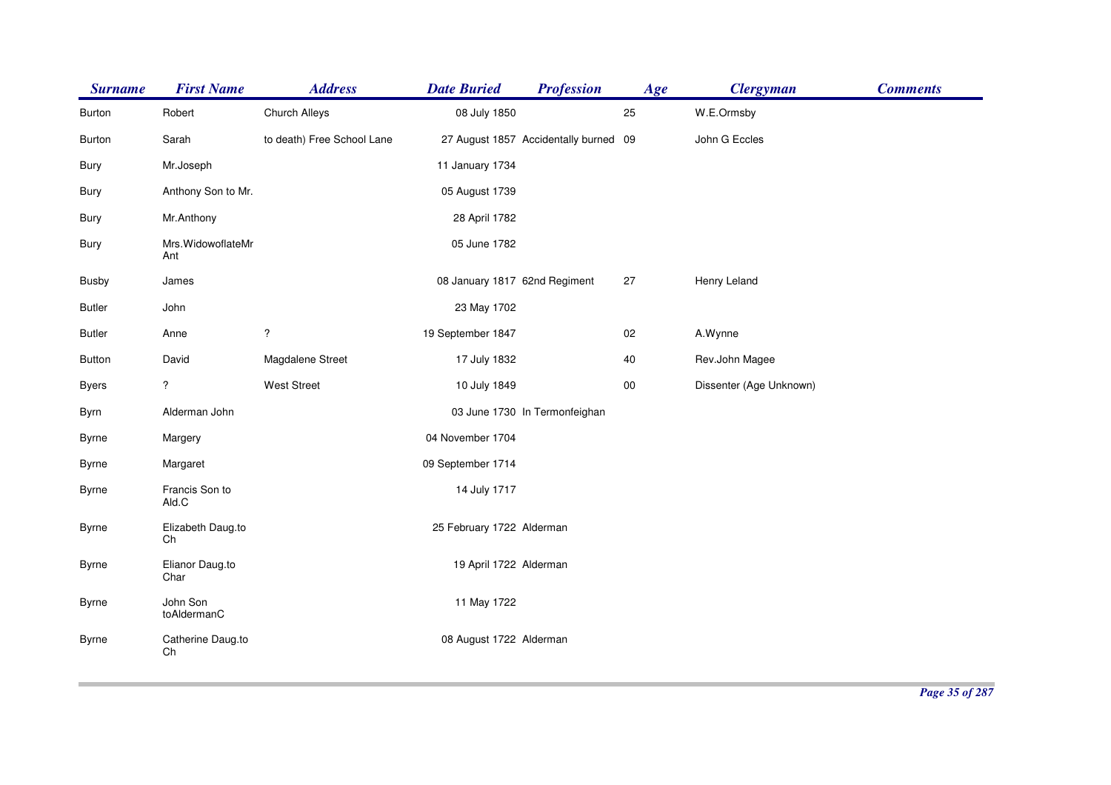| <b>Surname</b> | <b>First Name</b>         | <b>Address</b>             | <b>Date Buried</b>            | <b>Profession</b>                     | Age | <b>Clergyman</b>        | <b>Comments</b> |
|----------------|---------------------------|----------------------------|-------------------------------|---------------------------------------|-----|-------------------------|-----------------|
| Burton         | Robert                    | <b>Church Alleys</b>       | 08 July 1850                  |                                       | 25  | W.E.Ormsby              |                 |
| <b>Burton</b>  | Sarah                     | to death) Free School Lane |                               | 27 August 1857 Accidentally burned 09 |     | John G Eccles           |                 |
| Bury           | Mr.Joseph                 |                            | 11 January 1734               |                                       |     |                         |                 |
| Bury           | Anthony Son to Mr.        |                            | 05 August 1739                |                                       |     |                         |                 |
| Bury           | Mr.Anthony                |                            | 28 April 1782                 |                                       |     |                         |                 |
| Bury           | Mrs. WidowoflateMr<br>Ant |                            | 05 June 1782                  |                                       |     |                         |                 |
| <b>Busby</b>   | James                     |                            | 08 January 1817 62nd Regiment |                                       | 27  | Henry Leland            |                 |
| <b>Butler</b>  | John                      |                            | 23 May 1702                   |                                       |     |                         |                 |
| <b>Butler</b>  | Anne                      | $\overline{\cdot}$         | 19 September 1847             |                                       | 02  | A.Wynne                 |                 |
| <b>Button</b>  | David                     | Magdalene Street           | 17 July 1832                  |                                       | 40  | Rev.John Magee          |                 |
| <b>Byers</b>   | $\overline{?}$            | <b>West Street</b>         | 10 July 1849                  |                                       | 00  | Dissenter (Age Unknown) |                 |
| Byrn           | Alderman John             |                            |                               | 03 June 1730 In Termonfeighan         |     |                         |                 |
| <b>Byrne</b>   | Margery                   |                            | 04 November 1704              |                                       |     |                         |                 |
| <b>Byrne</b>   | Margaret                  |                            | 09 September 1714             |                                       |     |                         |                 |
| Byrne          | Francis Son to<br>Ald.C   |                            | 14 July 1717                  |                                       |     |                         |                 |
| <b>Byrne</b>   | Elizabeth Daug.to<br>Ch   |                            | 25 February 1722 Alderman     |                                       |     |                         |                 |
| <b>Byrne</b>   | Elianor Daug.to<br>Char   |                            | 19 April 1722 Alderman        |                                       |     |                         |                 |
| <b>Byrne</b>   | John Son<br>toAldermanC   |                            | 11 May 1722                   |                                       |     |                         |                 |
| <b>Byrne</b>   | Catherine Daug.to<br>Ch   |                            | 08 August 1722 Alderman       |                                       |     |                         |                 |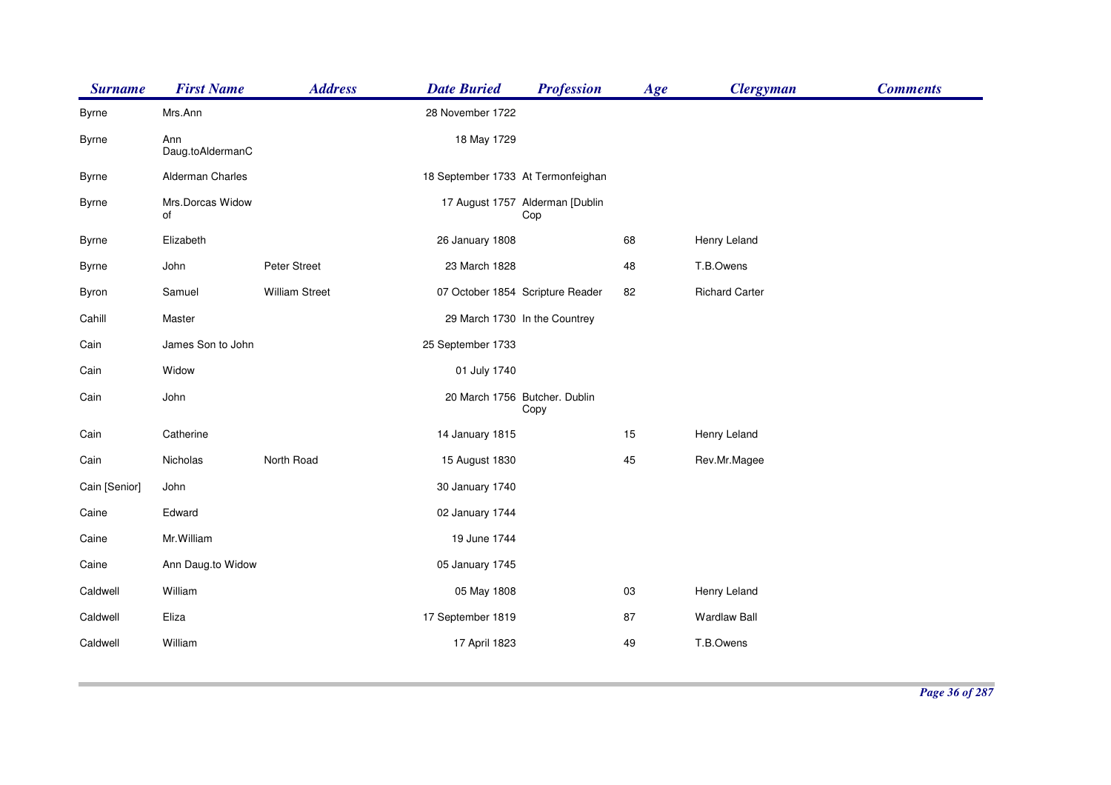| <b>Surname</b> | <b>First Name</b>       | <b>Address</b>        | <b>Date Buried</b>                 | <b>Profession</b>                      | Age | <b>Clergyman</b>      | <b>Comments</b> |
|----------------|-------------------------|-----------------------|------------------------------------|----------------------------------------|-----|-----------------------|-----------------|
| <b>Byrne</b>   | Mrs.Ann                 |                       | 28 November 1722                   |                                        |     |                       |                 |
| <b>Byrne</b>   | Ann<br>Daug.toAldermanC |                       | 18 May 1729                        |                                        |     |                       |                 |
| <b>Byrne</b>   | Alderman Charles        |                       | 18 September 1733 At Termonfeighan |                                        |     |                       |                 |
| <b>Byrne</b>   | Mrs.Dorcas Widow<br>of  |                       |                                    | 17 August 1757 Alderman [Dublin<br>Cop |     |                       |                 |
| Byrne          | Elizabeth               |                       | 26 January 1808                    |                                        | 68  | Henry Leland          |                 |
| <b>Byrne</b>   | John                    | Peter Street          | 23 March 1828                      |                                        | 48  | T.B.Owens             |                 |
| Byron          | Samuel                  | <b>William Street</b> |                                    | 07 October 1854 Scripture Reader       | 82  | <b>Richard Carter</b> |                 |
| Cahill         | Master                  |                       |                                    | 29 March 1730 In the Countrey          |     |                       |                 |
| Cain           | James Son to John       |                       | 25 September 1733                  |                                        |     |                       |                 |
| Cain           | Widow                   |                       | 01 July 1740                       |                                        |     |                       |                 |
| Cain           | John                    |                       |                                    | 20 March 1756 Butcher. Dublin<br>Copy  |     |                       |                 |
| Cain           | Catherine               |                       | 14 January 1815                    |                                        | 15  | Henry Leland          |                 |
| Cain           | Nicholas                | North Road            | 15 August 1830                     |                                        | 45  | Rev.Mr.Magee          |                 |
| Cain [Senior]  | John                    |                       | 30 January 1740                    |                                        |     |                       |                 |
| Caine          | Edward                  |                       | 02 January 1744                    |                                        |     |                       |                 |
| Caine          | Mr. William             |                       | 19 June 1744                       |                                        |     |                       |                 |
| Caine          | Ann Daug.to Widow       |                       | 05 January 1745                    |                                        |     |                       |                 |
| Caldwell       | William                 |                       | 05 May 1808                        |                                        | 03  | Henry Leland          |                 |
| Caldwell       | Eliza                   |                       | 17 September 1819                  |                                        | 87  | <b>Wardlaw Ball</b>   |                 |
| Caldwell       | William                 |                       | 17 April 1823                      |                                        | 49  | T.B.Owens             |                 |
|                |                         |                       |                                    |                                        |     |                       |                 |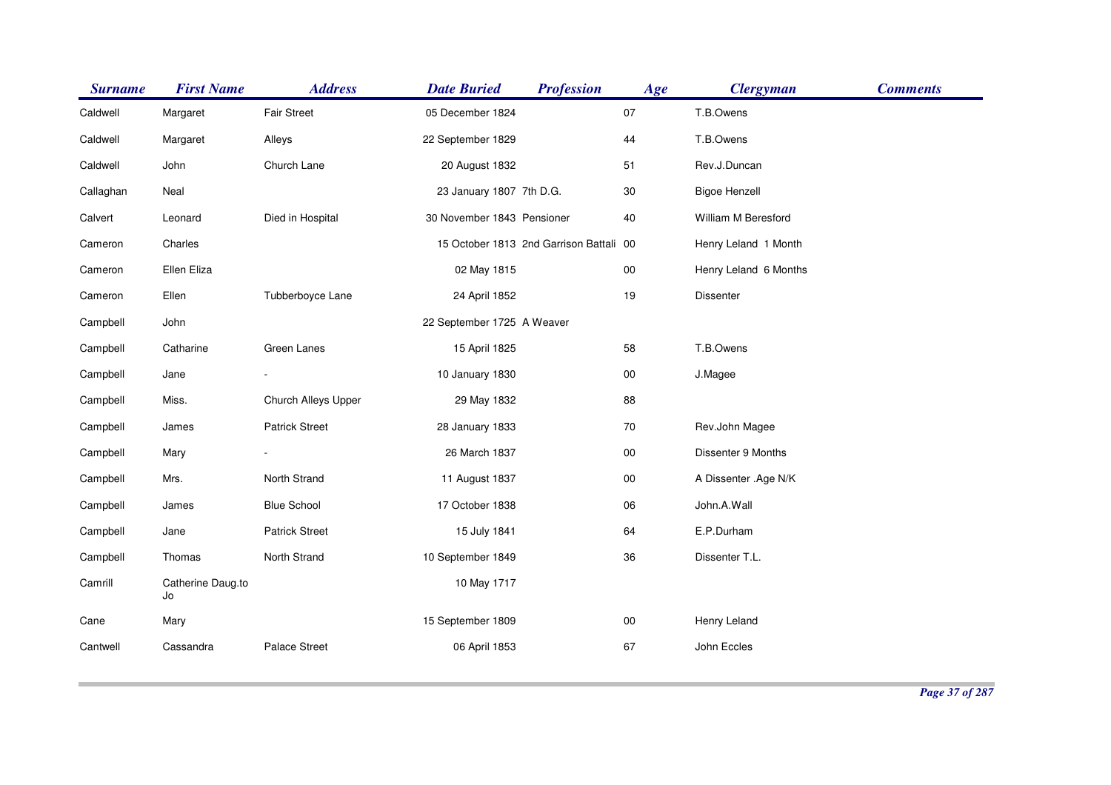| <b>Surname</b> | <b>First Name</b>       | <b>Address</b>        | <b>Date Buried</b>         | <b>Profession</b>                       | Age    | <b>Clergyman</b>      | <b>Comments</b> |
|----------------|-------------------------|-----------------------|----------------------------|-----------------------------------------|--------|-----------------------|-----------------|
| Caldwell       | Margaret                | <b>Fair Street</b>    | 05 December 1824           |                                         | 07     | T.B.Owens             |                 |
| Caldwell       | Margaret                | Alleys                | 22 September 1829          |                                         | 44     | T.B.Owens             |                 |
| Caldwell       | John                    | Church Lane           | 20 August 1832             |                                         | 51     | Rev.J.Duncan          |                 |
| Callaghan      | Neal                    |                       | 23 January 1807 7th D.G.   |                                         | $30\,$ | <b>Bigoe Henzell</b>  |                 |
| Calvert        | Leonard                 | Died in Hospital      | 30 November 1843 Pensioner |                                         | 40     | William M Beresford   |                 |
| Cameron        | Charles                 |                       |                            | 15 October 1813 2nd Garrison Battali 00 |        | Henry Leland 1 Month  |                 |
| Cameron        | Ellen Eliza             |                       | 02 May 1815                |                                         | $00\,$ | Henry Leland 6 Months |                 |
| Cameron        | Ellen                   | Tubberboyce Lane      | 24 April 1852              |                                         | 19     | Dissenter             |                 |
| Campbell       | John                    |                       | 22 September 1725 A Weaver |                                         |        |                       |                 |
| Campbell       | Catharine               | Green Lanes           | 15 April 1825              |                                         | 58     | T.B.Owens             |                 |
| Campbell       | Jane                    |                       | 10 January 1830            |                                         | 00     | J.Magee               |                 |
| Campbell       | Miss.                   | Church Alleys Upper   | 29 May 1832                |                                         | 88     |                       |                 |
| Campbell       | James                   | <b>Patrick Street</b> | 28 January 1833            |                                         | $70\,$ | Rev.John Magee        |                 |
| Campbell       | Mary                    |                       | 26 March 1837              |                                         | $00\,$ | Dissenter 9 Months    |                 |
| Campbell       | Mrs.                    | North Strand          | 11 August 1837             |                                         | $00\,$ | A Dissenter .Age N/K  |                 |
| Campbell       | James                   | <b>Blue School</b>    | 17 October 1838            |                                         | 06     | John.A.Wall           |                 |
| Campbell       | Jane                    | <b>Patrick Street</b> | 15 July 1841               |                                         | 64     | E.P.Durham            |                 |
| Campbell       | Thomas                  | North Strand          | 10 September 1849          |                                         | 36     | Dissenter T.L.        |                 |
| Camrill        | Catherine Daug.to<br>Jo |                       | 10 May 1717                |                                         |        |                       |                 |
| Cane           | Mary                    |                       | 15 September 1809          |                                         | $00\,$ | Henry Leland          |                 |
| Cantwell       | Cassandra               | Palace Street         | 06 April 1853              |                                         | 67     | John Eccles           |                 |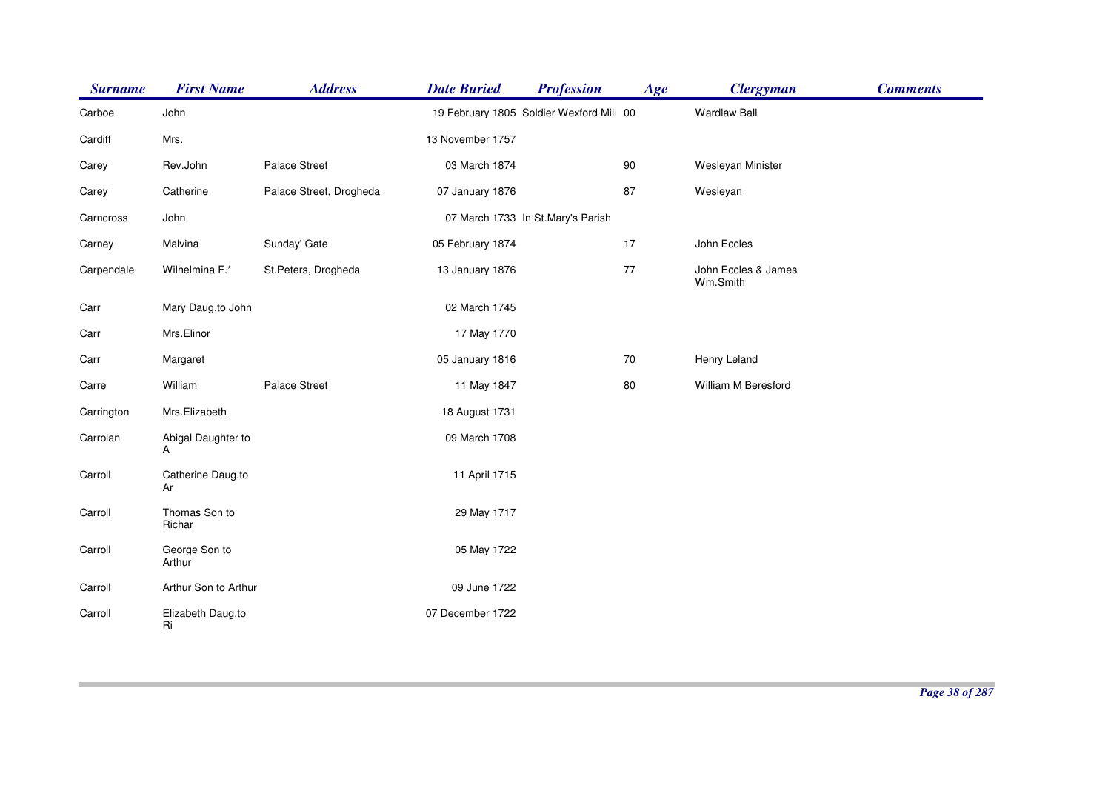| <b>Surname</b> | <b>First Name</b>       | <b>Address</b>          | <b>Date Buried</b> | <b>Profession</b>                        | Age | <b>Clergyman</b>                | <b>Comments</b> |
|----------------|-------------------------|-------------------------|--------------------|------------------------------------------|-----|---------------------------------|-----------------|
| Carboe         | John                    |                         |                    | 19 February 1805 Soldier Wexford Mili 00 |     | <b>Wardlaw Ball</b>             |                 |
| Cardiff        | Mrs.                    |                         | 13 November 1757   |                                          |     |                                 |                 |
| Carey          | Rev.John                | Palace Street           | 03 March 1874      |                                          | 90  | Wesleyan Minister               |                 |
| Carey          | Catherine               | Palace Street, Drogheda | 07 January 1876    |                                          | 87  | Wesleyan                        |                 |
| Carncross      | John                    |                         |                    | 07 March 1733 In St.Mary's Parish        |     |                                 |                 |
| Carney         | Malvina                 | Sunday' Gate            | 05 February 1874   |                                          | 17  | John Eccles                     |                 |
| Carpendale     | Wilhelmina F.*          | St.Peters, Drogheda     | 13 January 1876    |                                          | 77  | John Eccles & James<br>Wm.Smith |                 |
| Carr           | Mary Daug.to John       |                         | 02 March 1745      |                                          |     |                                 |                 |
| Carr           | Mrs.Elinor              |                         | 17 May 1770        |                                          |     |                                 |                 |
| Carr           | Margaret                |                         | 05 January 1816    |                                          | 70  | Henry Leland                    |                 |
| Carre          | William                 | Palace Street           | 11 May 1847        |                                          | 80  | William M Beresford             |                 |
| Carrington     | Mrs.Elizabeth           |                         | 18 August 1731     |                                          |     |                                 |                 |
| Carrolan       | Abigal Daughter to<br>Α |                         | 09 March 1708      |                                          |     |                                 |                 |
| Carroll        | Catherine Daug.to<br>Ar |                         | 11 April 1715      |                                          |     |                                 |                 |
| Carroll        | Thomas Son to<br>Richar |                         | 29 May 1717        |                                          |     |                                 |                 |
| Carroll        | George Son to<br>Arthur |                         | 05 May 1722        |                                          |     |                                 |                 |
| Carroll        | Arthur Son to Arthur    |                         | 09 June 1722       |                                          |     |                                 |                 |
| Carroll        | Elizabeth Daug.to<br>Ri |                         | 07 December 1722   |                                          |     |                                 |                 |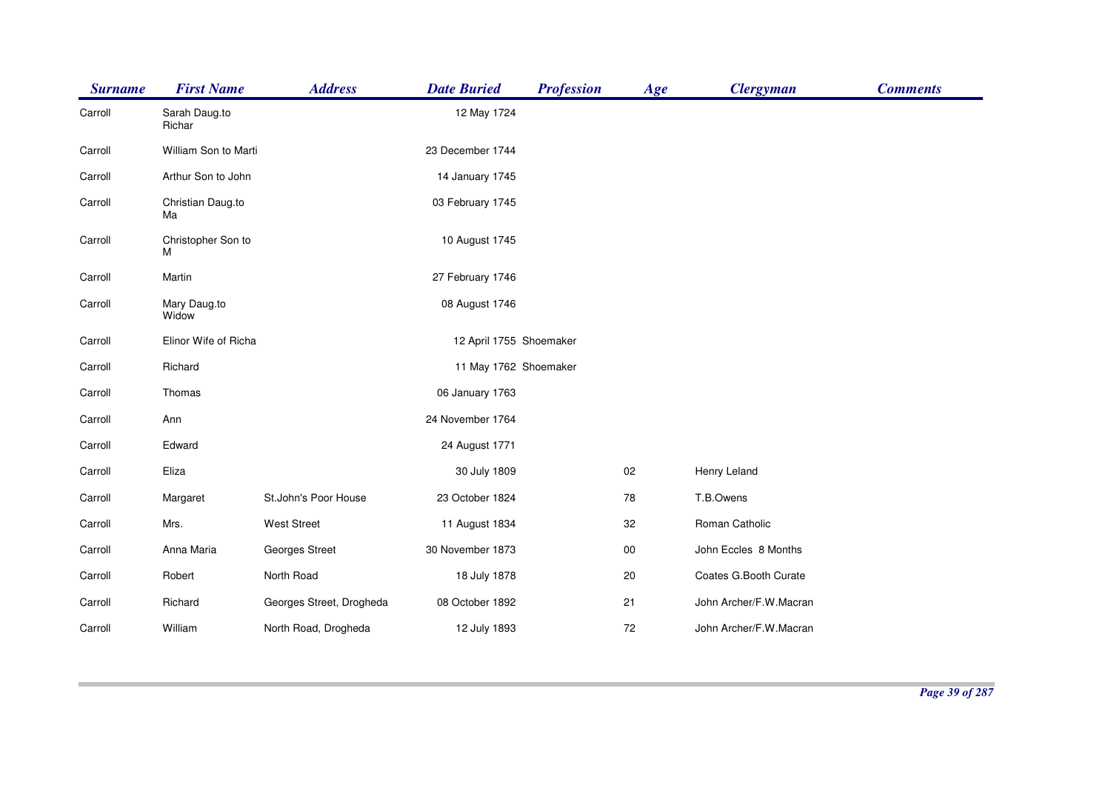| <b>Surname</b> | <b>First Name</b>       | <b>Address</b>           | <b>Date Buried</b>      | <b>Profession</b> | Age    | <b>Clergyman</b>       | <b>Comments</b> |
|----------------|-------------------------|--------------------------|-------------------------|-------------------|--------|------------------------|-----------------|
| Carroll        | Sarah Daug.to<br>Richar |                          | 12 May 1724             |                   |        |                        |                 |
| Carroll        | William Son to Marti    |                          | 23 December 1744        |                   |        |                        |                 |
| Carroll        | Arthur Son to John      |                          | 14 January 1745         |                   |        |                        |                 |
| Carroll        | Christian Daug.to<br>Ma |                          | 03 February 1745        |                   |        |                        |                 |
| Carroll        | Christopher Son to<br>М |                          | 10 August 1745          |                   |        |                        |                 |
| Carroll        | Martin                  |                          | 27 February 1746        |                   |        |                        |                 |
| Carroll        | Mary Daug.to<br>Widow   |                          | 08 August 1746          |                   |        |                        |                 |
| Carroll        | Elinor Wife of Richa    |                          | 12 April 1755 Shoemaker |                   |        |                        |                 |
| Carroll        | Richard                 |                          | 11 May 1762 Shoemaker   |                   |        |                        |                 |
| Carroll        | Thomas                  |                          | 06 January 1763         |                   |        |                        |                 |
| Carroll        | Ann                     |                          | 24 November 1764        |                   |        |                        |                 |
| Carroll        | Edward                  |                          | 24 August 1771          |                   |        |                        |                 |
| Carroll        | Eliza                   |                          | 30 July 1809            |                   | 02     | Henry Leland           |                 |
| Carroll        | Margaret                | St.John's Poor House     | 23 October 1824         |                   | 78     | T.B.Owens              |                 |
| Carroll        | Mrs.                    | <b>West Street</b>       | 11 August 1834          |                   | 32     | Roman Catholic         |                 |
| Carroll        | Anna Maria              | Georges Street           | 30 November 1873        |                   | $00\,$ | John Eccles 8 Months   |                 |
| Carroll        | Robert                  | North Road               | 18 July 1878            |                   | 20     | Coates G.Booth Curate  |                 |
| Carroll        | Richard                 | Georges Street, Drogheda | 08 October 1892         |                   | 21     | John Archer/F.W.Macran |                 |
| Carroll        | William                 | North Road, Drogheda     | 12 July 1893            |                   | 72     | John Archer/F.W.Macran |                 |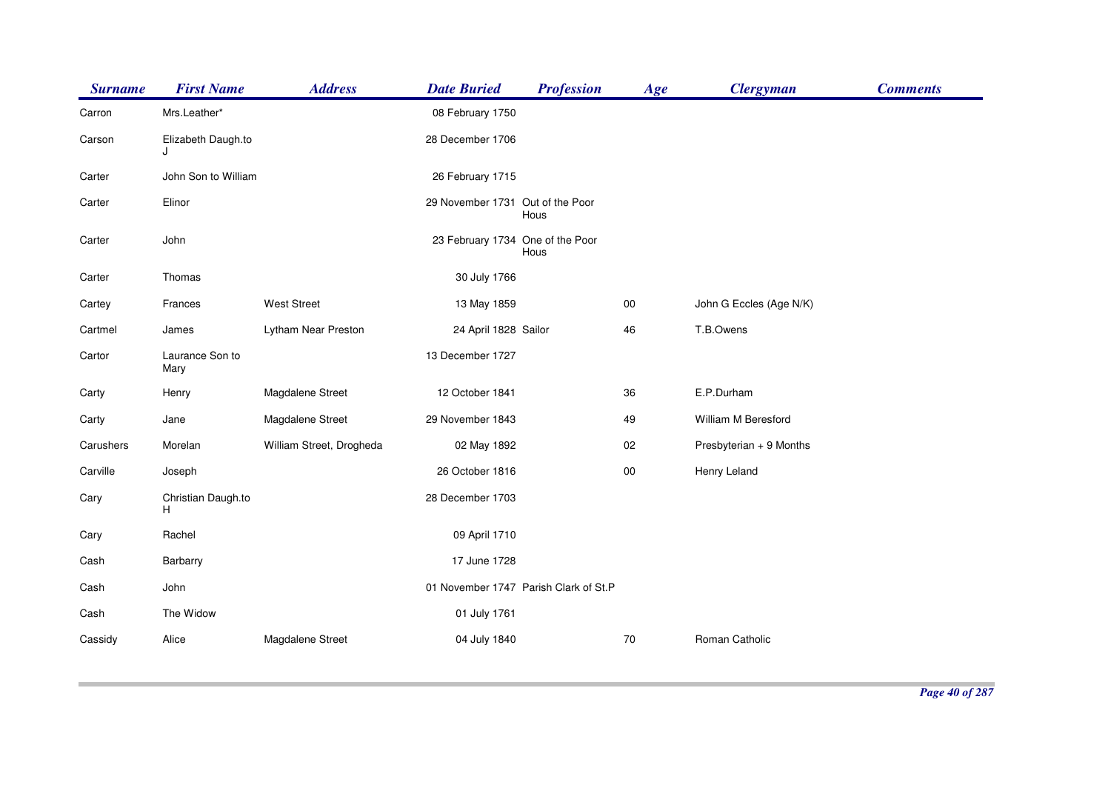| <b>Surname</b> | <b>First Name</b>        | <b>Address</b>           | <b>Date Buried</b>               | <b>Profession</b>                     | Age    | <b>Clergyman</b>        | <b>Comments</b> |
|----------------|--------------------------|--------------------------|----------------------------------|---------------------------------------|--------|-------------------------|-----------------|
| Carron         | Mrs.Leather*             |                          | 08 February 1750                 |                                       |        |                         |                 |
| Carson         | Elizabeth Daugh.to       |                          | 28 December 1706                 |                                       |        |                         |                 |
| Carter         | John Son to William      |                          | 26 February 1715                 |                                       |        |                         |                 |
| Carter         | Elinor                   |                          | 29 November 1731 Out of the Poor | Hous                                  |        |                         |                 |
| Carter         | John                     |                          | 23 February 1734 One of the Poor | Hous                                  |        |                         |                 |
| Carter         | Thomas                   |                          | 30 July 1766                     |                                       |        |                         |                 |
| Cartey         | Frances                  | <b>West Street</b>       | 13 May 1859                      |                                       | $00\,$ | John G Eccles (Age N/K) |                 |
| Cartmel        | James                    | Lytham Near Preston      | 24 April 1828 Sailor             |                                       | 46     | T.B.Owens               |                 |
| Cartor         | Laurance Son to<br>Mary  |                          | 13 December 1727                 |                                       |        |                         |                 |
| Carty          | Henry                    | Magdalene Street         | 12 October 1841                  |                                       | 36     | E.P.Durham              |                 |
| Carty          | Jane                     | Magdalene Street         | 29 November 1843                 |                                       | 49     | William M Beresford     |                 |
| Carushers      | Morelan                  | William Street, Drogheda | 02 May 1892                      |                                       | 02     | Presbyterian + 9 Months |                 |
| Carville       | Joseph                   |                          | 26 October 1816                  |                                       | $00\,$ | Henry Leland            |                 |
| Cary           | Christian Daugh.to<br>H. |                          | 28 December 1703                 |                                       |        |                         |                 |
| Cary           | Rachel                   |                          | 09 April 1710                    |                                       |        |                         |                 |
| Cash           | Barbarry                 |                          | 17 June 1728                     |                                       |        |                         |                 |
| Cash           | John                     |                          |                                  | 01 November 1747 Parish Clark of St.P |        |                         |                 |
| Cash           | The Widow                |                          | 01 July 1761                     |                                       |        |                         |                 |
| Cassidy        | Alice                    | Magdalene Street         | 04 July 1840                     |                                       | 70     | Roman Catholic          |                 |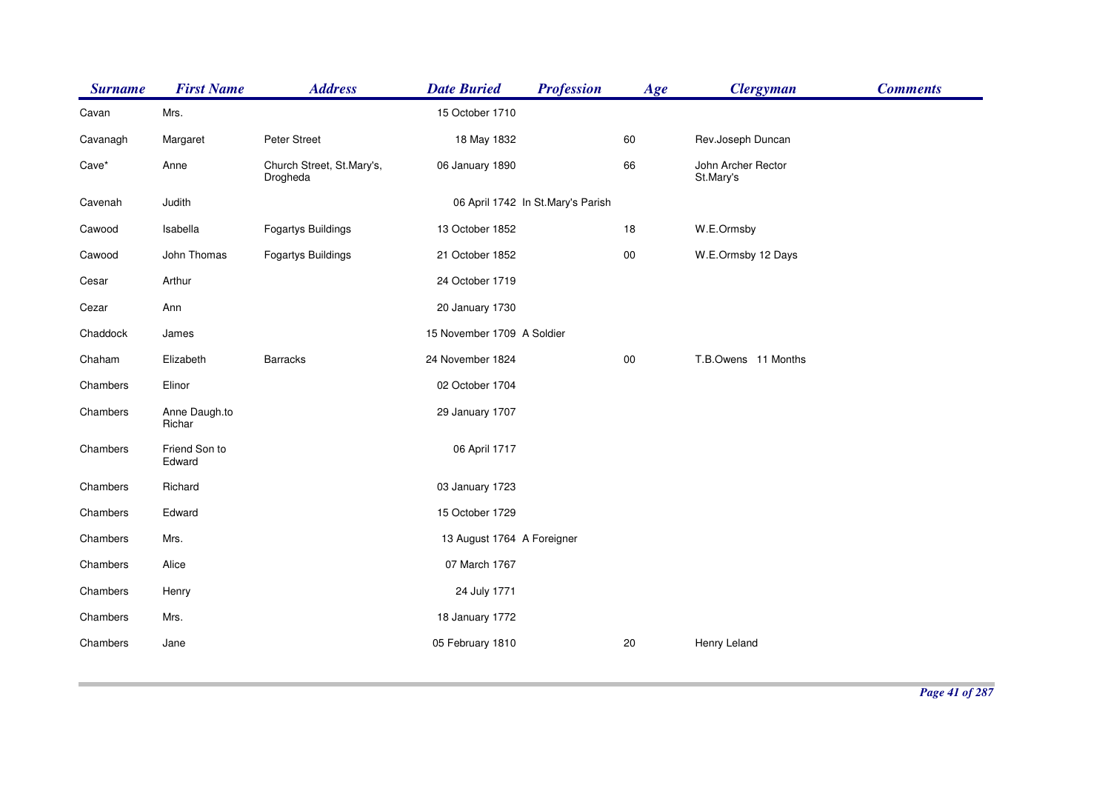| <b>Surname</b> | <b>First Name</b>       | <b>Address</b>                        | <b>Date Buried</b>         | <b>Profession</b>                 | Age        | <b>Clergyman</b>                | <b>Comments</b> |
|----------------|-------------------------|---------------------------------------|----------------------------|-----------------------------------|------------|---------------------------------|-----------------|
| Cavan          | Mrs.                    |                                       | 15 October 1710            |                                   |            |                                 |                 |
| Cavanagh       | Margaret                | Peter Street                          | 18 May 1832                |                                   | 60         | Rev.Joseph Duncan               |                 |
| Cave*          | Anne                    | Church Street, St.Mary's,<br>Drogheda | 06 January 1890            |                                   | 66         | John Archer Rector<br>St.Mary's |                 |
| Cavenah        | Judith                  |                                       |                            | 06 April 1742 In St.Mary's Parish |            |                                 |                 |
| Cawood         | Isabella                | <b>Fogartys Buildings</b>             | 13 October 1852            |                                   | 18         | W.E.Ormsby                      |                 |
| Cawood         | John Thomas             | <b>Fogartys Buildings</b>             | 21 October 1852            |                                   | ${\bf 00}$ | W.E.Ormsby 12 Days              |                 |
| Cesar          | Arthur                  |                                       | 24 October 1719            |                                   |            |                                 |                 |
| Cezar          | Ann                     |                                       | 20 January 1730            |                                   |            |                                 |                 |
| Chaddock       | James                   |                                       | 15 November 1709 A Soldier |                                   |            |                                 |                 |
| Chaham         | Elizabeth               | Barracks                              | 24 November 1824           |                                   | ${\bf 00}$ | T.B.Owens 11 Months             |                 |
| Chambers       | Elinor                  |                                       | 02 October 1704            |                                   |            |                                 |                 |
| Chambers       | Anne Daugh.to<br>Richar |                                       | 29 January 1707            |                                   |            |                                 |                 |
| Chambers       | Friend Son to<br>Edward |                                       | 06 April 1717              |                                   |            |                                 |                 |
| Chambers       | Richard                 |                                       | 03 January 1723            |                                   |            |                                 |                 |
| Chambers       | Edward                  |                                       | 15 October 1729            |                                   |            |                                 |                 |
| Chambers       | Mrs.                    |                                       | 13 August 1764 A Foreigner |                                   |            |                                 |                 |
| Chambers       | Alice                   |                                       | 07 March 1767              |                                   |            |                                 |                 |
| Chambers       | Henry                   |                                       | 24 July 1771               |                                   |            |                                 |                 |
| Chambers       | Mrs.                    |                                       | 18 January 1772            |                                   |            |                                 |                 |
| Chambers       | Jane                    |                                       | 05 February 1810           |                                   | 20         | Henry Leland                    |                 |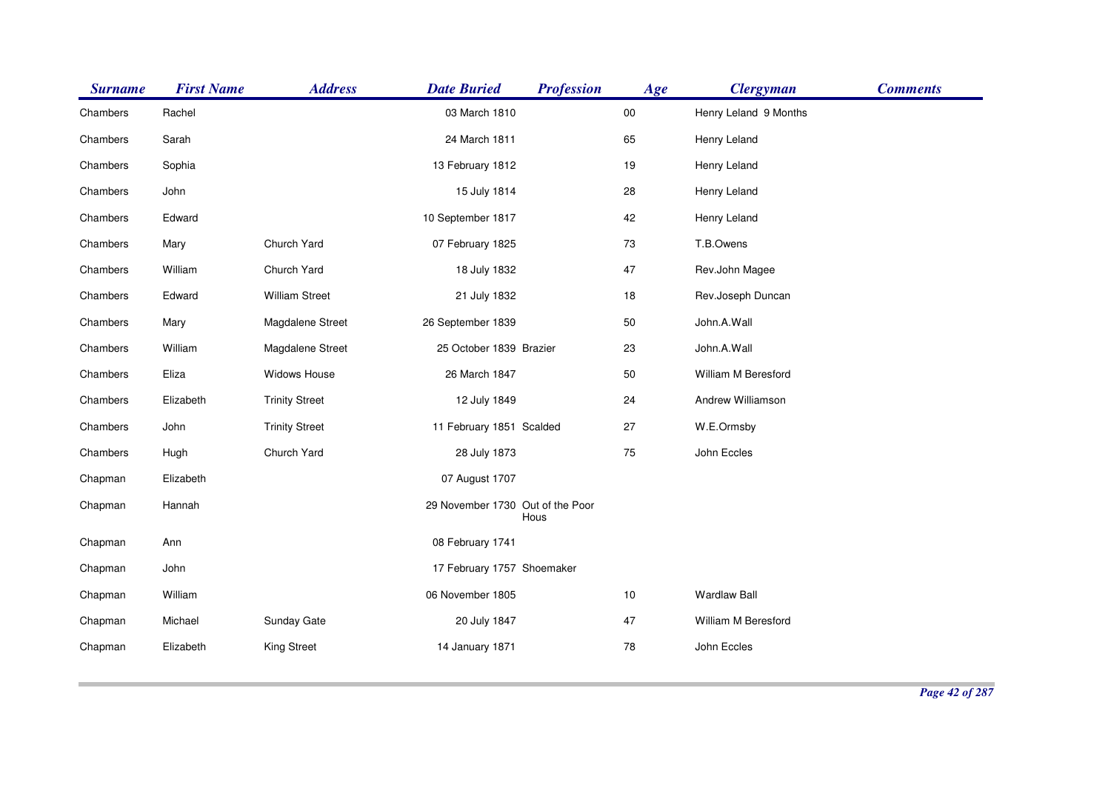| <b>Surname</b> | <b>First Name</b> | <b>Address</b>        | <b>Date Buried</b>               | <b>Profession</b> | Age        | <b>Clergyman</b>      | <b>Comments</b> |
|----------------|-------------------|-----------------------|----------------------------------|-------------------|------------|-----------------------|-----------------|
| Chambers       | Rachel            |                       | 03 March 1810                    |                   | ${\bf 00}$ | Henry Leland 9 Months |                 |
| Chambers       | Sarah             |                       | 24 March 1811                    |                   | 65         | Henry Leland          |                 |
| Chambers       | Sophia            |                       | 13 February 1812                 |                   | 19         | Henry Leland          |                 |
| Chambers       | John              |                       | 15 July 1814                     |                   | 28         | Henry Leland          |                 |
| Chambers       | Edward            |                       | 10 September 1817                |                   | 42         | Henry Leland          |                 |
| Chambers       | Mary              | Church Yard           | 07 February 1825                 |                   | 73         | T.B.Owens             |                 |
| Chambers       | William           | Church Yard           | 18 July 1832                     |                   | 47         | Rev.John Magee        |                 |
| Chambers       | Edward            | <b>William Street</b> | 21 July 1832                     |                   | 18         | Rev.Joseph Duncan     |                 |
| Chambers       | Mary              | Magdalene Street      | 26 September 1839                |                   | 50         | John.A.Wall           |                 |
| Chambers       | William           | Magdalene Street      | 25 October 1839 Brazier          |                   | 23         | John.A.Wall           |                 |
| Chambers       | Eliza             | Widows House          | 26 March 1847                    |                   | 50         | William M Beresford   |                 |
| Chambers       | Elizabeth         | <b>Trinity Street</b> | 12 July 1849                     |                   | 24         | Andrew Williamson     |                 |
| Chambers       | John              | <b>Trinity Street</b> | 11 February 1851 Scalded         |                   | 27         | W.E.Ormsby            |                 |
| Chambers       | Hugh              | Church Yard           | 28 July 1873                     |                   | 75         | John Eccles           |                 |
| Chapman        | Elizabeth         |                       | 07 August 1707                   |                   |            |                       |                 |
| Chapman        | Hannah            |                       | 29 November 1730 Out of the Poor | Hous              |            |                       |                 |
| Chapman        | Ann               |                       | 08 February 1741                 |                   |            |                       |                 |
| Chapman        | John              |                       | 17 February 1757 Shoemaker       |                   |            |                       |                 |
| Chapman        | William           |                       | 06 November 1805                 |                   | 10         | <b>Wardlaw Ball</b>   |                 |
| Chapman        | Michael           | Sunday Gate           | 20 July 1847                     |                   | 47         | William M Beresford   |                 |
| Chapman        | Elizabeth         | <b>King Street</b>    | 14 January 1871                  |                   | 78         | John Eccles           |                 |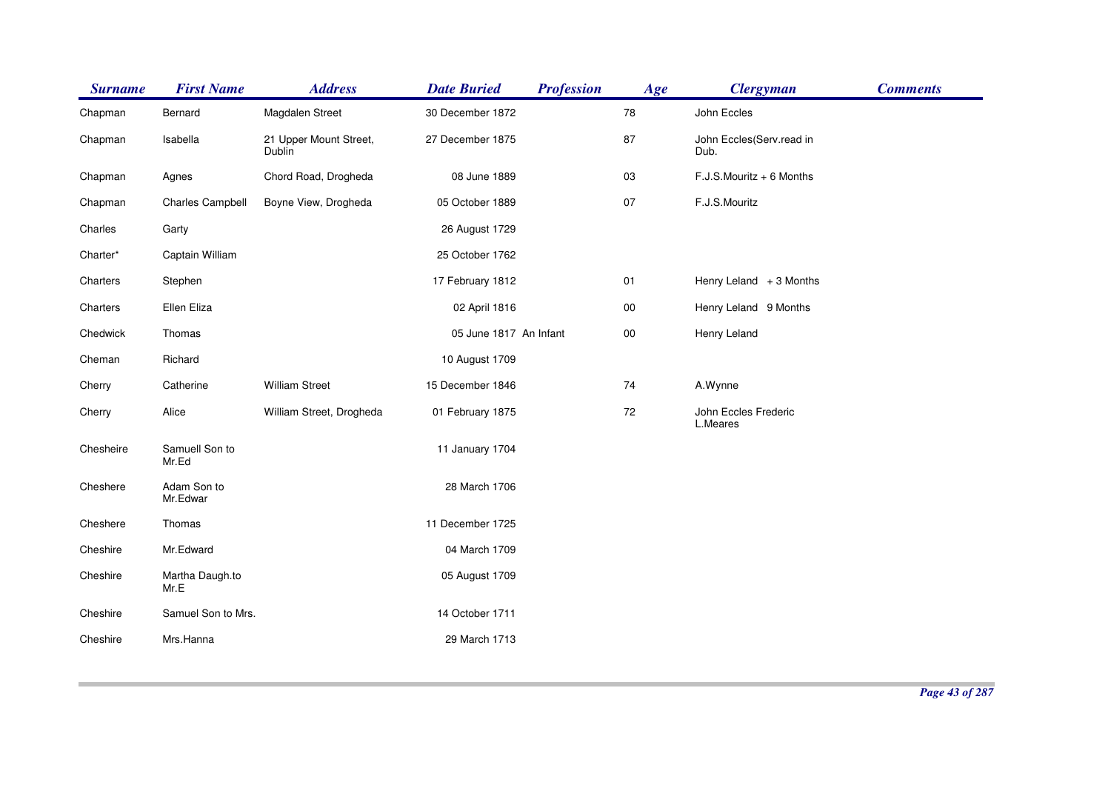| <b>Surname</b> | <b>First Name</b>       | <b>Address</b>                   | <b>Date Buried</b>     | <b>Profession</b> | Age        | <b>Clergyman</b>                 | <b>Comments</b> |
|----------------|-------------------------|----------------------------------|------------------------|-------------------|------------|----------------------------------|-----------------|
| Chapman        | Bernard                 | Magdalen Street                  | 30 December 1872       |                   | 78         | John Eccles                      |                 |
| Chapman        | Isabella                | 21 Upper Mount Street,<br>Dublin | 27 December 1875       |                   | 87         | John Eccles(Serv.read in<br>Dub. |                 |
| Chapman        | Agnes                   | Chord Road, Drogheda             | 08 June 1889           |                   | 03         | $F.J.S.Mouritz + 6$ Months       |                 |
| Chapman        | Charles Campbell        | Boyne View, Drogheda             | 05 October 1889        |                   | 07         | F.J.S.Mouritz                    |                 |
| Charles        | Garty                   |                                  | 26 August 1729         |                   |            |                                  |                 |
| Charter*       | Captain William         |                                  | 25 October 1762        |                   |            |                                  |                 |
| Charters       | Stephen                 |                                  | 17 February 1812       |                   | 01         | Henry Leland $+3$ Months         |                 |
| Charters       | Ellen Eliza             |                                  | 02 April 1816          |                   | ${\bf 00}$ | Henry Leland 9 Months            |                 |
| Chedwick       | Thomas                  |                                  | 05 June 1817 An Infant |                   | $00\,$     | Henry Leland                     |                 |
| Cheman         | Richard                 |                                  | 10 August 1709         |                   |            |                                  |                 |
| Cherry         | Catherine               | <b>William Street</b>            | 15 December 1846       |                   | 74         | A.Wynne                          |                 |
| Cherry         | Alice                   | William Street, Drogheda         | 01 February 1875       |                   | 72         | John Eccles Frederic<br>L.Meares |                 |
| Chesheire      | Samuell Son to<br>Mr.Ed |                                  | 11 January 1704        |                   |            |                                  |                 |
| Cheshere       | Adam Son to<br>Mr.Edwar |                                  | 28 March 1706          |                   |            |                                  |                 |
| Cheshere       | Thomas                  |                                  | 11 December 1725       |                   |            |                                  |                 |
| Cheshire       | Mr.Edward               |                                  | 04 March 1709          |                   |            |                                  |                 |
| Cheshire       | Martha Daugh.to<br>Mr.E |                                  | 05 August 1709         |                   |            |                                  |                 |
| Cheshire       | Samuel Son to Mrs.      |                                  | 14 October 1711        |                   |            |                                  |                 |
| Cheshire       | Mrs.Hanna               |                                  | 29 March 1713          |                   |            |                                  |                 |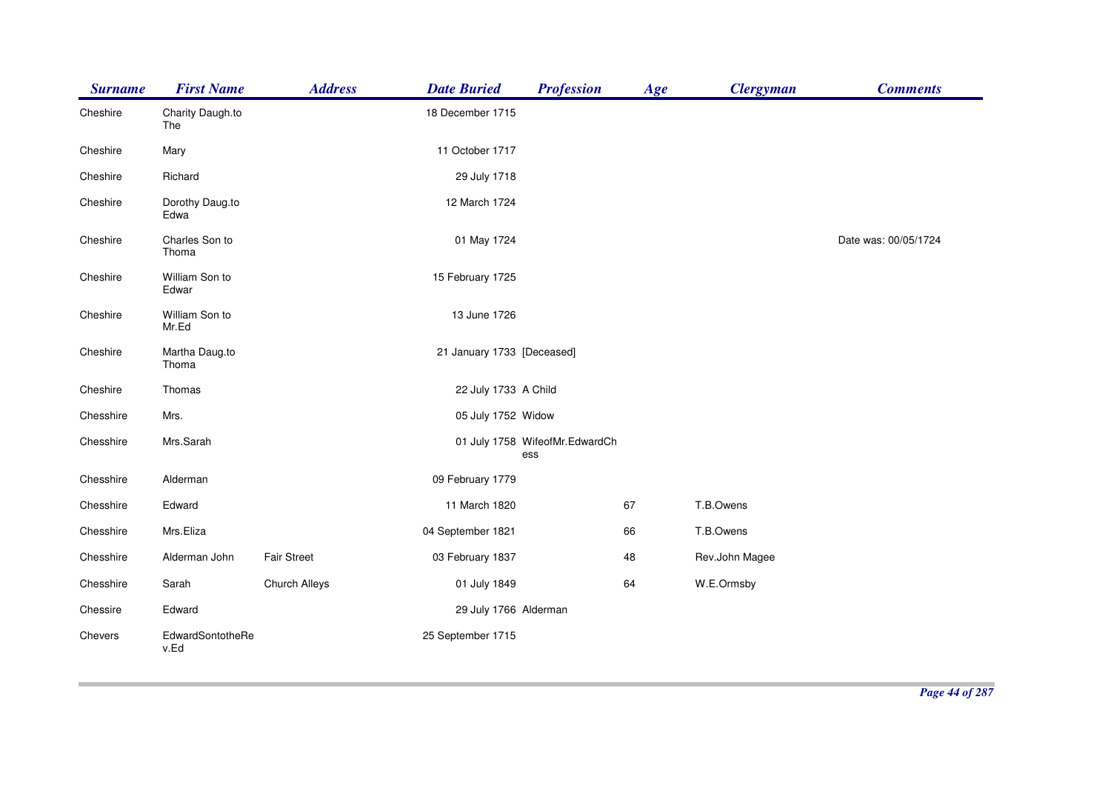| <b>Surname</b> | <b>First Name</b>        | <b>Address</b>     | <b>Date Buried</b>         | <b>Profession</b>                     | Age | <b>Clergyman</b> | <b>Comments</b>      |
|----------------|--------------------------|--------------------|----------------------------|---------------------------------------|-----|------------------|----------------------|
| Cheshire       | Charity Daugh.to<br>The  |                    | 18 December 1715           |                                       |     |                  |                      |
| Cheshire       | Mary                     |                    | 11 October 1717            |                                       |     |                  |                      |
| Cheshire       | Richard                  |                    | 29 July 1718               |                                       |     |                  |                      |
| Cheshire       | Dorothy Daug.to<br>Edwa  |                    | 12 March 1724              |                                       |     |                  |                      |
| Cheshire       | Charles Son to<br>Thoma  |                    | 01 May 1724                |                                       |     |                  | Date was: 00/05/1724 |
| Cheshire       | William Son to<br>Edwar  |                    | 15 February 1725           |                                       |     |                  |                      |
| Cheshire       | William Son to<br>Mr.Ed  |                    | 13 June 1726               |                                       |     |                  |                      |
| Cheshire       | Martha Daug.to<br>Thoma  |                    | 21 January 1733 [Deceased] |                                       |     |                  |                      |
| Cheshire       | Thomas                   |                    | 22 July 1733 A Child       |                                       |     |                  |                      |
| Chesshire      | Mrs.                     |                    | 05 July 1752 Widow         |                                       |     |                  |                      |
| Chesshire      | Mrs.Sarah                |                    |                            | 01 July 1758 WifeofMr.EdwardCh<br>ess |     |                  |                      |
| Chesshire      | Alderman                 |                    | 09 February 1779           |                                       |     |                  |                      |
| Chesshire      | Edward                   |                    | 11 March 1820              |                                       | 67  | T.B.Owens        |                      |
| Chesshire      | Mrs.Eliza                |                    | 04 September 1821          |                                       | 66  | T.B.Owens        |                      |
| Chesshire      | Alderman John            | <b>Fair Street</b> | 03 February 1837           |                                       | 48  | Rev.John Magee   |                      |
| Chesshire      | Sarah                    | Church Alleys      | 01 July 1849               |                                       | 64  | W.E.Ormsby       |                      |
| Chessire       | Edward                   |                    | 29 July 1766 Alderman      |                                       |     |                  |                      |
| Chevers        | EdwardSontotheRe<br>v.Ed |                    | 25 September 1715          |                                       |     |                  |                      |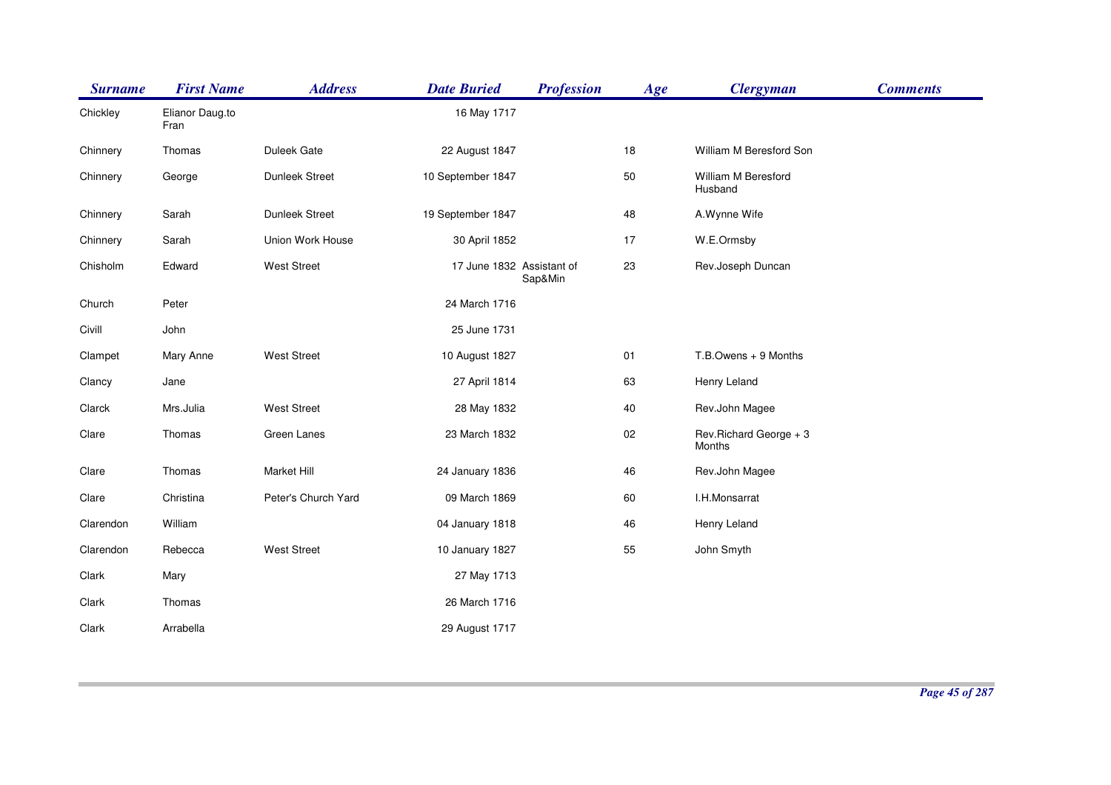| <b>Surname</b> | <b>First Name</b>       | <b>Address</b>      | <b>Date Buried</b>        | <b>Profession</b> | Age | <b>Clergyman</b>                 | <b>Comments</b> |
|----------------|-------------------------|---------------------|---------------------------|-------------------|-----|----------------------------------|-----------------|
| Chickley       | Elianor Daug.to<br>Fran |                     | 16 May 1717               |                   |     |                                  |                 |
| Chinnery       | Thomas                  | Duleek Gate         | 22 August 1847            |                   | 18  | William M Beresford Son          |                 |
| Chinnery       | George                  | Dunleek Street      | 10 September 1847         |                   | 50  | William M Beresford<br>Husband   |                 |
| Chinnery       | Sarah                   | Dunleek Street      | 19 September 1847         |                   | 48  | A.Wynne Wife                     |                 |
| Chinnery       | Sarah                   | Union Work House    | 30 April 1852             |                   | 17  | W.E.Ormsby                       |                 |
| Chisholm       | Edward                  | <b>West Street</b>  | 17 June 1832 Assistant of | Sap&Min           | 23  | Rev.Joseph Duncan                |                 |
| Church         | Peter                   |                     | 24 March 1716             |                   |     |                                  |                 |
| Civill         | John                    |                     | 25 June 1731              |                   |     |                                  |                 |
| Clampet        | Mary Anne               | <b>West Street</b>  | 10 August 1827            |                   | 01  | T.B.Owens + 9 Months             |                 |
| Clancy         | Jane                    |                     | 27 April 1814             |                   | 63  | Henry Leland                     |                 |
| Clarck         | Mrs.Julia               | <b>West Street</b>  | 28 May 1832               |                   | 40  | Rev.John Magee                   |                 |
| Clare          | Thomas                  | Green Lanes         | 23 March 1832             |                   | 02  | Rev.Richard George + 3<br>Months |                 |
| Clare          | Thomas                  | Market Hill         | 24 January 1836           |                   | 46  | Rev.John Magee                   |                 |
| Clare          | Christina               | Peter's Church Yard | 09 March 1869             |                   | 60  | I.H.Monsarrat                    |                 |
| Clarendon      | William                 |                     | 04 January 1818           |                   | 46  | Henry Leland                     |                 |
| Clarendon      | Rebecca                 | <b>West Street</b>  | 10 January 1827           |                   | 55  | John Smyth                       |                 |
| Clark          | Mary                    |                     | 27 May 1713               |                   |     |                                  |                 |
| Clark          | Thomas                  |                     | 26 March 1716             |                   |     |                                  |                 |
| Clark          | Arrabella               |                     | 29 August 1717            |                   |     |                                  |                 |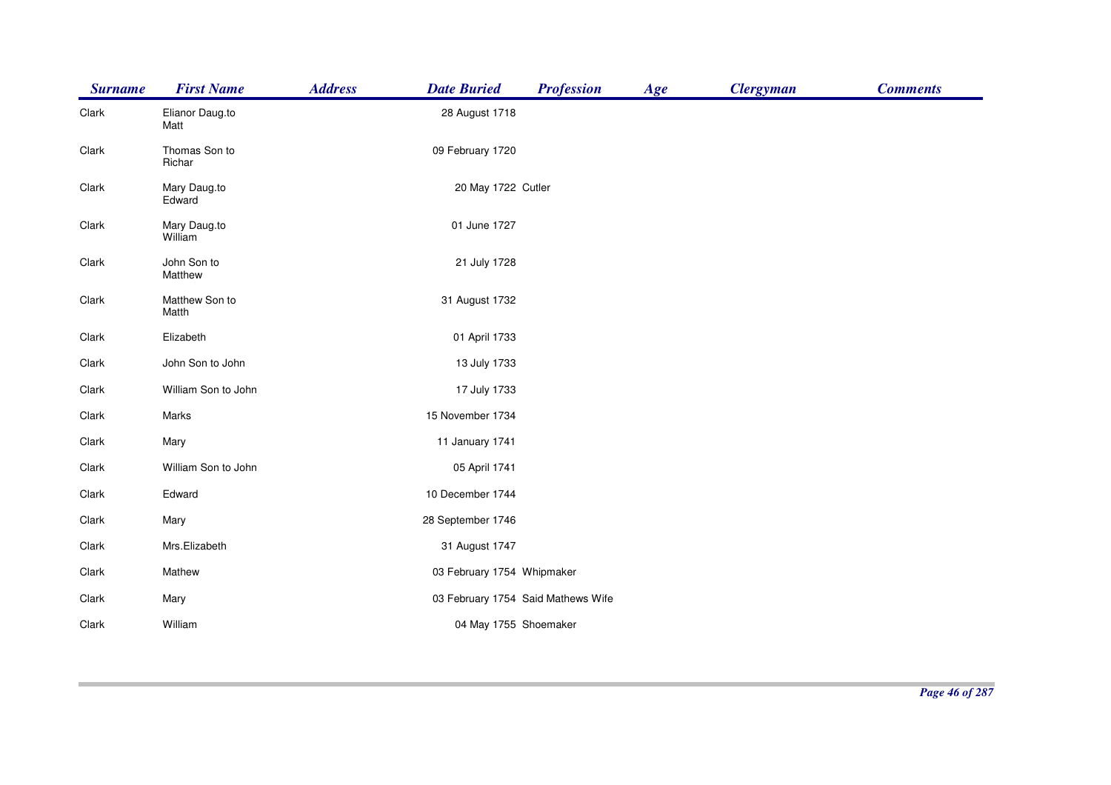| <b>Surname</b> | <b>First Name</b>       | <b>Address</b> | <b>Date Buried</b>         | <b>Profession</b>                  | Age | <b>Clergyman</b> | <b>Comments</b> |
|----------------|-------------------------|----------------|----------------------------|------------------------------------|-----|------------------|-----------------|
| Clark          | Elianor Daug.to<br>Matt |                | 28 August 1718             |                                    |     |                  |                 |
| Clark          | Thomas Son to<br>Richar |                | 09 February 1720           |                                    |     |                  |                 |
| Clark          | Mary Daug.to<br>Edward  |                | 20 May 1722 Cutler         |                                    |     |                  |                 |
| Clark          | Mary Daug.to<br>William |                | 01 June 1727               |                                    |     |                  |                 |
| Clark          | John Son to<br>Matthew  |                | 21 July 1728               |                                    |     |                  |                 |
| Clark          | Matthew Son to<br>Matth |                | 31 August 1732             |                                    |     |                  |                 |
| Clark          | Elizabeth               |                | 01 April 1733              |                                    |     |                  |                 |
| Clark          | John Son to John        |                | 13 July 1733               |                                    |     |                  |                 |
| Clark          | William Son to John     |                | 17 July 1733               |                                    |     |                  |                 |
| Clark          | Marks                   |                | 15 November 1734           |                                    |     |                  |                 |
| Clark          | Mary                    |                | 11 January 1741            |                                    |     |                  |                 |
| Clark          | William Son to John     |                | 05 April 1741              |                                    |     |                  |                 |
| Clark          | Edward                  |                | 10 December 1744           |                                    |     |                  |                 |
| Clark          | Mary                    |                | 28 September 1746          |                                    |     |                  |                 |
| Clark          | Mrs.Elizabeth           |                | 31 August 1747             |                                    |     |                  |                 |
| Clark          | Mathew                  |                | 03 February 1754 Whipmaker |                                    |     |                  |                 |
| Clark          | Mary                    |                |                            | 03 February 1754 Said Mathews Wife |     |                  |                 |
| Clark          | William                 |                | 04 May 1755 Shoemaker      |                                    |     |                  |                 |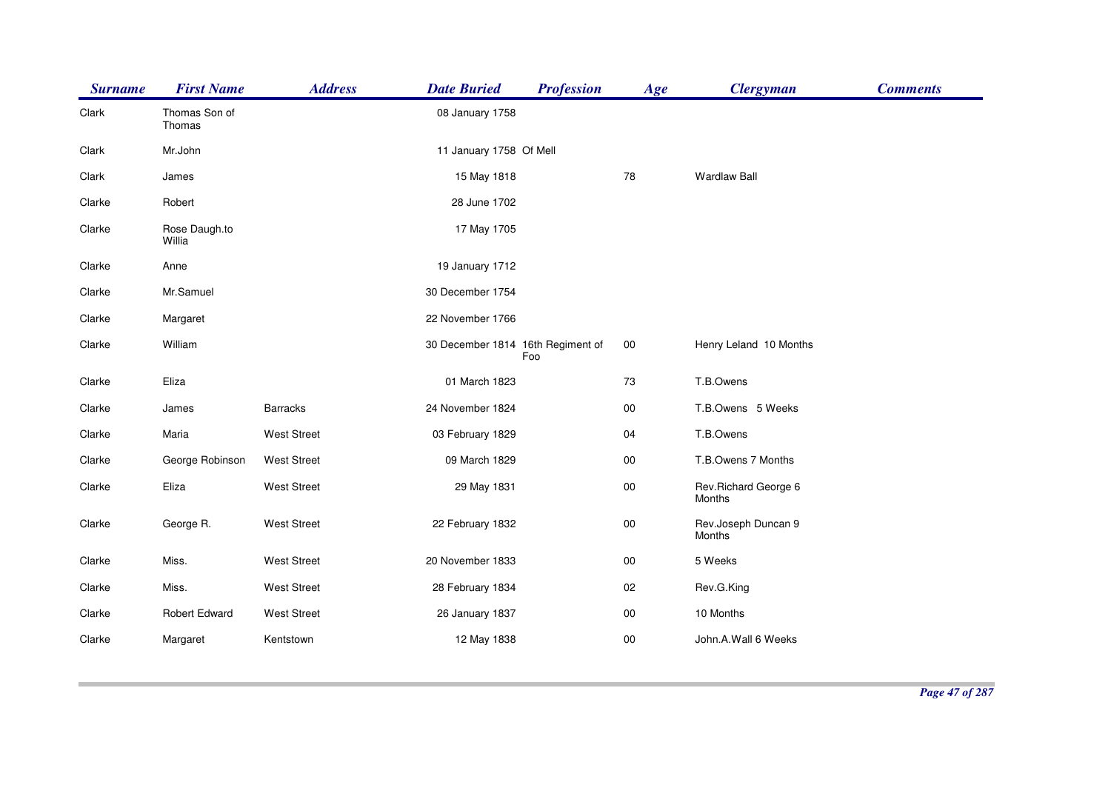| <b>Surname</b> | <b>First Name</b>       | <b>Address</b>     | <b>Date Buried</b>                | <b>Profession</b> | Age        | <b>Clergyman</b>               | <b>Comments</b> |
|----------------|-------------------------|--------------------|-----------------------------------|-------------------|------------|--------------------------------|-----------------|
| Clark          | Thomas Son of<br>Thomas |                    | 08 January 1758                   |                   |            |                                |                 |
| Clark          | Mr.John                 |                    | 11 January 1758 Of Mell           |                   |            |                                |                 |
| Clark          | James                   |                    | 15 May 1818                       |                   | 78         | <b>Wardlaw Ball</b>            |                 |
| Clarke         | Robert                  |                    | 28 June 1702                      |                   |            |                                |                 |
| Clarke         | Rose Daugh.to<br>Willia |                    | 17 May 1705                       |                   |            |                                |                 |
| Clarke         | Anne                    |                    | 19 January 1712                   |                   |            |                                |                 |
| Clarke         | Mr.Samuel               |                    | 30 December 1754                  |                   |            |                                |                 |
| Clarke         | Margaret                |                    | 22 November 1766                  |                   |            |                                |                 |
| Clarke         | William                 |                    | 30 December 1814 16th Regiment of | Foo               | $00\,$     | Henry Leland 10 Months         |                 |
| Clarke         | Eliza                   |                    | 01 March 1823                     |                   | 73         | T.B.Owens                      |                 |
| Clarke         | James                   | <b>Barracks</b>    | 24 November 1824                  |                   | 00         | T.B.Owens 5 Weeks              |                 |
| Clarke         | Maria                   | <b>West Street</b> | 03 February 1829                  |                   | 04         | T.B.Owens                      |                 |
| Clarke         | George Robinson         | <b>West Street</b> | 09 March 1829                     |                   | $00\,$     | T.B.Owens 7 Months             |                 |
| Clarke         | Eliza                   | West Street        | 29 May 1831                       |                   | ${\bf 00}$ | Rev.Richard George 6<br>Months |                 |
| Clarke         | George R.               | <b>West Street</b> | 22 February 1832                  |                   | $00\,$     | Rev.Joseph Duncan 9<br>Months  |                 |
| Clarke         | Miss.                   | <b>West Street</b> | 20 November 1833                  |                   | ${\bf 00}$ | 5 Weeks                        |                 |
| Clarke         | Miss.                   | <b>West Street</b> | 28 February 1834                  |                   | 02         | Rev.G.King                     |                 |
| Clarke         | Robert Edward           | <b>West Street</b> | 26 January 1837                   |                   | ${\bf 00}$ | 10 Months                      |                 |
| Clarke         | Margaret                | Kentstown          | 12 May 1838                       |                   | $00\,$     | John.A.Wall 6 Weeks            |                 |
|                |                         |                    |                                   |                   |            |                                |                 |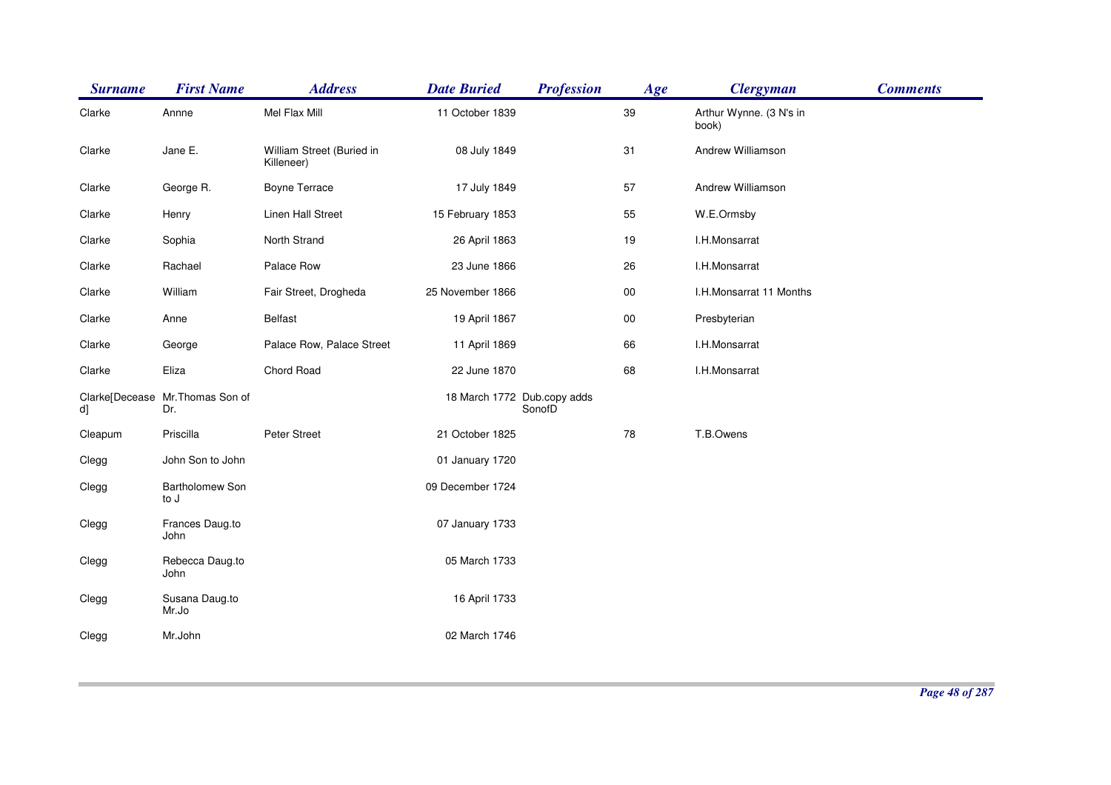| <b>Surname</b> | <b>First Name</b>                      | <b>Address</b>                          | <b>Date Buried</b> | <b>Profession</b>                     | Age    | <b>Clergyman</b>                 | <b>Comments</b> |
|----------------|----------------------------------------|-----------------------------------------|--------------------|---------------------------------------|--------|----------------------------------|-----------------|
| Clarke         | Annne                                  | Mel Flax Mill                           | 11 October 1839    |                                       | 39     | Arthur Wynne. (3 N's in<br>book) |                 |
| Clarke         | Jane E.                                | William Street (Buried in<br>Killeneer) | 08 July 1849       |                                       | 31     | Andrew Williamson                |                 |
| Clarke         | George R.                              | <b>Boyne Terrace</b>                    | 17 July 1849       |                                       | 57     | Andrew Williamson                |                 |
| Clarke         | Henry                                  | Linen Hall Street                       | 15 February 1853   |                                       | 55     | W.E.Ormsby                       |                 |
| Clarke         | Sophia                                 | North Strand                            | 26 April 1863      |                                       | 19     | I.H.Monsarrat                    |                 |
| Clarke         | Rachael                                | Palace Row                              | 23 June 1866       |                                       | 26     | I.H.Monsarrat                    |                 |
| Clarke         | William                                | Fair Street, Drogheda                   | 25 November 1866   |                                       | $00\,$ | I.H.Monsarrat 11 Months          |                 |
| Clarke         | Anne                                   | Belfast                                 | 19 April 1867      |                                       | $00\,$ | Presbyterian                     |                 |
| Clarke         | George                                 | Palace Row, Palace Street               | 11 April 1869      |                                       | 66     | I.H.Monsarrat                    |                 |
| Clarke         | Eliza                                  | Chord Road                              | 22 June 1870       |                                       | 68     | I.H.Monsarrat                    |                 |
| d]             | Clarke[Decease Mr.Thomas Son of<br>Dr. |                                         |                    | 18 March 1772 Dub.copy adds<br>SonofD |        |                                  |                 |
| Cleapum        | Priscilla                              | Peter Street                            | 21 October 1825    |                                       | 78     | T.B.Owens                        |                 |
| Clegg          | John Son to John                       |                                         | 01 January 1720    |                                       |        |                                  |                 |
| Clegg          | Bartholomew Son<br>to J                |                                         | 09 December 1724   |                                       |        |                                  |                 |
| Clegg          | Frances Daug.to<br>John                |                                         | 07 January 1733    |                                       |        |                                  |                 |
| Clegg          | Rebecca Daug.to<br>John                |                                         | 05 March 1733      |                                       |        |                                  |                 |
| Clegg          | Susana Daug.to<br>Mr.Jo                |                                         | 16 April 1733      |                                       |        |                                  |                 |
| Clegg          | Mr.John                                |                                         | 02 March 1746      |                                       |        |                                  |                 |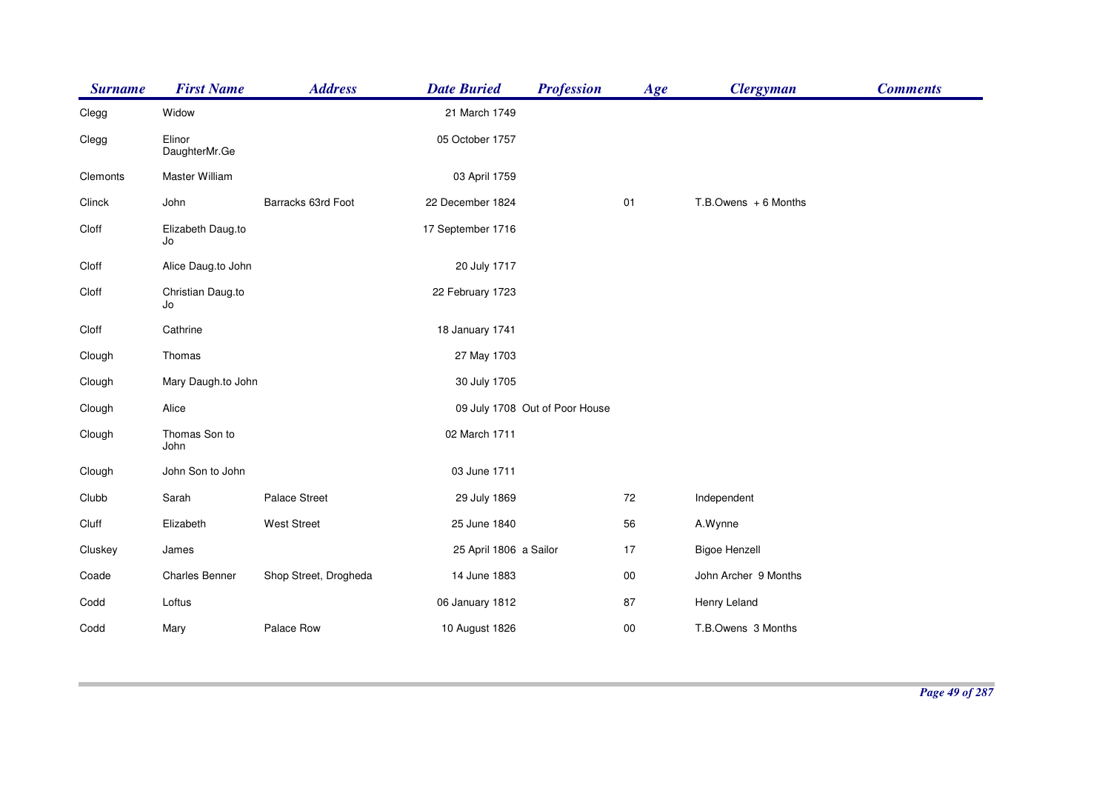| <b>Surname</b> | <b>First Name</b>       | <b>Address</b>        | <b>Date Buried</b>     | <b>Profession</b>              | Age    | <b>Clergyman</b>        | <b>Comments</b> |
|----------------|-------------------------|-----------------------|------------------------|--------------------------------|--------|-------------------------|-----------------|
| Clegg          | Widow                   |                       | 21 March 1749          |                                |        |                         |                 |
| Clegg          | Elinor<br>DaughterMr.Ge |                       | 05 October 1757        |                                |        |                         |                 |
| Clemonts       | Master William          |                       | 03 April 1759          |                                |        |                         |                 |
| Clinck         | John                    | Barracks 63rd Foot    | 22 December 1824       |                                | 01     | $T.B.$ Owens + 6 Months |                 |
| Cloff          | Elizabeth Daug.to<br>Jo |                       | 17 September 1716      |                                |        |                         |                 |
| Cloff          | Alice Daug.to John      |                       | 20 July 1717           |                                |        |                         |                 |
| Cloff          | Christian Daug.to<br>Jo |                       | 22 February 1723       |                                |        |                         |                 |
| Cloff          | Cathrine                |                       | 18 January 1741        |                                |        |                         |                 |
| Clough         | Thomas                  |                       | 27 May 1703            |                                |        |                         |                 |
| Clough         | Mary Daugh.to John      |                       | 30 July 1705           |                                |        |                         |                 |
| Clough         | Alice                   |                       |                        | 09 July 1708 Out of Poor House |        |                         |                 |
| Clough         | Thomas Son to<br>John   |                       | 02 March 1711          |                                |        |                         |                 |
| Clough         | John Son to John        |                       | 03 June 1711           |                                |        |                         |                 |
| Clubb          | Sarah                   | Palace Street         | 29 July 1869           |                                | 72     | Independent             |                 |
| Cluff          | Elizabeth               | <b>West Street</b>    | 25 June 1840           |                                | 56     | A.Wynne                 |                 |
| Cluskey        | James                   |                       | 25 April 1806 a Sailor |                                | 17     | <b>Bigoe Henzell</b>    |                 |
| Coade          | <b>Charles Benner</b>   | Shop Street, Drogheda | 14 June 1883           |                                | $00\,$ | John Archer 9 Months    |                 |
| Codd           | Loftus                  |                       | 06 January 1812        |                                | 87     | Henry Leland            |                 |
| Codd           | Mary                    | Palace Row            | 10 August 1826         |                                | $00\,$ | T.B.Owens 3 Months      |                 |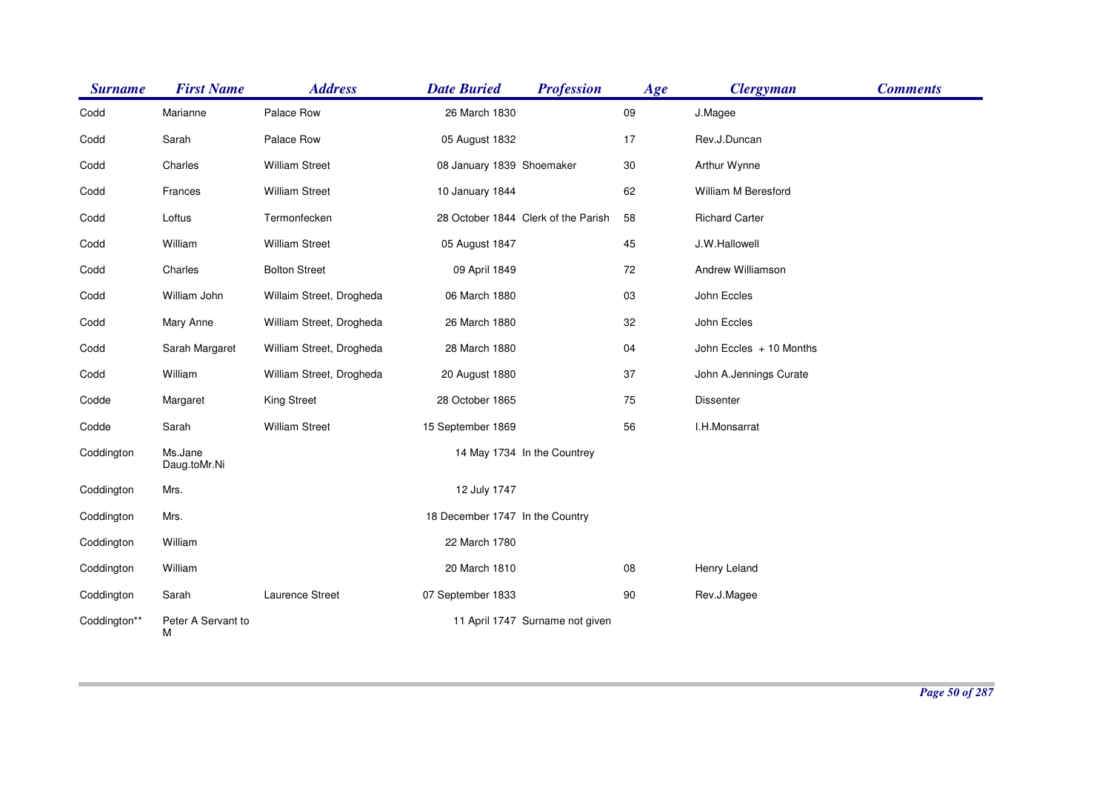| <b>Surname</b> | <b>First Name</b>       | <b>Address</b>           | <b>Date Buried</b>              | <b>Profession</b>                   | Age    | <b>Clergyman</b>        | <b>Comments</b> |
|----------------|-------------------------|--------------------------|---------------------------------|-------------------------------------|--------|-------------------------|-----------------|
| Codd           | Marianne                | Palace Row               | 26 March 1830                   |                                     | 09     | J.Magee                 |                 |
| Codd           | Sarah                   | Palace Row               | 05 August 1832                  |                                     | 17     | Rev.J.Duncan            |                 |
| Codd           | Charles                 | <b>William Street</b>    | 08 January 1839 Shoemaker       |                                     | $30\,$ | Arthur Wynne            |                 |
| Codd           | Frances                 | <b>William Street</b>    | 10 January 1844                 |                                     | 62     | William M Beresford     |                 |
| Codd           | Loftus                  | Termonfecken             |                                 | 28 October 1844 Clerk of the Parish | 58     | <b>Richard Carter</b>   |                 |
| Codd           | William                 | <b>William Street</b>    | 05 August 1847                  |                                     | 45     | J.W.Hallowell           |                 |
| Codd           | Charles                 | <b>Bolton Street</b>     | 09 April 1849                   |                                     | 72     | Andrew Williamson       |                 |
| Codd           | William John            | Willaim Street, Drogheda | 06 March 1880                   |                                     | 03     | John Eccles             |                 |
| Codd           | Mary Anne               | William Street, Drogheda | 26 March 1880                   |                                     | 32     | John Eccles             |                 |
| Codd           | Sarah Margaret          | William Street, Drogheda | 28 March 1880                   |                                     | 04     | John Eccles + 10 Months |                 |
| Codd           | William                 | William Street, Drogheda | 20 August 1880                  |                                     | 37     | John A.Jennings Curate  |                 |
| Codde          | Margaret                | <b>King Street</b>       | 28 October 1865                 |                                     | 75     | Dissenter               |                 |
| Codde          | Sarah                   | <b>William Street</b>    | 15 September 1869               |                                     | 56     | I.H.Monsarrat           |                 |
| Coddington     | Ms.Jane<br>Daug.toMr.Ni |                          |                                 | 14 May 1734 In the Countrey         |        |                         |                 |
| Coddington     | Mrs.                    |                          | 12 July 1747                    |                                     |        |                         |                 |
| Coddington     | Mrs.                    |                          | 18 December 1747 In the Country |                                     |        |                         |                 |
| Coddington     | William                 |                          | 22 March 1780                   |                                     |        |                         |                 |
| Coddington     | William                 |                          | 20 March 1810                   |                                     | 08     | Henry Leland            |                 |
| Coddington     | Sarah                   | Laurence Street          | 07 September 1833               |                                     | 90     | Rev.J.Magee             |                 |
| Coddington**   | Peter A Servant to<br>М |                          |                                 | 11 April 1747 Surname not given     |        |                         |                 |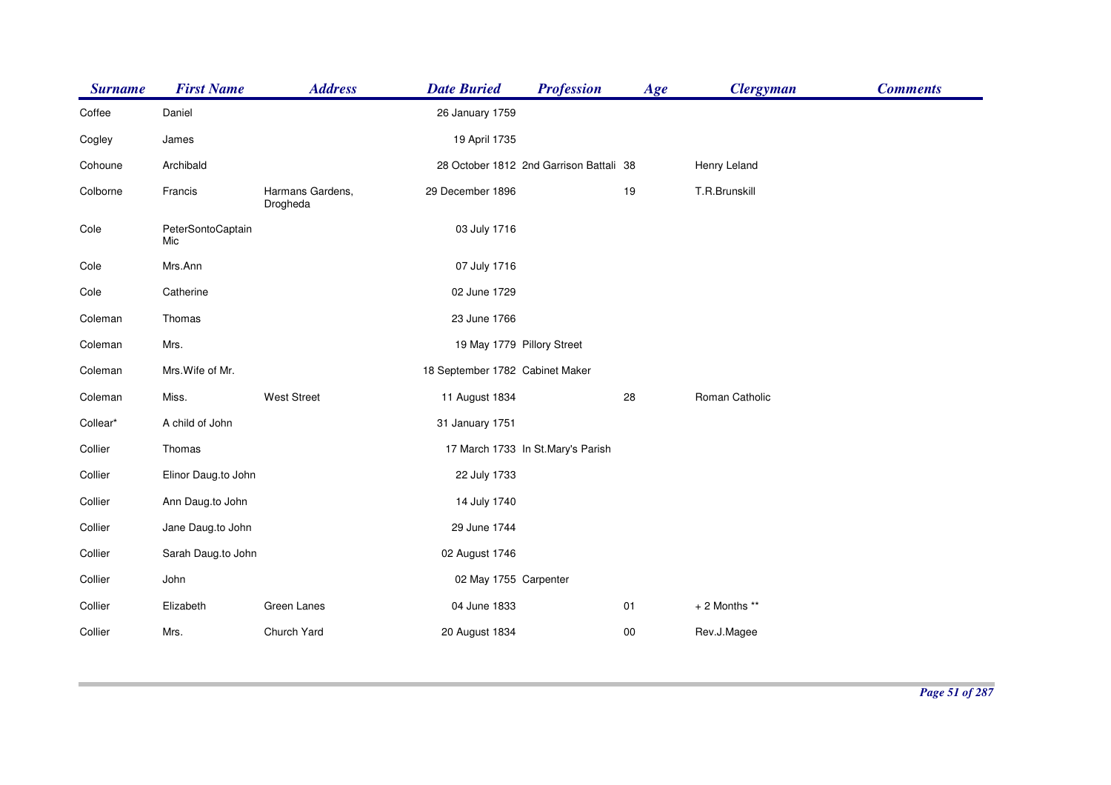| <b>Surname</b> | <b>First Name</b>        | <b>Address</b>               | <b>Date Buried</b>              | <b>Profession</b>                       | Age    | <b>Clergyman</b> | <b>Comments</b> |
|----------------|--------------------------|------------------------------|---------------------------------|-----------------------------------------|--------|------------------|-----------------|
| Coffee         | Daniel                   |                              | 26 January 1759                 |                                         |        |                  |                 |
| Cogley         | James                    |                              | 19 April 1735                   |                                         |        |                  |                 |
| Cohoune        | Archibald                |                              |                                 | 28 October 1812 2nd Garrison Battali 38 |        | Henry Leland     |                 |
| Colborne       | Francis                  | Harmans Gardens,<br>Drogheda | 29 December 1896                |                                         | 19     | T.R.Brunskill    |                 |
| Cole           | PeterSontoCaptain<br>Mic |                              | 03 July 1716                    |                                         |        |                  |                 |
| Cole           | Mrs.Ann                  |                              | 07 July 1716                    |                                         |        |                  |                 |
| Cole           | Catherine                |                              | 02 June 1729                    |                                         |        |                  |                 |
| Coleman        | Thomas                   |                              | 23 June 1766                    |                                         |        |                  |                 |
| Coleman        | Mrs.                     |                              | 19 May 1779 Pillory Street      |                                         |        |                  |                 |
| Coleman        | Mrs. Wife of Mr.         |                              | 18 September 1782 Cabinet Maker |                                         |        |                  |                 |
| Coleman        | Miss.                    | <b>West Street</b>           | 11 August 1834                  |                                         | 28     | Roman Catholic   |                 |
| Collear*       | A child of John          |                              | 31 January 1751                 |                                         |        |                  |                 |
| Collier        | Thomas                   |                              |                                 | 17 March 1733 In St.Mary's Parish       |        |                  |                 |
| Collier        | Elinor Daug.to John      |                              | 22 July 1733                    |                                         |        |                  |                 |
| Collier        | Ann Daug.to John         |                              | 14 July 1740                    |                                         |        |                  |                 |
| Collier        | Jane Daug.to John        |                              | 29 June 1744                    |                                         |        |                  |                 |
| Collier        | Sarah Daug.to John       |                              | 02 August 1746                  |                                         |        |                  |                 |
| Collier        | John                     |                              | 02 May 1755 Carpenter           |                                         |        |                  |                 |
| Collier        | Elizabeth                | Green Lanes                  | 04 June 1833                    |                                         | 01     | + 2 Months **    |                 |
| Collier        | Mrs.                     | Church Yard                  | 20 August 1834                  |                                         | $00\,$ | Rev.J.Magee      |                 |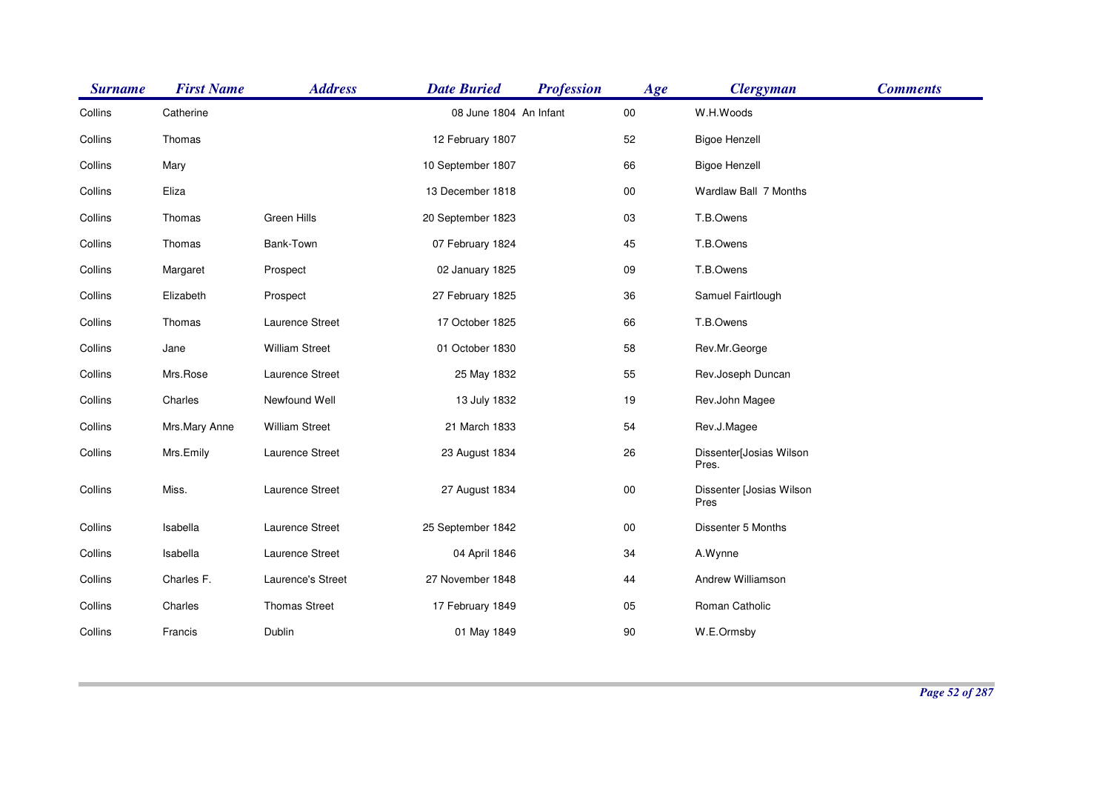| <b>Surname</b> | <b>First Name</b> | <b>Address</b>        | <b>Date Buried</b>     | <b>Profession</b> | Age    | <b>Clergyman</b>                 | <b>Comments</b> |
|----------------|-------------------|-----------------------|------------------------|-------------------|--------|----------------------------------|-----------------|
| Collins        | Catherine         |                       | 08 June 1804 An Infant |                   | $00\,$ | W.H.Woods                        |                 |
| Collins        | Thomas            |                       | 12 February 1807       |                   | 52     | <b>Bigoe Henzell</b>             |                 |
| Collins        | Mary              |                       | 10 September 1807      |                   | 66     | <b>Bigoe Henzell</b>             |                 |
| Collins        | Eliza             |                       | 13 December 1818       |                   | $00\,$ | Wardlaw Ball 7 Months            |                 |
| Collins        | Thomas            | Green Hills           | 20 September 1823      |                   | 03     | T.B.Owens                        |                 |
| Collins        | Thomas            | Bank-Town             | 07 February 1824       |                   | 45     | T.B.Owens                        |                 |
| Collins        | Margaret          | Prospect              | 02 January 1825        |                   | 09     | T.B.Owens                        |                 |
| Collins        | Elizabeth         | Prospect              | 27 February 1825       |                   | 36     | Samuel Fairtlough                |                 |
| Collins        | Thomas            | Laurence Street       | 17 October 1825        |                   | 66     | T.B.Owens                        |                 |
| Collins        | Jane              | <b>William Street</b> | 01 October 1830        |                   | 58     | Rev.Mr.George                    |                 |
| Collins        | Mrs.Rose          | Laurence Street       | 25 May 1832            |                   | 55     | Rev.Joseph Duncan                |                 |
| Collins        | Charles           | Newfound Well         | 13 July 1832           |                   | 19     | Rev.John Magee                   |                 |
| Collins        | Mrs.Mary Anne     | <b>William Street</b> | 21 March 1833          |                   | 54     | Rev.J.Magee                      |                 |
| Collins        | Mrs.Emily         | Laurence Street       | 23 August 1834         |                   | 26     | Dissenter[Josias Wilson<br>Pres. |                 |
| Collins        | Miss.             | Laurence Street       | 27 August 1834         |                   | $00\,$ | Dissenter [Josias Wilson<br>Pres |                 |
| Collins        | Isabella          | Laurence Street       | 25 September 1842      |                   | $00\,$ | Dissenter 5 Months               |                 |
| Collins        | Isabella          | Laurence Street       | 04 April 1846          |                   | 34     | A.Wynne                          |                 |
| Collins        | Charles F.        | Laurence's Street     | 27 November 1848       |                   | 44     | Andrew Williamson                |                 |
| Collins        | Charles           | <b>Thomas Street</b>  | 17 February 1849       |                   | 05     | Roman Catholic                   |                 |
| Collins        | Francis           | Dublin                | 01 May 1849            |                   | $90\,$ | W.E.Ormsby                       |                 |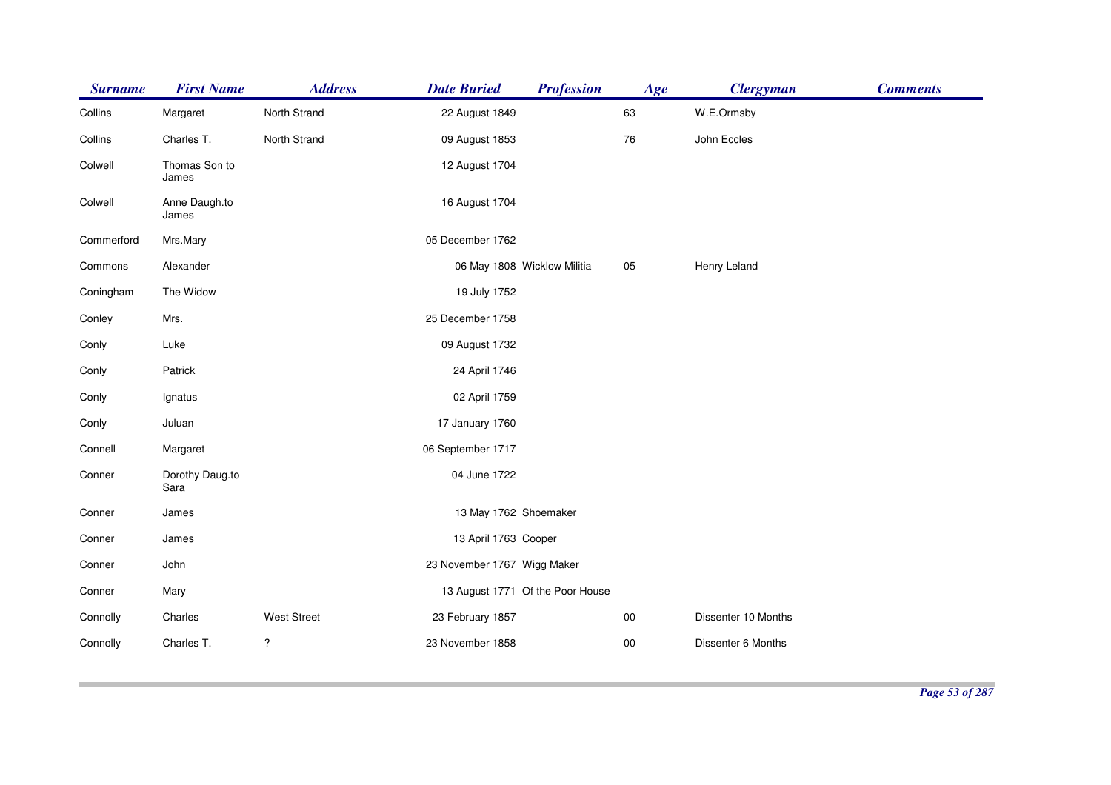| <b>Surname</b> | <b>First Name</b>       | <b>Address</b>          | <b>Date Buried</b>          | <b>Profession</b>                | Age    | <b>Clergyman</b>    | <b>Comments</b> |
|----------------|-------------------------|-------------------------|-----------------------------|----------------------------------|--------|---------------------|-----------------|
| Collins        | Margaret                | North Strand            | 22 August 1849              |                                  | 63     | W.E.Ormsby          |                 |
| Collins        | Charles T.              | North Strand            | 09 August 1853              |                                  | 76     | John Eccles         |                 |
| Colwell        | Thomas Son to<br>James  |                         | 12 August 1704              |                                  |        |                     |                 |
| Colwell        | Anne Daugh.to<br>James  |                         | 16 August 1704              |                                  |        |                     |                 |
| Commerford     | Mrs.Mary                |                         | 05 December 1762            |                                  |        |                     |                 |
| Commons        | Alexander               |                         |                             | 06 May 1808 Wicklow Militia      | 05     | Henry Leland        |                 |
| Coningham      | The Widow               |                         | 19 July 1752                |                                  |        |                     |                 |
| Conley         | Mrs.                    |                         | 25 December 1758            |                                  |        |                     |                 |
| Conly          | Luke                    |                         | 09 August 1732              |                                  |        |                     |                 |
| Conly          | Patrick                 |                         | 24 April 1746               |                                  |        |                     |                 |
| Conly          | Ignatus                 |                         | 02 April 1759               |                                  |        |                     |                 |
| Conly          | Juluan                  |                         | 17 January 1760             |                                  |        |                     |                 |
| Connell        | Margaret                |                         | 06 September 1717           |                                  |        |                     |                 |
| Conner         | Dorothy Daug.to<br>Sara |                         | 04 June 1722                |                                  |        |                     |                 |
| Conner         | James                   |                         | 13 May 1762 Shoemaker       |                                  |        |                     |                 |
| Conner         | James                   |                         | 13 April 1763 Cooper        |                                  |        |                     |                 |
| Conner         | John                    |                         | 23 November 1767 Wigg Maker |                                  |        |                     |                 |
| Conner         | Mary                    |                         |                             | 13 August 1771 Of the Poor House |        |                     |                 |
| Connolly       | Charles                 | <b>West Street</b>      | 23 February 1857            |                                  | $00\,$ | Dissenter 10 Months |                 |
| Connolly       | Charles T.              | $\overline{\mathbf{?}}$ | 23 November 1858            |                                  | $00\,$ | Dissenter 6 Months  |                 |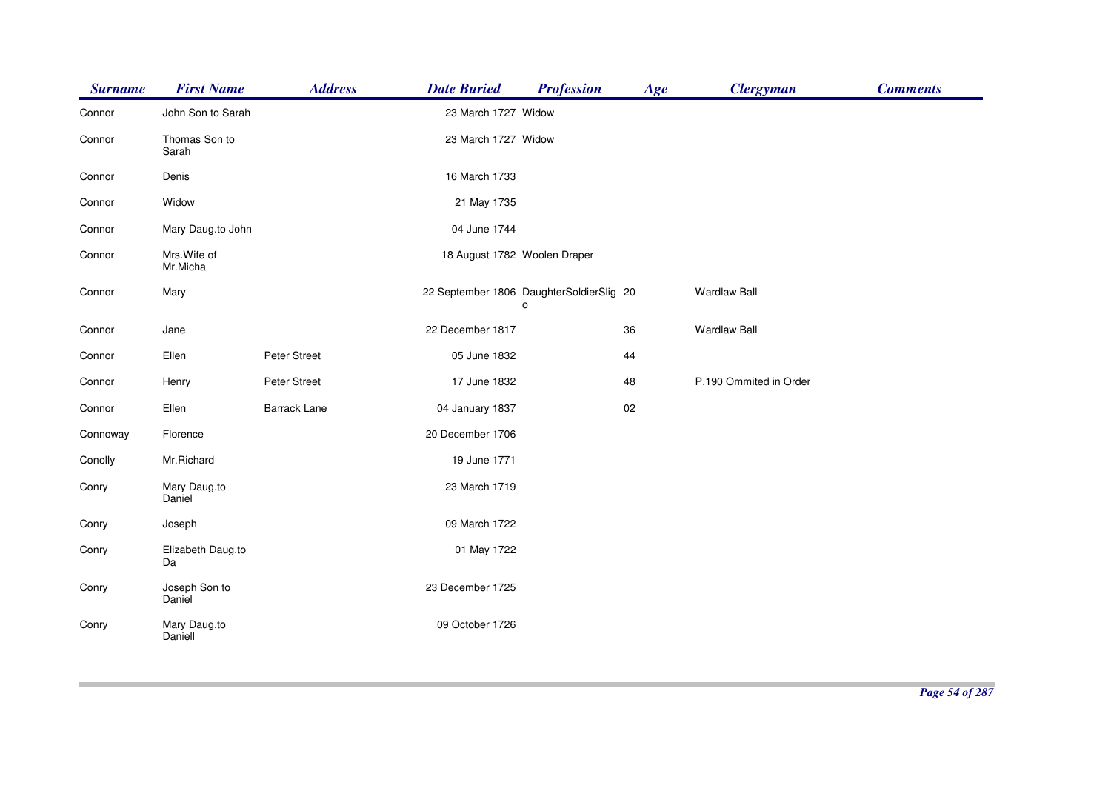| <b>Surname</b> | <b>First Name</b>        | <b>Address</b>      | <b>Date Buried</b>           | <b>Profession</b>                             | Age | <b>Clergyman</b>       | <b>Comments</b> |
|----------------|--------------------------|---------------------|------------------------------|-----------------------------------------------|-----|------------------------|-----------------|
| Connor         | John Son to Sarah        |                     | 23 March 1727 Widow          |                                               |     |                        |                 |
| Connor         | Thomas Son to<br>Sarah   |                     | 23 March 1727 Widow          |                                               |     |                        |                 |
| Connor         | Denis                    |                     | 16 March 1733                |                                               |     |                        |                 |
| Connor         | Widow                    |                     | 21 May 1735                  |                                               |     |                        |                 |
| Connor         | Mary Daug.to John        |                     | 04 June 1744                 |                                               |     |                        |                 |
| Connor         | Mrs. Wife of<br>Mr.Micha |                     | 18 August 1782 Woolen Draper |                                               |     |                        |                 |
| Connor         | Mary                     |                     |                              | 22 September 1806 DaughterSoldierSlig 20<br>o |     | <b>Wardlaw Ball</b>    |                 |
| Connor         | Jane                     |                     | 22 December 1817             |                                               | 36  | <b>Wardlaw Ball</b>    |                 |
| Connor         | Ellen                    | Peter Street        | 05 June 1832                 |                                               | 44  |                        |                 |
| Connor         | Henry                    | Peter Street        | 17 June 1832                 |                                               | 48  | P.190 Ommited in Order |                 |
| Connor         | Ellen                    | <b>Barrack Lane</b> | 04 January 1837              |                                               | 02  |                        |                 |
| Connoway       | Florence                 |                     | 20 December 1706             |                                               |     |                        |                 |
| Conolly        | Mr.Richard               |                     | 19 June 1771                 |                                               |     |                        |                 |
| Conry          | Mary Daug.to<br>Daniel   |                     | 23 March 1719                |                                               |     |                        |                 |
| Conry          | Joseph                   |                     | 09 March 1722                |                                               |     |                        |                 |
| Conry          | Elizabeth Daug.to<br>Da  |                     | 01 May 1722                  |                                               |     |                        |                 |
| Conry          | Joseph Son to<br>Daniel  |                     | 23 December 1725             |                                               |     |                        |                 |
| Conry          | Mary Daug.to<br>Daniell  |                     | 09 October 1726              |                                               |     |                        |                 |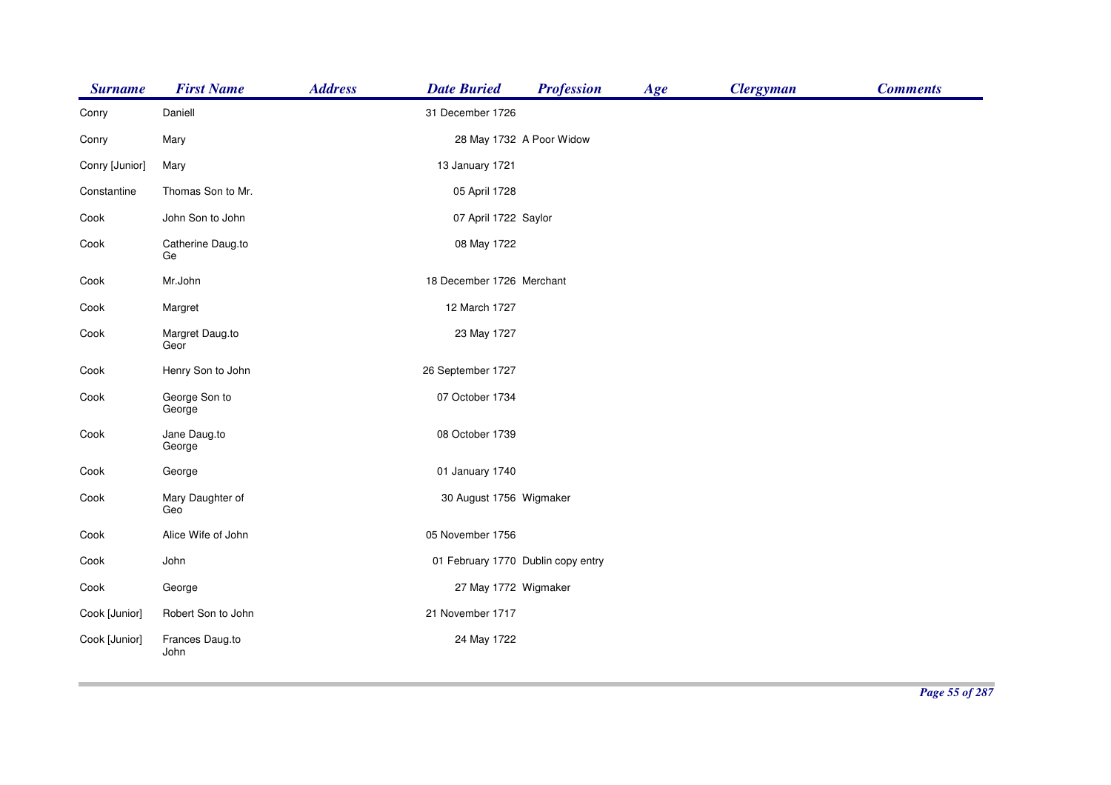| <b>Surname</b> | <b>First Name</b>       | <b>Address</b> | <b>Date Buried</b>        | <b>Profession</b>                  | Age | <b>Clergyman</b> | <b>Comments</b> |
|----------------|-------------------------|----------------|---------------------------|------------------------------------|-----|------------------|-----------------|
| Conry          | Daniell                 |                | 31 December 1726          |                                    |     |                  |                 |
| Conry          | Mary                    |                | 28 May 1732 A Poor Widow  |                                    |     |                  |                 |
| Conry [Junior] | Mary                    |                | 13 January 1721           |                                    |     |                  |                 |
| Constantine    | Thomas Son to Mr.       |                | 05 April 1728             |                                    |     |                  |                 |
| Cook           | John Son to John        |                | 07 April 1722 Saylor      |                                    |     |                  |                 |
| Cook           | Catherine Daug.to<br>Ge |                | 08 May 1722               |                                    |     |                  |                 |
| Cook           | Mr.John                 |                | 18 December 1726 Merchant |                                    |     |                  |                 |
| Cook           | Margret                 |                | 12 March 1727             |                                    |     |                  |                 |
| Cook           | Margret Daug.to<br>Geor |                | 23 May 1727               |                                    |     |                  |                 |
| Cook           | Henry Son to John       |                | 26 September 1727         |                                    |     |                  |                 |
| Cook           | George Son to<br>George |                | 07 October 1734           |                                    |     |                  |                 |
| Cook           | Jane Daug.to<br>George  |                | 08 October 1739           |                                    |     |                  |                 |
| Cook           | George                  |                | 01 January 1740           |                                    |     |                  |                 |
| Cook           | Mary Daughter of<br>Geo |                | 30 August 1756 Wigmaker   |                                    |     |                  |                 |
| Cook           | Alice Wife of John      |                | 05 November 1756          |                                    |     |                  |                 |
| Cook           | John                    |                |                           | 01 February 1770 Dublin copy entry |     |                  |                 |
| Cook           | George                  |                | 27 May 1772 Wigmaker      |                                    |     |                  |                 |
| Cook [Junior]  | Robert Son to John      |                | 21 November 1717          |                                    |     |                  |                 |
| Cook [Junior]  | Frances Daug.to<br>John |                | 24 May 1722               |                                    |     |                  |                 |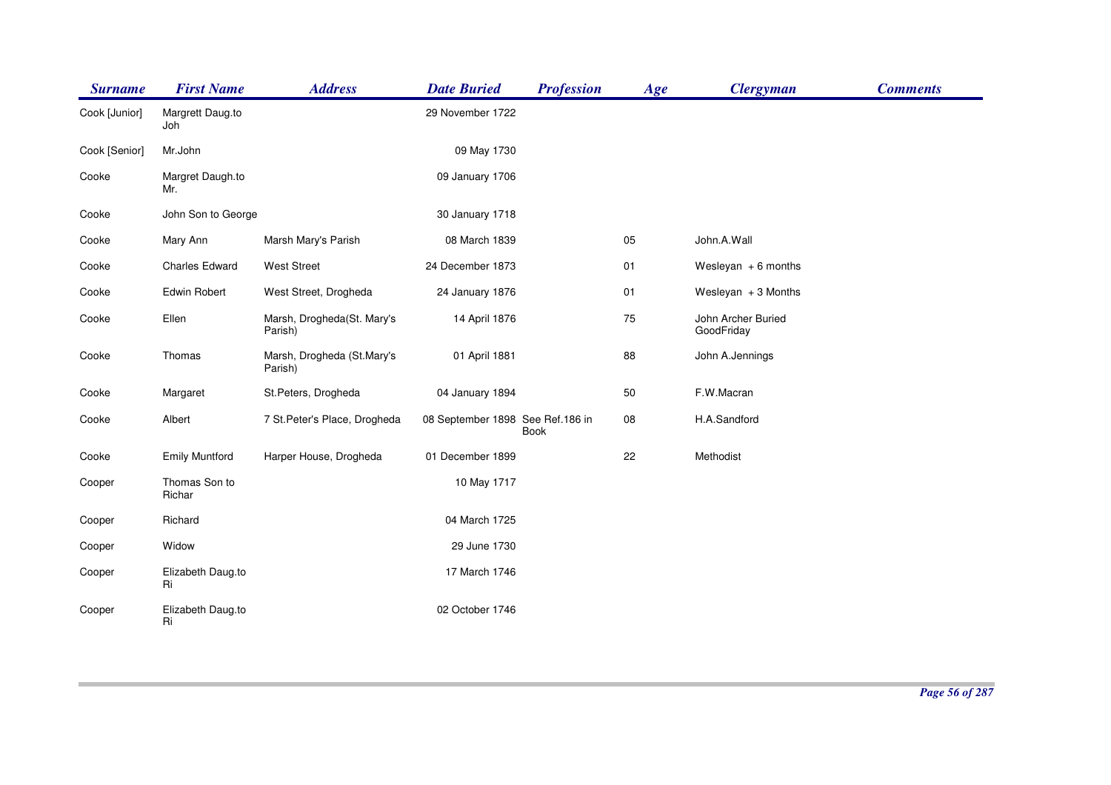| <b>Surname</b> | <b>First Name</b>       | <b>Address</b>                        | <b>Date Buried</b>               | <b>Profession</b> | Age | <b>Clergyman</b>                 | <b>Comments</b> |
|----------------|-------------------------|---------------------------------------|----------------------------------|-------------------|-----|----------------------------------|-----------------|
| Cook [Junior]  | Margrett Daug.to<br>Joh |                                       | 29 November 1722                 |                   |     |                                  |                 |
| Cook [Senior]  | Mr.John                 |                                       | 09 May 1730                      |                   |     |                                  |                 |
| Cooke          | Margret Daugh.to<br>Mr. |                                       | 09 January 1706                  |                   |     |                                  |                 |
| Cooke          | John Son to George      |                                       | 30 January 1718                  |                   |     |                                  |                 |
| Cooke          | Mary Ann                | Marsh Mary's Parish                   | 08 March 1839                    |                   | 05  | John.A.Wall                      |                 |
| Cooke          | <b>Charles Edward</b>   | <b>West Street</b>                    | 24 December 1873                 |                   | 01  | Wesleyan $+6$ months             |                 |
| Cooke          | <b>Edwin Robert</b>     | West Street, Drogheda                 | 24 January 1876                  |                   | 01  | Wesleyan $+3$ Months             |                 |
| Cooke          | Ellen                   | Marsh, Drogheda(St. Mary's<br>Parish) | 14 April 1876                    |                   | 75  | John Archer Buried<br>GoodFriday |                 |
| Cooke          | Thomas                  | Marsh, Drogheda (St.Mary's<br>Parish) | 01 April 1881                    |                   | 88  | John A.Jennings                  |                 |
| Cooke          | Margaret                | St.Peters, Drogheda                   | 04 January 1894                  |                   | 50  | F.W.Macran                       |                 |
| Cooke          | Albert                  | 7 St. Peter's Place, Drogheda         | 08 September 1898 See Ref.186 in | <b>Book</b>       | 08  | H.A.Sandford                     |                 |
| Cooke          | <b>Emily Muntford</b>   | Harper House, Drogheda                | 01 December 1899                 |                   | 22  | Methodist                        |                 |
| Cooper         | Thomas Son to<br>Richar |                                       | 10 May 1717                      |                   |     |                                  |                 |
| Cooper         | Richard                 |                                       | 04 March 1725                    |                   |     |                                  |                 |
| Cooper         | Widow                   |                                       | 29 June 1730                     |                   |     |                                  |                 |
| Cooper         | Elizabeth Daug.to<br>Ri |                                       | 17 March 1746                    |                   |     |                                  |                 |
| Cooper         | Elizabeth Daug.to<br>Ri |                                       | 02 October 1746                  |                   |     |                                  |                 |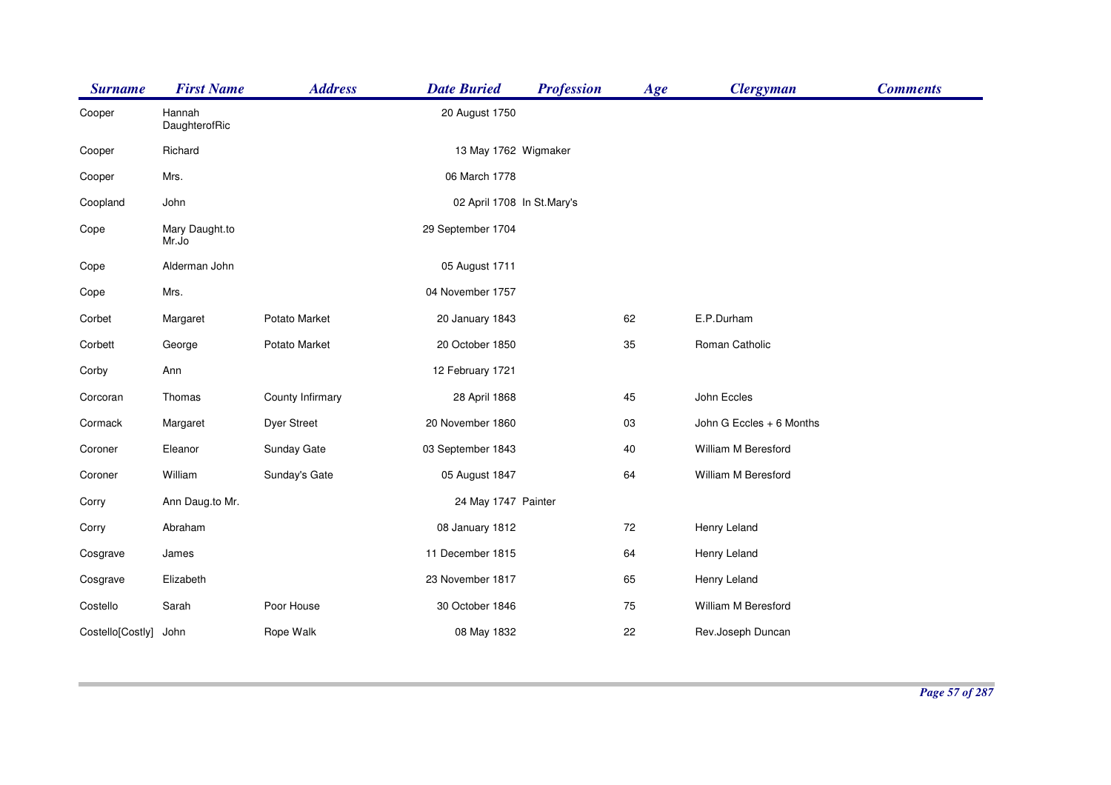| <b>Surname</b>   | <b>First Name</b>       | <b>Address</b>     | <b>Date Buried</b>         | <b>Profession</b> | Age | <b>Clergyman</b>         | <b>Comments</b> |
|------------------|-------------------------|--------------------|----------------------------|-------------------|-----|--------------------------|-----------------|
| Cooper           | Hannah<br>DaughterofRic |                    | 20 August 1750             |                   |     |                          |                 |
| Cooper           | Richard                 |                    | 13 May 1762 Wigmaker       |                   |     |                          |                 |
| Cooper           | Mrs.                    |                    | 06 March 1778              |                   |     |                          |                 |
| Coopland         | John                    |                    | 02 April 1708 In St.Mary's |                   |     |                          |                 |
| Cope             | Mary Daught.to<br>Mr.Jo |                    | 29 September 1704          |                   |     |                          |                 |
| Cope             | Alderman John           |                    | 05 August 1711             |                   |     |                          |                 |
| Cope             | Mrs.                    |                    | 04 November 1757           |                   |     |                          |                 |
| Corbet           | Margaret                | Potato Market      | 20 January 1843            |                   | 62  | E.P.Durham               |                 |
| Corbett          | George                  | Potato Market      | 20 October 1850            |                   | 35  | Roman Catholic           |                 |
| Corby            | Ann                     |                    | 12 February 1721           |                   |     |                          |                 |
| Corcoran         | Thomas                  | County Infirmary   | 28 April 1868              |                   | 45  | John Eccles              |                 |
| Cormack          | Margaret                | <b>Dyer Street</b> | 20 November 1860           |                   | 03  | John G Eccles + 6 Months |                 |
| Coroner          | Eleanor                 | Sunday Gate        | 03 September 1843          |                   | 40  | William M Beresford      |                 |
| Coroner          | William                 | Sunday's Gate      | 05 August 1847             |                   | 64  | William M Beresford      |                 |
| Corry            | Ann Daug.to Mr.         |                    | 24 May 1747 Painter        |                   |     |                          |                 |
| Corry            | Abraham                 |                    | 08 January 1812            |                   | 72  | Henry Leland             |                 |
| Cosgrave         | James                   |                    | 11 December 1815           |                   | 64  | Henry Leland             |                 |
| Cosgrave         | Elizabeth               |                    | 23 November 1817           |                   | 65  | Henry Leland             |                 |
| Costello         | Sarah                   | Poor House         | 30 October 1846            |                   | 75  | William M Beresford      |                 |
| Costello[Costly] | John                    | Rope Walk          | 08 May 1832                |                   | 22  | Rev.Joseph Duncan        |                 |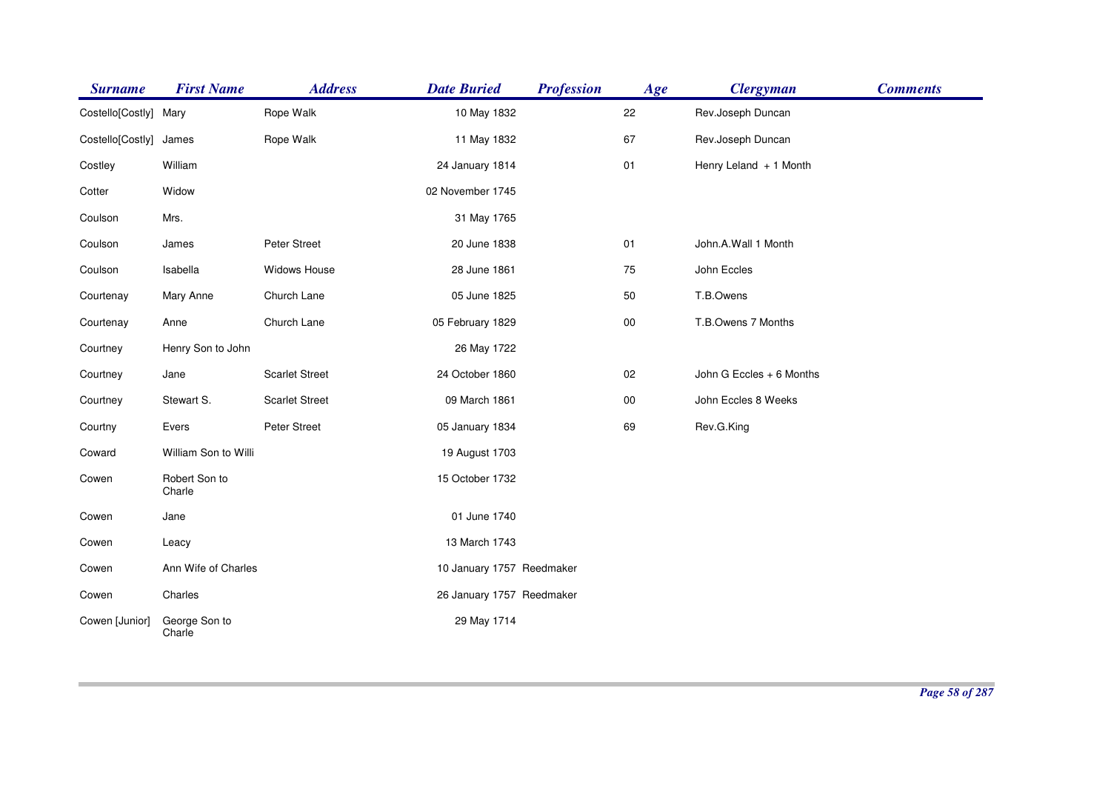| <b>Surname</b>   | <b>First Name</b>       | <b>Address</b>        | <b>Date Buried</b>        | <b>Profession</b> | Age        | <b>Clergyman</b>         | <b>Comments</b> |
|------------------|-------------------------|-----------------------|---------------------------|-------------------|------------|--------------------------|-----------------|
| Costello[Costly] | Mary                    | Rope Walk             | 10 May 1832               |                   | 22         | Rev.Joseph Duncan        |                 |
| Costello[Costly] | James                   | Rope Walk             | 11 May 1832               |                   | 67         | Rev.Joseph Duncan        |                 |
| Costley          | William                 |                       | 24 January 1814           |                   | 01         | Henry Leland + 1 Month   |                 |
| Cotter           | Widow                   |                       | 02 November 1745          |                   |            |                          |                 |
| Coulson          | Mrs.                    |                       | 31 May 1765               |                   |            |                          |                 |
| Coulson          | James                   | Peter Street          | 20 June 1838              |                   | 01         | John.A.Wall 1 Month      |                 |
| Coulson          | Isabella                | Widows House          | 28 June 1861              |                   | 75         | John Eccles              |                 |
| Courtenay        | Mary Anne               | Church Lane           | 05 June 1825              |                   | 50         | T.B.Owens                |                 |
| Courtenay        | Anne                    | Church Lane           | 05 February 1829          |                   | ${\bf 00}$ | T.B.Owens 7 Months       |                 |
| Courtney         | Henry Son to John       |                       | 26 May 1722               |                   |            |                          |                 |
| Courtney         | Jane                    | <b>Scarlet Street</b> | 24 October 1860           |                   | 02         | John G Eccles + 6 Months |                 |
| Courtney         | Stewart S.              | <b>Scarlet Street</b> | 09 March 1861             |                   | $00\,$     | John Eccles 8 Weeks      |                 |
| Courtny          | Evers                   | Peter Street          | 05 January 1834           |                   | 69         | Rev.G.King               |                 |
| Coward           | William Son to Willi    |                       | 19 August 1703            |                   |            |                          |                 |
| Cowen            | Robert Son to<br>Charle |                       | 15 October 1732           |                   |            |                          |                 |
| Cowen            | Jane                    |                       | 01 June 1740              |                   |            |                          |                 |
| Cowen            | Leacy                   |                       | 13 March 1743             |                   |            |                          |                 |
| Cowen            | Ann Wife of Charles     |                       | 10 January 1757 Reedmaker |                   |            |                          |                 |
| Cowen            | Charles                 |                       | 26 January 1757 Reedmaker |                   |            |                          |                 |
| Cowen [Junior]   | George Son to<br>Charle |                       | 29 May 1714               |                   |            |                          |                 |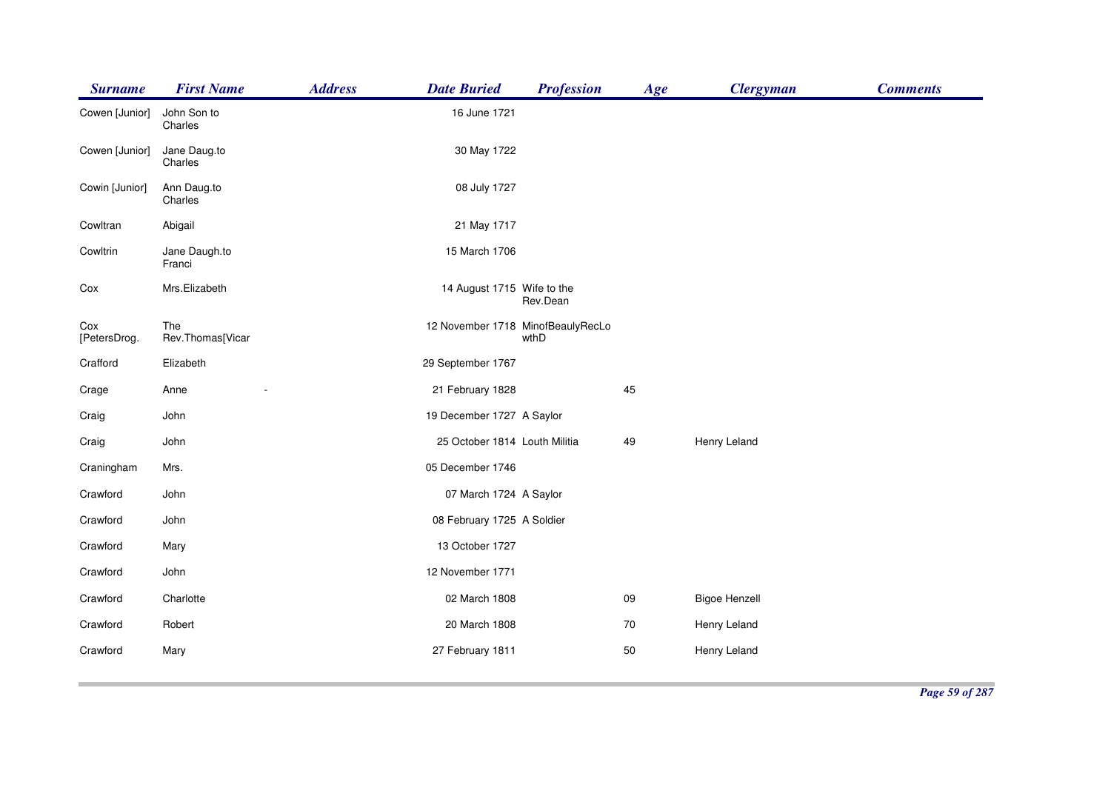| <b>Surname</b>      | <b>First Name</b>       | <b>Address</b> | <b>Date Buried</b>            | <b>Profession</b>                         | Age | <b>Clergyman</b>     | <b>Comments</b> |
|---------------------|-------------------------|----------------|-------------------------------|-------------------------------------------|-----|----------------------|-----------------|
| Cowen [Junior]      | John Son to<br>Charles  |                | 16 June 1721                  |                                           |     |                      |                 |
| Cowen [Junior]      | Jane Daug.to<br>Charles |                | 30 May 1722                   |                                           |     |                      |                 |
| Cowin [Junior]      | Ann Daug.to<br>Charles  |                | 08 July 1727                  |                                           |     |                      |                 |
| Cowltran            | Abigail                 |                | 21 May 1717                   |                                           |     |                      |                 |
| Cowltrin            | Jane Daugh.to<br>Franci |                | 15 March 1706                 |                                           |     |                      |                 |
| Cox                 | Mrs.Elizabeth           |                | 14 August 1715 Wife to the    | Rev.Dean                                  |     |                      |                 |
| Cox<br>[PetersDrog. | The<br>Rev.Thomas[Vicar |                |                               | 12 November 1718 MinofBeaulyRecLo<br>wthD |     |                      |                 |
| Crafford            | Elizabeth               |                | 29 September 1767             |                                           |     |                      |                 |
| Crage               | Anne                    |                | 21 February 1828              |                                           | 45  |                      |                 |
| Craig               | John                    |                | 19 December 1727 A Saylor     |                                           |     |                      |                 |
| Craig               | John                    |                | 25 October 1814 Louth Militia |                                           | 49  | Henry Leland         |                 |
| Craningham          | Mrs.                    |                | 05 December 1746              |                                           |     |                      |                 |
| Crawford            | John                    |                | 07 March 1724 A Saylor        |                                           |     |                      |                 |
| Crawford            | John                    |                | 08 February 1725 A Soldier    |                                           |     |                      |                 |
| Crawford            | Mary                    |                | 13 October 1727               |                                           |     |                      |                 |
| Crawford            | John                    |                | 12 November 1771              |                                           |     |                      |                 |
| Crawford            | Charlotte               |                | 02 March 1808                 |                                           | 09  | <b>Bigoe Henzell</b> |                 |
| Crawford            | Robert                  |                | 20 March 1808                 |                                           | 70  | Henry Leland         |                 |
| Crawford            | Mary                    |                | 27 February 1811              |                                           | 50  | Henry Leland         |                 |
|                     |                         |                |                               |                                           |     |                      |                 |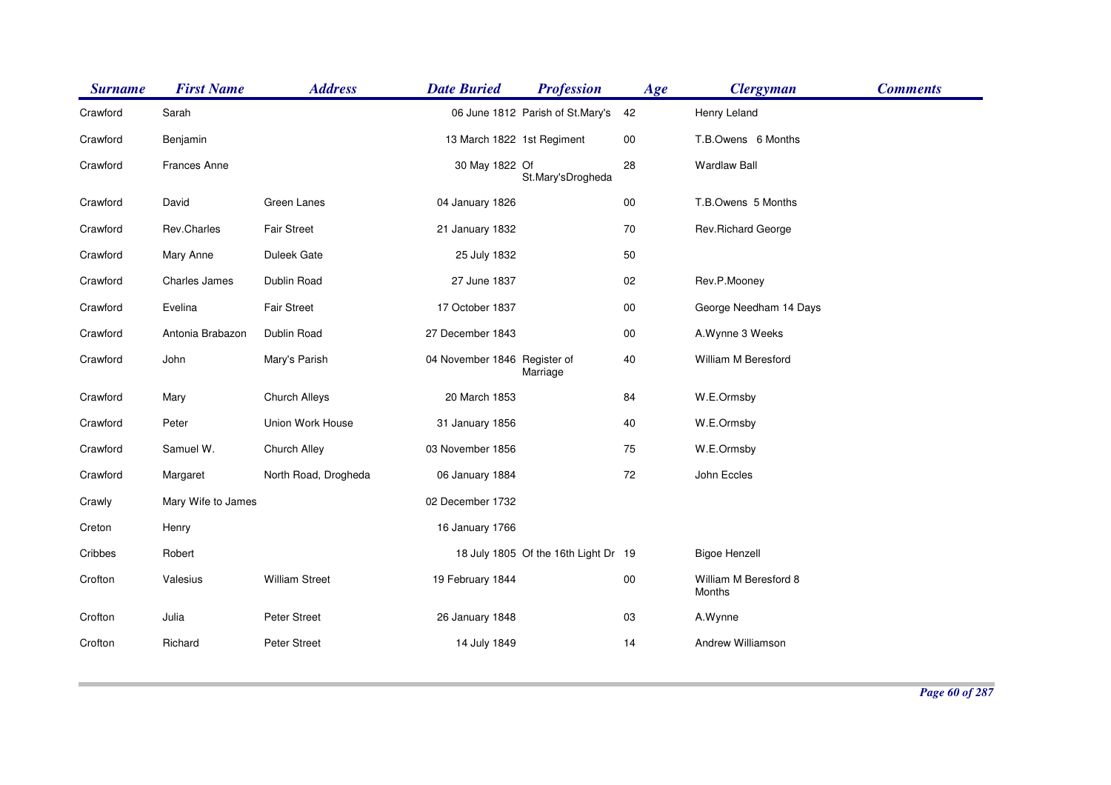| <b>Surname</b> | <b>First Name</b>   | <b>Address</b>        | <b>Date Buried</b>           | <b>Profession</b>                    | Age    | <b>Clergyman</b>                | <b>Comments</b> |
|----------------|---------------------|-----------------------|------------------------------|--------------------------------------|--------|---------------------------------|-----------------|
| Crawford       | Sarah               |                       |                              | 06 June 1812 Parish of St.Mary's     | 42     | Henry Leland                    |                 |
| Crawford       | Benjamin            |                       | 13 March 1822 1st Regiment   |                                      | 00     | T.B.Owens 6 Months              |                 |
| Crawford       | <b>Frances Anne</b> |                       | 30 May 1822 Of               | St.Mary'sDrogheda                    | 28     | <b>Wardlaw Ball</b>             |                 |
| Crawford       | David               | Green Lanes           | 04 January 1826              |                                      | $00\,$ | T.B.Owens 5 Months              |                 |
| Crawford       | Rev.Charles         | Fair Street           | 21 January 1832              |                                      | 70     | Rev.Richard George              |                 |
| Crawford       | Mary Anne           | Duleek Gate           | 25 July 1832                 |                                      | 50     |                                 |                 |
| Crawford       | Charles James       | Dublin Road           | 27 June 1837                 |                                      | 02     | Rev.P.Mooney                    |                 |
| Crawford       | Evelina             | <b>Fair Street</b>    | 17 October 1837              |                                      | $00\,$ | George Needham 14 Days          |                 |
| Crawford       | Antonia Brabazon    | Dublin Road           | 27 December 1843             |                                      | $00\,$ | A. Wynne 3 Weeks                |                 |
| Crawford       | John                | Mary's Parish         | 04 November 1846 Register of | Marriage                             | $40\,$ | William M Beresford             |                 |
| Crawford       | Mary                | Church Alleys         | 20 March 1853                |                                      | 84     | W.E.Ormsby                      |                 |
| Crawford       | Peter               | Union Work House      | 31 January 1856              |                                      | 40     | W.E.Ormsby                      |                 |
| Crawford       | Samuel W.           | Church Alley          | 03 November 1856             |                                      | 75     | W.E.Ormsby                      |                 |
| Crawford       | Margaret            | North Road, Drogheda  | 06 January 1884              |                                      | 72     | John Eccles                     |                 |
| Crawly         | Mary Wife to James  |                       | 02 December 1732             |                                      |        |                                 |                 |
| Creton         | Henry               |                       | 16 January 1766              |                                      |        |                                 |                 |
| Cribbes        | Robert              |                       |                              | 18 July 1805 Of the 16th Light Dr 19 |        | <b>Bigoe Henzell</b>            |                 |
| Crofton        | Valesius            | <b>William Street</b> | 19 February 1844             |                                      | $00\,$ | William M Beresford 8<br>Months |                 |
| Crofton        | Julia               | Peter Street          | 26 January 1848              |                                      | 03     | A.Wynne                         |                 |
| Crofton        | Richard             | Peter Street          | 14 July 1849                 |                                      | 14     | Andrew Williamson               |                 |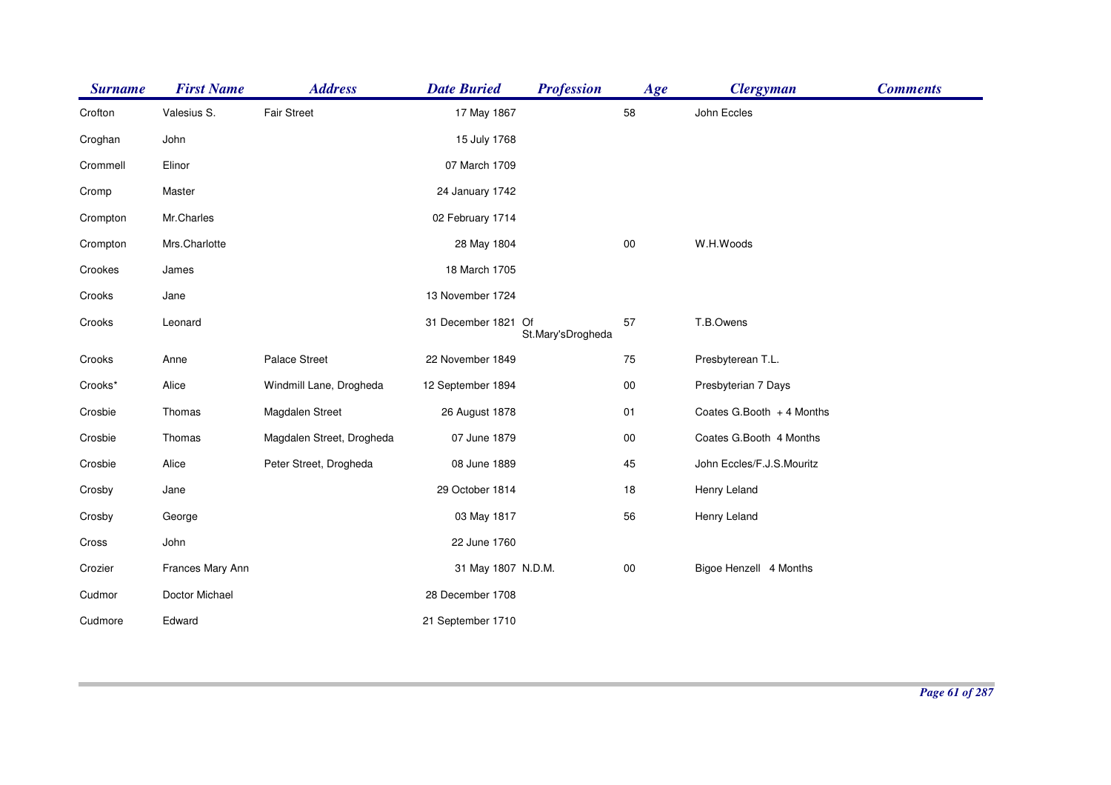| <b>Surname</b> | <b>First Name</b> | <b>Address</b>            | <b>Date Buried</b>  | <b>Profession</b> | Age    | <b>Clergyman</b>          | <b>Comments</b> |
|----------------|-------------------|---------------------------|---------------------|-------------------|--------|---------------------------|-----------------|
| Crofton        | Valesius S.       | <b>Fair Street</b>        | 17 May 1867         |                   | 58     | John Eccles               |                 |
| Croghan        | John              |                           | 15 July 1768        |                   |        |                           |                 |
| Crommell       | Elinor            |                           | 07 March 1709       |                   |        |                           |                 |
| Cromp          | Master            |                           | 24 January 1742     |                   |        |                           |                 |
| Crompton       | Mr.Charles        |                           | 02 February 1714    |                   |        |                           |                 |
| Crompton       | Mrs.Charlotte     |                           | 28 May 1804         |                   | $00\,$ | W.H.Woods                 |                 |
| Crookes        | James             |                           | 18 March 1705       |                   |        |                           |                 |
| Crooks         | Jane              |                           | 13 November 1724    |                   |        |                           |                 |
| Crooks         | Leonard           |                           | 31 December 1821 Of | St.Mary'sDrogheda | 57     | T.B.Owens                 |                 |
| Crooks         | Anne              | Palace Street             | 22 November 1849    |                   | 75     | Presbyterean T.L.         |                 |
| Crooks*        | Alice             | Windmill Lane, Drogheda   | 12 September 1894   |                   | $00\,$ | Presbyterian 7 Days       |                 |
| Crosbie        | Thomas            | Magdalen Street           | 26 August 1878      |                   | 01     | Coates G.Booth + 4 Months |                 |
| Crosbie        | Thomas            | Magdalen Street, Drogheda | 07 June 1879        |                   | $00\,$ | Coates G.Booth 4 Months   |                 |
| Crosbie        | Alice             | Peter Street, Drogheda    | 08 June 1889        |                   | 45     | John Eccles/F.J.S.Mouritz |                 |
| Crosby         | Jane              |                           | 29 October 1814     |                   | 18     | Henry Leland              |                 |
| Crosby         | George            |                           | 03 May 1817         |                   | 56     | Henry Leland              |                 |
| Cross          | John              |                           | 22 June 1760        |                   |        |                           |                 |
| Crozier        | Frances Mary Ann  |                           | 31 May 1807 N.D.M.  |                   | $00\,$ | Bigoe Henzell 4 Months    |                 |
| Cudmor         | Doctor Michael    |                           | 28 December 1708    |                   |        |                           |                 |
| Cudmore        | Edward            |                           | 21 September 1710   |                   |        |                           |                 |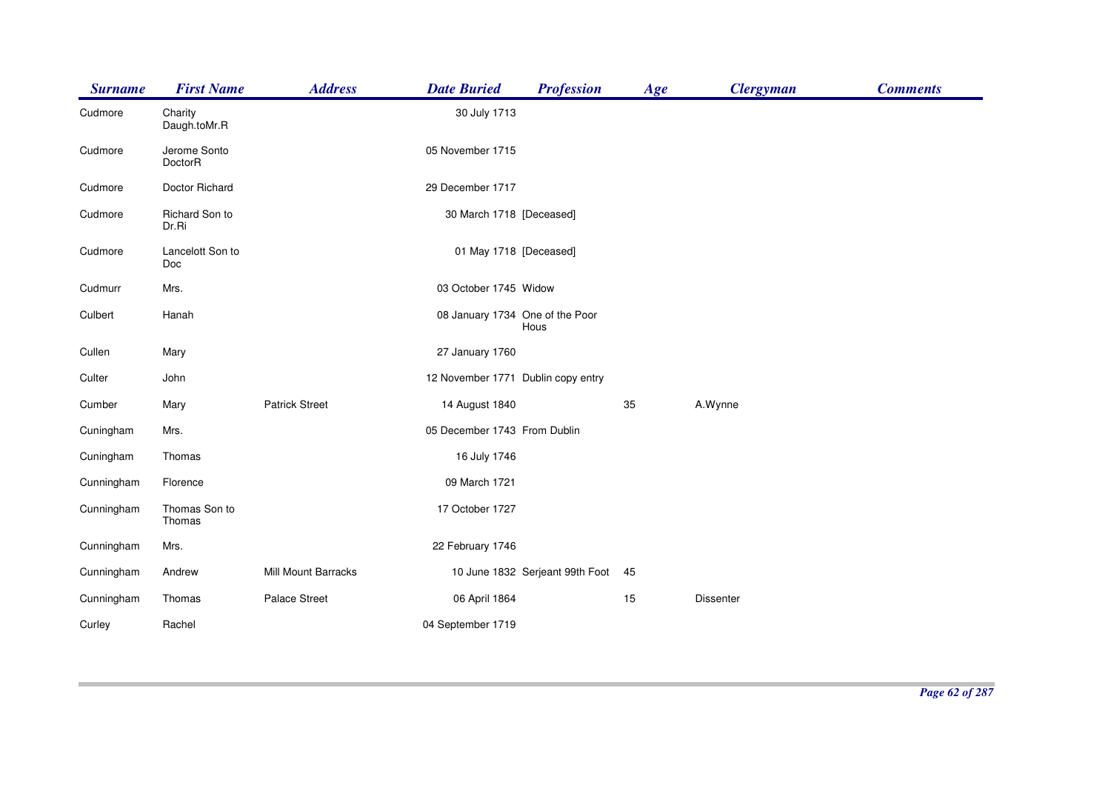| <b>Surname</b> | <b>First Name</b>       | <b>Address</b>        | <b>Date Buried</b>                 | <b>Profession</b>               | Age | <b>Clergyman</b> | <b>Comments</b> |
|----------------|-------------------------|-----------------------|------------------------------------|---------------------------------|-----|------------------|-----------------|
| Cudmore        | Charity<br>Daugh.toMr.R |                       | 30 July 1713                       |                                 |     |                  |                 |
| Cudmore        | Jerome Sonto<br>DoctorR |                       | 05 November 1715                   |                                 |     |                  |                 |
| Cudmore        | Doctor Richard          |                       | 29 December 1717                   |                                 |     |                  |                 |
| Cudmore        | Richard Son to<br>Dr.Ri |                       | 30 March 1718 [Deceased]           |                                 |     |                  |                 |
| Cudmore        | Lancelott Son to<br>Doc |                       | 01 May 1718 [Deceased]             |                                 |     |                  |                 |
| Cudmurr        | Mrs.                    |                       | 03 October 1745 Widow              |                                 |     |                  |                 |
| Culbert        | Hanah                   |                       | 08 January 1734 One of the Poor    | Hous                            |     |                  |                 |
| Cullen         | Mary                    |                       | 27 January 1760                    |                                 |     |                  |                 |
| Culter         | John                    |                       | 12 November 1771 Dublin copy entry |                                 |     |                  |                 |
| Cumber         | Mary                    | <b>Patrick Street</b> | 14 August 1840                     |                                 | 35  | A.Wynne          |                 |
| Cuningham      | Mrs.                    |                       | 05 December 1743 From Dublin       |                                 |     |                  |                 |
| Cuningham      | Thomas                  |                       | 16 July 1746                       |                                 |     |                  |                 |
| Cunningham     | Florence                |                       | 09 March 1721                      |                                 |     |                  |                 |
| Cunningham     | Thomas Son to<br>Thomas |                       | 17 October 1727                    |                                 |     |                  |                 |
| Cunningham     | Mrs.                    |                       | 22 February 1746                   |                                 |     |                  |                 |
| Cunningham     | Andrew                  | Mill Mount Barracks   |                                    | 10 June 1832 Serjeant 99th Foot | 45  |                  |                 |
| Cunningham     | Thomas                  | Palace Street         | 06 April 1864                      |                                 | 15  | Dissenter        |                 |
| Curley         | Rachel                  |                       | 04 September 1719                  |                                 |     |                  |                 |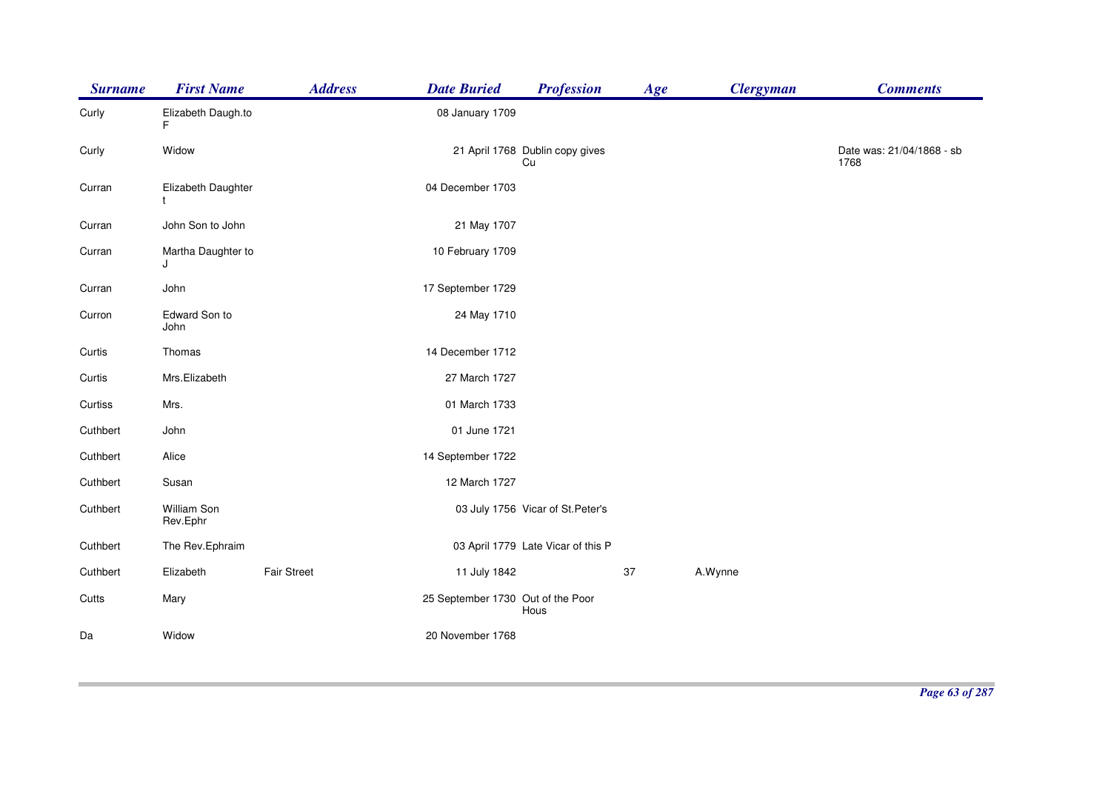| <b>Surname</b> | <b>First Name</b>       | <b>Address</b>     | <b>Date Buried</b>                | <b>Profession</b>                     | Age | <b>Clergyman</b> | <b>Comments</b>                   |
|----------------|-------------------------|--------------------|-----------------------------------|---------------------------------------|-----|------------------|-----------------------------------|
| Curly          | Elizabeth Daugh.to<br>F |                    | 08 January 1709                   |                                       |     |                  |                                   |
| Curly          | Widow                   |                    |                                   | 21 April 1768 Dublin copy gives<br>Cu |     |                  | Date was: 21/04/1868 - sb<br>1768 |
| Curran         | Elizabeth Daughter      |                    | 04 December 1703                  |                                       |     |                  |                                   |
| Curran         | John Son to John        |                    | 21 May 1707                       |                                       |     |                  |                                   |
| Curran         | Martha Daughter to<br>J |                    | 10 February 1709                  |                                       |     |                  |                                   |
| Curran         | John                    |                    | 17 September 1729                 |                                       |     |                  |                                   |
| Curron         | Edward Son to<br>John   |                    | 24 May 1710                       |                                       |     |                  |                                   |
| Curtis         | Thomas                  |                    | 14 December 1712                  |                                       |     |                  |                                   |
| Curtis         | Mrs.Elizabeth           |                    | 27 March 1727                     |                                       |     |                  |                                   |
| Curtiss        | Mrs.                    |                    | 01 March 1733                     |                                       |     |                  |                                   |
| Cuthbert       | John                    |                    | 01 June 1721                      |                                       |     |                  |                                   |
| Cuthbert       | Alice                   |                    | 14 September 1722                 |                                       |     |                  |                                   |
| Cuthbert       | Susan                   |                    | 12 March 1727                     |                                       |     |                  |                                   |
| Cuthbert       | William Son<br>Rev.Ephr |                    |                                   | 03 July 1756 Vicar of St. Peter's     |     |                  |                                   |
| Cuthbert       | The Rev.Ephraim         |                    |                                   | 03 April 1779 Late Vicar of this P    |     |                  |                                   |
| Cuthbert       | Elizabeth               | <b>Fair Street</b> | 11 July 1842                      |                                       | 37  | A.Wynne          |                                   |
| Cutts          | Mary                    |                    | 25 September 1730 Out of the Poor | Hous                                  |     |                  |                                   |
| Da             | Widow                   |                    | 20 November 1768                  |                                       |     |                  |                                   |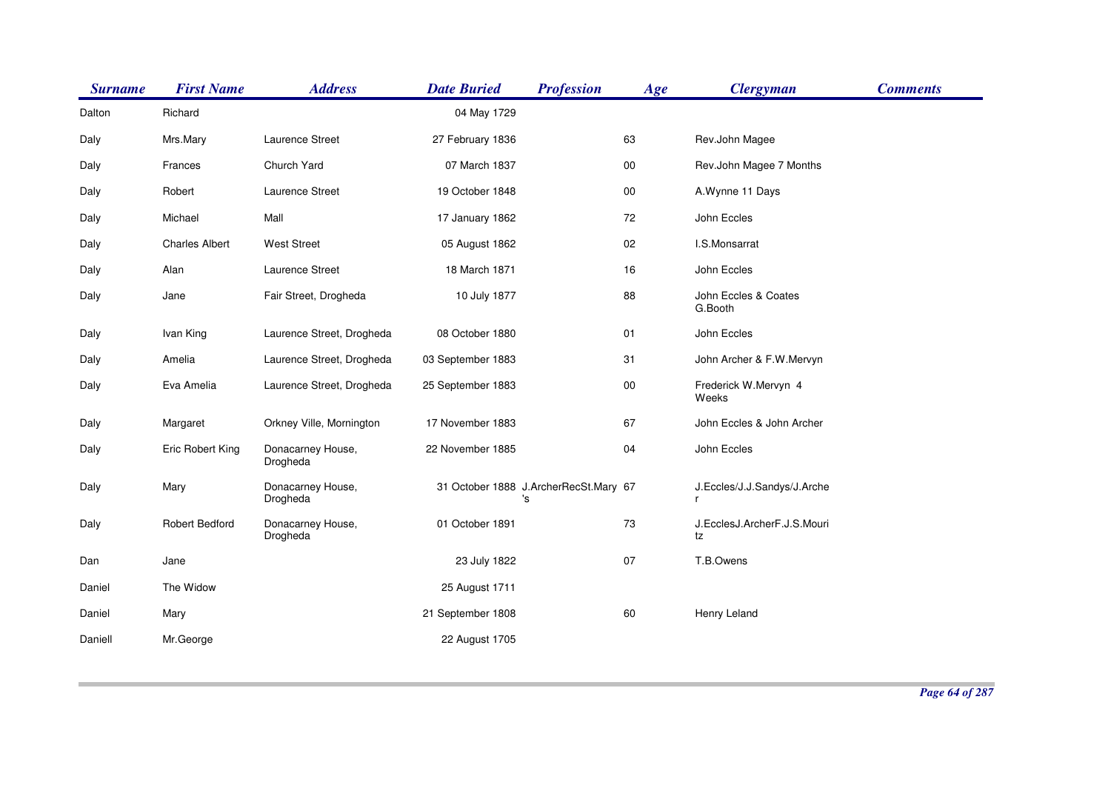| <b>Surname</b> | <b>First Name</b>     | <b>Address</b>                | <b>Date Buried</b> | <b>Profession</b>                           | Age    | <b>Clergyman</b>                  | <b>Comments</b> |
|----------------|-----------------------|-------------------------------|--------------------|---------------------------------------------|--------|-----------------------------------|-----------------|
| Dalton         | Richard               |                               | 04 May 1729        |                                             |        |                                   |                 |
| Daly           | Mrs.Mary              | Laurence Street               | 27 February 1836   |                                             | 63     | Rev.John Magee                    |                 |
| Daly           | Frances               | Church Yard                   | 07 March 1837      |                                             | 00     | Rev.John Magee 7 Months           |                 |
| Daly           | Robert                | Laurence Street               | 19 October 1848    |                                             | $00\,$ | A.Wynne 11 Days                   |                 |
| Daly           | Michael               | Mall                          | 17 January 1862    |                                             | 72     | John Eccles                       |                 |
| Daly           | <b>Charles Albert</b> | <b>West Street</b>            | 05 August 1862     |                                             | 02     | I.S.Monsarrat                     |                 |
| Daly           | Alan                  | Laurence Street               | 18 March 1871      |                                             | 16     | John Eccles                       |                 |
| Daly           | Jane                  | Fair Street, Drogheda         | 10 July 1877       |                                             | 88     | John Eccles & Coates<br>G.Booth   |                 |
| Daly           | Ivan King             | Laurence Street, Drogheda     | 08 October 1880    |                                             | 01     | John Eccles                       |                 |
| Daly           | Amelia                | Laurence Street, Drogheda     | 03 September 1883  |                                             | 31     | John Archer & F.W.Mervyn          |                 |
| Daly           | Eva Amelia            | Laurence Street, Drogheda     | 25 September 1883  |                                             | $00\,$ | Frederick W.Mervyn 4<br>Weeks     |                 |
| Daly           | Margaret              | Orkney Ville, Mornington      | 17 November 1883   |                                             | 67     | John Eccles & John Archer         |                 |
| Daly           | Eric Robert King      | Donacarney House,<br>Drogheda | 22 November 1885   |                                             | 04     | John Eccles                       |                 |
| Daly           | Mary                  | Donacarney House,<br>Drogheda |                    | 31 October 1888 J.ArcherRecSt.Mary 67<br>'s |        | J.Eccles/J.J.Sandys/J.Arche<br>r  |                 |
| Daly           | Robert Bedford        | Donacarney House,<br>Drogheda | 01 October 1891    |                                             | 73     | J.EcclesJ.ArcherF.J.S.Mouri<br>tz |                 |
| Dan            | Jane                  |                               | 23 July 1822       |                                             | 07     | T.B.Owens                         |                 |
| Daniel         | The Widow             |                               | 25 August 1711     |                                             |        |                                   |                 |
| Daniel         | Mary                  |                               | 21 September 1808  |                                             | 60     | Henry Leland                      |                 |
| Daniell        | Mr.George             |                               | 22 August 1705     |                                             |        |                                   |                 |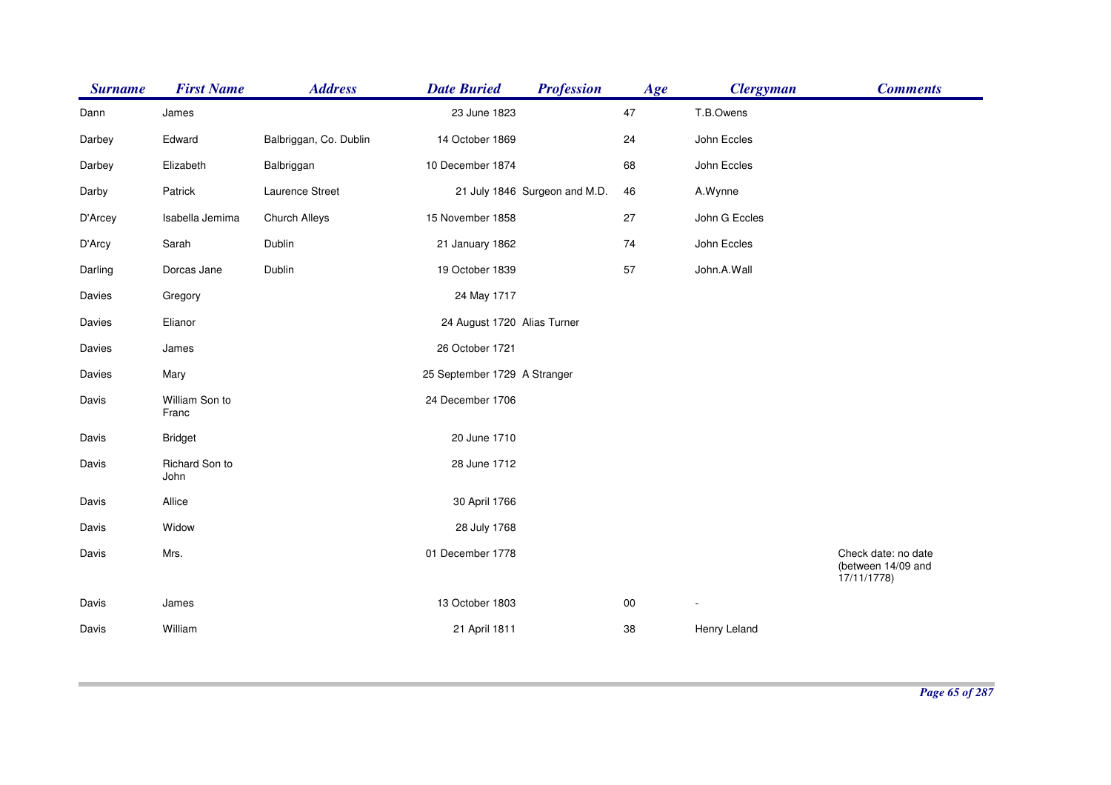| <b>Surname</b> | <b>First Name</b>       | <b>Address</b>         | <b>Date Buried</b>           | <b>Profession</b>             | Age    | <b>Clergyman</b> | <b>Comments</b>                                         |
|----------------|-------------------------|------------------------|------------------------------|-------------------------------|--------|------------------|---------------------------------------------------------|
| Dann           | James                   |                        | 23 June 1823                 |                               | 47     | T.B.Owens        |                                                         |
| Darbey         | Edward                  | Balbriggan, Co. Dublin | 14 October 1869              |                               | 24     | John Eccles      |                                                         |
| Darbey         | Elizabeth               | Balbriggan             | 10 December 1874             |                               | 68     | John Eccles      |                                                         |
| Darby          | Patrick                 | Laurence Street        |                              | 21 July 1846 Surgeon and M.D. | 46     | A.Wynne          |                                                         |
| D'Arcey        | Isabella Jemima         | Church Alleys          | 15 November 1858             |                               | 27     | John G Eccles    |                                                         |
| D'Arcy         | Sarah                   | Dublin                 | 21 January 1862              |                               | 74     | John Eccles      |                                                         |
| Darling        | Dorcas Jane             | Dublin                 | 19 October 1839              |                               | 57     | John.A.Wall      |                                                         |
| Davies         | Gregory                 |                        | 24 May 1717                  |                               |        |                  |                                                         |
| Davies         | Elianor                 |                        | 24 August 1720 Alias Turner  |                               |        |                  |                                                         |
| Davies         | James                   |                        | 26 October 1721              |                               |        |                  |                                                         |
| Davies         | Mary                    |                        | 25 September 1729 A Stranger |                               |        |                  |                                                         |
| Davis          | William Son to<br>Franc |                        | 24 December 1706             |                               |        |                  |                                                         |
| Davis          | <b>Bridget</b>          |                        | 20 June 1710                 |                               |        |                  |                                                         |
| Davis          | Richard Son to<br>John  |                        | 28 June 1712                 |                               |        |                  |                                                         |
| Davis          | Allice                  |                        | 30 April 1766                |                               |        |                  |                                                         |
| Davis          | Widow                   |                        | 28 July 1768                 |                               |        |                  |                                                         |
| Davis          | Mrs.                    |                        | 01 December 1778             |                               |        |                  | Check date: no date<br>(between 14/09 and<br>17/11/1778 |
| Davis          | James                   |                        | 13 October 1803              |                               | $00\,$ |                  |                                                         |
| Davis          | William                 |                        | 21 April 1811                |                               | 38     | Henry Leland     |                                                         |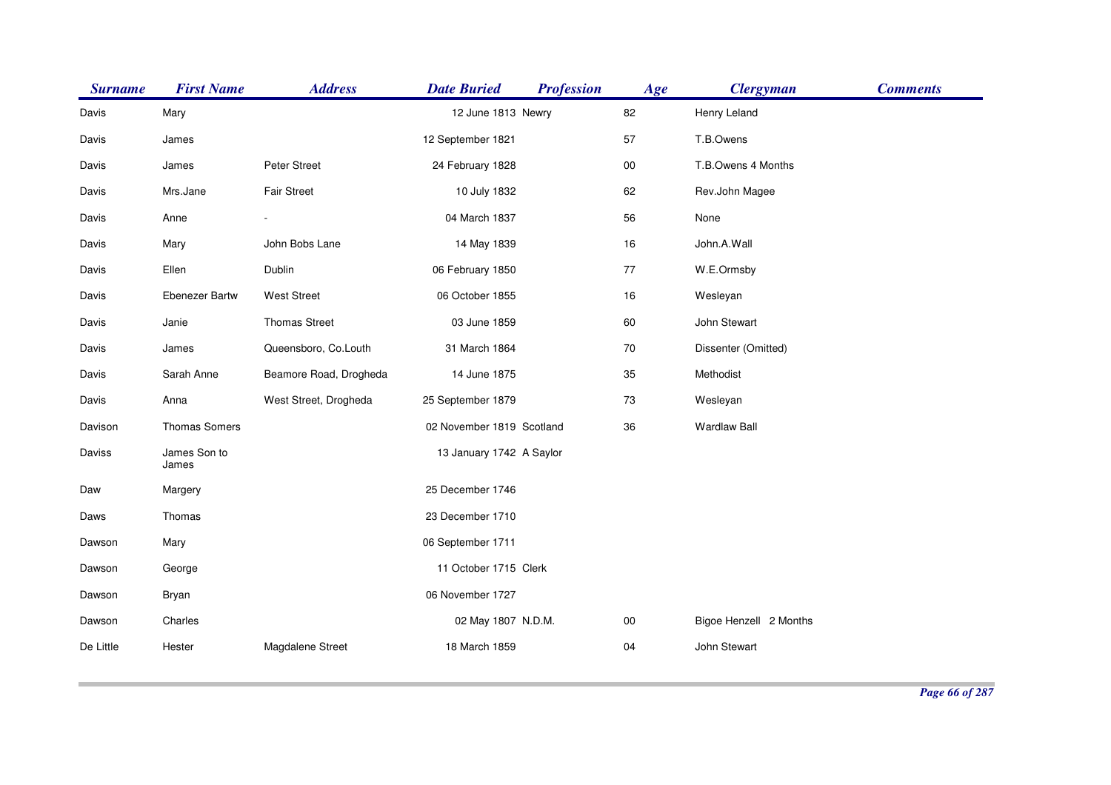| <b>Surname</b> | <b>First Name</b>     | <b>Address</b>         | <b>Date Buried</b>        | <b>Profession</b> | Age        | <b>Clergyman</b>       | <b>Comments</b> |
|----------------|-----------------------|------------------------|---------------------------|-------------------|------------|------------------------|-----------------|
| Davis          | Mary                  |                        | 12 June 1813 Newry        |                   | 82         | Henry Leland           |                 |
| Davis          | James                 |                        | 12 September 1821         |                   | 57         | T.B.Owens              |                 |
| Davis          | James                 | Peter Street           | 24 February 1828          |                   | ${\bf 00}$ | T.B.Owens 4 Months     |                 |
| Davis          | Mrs.Jane              | Fair Street            | 10 July 1832              |                   | 62         | Rev.John Magee         |                 |
| Davis          | Anne                  |                        | 04 March 1837             |                   | 56         | None                   |                 |
| Davis          | Mary                  | John Bobs Lane         | 14 May 1839               |                   | 16         | John.A.Wall            |                 |
| Davis          | Ellen                 | Dublin                 | 06 February 1850          |                   | 77         | W.E.Ormsby             |                 |
| Davis          | <b>Ebenezer Bartw</b> | <b>West Street</b>     | 06 October 1855           |                   | 16         | Wesleyan               |                 |
| Davis          | Janie                 | <b>Thomas Street</b>   | 03 June 1859              |                   | 60         | John Stewart           |                 |
| Davis          | James                 | Queensboro, Co.Louth   | 31 March 1864             |                   | 70         | Dissenter (Omitted)    |                 |
| Davis          | Sarah Anne            | Beamore Road, Drogheda | 14 June 1875              |                   | 35         | Methodist              |                 |
| Davis          | Anna                  | West Street, Drogheda  | 25 September 1879         |                   | 73         | Wesleyan               |                 |
| Davison        | Thomas Somers         |                        | 02 November 1819 Scotland |                   | 36         | <b>Wardlaw Ball</b>    |                 |
| Daviss         | James Son to<br>James |                        | 13 January 1742 A Saylor  |                   |            |                        |                 |
| Daw            | Margery               |                        | 25 December 1746          |                   |            |                        |                 |
| Daws           | Thomas                |                        | 23 December 1710          |                   |            |                        |                 |
| Dawson         | Mary                  |                        | 06 September 1711         |                   |            |                        |                 |
| Dawson         | George                |                        | 11 October 1715 Clerk     |                   |            |                        |                 |
| Dawson         | Bryan                 |                        | 06 November 1727          |                   |            |                        |                 |
| Dawson         | Charles               |                        | 02 May 1807 N.D.M.        |                   | $00\,$     | Bigoe Henzell 2 Months |                 |
| De Little      | Hester                | Magdalene Street       | 18 March 1859             |                   | 04         | John Stewart           |                 |
|                |                       |                        |                           |                   |            |                        |                 |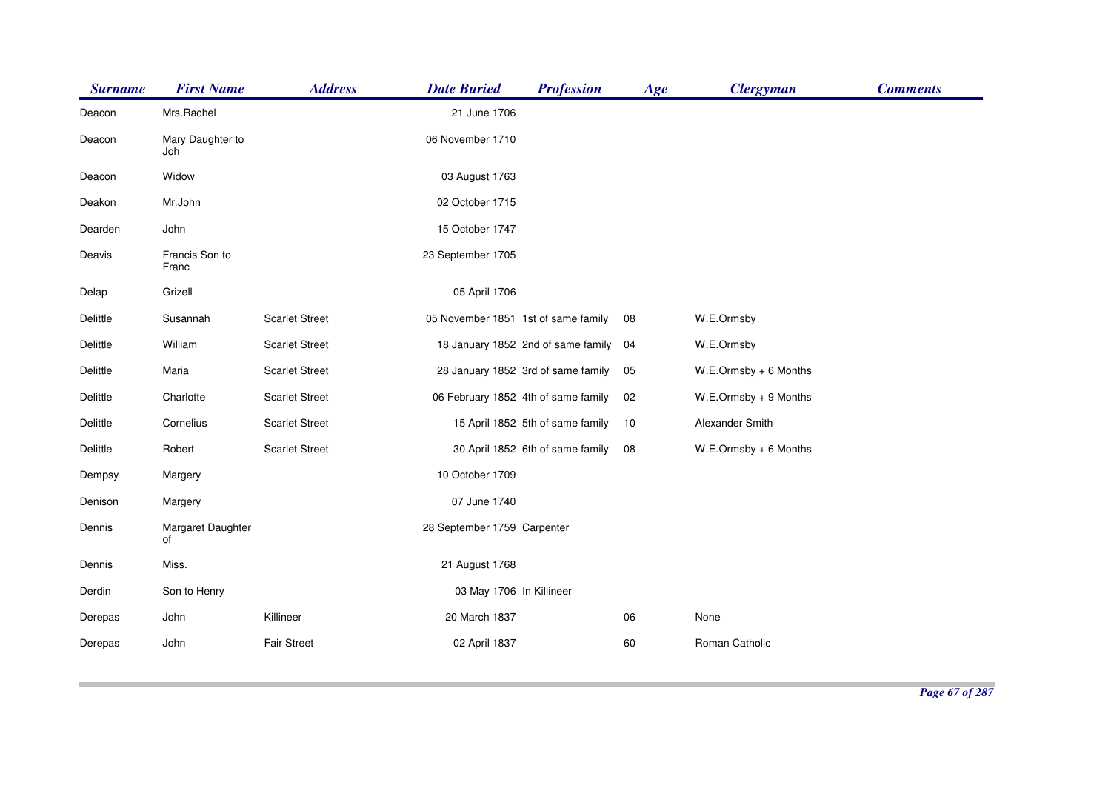| <b>Surname</b>  | <b>First Name</b>       | <b>Address</b>        | <b>Date Buried</b>                  | <b>Profession</b>                   | Age | <b>Clergyman</b>         | <b>Comments</b> |
|-----------------|-------------------------|-----------------------|-------------------------------------|-------------------------------------|-----|--------------------------|-----------------|
| Deacon          | Mrs.Rachel              |                       | 21 June 1706                        |                                     |     |                          |                 |
| Deacon          | Mary Daughter to<br>Joh |                       | 06 November 1710                    |                                     |     |                          |                 |
| Deacon          | Widow                   |                       | 03 August 1763                      |                                     |     |                          |                 |
| Deakon          | Mr.John                 |                       | 02 October 1715                     |                                     |     |                          |                 |
| Dearden         | John                    |                       | 15 October 1747                     |                                     |     |                          |                 |
| Deavis          | Francis Son to<br>Franc |                       | 23 September 1705                   |                                     |     |                          |                 |
| Delap           | Grizell                 |                       | 05 April 1706                       |                                     |     |                          |                 |
| <b>Delittle</b> | Susannah                | <b>Scarlet Street</b> | 05 November 1851 1st of same family |                                     | 08  | W.E.Ormsby               |                 |
| Delittle        | William                 | <b>Scarlet Street</b> |                                     | 18 January 1852 2nd of same family  | 04  | W.E.Ormsby               |                 |
| Delittle        | Maria                   | <b>Scarlet Street</b> |                                     | 28 January 1852 3rd of same family  | 05  | $W.E. Ormsby + 6$ Months |                 |
| Delittle        | Charlotte               | <b>Scarlet Street</b> |                                     | 06 February 1852 4th of same family | 02  | W.E.Ormsby + 9 Months    |                 |
| Delittle        | Cornelius               | <b>Scarlet Street</b> |                                     | 15 April 1852 5th of same family    | 10  | Alexander Smith          |                 |
| Delittle        | Robert                  | <b>Scarlet Street</b> |                                     | 30 April 1852 6th of same family    | 08  | $W.E. Ormsby + 6$ Months |                 |
| Dempsy          | Margery                 |                       | 10 October 1709                     |                                     |     |                          |                 |
| Denison         | Margery                 |                       | 07 June 1740                        |                                     |     |                          |                 |
| Dennis          | Margaret Daughter<br>of |                       | 28 September 1759 Carpenter         |                                     |     |                          |                 |
| Dennis          | Miss.                   |                       | 21 August 1768                      |                                     |     |                          |                 |
| Derdin          | Son to Henry            |                       | 03 May 1706 In Killineer            |                                     |     |                          |                 |
| Derepas         | John                    | Killineer             | 20 March 1837                       |                                     | 06  | None                     |                 |
| Derepas         | John                    | <b>Fair Street</b>    | 02 April 1837                       |                                     | 60  | Roman Catholic           |                 |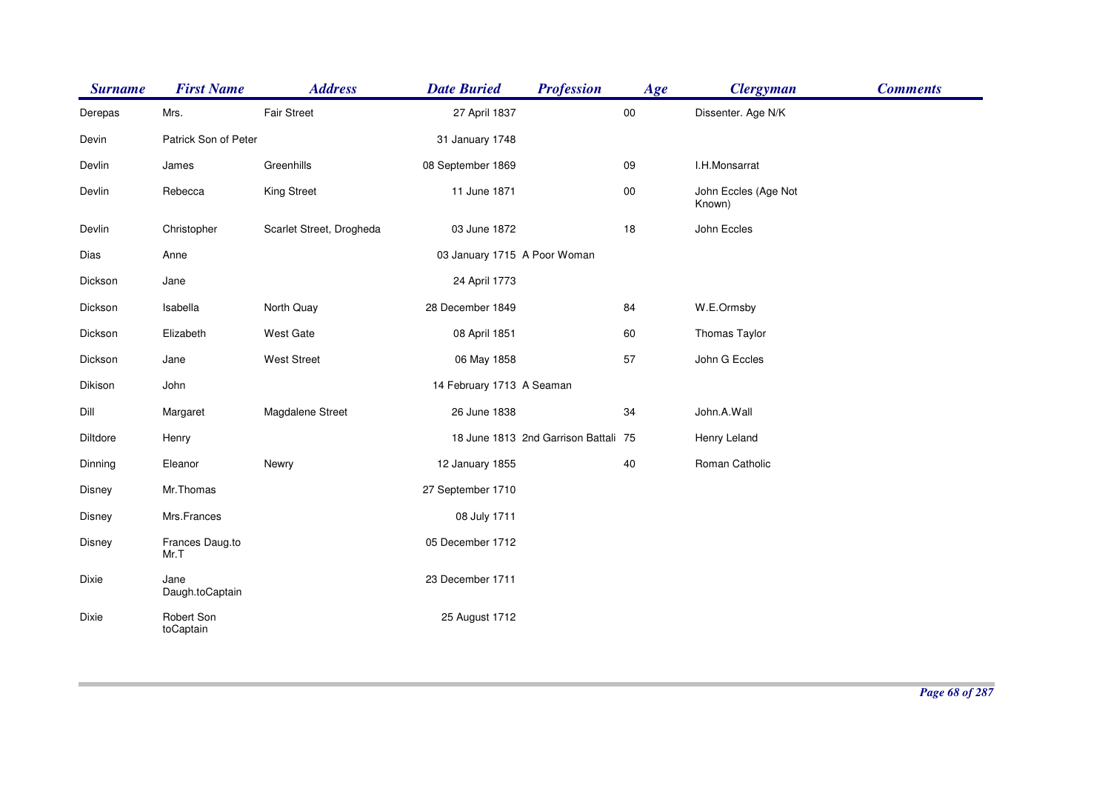| <b>Surname</b> | <b>First Name</b>       | <b>Address</b>           | <b>Date Buried</b>           | <b>Profession</b>                    | Age        | <b>Clergyman</b>               | <b>Comments</b> |
|----------------|-------------------------|--------------------------|------------------------------|--------------------------------------|------------|--------------------------------|-----------------|
| Derepas        | Mrs.                    | <b>Fair Street</b>       | 27 April 1837                |                                      | ${\bf 00}$ | Dissenter. Age N/K             |                 |
| Devin          | Patrick Son of Peter    |                          | 31 January 1748              |                                      |            |                                |                 |
| Devlin         | James                   | Greenhills               | 08 September 1869            |                                      | 09         | I.H.Monsarrat                  |                 |
| Devlin         | Rebecca                 | <b>King Street</b>       | 11 June 1871                 |                                      | $00\,$     | John Eccles (Age Not<br>Known) |                 |
| Devlin         | Christopher             | Scarlet Street, Drogheda | 03 June 1872                 |                                      | 18         | John Eccles                    |                 |
| Dias           | Anne                    |                          | 03 January 1715 A Poor Woman |                                      |            |                                |                 |
| Dickson        | Jane                    |                          | 24 April 1773                |                                      |            |                                |                 |
| Dickson        | Isabella                | North Quay               | 28 December 1849             |                                      | 84         | W.E.Ormsby                     |                 |
| Dickson        | Elizabeth               | West Gate                | 08 April 1851                |                                      | 60         | Thomas Taylor                  |                 |
| Dickson        | Jane                    | <b>West Street</b>       | 06 May 1858                  |                                      | 57         | John G Eccles                  |                 |
| Dikison        | John                    |                          | 14 February 1713 A Seaman    |                                      |            |                                |                 |
| Dill           | Margaret                | Magdalene Street         | 26 June 1838                 |                                      | 34         | John.A.Wall                    |                 |
| Diltdore       | Henry                   |                          |                              | 18 June 1813 2nd Garrison Battali 75 |            | Henry Leland                   |                 |
| Dinning        | Eleanor                 | Newry                    | 12 January 1855              |                                      | 40         | Roman Catholic                 |                 |
| Disney         | Mr.Thomas               |                          | 27 September 1710            |                                      |            |                                |                 |
| Disney         | Mrs.Frances             |                          | 08 July 1711                 |                                      |            |                                |                 |
| Disney         | Frances Daug.to<br>Mr.T |                          | 05 December 1712             |                                      |            |                                |                 |
| Dixie          | Jane<br>Daugh.toCaptain |                          | 23 December 1711             |                                      |            |                                |                 |
| Dixie          | Robert Son<br>toCaptain |                          | 25 August 1712               |                                      |            |                                |                 |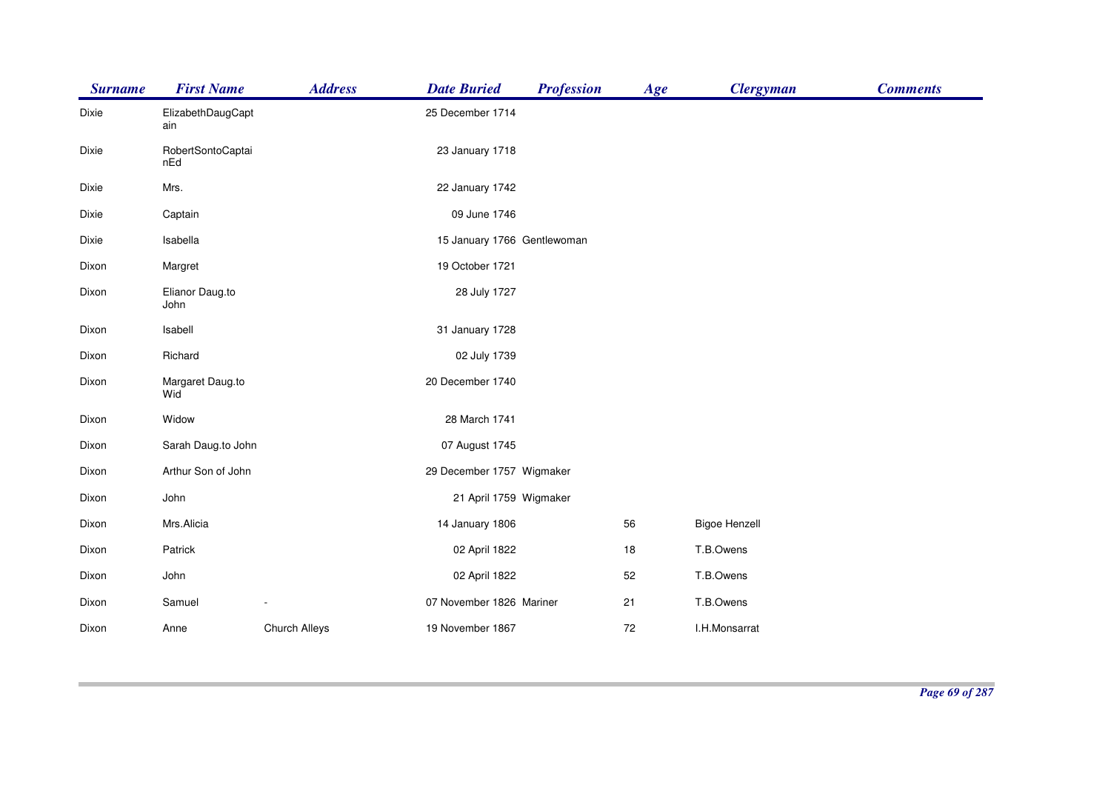| <b>Surname</b> | <b>First Name</b>        | <b>Address</b> | <b>Date Buried</b>          | <b>Profession</b> | Age | <b>Clergyman</b>     | <b>Comments</b> |
|----------------|--------------------------|----------------|-----------------------------|-------------------|-----|----------------------|-----------------|
| Dixie          | ElizabethDaugCapt<br>ain |                | 25 December 1714            |                   |     |                      |                 |
| Dixie          | RobertSontoCaptai<br>nEd |                | 23 January 1718             |                   |     |                      |                 |
| Dixie          | Mrs.                     |                | 22 January 1742             |                   |     |                      |                 |
| Dixie          | Captain                  |                | 09 June 1746                |                   |     |                      |                 |
| Dixie          | Isabella                 |                | 15 January 1766 Gentlewoman |                   |     |                      |                 |
| Dixon          | Margret                  |                | 19 October 1721             |                   |     |                      |                 |
| Dixon          | Elianor Daug.to<br>John  |                | 28 July 1727                |                   |     |                      |                 |
| Dixon          | Isabell                  |                | 31 January 1728             |                   |     |                      |                 |
| Dixon          | Richard                  |                | 02 July 1739                |                   |     |                      |                 |
| Dixon          | Margaret Daug.to<br>Wid  |                | 20 December 1740            |                   |     |                      |                 |
| Dixon          | Widow                    |                | 28 March 1741               |                   |     |                      |                 |
| Dixon          | Sarah Daug.to John       |                | 07 August 1745              |                   |     |                      |                 |
| Dixon          | Arthur Son of John       |                | 29 December 1757 Wigmaker   |                   |     |                      |                 |
| Dixon          | John                     |                | 21 April 1759 Wigmaker      |                   |     |                      |                 |
| Dixon          | Mrs.Alicia               |                | 14 January 1806             |                   | 56  | <b>Bigoe Henzell</b> |                 |
| Dixon          | Patrick                  |                | 02 April 1822               |                   | 18  | T.B.Owens            |                 |
| Dixon          | John                     |                | 02 April 1822               |                   | 52  | T.B.Owens            |                 |
| Dixon          | Samuel                   |                | 07 November 1826 Mariner    |                   | 21  | T.B.Owens            |                 |
| Dixon          | Anne                     | Church Alleys  | 19 November 1867            |                   | 72  | I.H.Monsarrat        |                 |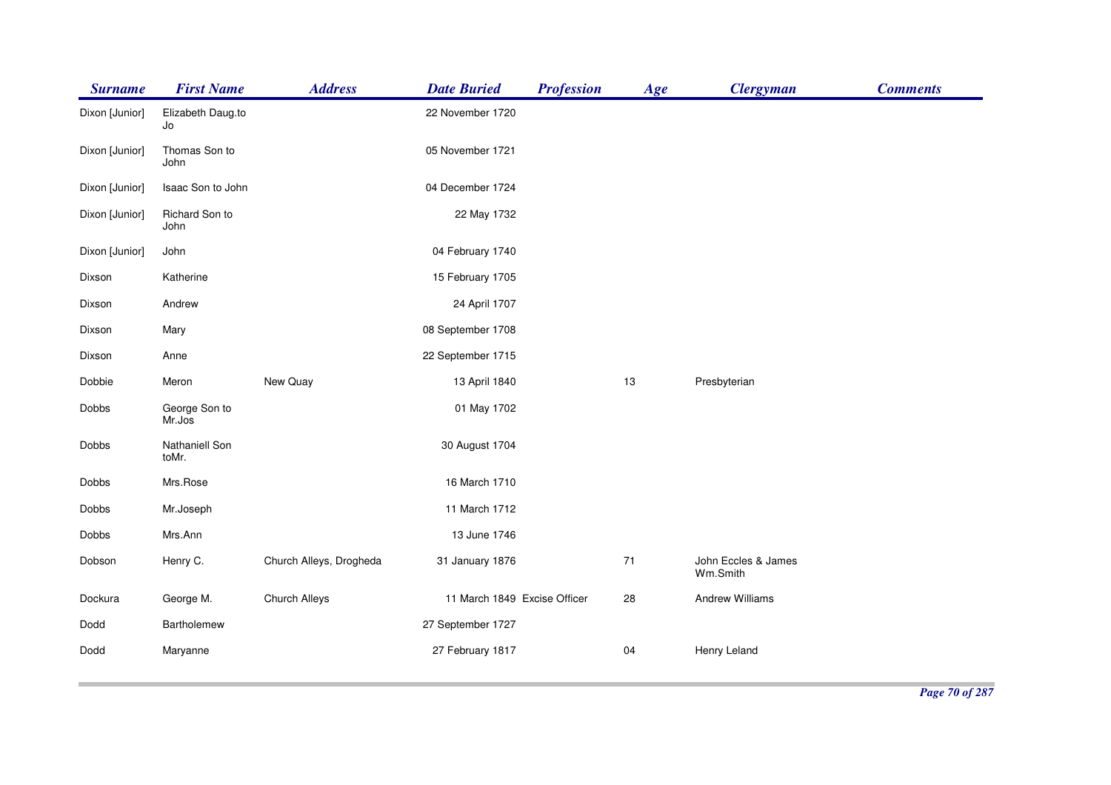| <b>Surname</b> | <b>First Name</b>       | <b>Address</b>          | <b>Date Buried</b>           | <b>Profession</b> | Age | <b>Clergyman</b>                | <b>Comments</b> |
|----------------|-------------------------|-------------------------|------------------------------|-------------------|-----|---------------------------------|-----------------|
| Dixon [Junior] | Elizabeth Daug.to<br>Jo |                         | 22 November 1720             |                   |     |                                 |                 |
| Dixon [Junior] | Thomas Son to<br>John   |                         | 05 November 1721             |                   |     |                                 |                 |
| Dixon [Junior] | Isaac Son to John       |                         | 04 December 1724             |                   |     |                                 |                 |
| Dixon [Junior] | Richard Son to<br>John  |                         | 22 May 1732                  |                   |     |                                 |                 |
| Dixon [Junior] | John                    |                         | 04 February 1740             |                   |     |                                 |                 |
| Dixson         | Katherine               |                         | 15 February 1705             |                   |     |                                 |                 |
| Dixson         | Andrew                  |                         | 24 April 1707                |                   |     |                                 |                 |
| Dixson         | Mary                    |                         | 08 September 1708            |                   |     |                                 |                 |
| Dixson         | Anne                    |                         | 22 September 1715            |                   |     |                                 |                 |
| Dobbie         | Meron                   | New Quay                | 13 April 1840                |                   | 13  | Presbyterian                    |                 |
| Dobbs          | George Son to<br>Mr.Jos |                         | 01 May 1702                  |                   |     |                                 |                 |
| Dobbs          | Nathaniell Son<br>toMr. |                         | 30 August 1704               |                   |     |                                 |                 |
| Dobbs          | Mrs.Rose                |                         | 16 March 1710                |                   |     |                                 |                 |
| Dobbs          | Mr.Joseph               |                         | 11 March 1712                |                   |     |                                 |                 |
| Dobbs          | Mrs.Ann                 |                         | 13 June 1746                 |                   |     |                                 |                 |
| Dobson         | Henry C.                | Church Alleys, Drogheda | 31 January 1876              |                   | 71  | John Eccles & James<br>Wm.Smith |                 |
| Dockura        | George M.               | <b>Church Alleys</b>    | 11 March 1849 Excise Officer |                   | 28  | <b>Andrew Williams</b>          |                 |
| Dodd           | Bartholemew             |                         | 27 September 1727            |                   |     |                                 |                 |
| Dodd           | Maryanne                |                         | 27 February 1817             |                   | 04  | Henry Leland                    |                 |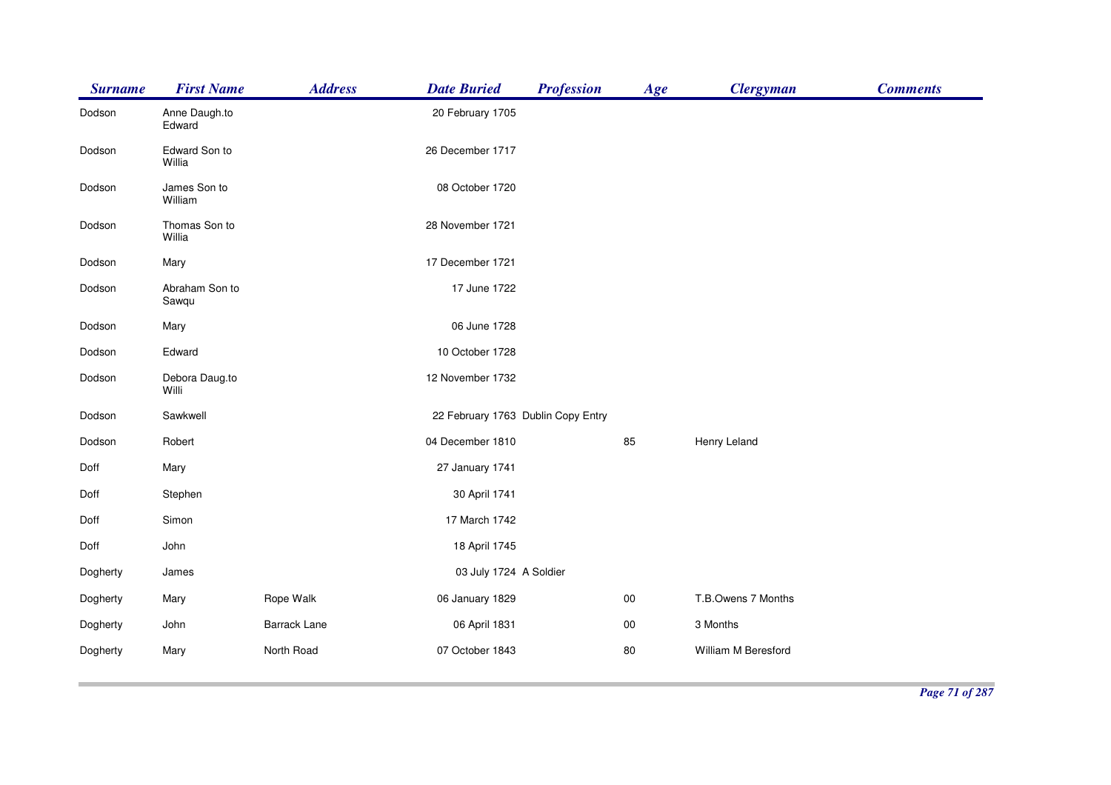| <b>Surname</b> | <b>First Name</b>       | <b>Address</b>      | <b>Date Buried</b>                 | <b>Profession</b> | Age    | <b>Clergyman</b>    | <b>Comments</b> |
|----------------|-------------------------|---------------------|------------------------------------|-------------------|--------|---------------------|-----------------|
| Dodson         | Anne Daugh.to<br>Edward |                     | 20 February 1705                   |                   |        |                     |                 |
| Dodson         | Edward Son to<br>Willia |                     | 26 December 1717                   |                   |        |                     |                 |
| Dodson         | James Son to<br>William |                     | 08 October 1720                    |                   |        |                     |                 |
| Dodson         | Thomas Son to<br>Willia |                     | 28 November 1721                   |                   |        |                     |                 |
| Dodson         | Mary                    |                     | 17 December 1721                   |                   |        |                     |                 |
| Dodson         | Abraham Son to<br>Sawqu |                     | 17 June 1722                       |                   |        |                     |                 |
| Dodson         | Mary                    |                     | 06 June 1728                       |                   |        |                     |                 |
| Dodson         | Edward                  |                     | 10 October 1728                    |                   |        |                     |                 |
| Dodson         | Debora Daug.to<br>Willi |                     | 12 November 1732                   |                   |        |                     |                 |
| Dodson         | Sawkwell                |                     | 22 February 1763 Dublin Copy Entry |                   |        |                     |                 |
| Dodson         | Robert                  |                     | 04 December 1810                   |                   | 85     | Henry Leland        |                 |
| Doff           | Mary                    |                     | 27 January 1741                    |                   |        |                     |                 |
| Doff           | Stephen                 |                     | 30 April 1741                      |                   |        |                     |                 |
| Doff           | Simon                   |                     | 17 March 1742                      |                   |        |                     |                 |
| Doff           | John                    |                     | 18 April 1745                      |                   |        |                     |                 |
| Dogherty       | James                   |                     | 03 July 1724 A Soldier             |                   |        |                     |                 |
| Dogherty       | Mary                    | Rope Walk           | 06 January 1829                    |                   | $00\,$ | T.B.Owens 7 Months  |                 |
| Dogherty       | John                    | <b>Barrack Lane</b> | 06 April 1831                      |                   | $00\,$ | 3 Months            |                 |
| Dogherty       | Mary                    | North Road          | 07 October 1843                    |                   | 80     | William M Beresford |                 |
|                |                         |                     |                                    |                   |        |                     |                 |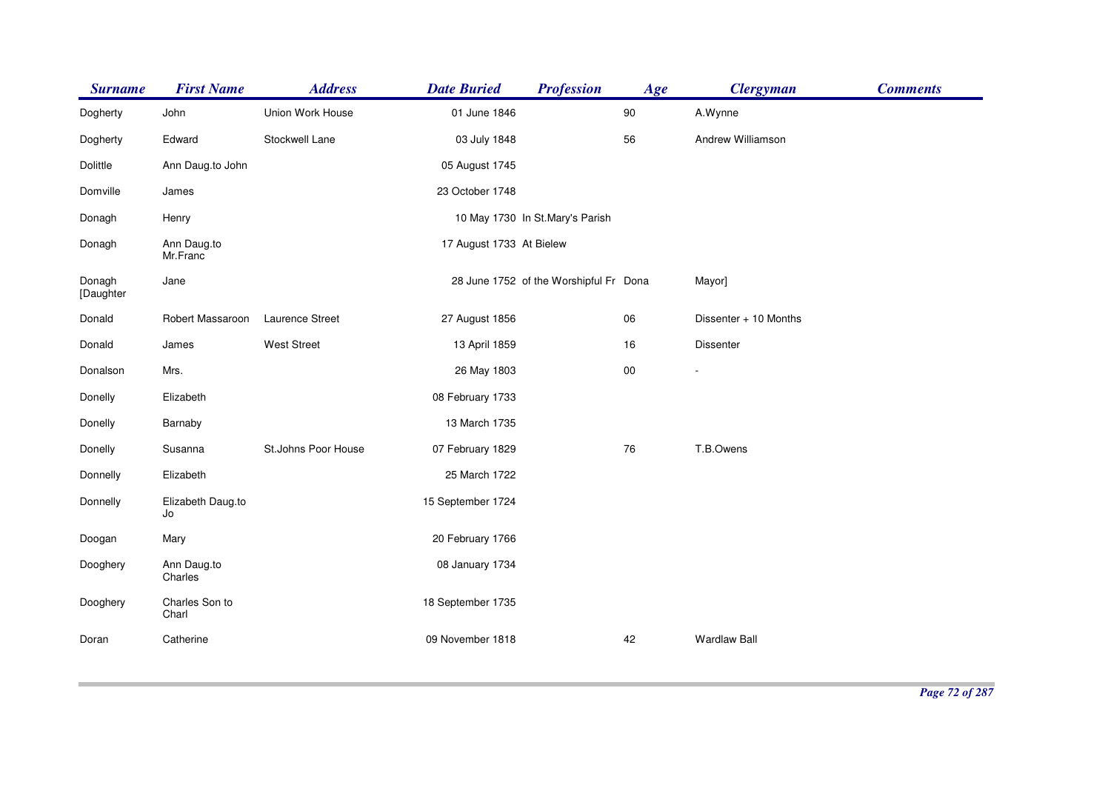| <b>Surname</b>      | <b>First Name</b>       | <b>Address</b>      | <b>Date Buried</b>       | <b>Profession</b>                      | Age        | <b>Clergyman</b>      | <b>Comments</b> |
|---------------------|-------------------------|---------------------|--------------------------|----------------------------------------|------------|-----------------------|-----------------|
| Dogherty            | John                    | Union Work House    | 01 June 1846             |                                        | $90\,$     | A.Wynne               |                 |
| Dogherty            | Edward                  | Stockwell Lane      | 03 July 1848             |                                        | 56         | Andrew Williamson     |                 |
| Dolittle            | Ann Daug.to John        |                     | 05 August 1745           |                                        |            |                       |                 |
| Domville            | James                   |                     | 23 October 1748          |                                        |            |                       |                 |
| Donagh              | Henry                   |                     |                          | 10 May 1730 In St.Mary's Parish        |            |                       |                 |
| Donagh              | Ann Daug.to<br>Mr.Franc |                     | 17 August 1733 At Bielew |                                        |            |                       |                 |
| Donagh<br>[Daughter | Jane                    |                     |                          | 28 June 1752 of the Worshipful Fr Dona |            | Mayor]                |                 |
| Donald              | Robert Massaroon        | Laurence Street     | 27 August 1856           |                                        | 06         | Dissenter + 10 Months |                 |
| Donald              | James                   | <b>West Street</b>  | 13 April 1859            |                                        | 16         | Dissenter             |                 |
| Donalson            | Mrs.                    |                     | 26 May 1803              |                                        | ${\bf 00}$ |                       |                 |
| Donelly             | Elizabeth               |                     | 08 February 1733         |                                        |            |                       |                 |
| Donelly             | Barnaby                 |                     | 13 March 1735            |                                        |            |                       |                 |
| Donelly             | Susanna                 | St.Johns Poor House | 07 February 1829         |                                        | 76         | T.B.Owens             |                 |
| Donnelly            | Elizabeth               |                     | 25 March 1722            |                                        |            |                       |                 |
| Donnelly            | Elizabeth Daug.to<br>Jo |                     | 15 September 1724        |                                        |            |                       |                 |
| Doogan              | Mary                    |                     | 20 February 1766         |                                        |            |                       |                 |
| Dooghery            | Ann Daug.to<br>Charles  |                     | 08 January 1734          |                                        |            |                       |                 |
| Dooghery            | Charles Son to<br>Charl |                     | 18 September 1735        |                                        |            |                       |                 |
| Doran               | Catherine               |                     | 09 November 1818         |                                        | 42         | <b>Wardlaw Ball</b>   |                 |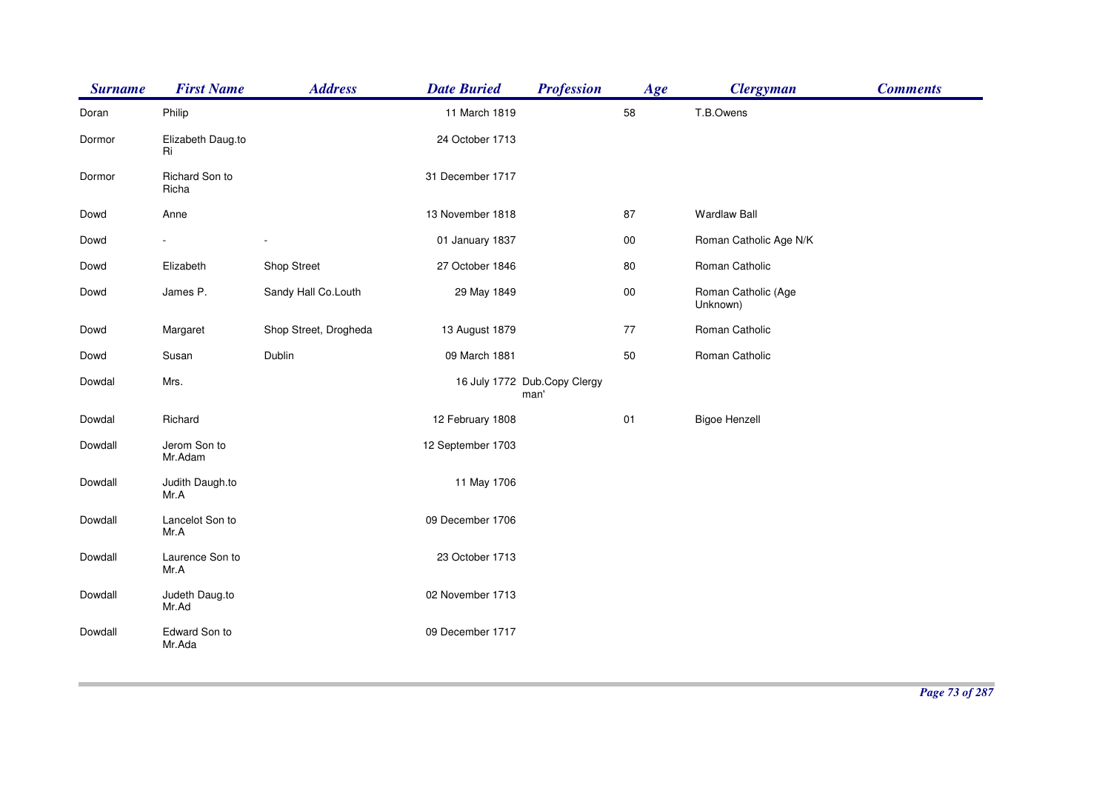| <b>Surname</b> | <b>First Name</b>       | <b>Address</b>        | <b>Date Buried</b> | <b>Profession</b>                    | Age  | <b>Clergyman</b>                | <b>Comments</b> |
|----------------|-------------------------|-----------------------|--------------------|--------------------------------------|------|---------------------------------|-----------------|
| Doran          | Philip                  |                       | 11 March 1819      |                                      | 58   | T.B.Owens                       |                 |
| Dormor         | Elizabeth Daug.to<br>Ri |                       | 24 October 1713    |                                      |      |                                 |                 |
| Dormor         | Richard Son to<br>Richa |                       | 31 December 1717   |                                      |      |                                 |                 |
| Dowd           | Anne                    |                       | 13 November 1818   |                                      | 87   | <b>Wardlaw Ball</b>             |                 |
| Dowd           |                         |                       | 01 January 1837    |                                      | 00   | Roman Catholic Age N/K          |                 |
| Dowd           | Elizabeth               | Shop Street           | 27 October 1846    |                                      | 80   | Roman Catholic                  |                 |
| Dowd           | James P.                | Sandy Hall Co.Louth   | 29 May 1849        |                                      | 00   | Roman Catholic (Age<br>Unknown) |                 |
| Dowd           | Margaret                | Shop Street, Drogheda | 13 August 1879     |                                      | 77   | Roman Catholic                  |                 |
| Dowd           | Susan                   | Dublin                | 09 March 1881      |                                      | 50   | Roman Catholic                  |                 |
| Dowdal         | Mrs.                    |                       |                    | 16 July 1772 Dub.Copy Clergy<br>man' |      |                                 |                 |
| Dowdal         | Richard                 |                       | 12 February 1808   |                                      | $01$ | <b>Bigoe Henzell</b>            |                 |
| Dowdall        | Jerom Son to<br>Mr.Adam |                       | 12 September 1703  |                                      |      |                                 |                 |
| Dowdall        | Judith Daugh.to<br>Mr.A |                       | 11 May 1706        |                                      |      |                                 |                 |
| Dowdall        | Lancelot Son to<br>Mr.A |                       | 09 December 1706   |                                      |      |                                 |                 |
| Dowdall        | Laurence Son to<br>Mr.A |                       | 23 October 1713    |                                      |      |                                 |                 |
| Dowdall        | Judeth Daug.to<br>Mr.Ad |                       | 02 November 1713   |                                      |      |                                 |                 |
| Dowdall        | Edward Son to<br>Mr.Ada |                       | 09 December 1717   |                                      |      |                                 |                 |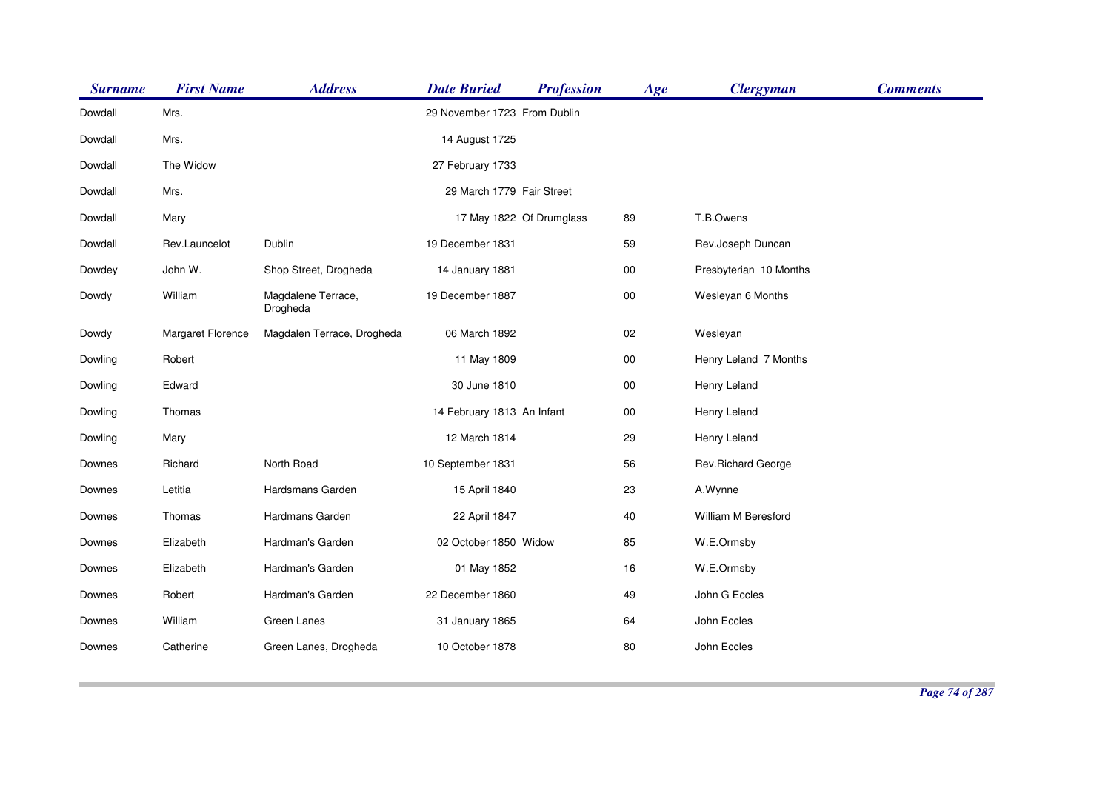| <b>Surname</b> | <b>First Name</b> | <b>Address</b>                 | <b>Date Buried</b>           | <b>Profession</b> | Age    | <b>Clergyman</b>       | <b>Comments</b> |
|----------------|-------------------|--------------------------------|------------------------------|-------------------|--------|------------------------|-----------------|
| Dowdall        | Mrs.              |                                | 29 November 1723 From Dublin |                   |        |                        |                 |
| Dowdall        | Mrs.              |                                | 14 August 1725               |                   |        |                        |                 |
| Dowdall        | The Widow         |                                | 27 February 1733             |                   |        |                        |                 |
| Dowdall        | Mrs.              |                                | 29 March 1779 Fair Street    |                   |        |                        |                 |
| Dowdall        | Mary              |                                | 17 May 1822 Of Drumglass     |                   | 89     | T.B.Owens              |                 |
| Dowdall        | Rev.Launcelot     | Dublin                         | 19 December 1831             |                   | 59     | Rev.Joseph Duncan      |                 |
| Dowdey         | John W.           | Shop Street, Drogheda          | 14 January 1881              |                   | 00     | Presbyterian 10 Months |                 |
| Dowdy          | William           | Magdalene Terrace,<br>Drogheda | 19 December 1887             |                   | 00     | Wesleyan 6 Months      |                 |
| Dowdy          | Margaret Florence | Magdalen Terrace, Drogheda     | 06 March 1892                |                   | 02     | Wesleyan               |                 |
| Dowling        | Robert            |                                | 11 May 1809                  |                   | $00\,$ | Henry Leland 7 Months  |                 |
| Dowling        | Edward            |                                | 30 June 1810                 |                   | $00\,$ | Henry Leland           |                 |
| Dowling        | Thomas            |                                | 14 February 1813 An Infant   |                   | 00     | Henry Leland           |                 |
| Dowling        | Mary              |                                | 12 March 1814                |                   | 29     | Henry Leland           |                 |
| Downes         | Richard           | North Road                     | 10 September 1831            |                   | 56     | Rev.Richard George     |                 |
| Downes         | Letitia           | Hardsmans Garden               | 15 April 1840                |                   | 23     | A.Wynne                |                 |
| Downes         | Thomas            | Hardmans Garden                | 22 April 1847                |                   | 40     | William M Beresford    |                 |
| Downes         | Elizabeth         | Hardman's Garden               | 02 October 1850 Widow        |                   | 85     | W.E.Ormsby             |                 |
| Downes         | Elizabeth         | Hardman's Garden               | 01 May 1852                  |                   | 16     | W.E.Ormsby             |                 |
| Downes         | Robert            | Hardman's Garden               | 22 December 1860             |                   | 49     | John G Eccles          |                 |
| Downes         | William           | Green Lanes                    | 31 January 1865              |                   | 64     | John Eccles            |                 |
| Downes         | Catherine         | Green Lanes, Drogheda          | 10 October 1878              |                   | 80     | John Eccles            |                 |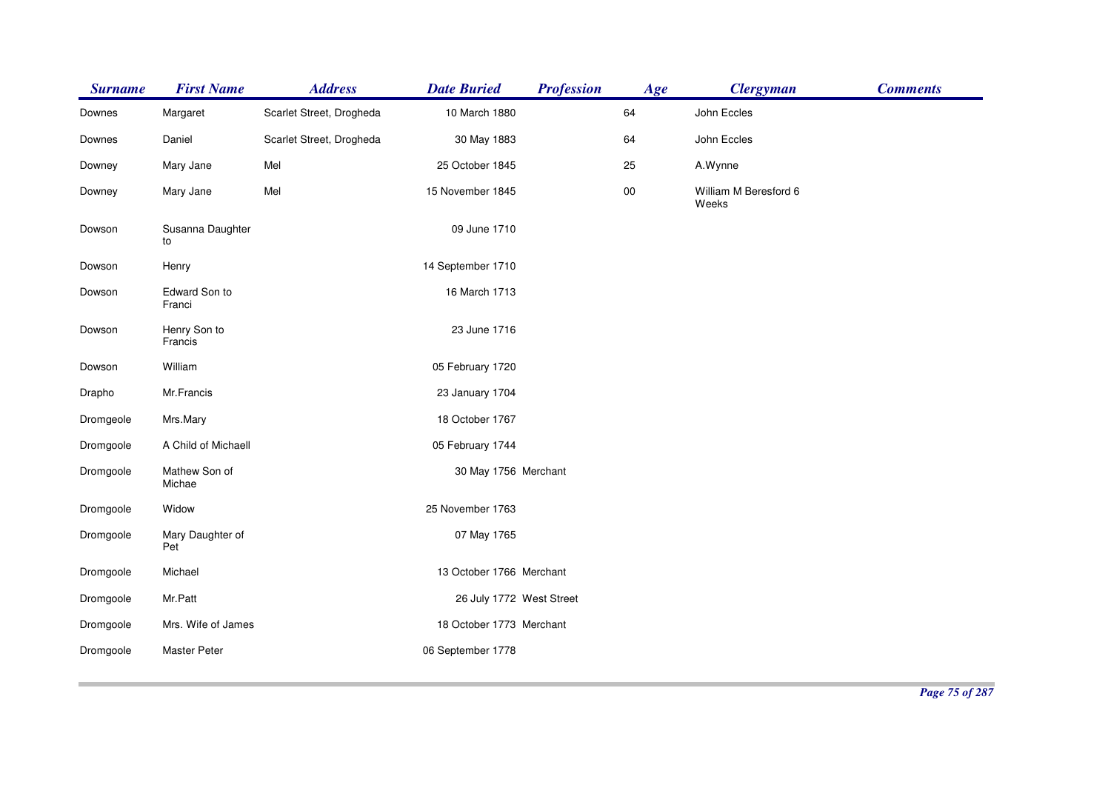| <b>Surname</b> | <b>First Name</b>       | <b>Address</b>           | <b>Date Buried</b>       | <b>Profession</b> | Age        | <b>Clergyman</b>               | <b>Comments</b> |
|----------------|-------------------------|--------------------------|--------------------------|-------------------|------------|--------------------------------|-----------------|
| Downes         | Margaret                | Scarlet Street, Drogheda | 10 March 1880            |                   | 64         | John Eccles                    |                 |
| Downes         | Daniel                  | Scarlet Street, Drogheda | 30 May 1883              |                   | 64         | John Eccles                    |                 |
| Downey         | Mary Jane               | Mel                      | 25 October 1845          |                   | 25         | A.Wynne                        |                 |
| Downey         | Mary Jane               | Mel                      | 15 November 1845         |                   | ${\bf 00}$ | William M Beresford 6<br>Weeks |                 |
| Dowson         | Susanna Daughter<br>to  |                          | 09 June 1710             |                   |            |                                |                 |
| Dowson         | Henry                   |                          | 14 September 1710        |                   |            |                                |                 |
| Dowson         | Edward Son to<br>Franci |                          | 16 March 1713            |                   |            |                                |                 |
| Dowson         | Henry Son to<br>Francis |                          | 23 June 1716             |                   |            |                                |                 |
| Dowson         | William                 |                          | 05 February 1720         |                   |            |                                |                 |
| Drapho         | Mr.Francis              |                          | 23 January 1704          |                   |            |                                |                 |
| Dromgeole      | Mrs.Mary                |                          | 18 October 1767          |                   |            |                                |                 |
| Dromgoole      | A Child of Michaell     |                          | 05 February 1744         |                   |            |                                |                 |
| Dromgoole      | Mathew Son of<br>Michae |                          | 30 May 1756 Merchant     |                   |            |                                |                 |
| Dromgoole      | Widow                   |                          | 25 November 1763         |                   |            |                                |                 |
| Dromgoole      | Mary Daughter of<br>Pet |                          | 07 May 1765              |                   |            |                                |                 |
| Dromgoole      | Michael                 |                          | 13 October 1766 Merchant |                   |            |                                |                 |
| Dromgoole      | Mr.Patt                 |                          | 26 July 1772 West Street |                   |            |                                |                 |
| Dromgoole      | Mrs. Wife of James      |                          | 18 October 1773 Merchant |                   |            |                                |                 |
| Dromgoole      | <b>Master Peter</b>     |                          | 06 September 1778        |                   |            |                                |                 |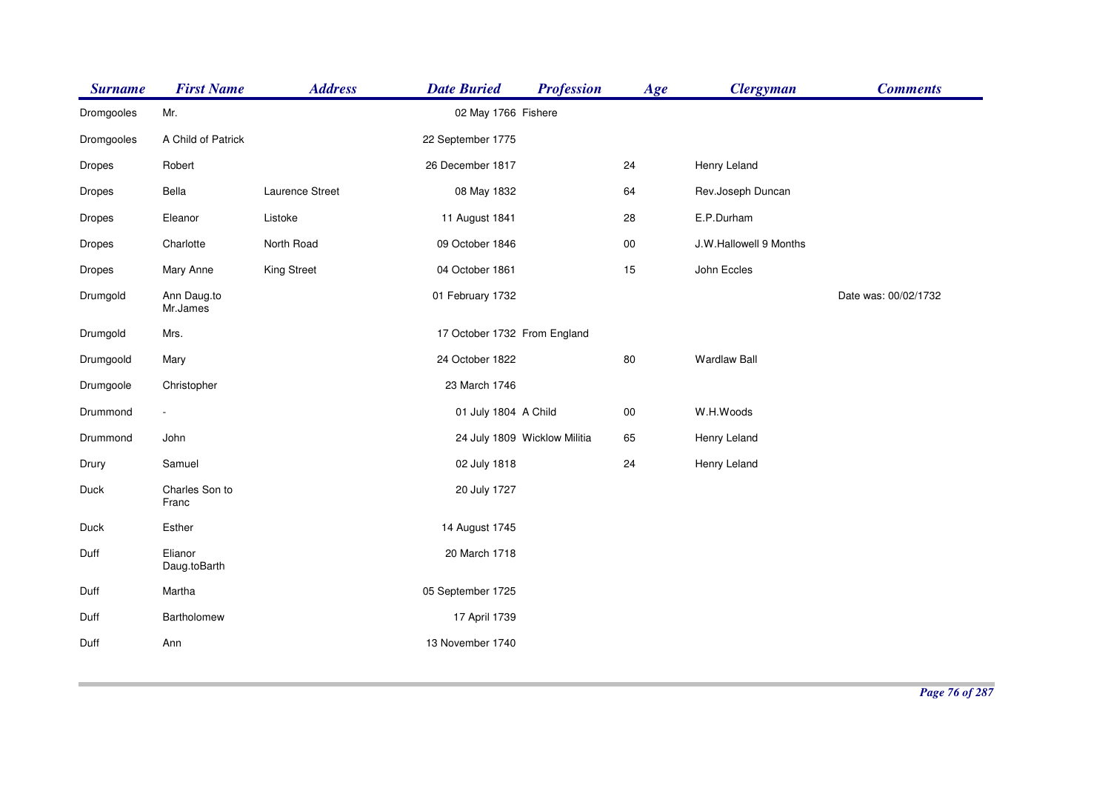| <b>Surname</b> | <b>First Name</b>       | <b>Address</b>  | <b>Date Buried</b>           | <b>Profession</b> | Age        | <b>Clergyman</b>       | <b>Comments</b>      |
|----------------|-------------------------|-----------------|------------------------------|-------------------|------------|------------------------|----------------------|
| Dromgooles     | Mr.                     |                 | 02 May 1766 Fishere          |                   |            |                        |                      |
| Dromgooles     | A Child of Patrick      |                 | 22 September 1775            |                   |            |                        |                      |
| Dropes         | Robert                  |                 | 26 December 1817             |                   | 24         | Henry Leland           |                      |
| Dropes         | Bella                   | Laurence Street | 08 May 1832                  |                   | 64         | Rev.Joseph Duncan      |                      |
| Dropes         | Eleanor                 | Listoke         | 11 August 1841               |                   | 28         | E.P.Durham             |                      |
| Dropes         | Charlotte               | North Road      | 09 October 1846              |                   | $00\,$     | J.W.Hallowell 9 Months |                      |
| Dropes         | Mary Anne               | King Street     | 04 October 1861              |                   | 15         | John Eccles            |                      |
| Drumgold       | Ann Daug.to<br>Mr.James |                 | 01 February 1732             |                   |            |                        | Date was: 00/02/1732 |
| Drumgold       | Mrs.                    |                 | 17 October 1732 From England |                   |            |                        |                      |
| Drumgoold      | Mary                    |                 | 24 October 1822              |                   | 80         | <b>Wardlaw Ball</b>    |                      |
| Drumgoole      | Christopher             |                 | 23 March 1746                |                   |            |                        |                      |
| Drummond       | $\sim$                  |                 | 01 July 1804 A Child         |                   | ${\bf 00}$ | W.H.Woods              |                      |
| Drummond       | John                    |                 | 24 July 1809 Wicklow Militia |                   | 65         | Henry Leland           |                      |
| Drury          | Samuel                  |                 | 02 July 1818                 |                   | 24         | Henry Leland           |                      |
| Duck           | Charles Son to<br>Franc |                 | 20 July 1727                 |                   |            |                        |                      |
| Duck           | Esther                  |                 | 14 August 1745               |                   |            |                        |                      |
| Duff           | Elianor<br>Daug.toBarth |                 | 20 March 1718                |                   |            |                        |                      |
| Duff           | Martha                  |                 | 05 September 1725            |                   |            |                        |                      |
| Duff           | Bartholomew             |                 | 17 April 1739                |                   |            |                        |                      |
| Duff           | Ann                     |                 | 13 November 1740             |                   |            |                        |                      |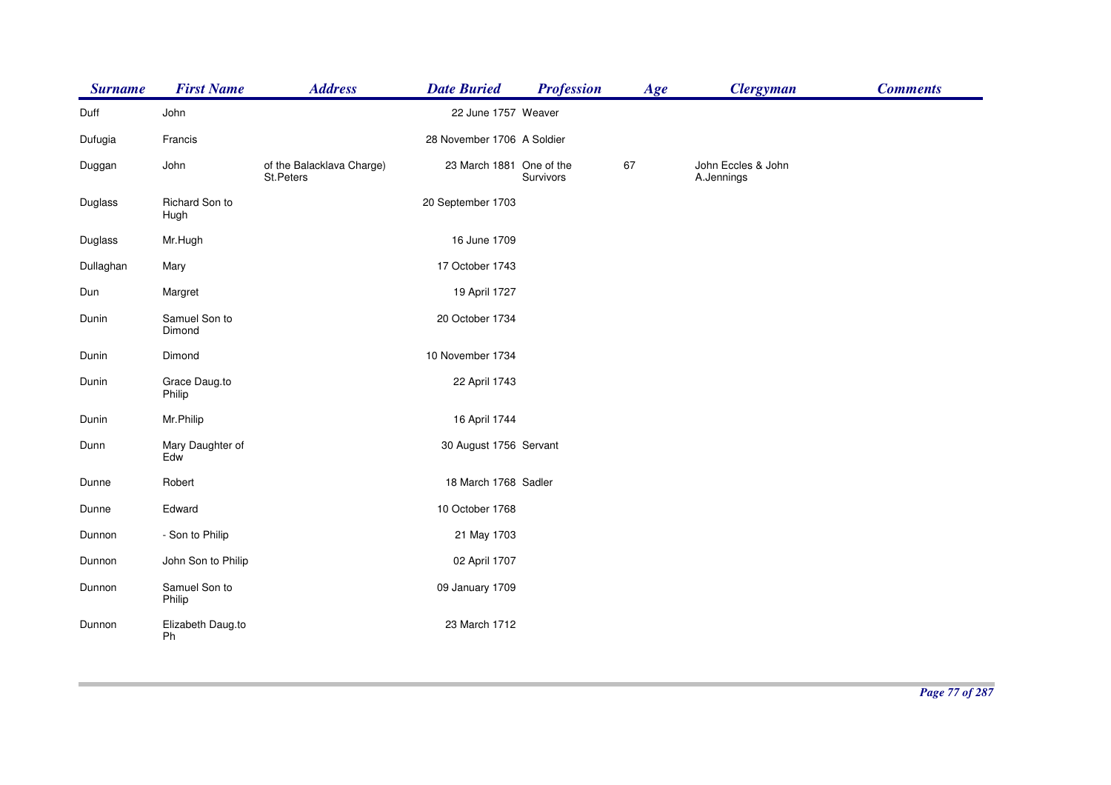| <b>Surname</b> | <b>First Name</b>       | <b>Address</b>                         | <b>Date Buried</b>         | <b>Profession</b> | Age | <b>Clergyman</b>                 | <b>Comments</b> |
|----------------|-------------------------|----------------------------------------|----------------------------|-------------------|-----|----------------------------------|-----------------|
| Duff           | John                    |                                        | 22 June 1757 Weaver        |                   |     |                                  |                 |
| Dufugia        | Francis                 |                                        | 28 November 1706 A Soldier |                   |     |                                  |                 |
| Duggan         | John                    | of the Balacklava Charge)<br>St.Peters | 23 March 1881 One of the   | Survivors         | 67  | John Eccles & John<br>A.Jennings |                 |
| Duglass        | Richard Son to<br>Hugh  |                                        | 20 September 1703          |                   |     |                                  |                 |
| Duglass        | Mr.Hugh                 |                                        | 16 June 1709               |                   |     |                                  |                 |
| Dullaghan      | Mary                    |                                        | 17 October 1743            |                   |     |                                  |                 |
| Dun            | Margret                 |                                        | 19 April 1727              |                   |     |                                  |                 |
| Dunin          | Samuel Son to<br>Dimond |                                        | 20 October 1734            |                   |     |                                  |                 |
| Dunin          | Dimond                  |                                        | 10 November 1734           |                   |     |                                  |                 |
| Dunin          | Grace Daug.to<br>Philip |                                        | 22 April 1743              |                   |     |                                  |                 |
| Dunin          | Mr.Philip               |                                        | 16 April 1744              |                   |     |                                  |                 |
| Dunn           | Mary Daughter of<br>Edw |                                        | 30 August 1756 Servant     |                   |     |                                  |                 |
| Dunne          | Robert                  |                                        | 18 March 1768 Sadler       |                   |     |                                  |                 |
| Dunne          | Edward                  |                                        | 10 October 1768            |                   |     |                                  |                 |
| Dunnon         | - Son to Philip         |                                        | 21 May 1703                |                   |     |                                  |                 |
| Dunnon         | John Son to Philip      |                                        | 02 April 1707              |                   |     |                                  |                 |
| Dunnon         | Samuel Son to<br>Philip |                                        | 09 January 1709            |                   |     |                                  |                 |
| Dunnon         | Elizabeth Daug.to<br>Ph |                                        | 23 March 1712              |                   |     |                                  |                 |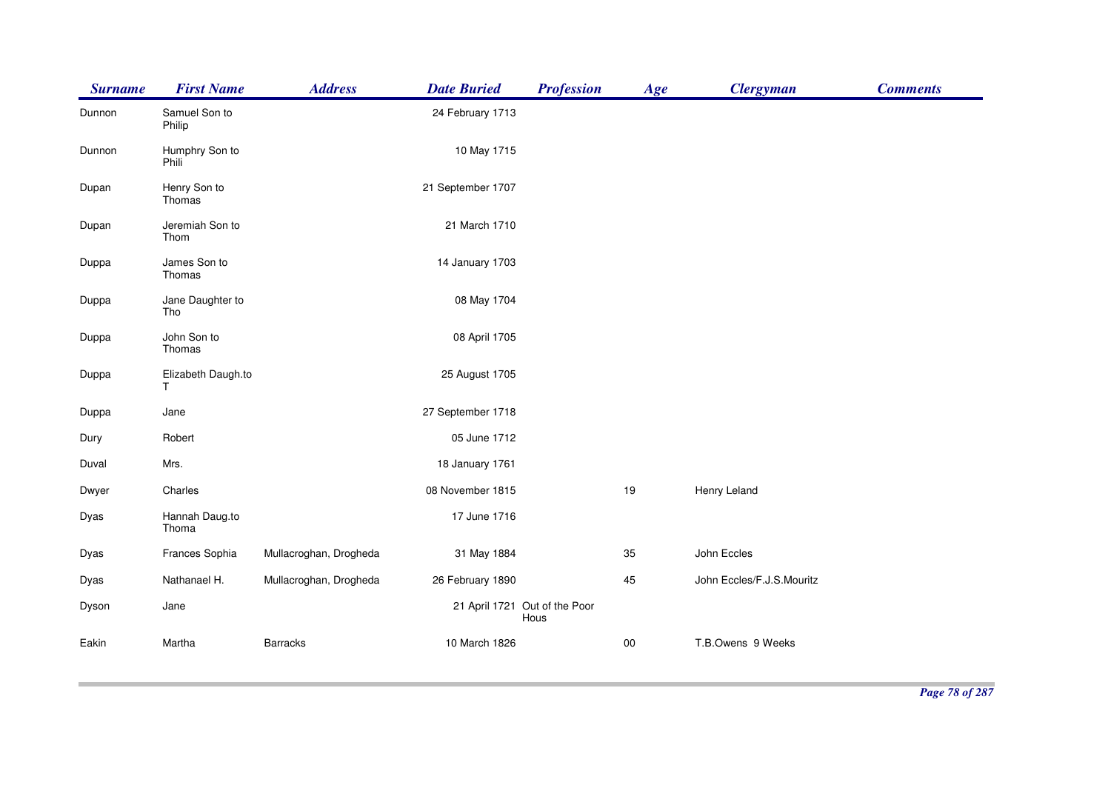| <b>Surname</b> | <b>First Name</b>       | <b>Address</b>         | <b>Date Buried</b> | <b>Profession</b>                     | Age        | <b>Clergyman</b>          | <b>Comments</b> |
|----------------|-------------------------|------------------------|--------------------|---------------------------------------|------------|---------------------------|-----------------|
| Dunnon         | Samuel Son to<br>Philip |                        | 24 February 1713   |                                       |            |                           |                 |
| Dunnon         | Humphry Son to<br>Phili |                        | 10 May 1715        |                                       |            |                           |                 |
| Dupan          | Henry Son to<br>Thomas  |                        | 21 September 1707  |                                       |            |                           |                 |
| Dupan          | Jeremiah Son to<br>Thom |                        | 21 March 1710      |                                       |            |                           |                 |
| Duppa          | James Son to<br>Thomas  |                        | 14 January 1703    |                                       |            |                           |                 |
| Duppa          | Jane Daughter to<br>Tho |                        | 08 May 1704        |                                       |            |                           |                 |
| Duppa          | John Son to<br>Thomas   |                        | 08 April 1705      |                                       |            |                           |                 |
| Duppa          | Elizabeth Daugh.to<br>Τ |                        | 25 August 1705     |                                       |            |                           |                 |
| Duppa          | Jane                    |                        | 27 September 1718  |                                       |            |                           |                 |
| Dury           | Robert                  |                        | 05 June 1712       |                                       |            |                           |                 |
| Duval          | Mrs.                    |                        | 18 January 1761    |                                       |            |                           |                 |
| Dwyer          | Charles                 |                        | 08 November 1815   |                                       | 19         | Henry Leland              |                 |
| Dyas           | Hannah Daug.to<br>Thoma |                        | 17 June 1716       |                                       |            |                           |                 |
| Dyas           | Frances Sophia          | Mullacroghan, Drogheda | 31 May 1884        |                                       | 35         | John Eccles               |                 |
| Dyas           | Nathanael H.            | Mullacroghan, Drogheda | 26 February 1890   |                                       | 45         | John Eccles/F.J.S.Mouritz |                 |
| Dyson          | Jane                    |                        |                    | 21 April 1721 Out of the Poor<br>Hous |            |                           |                 |
| Eakin          | Martha                  | <b>Barracks</b>        | 10 March 1826      |                                       | ${\bf 00}$ | T.B.Owens 9 Weeks         |                 |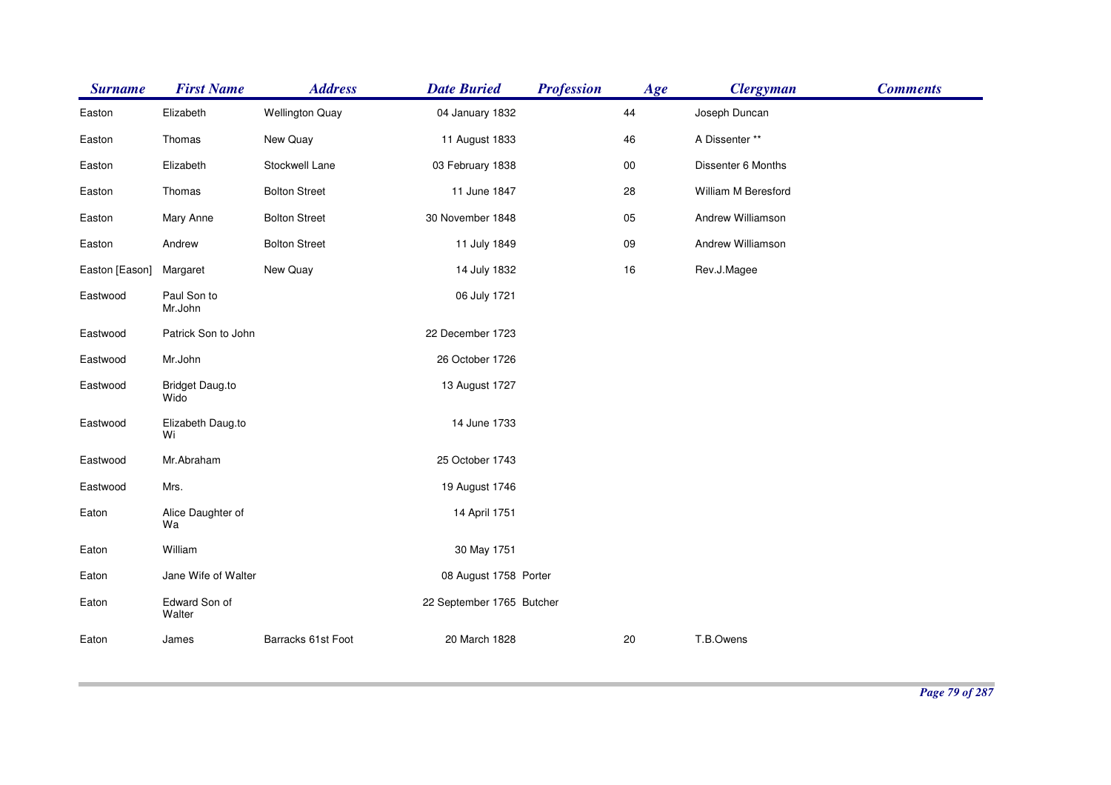| <b>Surname</b> | <b>First Name</b>              | <b>Address</b>         | <b>Date Buried</b>        | <b>Profession</b> | Age    | <b>Clergyman</b>    | <b>Comments</b> |
|----------------|--------------------------------|------------------------|---------------------------|-------------------|--------|---------------------|-----------------|
| Easton         | Elizabeth                      | <b>Wellington Quay</b> | 04 January 1832           |                   | 44     | Joseph Duncan       |                 |
| Easton         | Thomas                         | New Quay               | 11 August 1833            |                   | 46     | A Dissenter **      |                 |
| Easton         | Elizabeth                      | Stockwell Lane         | 03 February 1838          |                   | $00\,$ | Dissenter 6 Months  |                 |
| Easton         | Thomas                         | <b>Bolton Street</b>   | 11 June 1847              |                   | 28     | William M Beresford |                 |
| Easton         | Mary Anne                      | <b>Bolton Street</b>   | 30 November 1848          |                   | 05     | Andrew Williamson   |                 |
| Easton         | Andrew                         | <b>Bolton Street</b>   | 11 July 1849              |                   | 09     | Andrew Williamson   |                 |
| Easton [Eason] | Margaret                       | New Quay               | 14 July 1832              |                   | $16\,$ | Rev.J.Magee         |                 |
| Eastwood       | Paul Son to<br>Mr.John         |                        | 06 July 1721              |                   |        |                     |                 |
| Eastwood       | Patrick Son to John            |                        | 22 December 1723          |                   |        |                     |                 |
| Eastwood       | Mr.John                        |                        | 26 October 1726           |                   |        |                     |                 |
| Eastwood       | <b>Bridget Daug.to</b><br>Wido |                        | 13 August 1727            |                   |        |                     |                 |
| Eastwood       | Elizabeth Daug.to<br>Wi        |                        | 14 June 1733              |                   |        |                     |                 |
| Eastwood       | Mr.Abraham                     |                        | 25 October 1743           |                   |        |                     |                 |
| Eastwood       | Mrs.                           |                        | 19 August 1746            |                   |        |                     |                 |
| Eaton          | Alice Daughter of<br>Wa        |                        | 14 April 1751             |                   |        |                     |                 |
| Eaton          | William                        |                        | 30 May 1751               |                   |        |                     |                 |
| Eaton          | Jane Wife of Walter            |                        | 08 August 1758 Porter     |                   |        |                     |                 |
| Eaton          | Edward Son of<br>Walter        |                        | 22 September 1765 Butcher |                   |        |                     |                 |
| Eaton          | James                          | Barracks 61st Foot     | 20 March 1828             |                   | 20     | T.B.Owens           |                 |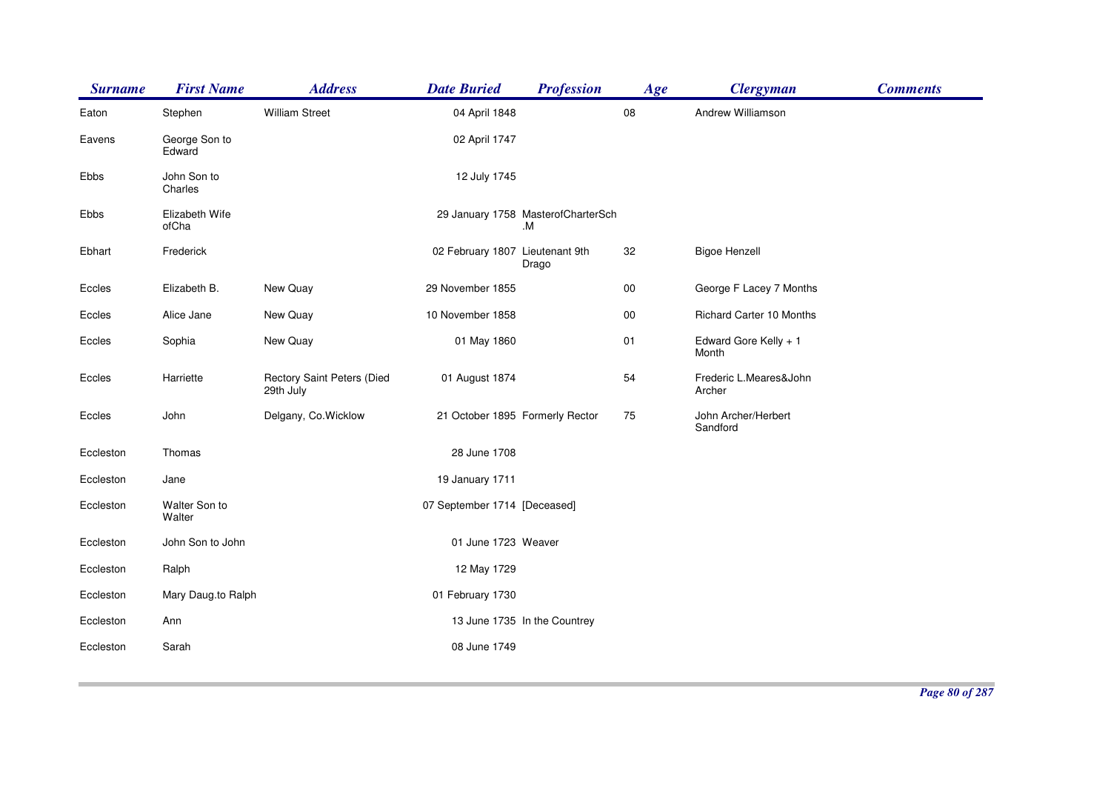| <b>Surname</b> | <b>First Name</b>       | <b>Address</b>                          | <b>Date Buried</b>              | <b>Profession</b>                        | Age    | <b>Clergyman</b>                 | <b>Comments</b> |
|----------------|-------------------------|-----------------------------------------|---------------------------------|------------------------------------------|--------|----------------------------------|-----------------|
| Eaton          | Stephen                 | <b>William Street</b>                   | 04 April 1848                   |                                          | 08     | Andrew Williamson                |                 |
| Eavens         | George Son to<br>Edward |                                         | 02 April 1747                   |                                          |        |                                  |                 |
| Ebbs           | John Son to<br>Charles  |                                         | 12 July 1745                    |                                          |        |                                  |                 |
| Ebbs           | Elizabeth Wife<br>ofCha |                                         |                                 | 29 January 1758 MasterofCharterSch<br>.M |        |                                  |                 |
| Ebhart         | Frederick               |                                         | 02 February 1807 Lieutenant 9th | Drago                                    | 32     | <b>Bigoe Henzell</b>             |                 |
| Eccles         | Elizabeth B.            | New Quay                                | 29 November 1855                |                                          | 00     | George F Lacey 7 Months          |                 |
| Eccles         | Alice Jane              | New Quay                                | 10 November 1858                |                                          | $00\,$ | <b>Richard Carter 10 Months</b>  |                 |
| Eccles         | Sophia                  | New Quay                                | 01 May 1860                     |                                          | 01     | Edward Gore Kelly + 1<br>Month   |                 |
| Eccles         | Harriette               | Rectory Saint Peters (Died<br>29th July | 01 August 1874                  |                                          | 54     | Frederic L.Meares&John<br>Archer |                 |
| Eccles         | John                    | Delgany, Co. Wicklow                    |                                 | 21 October 1895 Formerly Rector          | 75     | John Archer/Herbert<br>Sandford  |                 |
| Eccleston      | Thomas                  |                                         | 28 June 1708                    |                                          |        |                                  |                 |
| Eccleston      | Jane                    |                                         | 19 January 1711                 |                                          |        |                                  |                 |
| Eccleston      | Walter Son to<br>Walter |                                         | 07 September 1714 [Deceased]    |                                          |        |                                  |                 |
| Eccleston      | John Son to John        |                                         | 01 June 1723 Weaver             |                                          |        |                                  |                 |
| Eccleston      | Ralph                   |                                         | 12 May 1729                     |                                          |        |                                  |                 |
| Eccleston      | Mary Daug.to Ralph      |                                         | 01 February 1730                |                                          |        |                                  |                 |
| Eccleston      | Ann                     |                                         |                                 | 13 June 1735 In the Countrey             |        |                                  |                 |
| Eccleston      | Sarah                   |                                         | 08 June 1749                    |                                          |        |                                  |                 |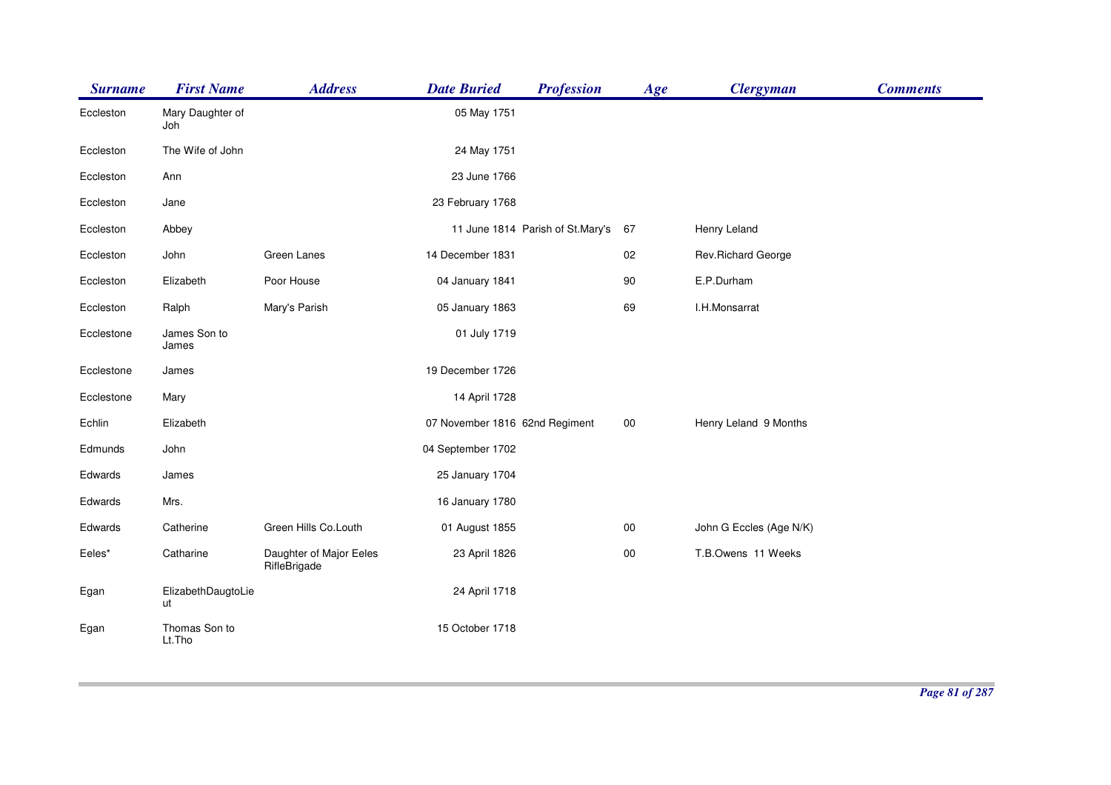| <b>Surname</b> | <b>First Name</b>        | <b>Address</b>                          | <b>Date Buried</b>             | <b>Profession</b>                | Age    | <b>Clergyman</b>        | <b>Comments</b> |
|----------------|--------------------------|-----------------------------------------|--------------------------------|----------------------------------|--------|-------------------------|-----------------|
| Eccleston      | Mary Daughter of<br>Joh  |                                         | 05 May 1751                    |                                  |        |                         |                 |
| Eccleston      | The Wife of John         |                                         | 24 May 1751                    |                                  |        |                         |                 |
| Eccleston      | Ann                      |                                         | 23 June 1766                   |                                  |        |                         |                 |
| Eccleston      | Jane                     |                                         | 23 February 1768               |                                  |        |                         |                 |
| Eccleston      | Abbey                    |                                         |                                | 11 June 1814 Parish of St.Mary's | 67     | Henry Leland            |                 |
| Eccleston      | John                     | Green Lanes                             | 14 December 1831               |                                  | 02     | Rev.Richard George      |                 |
| Eccleston      | Elizabeth                | Poor House                              | 04 January 1841                |                                  | 90     | E.P.Durham              |                 |
| Eccleston      | Ralph                    | Mary's Parish                           | 05 January 1863                |                                  | 69     | I.H.Monsarrat           |                 |
| Ecclestone     | James Son to<br>James    |                                         | 01 July 1719                   |                                  |        |                         |                 |
| Ecclestone     | James                    |                                         | 19 December 1726               |                                  |        |                         |                 |
| Ecclestone     | Mary                     |                                         | 14 April 1728                  |                                  |        |                         |                 |
| Echlin         | Elizabeth                |                                         | 07 November 1816 62nd Regiment |                                  | 00     | Henry Leland 9 Months   |                 |
| Edmunds        | John                     |                                         | 04 September 1702              |                                  |        |                         |                 |
| Edwards        | James                    |                                         | 25 January 1704                |                                  |        |                         |                 |
| Edwards        | Mrs.                     |                                         | 16 January 1780                |                                  |        |                         |                 |
| Edwards        | Catherine                | Green Hills Co.Louth                    | 01 August 1855                 |                                  | $00\,$ | John G Eccles (Age N/K) |                 |
| Eeles*         | Catharine                | Daughter of Major Eeles<br>RifleBrigade | 23 April 1826                  |                                  | 00     | T.B.Owens 11 Weeks      |                 |
| Egan           | ElizabethDaugtoLie<br>ut |                                         | 24 April 1718                  |                                  |        |                         |                 |
| Egan           | Thomas Son to<br>Lt.Tho  |                                         | 15 October 1718                |                                  |        |                         |                 |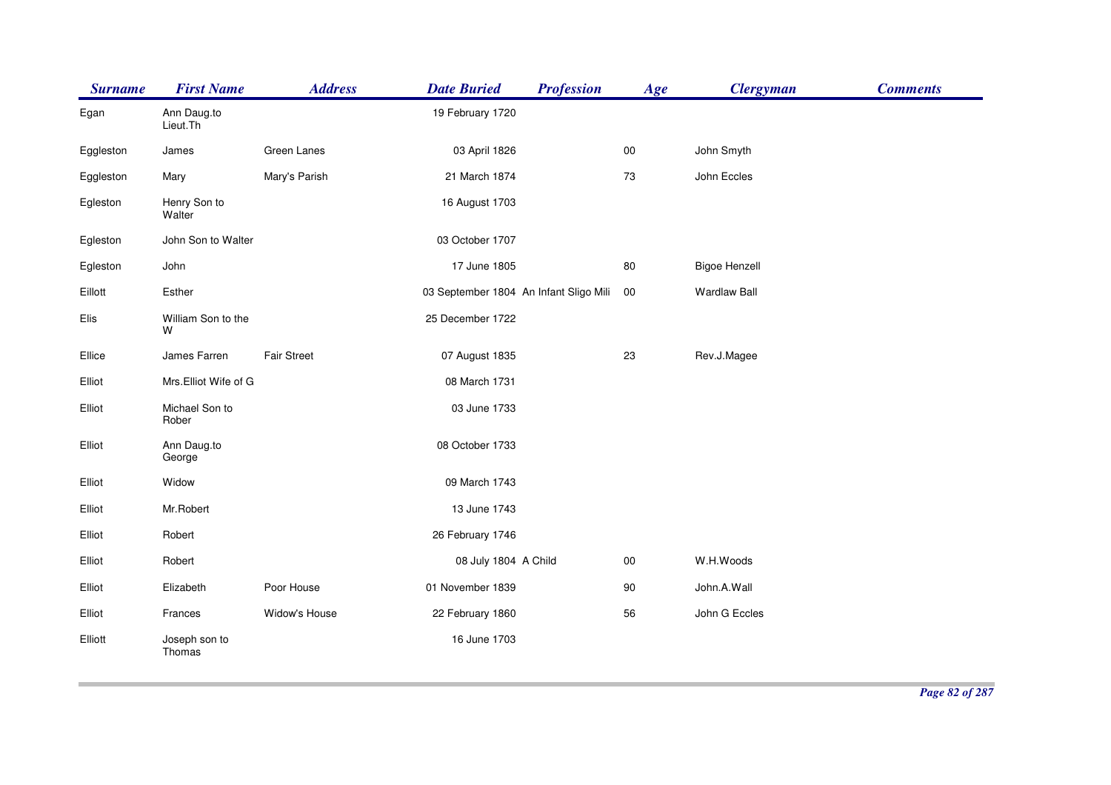| <b>Surname</b> | <b>First Name</b>       | <b>Address</b> | <b>Date Buried</b>                     | <b>Profession</b> | Age    | <b>Clergyman</b>     | <b>Comments</b> |
|----------------|-------------------------|----------------|----------------------------------------|-------------------|--------|----------------------|-----------------|
| Egan           | Ann Daug.to<br>Lieut.Th |                | 19 February 1720                       |                   |        |                      |                 |
| Eggleston      | James                   | Green Lanes    | 03 April 1826                          |                   | $00\,$ | John Smyth           |                 |
| Eggleston      | Mary                    | Mary's Parish  | 21 March 1874                          |                   | 73     | John Eccles          |                 |
| Egleston       | Henry Son to<br>Walter  |                | 16 August 1703                         |                   |        |                      |                 |
| Egleston       | John Son to Walter      |                | 03 October 1707                        |                   |        |                      |                 |
| Egleston       | John                    |                | 17 June 1805                           |                   | 80     | <b>Bigoe Henzell</b> |                 |
| Eillott        | Esther                  |                | 03 September 1804 An Infant Sligo Mili |                   | 00     | <b>Wardlaw Ball</b>  |                 |
| Elis           | William Son to the<br>W |                | 25 December 1722                       |                   |        |                      |                 |
| Ellice         | James Farren            | Fair Street    | 07 August 1835                         |                   | 23     | Rev.J.Magee          |                 |
| Elliot         | Mrs.Elliot Wife of G    |                | 08 March 1731                          |                   |        |                      |                 |
| Elliot         | Michael Son to<br>Rober |                | 03 June 1733                           |                   |        |                      |                 |
| Elliot         | Ann Daug.to<br>George   |                | 08 October 1733                        |                   |        |                      |                 |
| Elliot         | Widow                   |                | 09 March 1743                          |                   |        |                      |                 |
| Elliot         | Mr.Robert               |                | 13 June 1743                           |                   |        |                      |                 |
| Elliot         | Robert                  |                | 26 February 1746                       |                   |        |                      |                 |
| Elliot         | Robert                  |                | 08 July 1804 A Child                   |                   | 00     | W.H.Woods            |                 |
| Elliot         | Elizabeth               | Poor House     | 01 November 1839                       |                   | 90     | John.A.Wall          |                 |
| Elliot         | Frances                 | Widow's House  | 22 February 1860                       |                   | 56     | John G Eccles        |                 |
| Elliott        | Joseph son to<br>Thomas |                | 16 June 1703                           |                   |        |                      |                 |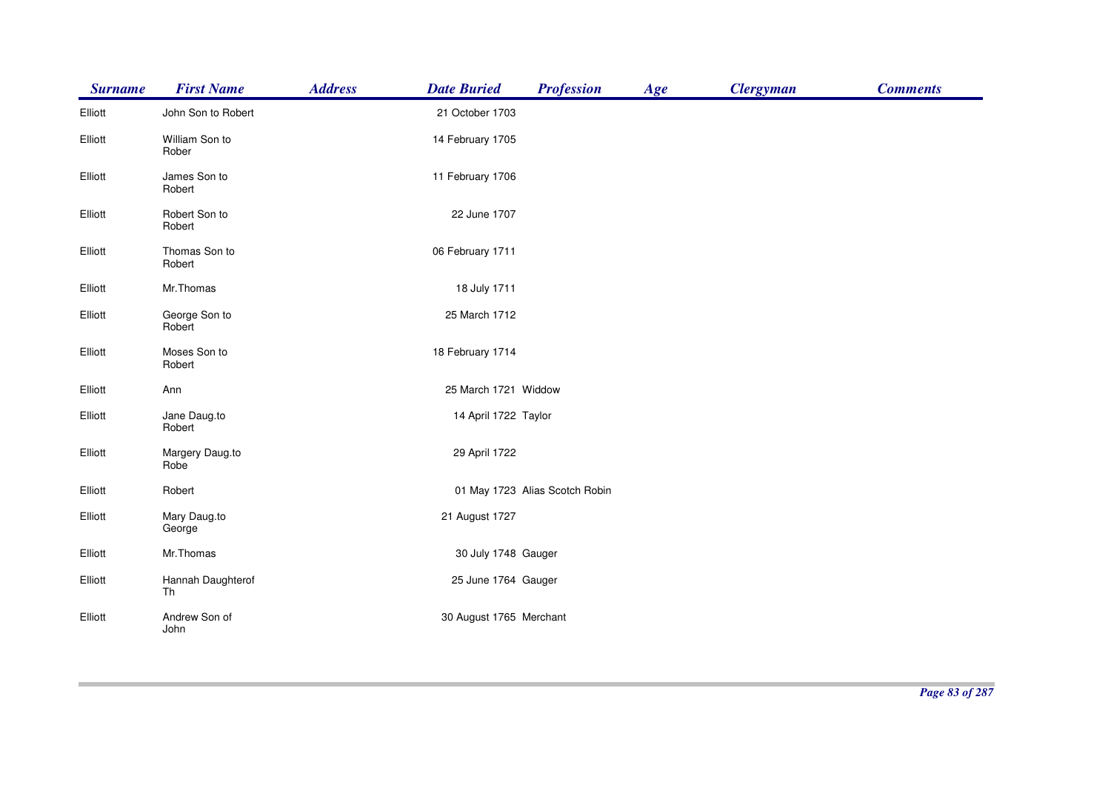| <b>Surname</b> | <b>First Name</b>       | <b>Address</b> | <b>Date Buried</b>      | <b>Profession</b>              | Age | <b>Clergyman</b> | <b>Comments</b> |
|----------------|-------------------------|----------------|-------------------------|--------------------------------|-----|------------------|-----------------|
| Elliott        | John Son to Robert      |                | 21 October 1703         |                                |     |                  |                 |
| Elliott        | William Son to<br>Rober |                | 14 February 1705        |                                |     |                  |                 |
| Elliott        | James Son to<br>Robert  |                | 11 February 1706        |                                |     |                  |                 |
| Elliott        | Robert Son to<br>Robert |                | 22 June 1707            |                                |     |                  |                 |
| Elliott        | Thomas Son to<br>Robert |                | 06 February 1711        |                                |     |                  |                 |
| Elliott        | Mr.Thomas               |                | 18 July 1711            |                                |     |                  |                 |
| Elliott        | George Son to<br>Robert |                | 25 March 1712           |                                |     |                  |                 |
| Elliott        | Moses Son to<br>Robert  |                | 18 February 1714        |                                |     |                  |                 |
| Elliott        | Ann                     |                | 25 March 1721 Widdow    |                                |     |                  |                 |
| Elliott        | Jane Daug.to<br>Robert  |                | 14 April 1722 Taylor    |                                |     |                  |                 |
| Elliott        | Margery Daug.to<br>Robe |                | 29 April 1722           |                                |     |                  |                 |
| Elliott        | Robert                  |                |                         | 01 May 1723 Alias Scotch Robin |     |                  |                 |
| Elliott        | Mary Daug.to<br>George  |                | 21 August 1727          |                                |     |                  |                 |
| Elliott        | Mr.Thomas               |                | 30 July 1748 Gauger     |                                |     |                  |                 |
| Elliott        | Hannah Daughterof<br>Th |                | 25 June 1764 Gauger     |                                |     |                  |                 |
| Elliott        | Andrew Son of<br>John   |                | 30 August 1765 Merchant |                                |     |                  |                 |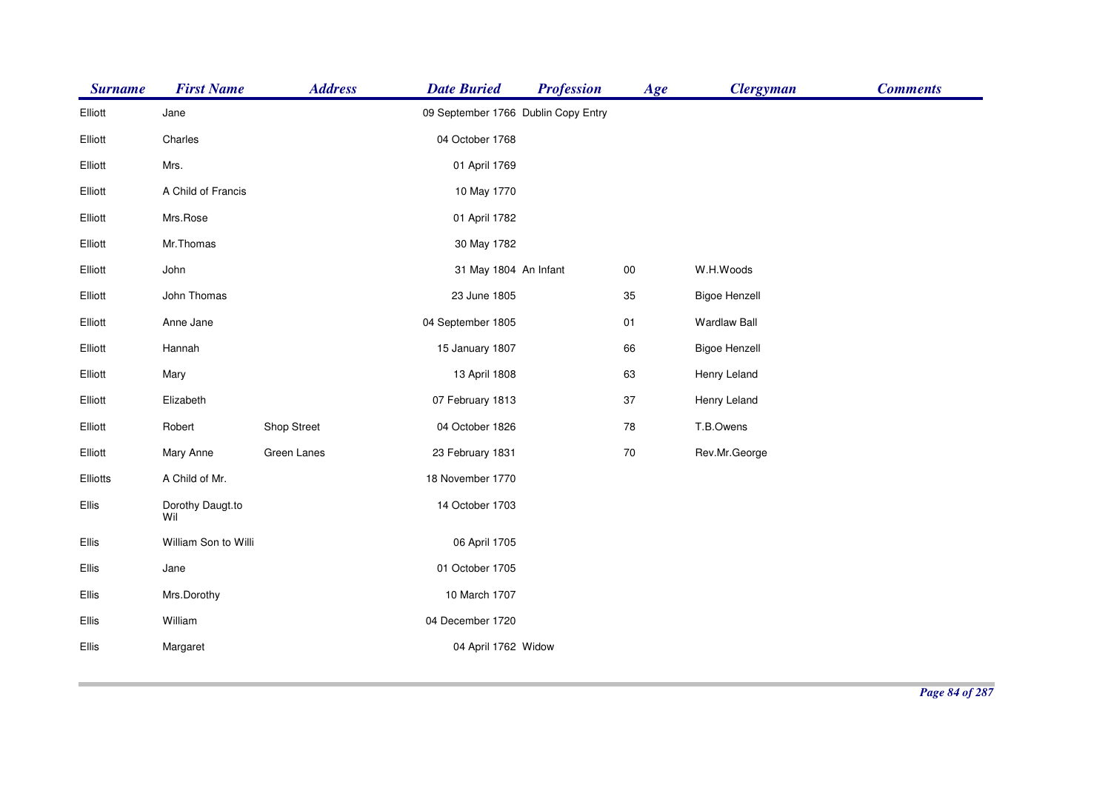| 09 September 1766 Dublin Copy Entry<br>Elliott<br>Jane<br>04 October 1768<br>Elliott<br>Charles<br>Mrs.<br>01 April 1769<br>Elliott<br>A Child of Francis<br>Elliott<br>10 May 1770<br>Mrs.Rose<br>01 April 1782<br>Elliott<br>Mr.Thomas<br>30 May 1782<br>Elliott<br>W.H.Woods<br>Elliott<br>John<br>31 May 1804 An Infant<br>00<br>John Thomas<br>23 June 1805<br>35<br><b>Bigoe Henzell</b><br>Elliott<br>04 September 1805<br><b>Wardlaw Ball</b><br>Elliott<br>Anne Jane<br>01<br>66<br>Elliott<br>Hannah<br>15 January 1807<br><b>Bigoe Henzell</b><br>13 April 1808<br>63<br>Henry Leland<br>Elliott<br>Mary<br>Elizabeth<br>07 February 1813<br>37<br>Henry Leland<br>Elliott<br>Shop Street<br>04 October 1826<br>78<br>T.B.Owens<br>Elliott<br>Robert<br>Green Lanes<br>23 February 1831<br>$70\,$<br>Rev.Mr.George<br>Elliott<br>Mary Anne<br>18 November 1770<br>A Child of Mr.<br>Elliotts<br>Dorothy Daugt.to<br>14 October 1703<br>Ellis<br>Wil<br>Ellis<br>William Son to Willi<br>06 April 1705 | <b>Surname</b> | <b>First Name</b> | <b>Address</b> | <b>Date Buried</b> | <b>Profession</b> | Age | <b>Clergyman</b> | <b>Comments</b> |
|------------------------------------------------------------------------------------------------------------------------------------------------------------------------------------------------------------------------------------------------------------------------------------------------------------------------------------------------------------------------------------------------------------------------------------------------------------------------------------------------------------------------------------------------------------------------------------------------------------------------------------------------------------------------------------------------------------------------------------------------------------------------------------------------------------------------------------------------------------------------------------------------------------------------------------------------------------------------------------------------------------------|----------------|-------------------|----------------|--------------------|-------------------|-----|------------------|-----------------|
|                                                                                                                                                                                                                                                                                                                                                                                                                                                                                                                                                                                                                                                                                                                                                                                                                                                                                                                                                                                                                  |                |                   |                |                    |                   |     |                  |                 |
|                                                                                                                                                                                                                                                                                                                                                                                                                                                                                                                                                                                                                                                                                                                                                                                                                                                                                                                                                                                                                  |                |                   |                |                    |                   |     |                  |                 |
|                                                                                                                                                                                                                                                                                                                                                                                                                                                                                                                                                                                                                                                                                                                                                                                                                                                                                                                                                                                                                  |                |                   |                |                    |                   |     |                  |                 |
|                                                                                                                                                                                                                                                                                                                                                                                                                                                                                                                                                                                                                                                                                                                                                                                                                                                                                                                                                                                                                  |                |                   |                |                    |                   |     |                  |                 |
|                                                                                                                                                                                                                                                                                                                                                                                                                                                                                                                                                                                                                                                                                                                                                                                                                                                                                                                                                                                                                  |                |                   |                |                    |                   |     |                  |                 |
|                                                                                                                                                                                                                                                                                                                                                                                                                                                                                                                                                                                                                                                                                                                                                                                                                                                                                                                                                                                                                  |                |                   |                |                    |                   |     |                  |                 |
|                                                                                                                                                                                                                                                                                                                                                                                                                                                                                                                                                                                                                                                                                                                                                                                                                                                                                                                                                                                                                  |                |                   |                |                    |                   |     |                  |                 |
|                                                                                                                                                                                                                                                                                                                                                                                                                                                                                                                                                                                                                                                                                                                                                                                                                                                                                                                                                                                                                  |                |                   |                |                    |                   |     |                  |                 |
|                                                                                                                                                                                                                                                                                                                                                                                                                                                                                                                                                                                                                                                                                                                                                                                                                                                                                                                                                                                                                  |                |                   |                |                    |                   |     |                  |                 |
|                                                                                                                                                                                                                                                                                                                                                                                                                                                                                                                                                                                                                                                                                                                                                                                                                                                                                                                                                                                                                  |                |                   |                |                    |                   |     |                  |                 |
|                                                                                                                                                                                                                                                                                                                                                                                                                                                                                                                                                                                                                                                                                                                                                                                                                                                                                                                                                                                                                  |                |                   |                |                    |                   |     |                  |                 |
|                                                                                                                                                                                                                                                                                                                                                                                                                                                                                                                                                                                                                                                                                                                                                                                                                                                                                                                                                                                                                  |                |                   |                |                    |                   |     |                  |                 |
|                                                                                                                                                                                                                                                                                                                                                                                                                                                                                                                                                                                                                                                                                                                                                                                                                                                                                                                                                                                                                  |                |                   |                |                    |                   |     |                  |                 |
|                                                                                                                                                                                                                                                                                                                                                                                                                                                                                                                                                                                                                                                                                                                                                                                                                                                                                                                                                                                                                  |                |                   |                |                    |                   |     |                  |                 |
|                                                                                                                                                                                                                                                                                                                                                                                                                                                                                                                                                                                                                                                                                                                                                                                                                                                                                                                                                                                                                  |                |                   |                |                    |                   |     |                  |                 |
|                                                                                                                                                                                                                                                                                                                                                                                                                                                                                                                                                                                                                                                                                                                                                                                                                                                                                                                                                                                                                  |                |                   |                |                    |                   |     |                  |                 |
|                                                                                                                                                                                                                                                                                                                                                                                                                                                                                                                                                                                                                                                                                                                                                                                                                                                                                                                                                                                                                  |                |                   |                |                    |                   |     |                  |                 |
|                                                                                                                                                                                                                                                                                                                                                                                                                                                                                                                                                                                                                                                                                                                                                                                                                                                                                                                                                                                                                  | Ellis          | Jane              |                | 01 October 1705    |                   |     |                  |                 |
| 10 March 1707<br>Ellis<br>Mrs.Dorothy                                                                                                                                                                                                                                                                                                                                                                                                                                                                                                                                                                                                                                                                                                                                                                                                                                                                                                                                                                            |                |                   |                |                    |                   |     |                  |                 |
| 04 December 1720<br>Ellis<br>William                                                                                                                                                                                                                                                                                                                                                                                                                                                                                                                                                                                                                                                                                                                                                                                                                                                                                                                                                                             |                |                   |                |                    |                   |     |                  |                 |
| Ellis<br>Margaret<br>04 April 1762 Widow                                                                                                                                                                                                                                                                                                                                                                                                                                                                                                                                                                                                                                                                                                                                                                                                                                                                                                                                                                         |                |                   |                |                    |                   |     |                  |                 |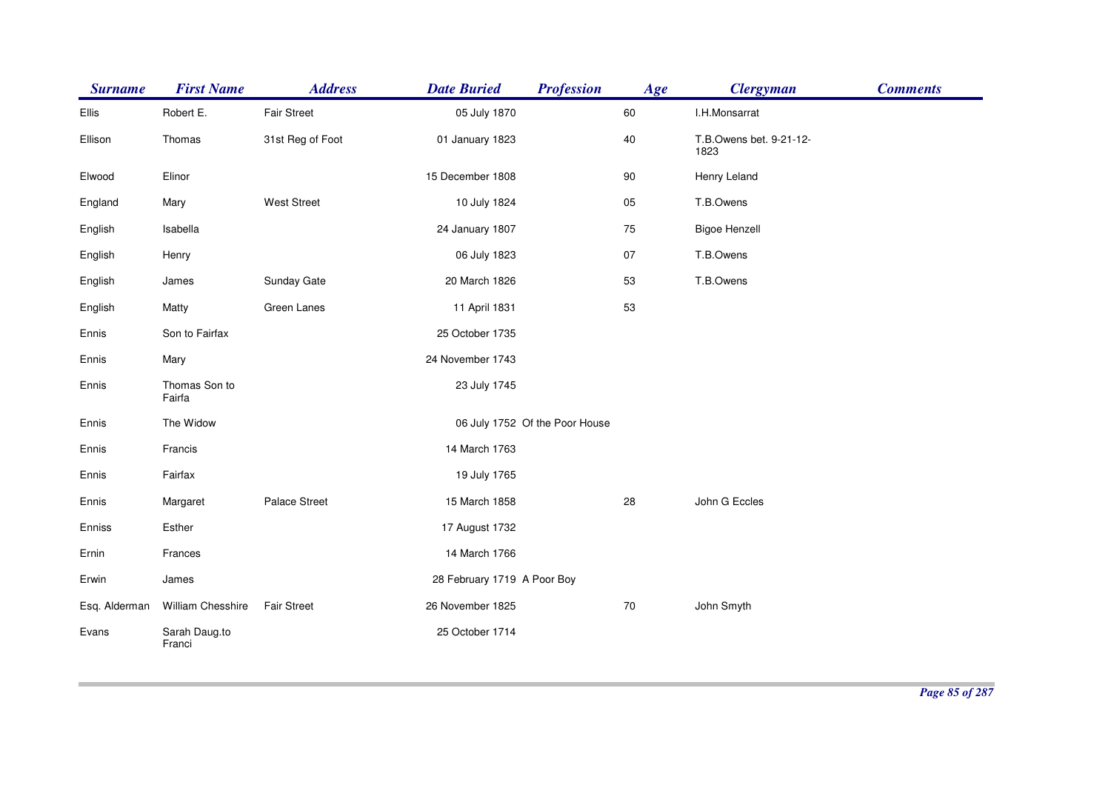| <b>Surname</b> | <b>First Name</b>       | <b>Address</b>     | <b>Date Buried</b>          | <b>Profession</b>              | Age | <b>Clergyman</b>                | <b>Comments</b> |
|----------------|-------------------------|--------------------|-----------------------------|--------------------------------|-----|---------------------------------|-----------------|
| Ellis          | Robert E.               | <b>Fair Street</b> | 05 July 1870                |                                | 60  | I.H.Monsarrat                   |                 |
| Ellison        | Thomas                  | 31st Reg of Foot   | 01 January 1823             |                                | 40  | T.B.Owens bet. 9-21-12-<br>1823 |                 |
| Elwood         | Elinor                  |                    | 15 December 1808            |                                | 90  | Henry Leland                    |                 |
| England        | Mary                    | <b>West Street</b> | 10 July 1824                |                                | 05  | T.B.Owens                       |                 |
| English        | Isabella                |                    | 24 January 1807             |                                | 75  | <b>Bigoe Henzell</b>            |                 |
| English        | Henry                   |                    | 06 July 1823                |                                | 07  | T.B.Owens                       |                 |
| English        | James                   | Sunday Gate        | 20 March 1826               |                                | 53  | T.B.Owens                       |                 |
| English        | Matty                   | Green Lanes        | 11 April 1831               |                                | 53  |                                 |                 |
| Ennis          | Son to Fairfax          |                    | 25 October 1735             |                                |     |                                 |                 |
| Ennis          | Mary                    |                    | 24 November 1743            |                                |     |                                 |                 |
| Ennis          | Thomas Son to<br>Fairfa |                    | 23 July 1745                |                                |     |                                 |                 |
| Ennis          | The Widow               |                    |                             | 06 July 1752 Of the Poor House |     |                                 |                 |
| Ennis          | Francis                 |                    | 14 March 1763               |                                |     |                                 |                 |
| Ennis          | Fairfax                 |                    | 19 July 1765                |                                |     |                                 |                 |
| Ennis          | Margaret                | Palace Street      | 15 March 1858               |                                | 28  | John G Eccles                   |                 |
| Enniss         | Esther                  |                    | 17 August 1732              |                                |     |                                 |                 |
| Ernin          | Frances                 |                    | 14 March 1766               |                                |     |                                 |                 |
| Erwin          | James                   |                    | 28 February 1719 A Poor Boy |                                |     |                                 |                 |
| Esq. Alderman  | William Chesshire       | <b>Fair Street</b> | 26 November 1825            |                                | 70  | John Smyth                      |                 |
| Evans          | Sarah Daug.to<br>Franci |                    | 25 October 1714             |                                |     |                                 |                 |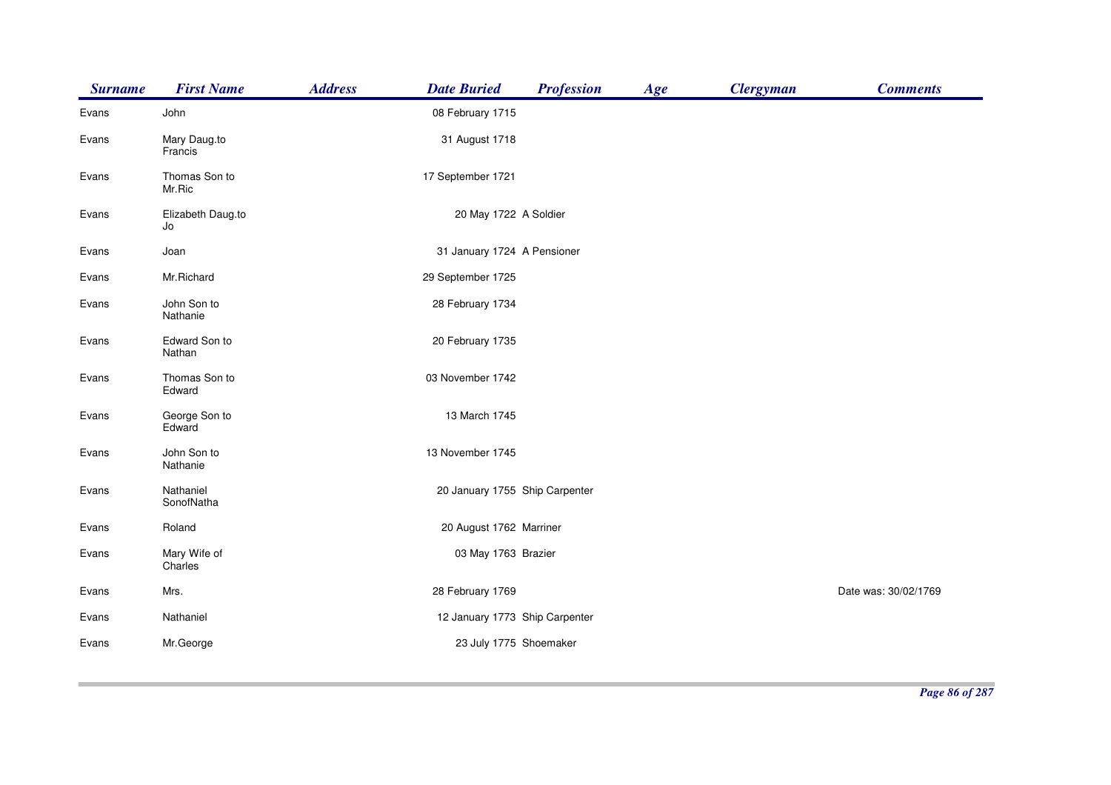| <b>Surname</b> | <b>First Name</b>       | <b>Address</b> | <b>Date Buried</b>             | <b>Profession</b> | Age | <b>Clergyman</b> | <b>Comments</b>      |
|----------------|-------------------------|----------------|--------------------------------|-------------------|-----|------------------|----------------------|
| Evans          | John                    |                | 08 February 1715               |                   |     |                  |                      |
| Evans          | Mary Daug.to<br>Francis |                | 31 August 1718                 |                   |     |                  |                      |
| Evans          | Thomas Son to<br>Mr.Ric |                | 17 September 1721              |                   |     |                  |                      |
| Evans          | Elizabeth Daug.to<br>Jo |                | 20 May 1722 A Soldier          |                   |     |                  |                      |
| Evans          | Joan                    |                | 31 January 1724 A Pensioner    |                   |     |                  |                      |
| Evans          | Mr.Richard              |                | 29 September 1725              |                   |     |                  |                      |
| Evans          | John Son to<br>Nathanie |                | 28 February 1734               |                   |     |                  |                      |
| Evans          | Edward Son to<br>Nathan |                | 20 February 1735               |                   |     |                  |                      |
| Evans          | Thomas Son to<br>Edward |                | 03 November 1742               |                   |     |                  |                      |
| Evans          | George Son to<br>Edward |                | 13 March 1745                  |                   |     |                  |                      |
| Evans          | John Son to<br>Nathanie |                | 13 November 1745               |                   |     |                  |                      |
| Evans          | Nathaniel<br>SonofNatha |                | 20 January 1755 Ship Carpenter |                   |     |                  |                      |
| Evans          | Roland                  |                | 20 August 1762 Marriner        |                   |     |                  |                      |
| Evans          | Mary Wife of<br>Charles |                | 03 May 1763 Brazier            |                   |     |                  |                      |
| Evans          | Mrs.                    |                | 28 February 1769               |                   |     |                  | Date was: 30/02/1769 |
| Evans          | Nathaniel               |                | 12 January 1773 Ship Carpenter |                   |     |                  |                      |
| Evans          | Mr.George               |                | 23 July 1775 Shoemaker         |                   |     |                  |                      |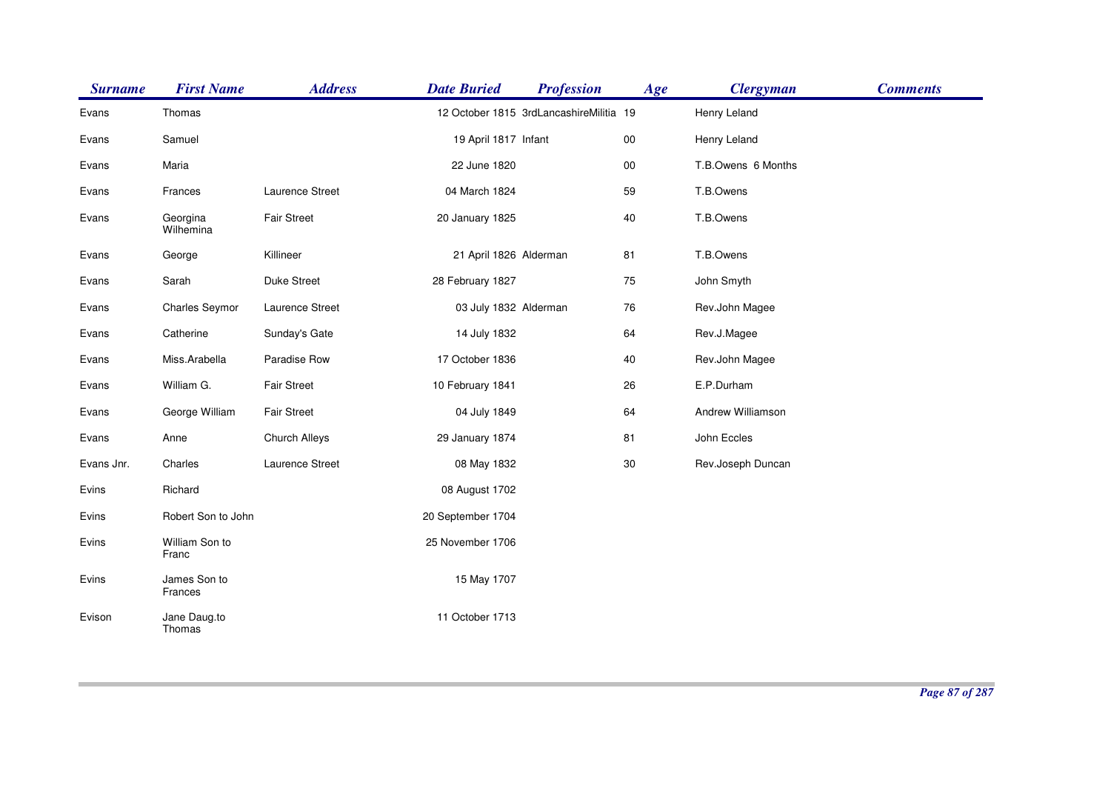| <b>Surname</b> | <b>First Name</b>       | <b>Address</b>     | <b>Date Buried</b>     | <b>Profession</b>                       | Age    | <b>Clergyman</b>   | <b>Comments</b> |
|----------------|-------------------------|--------------------|------------------------|-----------------------------------------|--------|--------------------|-----------------|
| Evans          | Thomas                  |                    |                        | 12 October 1815 3rdLancashireMilitia 19 |        | Henry Leland       |                 |
| Evans          | Samuel                  |                    | 19 April 1817 Infant   |                                         | $00\,$ | Henry Leland       |                 |
| Evans          | Maria                   |                    | 22 June 1820           |                                         | $00\,$ | T.B.Owens 6 Months |                 |
| Evans          | Frances                 | Laurence Street    | 04 March 1824          |                                         | 59     | T.B.Owens          |                 |
| Evans          | Georgina<br>Wilhemina   | <b>Fair Street</b> | 20 January 1825        |                                         | 40     | T.B.Owens          |                 |
| Evans          | George                  | Killineer          | 21 April 1826 Alderman |                                         | 81     | T.B.Owens          |                 |
| Evans          | Sarah                   | Duke Street        | 28 February 1827       |                                         | 75     | John Smyth         |                 |
| Evans          | <b>Charles Seymor</b>   | Laurence Street    | 03 July 1832 Alderman  |                                         | 76     | Rev.John Magee     |                 |
| Evans          | Catherine               | Sunday's Gate      | 14 July 1832           |                                         | 64     | Rev.J.Magee        |                 |
| Evans          | Miss.Arabella           | Paradise Row       | 17 October 1836        |                                         | 40     | Rev.John Magee     |                 |
| Evans          | William G.              | <b>Fair Street</b> | 10 February 1841       |                                         | 26     | E.P.Durham         |                 |
| Evans          | George William          | <b>Fair Street</b> | 04 July 1849           |                                         | 64     | Andrew Williamson  |                 |
| Evans          | Anne                    | Church Alleys      | 29 January 1874        |                                         | 81     | John Eccles        |                 |
| Evans Jnr.     | Charles                 | Laurence Street    | 08 May 1832            |                                         | 30     | Rev.Joseph Duncan  |                 |
| Evins          | Richard                 |                    | 08 August 1702         |                                         |        |                    |                 |
| Evins          | Robert Son to John      |                    | 20 September 1704      |                                         |        |                    |                 |
| Evins          | William Son to<br>Franc |                    | 25 November 1706       |                                         |        |                    |                 |
| Evins          | James Son to<br>Frances |                    | 15 May 1707            |                                         |        |                    |                 |
| Evison         | Jane Daug.to<br>Thomas  |                    | 11 October 1713        |                                         |        |                    |                 |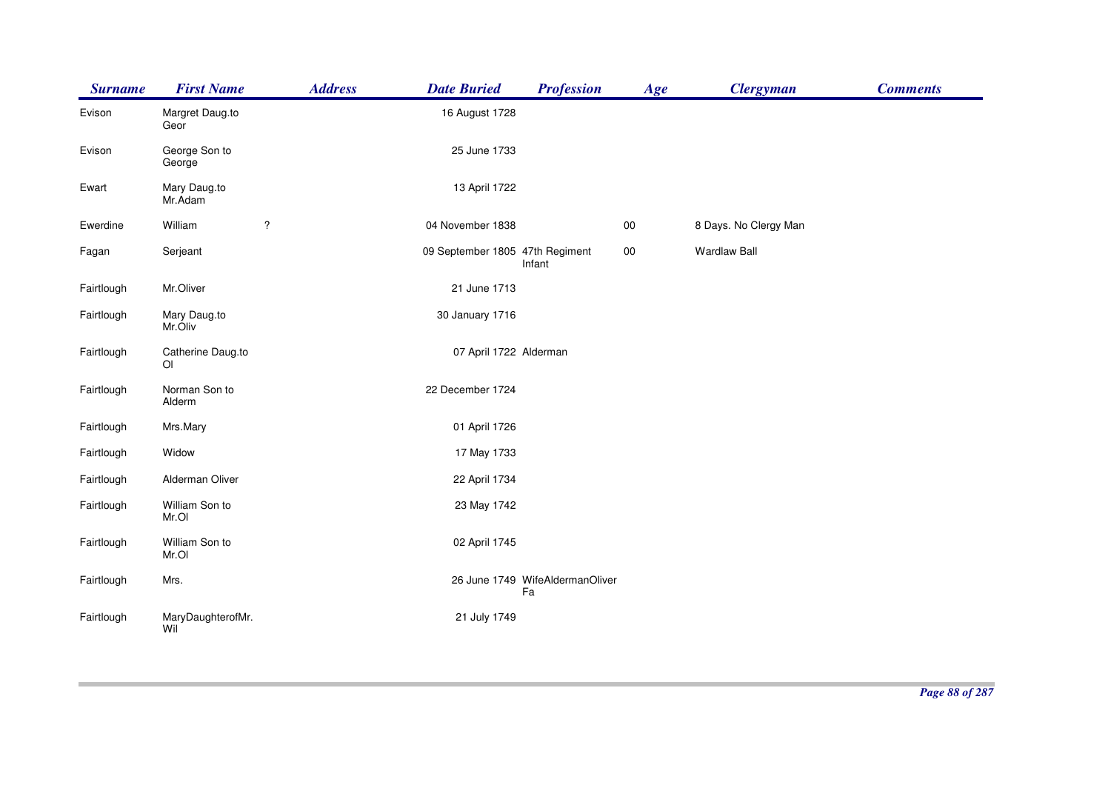| <b>Surname</b> | <b>First Name</b>                   | <b>Address</b>       | <b>Date Buried</b>              | <b>Profession</b>                     | Age    | <b>Clergyman</b>      | <b>Comments</b> |
|----------------|-------------------------------------|----------------------|---------------------------------|---------------------------------------|--------|-----------------------|-----------------|
| Evison         | Margret Daug.to<br>Geor             |                      | 16 August 1728                  |                                       |        |                       |                 |
| Evison         | George Son to<br>George             |                      | 25 June 1733                    |                                       |        |                       |                 |
| Ewart          | Mary Daug.to<br>Mr.Adam             |                      | 13 April 1722                   |                                       |        |                       |                 |
| Ewerdine       | William                             | $\ddot{\phantom{0}}$ | 04 November 1838                |                                       | $00\,$ | 8 Days. No Clergy Man |                 |
| Fagan          | Serjeant                            |                      | 09 September 1805 47th Regiment | Infant                                | $00\,$ | <b>Wardlaw Ball</b>   |                 |
| Fairtlough     | Mr.Oliver                           |                      | 21 June 1713                    |                                       |        |                       |                 |
| Fairtlough     | Mary Daug.to<br>Mr.Oliv             |                      | 30 January 1716                 |                                       |        |                       |                 |
| Fairtlough     | Catherine Daug.to<br>O <sub>l</sub> |                      | 07 April 1722 Alderman          |                                       |        |                       |                 |
| Fairtlough     | Norman Son to<br>Alderm             |                      | 22 December 1724                |                                       |        |                       |                 |
| Fairtlough     | Mrs.Mary                            |                      | 01 April 1726                   |                                       |        |                       |                 |
| Fairtlough     | Widow                               |                      | 17 May 1733                     |                                       |        |                       |                 |
| Fairtlough     | Alderman Oliver                     |                      | 22 April 1734                   |                                       |        |                       |                 |
| Fairtlough     | William Son to<br>Mr.OI             |                      | 23 May 1742                     |                                       |        |                       |                 |
| Fairtlough     | William Son to<br>Mr.OI             |                      | 02 April 1745                   |                                       |        |                       |                 |
| Fairtlough     | Mrs.                                |                      |                                 | 26 June 1749 WifeAldermanOliver<br>Fa |        |                       |                 |
| Fairtlough     | MaryDaughterofMr.<br>Wil            |                      | 21 July 1749                    |                                       |        |                       |                 |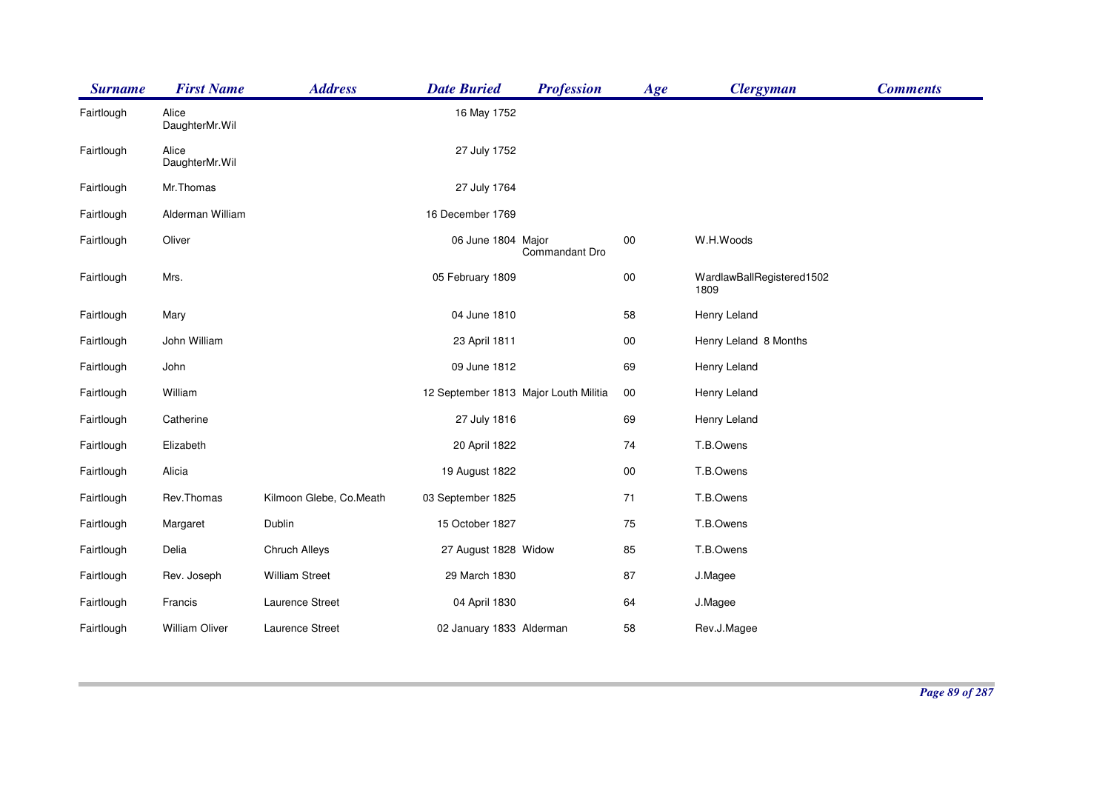| <b>Surname</b> | <b>First Name</b>       | <b>Address</b>          | <b>Date Buried</b>                    | <b>Profession</b> | Age        | <b>Clergyman</b>                  | <b>Comments</b> |
|----------------|-------------------------|-------------------------|---------------------------------------|-------------------|------------|-----------------------------------|-----------------|
| Fairtlough     | Alice<br>DaughterMr.Wil |                         | 16 May 1752                           |                   |            |                                   |                 |
| Fairtlough     | Alice<br>DaughterMr.Wil |                         | 27 July 1752                          |                   |            |                                   |                 |
| Fairtlough     | Mr.Thomas               |                         | 27 July 1764                          |                   |            |                                   |                 |
| Fairtlough     | Alderman William        |                         | 16 December 1769                      |                   |            |                                   |                 |
| Fairtlough     | Oliver                  |                         | 06 June 1804 Major                    | Commandant Dro    | $00\,$     | W.H.Woods                         |                 |
| Fairtlough     | Mrs.                    |                         | 05 February 1809                      |                   | ${\bf 00}$ | WardlawBallRegistered1502<br>1809 |                 |
| Fairtlough     | Mary                    |                         | 04 June 1810                          |                   | 58         | Henry Leland                      |                 |
| Fairtlough     | John William            |                         | 23 April 1811                         |                   | $00\,$     | Henry Leland 8 Months             |                 |
| Fairtlough     | John                    |                         | 09 June 1812                          |                   | 69         | Henry Leland                      |                 |
| Fairtlough     | William                 |                         | 12 September 1813 Major Louth Militia |                   | $00\,$     | Henry Leland                      |                 |
| Fairtlough     | Catherine               |                         | 27 July 1816                          |                   | 69         | Henry Leland                      |                 |
| Fairtlough     | Elizabeth               |                         | 20 April 1822                         |                   | 74         | T.B.Owens                         |                 |
| Fairtlough     | Alicia                  |                         | 19 August 1822                        |                   | $00\,$     | T.B.Owens                         |                 |
| Fairtlough     | Rev.Thomas              | Kilmoon Glebe, Co.Meath | 03 September 1825                     |                   | $71$       | T.B.Owens                         |                 |
| Fairtlough     | Margaret                | Dublin                  | 15 October 1827                       |                   | 75         | T.B.Owens                         |                 |
| Fairtlough     | Delia                   | Chruch Alleys           | 27 August 1828 Widow                  |                   | 85         | T.B.Owens                         |                 |
| Fairtlough     | Rev. Joseph             | <b>William Street</b>   | 29 March 1830                         |                   | 87         | J.Magee                           |                 |
| Fairtlough     | Francis                 | Laurence Street         | 04 April 1830                         |                   | 64         | J.Magee                           |                 |
| Fairtlough     | William Oliver          | Laurence Street         | 02 January 1833 Alderman              |                   | 58         | Rev.J.Magee                       |                 |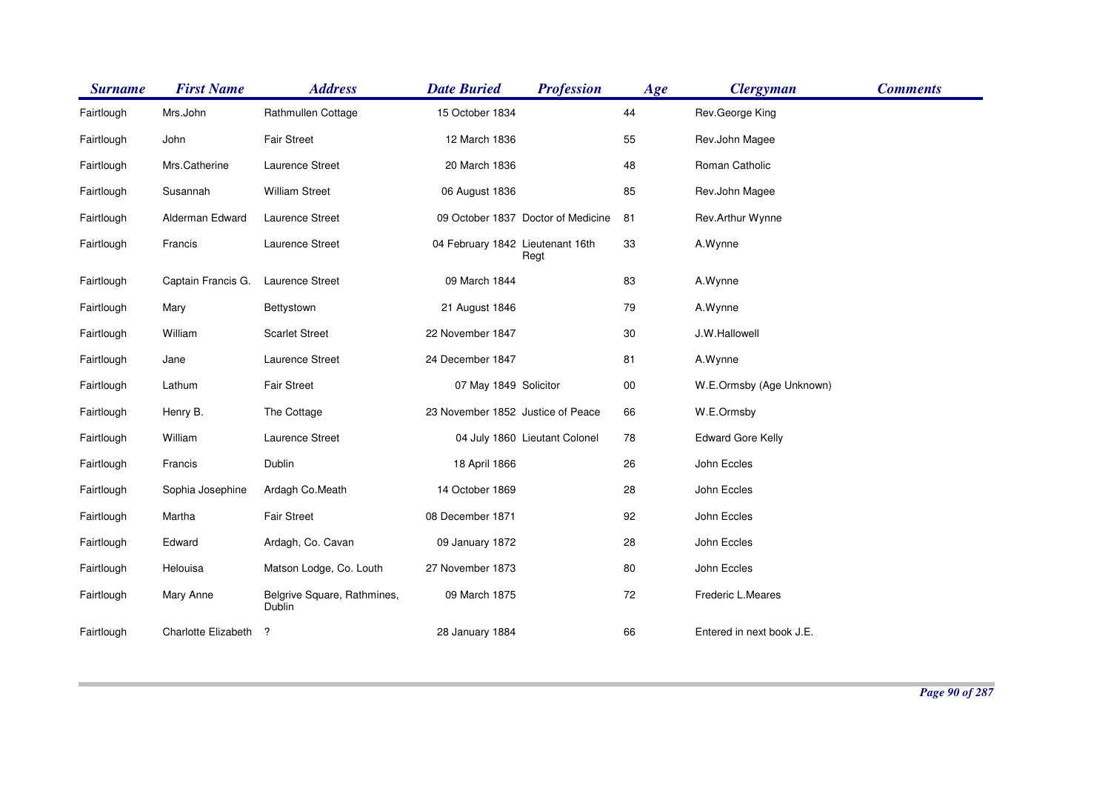| <b>Surname</b> | <b>First Name</b>   | <b>Address</b>                        | <b>Date Buried</b>                | <b>Profession</b>                  | Age    | <b>Clergyman</b>          | <b>Comments</b> |
|----------------|---------------------|---------------------------------------|-----------------------------------|------------------------------------|--------|---------------------------|-----------------|
| Fairtlough     | Mrs.John            | Rathmullen Cottage                    | 15 October 1834                   |                                    | 44     | Rev.George King           |                 |
| Fairtlough     | John                | <b>Fair Street</b>                    | 12 March 1836                     |                                    | 55     | Rev.John Magee            |                 |
| Fairtlough     | Mrs.Catherine       | Laurence Street                       | 20 March 1836                     |                                    | 48     | Roman Catholic            |                 |
| Fairtlough     | Susannah            | <b>William Street</b>                 | 06 August 1836                    |                                    | 85     | Rev.John Magee            |                 |
| Fairtlough     | Alderman Edward     | <b>Laurence Street</b>                |                                   | 09 October 1837 Doctor of Medicine | 81     | Rev.Arthur Wynne          |                 |
| Fairtlough     | Francis             | Laurence Street                       | 04 February 1842 Lieutenant 16th  | Regt                               | 33     | A.Wynne                   |                 |
| Fairtlough     | Captain Francis G.  | Laurence Street                       | 09 March 1844                     |                                    | 83     | A.Wynne                   |                 |
| Fairtlough     | Mary                | Bettystown                            | 21 August 1846                    |                                    | 79     | A.Wynne                   |                 |
| Fairtlough     | William             | <b>Scarlet Street</b>                 | 22 November 1847                  |                                    | $30\,$ | J.W.Hallowell             |                 |
| Fairtlough     | Jane                | Laurence Street                       | 24 December 1847                  |                                    | 81     | A.Wynne                   |                 |
| Fairtlough     | Lathum              | <b>Fair Street</b>                    | 07 May 1849 Solicitor             |                                    | $00\,$ | W.E.Ormsby (Age Unknown)  |                 |
| Fairtlough     | Henry B.            | The Cottage                           | 23 November 1852 Justice of Peace |                                    | 66     | W.E.Ormsby                |                 |
| Fairtlough     | William             | Laurence Street                       |                                   | 04 July 1860 Lieutant Colonel      | 78     | <b>Edward Gore Kelly</b>  |                 |
| Fairtlough     | Francis             | Dublin                                | 18 April 1866                     |                                    | 26     | John Eccles               |                 |
| Fairtlough     | Sophia Josephine    | Ardagh Co.Meath                       | 14 October 1869                   |                                    | 28     | John Eccles               |                 |
| Fairtlough     | Martha              | <b>Fair Street</b>                    | 08 December 1871                  |                                    | 92     | John Eccles               |                 |
| Fairtlough     | Edward              | Ardagh, Co. Cavan                     | 09 January 1872                   |                                    | 28     | John Eccles               |                 |
| Fairtlough     | Helouisa            | Matson Lodge, Co. Louth               | 27 November 1873                  |                                    | 80     | John Eccles               |                 |
| Fairtlough     | Mary Anne           | Belgrive Square, Rathmines,<br>Dublin | 09 March 1875                     |                                    | 72     | Frederic L.Meares         |                 |
| Fairtlough     | Charlotte Elizabeth | ?                                     | 28 January 1884                   |                                    | 66     | Entered in next book J.E. |                 |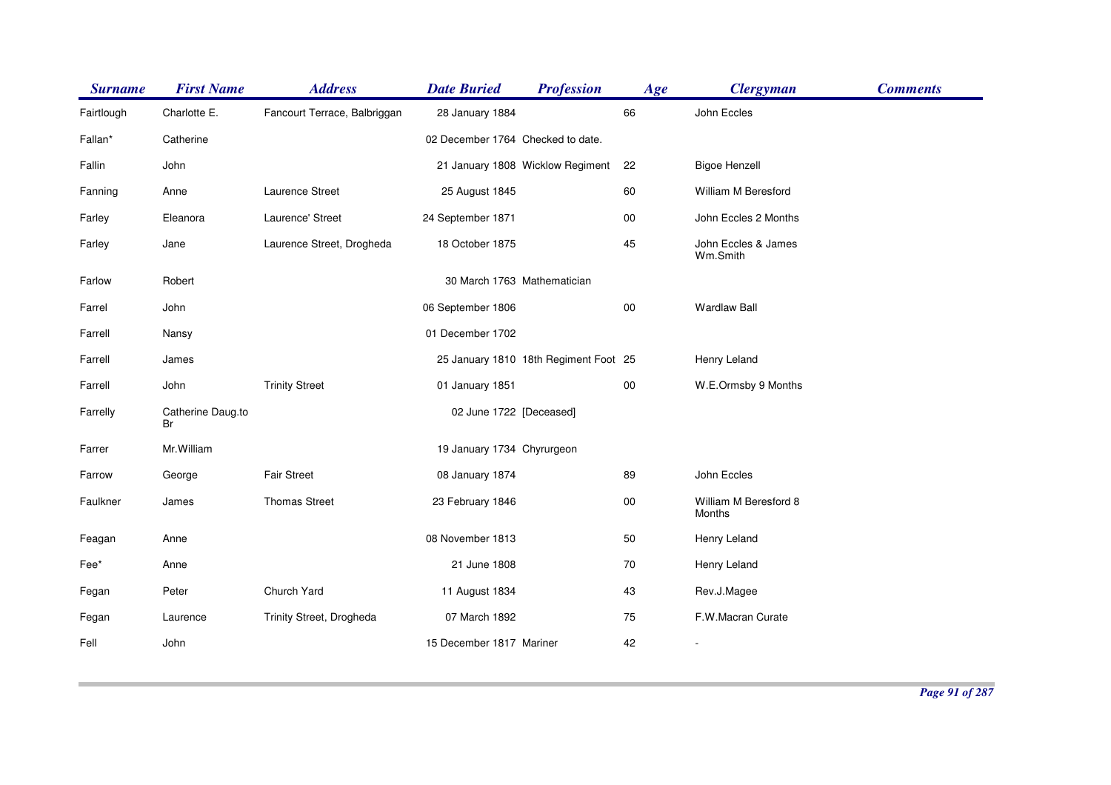| <b>Surname</b> | <b>First Name</b>       | <b>Address</b>               | <b>Date Buried</b>                | <b>Profession</b>                     | Age        | <b>Clergyman</b>                | <b>Comments</b> |
|----------------|-------------------------|------------------------------|-----------------------------------|---------------------------------------|------------|---------------------------------|-----------------|
| Fairtlough     | Charlotte E.            | Fancourt Terrace, Balbriggan | 28 January 1884                   |                                       | 66         | John Eccles                     |                 |
| Fallan*        | Catherine               |                              | 02 December 1764 Checked to date. |                                       |            |                                 |                 |
| Fallin         | John                    |                              |                                   | 21 January 1808 Wicklow Regiment      | 22         | <b>Bigoe Henzell</b>            |                 |
| Fanning        | Anne                    | Laurence Street              | 25 August 1845                    |                                       | 60         | William M Beresford             |                 |
| Farley         | Eleanora                | Laurence' Street             | 24 September 1871                 |                                       | $00\,$     | John Eccles 2 Months            |                 |
| Farley         | Jane                    | Laurence Street, Drogheda    | 18 October 1875                   |                                       | 45         | John Eccles & James<br>Wm.Smith |                 |
| Farlow         | Robert                  |                              | 30 March 1763 Mathematician       |                                       |            |                                 |                 |
| Farrel         | John                    |                              | 06 September 1806                 |                                       | ${\bf 00}$ | <b>Wardlaw Ball</b>             |                 |
| Farrell        | Nansy                   |                              | 01 December 1702                  |                                       |            |                                 |                 |
| Farrell        | James                   |                              |                                   | 25 January 1810 18th Regiment Foot 25 |            | Henry Leland                    |                 |
| Farrell        | John                    | <b>Trinity Street</b>        | 01 January 1851                   |                                       | $00\,$     | W.E.Ormsby 9 Months             |                 |
| Farrelly       | Catherine Daug.to<br>Br |                              | 02 June 1722 [Deceased]           |                                       |            |                                 |                 |
| Farrer         | Mr. William             |                              | 19 January 1734 Chyrurgeon        |                                       |            |                                 |                 |
| Farrow         | George                  | <b>Fair Street</b>           | 08 January 1874                   |                                       | 89         | John Eccles                     |                 |
| Faulkner       | James                   | <b>Thomas Street</b>         | 23 February 1846                  |                                       | ${\bf 00}$ | William M Beresford 8<br>Months |                 |
| Feagan         | Anne                    |                              | 08 November 1813                  |                                       | 50         | Henry Leland                    |                 |
| Fee*           | Anne                    |                              | 21 June 1808                      |                                       | 70         | Henry Leland                    |                 |
| Fegan          | Peter                   | Church Yard                  | 11 August 1834                    |                                       | 43         | Rev.J.Magee                     |                 |
| Fegan          | Laurence                | Trinity Street, Drogheda     | 07 March 1892                     |                                       | 75         | F.W.Macran Curate               |                 |
| Fell           | John                    |                              | 15 December 1817 Mariner          |                                       | 42         | $\overline{\phantom{a}}$        |                 |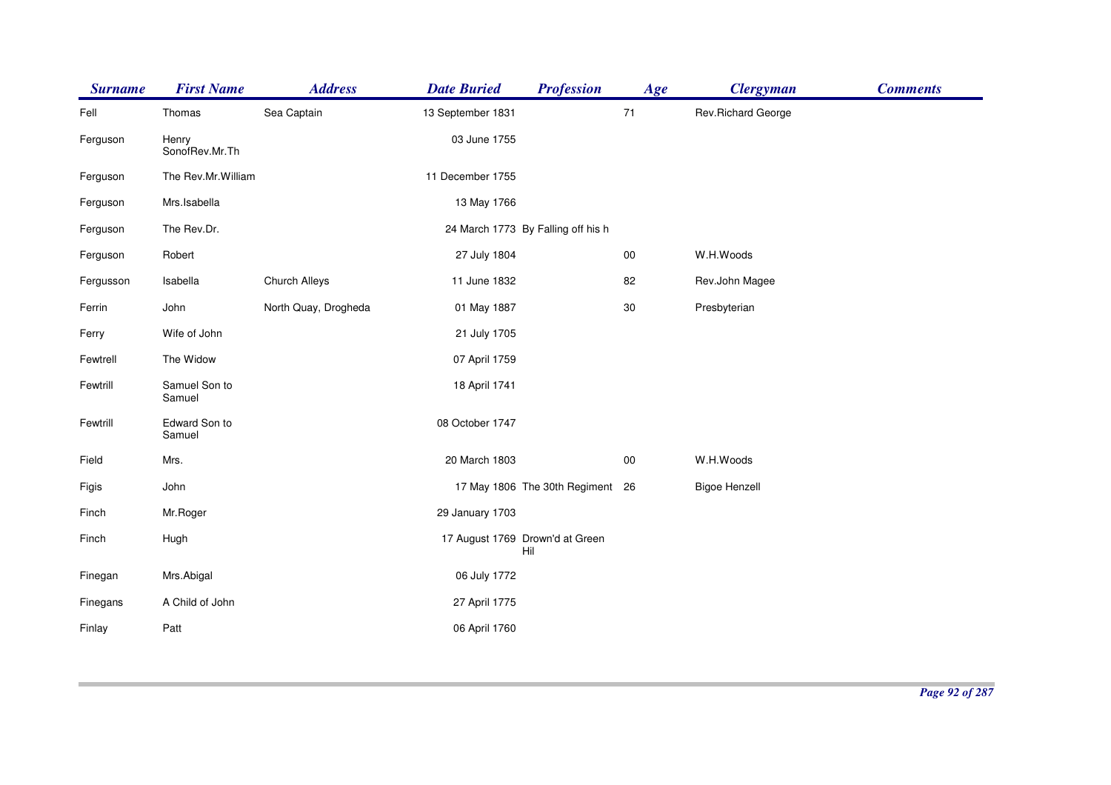| <b>Surname</b> | <b>First Name</b>       | <b>Address</b>       | <b>Date Buried</b> | <b>Profession</b>                      | Age    | <b>Clergyman</b>     | <b>Comments</b> |
|----------------|-------------------------|----------------------|--------------------|----------------------------------------|--------|----------------------|-----------------|
| Fell           | Thomas                  | Sea Captain          | 13 September 1831  |                                        | $71$   | Rev.Richard George   |                 |
| Ferguson       | Henry<br>SonofRev.Mr.Th |                      | 03 June 1755       |                                        |        |                      |                 |
| Ferguson       | The Rev.Mr.William      |                      | 11 December 1755   |                                        |        |                      |                 |
| Ferguson       | Mrs.Isabella            |                      | 13 May 1766        |                                        |        |                      |                 |
| Ferguson       | The Rev.Dr.             |                      |                    | 24 March 1773 By Falling off his h     |        |                      |                 |
| Ferguson       | Robert                  |                      | 27 July 1804       |                                        | $00\,$ | W.H.Woods            |                 |
| Fergusson      | Isabella                | Church Alleys        | 11 June 1832       |                                        | 82     | Rev.John Magee       |                 |
| Ferrin         | John                    | North Quay, Drogheda | 01 May 1887        |                                        | $30\,$ | Presbyterian         |                 |
| Ferry          | Wife of John            |                      | 21 July 1705       |                                        |        |                      |                 |
| Fewtrell       | The Widow               |                      | 07 April 1759      |                                        |        |                      |                 |
| Fewtrill       | Samuel Son to<br>Samuel |                      | 18 April 1741      |                                        |        |                      |                 |
| Fewtrill       | Edward Son to<br>Samuel |                      | 08 October 1747    |                                        |        |                      |                 |
| Field          | Mrs.                    |                      | 20 March 1803      |                                        | $00\,$ | W.H.Woods            |                 |
| Figis          | John                    |                      |                    | 17 May 1806 The 30th Regiment 26       |        | <b>Bigoe Henzell</b> |                 |
| Finch          | Mr.Roger                |                      | 29 January 1703    |                                        |        |                      |                 |
| Finch          | Hugh                    |                      |                    | 17 August 1769 Drown'd at Green<br>Hil |        |                      |                 |
| Finegan        | Mrs.Abigal              |                      | 06 July 1772       |                                        |        |                      |                 |
| Finegans       | A Child of John         |                      | 27 April 1775      |                                        |        |                      |                 |
| Finlay         | Patt                    |                      | 06 April 1760      |                                        |        |                      |                 |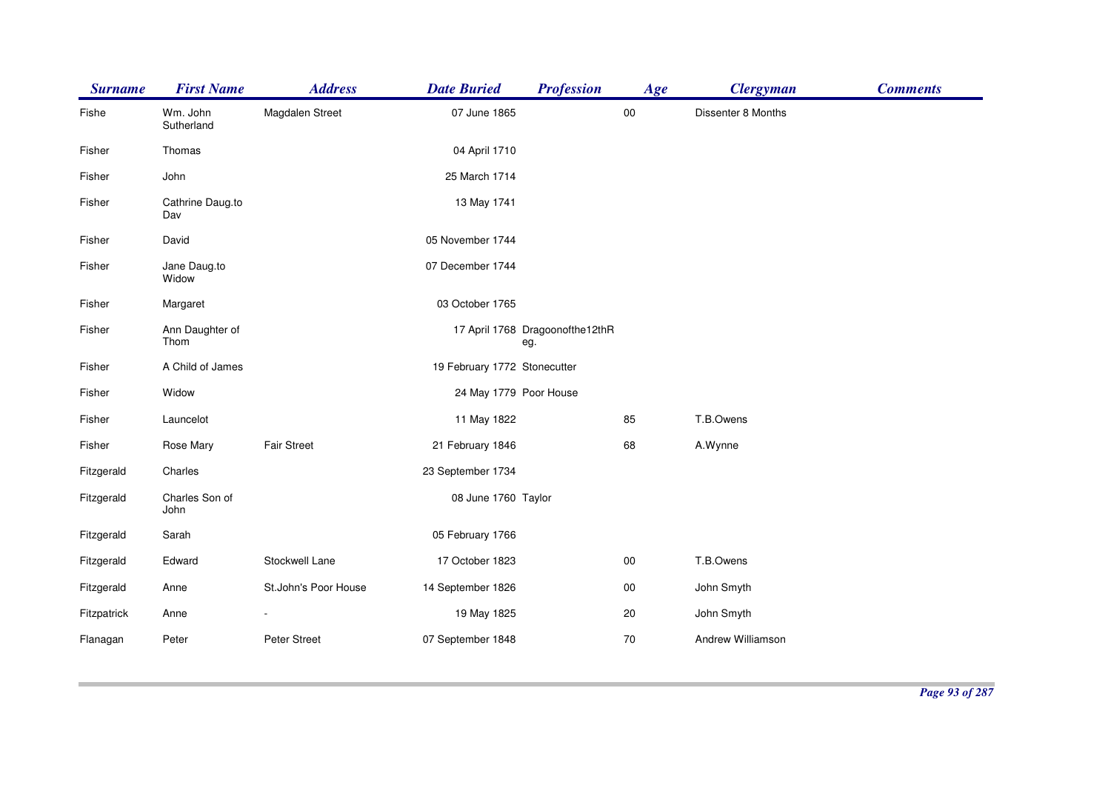|                         |                      |                   | <b>Profession</b>                                         | Age                                                                                                                                                                                                                                         | <b>Clergyman</b>   | <b>Comments</b> |
|-------------------------|----------------------|-------------------|-----------------------------------------------------------|---------------------------------------------------------------------------------------------------------------------------------------------------------------------------------------------------------------------------------------------|--------------------|-----------------|
| Wm. John<br>Sutherland  | Magdalen Street      |                   |                                                           | ${\bf 00}$                                                                                                                                                                                                                                  | Dissenter 8 Months |                 |
| Thomas                  |                      |                   |                                                           |                                                                                                                                                                                                                                             |                    |                 |
| John                    |                      | 25 March 1714     |                                                           |                                                                                                                                                                                                                                             |                    |                 |
| Cathrine Daug.to<br>Dav |                      | 13 May 1741       |                                                           |                                                                                                                                                                                                                                             |                    |                 |
| David                   |                      | 05 November 1744  |                                                           |                                                                                                                                                                                                                                             |                    |                 |
| Jane Daug.to<br>Widow   |                      | 07 December 1744  |                                                           |                                                                                                                                                                                                                                             |                    |                 |
| Margaret                |                      |                   |                                                           |                                                                                                                                                                                                                                             |                    |                 |
| Ann Daughter of<br>Thom |                      |                   | eg.                                                       |                                                                                                                                                                                                                                             |                    |                 |
| A Child of James        |                      |                   |                                                           |                                                                                                                                                                                                                                             |                    |                 |
| Widow                   |                      |                   |                                                           |                                                                                                                                                                                                                                             |                    |                 |
| Launcelot               |                      |                   |                                                           | 85                                                                                                                                                                                                                                          | T.B.Owens          |                 |
| Rose Mary               | <b>Fair Street</b>   |                   |                                                           | 68                                                                                                                                                                                                                                          | A.Wynne            |                 |
| Charles                 |                      | 23 September 1734 |                                                           |                                                                                                                                                                                                                                             |                    |                 |
| Charles Son of<br>John  |                      |                   |                                                           |                                                                                                                                                                                                                                             |                    |                 |
| Sarah                   |                      | 05 February 1766  |                                                           |                                                                                                                                                                                                                                             |                    |                 |
| Edward                  | Stockwell Lane       | 17 October 1823   |                                                           | $00\,$                                                                                                                                                                                                                                      | T.B.Owens          |                 |
| Anne                    | St.John's Poor House |                   |                                                           | ${\bf 00}$                                                                                                                                                                                                                                  | John Smyth         |                 |
| Anne                    |                      |                   |                                                           | 20                                                                                                                                                                                                                                          | John Smyth         |                 |
| Peter                   | Peter Street         | 07 September 1848 |                                                           | 70                                                                                                                                                                                                                                          | Andrew Williamson  |                 |
|                         |                      |                   | <b>Address</b><br><b>First Name</b><br><b>Date Buried</b> | 07 June 1865<br>04 April 1710<br>03 October 1765<br>17 April 1768 Dragoonofthe12thR<br>19 February 1772 Stonecutter<br>24 May 1779 Poor House<br>11 May 1822<br>21 February 1846<br>08 June 1760 Taylor<br>14 September 1826<br>19 May 1825 |                    |                 |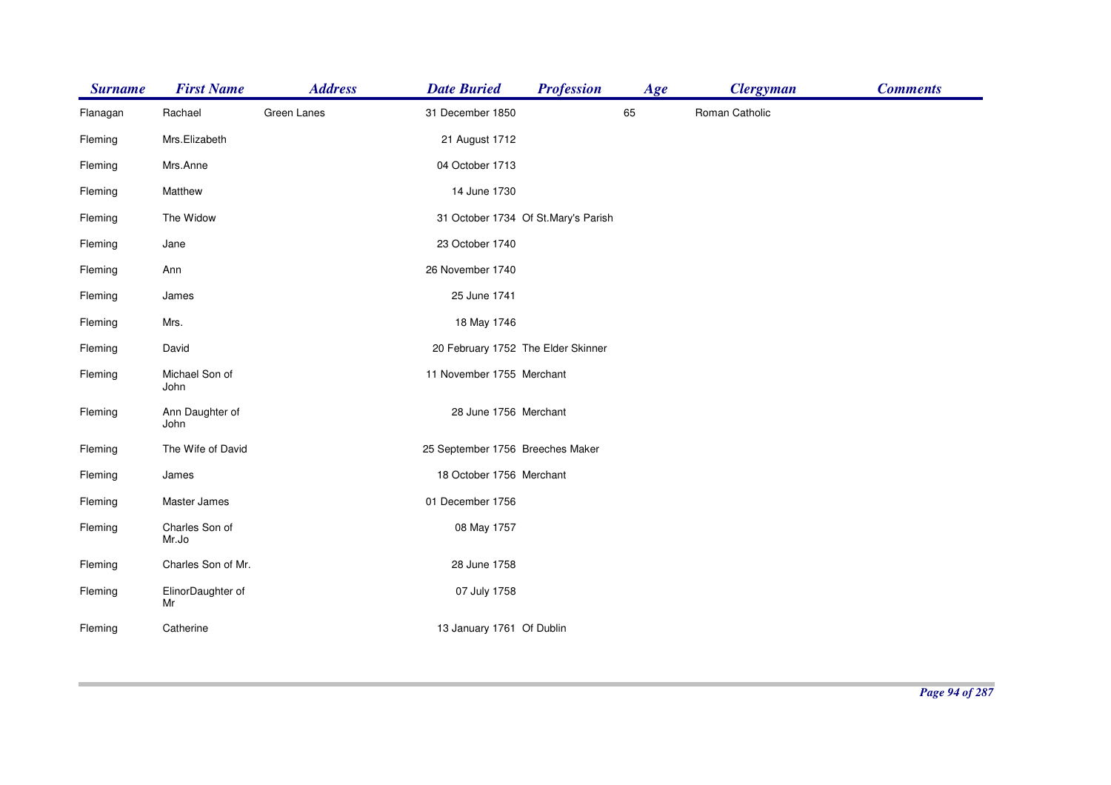| <b>Surname</b> | <b>First Name</b>       | <b>Address</b> | <b>Date Buried</b>                 | <b>Profession</b>                   | Age | <b>Clergyman</b> | <b>Comments</b> |
|----------------|-------------------------|----------------|------------------------------------|-------------------------------------|-----|------------------|-----------------|
| Flanagan       | Rachael                 | Green Lanes    | 31 December 1850                   |                                     | 65  | Roman Catholic   |                 |
| Fleming        | Mrs.Elizabeth           |                | 21 August 1712                     |                                     |     |                  |                 |
| Fleming        | Mrs.Anne                |                | 04 October 1713                    |                                     |     |                  |                 |
| Fleming        | Matthew                 |                | 14 June 1730                       |                                     |     |                  |                 |
| Fleming        | The Widow               |                |                                    | 31 October 1734 Of St.Mary's Parish |     |                  |                 |
| Fleming        | Jane                    |                | 23 October 1740                    |                                     |     |                  |                 |
| Fleming        | Ann                     |                | 26 November 1740                   |                                     |     |                  |                 |
| Fleming        | James                   |                | 25 June 1741                       |                                     |     |                  |                 |
| Fleming        | Mrs.                    |                | 18 May 1746                        |                                     |     |                  |                 |
| Fleming        | David                   |                | 20 February 1752 The Elder Skinner |                                     |     |                  |                 |
| Fleming        | Michael Son of<br>John  |                | 11 November 1755 Merchant          |                                     |     |                  |                 |
| Fleming        | Ann Daughter of<br>John |                | 28 June 1756 Merchant              |                                     |     |                  |                 |
| Fleming        | The Wife of David       |                | 25 September 1756 Breeches Maker   |                                     |     |                  |                 |
| Fleming        | James                   |                | 18 October 1756 Merchant           |                                     |     |                  |                 |
| Fleming        | Master James            |                | 01 December 1756                   |                                     |     |                  |                 |
| Fleming        | Charles Son of<br>Mr.Jo |                | 08 May 1757                        |                                     |     |                  |                 |
| Fleming        | Charles Son of Mr.      |                | 28 June 1758                       |                                     |     |                  |                 |
| Fleming        | ElinorDaughter of<br>Mr |                | 07 July 1758                       |                                     |     |                  |                 |
| Fleming        | Catherine               |                | 13 January 1761 Of Dublin          |                                     |     |                  |                 |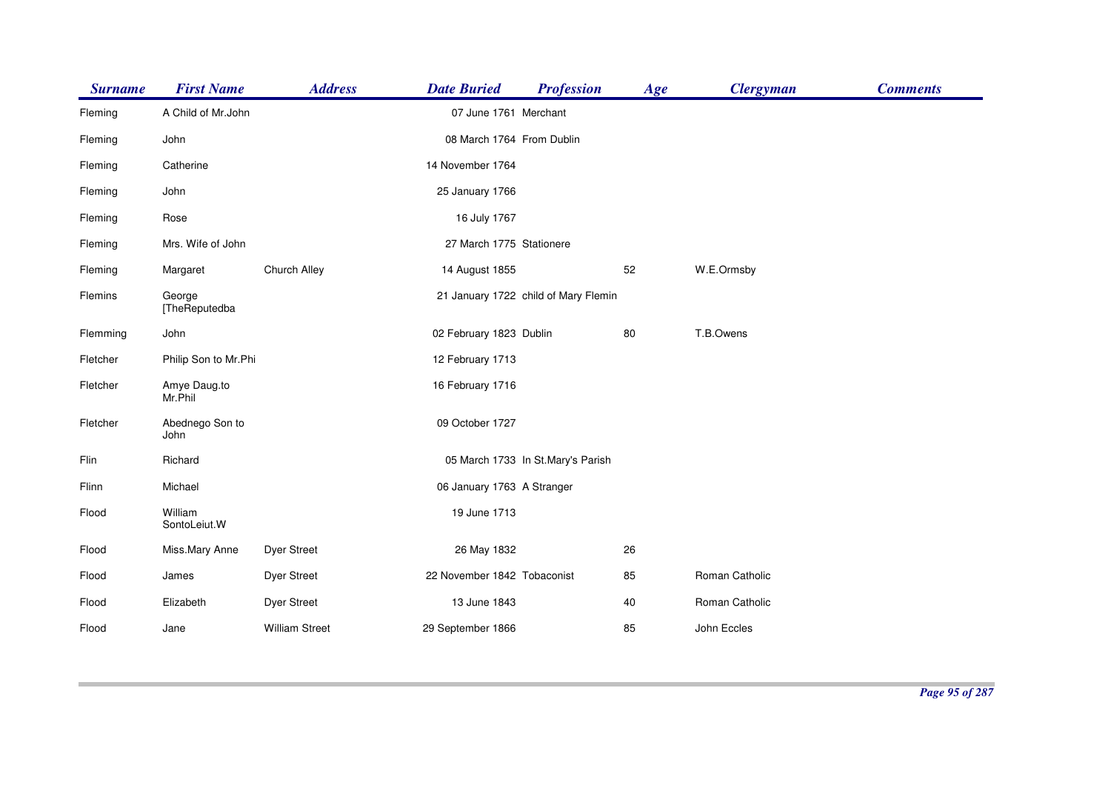| <b>Surname</b> | <b>First Name</b>       | <b>Address</b>        | <b>Date Buried</b>          | <b>Profession</b>                    | Age | <b>Clergyman</b> | <b>Comments</b> |
|----------------|-------------------------|-----------------------|-----------------------------|--------------------------------------|-----|------------------|-----------------|
| Fleming        | A Child of Mr.John      |                       | 07 June 1761 Merchant       |                                      |     |                  |                 |
| Fleming        | John                    |                       | 08 March 1764 From Dublin   |                                      |     |                  |                 |
| Fleming        | Catherine               |                       | 14 November 1764            |                                      |     |                  |                 |
| Fleming        | John                    |                       | 25 January 1766             |                                      |     |                  |                 |
| Fleming        | Rose                    |                       | 16 July 1767                |                                      |     |                  |                 |
| Fleming        | Mrs. Wife of John       |                       | 27 March 1775 Stationere    |                                      |     |                  |                 |
| Fleming        | Margaret                | Church Alley          | 14 August 1855              |                                      | 52  | W.E.Ormsby       |                 |
| Flemins        | George<br>[TheReputedba |                       |                             | 21 January 1722 child of Mary Flemin |     |                  |                 |
| Flemming       | John                    |                       | 02 February 1823 Dublin     |                                      | 80  | T.B.Owens        |                 |
| Fletcher       | Philip Son to Mr.Phi    |                       | 12 February 1713            |                                      |     |                  |                 |
| Fletcher       | Amye Daug.to<br>Mr.Phil |                       | 16 February 1716            |                                      |     |                  |                 |
| Fletcher       | Abednego Son to<br>John |                       | 09 October 1727             |                                      |     |                  |                 |
| Flin           | Richard                 |                       |                             | 05 March 1733 In St.Mary's Parish    |     |                  |                 |
| Flinn          | Michael                 |                       | 06 January 1763 A Stranger  |                                      |     |                  |                 |
| Flood          | William<br>SontoLeiut.W |                       | 19 June 1713                |                                      |     |                  |                 |
| Flood          | Miss.Mary Anne          | <b>Dyer Street</b>    | 26 May 1832                 |                                      | 26  |                  |                 |
| Flood          | James                   | <b>Dyer Street</b>    | 22 November 1842 Tobaconist |                                      | 85  | Roman Catholic   |                 |
| Flood          | Elizabeth               | <b>Dyer Street</b>    | 13 June 1843                |                                      | 40  | Roman Catholic   |                 |
| Flood          | Jane                    | <b>William Street</b> | 29 September 1866           |                                      | 85  | John Eccles      |                 |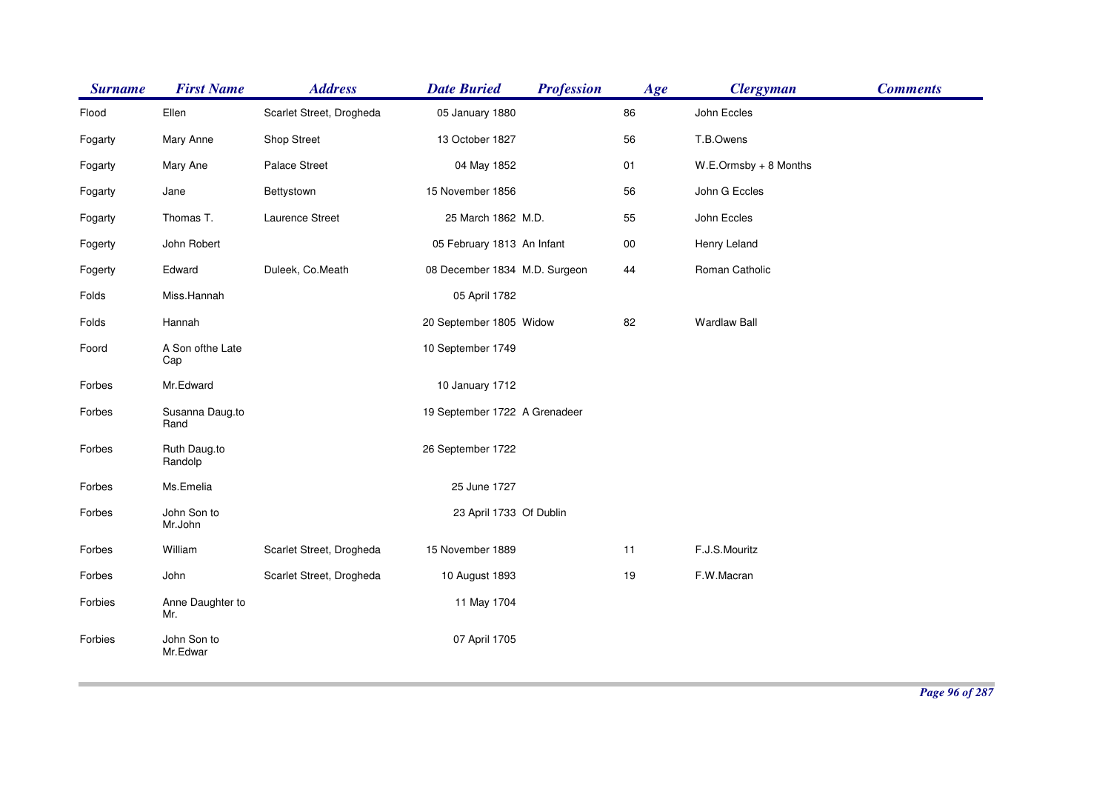| <b>Surname</b> | <b>First Name</b>       | <b>Address</b>           | <b>Date Buried</b>            | <b>Profession</b> | Age    | <b>Clergyman</b>         | <b>Comments</b> |
|----------------|-------------------------|--------------------------|-------------------------------|-------------------|--------|--------------------------|-----------------|
| Flood          | Ellen                   | Scarlet Street, Drogheda | 05 January 1880               |                   | 86     | John Eccles              |                 |
| Fogarty        | Mary Anne               | Shop Street              | 13 October 1827               |                   | 56     | T.B.Owens                |                 |
| Fogarty        | Mary Ane                | <b>Palace Street</b>     | 04 May 1852                   |                   | 01     | $W.E. Ormsby + 8$ Months |                 |
| Fogarty        | Jane                    | Bettystown               | 15 November 1856              |                   | 56     | John G Eccles            |                 |
| Fogarty        | Thomas T.               | Laurence Street          | 25 March 1862 M.D.            |                   | 55     | John Eccles              |                 |
| Fogerty        | John Robert             |                          | 05 February 1813 An Infant    |                   | $00\,$ | Henry Leland             |                 |
| Fogerty        | Edward                  | Duleek, Co.Meath         | 08 December 1834 M.D. Surgeon |                   | 44     | Roman Catholic           |                 |
| Folds          | Miss.Hannah             |                          | 05 April 1782                 |                   |        |                          |                 |
| Folds          | Hannah                  |                          | 20 September 1805 Widow       |                   | 82     | <b>Wardlaw Ball</b>      |                 |
| Foord          | A Son ofthe Late<br>Cap |                          | 10 September 1749             |                   |        |                          |                 |
| Forbes         | Mr.Edward               |                          | 10 January 1712               |                   |        |                          |                 |
| Forbes         | Susanna Daug.to<br>Rand |                          | 19 September 1722 A Grenadeer |                   |        |                          |                 |
| Forbes         | Ruth Daug.to<br>Randolp |                          | 26 September 1722             |                   |        |                          |                 |
| Forbes         | Ms.Emelia               |                          | 25 June 1727                  |                   |        |                          |                 |
| Forbes         | John Son to<br>Mr.John  |                          | 23 April 1733 Of Dublin       |                   |        |                          |                 |
| Forbes         | William                 | Scarlet Street, Drogheda | 15 November 1889              |                   | 11     | F.J.S.Mouritz            |                 |
| Forbes         | John                    | Scarlet Street, Drogheda | 10 August 1893                |                   | 19     | F.W.Macran               |                 |
| Forbies        | Anne Daughter to<br>Mr. |                          | 11 May 1704                   |                   |        |                          |                 |
| Forbies        | John Son to<br>Mr.Edwar |                          | 07 April 1705                 |                   |        |                          |                 |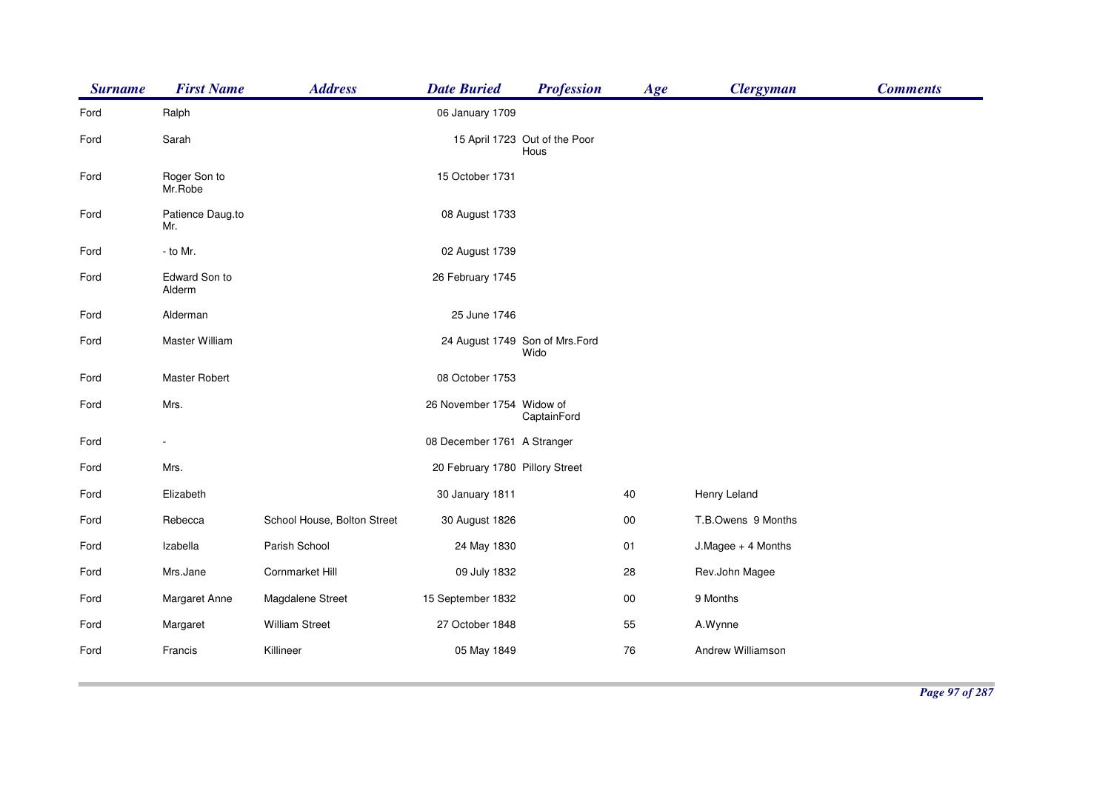| <b>Surname</b> | <b>First Name</b>       | <b>Address</b>              | <b>Date Buried</b>              | <b>Profession</b>                      | Age        | <b>Clergyman</b>   | <b>Comments</b> |
|----------------|-------------------------|-----------------------------|---------------------------------|----------------------------------------|------------|--------------------|-----------------|
| Ford           | Ralph                   |                             | 06 January 1709                 |                                        |            |                    |                 |
| Ford           | Sarah                   |                             |                                 | 15 April 1723 Out of the Poor<br>Hous  |            |                    |                 |
| Ford           | Roger Son to<br>Mr.Robe |                             | 15 October 1731                 |                                        |            |                    |                 |
| Ford           | Patience Daug.to<br>Mr. |                             | 08 August 1733                  |                                        |            |                    |                 |
| Ford           | - to Mr.                |                             | 02 August 1739                  |                                        |            |                    |                 |
| Ford           | Edward Son to<br>Alderm |                             | 26 February 1745                |                                        |            |                    |                 |
| Ford           | Alderman                |                             | 25 June 1746                    |                                        |            |                    |                 |
| Ford           | Master William          |                             |                                 | 24 August 1749 Son of Mrs.Ford<br>Wido |            |                    |                 |
| Ford           | Master Robert           |                             | 08 October 1753                 |                                        |            |                    |                 |
| Ford           | Mrs.                    |                             | 26 November 1754 Widow of       | CaptainFord                            |            |                    |                 |
| Ford           |                         |                             | 08 December 1761 A Stranger     |                                        |            |                    |                 |
| Ford           | Mrs.                    |                             | 20 February 1780 Pillory Street |                                        |            |                    |                 |
| Ford           | Elizabeth               |                             | 30 January 1811                 |                                        | 40         | Henry Leland       |                 |
| Ford           | Rebecca                 | School House, Bolton Street | 30 August 1826                  |                                        | 00         | T.B.Owens 9 Months |                 |
| Ford           | Izabella                | Parish School               | 24 May 1830                     |                                        | 01         | J.Magee + 4 Months |                 |
| Ford           | Mrs.Jane                | Cornmarket Hill             | 09 July 1832                    |                                        | 28         | Rev.John Magee     |                 |
| Ford           | Margaret Anne           | Magdalene Street            | 15 September 1832               |                                        | ${\bf 00}$ | 9 Months           |                 |
| Ford           | Margaret                | <b>William Street</b>       | 27 October 1848                 |                                        | 55         | A.Wynne            |                 |
| Ford           | Francis                 | Killineer                   | 05 May 1849                     |                                        | 76         | Andrew Williamson  |                 |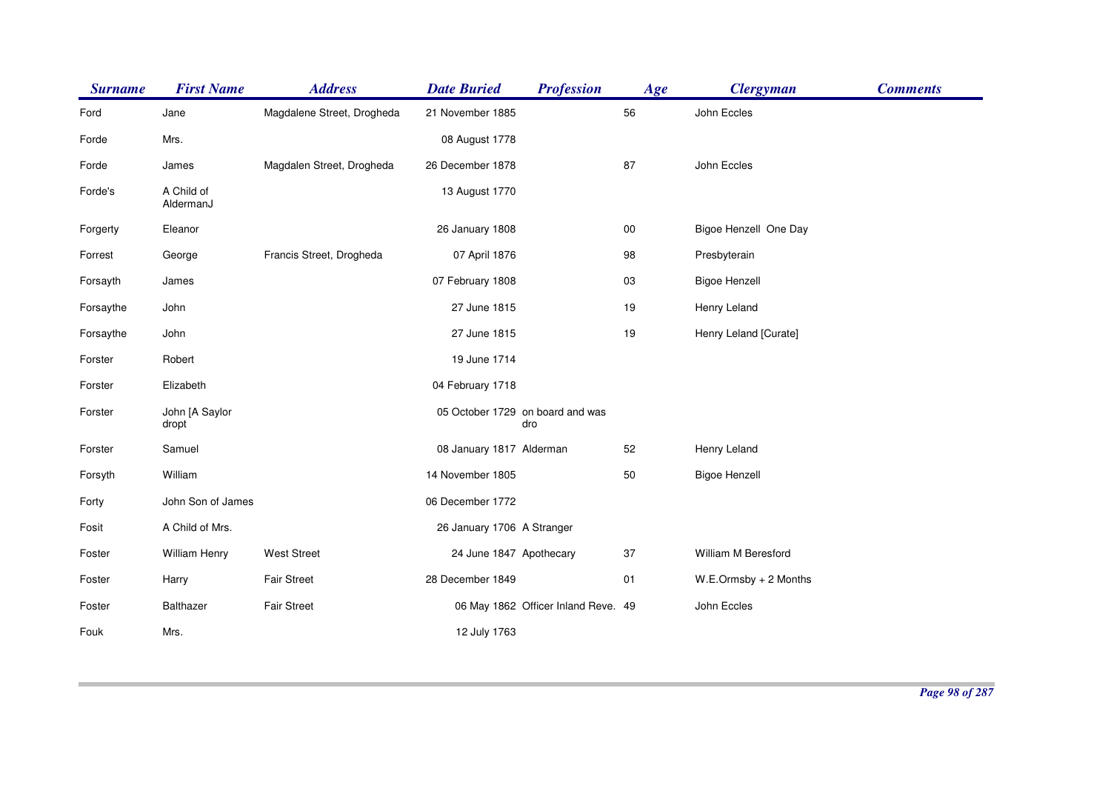| <b>Surname</b> | <b>First Name</b>       | <b>Address</b>             | <b>Date Buried</b>         | <b>Profession</b>                       | Age    | <b>Clergyman</b>         | <b>Comments</b> |
|----------------|-------------------------|----------------------------|----------------------------|-----------------------------------------|--------|--------------------------|-----------------|
| Ford           | Jane                    | Magdalene Street, Drogheda | 21 November 1885           |                                         | 56     | John Eccles              |                 |
| Forde          | Mrs.                    |                            | 08 August 1778             |                                         |        |                          |                 |
| Forde          | James                   | Magdalen Street, Drogheda  | 26 December 1878           |                                         | 87     | John Eccles              |                 |
| Forde's        | A Child of<br>AldermanJ |                            | 13 August 1770             |                                         |        |                          |                 |
| Forgerty       | Eleanor                 |                            | 26 January 1808            |                                         | $00\,$ | Bigoe Henzell One Day    |                 |
| Forrest        | George                  | Francis Street, Drogheda   | 07 April 1876              |                                         | 98     | Presbyterain             |                 |
| Forsayth       | James                   |                            | 07 February 1808           |                                         | 03     | <b>Bigoe Henzell</b>     |                 |
| Forsaythe      | John                    |                            | 27 June 1815               |                                         | 19     | Henry Leland             |                 |
| Forsaythe      | John                    |                            | 27 June 1815               |                                         | 19     | Henry Leland [Curate]    |                 |
| Forster        | Robert                  |                            | 19 June 1714               |                                         |        |                          |                 |
| Forster        | Elizabeth               |                            | 04 February 1718           |                                         |        |                          |                 |
| Forster        | John [A Saylor<br>dropt |                            |                            | 05 October 1729 on board and was<br>dro |        |                          |                 |
| Forster        | Samuel                  |                            | 08 January 1817 Alderman   |                                         | 52     | Henry Leland             |                 |
| Forsyth        | William                 |                            | 14 November 1805           |                                         | 50     | <b>Bigoe Henzell</b>     |                 |
| Forty          | John Son of James       |                            | 06 December 1772           |                                         |        |                          |                 |
| Fosit          | A Child of Mrs.         |                            | 26 January 1706 A Stranger |                                         |        |                          |                 |
| Foster         | <b>William Henry</b>    | <b>West Street</b>         | 24 June 1847 Apothecary    |                                         | 37     | William M Beresford      |                 |
| Foster         | Harry                   | <b>Fair Street</b>         | 28 December 1849           |                                         | 01     | $W.E. Ormsby + 2 Months$ |                 |
| Foster         | Balthazer               | <b>Fair Street</b>         |                            | 06 May 1862 Officer Inland Reve. 49     |        | John Eccles              |                 |
| Fouk           | Mrs.                    |                            | 12 July 1763               |                                         |        |                          |                 |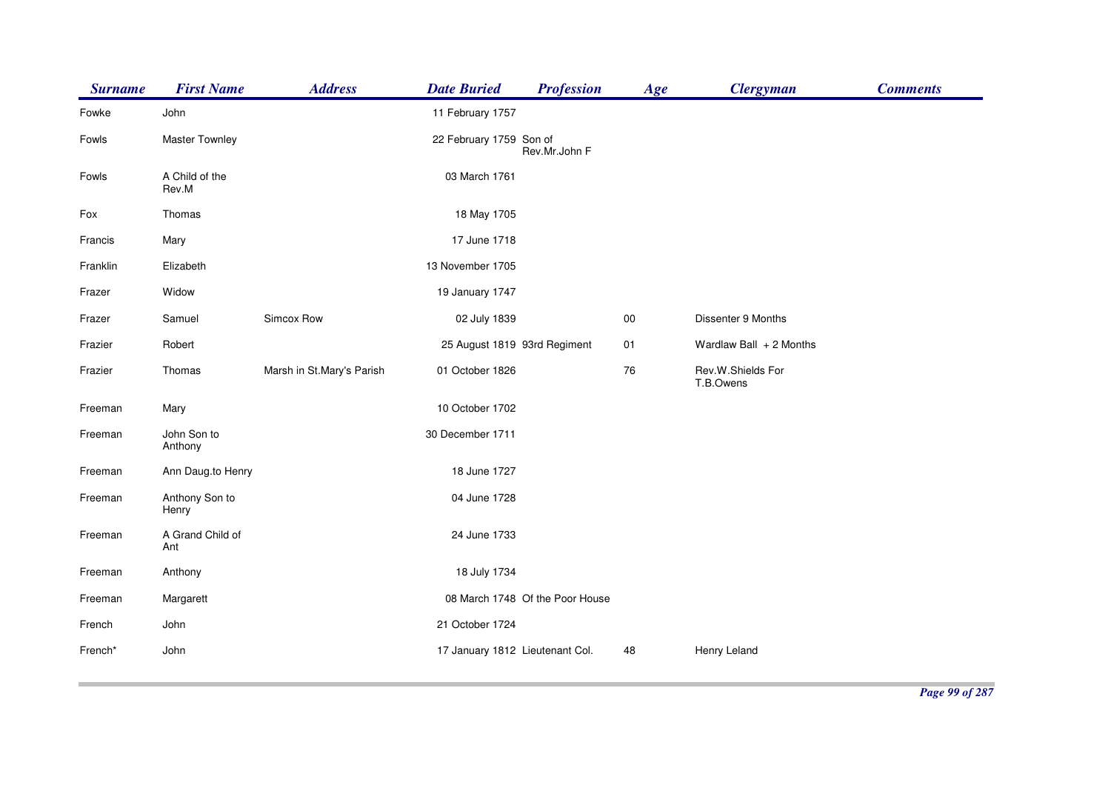| <b>Surname</b> | <b>First Name</b>       | <b>Address</b>            | <b>Date Buried</b>              | <b>Profession</b>               | Age    | <b>Clergyman</b>               | <b>Comments</b> |
|----------------|-------------------------|---------------------------|---------------------------------|---------------------------------|--------|--------------------------------|-----------------|
| Fowke          | John                    |                           | 11 February 1757                |                                 |        |                                |                 |
| Fowls          | Master Townley          |                           | 22 February 1759 Son of         | Rev.Mr.John F                   |        |                                |                 |
| Fowls          | A Child of the<br>Rev.M |                           | 03 March 1761                   |                                 |        |                                |                 |
| Fox            | Thomas                  |                           | 18 May 1705                     |                                 |        |                                |                 |
| Francis        | Mary                    |                           | 17 June 1718                    |                                 |        |                                |                 |
| Franklin       | Elizabeth               |                           | 13 November 1705                |                                 |        |                                |                 |
| Frazer         | Widow                   |                           | 19 January 1747                 |                                 |        |                                |                 |
| Frazer         | Samuel                  | Simcox Row                | 02 July 1839                    |                                 | $00\,$ | Dissenter 9 Months             |                 |
| Frazier        | Robert                  |                           | 25 August 1819 93rd Regiment    |                                 | 01     | Wardlaw Ball $+2$ Months       |                 |
| Frazier        | Thomas                  | Marsh in St.Mary's Parish | 01 October 1826                 |                                 | 76     | Rev.W.Shields For<br>T.B.Owens |                 |
| Freeman        | Mary                    |                           | 10 October 1702                 |                                 |        |                                |                 |
| Freeman        | John Son to<br>Anthony  |                           | 30 December 1711                |                                 |        |                                |                 |
| Freeman        | Ann Daug.to Henry       |                           | 18 June 1727                    |                                 |        |                                |                 |
| Freeman        | Anthony Son to<br>Henry |                           | 04 June 1728                    |                                 |        |                                |                 |
| Freeman        | A Grand Child of<br>Ant |                           | 24 June 1733                    |                                 |        |                                |                 |
| Freeman        | Anthony                 |                           | 18 July 1734                    |                                 |        |                                |                 |
| Freeman        | Margarett               |                           |                                 | 08 March 1748 Of the Poor House |        |                                |                 |
| French         | John                    |                           | 21 October 1724                 |                                 |        |                                |                 |
| French*        | John                    |                           | 17 January 1812 Lieutenant Col. |                                 | 48     | Henry Leland                   |                 |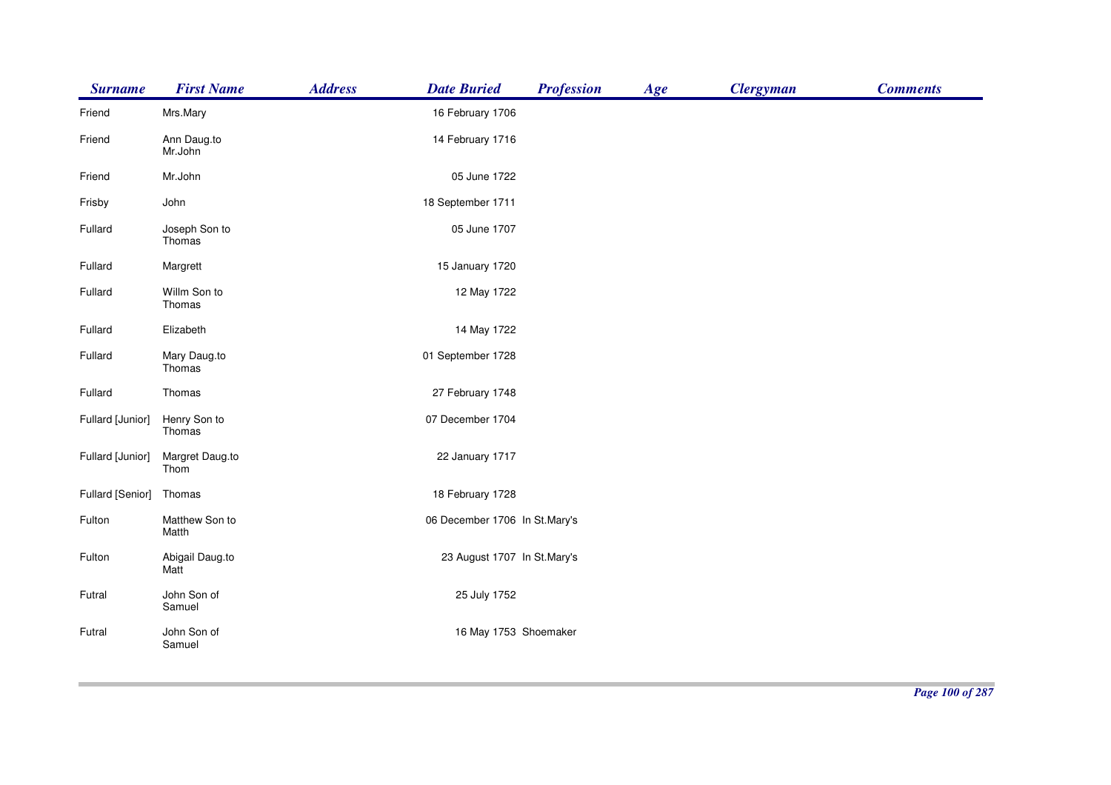| <b>Surname</b>   | <b>First Name</b>       | <b>Address</b> | <b>Profession</b><br><b>Date Buried</b> | Age | <b>Clergyman</b> | <b>Comments</b> |
|------------------|-------------------------|----------------|-----------------------------------------|-----|------------------|-----------------|
| Friend           | Mrs.Mary                |                | 16 February 1706                        |     |                  |                 |
| Friend           | Ann Daug.to<br>Mr.John  |                | 14 February 1716                        |     |                  |                 |
| Friend           | Mr.John                 |                | 05 June 1722                            |     |                  |                 |
| Frisby           | John                    |                | 18 September 1711                       |     |                  |                 |
| Fullard          | Joseph Son to<br>Thomas |                | 05 June 1707                            |     |                  |                 |
| Fullard          | Margrett                |                | 15 January 1720                         |     |                  |                 |
| Fullard          | Willm Son to<br>Thomas  |                | 12 May 1722                             |     |                  |                 |
| Fullard          | Elizabeth               |                | 14 May 1722                             |     |                  |                 |
| Fullard          | Mary Daug.to<br>Thomas  |                | 01 September 1728                       |     |                  |                 |
| Fullard          | Thomas                  |                | 27 February 1748                        |     |                  |                 |
| Fullard [Junior] | Henry Son to<br>Thomas  |                | 07 December 1704                        |     |                  |                 |
| Fullard [Junior] | Margret Daug.to<br>Thom |                | 22 January 1717                         |     |                  |                 |
| Fullard [Senior] | Thomas                  |                | 18 February 1728                        |     |                  |                 |
| Fulton           | Matthew Son to<br>Matth |                | 06 December 1706 In St.Mary's           |     |                  |                 |
| Fulton           | Abigail Daug.to<br>Matt |                | 23 August 1707 In St.Mary's             |     |                  |                 |
| Futral           | John Son of<br>Samuel   |                | 25 July 1752                            |     |                  |                 |
| Futral           | John Son of<br>Samuel   |                | 16 May 1753 Shoemaker                   |     |                  |                 |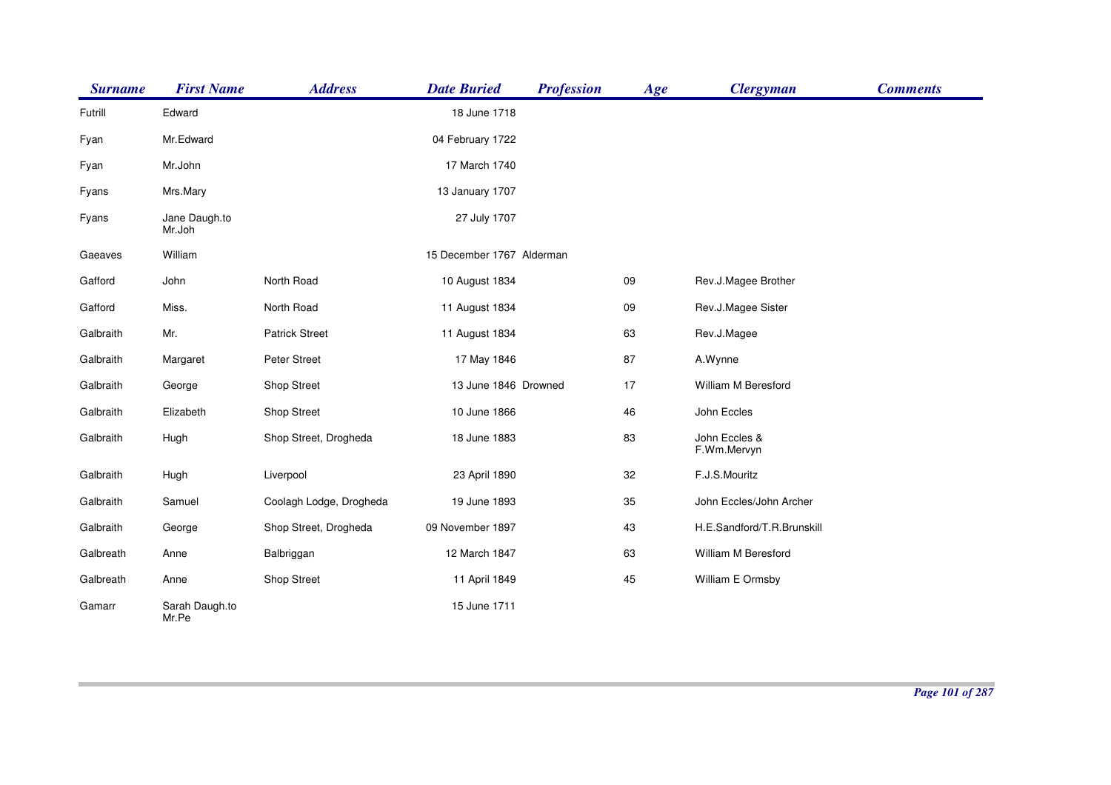| <b>Surname</b> | <b>First Name</b>       | <b>Address</b>          | <b>Date Buried</b>        | <b>Profession</b> | Age | <b>Clergyman</b>             | <b>Comments</b> |
|----------------|-------------------------|-------------------------|---------------------------|-------------------|-----|------------------------------|-----------------|
| Futrill        | Edward                  |                         | 18 June 1718              |                   |     |                              |                 |
| Fyan           | Mr.Edward               |                         | 04 February 1722          |                   |     |                              |                 |
| Fyan           | Mr.John                 |                         | 17 March 1740             |                   |     |                              |                 |
| Fyans          | Mrs.Mary                |                         | 13 January 1707           |                   |     |                              |                 |
| Fyans          | Jane Daugh.to<br>Mr.Joh |                         | 27 July 1707              |                   |     |                              |                 |
| Gaeaves        | William                 |                         | 15 December 1767 Alderman |                   |     |                              |                 |
| Gafford        | John                    | North Road              | 10 August 1834            |                   | 09  | Rev.J.Magee Brother          |                 |
| Gafford        | Miss.                   | North Road              | 11 August 1834            |                   | 09  | Rev.J.Magee Sister           |                 |
| Galbraith      | Mr.                     | <b>Patrick Street</b>   | 11 August 1834            |                   | 63  | Rev.J.Magee                  |                 |
| Galbraith      | Margaret                | Peter Street            | 17 May 1846               |                   | 87  | A.Wynne                      |                 |
| Galbraith      | George                  | Shop Street             | 13 June 1846 Drowned      |                   | 17  | William M Beresford          |                 |
| Galbraith      | Elizabeth               | Shop Street             | 10 June 1866              |                   | 46  | John Eccles                  |                 |
| Galbraith      | Hugh                    | Shop Street, Drogheda   | 18 June 1883              |                   | 83  | John Eccles &<br>F.Wm.Mervyn |                 |
| Galbraith      | Hugh                    | Liverpool               | 23 April 1890             |                   | 32  | F.J.S.Mouritz                |                 |
| Galbraith      | Samuel                  | Coolagh Lodge, Drogheda | 19 June 1893              |                   | 35  | John Eccles/John Archer      |                 |
| Galbraith      | George                  | Shop Street, Drogheda   | 09 November 1897          |                   | 43  | H.E.Sandford/T.R.Brunskill   |                 |
| Galbreath      | Anne                    | Balbriggan              | 12 March 1847             |                   | 63  | William M Beresford          |                 |
| Galbreath      | Anne                    | <b>Shop Street</b>      | 11 April 1849             |                   | 45  | William E Ormsby             |                 |
| Gamarr         | Sarah Daugh.to<br>Mr.Pe |                         | 15 June 1711              |                   |     |                              |                 |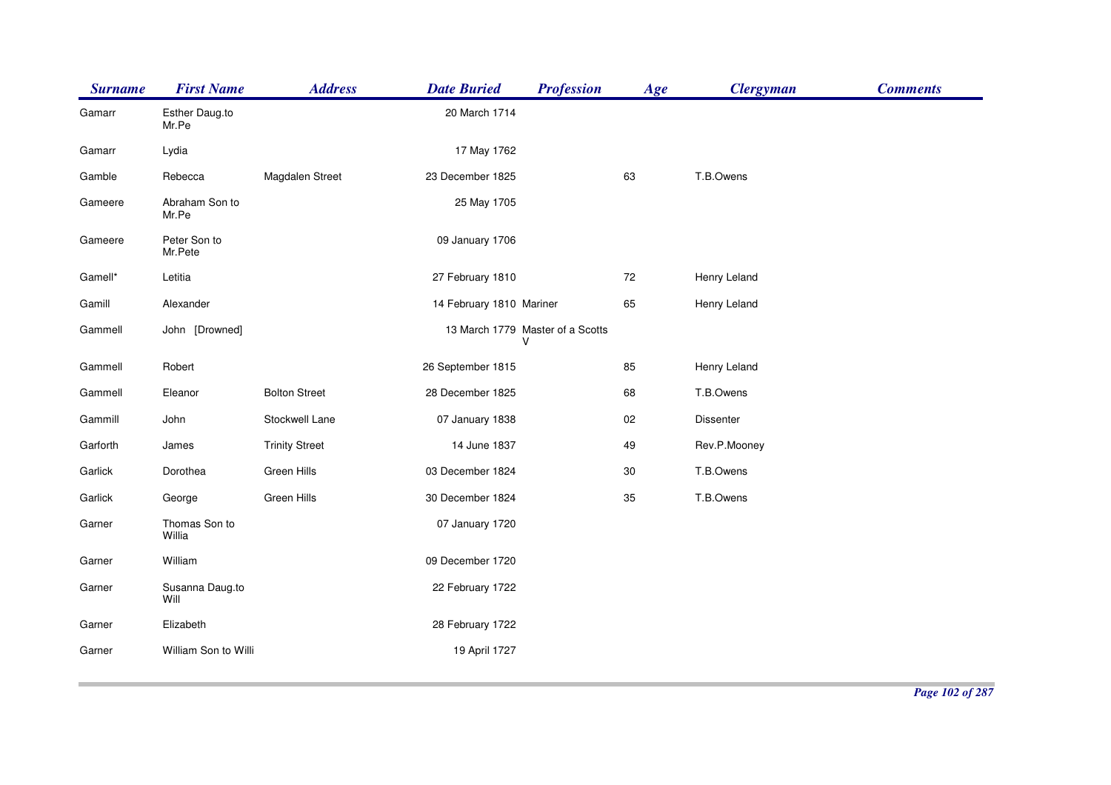| <b>Surname</b> | <b>First Name</b>       | <b>Address</b>        | <b>Date Buried</b>       | <b>Profession</b>                     | Age | <b>Clergyman</b> | <b>Comments</b> |
|----------------|-------------------------|-----------------------|--------------------------|---------------------------------------|-----|------------------|-----------------|
| Gamarr         | Esther Daug.to<br>Mr.Pe |                       | 20 March 1714            |                                       |     |                  |                 |
| Gamarr         | Lydia                   |                       | 17 May 1762              |                                       |     |                  |                 |
| Gamble         | Rebecca                 | Magdalen Street       | 23 December 1825         |                                       | 63  | T.B.Owens        |                 |
| Gameere        | Abraham Son to<br>Mr.Pe |                       | 25 May 1705              |                                       |     |                  |                 |
| Gameere        | Peter Son to<br>Mr.Pete |                       | 09 January 1706          |                                       |     |                  |                 |
| Gamell*        | Letitia                 |                       | 27 February 1810         |                                       | 72  | Henry Leland     |                 |
| Gamill         | Alexander               |                       | 14 February 1810 Mariner |                                       | 65  | Henry Leland     |                 |
| Gammell        | John [Drowned]          |                       |                          | 13 March 1779 Master of a Scotts<br>v |     |                  |                 |
| Gammell        | Robert                  |                       | 26 September 1815        |                                       | 85  | Henry Leland     |                 |
| Gammell        | Eleanor                 | <b>Bolton Street</b>  | 28 December 1825         |                                       | 68  | T.B.Owens        |                 |
| Gammill        | John                    | Stockwell Lane        | 07 January 1838          |                                       | 02  | <b>Dissenter</b> |                 |
| Garforth       | James                   | <b>Trinity Street</b> | 14 June 1837             |                                       | 49  | Rev.P.Mooney     |                 |
| Garlick        | Dorothea                | Green Hills           | 03 December 1824         |                                       | 30  | T.B.Owens        |                 |
| Garlick        | George                  | Green Hills           | 30 December 1824         |                                       | 35  | T.B.Owens        |                 |
| Garner         | Thomas Son to<br>Willia |                       | 07 January 1720          |                                       |     |                  |                 |
| Garner         | William                 |                       | 09 December 1720         |                                       |     |                  |                 |
| Garner         | Susanna Daug.to<br>Will |                       | 22 February 1722         |                                       |     |                  |                 |
| Garner         | Elizabeth               |                       | 28 February 1722         |                                       |     |                  |                 |
| Garner         | William Son to Willi    |                       | 19 April 1727            |                                       |     |                  |                 |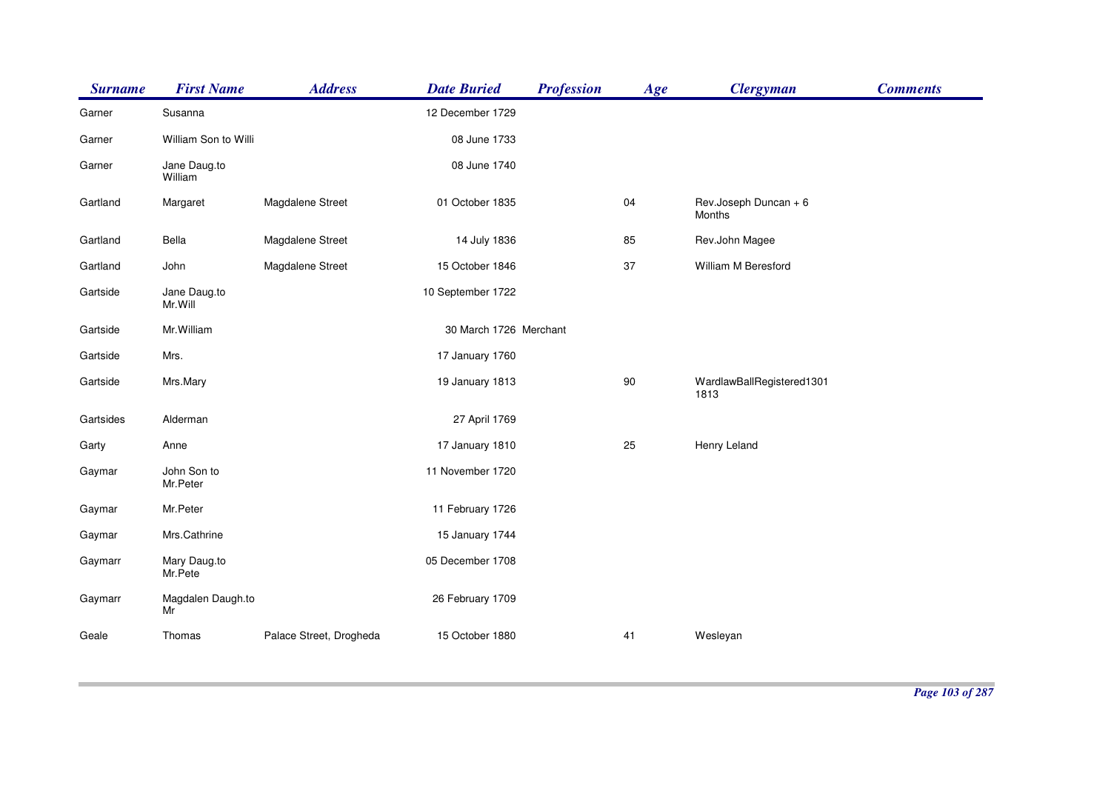| <b>Surname</b> | <b>First Name</b>       | <b>Address</b>          | <b>Date Buried</b>     | <b>Profession</b> | Age | <b>Clergyman</b>                  | <b>Comments</b> |
|----------------|-------------------------|-------------------------|------------------------|-------------------|-----|-----------------------------------|-----------------|
| Garner         | Susanna                 |                         | 12 December 1729       |                   |     |                                   |                 |
| Garner         | William Son to Willi    |                         | 08 June 1733           |                   |     |                                   |                 |
| Garner         | Jane Daug.to<br>William |                         | 08 June 1740           |                   |     |                                   |                 |
| Gartland       | Margaret                | Magdalene Street        | 01 October 1835        |                   | 04  | Rev.Joseph Duncan + 6<br>Months   |                 |
| Gartland       | Bella                   | Magdalene Street        | 14 July 1836           |                   | 85  | Rev.John Magee                    |                 |
| Gartland       | John                    | Magdalene Street        | 15 October 1846        |                   | 37  | William M Beresford               |                 |
| Gartside       | Jane Daug.to<br>Mr.Will |                         | 10 September 1722      |                   |     |                                   |                 |
| Gartside       | Mr. William             |                         | 30 March 1726 Merchant |                   |     |                                   |                 |
| Gartside       | Mrs.                    |                         | 17 January 1760        |                   |     |                                   |                 |
| Gartside       | Mrs.Mary                |                         | 19 January 1813        |                   | 90  | WardlawBallRegistered1301<br>1813 |                 |
| Gartsides      | Alderman                |                         | 27 April 1769          |                   |     |                                   |                 |
| Garty          | Anne                    |                         | 17 January 1810        |                   | 25  | Henry Leland                      |                 |
| Gaymar         | John Son to<br>Mr.Peter |                         | 11 November 1720       |                   |     |                                   |                 |
| Gaymar         | Mr.Peter                |                         | 11 February 1726       |                   |     |                                   |                 |
| Gaymar         | Mrs.Cathrine            |                         | 15 January 1744        |                   |     |                                   |                 |
| Gaymarr        | Mary Daug.to<br>Mr.Pete |                         | 05 December 1708       |                   |     |                                   |                 |
| Gaymarr        | Magdalen Daugh.to<br>Mr |                         | 26 February 1709       |                   |     |                                   |                 |
| Geale          | Thomas                  | Palace Street, Drogheda | 15 October 1880        |                   | 41  | Wesleyan                          |                 |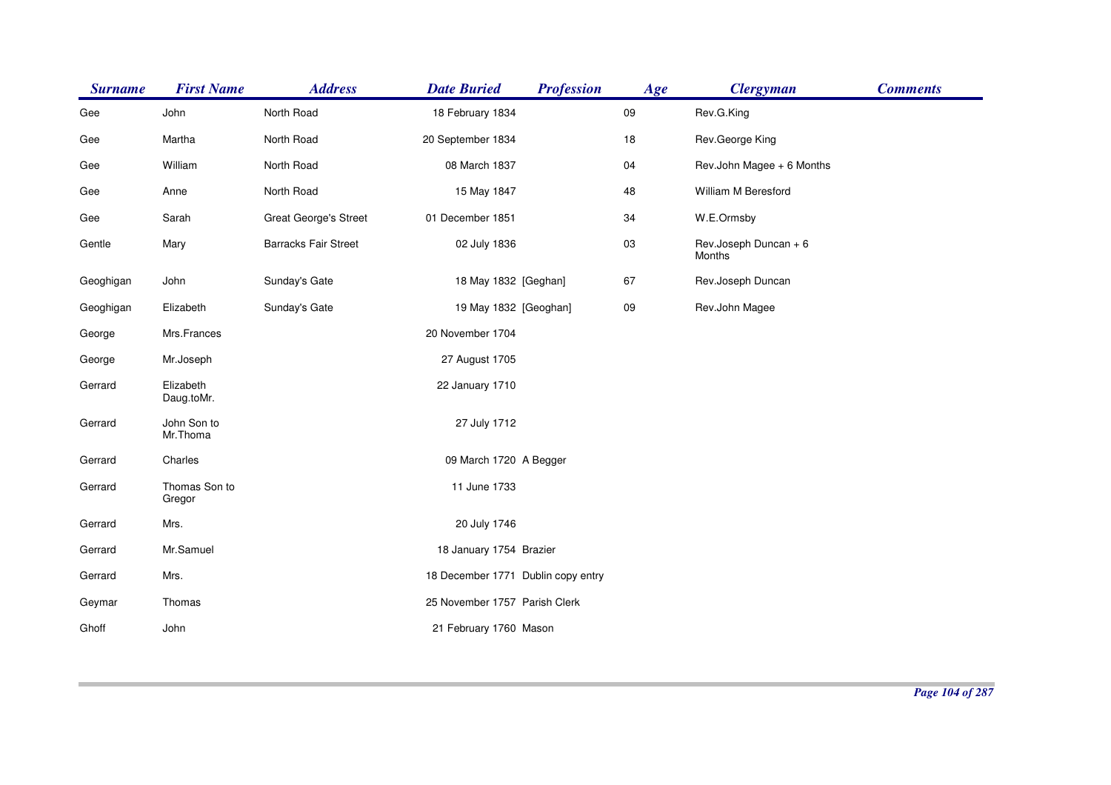| <b>Surname</b> | <b>First Name</b>       | <b>Address</b>               | <b>Date Buried</b>                 | <b>Profession</b> | Age    | <b>Clergyman</b>                | <b>Comments</b> |
|----------------|-------------------------|------------------------------|------------------------------------|-------------------|--------|---------------------------------|-----------------|
| Gee            | John                    | North Road                   | 18 February 1834                   |                   | 09     | Rev.G.King                      |                 |
| Gee            | Martha                  | North Road                   | 20 September 1834                  |                   | 18     | Rev.George King                 |                 |
| Gee            | William                 | North Road                   | 08 March 1837                      |                   | 04     | Rev.John Magee + 6 Months       |                 |
| Gee            | Anne                    | North Road                   | 15 May 1847                        |                   | 48     | William M Beresford             |                 |
| Gee            | Sarah                   | <b>Great George's Street</b> | 01 December 1851                   |                   | 34     | W.E.Ormsby                      |                 |
| Gentle         | Mary                    | <b>Barracks Fair Street</b>  | 02 July 1836                       |                   | 03     | Rev.Joseph Duncan + 6<br>Months |                 |
| Geoghigan      | John                    | Sunday's Gate                | 18 May 1832 [Geghan]               |                   | 67     | Rev.Joseph Duncan               |                 |
| Geoghigan      | Elizabeth               | Sunday's Gate                | 19 May 1832 [Geoghan]              |                   | $09\,$ | Rev.John Magee                  |                 |
| George         | Mrs.Frances             |                              | 20 November 1704                   |                   |        |                                 |                 |
| George         | Mr.Joseph               |                              | 27 August 1705                     |                   |        |                                 |                 |
| Gerrard        | Elizabeth<br>Daug.toMr. |                              | 22 January 1710                    |                   |        |                                 |                 |
| Gerrard        | John Son to<br>Mr.Thoma |                              | 27 July 1712                       |                   |        |                                 |                 |
| Gerrard        | Charles                 |                              | 09 March 1720 A Begger             |                   |        |                                 |                 |
| Gerrard        | Thomas Son to<br>Gregor |                              | 11 June 1733                       |                   |        |                                 |                 |
| Gerrard        | Mrs.                    |                              | 20 July 1746                       |                   |        |                                 |                 |
| Gerrard        | Mr.Samuel               |                              | 18 January 1754 Brazier            |                   |        |                                 |                 |
| Gerrard        | Mrs.                    |                              | 18 December 1771 Dublin copy entry |                   |        |                                 |                 |
| Geymar         | Thomas                  |                              | 25 November 1757 Parish Clerk      |                   |        |                                 |                 |
| Ghoff          | John                    |                              | 21 February 1760 Mason             |                   |        |                                 |                 |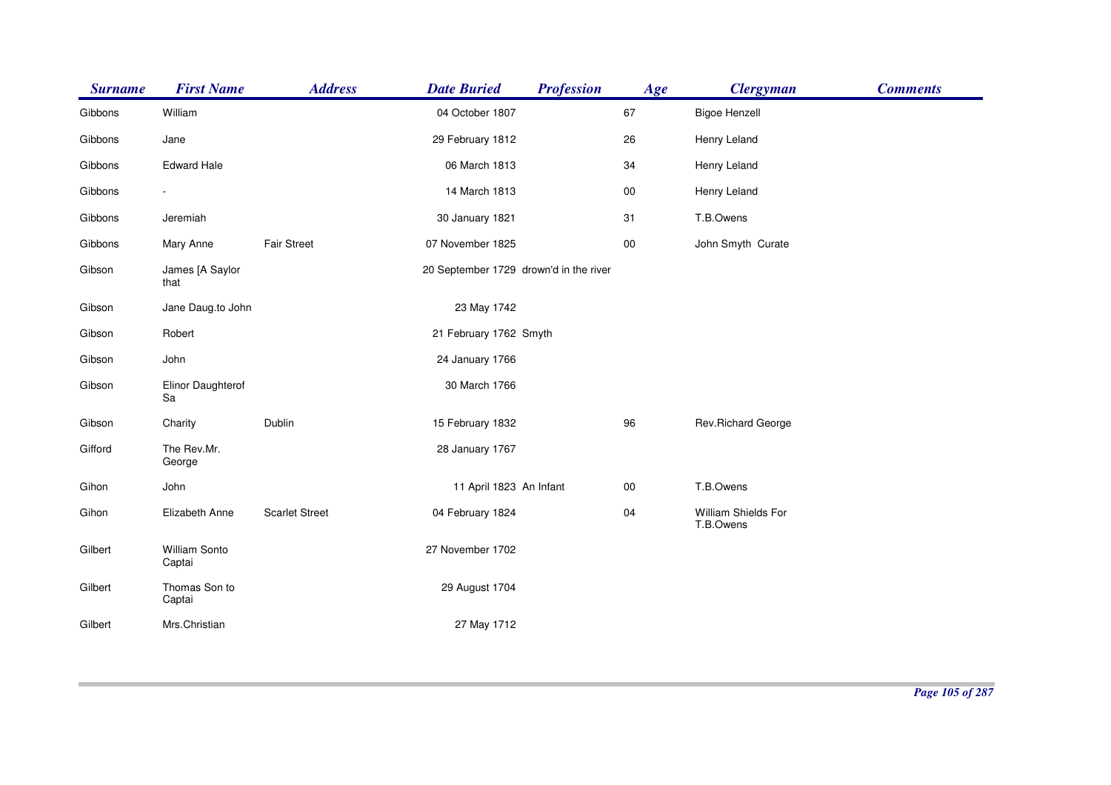| <b>Surname</b> | <b>First Name</b>        | <b>Address</b>        | <b>Date Buried</b>                     | <b>Profession</b> | Age    | <b>Clergyman</b>                 | <b>Comments</b> |
|----------------|--------------------------|-----------------------|----------------------------------------|-------------------|--------|----------------------------------|-----------------|
| Gibbons        | William                  |                       | 04 October 1807                        |                   | 67     | <b>Bigoe Henzell</b>             |                 |
| Gibbons        | Jane                     |                       | 29 February 1812                       |                   | 26     | Henry Leland                     |                 |
| Gibbons        | <b>Edward Hale</b>       |                       | 06 March 1813                          |                   | 34     | Henry Leland                     |                 |
| Gibbons        | $\overline{\phantom{a}}$ |                       | 14 March 1813                          |                   | 00     | Henry Leland                     |                 |
| Gibbons        | Jeremiah                 |                       | 30 January 1821                        |                   | 31     | T.B.Owens                        |                 |
| Gibbons        | Mary Anne                | <b>Fair Street</b>    | 07 November 1825                       |                   | 00     | John Smyth Curate                |                 |
| Gibson         | James [A Saylor<br>that  |                       | 20 September 1729 drown'd in the river |                   |        |                                  |                 |
| Gibson         | Jane Daug.to John        |                       | 23 May 1742                            |                   |        |                                  |                 |
| Gibson         | Robert                   |                       | 21 February 1762 Smyth                 |                   |        |                                  |                 |
| Gibson         | John                     |                       | 24 January 1766                        |                   |        |                                  |                 |
| Gibson         | Elinor Daughterof<br>Sa  |                       | 30 March 1766                          |                   |        |                                  |                 |
| Gibson         | Charity                  | Dublin                | 15 February 1832                       |                   | 96     | Rev.Richard George               |                 |
| Gifford        | The Rev.Mr.<br>George    |                       | 28 January 1767                        |                   |        |                                  |                 |
| Gihon          | John                     |                       | 11 April 1823 An Infant                |                   | $00\,$ | T.B.Owens                        |                 |
| Gihon          | Elizabeth Anne           | <b>Scarlet Street</b> | 04 February 1824                       |                   | 04     | William Shields For<br>T.B.Owens |                 |
| Gilbert        | William Sonto<br>Captai  |                       | 27 November 1702                       |                   |        |                                  |                 |
| Gilbert        | Thomas Son to<br>Captai  |                       | 29 August 1704                         |                   |        |                                  |                 |
| Gilbert        | Mrs.Christian            |                       | 27 May 1712                            |                   |        |                                  |                 |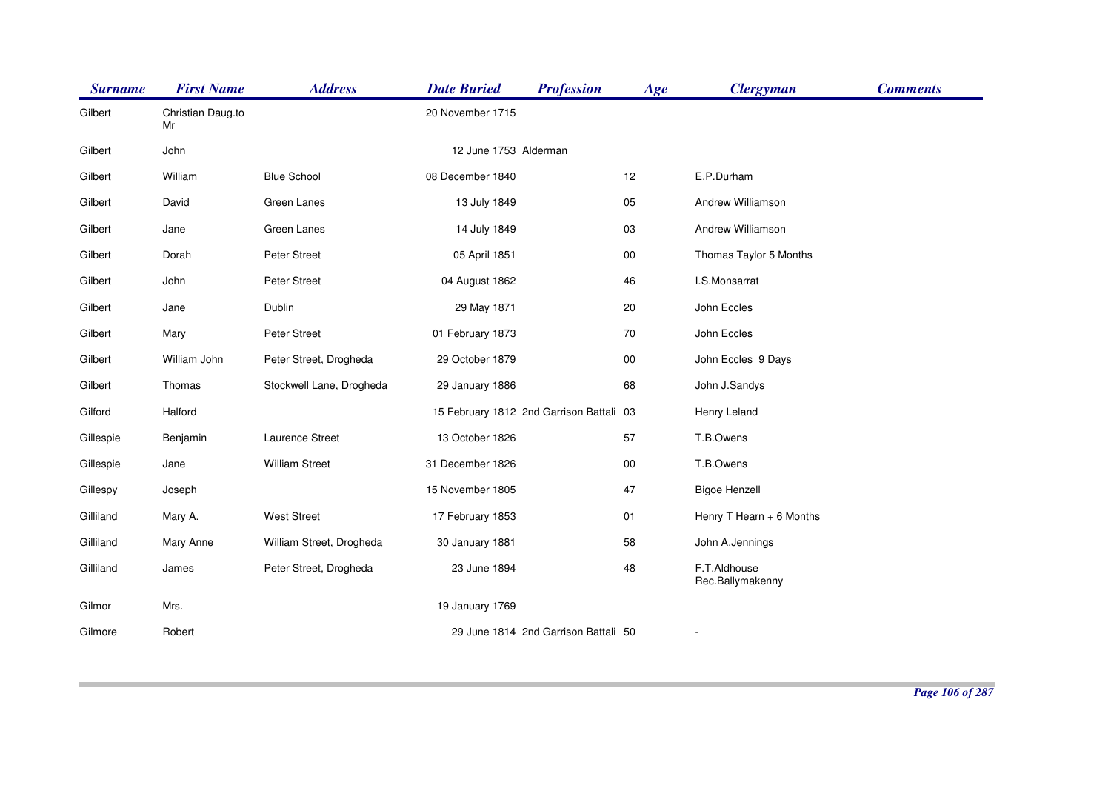| <b>Surname</b> | <b>First Name</b>       | <b>Address</b>           | <b>Date Buried</b>                       | <b>Profession</b>                    | Age    | <b>Clergyman</b>                 | <b>Comments</b> |
|----------------|-------------------------|--------------------------|------------------------------------------|--------------------------------------|--------|----------------------------------|-----------------|
| Gilbert        | Christian Daug.to<br>Mr |                          | 20 November 1715                         |                                      |        |                                  |                 |
| Gilbert        | John                    |                          | 12 June 1753 Alderman                    |                                      |        |                                  |                 |
| Gilbert        | William                 | <b>Blue School</b>       | 08 December 1840                         |                                      | 12     | E.P.Durham                       |                 |
| Gilbert        | David                   | Green Lanes              | 13 July 1849                             |                                      | 05     | Andrew Williamson                |                 |
| Gilbert        | Jane                    | Green Lanes              | 14 July 1849                             |                                      | 03     | Andrew Williamson                |                 |
| Gilbert        | Dorah                   | Peter Street             | 05 April 1851                            |                                      | 00     | Thomas Taylor 5 Months           |                 |
| Gilbert        | John                    | <b>Peter Street</b>      | 04 August 1862                           |                                      | 46     | I.S.Monsarrat                    |                 |
| Gilbert        | Jane                    | Dublin                   | 29 May 1871                              |                                      | 20     | John Eccles                      |                 |
| Gilbert        | Mary                    | Peter Street             | 01 February 1873                         |                                      | 70     | John Eccles                      |                 |
| Gilbert        | William John            | Peter Street, Drogheda   | 29 October 1879                          |                                      | $00\,$ | John Eccles 9 Days               |                 |
| Gilbert        | Thomas                  | Stockwell Lane, Drogheda | 29 January 1886                          |                                      | 68     | John J.Sandys                    |                 |
| Gilford        | Halford                 |                          | 15 February 1812 2nd Garrison Battali 03 |                                      |        | Henry Leland                     |                 |
| Gillespie      | Benjamin                | Laurence Street          | 13 October 1826                          |                                      | 57     | T.B.Owens                        |                 |
| Gillespie      | Jane                    | <b>William Street</b>    | 31 December 1826                         |                                      | 00     | T.B.Owens                        |                 |
| Gillespy       | Joseph                  |                          | 15 November 1805                         |                                      | 47     | <b>Bigoe Henzell</b>             |                 |
| Gilliland      | Mary A.                 | <b>West Street</b>       | 17 February 1853                         |                                      | 01     | Henry T Hearn + 6 Months         |                 |
| Gilliland      | Mary Anne               | William Street, Drogheda | 30 January 1881                          |                                      | 58     | John A.Jennings                  |                 |
| Gilliland      | James                   | Peter Street, Drogheda   | 23 June 1894                             |                                      | 48     | F.T.Aldhouse<br>Rec.Ballymakenny |                 |
| Gilmor         | Mrs.                    |                          | 19 January 1769                          |                                      |        |                                  |                 |
| Gilmore        | Robert                  |                          |                                          | 29 June 1814 2nd Garrison Battali 50 |        |                                  |                 |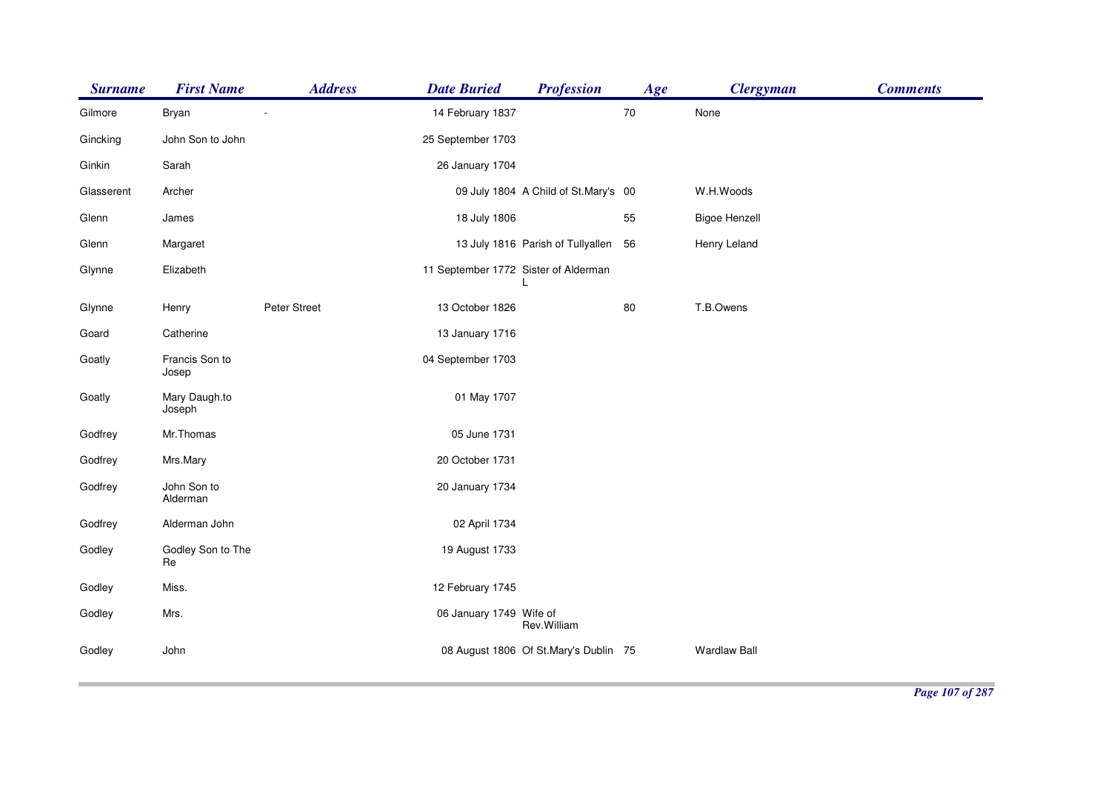| <b>Surname</b> | <b>First Name</b>       | <b>Address</b> | <b>Date Buried</b>                   | <b>Profession</b>                     | Age    | <b>Clergyman</b>     | <b>Comments</b> |
|----------------|-------------------------|----------------|--------------------------------------|---------------------------------------|--------|----------------------|-----------------|
| Gilmore        | Bryan                   |                | 14 February 1837                     |                                       | $70\,$ | None                 |                 |
| Gincking       | John Son to John        |                | 25 September 1703                    |                                       |        |                      |                 |
| Ginkin         | Sarah                   |                | 26 January 1704                      |                                       |        |                      |                 |
| Glasserent     | Archer                  |                |                                      | 09 July 1804 A Child of St.Mary's 00  |        | W.H.Woods            |                 |
| Glenn          | James                   |                | 18 July 1806                         |                                       | 55     | <b>Bigoe Henzell</b> |                 |
| Glenn          | Margaret                |                |                                      | 13 July 1816 Parish of Tullyallen     | 56     | Henry Leland         |                 |
| Glynne         | Elizabeth               |                | 11 September 1772 Sister of Alderman |                                       |        |                      |                 |
| Glynne         | Henry                   | Peter Street   | 13 October 1826                      |                                       | 80     | T.B.Owens            |                 |
| Goard          | Catherine               |                | 13 January 1716                      |                                       |        |                      |                 |
| Goatly         | Francis Son to<br>Josep |                | 04 September 1703                    |                                       |        |                      |                 |
| Goatly         | Mary Daugh.to<br>Joseph |                | 01 May 1707                          |                                       |        |                      |                 |
| Godfrey        | Mr.Thomas               |                | 05 June 1731                         |                                       |        |                      |                 |
| Godfrey        | Mrs.Mary                |                | 20 October 1731                      |                                       |        |                      |                 |
| Godfrey        | John Son to<br>Alderman |                | 20 January 1734                      |                                       |        |                      |                 |
| Godfrey        | Alderman John           |                | 02 April 1734                        |                                       |        |                      |                 |
| Godley         | Godley Son to The<br>Re |                | 19 August 1733                       |                                       |        |                      |                 |
| Godley         | Miss.                   |                | 12 February 1745                     |                                       |        |                      |                 |
| Godley         | Mrs.                    |                | 06 January 1749 Wife of              | Rev.William                           |        |                      |                 |
| Godley         | John                    |                |                                      | 08 August 1806 Of St.Mary's Dublin 75 |        | <b>Wardlaw Ball</b>  |                 |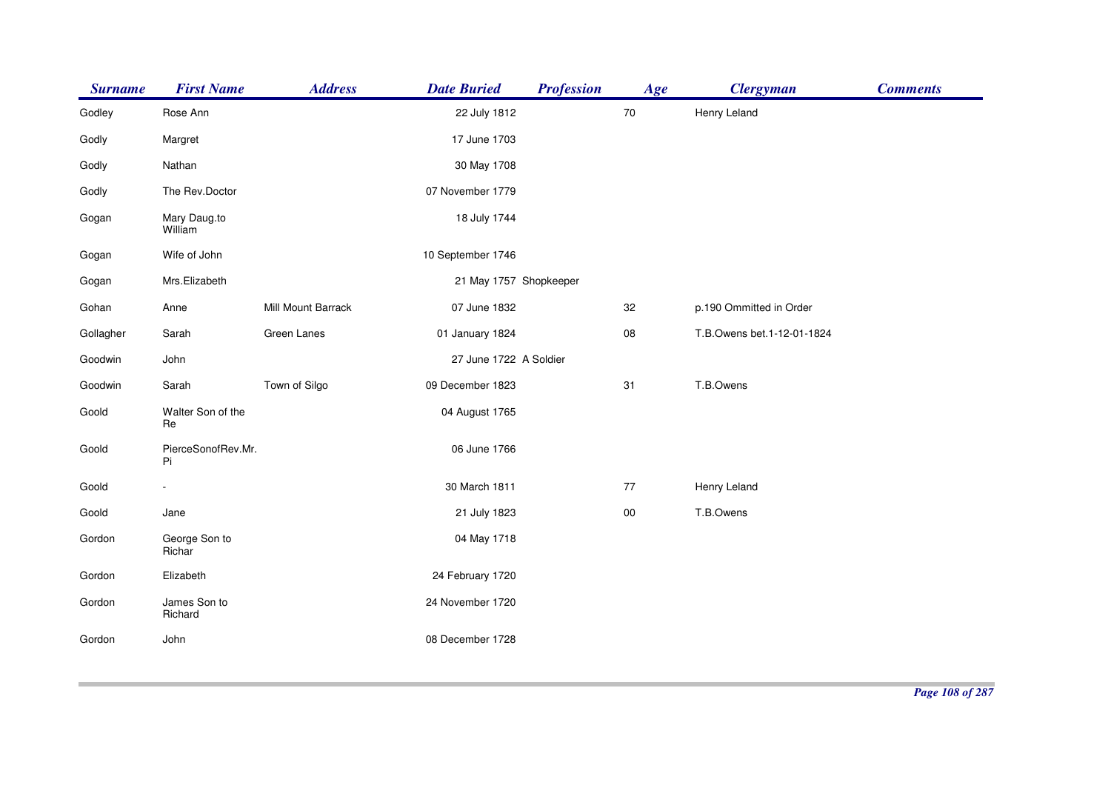| <b>Surname</b> | <b>First Name</b>        | <b>Address</b>     | <b>Date Buried</b>     | <b>Profession</b> | Age    | <b>Clergyman</b>           | <b>Comments</b> |
|----------------|--------------------------|--------------------|------------------------|-------------------|--------|----------------------------|-----------------|
| Godley         | Rose Ann                 |                    | 22 July 1812           |                   | $70\,$ | Henry Leland               |                 |
| Godly          | Margret                  |                    | 17 June 1703           |                   |        |                            |                 |
| Godly          | Nathan                   |                    | 30 May 1708            |                   |        |                            |                 |
| Godly          | The Rev.Doctor           |                    | 07 November 1779       |                   |        |                            |                 |
| Gogan          | Mary Daug.to<br>William  |                    | 18 July 1744           |                   |        |                            |                 |
| Gogan          | Wife of John             |                    | 10 September 1746      |                   |        |                            |                 |
| Gogan          | Mrs.Elizabeth            |                    | 21 May 1757 Shopkeeper |                   |        |                            |                 |
| Gohan          | Anne                     | Mill Mount Barrack | 07 June 1832           |                   | 32     | p.190 Ommitted in Order    |                 |
| Gollagher      | Sarah                    | Green Lanes        | 01 January 1824        |                   | 08     | T.B.Owens bet.1-12-01-1824 |                 |
| Goodwin        | John                     |                    | 27 June 1722 A Soldier |                   |        |                            |                 |
| Goodwin        | Sarah                    | Town of Silgo      | 09 December 1823       |                   | 31     | T.B.Owens                  |                 |
| Goold          | Walter Son of the<br>Re  |                    | 04 August 1765         |                   |        |                            |                 |
| Goold          | PierceSonofRev.Mr.<br>Pi |                    | 06 June 1766           |                   |        |                            |                 |
| Goold          |                          |                    | 30 March 1811          |                   | $77\,$ | Henry Leland               |                 |
| Goold          | Jane                     |                    | 21 July 1823           |                   | $00\,$ | T.B.Owens                  |                 |
| Gordon         | George Son to<br>Richar  |                    | 04 May 1718            |                   |        |                            |                 |
| Gordon         | Elizabeth                |                    | 24 February 1720       |                   |        |                            |                 |
| Gordon         | James Son to<br>Richard  |                    | 24 November 1720       |                   |        |                            |                 |
| Gordon         | John                     |                    | 08 December 1728       |                   |        |                            |                 |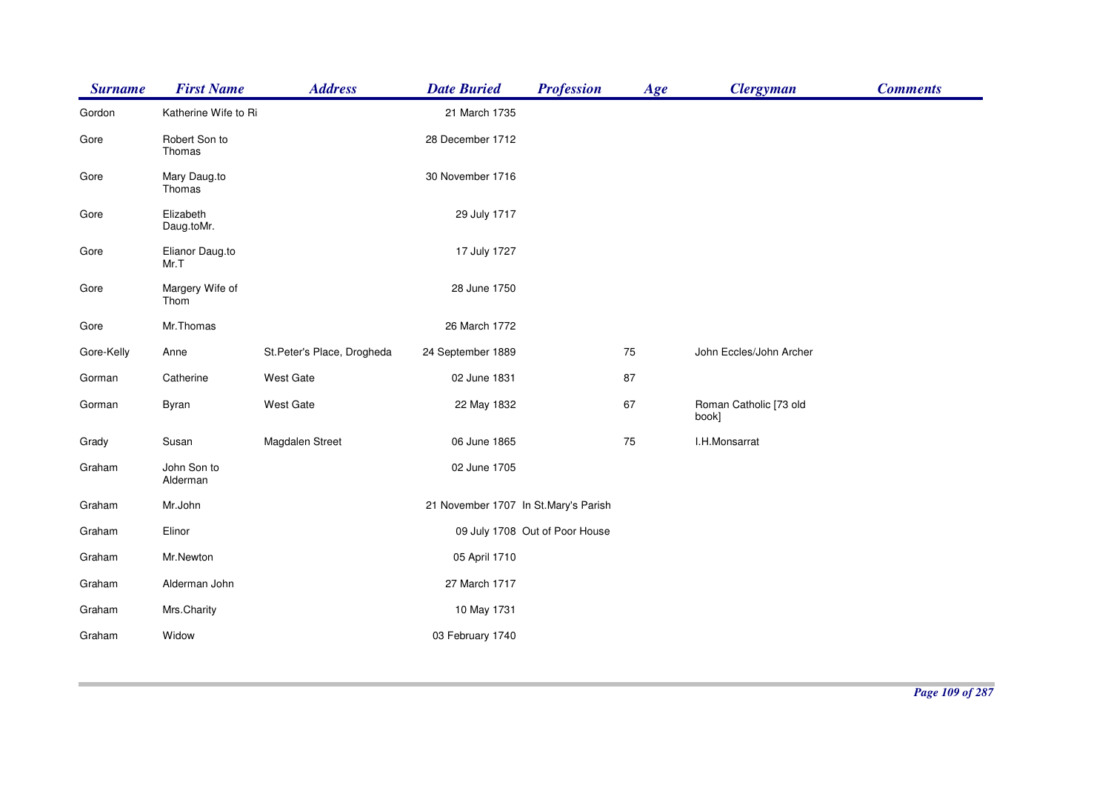| <b>Surname</b> | <b>First Name</b>       | <b>Address</b>              | <b>Date Buried</b>                   | <b>Profession</b>              | Age | <b>Clergyman</b>                | <b>Comments</b> |
|----------------|-------------------------|-----------------------------|--------------------------------------|--------------------------------|-----|---------------------------------|-----------------|
| Gordon         | Katherine Wife to Ri    |                             | 21 March 1735                        |                                |     |                                 |                 |
| Gore           | Robert Son to<br>Thomas |                             | 28 December 1712                     |                                |     |                                 |                 |
| Gore           | Mary Daug.to<br>Thomas  |                             | 30 November 1716                     |                                |     |                                 |                 |
| Gore           | Elizabeth<br>Daug.toMr. |                             | 29 July 1717                         |                                |     |                                 |                 |
| Gore           | Elianor Daug.to<br>Mr.T |                             | 17 July 1727                         |                                |     |                                 |                 |
| Gore           | Margery Wife of<br>Thom |                             | 28 June 1750                         |                                |     |                                 |                 |
| Gore           | Mr.Thomas               |                             | 26 March 1772                        |                                |     |                                 |                 |
| Gore-Kelly     | Anne                    | St. Peter's Place, Drogheda | 24 September 1889                    |                                | 75  | John Eccles/John Archer         |                 |
| Gorman         | Catherine               | West Gate                   | 02 June 1831                         |                                | 87  |                                 |                 |
| Gorman         | Byran                   | West Gate                   | 22 May 1832                          |                                | 67  | Roman Catholic [73 old<br>book] |                 |
| Grady          | Susan                   | Magdalen Street             | 06 June 1865                         |                                | 75  | I.H.Monsarrat                   |                 |
| Graham         | John Son to<br>Alderman |                             | 02 June 1705                         |                                |     |                                 |                 |
| Graham         | Mr.John                 |                             | 21 November 1707 In St.Mary's Parish |                                |     |                                 |                 |
| Graham         | Elinor                  |                             |                                      | 09 July 1708 Out of Poor House |     |                                 |                 |
| Graham         | Mr.Newton               |                             | 05 April 1710                        |                                |     |                                 |                 |
| Graham         | Alderman John           |                             | 27 March 1717                        |                                |     |                                 |                 |
| Graham         | Mrs.Charity             |                             | 10 May 1731                          |                                |     |                                 |                 |
| Graham         | Widow                   |                             | 03 February 1740                     |                                |     |                                 |                 |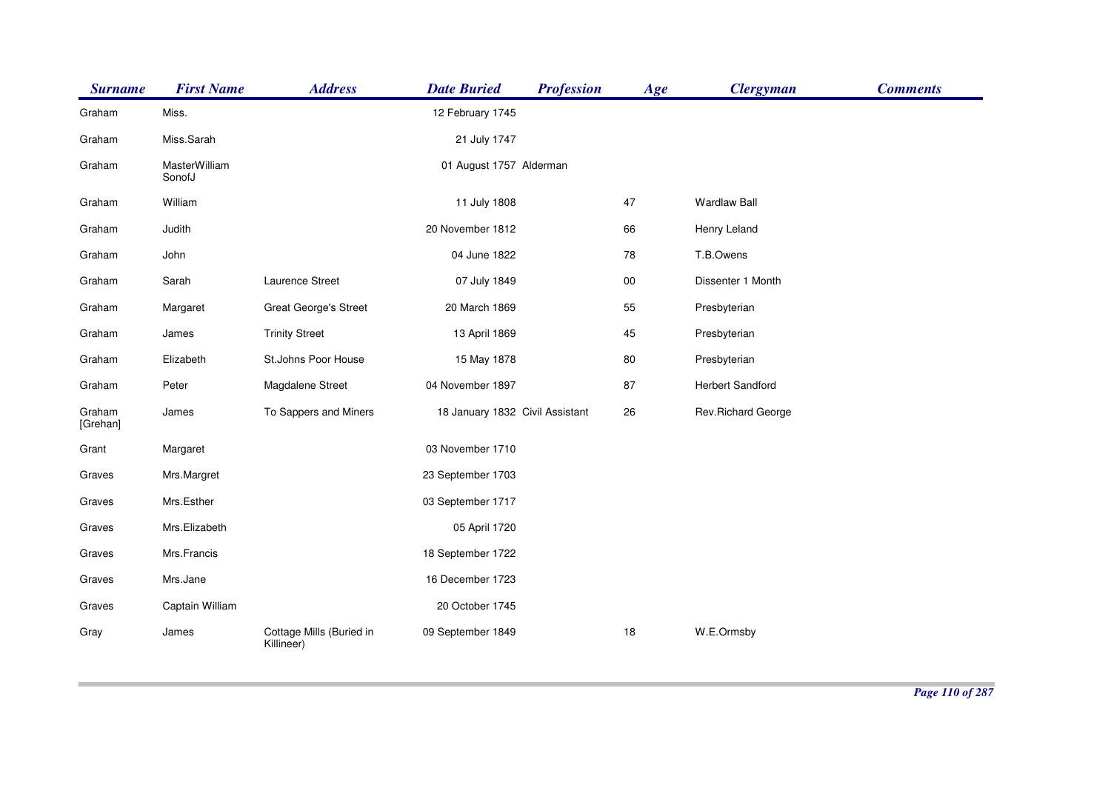| <b>Surname</b>     | <b>First Name</b>       | <b>Address</b>                         | <b>Date Buried</b>              | <b>Profession</b> | Age    | <b>Clergyman</b>    | <b>Comments</b> |
|--------------------|-------------------------|----------------------------------------|---------------------------------|-------------------|--------|---------------------|-----------------|
| Graham             | Miss.                   |                                        | 12 February 1745                |                   |        |                     |                 |
| Graham             | Miss.Sarah              |                                        | 21 July 1747                    |                   |        |                     |                 |
| Graham             | MasterWilliam<br>SonofJ |                                        | 01 August 1757 Alderman         |                   |        |                     |                 |
| Graham             | William                 |                                        | 11 July 1808                    |                   | 47     | <b>Wardlaw Ball</b> |                 |
| Graham             | Judith                  |                                        | 20 November 1812                |                   | 66     | Henry Leland        |                 |
| Graham             | John                    |                                        | 04 June 1822                    |                   | 78     | T.B.Owens           |                 |
| Graham             | Sarah                   | Laurence Street                        | 07 July 1849                    |                   | $00\,$ | Dissenter 1 Month   |                 |
| Graham             | Margaret                | <b>Great George's Street</b>           | 20 March 1869                   |                   | 55     | Presbyterian        |                 |
| Graham             | James                   | <b>Trinity Street</b>                  | 13 April 1869                   |                   | 45     | Presbyterian        |                 |
| Graham             | Elizabeth               | St.Johns Poor House                    | 15 May 1878                     |                   | $80\,$ | Presbyterian        |                 |
| Graham             | Peter                   | Magdalene Street                       | 04 November 1897                |                   | 87     | Herbert Sandford    |                 |
| Graham<br>[Grehan] | James                   | To Sappers and Miners                  | 18 January 1832 Civil Assistant |                   | 26     | Rev.Richard George  |                 |
| Grant              | Margaret                |                                        | 03 November 1710                |                   |        |                     |                 |
| Graves             | Mrs.Margret             |                                        | 23 September 1703               |                   |        |                     |                 |
| Graves             | Mrs.Esther              |                                        | 03 September 1717               |                   |        |                     |                 |
| Graves             | Mrs.Elizabeth           |                                        | 05 April 1720                   |                   |        |                     |                 |
| Graves             | Mrs.Francis             |                                        | 18 September 1722               |                   |        |                     |                 |
| Graves             | Mrs.Jane                |                                        | 16 December 1723                |                   |        |                     |                 |
| Graves             | Captain William         |                                        | 20 October 1745                 |                   |        |                     |                 |
| Gray               | James                   | Cottage Mills (Buried in<br>Killineer) | 09 September 1849               |                   | 18     | W.E.Ormsby          |                 |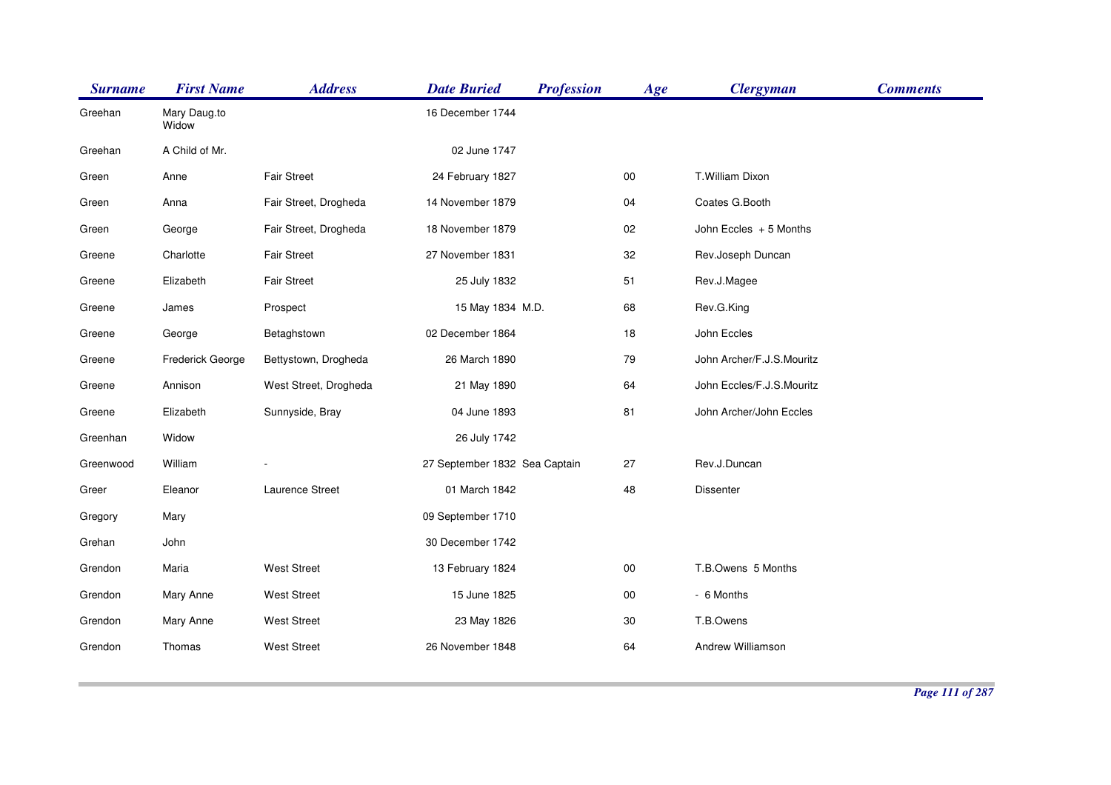| <b>Surname</b> | <b>First Name</b>     | <b>Address</b>        | <b>Date Buried</b>            | <b>Profession</b> | Age    | <b>Clergyman</b>          | <b>Comments</b> |
|----------------|-----------------------|-----------------------|-------------------------------|-------------------|--------|---------------------------|-----------------|
| Greehan        | Mary Daug.to<br>Widow |                       | 16 December 1744              |                   |        |                           |                 |
| Greehan        | A Child of Mr.        |                       | 02 June 1747                  |                   |        |                           |                 |
| Green          | Anne                  | <b>Fair Street</b>    | 24 February 1827              |                   | $00\,$ | T. William Dixon          |                 |
| Green          | Anna                  | Fair Street, Drogheda | 14 November 1879              |                   | 04     | Coates G.Booth            |                 |
| Green          | George                | Fair Street, Drogheda | 18 November 1879              |                   | 02     | John Eccles + 5 Months    |                 |
| Greene         | Charlotte             | <b>Fair Street</b>    | 27 November 1831              |                   | 32     | Rev.Joseph Duncan         |                 |
| Greene         | Elizabeth             | <b>Fair Street</b>    | 25 July 1832                  |                   | 51     | Rev.J.Magee               |                 |
| Greene         | James                 | Prospect              | 15 May 1834 M.D.              |                   | 68     | Rev.G.King                |                 |
| Greene         | George                | Betaghstown           | 02 December 1864              |                   | 18     | John Eccles               |                 |
| Greene         | Frederick George      | Bettystown, Drogheda  | 26 March 1890                 |                   | 79     | John Archer/F.J.S.Mouritz |                 |
| Greene         | Annison               | West Street, Drogheda | 21 May 1890                   |                   | 64     | John Eccles/F.J.S.Mouritz |                 |
| Greene         | Elizabeth             | Sunnyside, Bray       | 04 June 1893                  |                   | 81     | John Archer/John Eccles   |                 |
| Greenhan       | Widow                 |                       | 26 July 1742                  |                   |        |                           |                 |
| Greenwood      | William               |                       | 27 September 1832 Sea Captain |                   | 27     | Rev.J.Duncan              |                 |
| Greer          | Eleanor               | Laurence Street       | 01 March 1842                 |                   | 48     | Dissenter                 |                 |
| Gregory        | Mary                  |                       | 09 September 1710             |                   |        |                           |                 |
| Grehan         | John                  |                       | 30 December 1742              |                   |        |                           |                 |
| Grendon        | Maria                 | <b>West Street</b>    | 13 February 1824              |                   | $00\,$ | T.B.Owens 5 Months        |                 |
| Grendon        | Mary Anne             | <b>West Street</b>    | 15 June 1825                  |                   | $00\,$ | - 6 Months                |                 |
| Grendon        | Mary Anne             | <b>West Street</b>    | 23 May 1826                   |                   | $30\,$ | T.B.Owens                 |                 |
| Grendon        | Thomas                | <b>West Street</b>    | 26 November 1848              |                   | 64     | Andrew Williamson         |                 |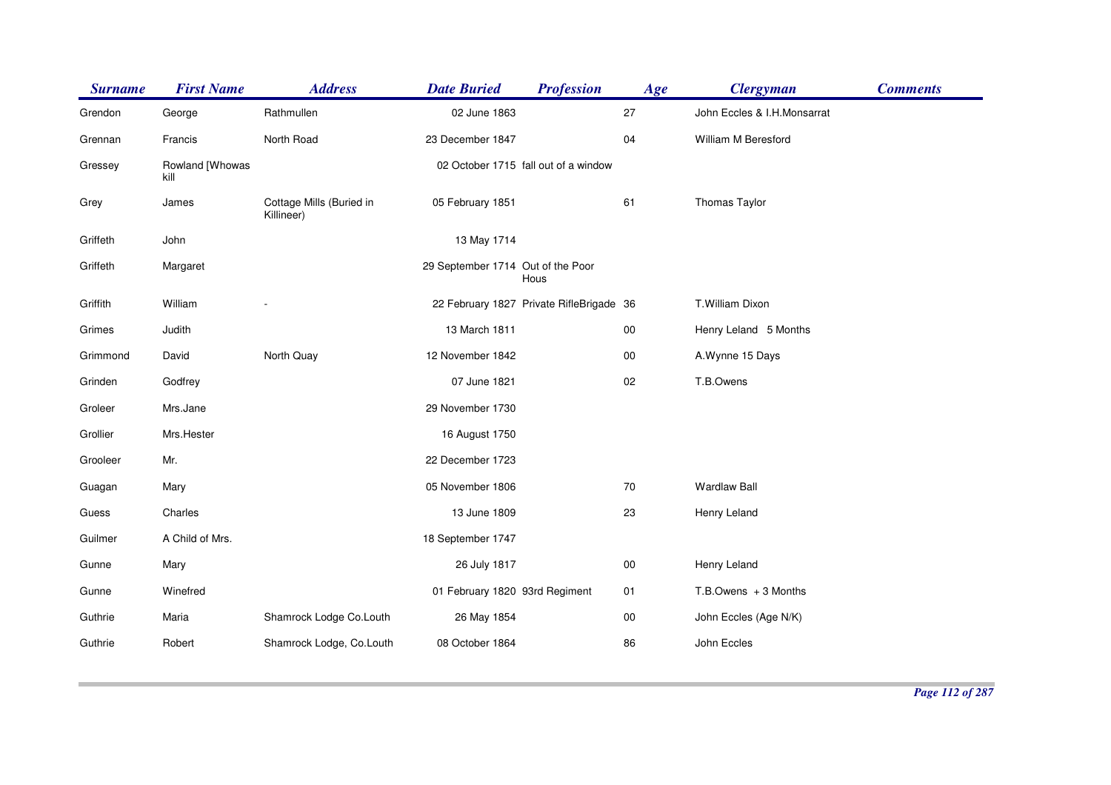| <b>Surname</b> | <b>First Name</b>       | <b>Address</b>                         | <b>Date Buried</b>                | <b>Profession</b>                        | Age    | <b>Clergyman</b>            | <b>Comments</b> |
|----------------|-------------------------|----------------------------------------|-----------------------------------|------------------------------------------|--------|-----------------------------|-----------------|
| Grendon        | George                  | Rathmullen                             | 02 June 1863                      |                                          | 27     | John Eccles & I.H.Monsarrat |                 |
| Grennan        | Francis                 | North Road                             | 23 December 1847                  |                                          | 04     | William M Beresford         |                 |
| Gressey        | Rowland [Whowas<br>kill |                                        |                                   | 02 October 1715 fall out of a window     |        |                             |                 |
| Grey           | James                   | Cottage Mills (Buried in<br>Killineer) | 05 February 1851                  |                                          | 61     | Thomas Taylor               |                 |
| Griffeth       | John                    |                                        | 13 May 1714                       |                                          |        |                             |                 |
| Griffeth       | Margaret                |                                        | 29 September 1714 Out of the Poor | Hous                                     |        |                             |                 |
| Griffith       | William                 |                                        |                                   | 22 February 1827 Private RifleBrigade 36 |        | T.William Dixon             |                 |
| Grimes         | Judith                  |                                        | 13 March 1811                     |                                          | $00\,$ | Henry Leland 5 Months       |                 |
| Grimmond       | David                   | North Quay                             | 12 November 1842                  |                                          | $00\,$ | A.Wynne 15 Days             |                 |
| Grinden        | Godfrey                 |                                        | 07 June 1821                      |                                          | 02     | T.B.Owens                   |                 |
| Groleer        | Mrs.Jane                |                                        | 29 November 1730                  |                                          |        |                             |                 |
| Grollier       | Mrs.Hester              |                                        | 16 August 1750                    |                                          |        |                             |                 |
| Grooleer       | Mr.                     |                                        | 22 December 1723                  |                                          |        |                             |                 |
| Guagan         | Mary                    |                                        | 05 November 1806                  |                                          | 70     | <b>Wardlaw Ball</b>         |                 |
| Guess          | Charles                 |                                        | 13 June 1809                      |                                          | 23     | Henry Leland                |                 |
| Guilmer        | A Child of Mrs.         |                                        | 18 September 1747                 |                                          |        |                             |                 |
| Gunne          | Mary                    |                                        | 26 July 1817                      |                                          | $00\,$ | Henry Leland                |                 |
| Gunne          | Winefred                |                                        | 01 February 1820 93rd Regiment    |                                          | 01     | $T.B.$ Owens $+3$ Months    |                 |
| Guthrie        | Maria                   | Shamrock Lodge Co.Louth                | 26 May 1854                       |                                          | $00\,$ | John Eccles (Age N/K)       |                 |
| Guthrie        | Robert                  | Shamrock Lodge, Co.Louth               | 08 October 1864                   |                                          | 86     | John Eccles                 |                 |
|                |                         |                                        |                                   |                                          |        |                             |                 |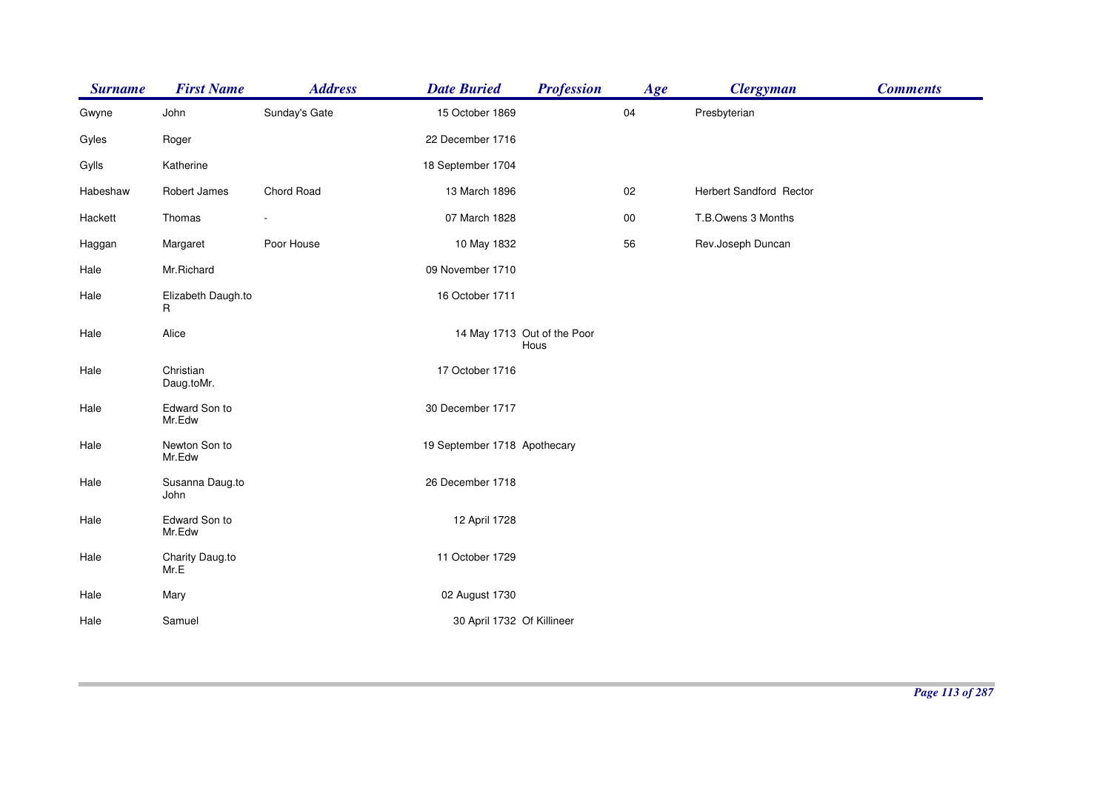| <b>Surname</b> | <b>First Name</b>       | <b>Address</b> | <b>Date Buried</b>           | <b>Profession</b>                   | Age        | <b>Clergyman</b>        | <b>Comments</b> |
|----------------|-------------------------|----------------|------------------------------|-------------------------------------|------------|-------------------------|-----------------|
| Gwyne          | John                    | Sunday's Gate  | 15 October 1869              |                                     | 04         | Presbyterian            |                 |
| Gyles          | Roger                   |                | 22 December 1716             |                                     |            |                         |                 |
| Gylls          | Katherine               |                | 18 September 1704            |                                     |            |                         |                 |
| Habeshaw       | Robert James            | Chord Road     | 13 March 1896                |                                     | 02         | Herbert Sandford Rector |                 |
| Hackett        | Thomas                  |                | 07 March 1828                |                                     | ${\bf 00}$ | T.B.Owens 3 Months      |                 |
| Haggan         | Margaret                | Poor House     | 10 May 1832                  |                                     | 56         | Rev.Joseph Duncan       |                 |
| Hale           | Mr.Richard              |                | 09 November 1710             |                                     |            |                         |                 |
| Hale           | Elizabeth Daugh.to<br>R |                | 16 October 1711              |                                     |            |                         |                 |
| Hale           | Alice                   |                |                              | 14 May 1713 Out of the Poor<br>Hous |            |                         |                 |
| Hale           | Christian<br>Daug.toMr. |                | 17 October 1716              |                                     |            |                         |                 |
| Hale           | Edward Son to<br>Mr.Edw |                | 30 December 1717             |                                     |            |                         |                 |
| Hale           | Newton Son to<br>Mr.Edw |                | 19 September 1718 Apothecary |                                     |            |                         |                 |
| Hale           | Susanna Daug.to<br>John |                | 26 December 1718             |                                     |            |                         |                 |
| Hale           | Edward Son to<br>Mr.Edw |                | 12 April 1728                |                                     |            |                         |                 |
| Hale           | Charity Daug.to<br>Mr.E |                | 11 October 1729              |                                     |            |                         |                 |
| Hale           | Mary                    |                | 02 August 1730               |                                     |            |                         |                 |
| Hale           | Samuel                  |                | 30 April 1732 Of Killineer   |                                     |            |                         |                 |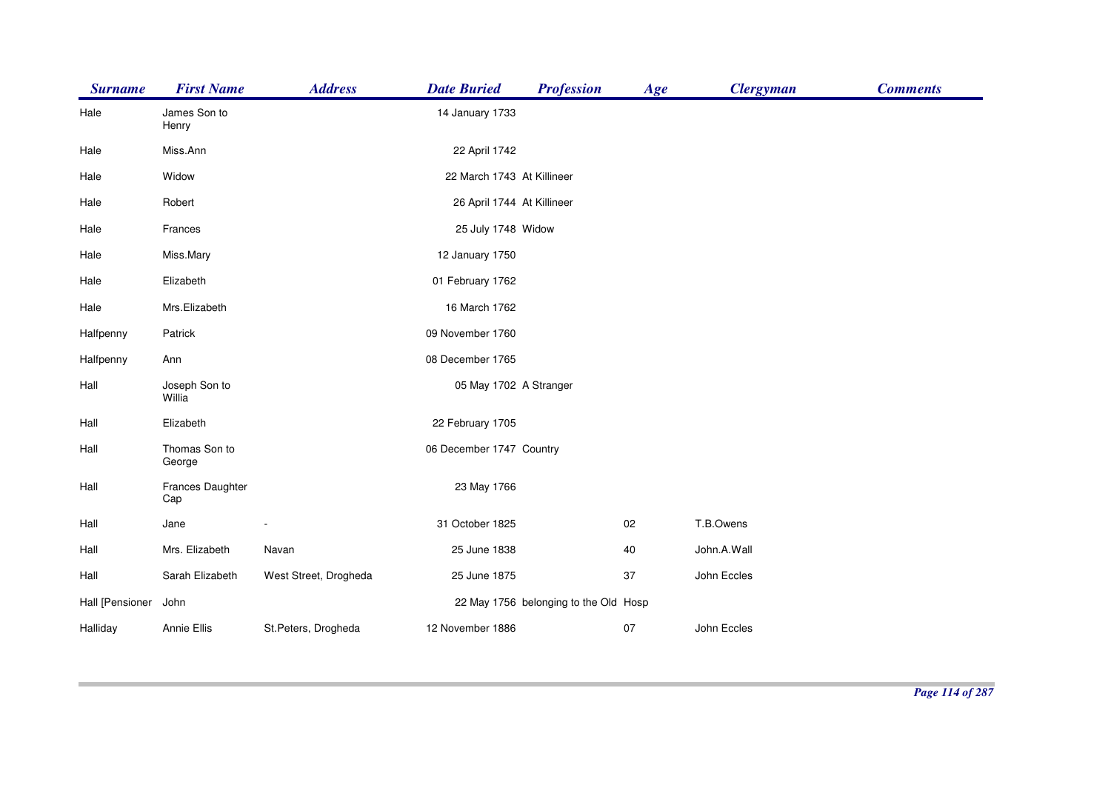| <b>Surname</b>  | <b>First Name</b>       | <b>Address</b>        | <b>Date Buried</b>         | <b>Profession</b>                     | Age | <b>Clergyman</b> | <b>Comments</b> |
|-----------------|-------------------------|-----------------------|----------------------------|---------------------------------------|-----|------------------|-----------------|
| Hale            | James Son to<br>Henry   |                       | 14 January 1733            |                                       |     |                  |                 |
| Hale            | Miss.Ann                |                       | 22 April 1742              |                                       |     |                  |                 |
| Hale            | Widow                   |                       | 22 March 1743 At Killineer |                                       |     |                  |                 |
| Hale            | Robert                  |                       | 26 April 1744 At Killineer |                                       |     |                  |                 |
| Hale            | Frances                 |                       | 25 July 1748 Widow         |                                       |     |                  |                 |
| Hale            | Miss.Mary               |                       | 12 January 1750            |                                       |     |                  |                 |
| Hale            | Elizabeth               |                       | 01 February 1762           |                                       |     |                  |                 |
| Hale            | Mrs.Elizabeth           |                       | 16 March 1762              |                                       |     |                  |                 |
| Halfpenny       | Patrick                 |                       | 09 November 1760           |                                       |     |                  |                 |
| Halfpenny       | Ann                     |                       | 08 December 1765           |                                       |     |                  |                 |
| Hall            | Joseph Son to<br>Willia |                       | 05 May 1702 A Stranger     |                                       |     |                  |                 |
| Hall            | Elizabeth               |                       | 22 February 1705           |                                       |     |                  |                 |
| Hall            | Thomas Son to<br>George |                       | 06 December 1747 Country   |                                       |     |                  |                 |
| Hall            | Frances Daughter<br>Cap |                       | 23 May 1766                |                                       |     |                  |                 |
| Hall            | Jane                    |                       | 31 October 1825            |                                       | 02  | T.B.Owens        |                 |
| Hall            | Mrs. Elizabeth          | Navan                 | 25 June 1838               |                                       | 40  | John.A.Wall      |                 |
| Hall            | Sarah Elizabeth         | West Street, Drogheda | 25 June 1875               |                                       | 37  | John Eccles      |                 |
| Hall [Pensioner | John                    |                       |                            | 22 May 1756 belonging to the Old Hosp |     |                  |                 |
| Halliday        | Annie Ellis             | St.Peters, Drogheda   | 12 November 1886           |                                       | 07  | John Eccles      |                 |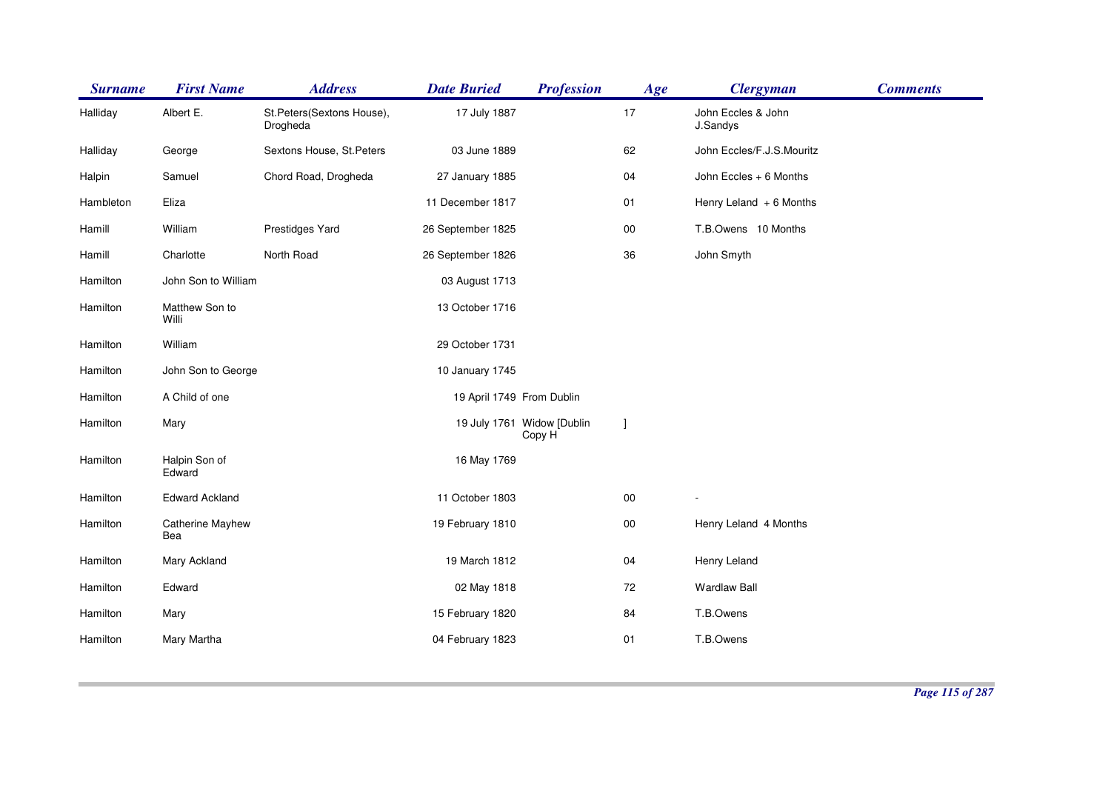| <b>Surname</b> | <b>First Name</b>       | <b>Address</b>                        | <b>Date Buried</b>        | <b>Profession</b>                    | Age        | <b>Clergyman</b>               | <b>Comments</b> |
|----------------|-------------------------|---------------------------------------|---------------------------|--------------------------------------|------------|--------------------------------|-----------------|
| Halliday       | Albert E.               | St.Peters(Sextons House),<br>Drogheda | 17 July 1887              |                                      | 17         | John Eccles & John<br>J.Sandys |                 |
| Halliday       | George                  | Sextons House, St.Peters              | 03 June 1889              |                                      | 62         | John Eccles/F.J.S.Mouritz      |                 |
| Halpin         | Samuel                  | Chord Road, Drogheda                  | 27 January 1885           |                                      | 04         | John Eccles + 6 Months         |                 |
| Hambleton      | Eliza                   |                                       | 11 December 1817          |                                      | 01         | Henry Leland $+6$ Months       |                 |
| Hamill         | William                 | Prestidges Yard                       | 26 September 1825         |                                      | 00         | T.B.Owens 10 Months            |                 |
| Hamill         | Charlotte               | North Road                            | 26 September 1826         |                                      | 36         | John Smyth                     |                 |
| Hamilton       | John Son to William     |                                       | 03 August 1713            |                                      |            |                                |                 |
| Hamilton       | Matthew Son to<br>Willi |                                       | 13 October 1716           |                                      |            |                                |                 |
| Hamilton       | William                 |                                       | 29 October 1731           |                                      |            |                                |                 |
| Hamilton       | John Son to George      |                                       | 10 January 1745           |                                      |            |                                |                 |
| Hamilton       | A Child of one          |                                       | 19 April 1749 From Dublin |                                      |            |                                |                 |
| Hamilton       | Mary                    |                                       |                           | 19 July 1761 Widow [Dublin<br>Copy H | -1         |                                |                 |
| Hamilton       | Halpin Son of<br>Edward |                                       | 16 May 1769               |                                      |            |                                |                 |
| Hamilton       | <b>Edward Ackland</b>   |                                       | 11 October 1803           |                                      | ${\bf 00}$ |                                |                 |
| Hamilton       | Catherine Mayhew<br>Bea |                                       | 19 February 1810          |                                      | $00\,$     | Henry Leland 4 Months          |                 |
| Hamilton       | Mary Ackland            |                                       | 19 March 1812             |                                      | 04         | Henry Leland                   |                 |
| Hamilton       | Edward                  |                                       | 02 May 1818               |                                      | 72         | <b>Wardlaw Ball</b>            |                 |
| Hamilton       | Mary                    |                                       | 15 February 1820          |                                      | 84         | T.B.Owens                      |                 |
| Hamilton       | Mary Martha             |                                       | 04 February 1823          |                                      | 01         | T.B.Owens                      |                 |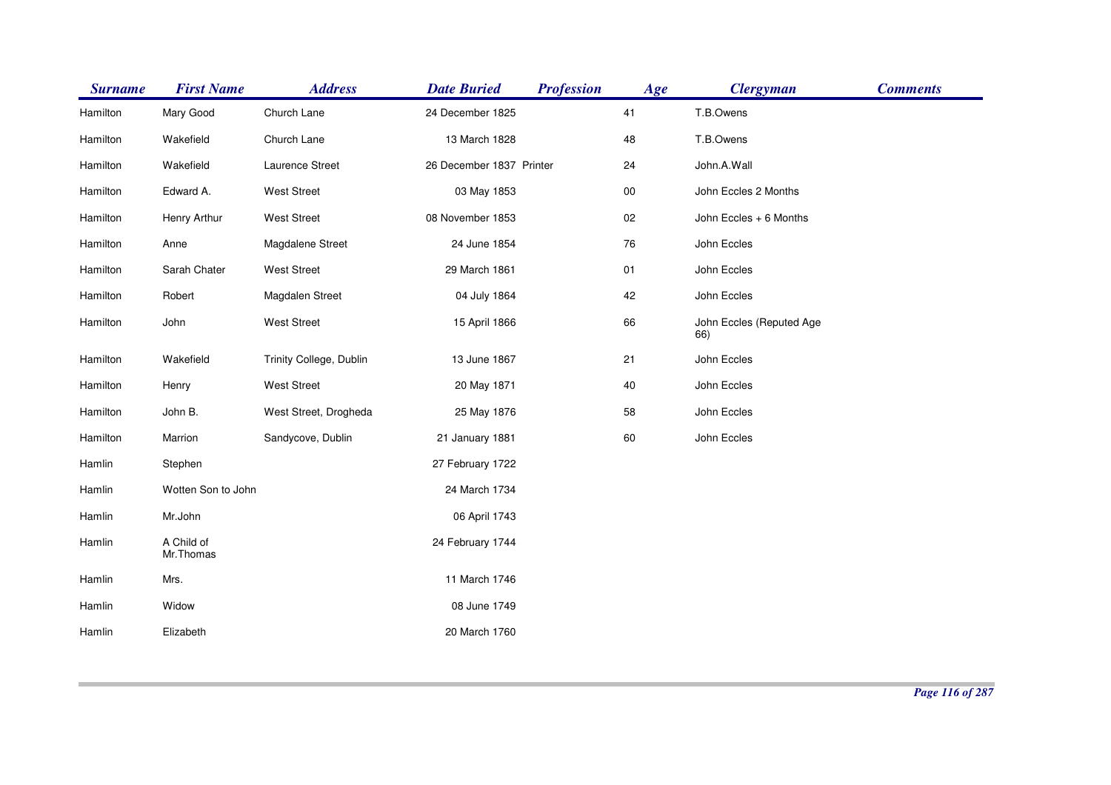| <b>Surname</b> | <b>First Name</b>       | <b>Address</b>          | <b>Date Buried</b>       | <b>Profession</b> | Age | <b>Clergyman</b>                | <b>Comments</b> |
|----------------|-------------------------|-------------------------|--------------------------|-------------------|-----|---------------------------------|-----------------|
| Hamilton       | Mary Good               | Church Lane             | 24 December 1825         |                   | 41  | T.B.Owens                       |                 |
| Hamilton       | Wakefield               | Church Lane             | 13 March 1828            |                   | 48  | T.B.Owens                       |                 |
| Hamilton       | Wakefield               | Laurence Street         | 26 December 1837 Printer |                   | 24  | John.A.Wall                     |                 |
| Hamilton       | Edward A.               | <b>West Street</b>      | 03 May 1853              |                   | 00  | John Eccles 2 Months            |                 |
| Hamilton       | Henry Arthur            | West Street             | 08 November 1853         |                   | 02  | John Eccles + 6 Months          |                 |
| Hamilton       | Anne                    | Magdalene Street        | 24 June 1854             |                   | 76  | John Eccles                     |                 |
| Hamilton       | Sarah Chater            | <b>West Street</b>      | 29 March 1861            |                   | 01  | John Eccles                     |                 |
| Hamilton       | Robert                  | Magdalen Street         | 04 July 1864             |                   | 42  | John Eccles                     |                 |
| Hamilton       | John                    | <b>West Street</b>      | 15 April 1866            |                   | 66  | John Eccles (Reputed Age<br>66) |                 |
| Hamilton       | Wakefield               | Trinity College, Dublin | 13 June 1867             |                   | 21  | John Eccles                     |                 |
| Hamilton       | Henry                   | <b>West Street</b>      | 20 May 1871              |                   | 40  | John Eccles                     |                 |
| Hamilton       | John B.                 | West Street, Drogheda   | 25 May 1876              |                   | 58  | John Eccles                     |                 |
| Hamilton       | Marrion                 | Sandycove, Dublin       | 21 January 1881          |                   | 60  | John Eccles                     |                 |
| Hamlin         | Stephen                 |                         | 27 February 1722         |                   |     |                                 |                 |
| Hamlin         | Wotten Son to John      |                         | 24 March 1734            |                   |     |                                 |                 |
| Hamlin         | Mr.John                 |                         | 06 April 1743            |                   |     |                                 |                 |
| Hamlin         | A Child of<br>Mr.Thomas |                         | 24 February 1744         |                   |     |                                 |                 |
| Hamlin         | Mrs.                    |                         | 11 March 1746            |                   |     |                                 |                 |
| Hamlin         | Widow                   |                         | 08 June 1749             |                   |     |                                 |                 |
| Hamlin         | Elizabeth               |                         | 20 March 1760            |                   |     |                                 |                 |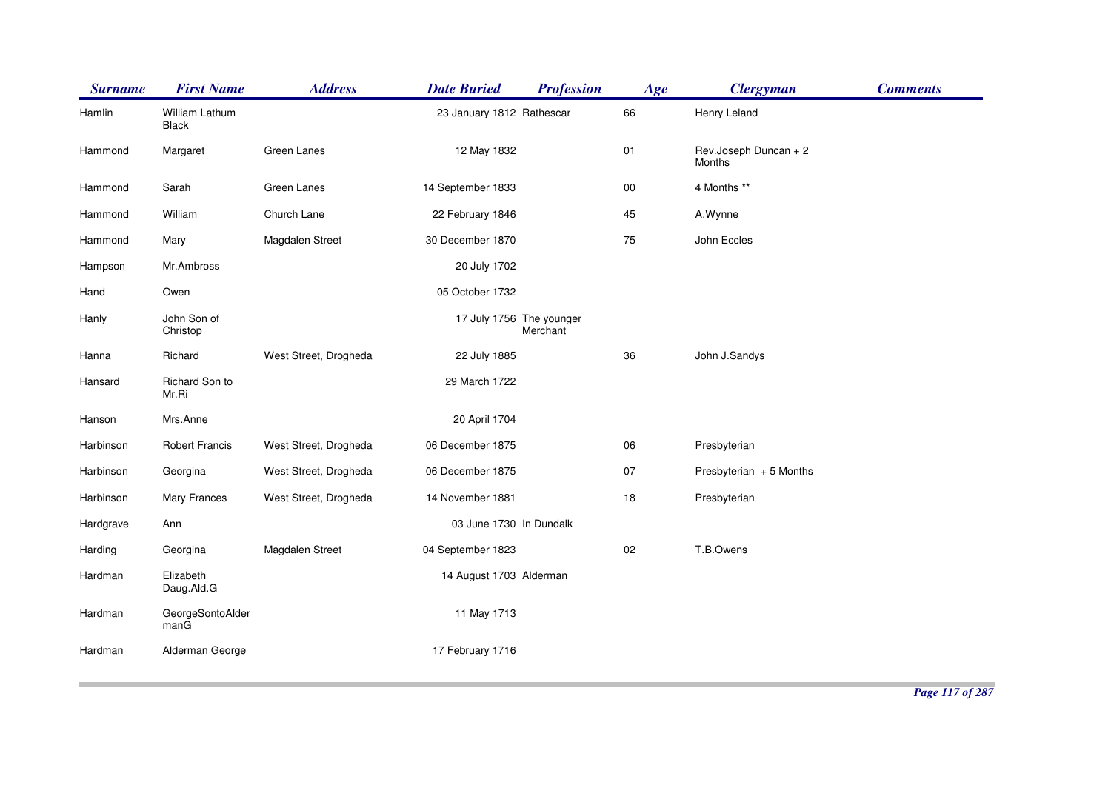| <b>Surname</b> | <b>First Name</b>        | <b>Address</b>        | <b>Date Buried</b>        | <b>Profession</b>                    | <b>Age</b> | <b>Clergyman</b>                | <b>Comments</b> |
|----------------|--------------------------|-----------------------|---------------------------|--------------------------------------|------------|---------------------------------|-----------------|
| Hamlin         | William Lathum<br>Black  |                       | 23 January 1812 Rathescar |                                      | 66         | Henry Leland                    |                 |
| Hammond        | Margaret                 | Green Lanes           | 12 May 1832               |                                      | 01         | Rev.Joseph Duncan + 2<br>Months |                 |
| Hammond        | Sarah                    | Green Lanes           | 14 September 1833         |                                      | $00\,$     | 4 Months **                     |                 |
| Hammond        | William                  | Church Lane           | 22 February 1846          |                                      | 45         | A.Wynne                         |                 |
| Hammond        | Mary                     | Magdalen Street       | 30 December 1870          |                                      | 75         | John Eccles                     |                 |
| Hampson        | Mr.Ambross               |                       | 20 July 1702              |                                      |            |                                 |                 |
| Hand           | Owen                     |                       | 05 October 1732           |                                      |            |                                 |                 |
| Hanly          | John Son of<br>Christop  |                       |                           | 17 July 1756 The younger<br>Merchant |            |                                 |                 |
| Hanna          | Richard                  | West Street, Drogheda | 22 July 1885              |                                      | 36         | John J.Sandys                   |                 |
| Hansard        | Richard Son to<br>Mr.Ri  |                       | 29 March 1722             |                                      |            |                                 |                 |
| Hanson         | Mrs.Anne                 |                       | 20 April 1704             |                                      |            |                                 |                 |
| Harbinson      | <b>Robert Francis</b>    | West Street, Drogheda | 06 December 1875          |                                      | 06         | Presbyterian                    |                 |
| Harbinson      | Georgina                 | West Street, Drogheda | 06 December 1875          |                                      | 07         | Presbyterian + 5 Months         |                 |
| Harbinson      | Mary Frances             | West Street, Drogheda | 14 November 1881          |                                      | 18         | Presbyterian                    |                 |
| Hardgrave      | Ann                      |                       | 03 June 1730 In Dundalk   |                                      |            |                                 |                 |
| Harding        | Georgina                 | Magdalen Street       | 04 September 1823         |                                      | 02         | T.B.Owens                       |                 |
| Hardman        | Elizabeth<br>Daug.Ald.G  |                       | 14 August 1703 Alderman   |                                      |            |                                 |                 |
| Hardman        | GeorgeSontoAlder<br>manG |                       | 11 May 1713               |                                      |            |                                 |                 |
| Hardman        | Alderman George          |                       | 17 February 1716          |                                      |            |                                 |                 |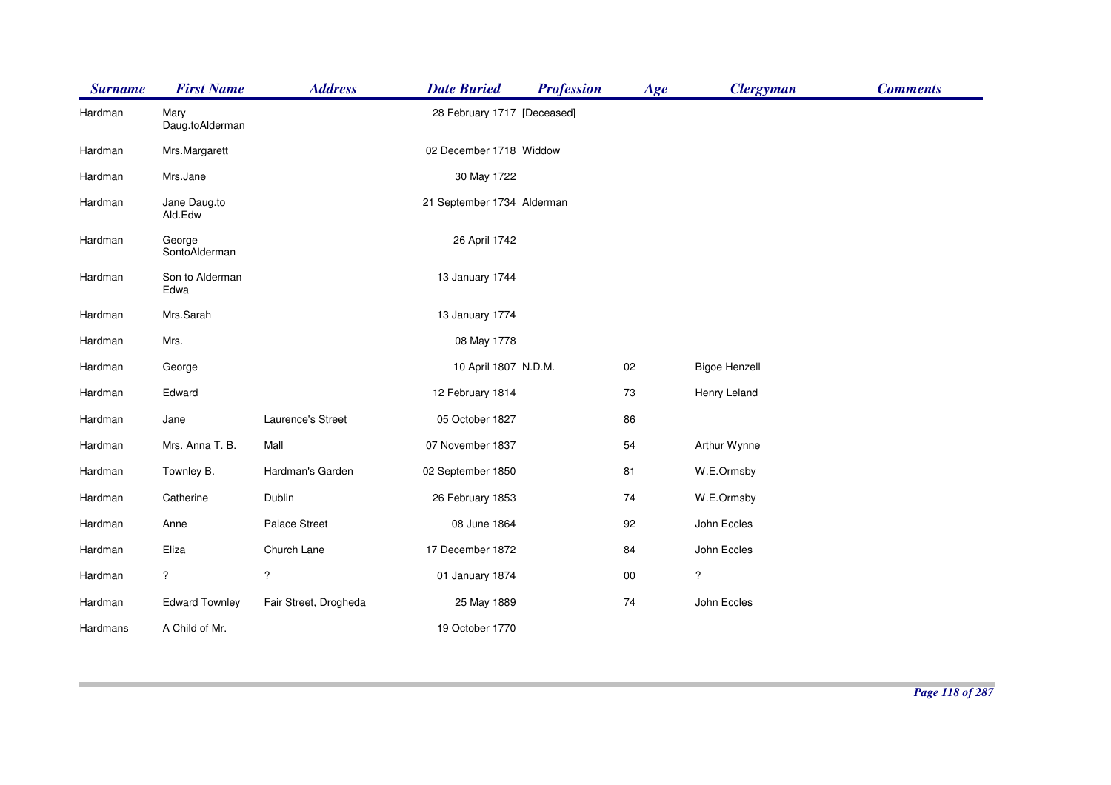| <b>Surname</b> | <b>First Name</b>       | <b>Address</b>        | <b>Date Buried</b>          | <b>Profession</b> | Age    | <b>Clergyman</b>     | <b>Comments</b> |
|----------------|-------------------------|-----------------------|-----------------------------|-------------------|--------|----------------------|-----------------|
| Hardman        | Mary<br>Daug.toAlderman |                       | 28 February 1717 [Deceased] |                   |        |                      |                 |
| Hardman        | Mrs.Margarett           |                       | 02 December 1718 Widdow     |                   |        |                      |                 |
| Hardman        | Mrs.Jane                |                       | 30 May 1722                 |                   |        |                      |                 |
| Hardman        | Jane Daug.to<br>Ald.Edw |                       | 21 September 1734 Alderman  |                   |        |                      |                 |
| Hardman        | George<br>SontoAlderman |                       | 26 April 1742               |                   |        |                      |                 |
| Hardman        | Son to Alderman<br>Edwa |                       | 13 January 1744             |                   |        |                      |                 |
| Hardman        | Mrs.Sarah               |                       | 13 January 1774             |                   |        |                      |                 |
| Hardman        | Mrs.                    |                       | 08 May 1778                 |                   |        |                      |                 |
| Hardman        | George                  |                       | 10 April 1807 N.D.M.        |                   | 02     | <b>Bigoe Henzell</b> |                 |
| Hardman        | Edward                  |                       | 12 February 1814            |                   | 73     | Henry Leland         |                 |
| Hardman        | Jane                    | Laurence's Street     | 05 October 1827             |                   | 86     |                      |                 |
| Hardman        | Mrs. Anna T. B.         | Mall                  | 07 November 1837            |                   | 54     | Arthur Wynne         |                 |
| Hardman        | Townley B.              | Hardman's Garden      | 02 September 1850           |                   | 81     | W.E.Ormsby           |                 |
| Hardman        | Catherine               | Dublin                | 26 February 1853            |                   | 74     | W.E.Ormsby           |                 |
| Hardman        | Anne                    | Palace Street         | 08 June 1864                |                   | 92     | John Eccles          |                 |
| Hardman        | Eliza                   | Church Lane           | 17 December 1872            |                   | 84     | John Eccles          |                 |
| Hardman        | $\overline{?}$          | $\ddot{?}$            | 01 January 1874             |                   | $00\,$ | $\overline{\cdot}$   |                 |
| Hardman        | <b>Edward Townley</b>   | Fair Street, Drogheda | 25 May 1889                 |                   | 74     | John Eccles          |                 |
| Hardmans       | A Child of Mr.          |                       | 19 October 1770             |                   |        |                      |                 |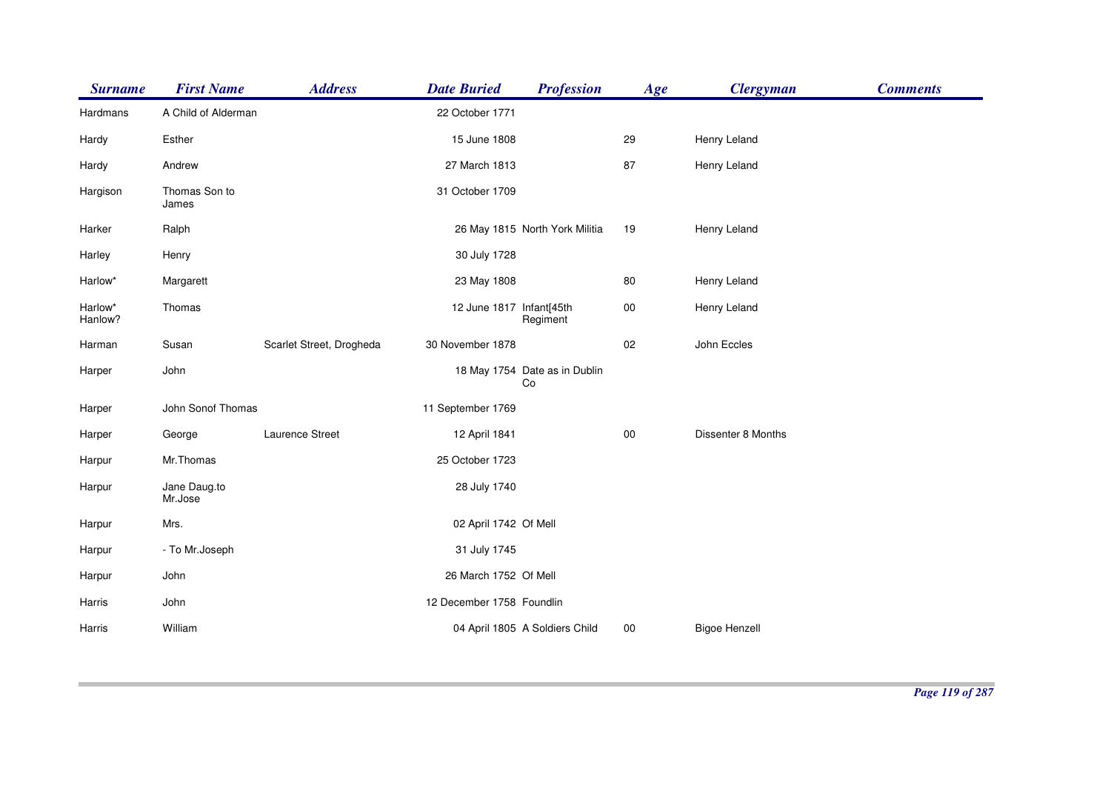| <b>Surname</b>     | <b>First Name</b>       | <b>Address</b>           | <b>Date Buried</b>        | <b>Profession</b>                   | Age    | <b>Clergyman</b>     | <b>Comments</b> |
|--------------------|-------------------------|--------------------------|---------------------------|-------------------------------------|--------|----------------------|-----------------|
| Hardmans           | A Child of Alderman     |                          | 22 October 1771           |                                     |        |                      |                 |
| Hardy              | Esther                  |                          | 15 June 1808              |                                     | 29     | Henry Leland         |                 |
| Hardy              | Andrew                  |                          | 27 March 1813             |                                     | 87     | Henry Leland         |                 |
| Hargison           | Thomas Son to<br>James  |                          | 31 October 1709           |                                     |        |                      |                 |
| Harker             | Ralph                   |                          |                           | 26 May 1815 North York Militia      | 19     | Henry Leland         |                 |
| Harley             | Henry                   |                          | 30 July 1728              |                                     |        |                      |                 |
| Harlow*            | Margarett               |                          | 23 May 1808               |                                     | 80     | Henry Leland         |                 |
| Harlow*<br>Hanlow? | Thomas                  |                          | 12 June 1817 Infant[45th  | Regiment                            | $00\,$ | Henry Leland         |                 |
| Harman             | Susan                   | Scarlet Street, Drogheda | 30 November 1878          |                                     | 02     | John Eccles          |                 |
| Harper             | John                    |                          |                           | 18 May 1754 Date as in Dublin<br>Co |        |                      |                 |
| Harper             | John Sonof Thomas       |                          | 11 September 1769         |                                     |        |                      |                 |
| Harper             | George                  | Laurence Street          | 12 April 1841             |                                     | $00\,$ | Dissenter 8 Months   |                 |
| Harpur             | Mr.Thomas               |                          | 25 October 1723           |                                     |        |                      |                 |
| Harpur             | Jane Daug.to<br>Mr.Jose |                          | 28 July 1740              |                                     |        |                      |                 |
| Harpur             | Mrs.                    |                          | 02 April 1742 Of Mell     |                                     |        |                      |                 |
| Harpur             | - To Mr.Joseph          |                          | 31 July 1745              |                                     |        |                      |                 |
| Harpur             | John                    |                          | 26 March 1752 Of Mell     |                                     |        |                      |                 |
| Harris             | John                    |                          | 12 December 1758 Foundlin |                                     |        |                      |                 |
| Harris             | William                 |                          |                           | 04 April 1805 A Soldiers Child      | 00     | <b>Bigoe Henzell</b> |                 |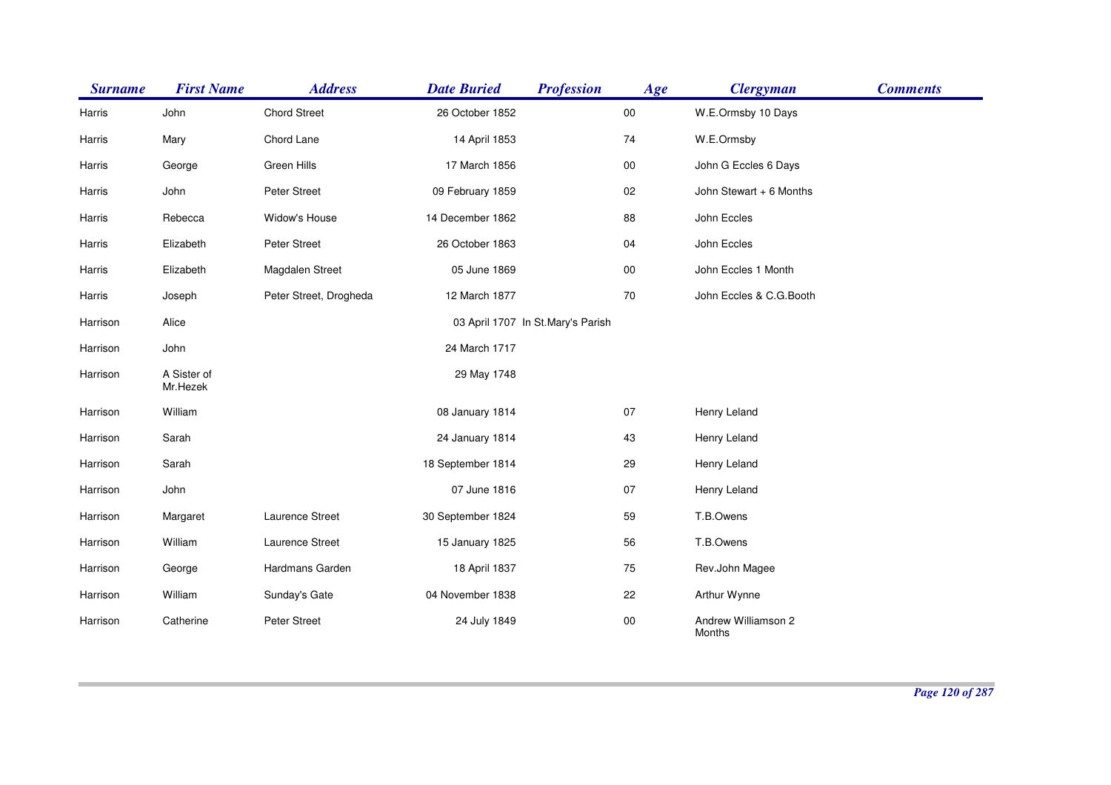| <b>Surname</b> | <b>First Name</b>       | <b>Address</b>         | <b>Date Buried</b> | <b>Profession</b>                 | Age        | <b>Clergyman</b>                     | <b>Comments</b> |
|----------------|-------------------------|------------------------|--------------------|-----------------------------------|------------|--------------------------------------|-----------------|
| Harris         | John                    | <b>Chord Street</b>    | 26 October 1852    |                                   | $00\,$     | W.E.Ormsby 10 Days                   |                 |
| Harris         | Mary                    | Chord Lane             | 14 April 1853      |                                   | 74         | W.E.Ormsby                           |                 |
| Harris         | George                  | Green Hills            | 17 March 1856      |                                   | ${\bf 00}$ | John G Eccles 6 Days                 |                 |
| Harris         | John                    | Peter Street           | 09 February 1859   |                                   | $02\,$     | John Stewart + 6 Months              |                 |
| Harris         | Rebecca                 | Widow's House          | 14 December 1862   |                                   | 88         | John Eccles                          |                 |
| Harris         | Elizabeth               | Peter Street           | 26 October 1863    |                                   | 04         | John Eccles                          |                 |
| Harris         | Elizabeth               | Magdalen Street        | 05 June 1869       |                                   | ${\bf 00}$ | John Eccles 1 Month                  |                 |
| Harris         | Joseph                  | Peter Street, Drogheda | 12 March 1877      |                                   | 70         | John Eccles & C.G.Booth              |                 |
| Harrison       | Alice                   |                        |                    | 03 April 1707 In St.Mary's Parish |            |                                      |                 |
| Harrison       | John                    |                        | 24 March 1717      |                                   |            |                                      |                 |
| Harrison       | A Sister of<br>Mr.Hezek |                        | 29 May 1748        |                                   |            |                                      |                 |
| Harrison       | William                 |                        | 08 January 1814    |                                   | 07         | Henry Leland                         |                 |
| Harrison       | Sarah                   |                        | 24 January 1814    |                                   | 43         | Henry Leland                         |                 |
| Harrison       | Sarah                   |                        | 18 September 1814  |                                   | 29         | Henry Leland                         |                 |
| Harrison       | John                    |                        | 07 June 1816       |                                   | 07         | Henry Leland                         |                 |
| Harrison       | Margaret                | Laurence Street        | 30 September 1824  |                                   | 59         | T.B.Owens                            |                 |
| Harrison       | William                 | Laurence Street        | 15 January 1825    |                                   | 56         | T.B.Owens                            |                 |
| Harrison       | George                  | Hardmans Garden        | 18 April 1837      |                                   | 75         | Rev.John Magee                       |                 |
| Harrison       | William                 | Sunday's Gate          | 04 November 1838   |                                   | 22         | Arthur Wynne                         |                 |
| Harrison       | Catherine               | Peter Street           | 24 July 1849       |                                   | $00\,$     | Andrew Williamson 2<br><b>Months</b> |                 |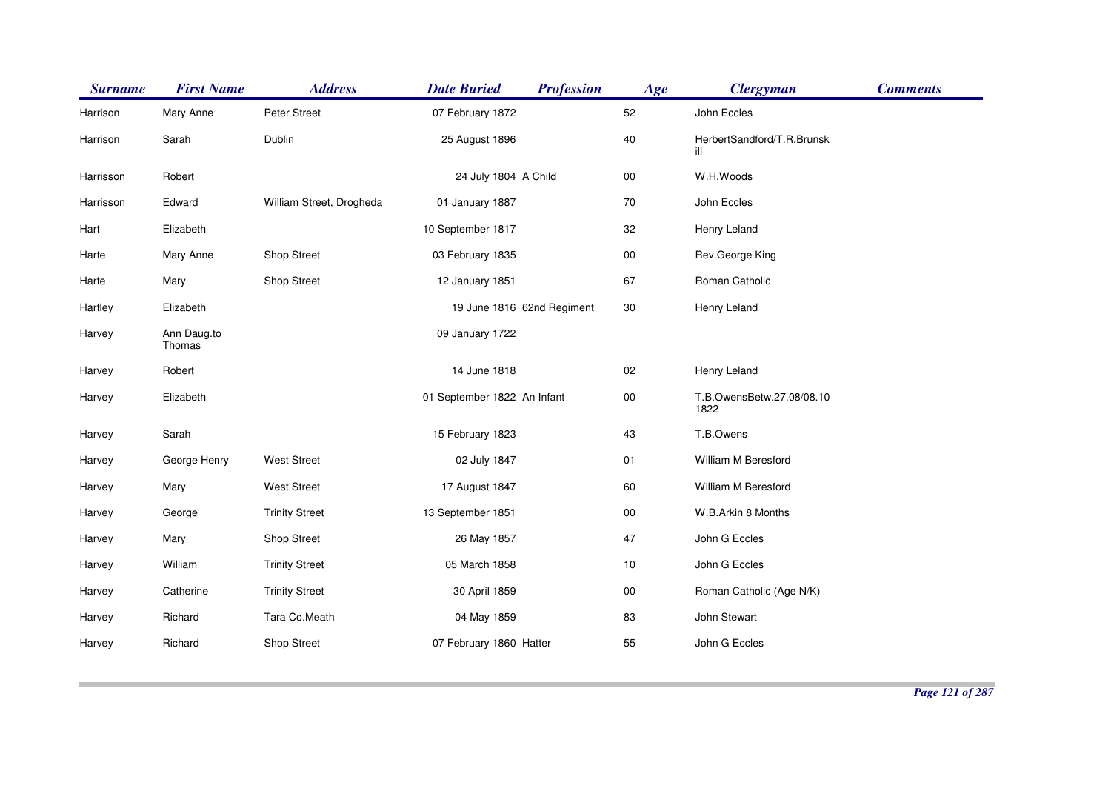| <b>Surname</b> | <b>First Name</b>     | <b>Address</b>           | <b>Date Buried</b>          | <b>Profession</b> | Age        | <b>Clergyman</b>                  | <b>Comments</b> |
|----------------|-----------------------|--------------------------|-----------------------------|-------------------|------------|-----------------------------------|-----------------|
| Harrison       | Mary Anne             | Peter Street             | 07 February 1872            |                   | 52         | John Eccles                       |                 |
| Harrison       | Sarah                 | Dublin                   | 25 August 1896              |                   | 40         | HerbertSandford/T.R.Brunsk<br>ill |                 |
| Harrisson      | Robert                |                          | 24 July 1804 A Child        |                   | ${\bf 00}$ | W.H.Woods                         |                 |
| Harrisson      | Edward                | William Street, Drogheda | 01 January 1887             |                   | 70         | John Eccles                       |                 |
| Hart           | Elizabeth             |                          | 10 September 1817           |                   | 32         | Henry Leland                      |                 |
| Harte          | Mary Anne             | Shop Street              | 03 February 1835            |                   | ${\bf 00}$ | Rev.George King                   |                 |
| Harte          | Mary                  | Shop Street              | 12 January 1851             |                   | 67         | Roman Catholic                    |                 |
| Hartley        | Elizabeth             |                          | 19 June 1816 62nd Regiment  |                   | $30\,$     | Henry Leland                      |                 |
| Harvey         | Ann Daug.to<br>Thomas |                          | 09 January 1722             |                   |            |                                   |                 |
| Harvey         | Robert                |                          | 14 June 1818                |                   | 02         | Henry Leland                      |                 |
| Harvey         | Elizabeth             |                          | 01 September 1822 An Infant |                   | ${\bf 00}$ | T.B.OwensBetw.27.08/08.10<br>1822 |                 |
| Harvey         | Sarah                 |                          | 15 February 1823            |                   | 43         | T.B.Owens                         |                 |
| Harvey         | George Henry          | West Street              | 02 July 1847                |                   | 01         | William M Beresford               |                 |
| Harvey         | Mary                  | <b>West Street</b>       | 17 August 1847              |                   | 60         | William M Beresford               |                 |
| Harvey         | George                | <b>Trinity Street</b>    | 13 September 1851           |                   | ${\bf 00}$ | W.B.Arkin 8 Months                |                 |
| Harvey         | Mary                  | Shop Street              | 26 May 1857                 |                   | 47         | John G Eccles                     |                 |
| Harvey         | William               | <b>Trinity Street</b>    | 05 March 1858               |                   | 10         | John G Eccles                     |                 |
| Harvey         | Catherine             | <b>Trinity Street</b>    | 30 April 1859               |                   | ${\bf 00}$ | Roman Catholic (Age N/K)          |                 |
| Harvey         | Richard               | Tara Co.Meath            | 04 May 1859                 |                   | 83         | John Stewart                      |                 |
| Harvey         | Richard               | Shop Street              | 07 February 1860 Hatter     |                   | 55         | John G Eccles                     |                 |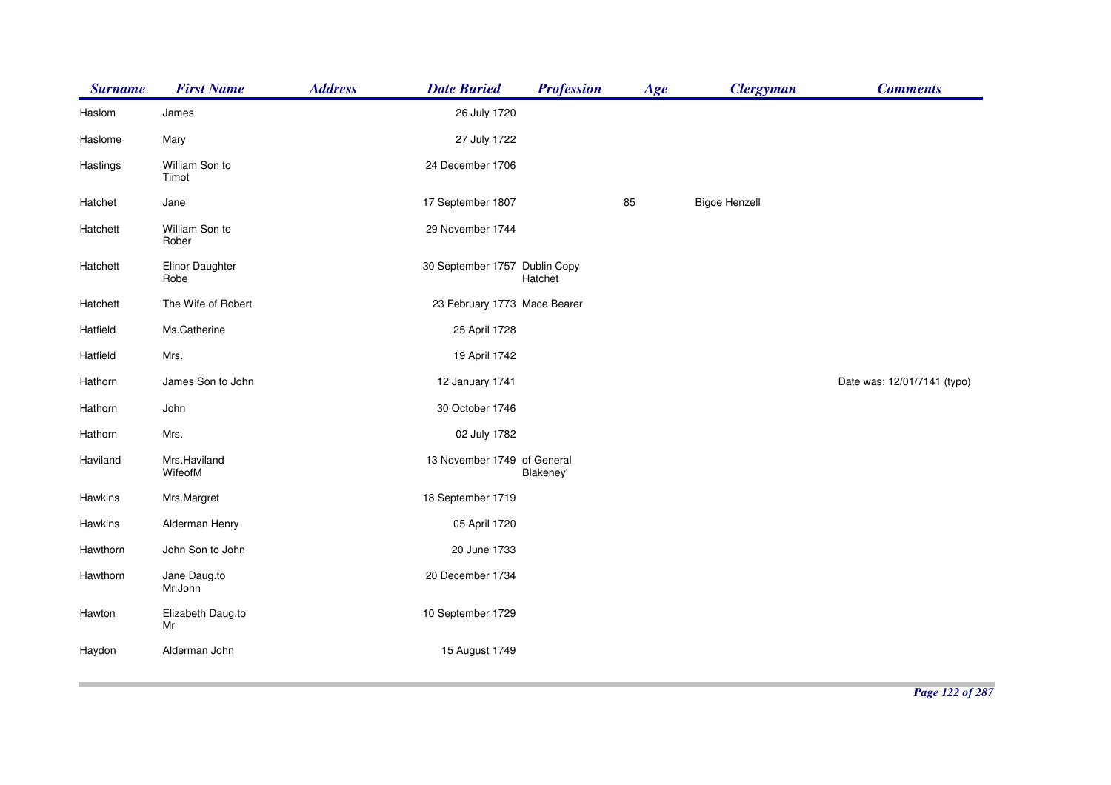| <b>Surname</b> | <b>First Name</b>       | <b>Address</b> | <b>Date Buried</b>            | <b>Profession</b> | Age | <b>Clergyman</b>     | <b>Comments</b>             |
|----------------|-------------------------|----------------|-------------------------------|-------------------|-----|----------------------|-----------------------------|
| Haslom         | James                   |                | 26 July 1720                  |                   |     |                      |                             |
| Haslome        | Mary                    |                | 27 July 1722                  |                   |     |                      |                             |
| Hastings       | William Son to<br>Timot |                | 24 December 1706              |                   |     |                      |                             |
| Hatchet        | Jane                    |                | 17 September 1807             |                   | 85  | <b>Bigoe Henzell</b> |                             |
| Hatchett       | William Son to<br>Rober |                | 29 November 1744              |                   |     |                      |                             |
| Hatchett       | Elinor Daughter<br>Robe |                | 30 September 1757 Dublin Copy | Hatchet           |     |                      |                             |
| Hatchett       | The Wife of Robert      |                | 23 February 1773 Mace Bearer  |                   |     |                      |                             |
| Hatfield       | Ms.Catherine            |                | 25 April 1728                 |                   |     |                      |                             |
| Hatfield       | Mrs.                    |                | 19 April 1742                 |                   |     |                      |                             |
| Hathorn        | James Son to John       |                | 12 January 1741               |                   |     |                      | Date was: 12/01/7141 (typo) |
| Hathorn        | John                    |                | 30 October 1746               |                   |     |                      |                             |
| Hathorn        | Mrs.                    |                | 02 July 1782                  |                   |     |                      |                             |
| Haviland       | Mrs.Haviland<br>WifeofM |                | 13 November 1749 of General   | Blakeney'         |     |                      |                             |
| Hawkins        | Mrs.Margret             |                | 18 September 1719             |                   |     |                      |                             |
| Hawkins        | Alderman Henry          |                | 05 April 1720                 |                   |     |                      |                             |
| Hawthorn       | John Son to John        |                | 20 June 1733                  |                   |     |                      |                             |
| Hawthorn       | Jane Daug.to<br>Mr.John |                | 20 December 1734              |                   |     |                      |                             |
| Hawton         | Elizabeth Daug.to<br>Mr |                | 10 September 1729             |                   |     |                      |                             |
| Haydon         | Alderman John           |                | 15 August 1749                |                   |     |                      |                             |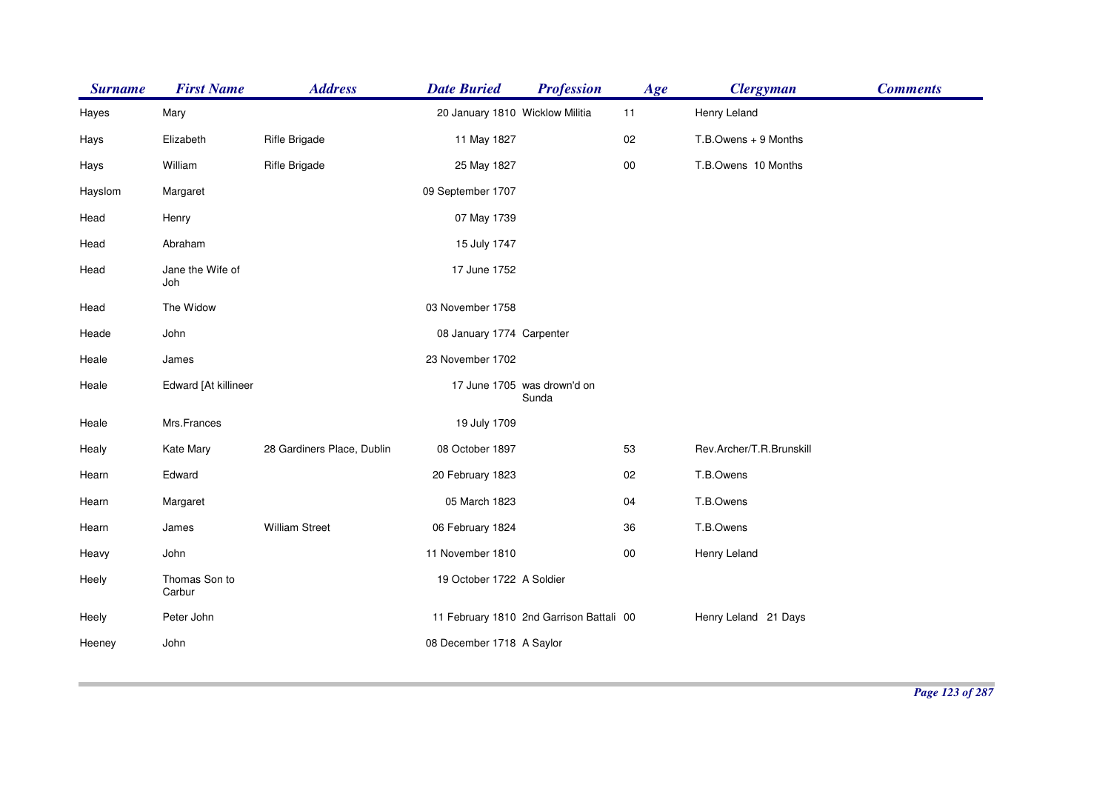| <b>Surname</b> | <b>First Name</b>       | <b>Address</b>             | <b>Date Buried</b>              | <b>Profession</b>                        | Age    | <b>Clergyman</b>         | <b>Comments</b> |
|----------------|-------------------------|----------------------------|---------------------------------|------------------------------------------|--------|--------------------------|-----------------|
| Hayes          | Mary                    |                            | 20 January 1810 Wicklow Militia |                                          | 11     | Henry Leland             |                 |
| Hays           | Elizabeth               | Rifle Brigade              | 11 May 1827                     |                                          | 02     | T.B.Owens + 9 Months     |                 |
| Hays           | William                 | Rifle Brigade              | 25 May 1827                     |                                          | $00\,$ | T.B.Owens 10 Months      |                 |
| Hayslom        | Margaret                |                            | 09 September 1707               |                                          |        |                          |                 |
| Head           | Henry                   |                            | 07 May 1739                     |                                          |        |                          |                 |
| Head           | Abraham                 |                            | 15 July 1747                    |                                          |        |                          |                 |
| Head           | Jane the Wife of<br>Joh |                            | 17 June 1752                    |                                          |        |                          |                 |
| Head           | The Widow               |                            | 03 November 1758                |                                          |        |                          |                 |
| Heade          | John                    |                            | 08 January 1774 Carpenter       |                                          |        |                          |                 |
| Heale          | James                   |                            | 23 November 1702                |                                          |        |                          |                 |
| Heale          | Edward [At killineer    |                            |                                 | 17 June 1705 was drown'd on<br>Sunda     |        |                          |                 |
| Heale          | Mrs.Frances             |                            | 19 July 1709                    |                                          |        |                          |                 |
| Healy          | Kate Mary               | 28 Gardiners Place, Dublin | 08 October 1897                 |                                          | 53     | Rev.Archer/T.R.Brunskill |                 |
| Hearn          | Edward                  |                            | 20 February 1823                |                                          | 02     | T.B.Owens                |                 |
| Hearn          | Margaret                |                            | 05 March 1823                   |                                          | 04     | T.B.Owens                |                 |
| Hearn          | James                   | <b>William Street</b>      | 06 February 1824                |                                          | 36     | T.B.Owens                |                 |
| Heavy          | John                    |                            | 11 November 1810                |                                          | $00\,$ | Henry Leland             |                 |
| Heely          | Thomas Son to<br>Carbur |                            | 19 October 1722 A Soldier       |                                          |        |                          |                 |
| Heely          | Peter John              |                            |                                 | 11 February 1810 2nd Garrison Battali 00 |        | Henry Leland 21 Days     |                 |
| Heeney         | John                    |                            | 08 December 1718 A Saylor       |                                          |        |                          |                 |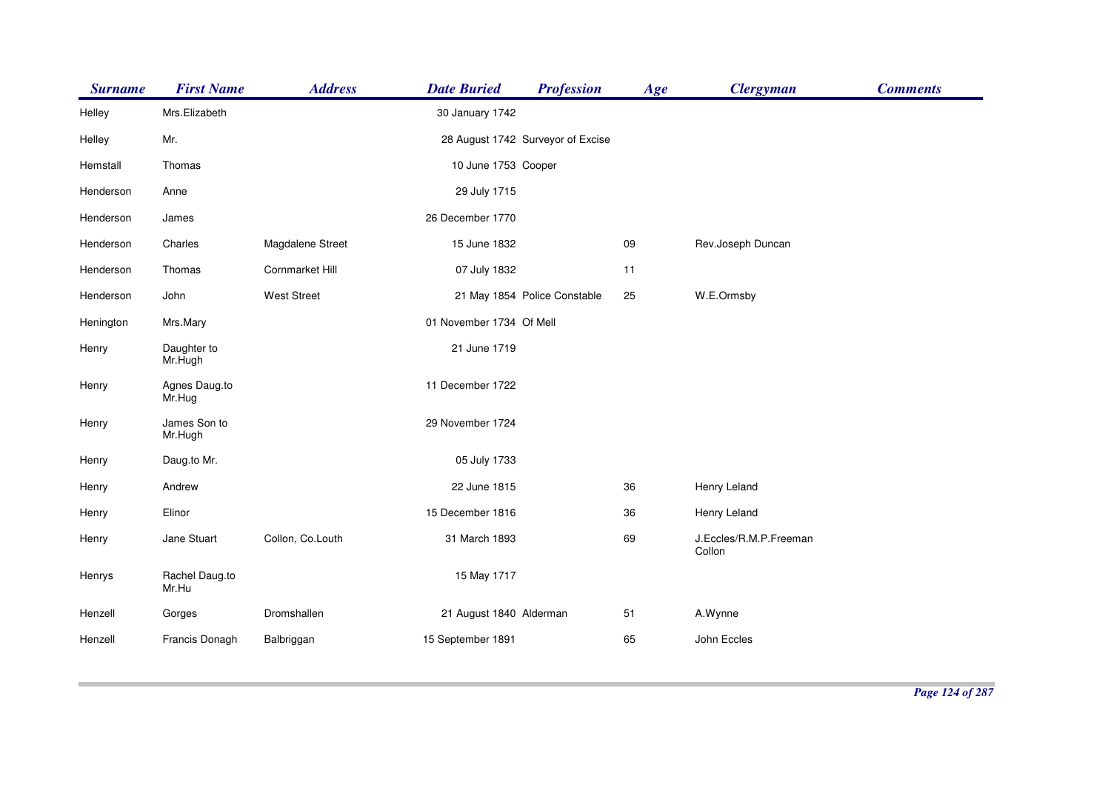| <b>Surname</b> | <b>First Name</b>       | <b>Address</b>     | <b>Date Buried</b>       | <b>Profession</b>                 | Age | <b>Clergyman</b>                 | <b>Comments</b> |
|----------------|-------------------------|--------------------|--------------------------|-----------------------------------|-----|----------------------------------|-----------------|
| Helley         | Mrs.Elizabeth           |                    | 30 January 1742          |                                   |     |                                  |                 |
| Helley         | Mr.                     |                    |                          | 28 August 1742 Surveyor of Excise |     |                                  |                 |
| Hemstall       | Thomas                  |                    | 10 June 1753 Cooper      |                                   |     |                                  |                 |
| Henderson      | Anne                    |                    | 29 July 1715             |                                   |     |                                  |                 |
| Henderson      | James                   |                    | 26 December 1770         |                                   |     |                                  |                 |
| Henderson      | Charles                 | Magdalene Street   | 15 June 1832             |                                   | 09  | Rev.Joseph Duncan                |                 |
| Henderson      | Thomas                  | Cornmarket Hill    | 07 July 1832             |                                   | 11  |                                  |                 |
| Henderson      | John                    | <b>West Street</b> |                          | 21 May 1854 Police Constable      | 25  | W.E.Ormsby                       |                 |
| Henington      | Mrs.Mary                |                    | 01 November 1734 Of Mell |                                   |     |                                  |                 |
| Henry          | Daughter to<br>Mr.Hugh  |                    | 21 June 1719             |                                   |     |                                  |                 |
| Henry          | Agnes Daug.to<br>Mr.Hug |                    | 11 December 1722         |                                   |     |                                  |                 |
| Henry          | James Son to<br>Mr.Hugh |                    | 29 November 1724         |                                   |     |                                  |                 |
| Henry          | Daug.to Mr.             |                    | 05 July 1733             |                                   |     |                                  |                 |
| Henry          | Andrew                  |                    | 22 June 1815             |                                   | 36  | Henry Leland                     |                 |
| Henry          | Elinor                  |                    | 15 December 1816         |                                   | 36  | Henry Leland                     |                 |
| Henry          | Jane Stuart             | Collon, Co.Louth   | 31 March 1893            |                                   | 69  | J.Eccles/R.M.P.Freeman<br>Collon |                 |
| Henrys         | Rachel Daug.to<br>Mr.Hu |                    | 15 May 1717              |                                   |     |                                  |                 |
| Henzell        | Gorges                  | Dromshallen        | 21 August 1840 Alderman  |                                   | 51  | A.Wynne                          |                 |
| Henzell        | Francis Donagh          | Balbriggan         | 15 September 1891        |                                   | 65  | John Eccles                      |                 |
|                |                         |                    |                          |                                   |     |                                  |                 |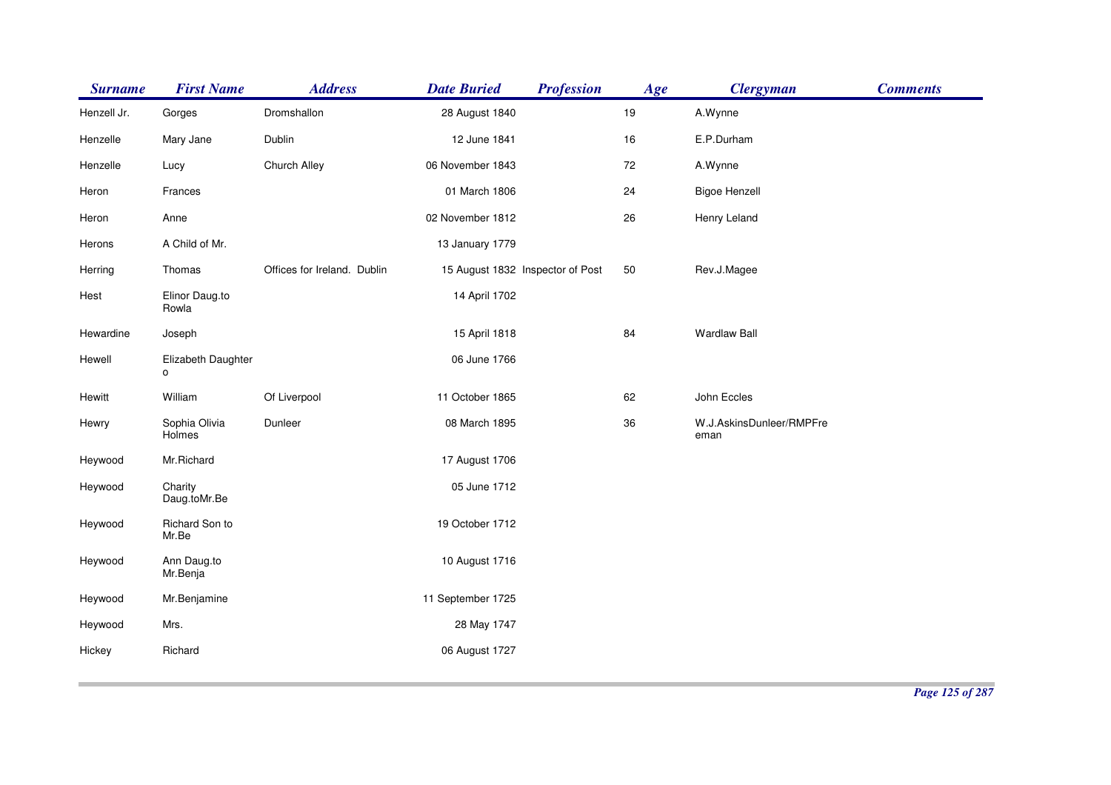| <b>Surname</b> | <b>First Name</b>       | <b>Address</b>              | <b>Date Buried</b>               | <b>Profession</b> | Age | <b>Clergyman</b>                 | <b>Comments</b> |
|----------------|-------------------------|-----------------------------|----------------------------------|-------------------|-----|----------------------------------|-----------------|
| Henzell Jr.    | Gorges                  | Dromshallon                 | 28 August 1840                   |                   | 19  | A.Wynne                          |                 |
| Henzelle       | Mary Jane               | Dublin                      | 12 June 1841                     |                   | 16  | E.P.Durham                       |                 |
| Henzelle       | Lucy                    | Church Alley                | 06 November 1843                 |                   | 72  | A.Wynne                          |                 |
| Heron          | Frances                 |                             | 01 March 1806                    |                   | 24  | <b>Bigoe Henzell</b>             |                 |
| Heron          | Anne                    |                             | 02 November 1812                 |                   | 26  | Henry Leland                     |                 |
| Herons         | A Child of Mr.          |                             | 13 January 1779                  |                   |     |                                  |                 |
| Herring        | Thomas                  | Offices for Ireland. Dublin | 15 August 1832 Inspector of Post |                   | 50  | Rev.J.Magee                      |                 |
| Hest           | Elinor Daug.to<br>Rowla |                             | 14 April 1702                    |                   |     |                                  |                 |
| Hewardine      | Joseph                  |                             | 15 April 1818                    |                   | 84  | <b>Wardlaw Ball</b>              |                 |
| Hewell         | Elizabeth Daughter<br>o |                             | 06 June 1766                     |                   |     |                                  |                 |
| Hewitt         | William                 | Of Liverpool                | 11 October 1865                  |                   | 62  | John Eccles                      |                 |
| Hewry          | Sophia Olivia<br>Holmes | Dunleer                     | 08 March 1895                    |                   | 36  | W.J.AskinsDunleer/RMPFre<br>eman |                 |
| Heywood        | Mr.Richard              |                             | 17 August 1706                   |                   |     |                                  |                 |
| Heywood        | Charity<br>Daug.toMr.Be |                             | 05 June 1712                     |                   |     |                                  |                 |
| Heywood        | Richard Son to<br>Mr.Be |                             | 19 October 1712                  |                   |     |                                  |                 |
| Heywood        | Ann Daug.to<br>Mr.Benja |                             | 10 August 1716                   |                   |     |                                  |                 |
| Heywood        | Mr.Benjamine            |                             | 11 September 1725                |                   |     |                                  |                 |
| Heywood        | Mrs.                    |                             | 28 May 1747                      |                   |     |                                  |                 |
| Hickey         | Richard                 |                             | 06 August 1727                   |                   |     |                                  |                 |
|                |                         |                             |                                  |                   |     |                                  |                 |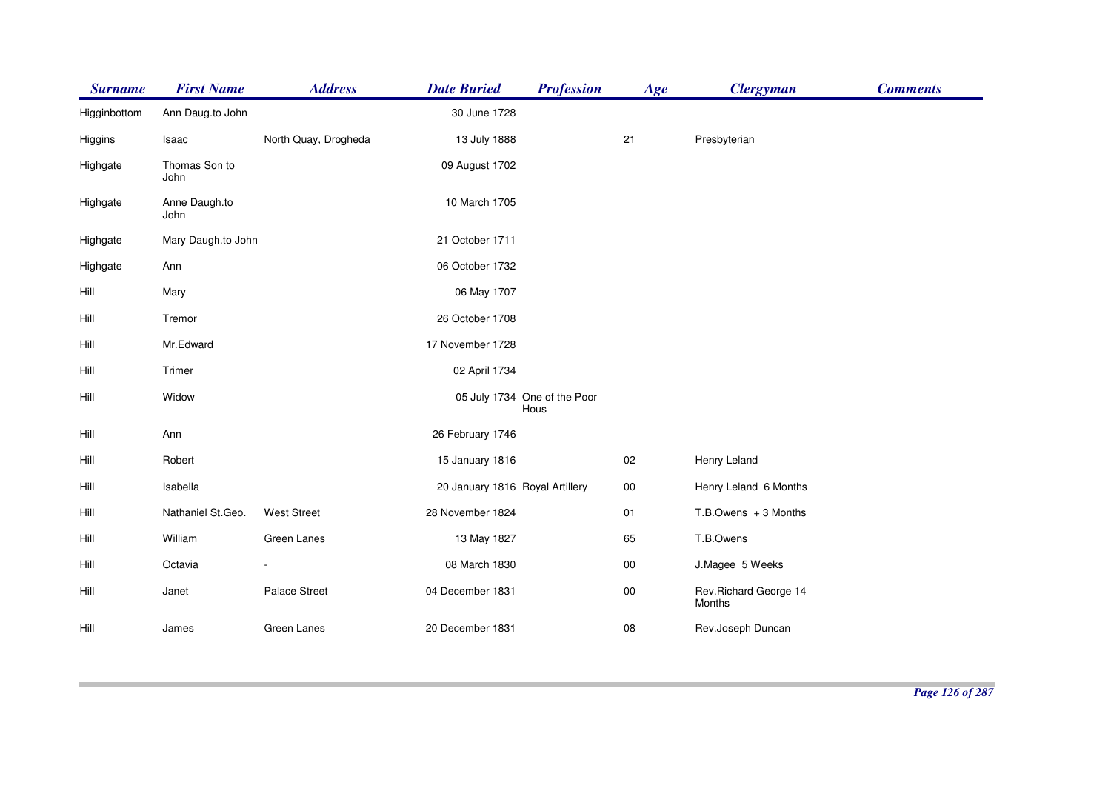| <b>Surname</b> | <b>First Name</b>     | <b>Address</b>       | <b>Date Buried</b>              | <b>Profession</b>                    | Age    | <b>Clergyman</b>                 | <b>Comments</b> |
|----------------|-----------------------|----------------------|---------------------------------|--------------------------------------|--------|----------------------------------|-----------------|
| Higginbottom   | Ann Daug.to John      |                      | 30 June 1728                    |                                      |        |                                  |                 |
| Higgins        | Isaac                 | North Quay, Drogheda | 13 July 1888                    |                                      | 21     | Presbyterian                     |                 |
| Highgate       | Thomas Son to<br>John |                      | 09 August 1702                  |                                      |        |                                  |                 |
| Highgate       | Anne Daugh.to<br>John |                      | 10 March 1705                   |                                      |        |                                  |                 |
| Highgate       | Mary Daugh.to John    |                      | 21 October 1711                 |                                      |        |                                  |                 |
| Highgate       | Ann                   |                      | 06 October 1732                 |                                      |        |                                  |                 |
| Hill           | Mary                  |                      | 06 May 1707                     |                                      |        |                                  |                 |
| Hill           | Tremor                |                      | 26 October 1708                 |                                      |        |                                  |                 |
| Hill           | Mr.Edward             |                      | 17 November 1728                |                                      |        |                                  |                 |
| Hill           | Trimer                |                      | 02 April 1734                   |                                      |        |                                  |                 |
| Hill           | Widow                 |                      |                                 | 05 July 1734 One of the Poor<br>Hous |        |                                  |                 |
| Hill           | Ann                   |                      | 26 February 1746                |                                      |        |                                  |                 |
| Hill           | Robert                |                      | 15 January 1816                 |                                      | 02     | Henry Leland                     |                 |
| Hill           | Isabella              |                      | 20 January 1816 Royal Artillery |                                      | $00\,$ | Henry Leland 6 Months            |                 |
| Hill           | Nathaniel St.Geo.     | <b>West Street</b>   | 28 November 1824                |                                      | 01     | $T.B.$ Owens $+3$ Months         |                 |
| Hill           | William               | Green Lanes          | 13 May 1827                     |                                      | 65     | T.B.Owens                        |                 |
| Hill           | Octavia               |                      | 08 March 1830                   |                                      | $00\,$ | J.Magee 5 Weeks                  |                 |
| Hill           | Janet                 | Palace Street        | 04 December 1831                |                                      | $00\,$ | Rev. Richard George 14<br>Months |                 |
| Hill           | James                 | Green Lanes          | 20 December 1831                |                                      | 08     | Rev.Joseph Duncan                |                 |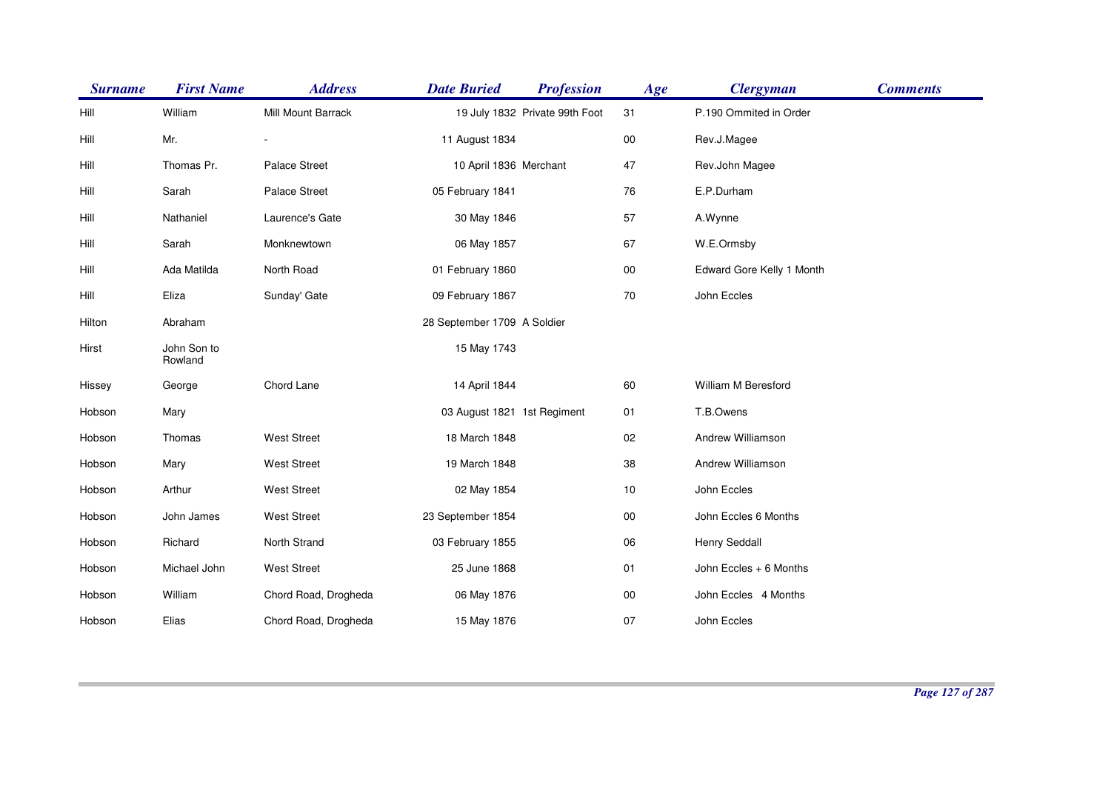| <b>Surname</b> | <b>First Name</b>      | <b>Address</b>       | <b>Date Buried</b>          | <b>Profession</b>              | Age        | <b>Clergyman</b>          | <b>Comments</b> |
|----------------|------------------------|----------------------|-----------------------------|--------------------------------|------------|---------------------------|-----------------|
| Hill           | William                | Mill Mount Barrack   |                             | 19 July 1832 Private 99th Foot | 31         | P.190 Ommited in Order    |                 |
| Hill           | Mr.                    |                      | 11 August 1834              |                                | $00\,$     | Rev.J.Magee               |                 |
| Hill           | Thomas Pr.             | <b>Palace Street</b> | 10 April 1836 Merchant      |                                | 47         | Rev.John Magee            |                 |
| Hill           | Sarah                  | <b>Palace Street</b> | 05 February 1841            |                                | 76         | E.P.Durham                |                 |
| Hill           | Nathaniel              | Laurence's Gate      | 30 May 1846                 |                                | 57         | A.Wynne                   |                 |
| Hill           | Sarah                  | Monknewtown          | 06 May 1857                 |                                | 67         | W.E.Ormsby                |                 |
| Hill           | Ada Matilda            | North Road           | 01 February 1860            |                                | $00\,$     | Edward Gore Kelly 1 Month |                 |
| Hill           | Eliza                  | Sunday' Gate         | 09 February 1867            |                                | 70         | John Eccles               |                 |
| Hilton         | Abraham                |                      | 28 September 1709 A Soldier |                                |            |                           |                 |
| Hirst          | John Son to<br>Rowland |                      | 15 May 1743                 |                                |            |                           |                 |
| Hissey         | George                 | Chord Lane           | 14 April 1844               |                                | 60         | William M Beresford       |                 |
| Hobson         | Mary                   |                      | 03 August 1821 1st Regiment |                                | 01         | T.B.Owens                 |                 |
| Hobson         | Thomas                 | <b>West Street</b>   | 18 March 1848               |                                | 02         | Andrew Williamson         |                 |
| Hobson         | Mary                   | <b>West Street</b>   | 19 March 1848               |                                | $38\,$     | Andrew Williamson         |                 |
| Hobson         | Arthur                 | <b>West Street</b>   | 02 May 1854                 |                                | 10         | John Eccles               |                 |
| Hobson         | John James             | <b>West Street</b>   | 23 September 1854           |                                | $00\,$     | John Eccles 6 Months      |                 |
| Hobson         | Richard                | North Strand         | 03 February 1855            |                                | 06         | <b>Henry Seddall</b>      |                 |
| Hobson         | Michael John           | <b>West Street</b>   | 25 June 1868                |                                | 01         | John Eccles + 6 Months    |                 |
| Hobson         | William                | Chord Road, Drogheda | 06 May 1876                 |                                | ${\bf 00}$ | John Eccles 4 Months      |                 |
| Hobson         | Elias                  | Chord Road, Drogheda | 15 May 1876                 |                                | 07         | John Eccles               |                 |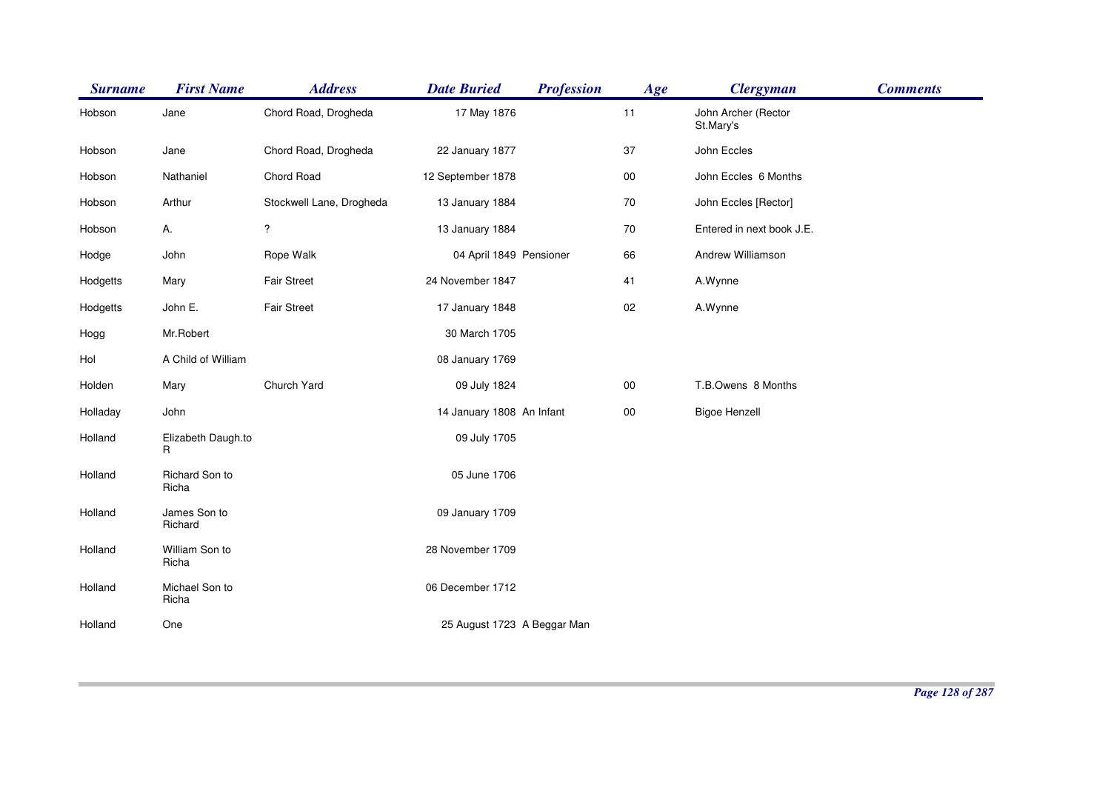| <b>Surname</b> | <b>First Name</b>       | <b>Address</b>           | <b>Date Buried</b>          | <b>Profession</b> | Age        | <b>Clergyman</b>                 | <b>Comments</b> |
|----------------|-------------------------|--------------------------|-----------------------------|-------------------|------------|----------------------------------|-----------------|
| Hobson         | Jane                    | Chord Road, Drogheda     | 17 May 1876                 |                   | 11         | John Archer (Rector<br>St.Mary's |                 |
| Hobson         | Jane                    | Chord Road, Drogheda     | 22 January 1877             |                   | 37         | John Eccles                      |                 |
| Hobson         | Nathaniel               | Chord Road               | 12 September 1878           |                   | ${\bf 00}$ | John Eccles 6 Months             |                 |
| Hobson         | Arthur                  | Stockwell Lane, Drogheda | 13 January 1884             |                   | 70         | John Eccles [Rector]             |                 |
| Hobson         | А.                      | $\overline{\mathcal{E}}$ | 13 January 1884             |                   | 70         | Entered in next book J.E.        |                 |
| Hodge          | John                    | Rope Walk                | 04 April 1849 Pensioner     |                   | 66         | Andrew Williamson                |                 |
| Hodgetts       | Mary                    | <b>Fair Street</b>       | 24 November 1847            |                   | 41         | A.Wynne                          |                 |
| Hodgetts       | John E.                 | Fair Street              | 17 January 1848             |                   | 02         | A.Wynne                          |                 |
| Hogg           | Mr.Robert               |                          | 30 March 1705               |                   |            |                                  |                 |
| Hol            | A Child of William      |                          | 08 January 1769             |                   |            |                                  |                 |
| Holden         | Mary                    | Church Yard              | 09 July 1824                |                   | ${\bf 00}$ | T.B.Owens 8 Months               |                 |
| Holladay       | John                    |                          | 14 January 1808 An Infant   |                   | 00         | <b>Bigoe Henzell</b>             |                 |
| Holland        | Elizabeth Daugh.to<br>R |                          | 09 July 1705                |                   |            |                                  |                 |
| Holland        | Richard Son to<br>Richa |                          | 05 June 1706                |                   |            |                                  |                 |
| Holland        | James Son to<br>Richard |                          | 09 January 1709             |                   |            |                                  |                 |
| Holland        | William Son to<br>Richa |                          | 28 November 1709            |                   |            |                                  |                 |
| Holland        | Michael Son to<br>Richa |                          | 06 December 1712            |                   |            |                                  |                 |
| Holland        | One                     |                          | 25 August 1723 A Beggar Man |                   |            |                                  |                 |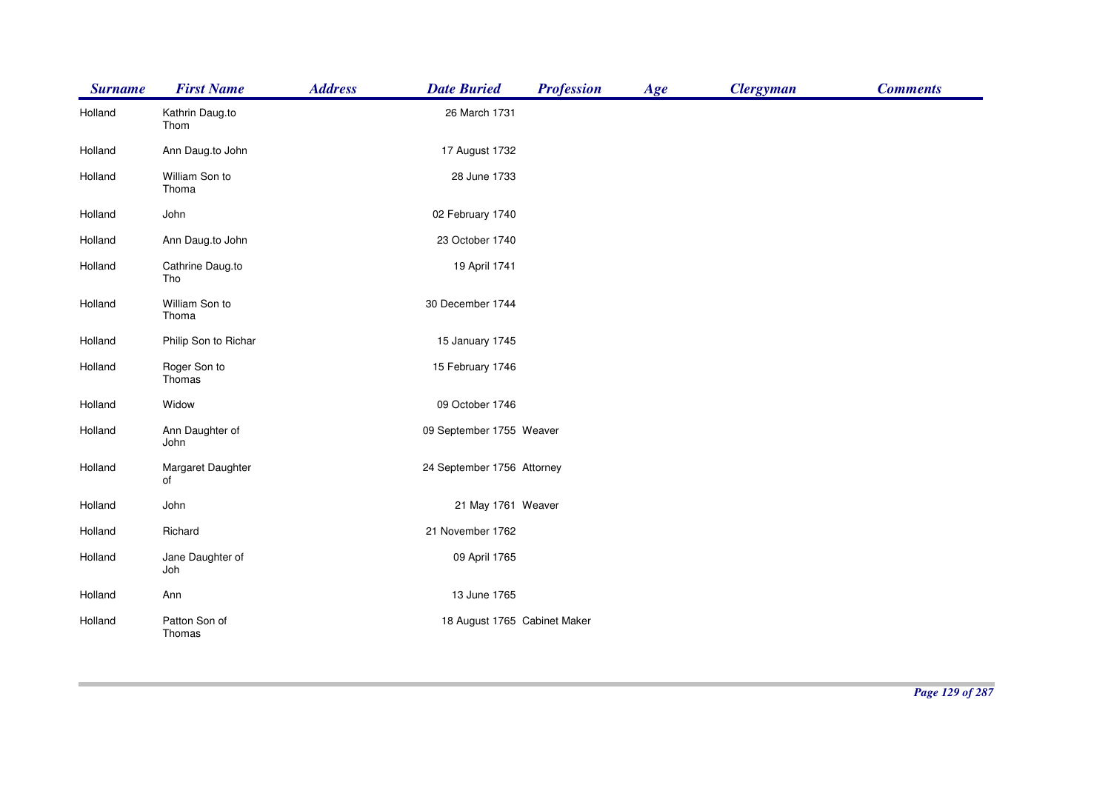| <b>Surname</b> | <b>First Name</b>       | <b>Address</b> | <b>Date Buried</b>           | <b>Profession</b> | Age | <b>Clergyman</b> | <b>Comments</b> |
|----------------|-------------------------|----------------|------------------------------|-------------------|-----|------------------|-----------------|
| Holland        | Kathrin Daug.to<br>Thom |                | 26 March 1731                |                   |     |                  |                 |
| Holland        | Ann Daug.to John        |                | 17 August 1732               |                   |     |                  |                 |
| Holland        | William Son to<br>Thoma |                | 28 June 1733                 |                   |     |                  |                 |
| Holland        | John                    |                | 02 February 1740             |                   |     |                  |                 |
| Holland        | Ann Daug.to John        |                | 23 October 1740              |                   |     |                  |                 |
| Holland        | Cathrine Daug.to<br>Tho |                | 19 April 1741                |                   |     |                  |                 |
| Holland        | William Son to<br>Thoma |                | 30 December 1744             |                   |     |                  |                 |
| Holland        | Philip Son to Richar    |                | 15 January 1745              |                   |     |                  |                 |
| Holland        | Roger Son to<br>Thomas  |                | 15 February 1746             |                   |     |                  |                 |
| Holland        | Widow                   |                | 09 October 1746              |                   |     |                  |                 |
| Holland        | Ann Daughter of<br>John |                | 09 September 1755 Weaver     |                   |     |                  |                 |
| Holland        | Margaret Daughter<br>of |                | 24 September 1756 Attorney   |                   |     |                  |                 |
| Holland        | John                    |                | 21 May 1761 Weaver           |                   |     |                  |                 |
| Holland        | Richard                 |                | 21 November 1762             |                   |     |                  |                 |
| Holland        | Jane Daughter of<br>Joh |                | 09 April 1765                |                   |     |                  |                 |
| Holland        | Ann                     |                | 13 June 1765                 |                   |     |                  |                 |
| Holland        | Patton Son of<br>Thomas |                | 18 August 1765 Cabinet Maker |                   |     |                  |                 |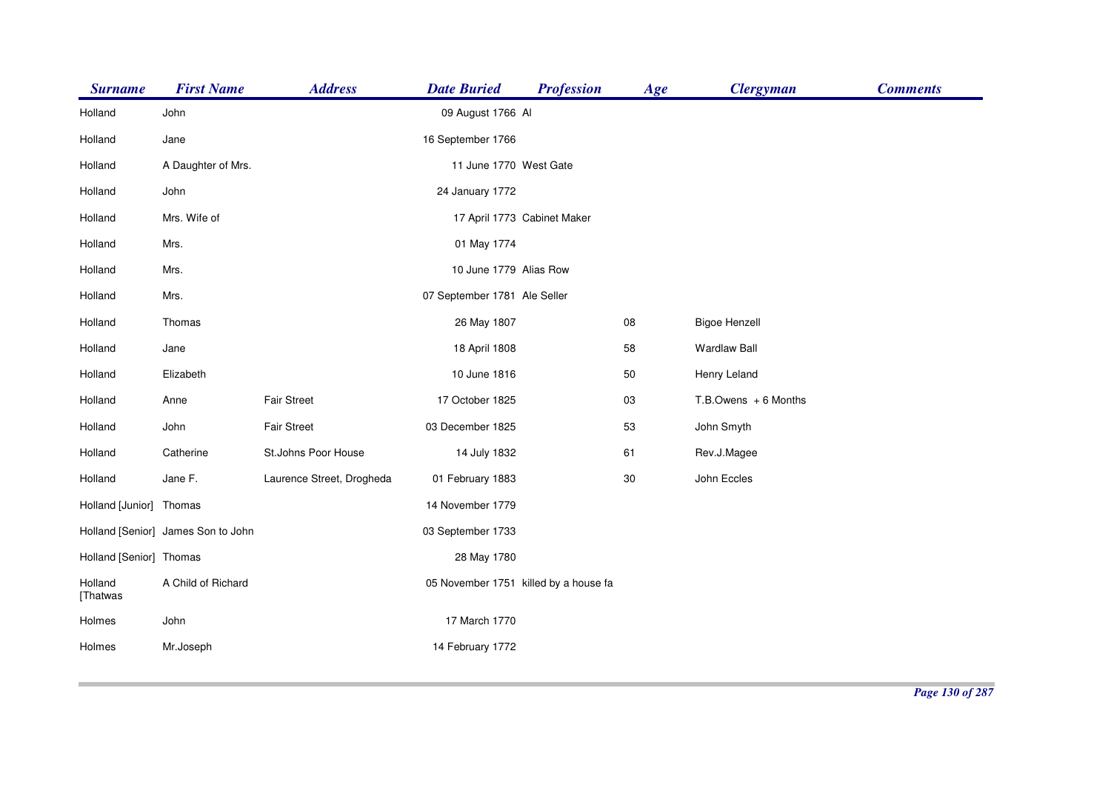| <b>Surname</b>          | <b>First Name</b>                  | <b>Address</b>            | <b>Date Buried</b>           | <b>Profession</b>                     | Age | <b>Clergyman</b>         | <b>Comments</b> |
|-------------------------|------------------------------------|---------------------------|------------------------------|---------------------------------------|-----|--------------------------|-----------------|
| Holland                 | John                               |                           | 09 August 1766 Al            |                                       |     |                          |                 |
| Holland                 | Jane                               |                           | 16 September 1766            |                                       |     |                          |                 |
| Holland                 | A Daughter of Mrs.                 |                           | 11 June 1770 West Gate       |                                       |     |                          |                 |
| Holland                 | John                               |                           | 24 January 1772              |                                       |     |                          |                 |
| Holland                 | Mrs. Wife of                       |                           |                              | 17 April 1773 Cabinet Maker           |     |                          |                 |
| Holland                 | Mrs.                               |                           | 01 May 1774                  |                                       |     |                          |                 |
| Holland                 | Mrs.                               |                           | 10 June 1779 Alias Row       |                                       |     |                          |                 |
| Holland                 | Mrs.                               |                           | 07 September 1781 Ale Seller |                                       |     |                          |                 |
| Holland                 | Thomas                             |                           | 26 May 1807                  |                                       | 08  | <b>Bigoe Henzell</b>     |                 |
| Holland                 | Jane                               |                           | 18 April 1808                |                                       | 58  | <b>Wardlaw Ball</b>      |                 |
| Holland                 | Elizabeth                          |                           | 10 June 1816                 |                                       | 50  | Henry Leland             |                 |
| Holland                 | Anne                               | <b>Fair Street</b>        | 17 October 1825              |                                       | 03  | $T.B.$ Owens $+6$ Months |                 |
| Holland                 | John                               | Fair Street               | 03 December 1825             |                                       | 53  | John Smyth               |                 |
| Holland                 | Catherine                          | St.Johns Poor House       | 14 July 1832                 |                                       | 61  | Rev.J.Magee              |                 |
| Holland                 | Jane F.                            | Laurence Street, Drogheda | 01 February 1883             |                                       | 30  | John Eccles              |                 |
| Holland [Junior] Thomas |                                    |                           | 14 November 1779             |                                       |     |                          |                 |
|                         | Holland [Senior] James Son to John |                           | 03 September 1733            |                                       |     |                          |                 |
| Holland [Senior] Thomas |                                    |                           | 28 May 1780                  |                                       |     |                          |                 |
| Holland<br>[Thatwas     | A Child of Richard                 |                           |                              | 05 November 1751 killed by a house fa |     |                          |                 |
| Holmes                  | John                               |                           | 17 March 1770                |                                       |     |                          |                 |
| Holmes                  | Mr.Joseph                          |                           | 14 February 1772             |                                       |     |                          |                 |
|                         |                                    |                           |                              |                                       |     |                          |                 |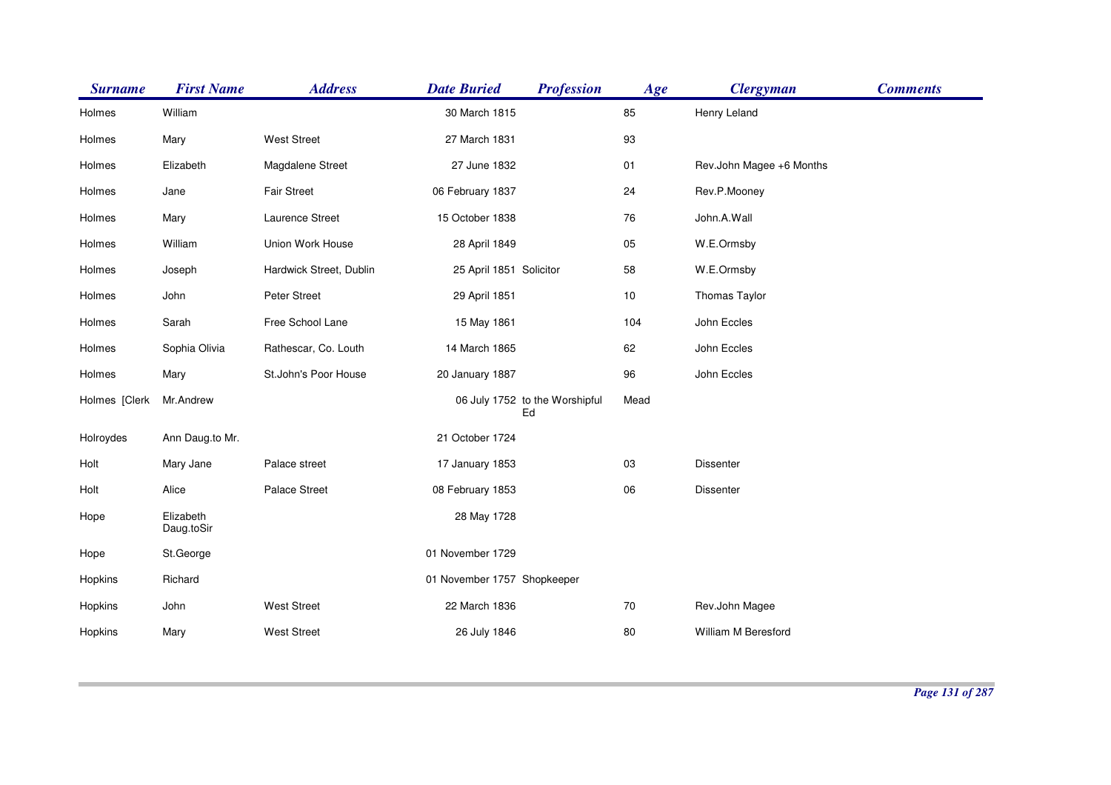| <b>Surname</b> | <b>First Name</b>       | <b>Address</b>          | <b>Date Buried</b>          | <b>Profession</b>                    | Age    | <b>Clergyman</b>         | <b>Comments</b> |
|----------------|-------------------------|-------------------------|-----------------------------|--------------------------------------|--------|--------------------------|-----------------|
| Holmes         | William                 |                         | 30 March 1815               |                                      | 85     | Henry Leland             |                 |
| Holmes         | Mary                    | <b>West Street</b>      | 27 March 1831               |                                      | 93     |                          |                 |
| Holmes         | Elizabeth               | Magdalene Street        | 27 June 1832                |                                      | 01     | Rev.John Magee +6 Months |                 |
| Holmes         | Jane                    | Fair Street             | 06 February 1837            |                                      | 24     | Rev.P.Mooney             |                 |
| Holmes         | Mary                    | Laurence Street         | 15 October 1838             |                                      | 76     | John.A.Wall              |                 |
| Holmes         | William                 | Union Work House        | 28 April 1849               |                                      | 05     | W.E.Ormsby               |                 |
| Holmes         | Joseph                  | Hardwick Street, Dublin | 25 April 1851 Solicitor     |                                      | 58     | W.E.Ormsby               |                 |
| Holmes         | John                    | Peter Street            | 29 April 1851               |                                      | $10$   | Thomas Taylor            |                 |
| Holmes         | Sarah                   | Free School Lane        | 15 May 1861                 |                                      | 104    | John Eccles              |                 |
| Holmes         | Sophia Olivia           | Rathescar, Co. Louth    | 14 March 1865               |                                      | 62     | John Eccles              |                 |
| Holmes         | Mary                    | St.John's Poor House    | 20 January 1887             |                                      | 96     | John Eccles              |                 |
| Holmes [Clerk  | Mr.Andrew               |                         |                             | 06 July 1752 to the Worshipful<br>Ed | Mead   |                          |                 |
| Holroydes      | Ann Daug.to Mr.         |                         | 21 October 1724             |                                      |        |                          |                 |
| Holt           | Mary Jane               | Palace street           | 17 January 1853             |                                      | 03     | Dissenter                |                 |
| Holt           | Alice                   | <b>Palace Street</b>    | 08 February 1853            |                                      | 06     | <b>Dissenter</b>         |                 |
| Hope           | Elizabeth<br>Daug.toSir |                         | 28 May 1728                 |                                      |        |                          |                 |
| Hope           | St.George               |                         | 01 November 1729            |                                      |        |                          |                 |
| Hopkins        | Richard                 |                         | 01 November 1757 Shopkeeper |                                      |        |                          |                 |
| Hopkins        | John                    | <b>West Street</b>      | 22 March 1836               |                                      | $70\,$ | Rev.John Magee           |                 |
| Hopkins        | Mary                    | <b>West Street</b>      | 26 July 1846                |                                      | 80     | William M Beresford      |                 |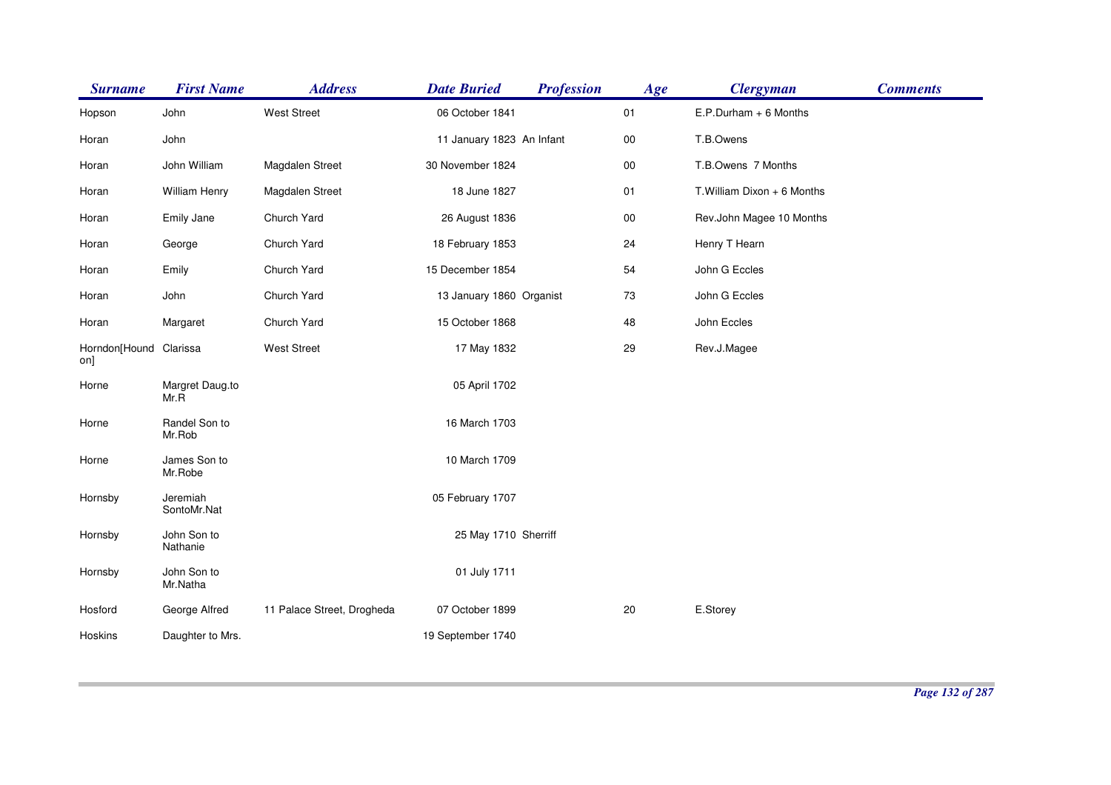| <b>Surname</b>                | <b>First Name</b>       | <b>Address</b>             | <b>Date Buried</b>        | <b>Profession</b> | Age    | <b>Clergyman</b>            | <b>Comments</b> |
|-------------------------------|-------------------------|----------------------------|---------------------------|-------------------|--------|-----------------------------|-----------------|
| Hopson                        | John                    | <b>West Street</b>         | 06 October 1841           |                   | 01     | $E.P.Durham + 6$ Months     |                 |
| Horan                         | John                    |                            | 11 January 1823 An Infant |                   | $00\,$ | T.B.Owens                   |                 |
| Horan                         | John William            | Magdalen Street            | 30 November 1824          |                   | $00\,$ | T.B.Owens 7 Months          |                 |
| Horan                         | <b>William Henry</b>    | Magdalen Street            | 18 June 1827              |                   | 01     | T. William Dixon + 6 Months |                 |
| Horan                         | Emily Jane              | Church Yard                | 26 August 1836            |                   | $00\,$ | Rev.John Magee 10 Months    |                 |
| Horan                         | George                  | Church Yard                | 18 February 1853          |                   | 24     | Henry T Hearn               |                 |
| Horan                         | Emily                   | Church Yard                | 15 December 1854          |                   | 54     | John G Eccles               |                 |
| Horan                         | John                    | Church Yard                | 13 January 1860 Organist  |                   | 73     | John G Eccles               |                 |
| Horan                         | Margaret                | Church Yard                | 15 October 1868           |                   | 48     | John Eccles                 |                 |
| Horndon[Hound Clarissa<br>on] |                         | <b>West Street</b>         | 17 May 1832               |                   | 29     | Rev.J.Magee                 |                 |
| Horne                         | Margret Daug.to<br>Mr.R |                            | 05 April 1702             |                   |        |                             |                 |
| Horne                         | Randel Son to<br>Mr.Rob |                            | 16 March 1703             |                   |        |                             |                 |
| Horne                         | James Son to<br>Mr.Robe |                            | 10 March 1709             |                   |        |                             |                 |
| Hornsby                       | Jeremiah<br>SontoMr.Nat |                            | 05 February 1707          |                   |        |                             |                 |
| Hornsby                       | John Son to<br>Nathanie |                            | 25 May 1710 Sherriff      |                   |        |                             |                 |
| Hornsby                       | John Son to<br>Mr.Natha |                            | 01 July 1711              |                   |        |                             |                 |
| Hosford                       | George Alfred           | 11 Palace Street, Drogheda | 07 October 1899           |                   | 20     | E.Storey                    |                 |
| Hoskins                       | Daughter to Mrs.        |                            | 19 September 1740         |                   |        |                             |                 |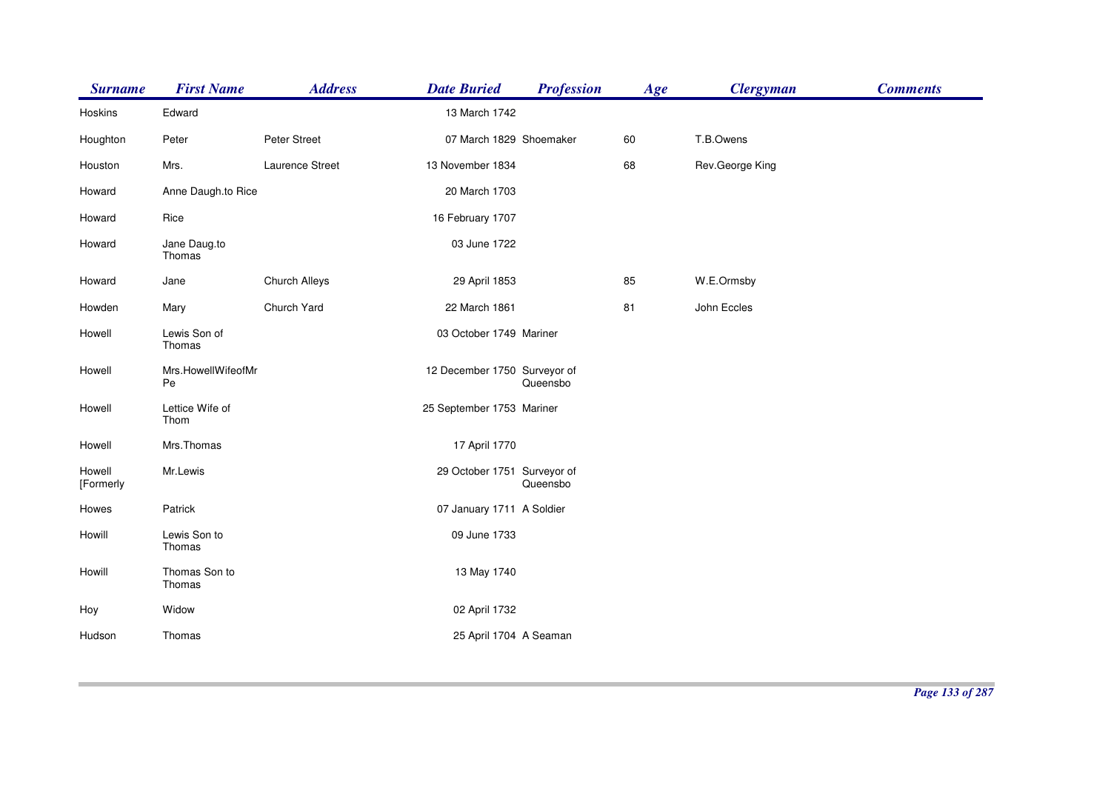| <b>Surname</b>      | <b>First Name</b>        | <b>Address</b>  | <b>Date Buried</b>           | <b>Profession</b> | Age | <b>Clergyman</b> | <b>Comments</b> |
|---------------------|--------------------------|-----------------|------------------------------|-------------------|-----|------------------|-----------------|
| Hoskins             | Edward                   |                 | 13 March 1742                |                   |     |                  |                 |
| Houghton            | Peter                    | Peter Street    | 07 March 1829 Shoemaker      |                   | 60  | T.B.Owens        |                 |
| Houston             | Mrs.                     | Laurence Street | 13 November 1834             |                   | 68  | Rev.George King  |                 |
| Howard              | Anne Daugh.to Rice       |                 | 20 March 1703                |                   |     |                  |                 |
| Howard              | Rice                     |                 | 16 February 1707             |                   |     |                  |                 |
| Howard              | Jane Daug.to<br>Thomas   |                 | 03 June 1722                 |                   |     |                  |                 |
| Howard              | Jane                     | Church Alleys   | 29 April 1853                |                   | 85  | W.E.Ormsby       |                 |
| Howden              | Mary                     | Church Yard     | 22 March 1861                |                   | 81  | John Eccles      |                 |
| Howell              | Lewis Son of<br>Thomas   |                 | 03 October 1749 Mariner      |                   |     |                  |                 |
| Howell              | Mrs.HowellWifeofMr<br>Pe |                 | 12 December 1750 Surveyor of | Queensbo          |     |                  |                 |
| Howell              | Lettice Wife of<br>Thom  |                 | 25 September 1753 Mariner    |                   |     |                  |                 |
| Howell              | Mrs.Thomas               |                 | 17 April 1770                |                   |     |                  |                 |
| Howell<br>[Formerly | Mr.Lewis                 |                 | 29 October 1751 Surveyor of  | Queensbo          |     |                  |                 |
| Howes               | Patrick                  |                 | 07 January 1711 A Soldier    |                   |     |                  |                 |
| Howill              | Lewis Son to<br>Thomas   |                 | 09 June 1733                 |                   |     |                  |                 |
| Howill              | Thomas Son to<br>Thomas  |                 | 13 May 1740                  |                   |     |                  |                 |
| Hoy                 | Widow                    |                 | 02 April 1732                |                   |     |                  |                 |
| Hudson              | Thomas                   |                 | 25 April 1704 A Seaman       |                   |     |                  |                 |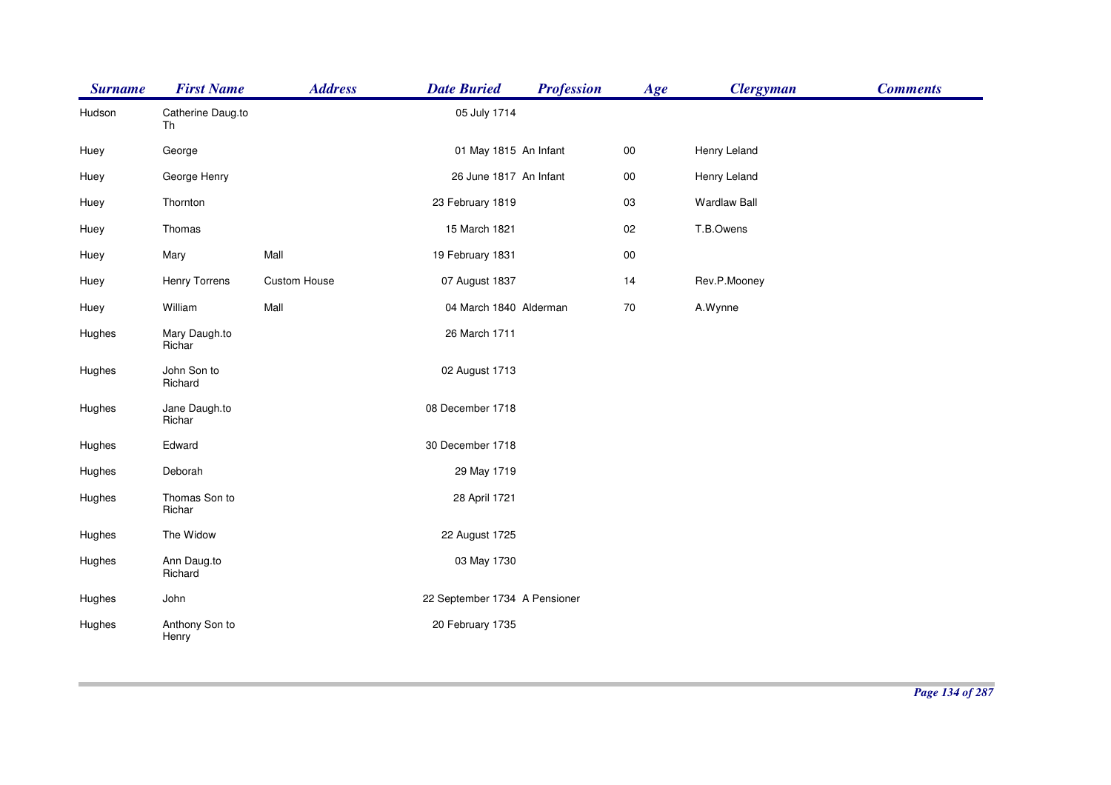| <b>Surname</b> | <b>First Name</b>       | <b>Address</b> | <b>Date Buried</b>            | <b>Profession</b> | Age        | <b>Clergyman</b>    | <b>Comments</b> |
|----------------|-------------------------|----------------|-------------------------------|-------------------|------------|---------------------|-----------------|
| Hudson         | Catherine Daug.to<br>Th |                | 05 July 1714                  |                   |            |                     |                 |
| Huey           | George                  |                | 01 May 1815 An Infant         |                   | $00\,$     | Henry Leland        |                 |
| Huey           | George Henry            |                | 26 June 1817 An Infant        |                   | ${\bf 00}$ | Henry Leland        |                 |
| Huey           | Thornton                |                | 23 February 1819              |                   | 03         | <b>Wardlaw Ball</b> |                 |
| Huey           | Thomas                  |                | 15 March 1821                 |                   | 02         | T.B.Owens           |                 |
| Huey           | Mary                    | Mall           | 19 February 1831              |                   | ${\bf 00}$ |                     |                 |
| Huey           | <b>Henry Torrens</b>    | Custom House   | 07 August 1837                |                   | 14         | Rev.P.Mooney        |                 |
| Huey           | William                 | Mall           | 04 March 1840 Alderman        |                   | 70         | A.Wynne             |                 |
| Hughes         | Mary Daugh.to<br>Richar |                | 26 March 1711                 |                   |            |                     |                 |
| Hughes         | John Son to<br>Richard  |                | 02 August 1713                |                   |            |                     |                 |
| Hughes         | Jane Daugh.to<br>Richar |                | 08 December 1718              |                   |            |                     |                 |
| Hughes         | Edward                  |                | 30 December 1718              |                   |            |                     |                 |
| Hughes         | Deborah                 |                | 29 May 1719                   |                   |            |                     |                 |
| Hughes         | Thomas Son to<br>Richar |                | 28 April 1721                 |                   |            |                     |                 |
| Hughes         | The Widow               |                | 22 August 1725                |                   |            |                     |                 |
| Hughes         | Ann Daug.to<br>Richard  |                | 03 May 1730                   |                   |            |                     |                 |
| Hughes         | John                    |                | 22 September 1734 A Pensioner |                   |            |                     |                 |
| Hughes         | Anthony Son to<br>Henry |                | 20 February 1735              |                   |            |                     |                 |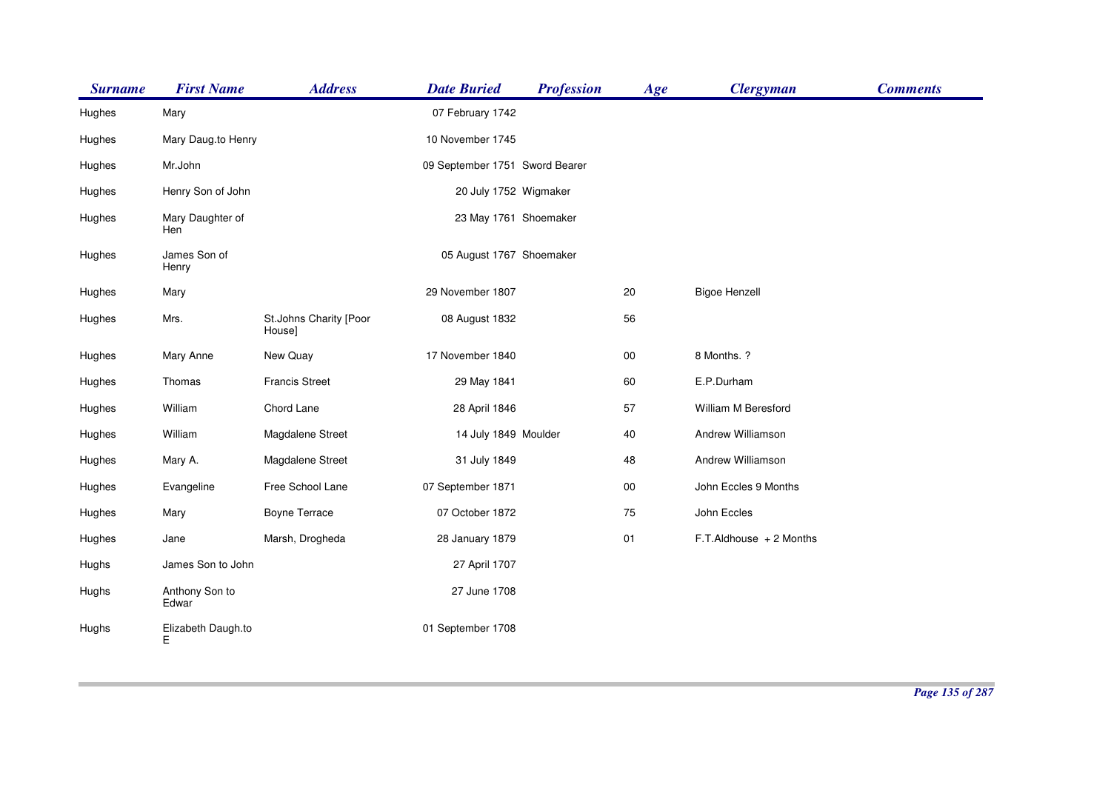| <b>Surname</b> | <b>First Name</b>       | <b>Address</b>                   | <b>Date Buried</b>             | <b>Profession</b> | Age    | <b>Clergyman</b>             | <b>Comments</b> |
|----------------|-------------------------|----------------------------------|--------------------------------|-------------------|--------|------------------------------|-----------------|
| Hughes         | Mary                    |                                  | 07 February 1742               |                   |        |                              |                 |
| Hughes         | Mary Daug.to Henry      |                                  | 10 November 1745               |                   |        |                              |                 |
| Hughes         | Mr.John                 |                                  | 09 September 1751 Sword Bearer |                   |        |                              |                 |
| Hughes         | Henry Son of John       |                                  | 20 July 1752 Wigmaker          |                   |        |                              |                 |
| Hughes         | Mary Daughter of<br>Hen |                                  | 23 May 1761 Shoemaker          |                   |        |                              |                 |
| Hughes         | James Son of<br>Henry   |                                  | 05 August 1767 Shoemaker       |                   |        |                              |                 |
| Hughes         | Mary                    |                                  | 29 November 1807               |                   | 20     | <b>Bigoe Henzell</b>         |                 |
| Hughes         | Mrs.                    | St.Johns Charity [Poor<br>House] | 08 August 1832                 |                   | 56     |                              |                 |
| Hughes         | Mary Anne               | New Quay                         | 17 November 1840               |                   | 00     | 8 Months. ?                  |                 |
| Hughes         | Thomas                  | <b>Francis Street</b>            | 29 May 1841                    |                   | 60     | E.P.Durham                   |                 |
| Hughes         | William                 | Chord Lane                       | 28 April 1846                  |                   | 57     | William M Beresford          |                 |
| Hughes         | William                 | Magdalene Street                 | 14 July 1849 Moulder           |                   | 40     | Andrew Williamson            |                 |
| Hughes         | Mary A.                 | Magdalene Street                 | 31 July 1849                   |                   | 48     | Andrew Williamson            |                 |
| Hughes         | Evangeline              | Free School Lane                 | 07 September 1871              |                   | $00\,$ | John Eccles 9 Months         |                 |
| Hughes         | Mary                    | Boyne Terrace                    | 07 October 1872                |                   | 75     | John Eccles                  |                 |
| Hughes         | Jane                    | Marsh, Drogheda                  | 28 January 1879                |                   | 01     | $F.T$ . Aldhouse $+2$ Months |                 |
| Hughs          | James Son to John       |                                  | 27 April 1707                  |                   |        |                              |                 |
| Hughs          | Anthony Son to<br>Edwar |                                  | 27 June 1708                   |                   |        |                              |                 |
| Hughs          | Elizabeth Daugh.to<br>Е |                                  | 01 September 1708              |                   |        |                              |                 |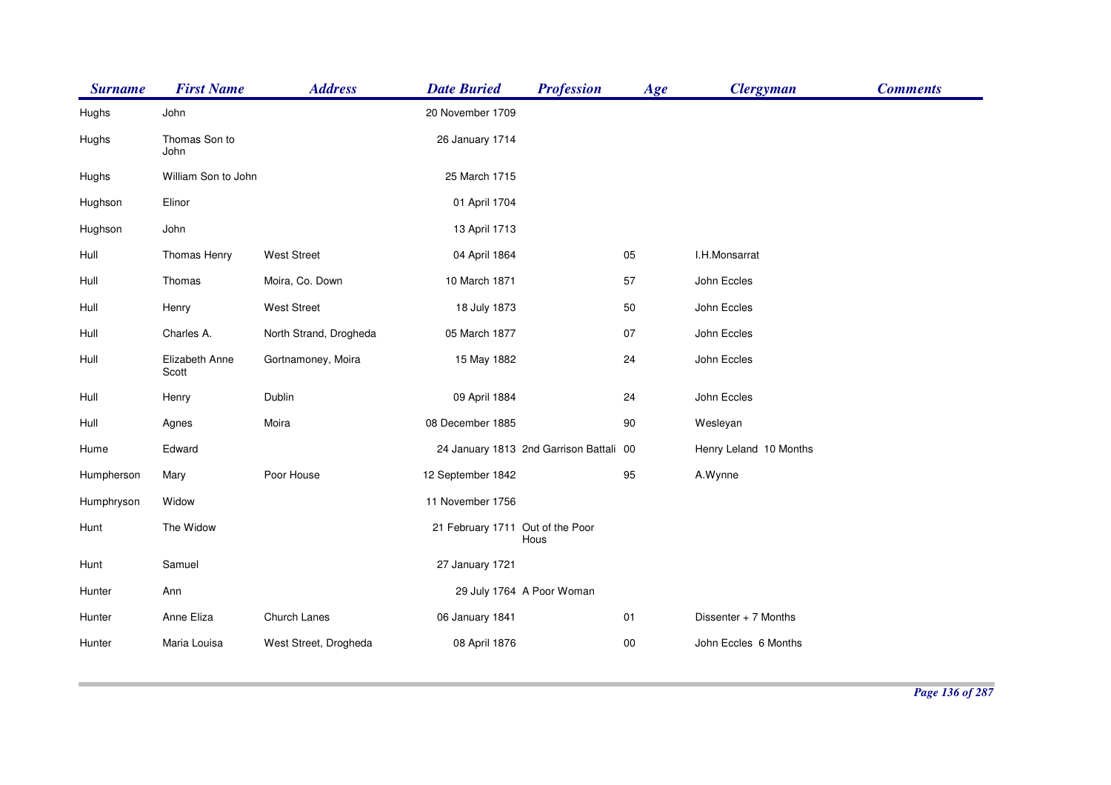| <b>Surname</b> | <b>First Name</b>       | <b>Address</b>         | <b>Date Buried</b>               | <b>Profession</b>                       | Age    | <b>Clergyman</b>       | <b>Comments</b> |
|----------------|-------------------------|------------------------|----------------------------------|-----------------------------------------|--------|------------------------|-----------------|
| Hughs          | John                    |                        | 20 November 1709                 |                                         |        |                        |                 |
| Hughs          | Thomas Son to<br>John   |                        | 26 January 1714                  |                                         |        |                        |                 |
| Hughs          | William Son to John     |                        | 25 March 1715                    |                                         |        |                        |                 |
| Hughson        | Elinor                  |                        | 01 April 1704                    |                                         |        |                        |                 |
| Hughson        | John                    |                        | 13 April 1713                    |                                         |        |                        |                 |
| Hull           | Thomas Henry            | <b>West Street</b>     | 04 April 1864                    |                                         | 05     | I.H.Monsarrat          |                 |
| Hull           | Thomas                  | Moira, Co. Down        | 10 March 1871                    |                                         | 57     | John Eccles            |                 |
| Hull           | Henry                   | <b>West Street</b>     | 18 July 1873                     |                                         | 50     | John Eccles            |                 |
| Hull           | Charles A.              | North Strand, Drogheda | 05 March 1877                    |                                         | 07     | John Eccles            |                 |
| Hull           | Elizabeth Anne<br>Scott | Gortnamoney, Moira     | 15 May 1882                      |                                         | 24     | John Eccles            |                 |
| Hull           | Henry                   | Dublin                 | 09 April 1884                    |                                         | 24     | John Eccles            |                 |
| Hull           | Agnes                   | Moira                  | 08 December 1885                 |                                         | 90     | Wesleyan               |                 |
| Hume           | Edward                  |                        |                                  | 24 January 1813 2nd Garrison Battali 00 |        | Henry Leland 10 Months |                 |
| Humpherson     | Mary                    | Poor House             | 12 September 1842                |                                         | 95     | A.Wynne                |                 |
| Humphryson     | Widow                   |                        | 11 November 1756                 |                                         |        |                        |                 |
| Hunt           | The Widow               |                        | 21 February 1711 Out of the Poor | Hous                                    |        |                        |                 |
| Hunt           | Samuel                  |                        | 27 January 1721                  |                                         |        |                        |                 |
| Hunter         | Ann                     |                        |                                  | 29 July 1764 A Poor Woman               |        |                        |                 |
| Hunter         | Anne Eliza              | Church Lanes           | 06 January 1841                  |                                         | 01     | Dissenter + 7 Months   |                 |
| Hunter         | Maria Louisa            | West Street, Drogheda  | 08 April 1876                    |                                         | $00\,$ | John Eccles 6 Months   |                 |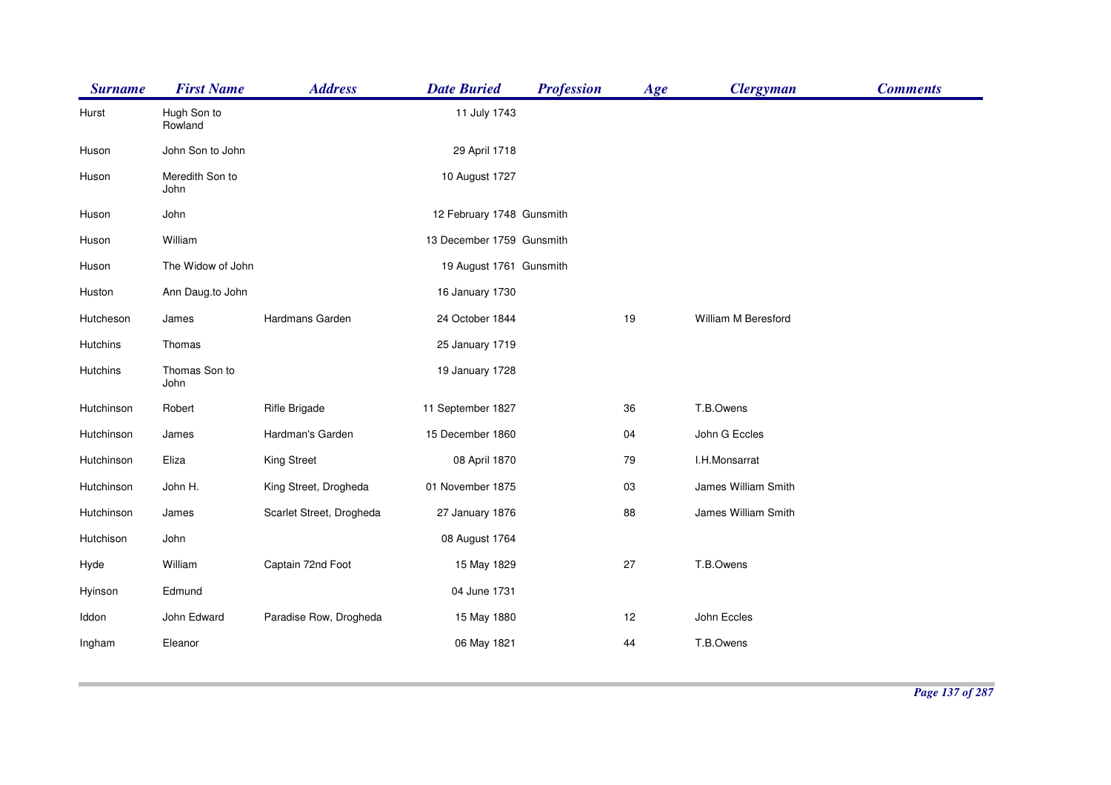| <b>First Name</b>       | <b>Address</b>           | <b>Date Buried</b> | <b>Profession</b> | Age                                                                               | <b>Clergyman</b>    | <b>Comments</b> |
|-------------------------|--------------------------|--------------------|-------------------|-----------------------------------------------------------------------------------|---------------------|-----------------|
| Hugh Son to<br>Rowland  |                          | 11 July 1743       |                   |                                                                                   |                     |                 |
| John Son to John        |                          | 29 April 1718      |                   |                                                                                   |                     |                 |
| Meredith Son to<br>John |                          | 10 August 1727     |                   |                                                                                   |                     |                 |
| John                    |                          |                    |                   |                                                                                   |                     |                 |
| William                 |                          |                    |                   |                                                                                   |                     |                 |
| The Widow of John       |                          |                    |                   |                                                                                   |                     |                 |
| Ann Daug.to John        |                          | 16 January 1730    |                   |                                                                                   |                     |                 |
| James                   | Hardmans Garden          | 24 October 1844    |                   | 19                                                                                | William M Beresford |                 |
| Thomas                  |                          | 25 January 1719    |                   |                                                                                   |                     |                 |
| Thomas Son to<br>John   |                          | 19 January 1728    |                   |                                                                                   |                     |                 |
| Robert                  | Rifle Brigade            | 11 September 1827  |                   | 36                                                                                | T.B.Owens           |                 |
| James                   | Hardman's Garden         | 15 December 1860   |                   | 04                                                                                | John G Eccles       |                 |
| Eliza                   | King Street              | 08 April 1870      |                   | 79                                                                                | I.H.Monsarrat       |                 |
| John H.                 | King Street, Drogheda    | 01 November 1875   |                   | 03                                                                                | James William Smith |                 |
| James                   | Scarlet Street, Drogheda | 27 January 1876    |                   | 88                                                                                | James William Smith |                 |
| John                    |                          | 08 August 1764     |                   |                                                                                   |                     |                 |
| William                 | Captain 72nd Foot        | 15 May 1829        |                   | 27                                                                                | T.B.Owens           |                 |
| Edmund                  |                          | 04 June 1731       |                   |                                                                                   |                     |                 |
| John Edward             | Paradise Row, Drogheda   | 15 May 1880        |                   | 12                                                                                | John Eccles         |                 |
| Eleanor                 |                          | 06 May 1821        |                   | 44                                                                                | T.B.Owens           |                 |
|                         |                          |                    |                   | 12 February 1748 Gunsmith<br>13 December 1759 Gunsmith<br>19 August 1761 Gunsmith |                     |                 |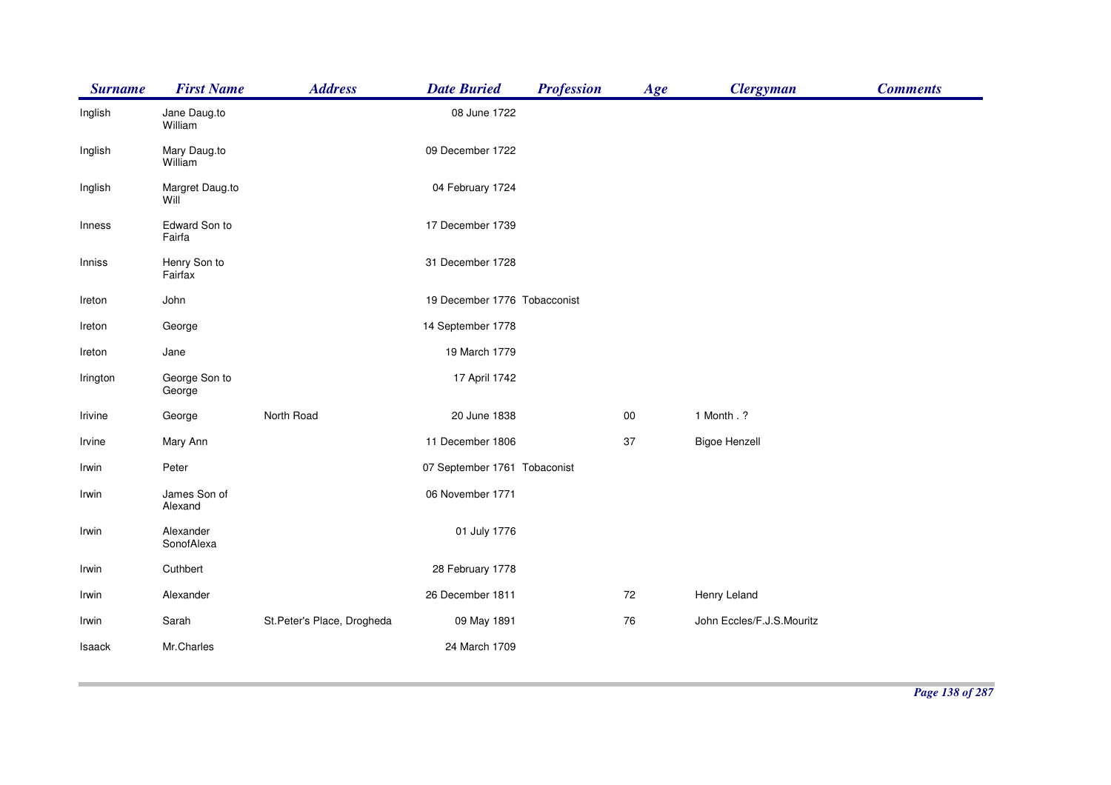| <b>Surname</b> | <b>First Name</b>       | <b>Address</b>             | <b>Date Buried</b>           | <b>Profession</b> | Age | <b>Clergyman</b>          | <b>Comments</b> |
|----------------|-------------------------|----------------------------|------------------------------|-------------------|-----|---------------------------|-----------------|
| Inglish        | Jane Daug.to<br>William |                            | 08 June 1722                 |                   |     |                           |                 |
| Inglish        | Mary Daug.to<br>William |                            | 09 December 1722             |                   |     |                           |                 |
| Inglish        | Margret Daug.to<br>Will |                            | 04 February 1724             |                   |     |                           |                 |
| Inness         | Edward Son to<br>Fairfa |                            | 17 December 1739             |                   |     |                           |                 |
| Inniss         | Henry Son to<br>Fairfax |                            | 31 December 1728             |                   |     |                           |                 |
| Ireton         | John                    |                            | 19 December 1776 Tobacconist |                   |     |                           |                 |
| Ireton         | George                  |                            | 14 September 1778            |                   |     |                           |                 |
| Ireton         | Jane                    |                            | 19 March 1779                |                   |     |                           |                 |
| Irington       | George Son to<br>George |                            | 17 April 1742                |                   |     |                           |                 |
| Irivine        | George                  | North Road                 | 20 June 1838                 |                   | 00  | 1 Month . ?               |                 |
| Irvine         | Mary Ann                |                            | 11 December 1806             |                   | 37  | <b>Bigoe Henzell</b>      |                 |
| Irwin          | Peter                   |                            | 07 September 1761 Tobaconist |                   |     |                           |                 |
| Irwin          | James Son of<br>Alexand |                            | 06 November 1771             |                   |     |                           |                 |
| Irwin          | Alexander<br>SonofAlexa |                            | 01 July 1776                 |                   |     |                           |                 |
| Irwin          | Cuthbert                |                            | 28 February 1778             |                   |     |                           |                 |
| Irwin          | Alexander               |                            | 26 December 1811             |                   | 72  | Henry Leland              |                 |
| Irwin          | Sarah                   | St.Peter's Place, Drogheda | 09 May 1891                  |                   | 76  | John Eccles/F.J.S.Mouritz |                 |
| Isaack         | Mr.Charles              |                            | 24 March 1709                |                   |     |                           |                 |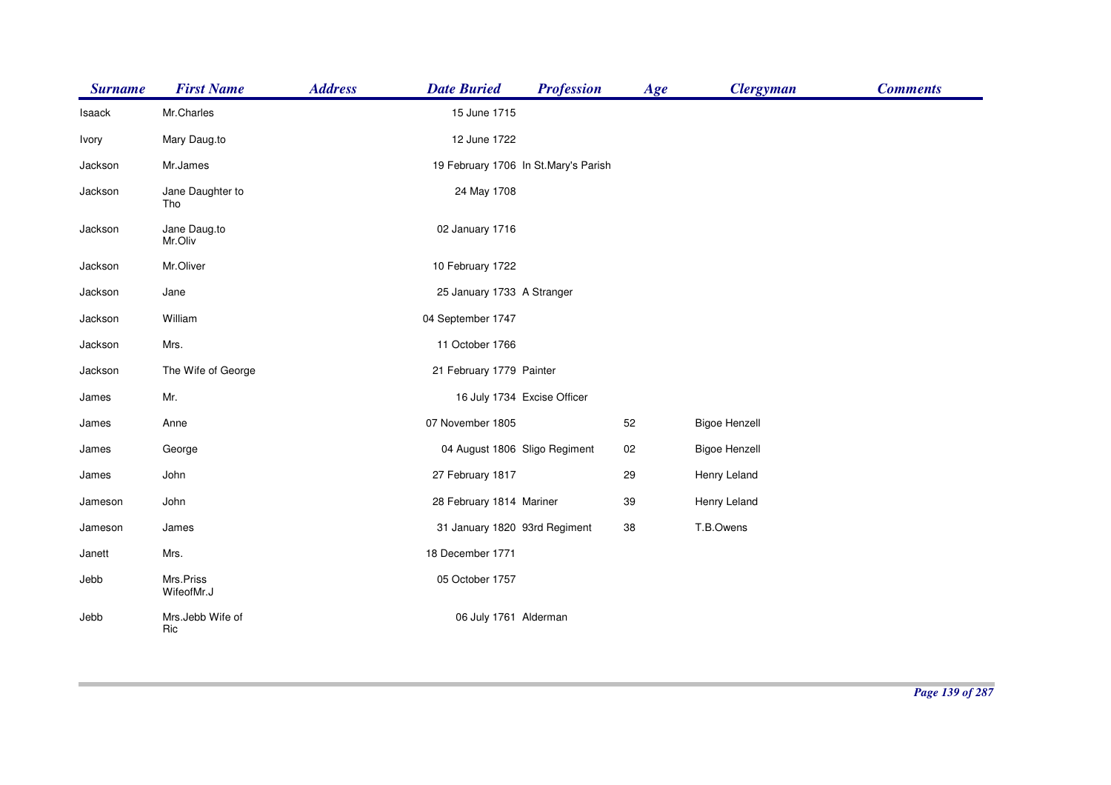| <b>Surname</b> | <b>First Name</b>       | <b>Address</b> | <b>Date Buried</b>                   | <b>Profession</b> | Age | <b>Clergyman</b>     | <b>Comments</b> |
|----------------|-------------------------|----------------|--------------------------------------|-------------------|-----|----------------------|-----------------|
| Isaack         | Mr.Charles              |                | 15 June 1715                         |                   |     |                      |                 |
| Ivory          | Mary Daug.to            |                | 12 June 1722                         |                   |     |                      |                 |
| Jackson        | Mr.James                |                | 19 February 1706 In St.Mary's Parish |                   |     |                      |                 |
| Jackson        | Jane Daughter to<br>Tho |                | 24 May 1708                          |                   |     |                      |                 |
| Jackson        | Jane Daug.to<br>Mr.Oliv |                | 02 January 1716                      |                   |     |                      |                 |
| Jackson        | Mr.Oliver               |                | 10 February 1722                     |                   |     |                      |                 |
| Jackson        | Jane                    |                | 25 January 1733 A Stranger           |                   |     |                      |                 |
| Jackson        | William                 |                | 04 September 1747                    |                   |     |                      |                 |
| Jackson        | Mrs.                    |                | 11 October 1766                      |                   |     |                      |                 |
| Jackson        | The Wife of George      |                | 21 February 1779 Painter             |                   |     |                      |                 |
| James          | Mr.                     |                | 16 July 1734 Excise Officer          |                   |     |                      |                 |
| James          | Anne                    |                | 07 November 1805                     |                   | 52  | <b>Bigoe Henzell</b> |                 |
| James          | George                  |                | 04 August 1806 Sligo Regiment        |                   | 02  | <b>Bigoe Henzell</b> |                 |
| James          | John                    |                | 27 February 1817                     |                   | 29  | Henry Leland         |                 |
| Jameson        | John                    |                | 28 February 1814 Mariner             |                   | 39  | Henry Leland         |                 |
| Jameson        | James                   |                | 31 January 1820 93rd Regiment        |                   | 38  | T.B.Owens            |                 |
| Janett         | Mrs.                    |                | 18 December 1771                     |                   |     |                      |                 |
| Jebb           | Mrs.Priss<br>WifeofMr.J |                | 05 October 1757                      |                   |     |                      |                 |
| Jebb           | Mrs.Jebb Wife of<br>Ric |                | 06 July 1761 Alderman                |                   |     |                      |                 |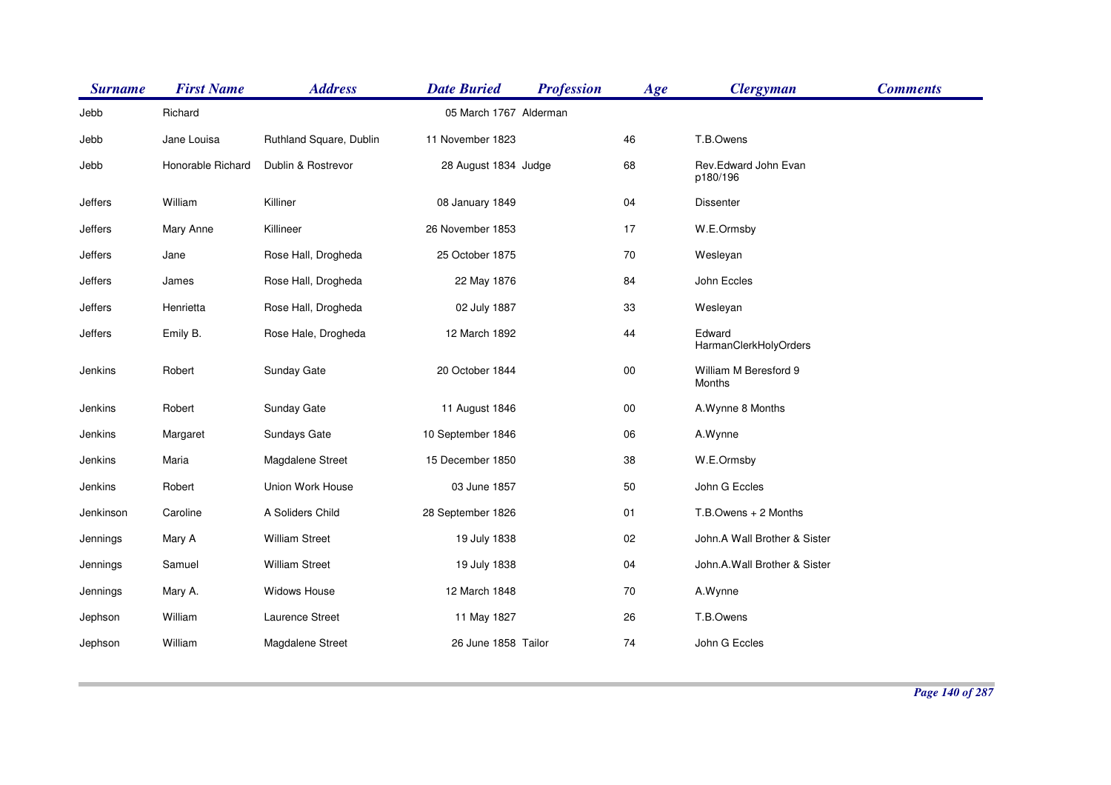| <b>Surname</b> | <b>First Name</b> | <b>Address</b>          | <b>Date Buried</b>     | <b>Profession</b> | Age    | <b>Clergyman</b>                 | <b>Comments</b> |
|----------------|-------------------|-------------------------|------------------------|-------------------|--------|----------------------------------|-----------------|
| Jebb           | Richard           |                         | 05 March 1767 Alderman |                   |        |                                  |                 |
| Jebb           | Jane Louisa       | Ruthland Square, Dublin | 11 November 1823       |                   | 46     | T.B.Owens                        |                 |
| Jebb           | Honorable Richard | Dublin & Rostrevor      | 28 August 1834 Judge   |                   | 68     | Rev.Edward John Evan<br>p180/196 |                 |
| Jeffers        | William           | Killiner                | 08 January 1849        |                   | 04     | <b>Dissenter</b>                 |                 |
| Jeffers        | Mary Anne         | Killineer               | 26 November 1853       |                   | 17     | W.E.Ormsby                       |                 |
| Jeffers        | Jane              | Rose Hall, Drogheda     | 25 October 1875        |                   | 70     | Wesleyan                         |                 |
| Jeffers        | James             | Rose Hall, Drogheda     | 22 May 1876            |                   | 84     | John Eccles                      |                 |
| Jeffers        | Henrietta         | Rose Hall, Drogheda     | 02 July 1887           |                   | 33     | Wesleyan                         |                 |
| Jeffers        | Emily B.          | Rose Hale, Drogheda     | 12 March 1892          |                   | 44     | Edward<br>HarmanClerkHolyOrders  |                 |
| Jenkins        | Robert            | Sunday Gate             | 20 October 1844        |                   | $00\,$ | William M Beresford 9<br>Months  |                 |
| Jenkins        | Robert            | Sunday Gate             | 11 August 1846         |                   | $00\,$ | A.Wynne 8 Months                 |                 |
| Jenkins        | Margaret          | Sundays Gate            | 10 September 1846      |                   | 06     | A.Wynne                          |                 |
| Jenkins        | Maria             | Magdalene Street        | 15 December 1850       |                   | 38     | W.E.Ormsby                       |                 |
| Jenkins        | Robert            | Union Work House        | 03 June 1857           |                   | 50     | John G Eccles                    |                 |
| Jenkinson      | Caroline          | A Soliders Child        | 28 September 1826      |                   | 01     | T.B.Owens + 2 Months             |                 |
| Jennings       | Mary A            | <b>William Street</b>   | 19 July 1838           |                   | 02     | John.A Wall Brother & Sister     |                 |
| Jennings       | Samuel            | <b>William Street</b>   | 19 July 1838           |                   | 04     | John.A.Wall Brother & Sister     |                 |
| Jennings       | Mary A.           | <b>Widows House</b>     | 12 March 1848          |                   | 70     | A.Wynne                          |                 |
| Jephson        | William           | Laurence Street         | 11 May 1827            |                   | 26     | T.B.Owens                        |                 |
| Jephson        | William           | Magdalene Street        | 26 June 1858 Tailor    |                   | 74     | John G Eccles                    |                 |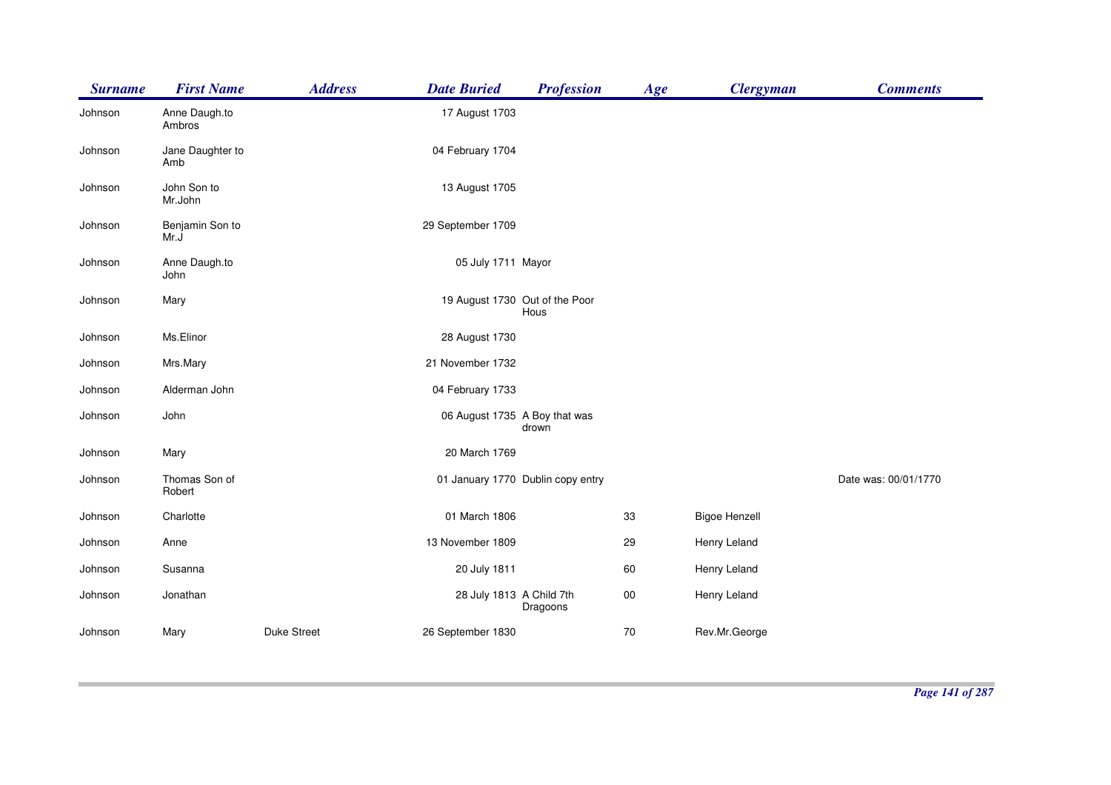| <b>Surname</b> | <b>First Name</b>       | <b>Address</b>     | <b>Date Buried</b>             | <b>Profession</b>                 | Age    | <b>Clergyman</b>     | <b>Comments</b>      |
|----------------|-------------------------|--------------------|--------------------------------|-----------------------------------|--------|----------------------|----------------------|
| Johnson        | Anne Daugh.to<br>Ambros |                    | 17 August 1703                 |                                   |        |                      |                      |
| Johnson        | Jane Daughter to<br>Amb |                    | 04 February 1704               |                                   |        |                      |                      |
| Johnson        | John Son to<br>Mr.John  |                    | 13 August 1705                 |                                   |        |                      |                      |
| Johnson        | Benjamin Son to<br>Mr.J |                    | 29 September 1709              |                                   |        |                      |                      |
| Johnson        | Anne Daugh.to<br>John   |                    | 05 July 1711 Mayor             |                                   |        |                      |                      |
| Johnson        | Mary                    |                    | 19 August 1730 Out of the Poor | Hous                              |        |                      |                      |
| Johnson        | Ms.Elinor               |                    | 28 August 1730                 |                                   |        |                      |                      |
| Johnson        | Mrs.Mary                |                    | 21 November 1732               |                                   |        |                      |                      |
| Johnson        | Alderman John           |                    | 04 February 1733               |                                   |        |                      |                      |
| Johnson        | John                    |                    | 06 August 1735 A Boy that was  | drown                             |        |                      |                      |
| Johnson        | Mary                    |                    | 20 March 1769                  |                                   |        |                      |                      |
| Johnson        | Thomas Son of<br>Robert |                    |                                | 01 January 1770 Dublin copy entry |        |                      | Date was: 00/01/1770 |
| Johnson        | Charlotte               |                    | 01 March 1806                  |                                   | 33     | <b>Bigoe Henzell</b> |                      |
| Johnson        | Anne                    |                    | 13 November 1809               |                                   | 29     | Henry Leland         |                      |
| Johnson        | Susanna                 |                    | 20 July 1811                   |                                   | 60     | Henry Leland         |                      |
| Johnson        | Jonathan                |                    | 28 July 1813 A Child 7th       | Dragoons                          | $00\,$ | Henry Leland         |                      |
| Johnson        | Mary                    | <b>Duke Street</b> | 26 September 1830              |                                   | 70     | Rev.Mr.George        |                      |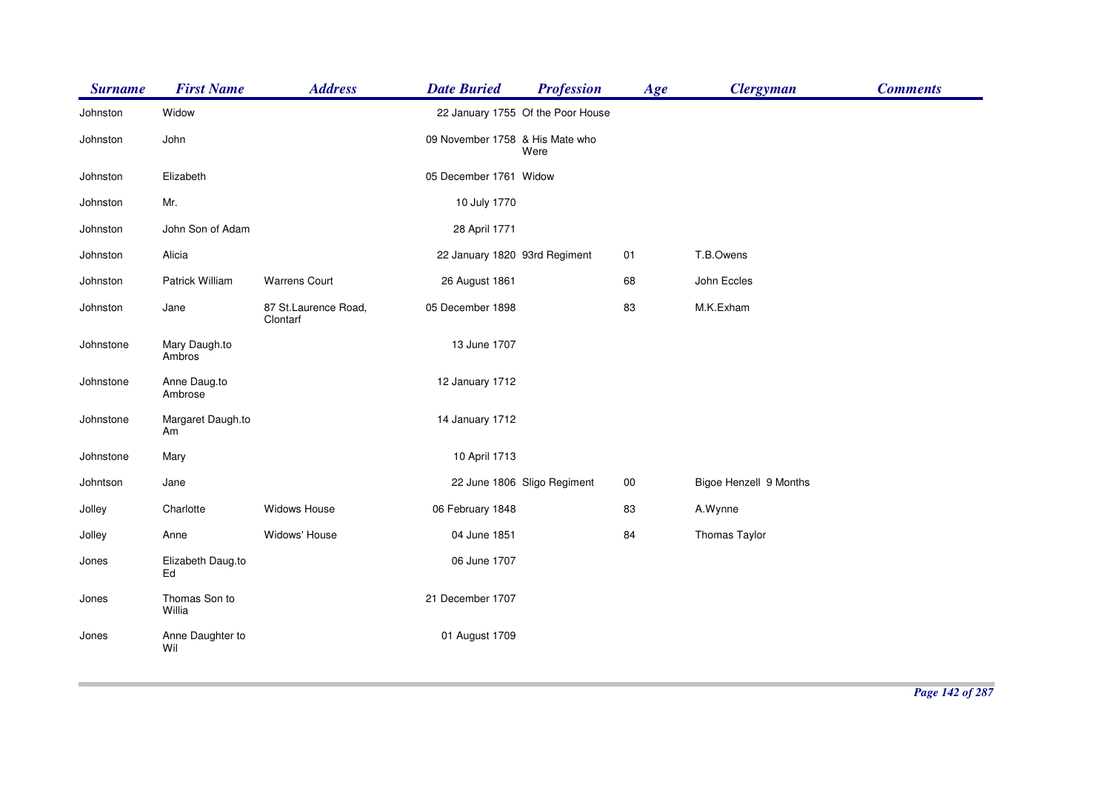| <b>Surname</b> | <b>First Name</b>       | <b>Address</b>                   | <b>Date Buried</b>              | <b>Profession</b>                 | Age    | <b>Clergyman</b>       | <b>Comments</b> |
|----------------|-------------------------|----------------------------------|---------------------------------|-----------------------------------|--------|------------------------|-----------------|
| Johnston       | Widow                   |                                  |                                 | 22 January 1755 Of the Poor House |        |                        |                 |
| Johnston       | John                    |                                  | 09 November 1758 & His Mate who | Were                              |        |                        |                 |
| Johnston       | Elizabeth               |                                  | 05 December 1761 Widow          |                                   |        |                        |                 |
| Johnston       | Mr.                     |                                  | 10 July 1770                    |                                   |        |                        |                 |
| Johnston       | John Son of Adam        |                                  | 28 April 1771                   |                                   |        |                        |                 |
| Johnston       | Alicia                  |                                  | 22 January 1820 93rd Regiment   |                                   | 01     | T.B.Owens              |                 |
| Johnston       | Patrick William         | <b>Warrens Court</b>             | 26 August 1861                  |                                   | 68     | John Eccles            |                 |
| Johnston       | Jane                    | 87 St.Laurence Road,<br>Clontarf | 05 December 1898                |                                   | 83     | M.K.Exham              |                 |
| Johnstone      | Mary Daugh.to<br>Ambros |                                  | 13 June 1707                    |                                   |        |                        |                 |
| Johnstone      | Anne Daug.to<br>Ambrose |                                  | 12 January 1712                 |                                   |        |                        |                 |
| Johnstone      | Margaret Daugh.to<br>Am |                                  | 14 January 1712                 |                                   |        |                        |                 |
| Johnstone      | Mary                    |                                  | 10 April 1713                   |                                   |        |                        |                 |
| Johntson       | Jane                    |                                  |                                 | 22 June 1806 Sligo Regiment       | $00\,$ | Bigoe Henzell 9 Months |                 |
| Jolley         | Charlotte               | Widows House                     | 06 February 1848                |                                   | 83     | A.Wynne                |                 |
| Jolley         | Anne                    | Widows' House                    | 04 June 1851                    |                                   | 84     | Thomas Taylor          |                 |
| Jones          | Elizabeth Daug.to<br>Ed |                                  | 06 June 1707                    |                                   |        |                        |                 |
| Jones          | Thomas Son to<br>Willia |                                  | 21 December 1707                |                                   |        |                        |                 |
| Jones          | Anne Daughter to<br>Wil |                                  | 01 August 1709                  |                                   |        |                        |                 |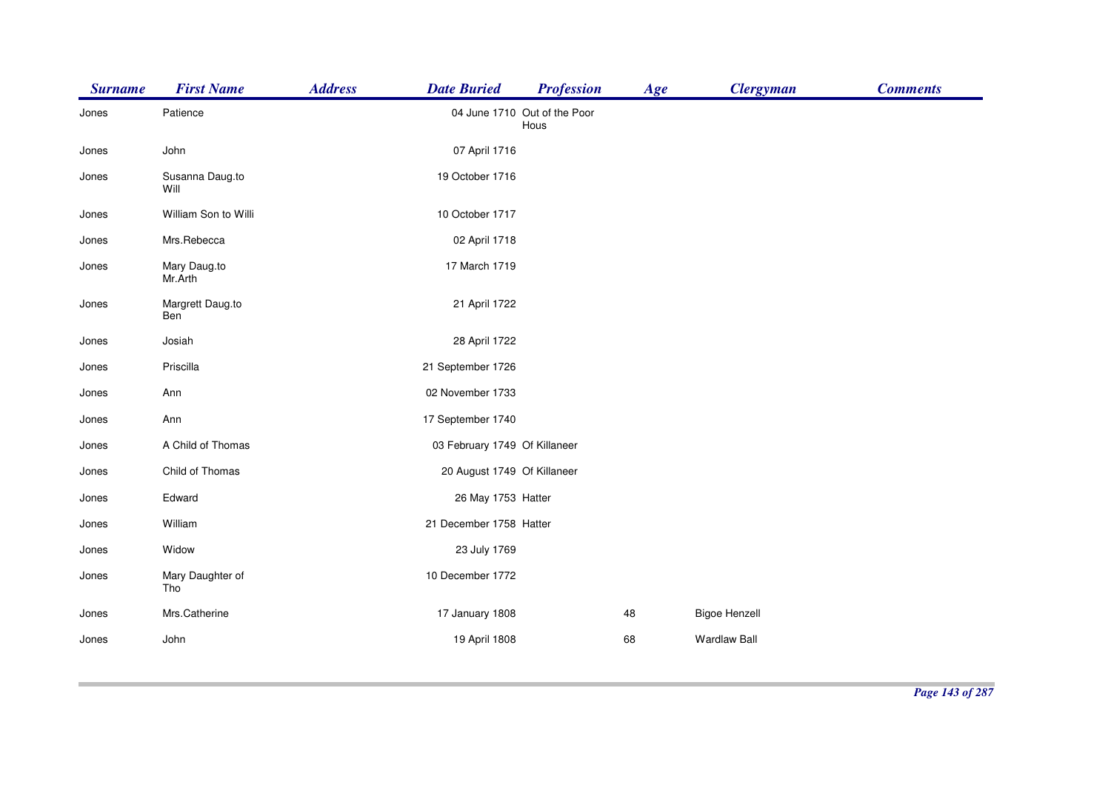| <b>Surname</b> | <b>First Name</b>       | <b>Address</b><br><b>Date Buried</b> | <b>Profession</b>                    | Age | <b>Clergyman</b>     | <b>Comments</b> |
|----------------|-------------------------|--------------------------------------|--------------------------------------|-----|----------------------|-----------------|
| Jones          | Patience                |                                      | 04 June 1710 Out of the Poor<br>Hous |     |                      |                 |
| Jones          | John                    | 07 April 1716                        |                                      |     |                      |                 |
| Jones          | Susanna Daug.to<br>Will | 19 October 1716                      |                                      |     |                      |                 |
| Jones          | William Son to Willi    | 10 October 1717                      |                                      |     |                      |                 |
| Jones          | Mrs.Rebecca             | 02 April 1718                        |                                      |     |                      |                 |
| Jones          | Mary Daug.to<br>Mr.Arth | 17 March 1719                        |                                      |     |                      |                 |
| Jones          | Margrett Daug.to<br>Ben | 21 April 1722                        |                                      |     |                      |                 |
| Jones          | Josiah                  | 28 April 1722                        |                                      |     |                      |                 |
| Jones          | Priscilla               | 21 September 1726                    |                                      |     |                      |                 |
| Jones          | Ann                     | 02 November 1733                     |                                      |     |                      |                 |
| Jones          | Ann                     | 17 September 1740                    |                                      |     |                      |                 |
| Jones          | A Child of Thomas       |                                      | 03 February 1749 Of Killaneer        |     |                      |                 |
| Jones          | Child of Thomas         |                                      | 20 August 1749 Of Killaneer          |     |                      |                 |
| Jones          | Edward                  | 26 May 1753 Hatter                   |                                      |     |                      |                 |
| Jones          | William                 | 21 December 1758 Hatter              |                                      |     |                      |                 |
| Jones          | Widow                   | 23 July 1769                         |                                      |     |                      |                 |
| Jones          | Mary Daughter of<br>Tho | 10 December 1772                     |                                      |     |                      |                 |
| Jones          | Mrs.Catherine           | 17 January 1808                      |                                      | 48  | <b>Bigoe Henzell</b> |                 |
| Jones          | John                    | 19 April 1808                        |                                      | 68  | <b>Wardlaw Ball</b>  |                 |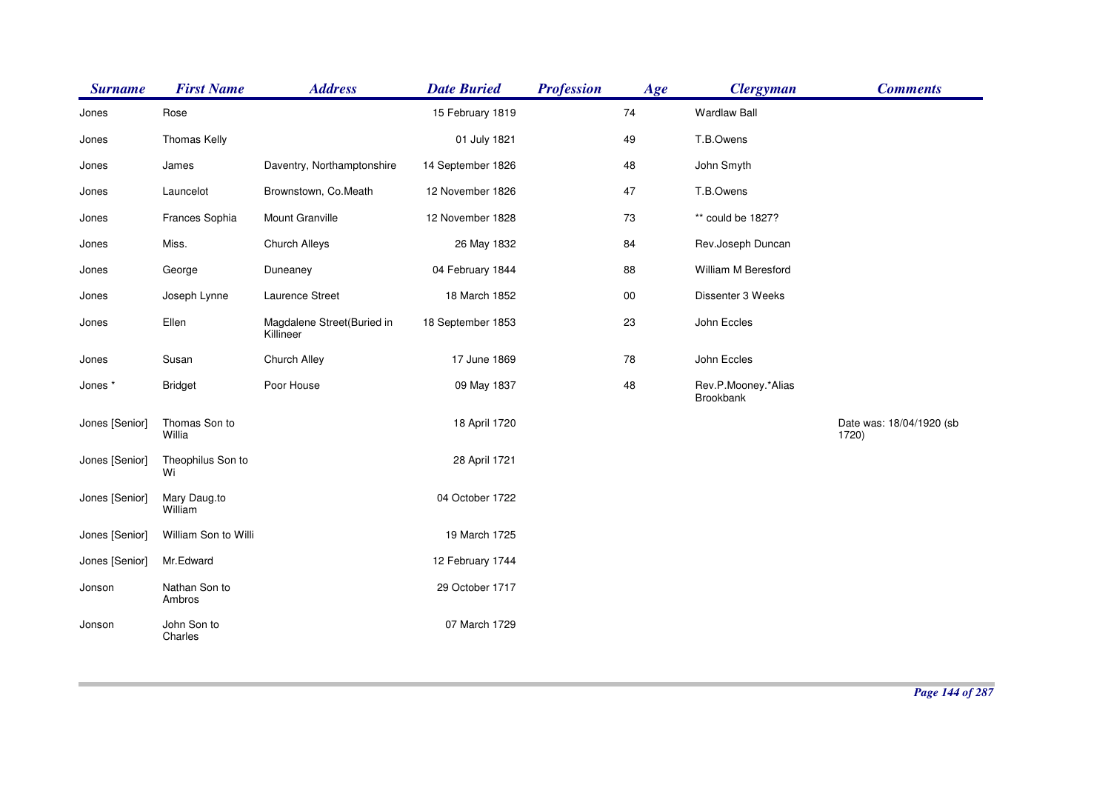| <b>Surname</b> | <b>First Name</b>       | <b>Address</b>                          | <b>Date Buried</b> | <b>Profession</b> | Age | <b>Clergyman</b>                        | <b>Comments</b>                   |
|----------------|-------------------------|-----------------------------------------|--------------------|-------------------|-----|-----------------------------------------|-----------------------------------|
| Jones          | Rose                    |                                         | 15 February 1819   |                   | 74  | <b>Wardlaw Ball</b>                     |                                   |
| Jones          | Thomas Kelly            |                                         | 01 July 1821       |                   | 49  | T.B.Owens                               |                                   |
| Jones          | James                   | Daventry, Northamptonshire              | 14 September 1826  |                   | 48  | John Smyth                              |                                   |
| Jones          | Launcelot               | Brownstown, Co.Meath                    | 12 November 1826   |                   | 47  | T.B.Owens                               |                                   |
| Jones          | Frances Sophia          | Mount Granville                         | 12 November 1828   |                   | 73  | ** could be 1827?                       |                                   |
| Jones          | Miss.                   | Church Alleys                           | 26 May 1832        |                   | 84  | Rev.Joseph Duncan                       |                                   |
| Jones          | George                  | Duneaney                                | 04 February 1844   |                   | 88  | William M Beresford                     |                                   |
| Jones          | Joseph Lynne            | Laurence Street                         | 18 March 1852      |                   | 00  | Dissenter 3 Weeks                       |                                   |
| Jones          | Ellen                   | Magdalene Street(Buried in<br>Killineer | 18 September 1853  |                   | 23  | John Eccles                             |                                   |
| Jones          | Susan                   | Church Alley                            | 17 June 1869       |                   | 78  | John Eccles                             |                                   |
| Jones *        | <b>Bridget</b>          | Poor House                              | 09 May 1837        |                   | 48  | Rev.P.Mooney.*Alias<br><b>Brookbank</b> |                                   |
| Jones [Senior] | Thomas Son to<br>Willia |                                         | 18 April 1720      |                   |     |                                         | Date was: 18/04/1920 (sb<br>1720) |
| Jones [Senior] | Theophilus Son to<br>Wi |                                         | 28 April 1721      |                   |     |                                         |                                   |
| Jones [Senior] | Mary Daug.to<br>William |                                         | 04 October 1722    |                   |     |                                         |                                   |
| Jones [Senior] | William Son to Willi    |                                         | 19 March 1725      |                   |     |                                         |                                   |
| Jones [Senior] | Mr.Edward               |                                         | 12 February 1744   |                   |     |                                         |                                   |
| Jonson         | Nathan Son to<br>Ambros |                                         | 29 October 1717    |                   |     |                                         |                                   |
| Jonson         | John Son to<br>Charles  |                                         | 07 March 1729      |                   |     |                                         |                                   |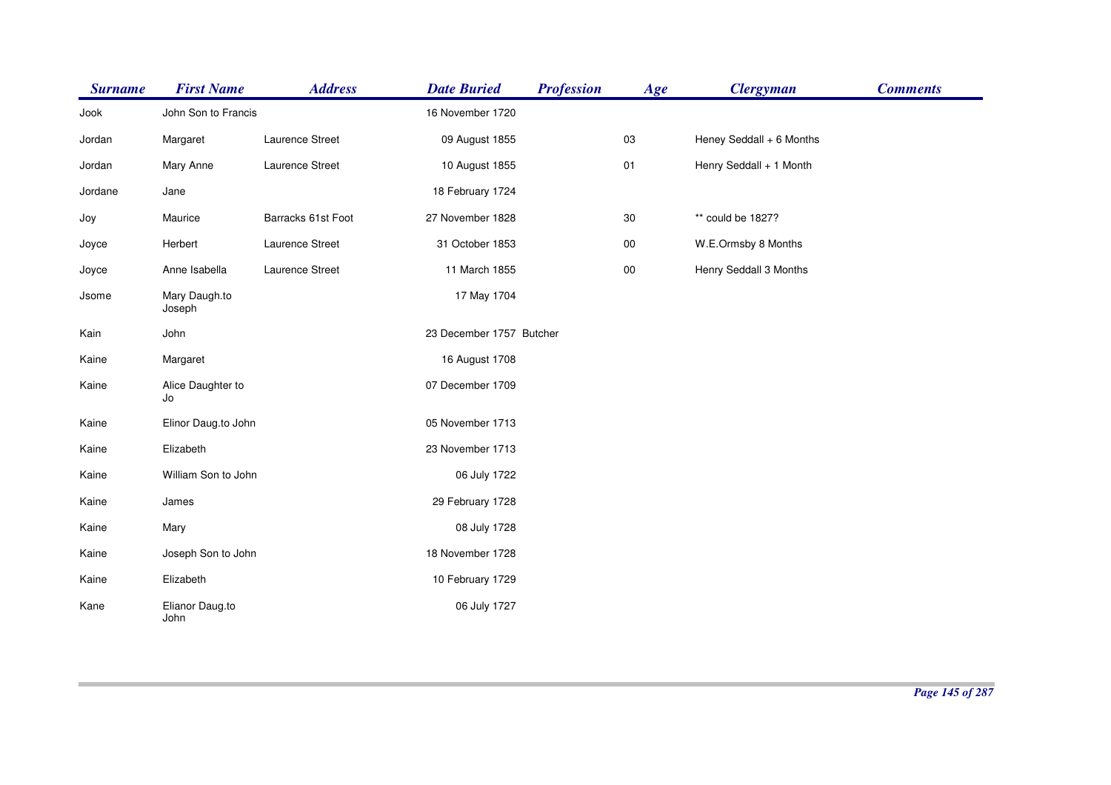| <b>Surname</b> | <b>First Name</b>       | <b>Address</b>     | <b>Date Buried</b>       | <b>Profession</b> | Age        | <b>Clergyman</b>         | <b>Comments</b> |
|----------------|-------------------------|--------------------|--------------------------|-------------------|------------|--------------------------|-----------------|
| Jook           | John Son to Francis     |                    | 16 November 1720         |                   |            |                          |                 |
| Jordan         | Margaret                | Laurence Street    | 09 August 1855           |                   | 03         | Heney Seddall + 6 Months |                 |
| Jordan         | Mary Anne               | Laurence Street    | 10 August 1855           |                   | $01$       | Henry Seddall + 1 Month  |                 |
| Jordane        | Jane                    |                    | 18 February 1724         |                   |            |                          |                 |
| Joy            | Maurice                 | Barracks 61st Foot | 27 November 1828         |                   | 30         | ** could be 1827?        |                 |
| Joyce          | Herbert                 | Laurence Street    | 31 October 1853          |                   | ${\bf 00}$ | W.E.Ormsby 8 Months      |                 |
| Joyce          | Anne Isabella           | Laurence Street    | 11 March 1855            |                   | $00\,$     | Henry Seddall 3 Months   |                 |
| Jsome          | Mary Daugh.to<br>Joseph |                    | 17 May 1704              |                   |            |                          |                 |
| Kain           | John                    |                    | 23 December 1757 Butcher |                   |            |                          |                 |
| Kaine          | Margaret                |                    | 16 August 1708           |                   |            |                          |                 |
| Kaine          | Alice Daughter to<br>Jo |                    | 07 December 1709         |                   |            |                          |                 |
| Kaine          | Elinor Daug.to John     |                    | 05 November 1713         |                   |            |                          |                 |
| Kaine          | Elizabeth               |                    | 23 November 1713         |                   |            |                          |                 |
| Kaine          | William Son to John     |                    | 06 July 1722             |                   |            |                          |                 |
| Kaine          | James                   |                    | 29 February 1728         |                   |            |                          |                 |
| Kaine          | Mary                    |                    | 08 July 1728             |                   |            |                          |                 |
| Kaine          | Joseph Son to John      |                    | 18 November 1728         |                   |            |                          |                 |
| Kaine          | Elizabeth               |                    | 10 February 1729         |                   |            |                          |                 |
| Kane           | Elianor Daug.to<br>John |                    | 06 July 1727             |                   |            |                          |                 |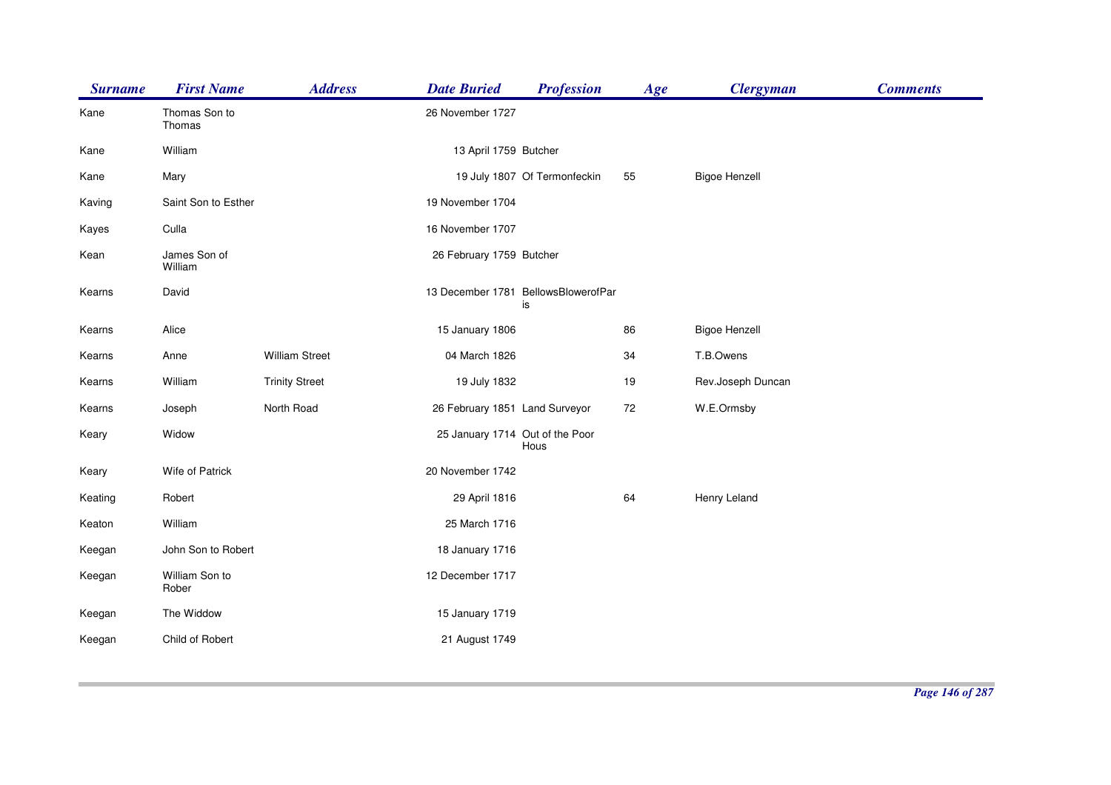| <b>Surname</b> | <b>First Name</b>       | <b>Address</b>        | <b>Date Buried</b>              | <b>Profession</b>                         | Age | <b>Clergyman</b>     | <b>Comments</b> |
|----------------|-------------------------|-----------------------|---------------------------------|-------------------------------------------|-----|----------------------|-----------------|
| Kane           | Thomas Son to<br>Thomas |                       | 26 November 1727                |                                           |     |                      |                 |
| Kane           | William                 |                       | 13 April 1759 Butcher           |                                           |     |                      |                 |
| Kane           | Mary                    |                       |                                 | 19 July 1807 Of Termonfeckin              | 55  | <b>Bigoe Henzell</b> |                 |
| Kaving         | Saint Son to Esther     |                       | 19 November 1704                |                                           |     |                      |                 |
| Kayes          | Culla                   |                       | 16 November 1707                |                                           |     |                      |                 |
| Kean           | James Son of<br>William |                       | 26 February 1759 Butcher        |                                           |     |                      |                 |
| Kearns         | David                   |                       |                                 | 13 December 1781 BellowsBlowerofPar<br>is |     |                      |                 |
| Kearns         | Alice                   |                       | 15 January 1806                 |                                           | 86  | <b>Bigoe Henzell</b> |                 |
| Kearns         | Anne                    | <b>William Street</b> | 04 March 1826                   |                                           | 34  | T.B.Owens            |                 |
| Kearns         | William                 | <b>Trinity Street</b> | 19 July 1832                    |                                           | 19  | Rev.Joseph Duncan    |                 |
| Kearns         | Joseph                  | North Road            | 26 February 1851 Land Surveyor  |                                           | 72  | W.E.Ormsby           |                 |
| Keary          | Widow                   |                       | 25 January 1714 Out of the Poor | Hous                                      |     |                      |                 |
| Keary          | Wife of Patrick         |                       | 20 November 1742                |                                           |     |                      |                 |
| Keating        | Robert                  |                       | 29 April 1816                   |                                           | 64  | Henry Leland         |                 |
| Keaton         | William                 |                       | 25 March 1716                   |                                           |     |                      |                 |
| Keegan         | John Son to Robert      |                       | 18 January 1716                 |                                           |     |                      |                 |
| Keegan         | William Son to<br>Rober |                       | 12 December 1717                |                                           |     |                      |                 |
| Keegan         | The Widdow              |                       | 15 January 1719                 |                                           |     |                      |                 |
| Keegan         | Child of Robert         |                       | 21 August 1749                  |                                           |     |                      |                 |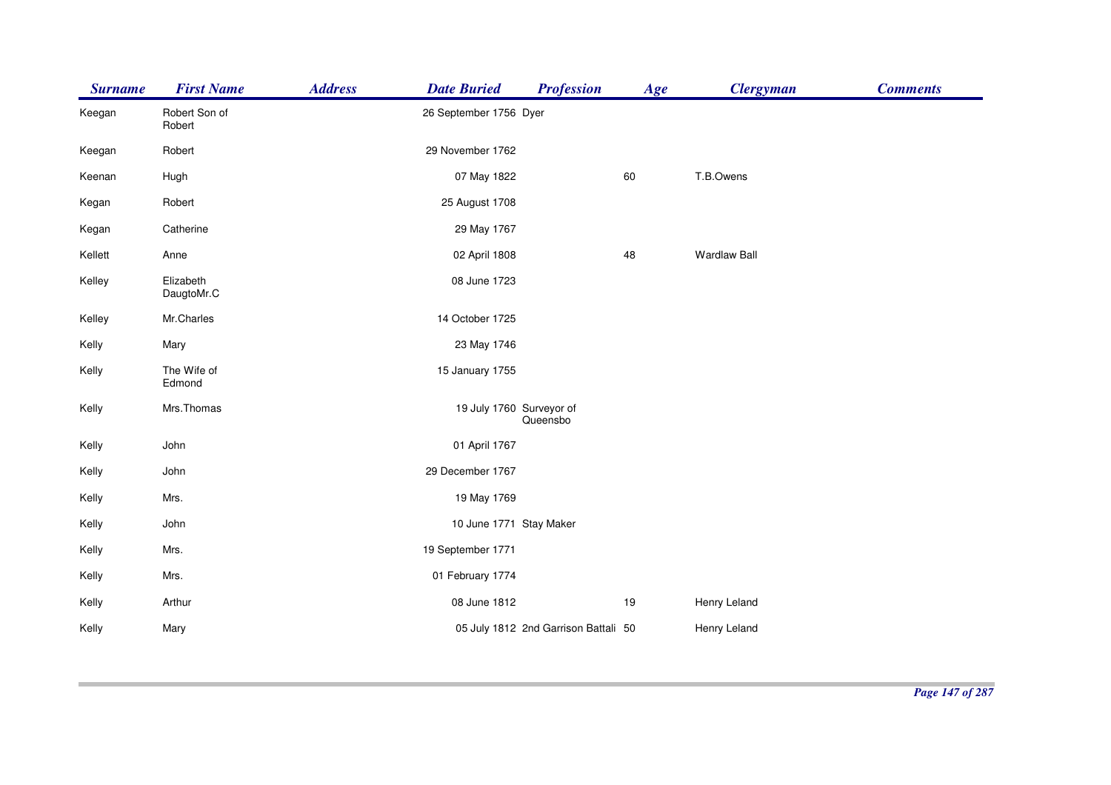| <b>Surname</b> | <b>First Name</b>       | <b>Address</b> | <b>Date Buried</b>       | <b>Profession</b>                    | Age | <b>Clergyman</b>    | <b>Comments</b> |
|----------------|-------------------------|----------------|--------------------------|--------------------------------------|-----|---------------------|-----------------|
| Keegan         | Robert Son of<br>Robert |                | 26 September 1756 Dyer   |                                      |     |                     |                 |
| Keegan         | Robert                  |                | 29 November 1762         |                                      |     |                     |                 |
| Keenan         | Hugh                    |                | 07 May 1822              |                                      | 60  | T.B.Owens           |                 |
| Kegan          | Robert                  |                | 25 August 1708           |                                      |     |                     |                 |
| Kegan          | Catherine               |                | 29 May 1767              |                                      |     |                     |                 |
| Kellett        | Anne                    |                | 02 April 1808            |                                      | 48  | <b>Wardlaw Ball</b> |                 |
| Kelley         | Elizabeth<br>DaugtoMr.C |                | 08 June 1723             |                                      |     |                     |                 |
| Kelley         | Mr.Charles              |                | 14 October 1725          |                                      |     |                     |                 |
| Kelly          | Mary                    |                | 23 May 1746              |                                      |     |                     |                 |
| Kelly          | The Wife of<br>Edmond   |                | 15 January 1755          |                                      |     |                     |                 |
| Kelly          | Mrs.Thomas              |                | 19 July 1760 Surveyor of | Queensbo                             |     |                     |                 |
| Kelly          | John                    |                | 01 April 1767            |                                      |     |                     |                 |
| Kelly          | John                    |                | 29 December 1767         |                                      |     |                     |                 |
| Kelly          | Mrs.                    |                | 19 May 1769              |                                      |     |                     |                 |
| Kelly          | John                    |                | 10 June 1771 Stay Maker  |                                      |     |                     |                 |
| Kelly          | Mrs.                    |                | 19 September 1771        |                                      |     |                     |                 |
| Kelly          | Mrs.                    |                | 01 February 1774         |                                      |     |                     |                 |
| Kelly          | Arthur                  |                | 08 June 1812             |                                      | 19  | Henry Leland        |                 |
| Kelly          | Mary                    |                |                          | 05 July 1812 2nd Garrison Battali 50 |     | Henry Leland        |                 |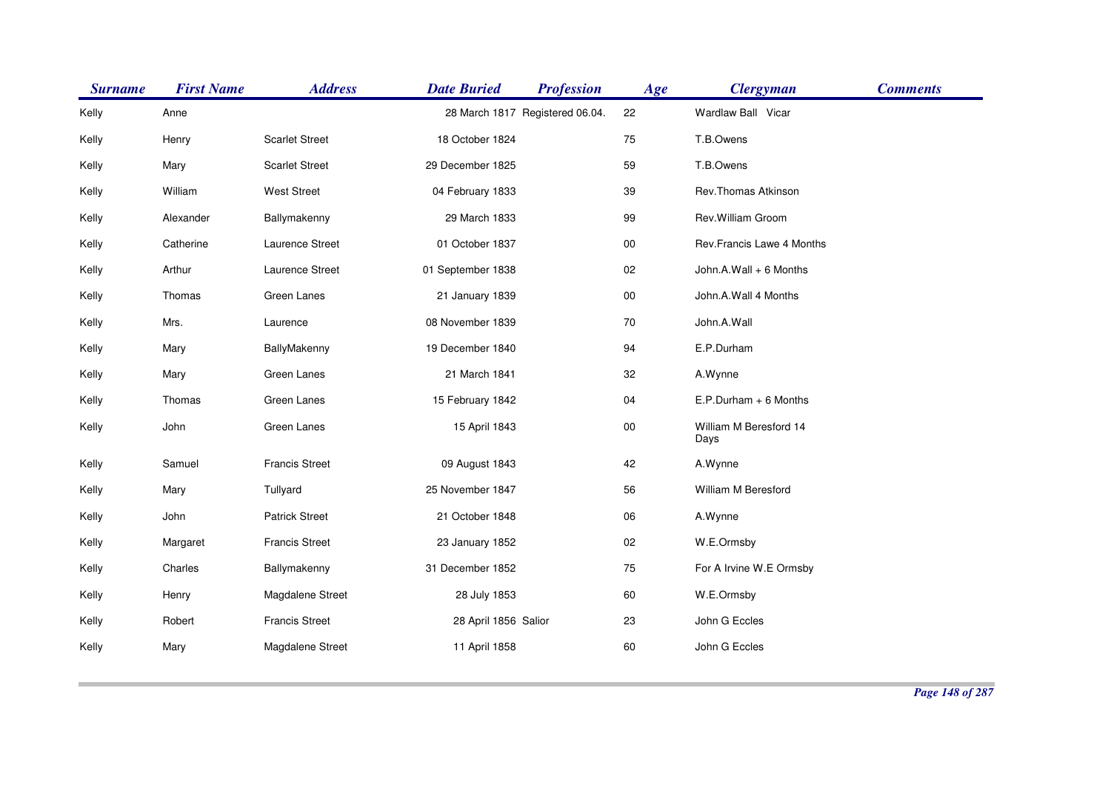| <b>Surname</b> | <b>First Name</b> | <b>Address</b>        | <b>Date Buried</b>   | <b>Profession</b>               | Age        | <b>Clergyman</b>               | <b>Comments</b> |
|----------------|-------------------|-----------------------|----------------------|---------------------------------|------------|--------------------------------|-----------------|
| Kelly          | Anne              |                       |                      | 28 March 1817 Registered 06.04. | 22         | Wardlaw Ball Vicar             |                 |
| Kelly          | Henry             | <b>Scarlet Street</b> | 18 October 1824      |                                 | 75         | T.B.Owens                      |                 |
| Kelly          | Mary              | <b>Scarlet Street</b> | 29 December 1825     |                                 | 59         | T.B.Owens                      |                 |
| Kelly          | William           | <b>West Street</b>    | 04 February 1833     |                                 | 39         | Rev.Thomas Atkinson            |                 |
| Kelly          | Alexander         | Ballymakenny          | 29 March 1833        |                                 | 99         | Rev. William Groom             |                 |
| Kelly          | Catherine         | Laurence Street       | 01 October 1837      |                                 | ${\bf 00}$ | Rev.Francis Lawe 4 Months      |                 |
| Kelly          | Arthur            | Laurence Street       | 01 September 1838    |                                 | $02\,$     | John.A.Wall + 6 Months         |                 |
| Kelly          | Thomas            | Green Lanes           | 21 January 1839      |                                 | $00\,$     | John.A.Wall 4 Months           |                 |
| Kelly          | Mrs.              | Laurence              | 08 November 1839     |                                 | 70         | John.A.Wall                    |                 |
| Kelly          | Mary              | BallyMakenny          | 19 December 1840     |                                 | 94         | E.P.Durham                     |                 |
| Kelly          | Mary              | Green Lanes           | 21 March 1841        |                                 | 32         | A.Wynne                        |                 |
| Kelly          | Thomas            | Green Lanes           | 15 February 1842     |                                 | 04         | E.P.Durham + 6 Months          |                 |
| Kelly          | John              | Green Lanes           | 15 April 1843        |                                 | $00\,$     | William M Beresford 14<br>Days |                 |
| Kelly          | Samuel            | <b>Francis Street</b> | 09 August 1843       |                                 | 42         | A.Wynne                        |                 |
| Kelly          | Mary              | Tullyard              | 25 November 1847     |                                 | 56         | William M Beresford            |                 |
| Kelly          | John              | <b>Patrick Street</b> | 21 October 1848      |                                 | 06         | A.Wynne                        |                 |
| Kelly          | Margaret          | <b>Francis Street</b> | 23 January 1852      |                                 | $02\,$     | W.E.Ormsby                     |                 |
| Kelly          | Charles           | Ballymakenny          | 31 December 1852     |                                 | 75         | For A Irvine W.E Ormsby        |                 |
| Kelly          | Henry             | Magdalene Street      | 28 July 1853         |                                 | 60         | W.E.Ormsby                     |                 |
| Kelly          | Robert            | <b>Francis Street</b> | 28 April 1856 Salior |                                 | 23         | John G Eccles                  |                 |
| Kelly          | Mary              | Magdalene Street      | 11 April 1858        |                                 | 60         | John G Eccles                  |                 |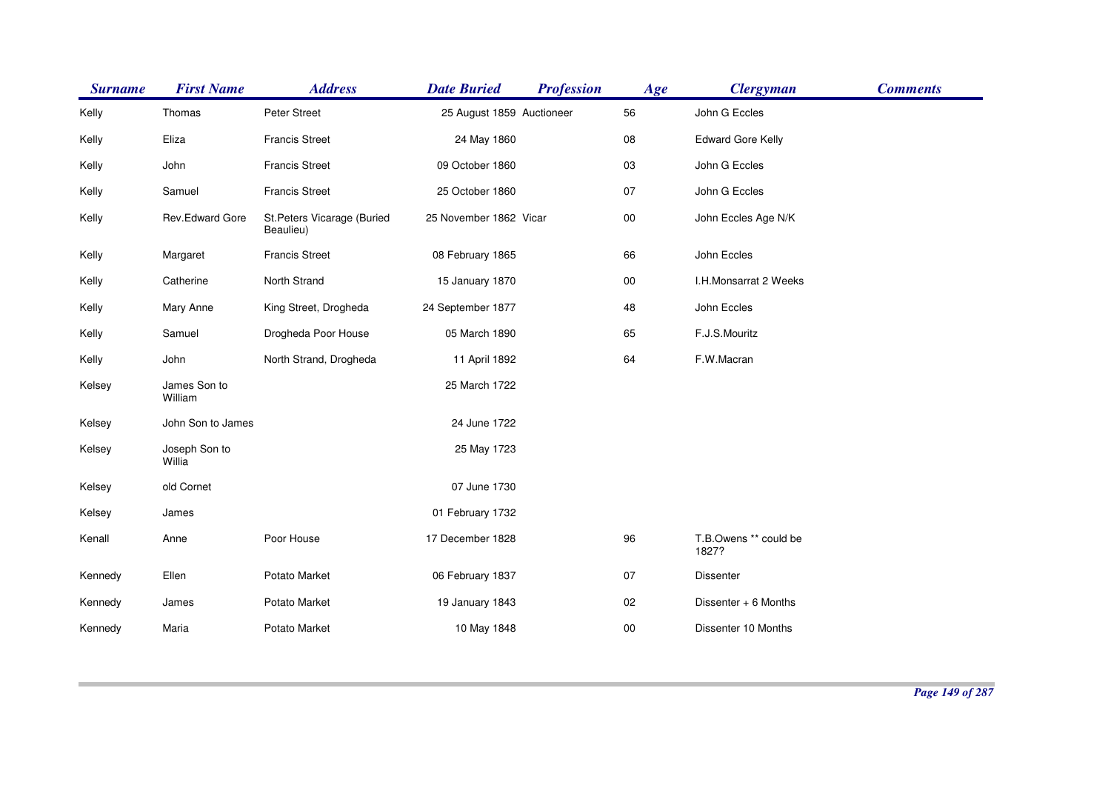| <b>Surname</b> | <b>First Name</b>       | <b>Address</b>                          | <b>Date Buried</b>        | <b>Profession</b> | Age    | <b>Clergyman</b>               | <b>Comments</b> |
|----------------|-------------------------|-----------------------------------------|---------------------------|-------------------|--------|--------------------------------|-----------------|
| Kelly          | Thomas                  | Peter Street                            | 25 August 1859 Auctioneer |                   | 56     | John G Eccles                  |                 |
| Kelly          | Eliza                   | <b>Francis Street</b>                   | 24 May 1860               |                   | 08     | <b>Edward Gore Kelly</b>       |                 |
| Kelly          | John                    | <b>Francis Street</b>                   | 09 October 1860           |                   | 03     | John G Eccles                  |                 |
| Kelly          | Samuel                  | <b>Francis Street</b>                   | 25 October 1860           |                   | 07     | John G Eccles                  |                 |
| Kelly          | Rev.Edward Gore         | St.Peters Vicarage (Buried<br>Beaulieu) | 25 November 1862 Vicar    |                   | $00\,$ | John Eccles Age N/K            |                 |
| Kelly          | Margaret                | <b>Francis Street</b>                   | 08 February 1865          |                   | 66     | John Eccles                    |                 |
| Kelly          | Catherine               | North Strand                            | 15 January 1870           |                   | $00\,$ | I.H.Monsarrat 2 Weeks          |                 |
| Kelly          | Mary Anne               | King Street, Drogheda                   | 24 September 1877         |                   | 48     | John Eccles                    |                 |
| Kelly          | Samuel                  | Drogheda Poor House                     | 05 March 1890             |                   | 65     | F.J.S.Mouritz                  |                 |
| Kelly          | John                    | North Strand, Drogheda                  | 11 April 1892             |                   | 64     | F.W.Macran                     |                 |
| Kelsey         | James Son to<br>William |                                         | 25 March 1722             |                   |        |                                |                 |
| Kelsey         | John Son to James       |                                         | 24 June 1722              |                   |        |                                |                 |
| Kelsey         | Joseph Son to<br>Willia |                                         | 25 May 1723               |                   |        |                                |                 |
| Kelsey         | old Cornet              |                                         | 07 June 1730              |                   |        |                                |                 |
| Kelsey         | James                   |                                         | 01 February 1732          |                   |        |                                |                 |
| Kenall         | Anne                    | Poor House                              | 17 December 1828          |                   | 96     | T.B.Owens ** could be<br>1827? |                 |
| Kennedy        | Ellen                   | Potato Market                           | 06 February 1837          |                   | 07     | <b>Dissenter</b>               |                 |
| Kennedy        | James                   | Potato Market                           | 19 January 1843           |                   | 02     | Dissenter + 6 Months           |                 |
| Kennedy        | Maria                   | Potato Market                           | 10 May 1848               |                   | 00     | Dissenter 10 Months            |                 |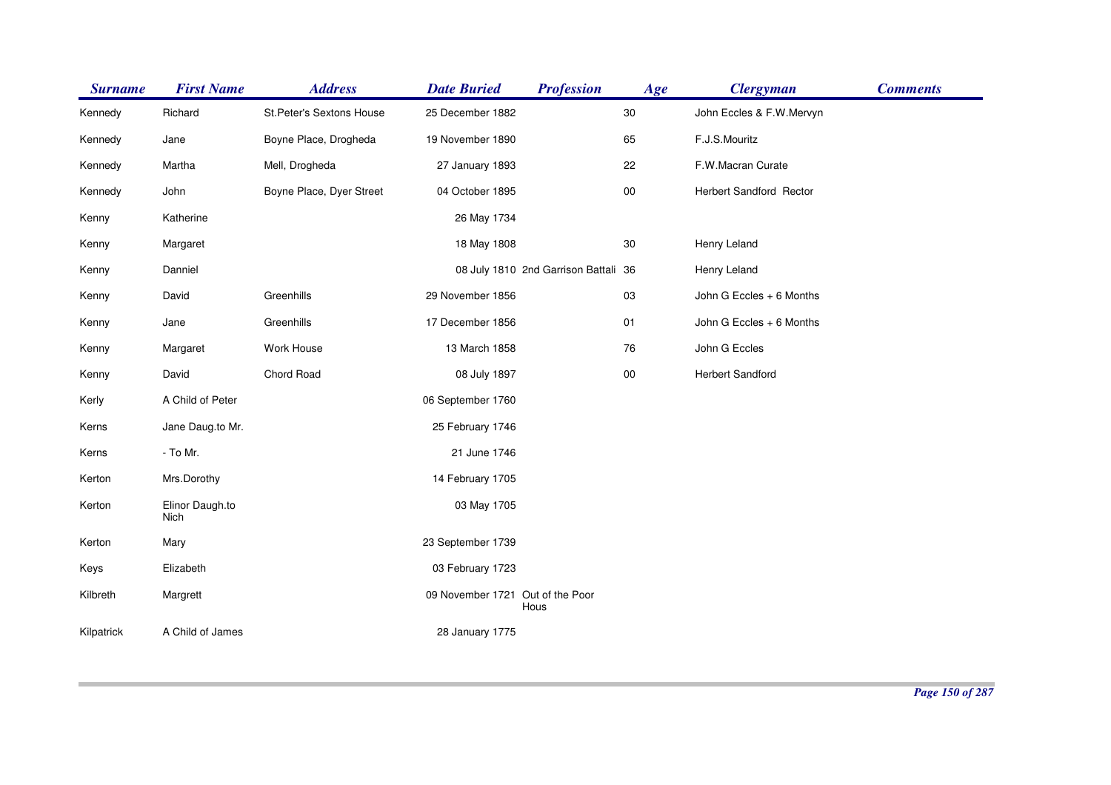| <b>Surname</b> | <b>First Name</b>       | <b>Address</b>            | <b>Date Buried</b>               | <b>Profession</b>                    | Age        | <b>Clergyman</b>         | <b>Comments</b> |
|----------------|-------------------------|---------------------------|----------------------------------|--------------------------------------|------------|--------------------------|-----------------|
| Kennedy        | Richard                 | St. Peter's Sextons House | 25 December 1882                 |                                      | 30         | John Eccles & F.W.Mervyn |                 |
| Kennedy        | Jane                    | Boyne Place, Drogheda     | 19 November 1890                 |                                      | 65         | F.J.S.Mouritz            |                 |
| Kennedy        | Martha                  | Mell, Drogheda            | 27 January 1893                  |                                      | 22         | F.W.Macran Curate        |                 |
| Kennedy        | John                    | Boyne Place, Dyer Street  | 04 October 1895                  |                                      | ${\bf 00}$ | Herbert Sandford Rector  |                 |
| Kenny          | Katherine               |                           | 26 May 1734                      |                                      |            |                          |                 |
| Kenny          | Margaret                |                           | 18 May 1808                      |                                      | 30         | Henry Leland             |                 |
| Kenny          | Danniel                 |                           |                                  | 08 July 1810 2nd Garrison Battali 36 |            | Henry Leland             |                 |
| Kenny          | David                   | Greenhills                | 29 November 1856                 |                                      | 03         | John G Eccles + 6 Months |                 |
| Kenny          | Jane                    | Greenhills                | 17 December 1856                 |                                      | 01         | John G Eccles + 6 Months |                 |
| Kenny          | Margaret                | Work House                | 13 March 1858                    |                                      | 76         | John G Eccles            |                 |
| Kenny          | David                   | Chord Road                | 08 July 1897                     |                                      | $00\,$     | Herbert Sandford         |                 |
| Kerly          | A Child of Peter        |                           | 06 September 1760                |                                      |            |                          |                 |
| Kerns          | Jane Daug.to Mr.        |                           | 25 February 1746                 |                                      |            |                          |                 |
| Kerns          | - To Mr.                |                           | 21 June 1746                     |                                      |            |                          |                 |
| Kerton         | Mrs.Dorothy             |                           | 14 February 1705                 |                                      |            |                          |                 |
| Kerton         | Elinor Daugh.to<br>Nich |                           | 03 May 1705                      |                                      |            |                          |                 |
| Kerton         | Mary                    |                           | 23 September 1739                |                                      |            |                          |                 |
| Keys           | Elizabeth               |                           | 03 February 1723                 |                                      |            |                          |                 |
| Kilbreth       | Margrett                |                           | 09 November 1721 Out of the Poor | Hous                                 |            |                          |                 |
| Kilpatrick     | A Child of James        |                           | 28 January 1775                  |                                      |            |                          |                 |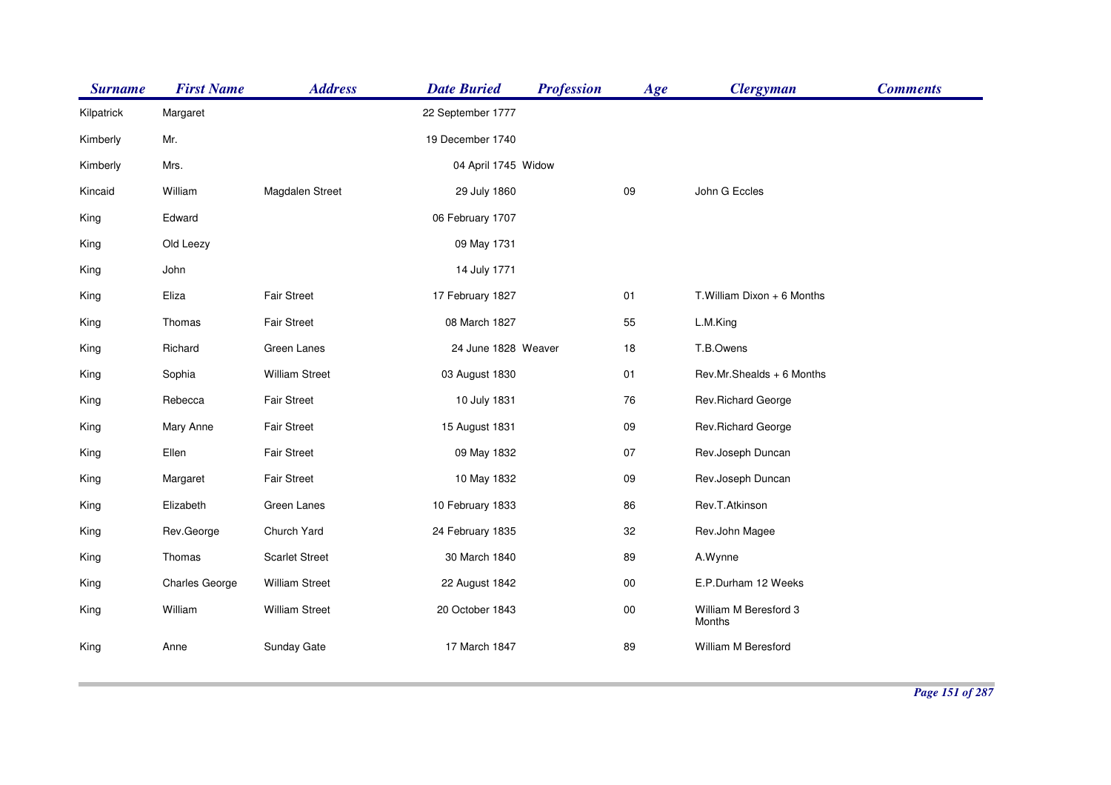| <b>Surname</b> | <b>First Name</b>     | <b>Address</b>        | <b>Date Buried</b>  | <b>Profession</b> | Age    | <b>Clergyman</b>                | <b>Comments</b> |
|----------------|-----------------------|-----------------------|---------------------|-------------------|--------|---------------------------------|-----------------|
| Kilpatrick     | Margaret              |                       | 22 September 1777   |                   |        |                                 |                 |
| Kimberly       | Mr.                   |                       | 19 December 1740    |                   |        |                                 |                 |
| Kimberly       | Mrs.                  |                       | 04 April 1745 Widow |                   |        |                                 |                 |
| Kincaid        | William               | Magdalen Street       | 29 July 1860        |                   | 09     | John G Eccles                   |                 |
| King           | Edward                |                       | 06 February 1707    |                   |        |                                 |                 |
| King           | Old Leezy             |                       | 09 May 1731         |                   |        |                                 |                 |
| King           | John                  |                       | 14 July 1771        |                   |        |                                 |                 |
| King           | Eliza                 | <b>Fair Street</b>    | 17 February 1827    |                   | 01     | T. William Dixon + 6 Months     |                 |
| King           | Thomas                | <b>Fair Street</b>    | 08 March 1827       |                   | 55     | L.M.King                        |                 |
| King           | Richard               | Green Lanes           | 24 June 1828 Weaver |                   | 18     | T.B.Owens                       |                 |
| King           | Sophia                | <b>William Street</b> | 03 August 1830      |                   | 01     | Rev.Mr.Shealds + 6 Months       |                 |
| King           | Rebecca               | <b>Fair Street</b>    | 10 July 1831        |                   | 76     | Rev.Richard George              |                 |
| King           | Mary Anne             | <b>Fair Street</b>    | 15 August 1831      |                   | 09     | Rev.Richard George              |                 |
| King           | Ellen                 | <b>Fair Street</b>    | 09 May 1832         |                   | 07     | Rev.Joseph Duncan               |                 |
| King           | Margaret              | <b>Fair Street</b>    | 10 May 1832         |                   | 09     | Rev.Joseph Duncan               |                 |
| King           | Elizabeth             | Green Lanes           | 10 February 1833    |                   | 86     | Rev.T.Atkinson                  |                 |
| King           | Rev.George            | Church Yard           | 24 February 1835    |                   | 32     | Rev.John Magee                  |                 |
| King           | Thomas                | <b>Scarlet Street</b> | 30 March 1840       |                   | 89     | A.Wynne                         |                 |
| King           | <b>Charles George</b> | <b>William Street</b> | 22 August 1842      |                   | $00\,$ | E.P.Durham 12 Weeks             |                 |
| King           | William               | <b>William Street</b> | 20 October 1843     |                   | $00\,$ | William M Beresford 3<br>Months |                 |
| King           | Anne                  | Sunday Gate           | 17 March 1847       |                   | 89     | William M Beresford             |                 |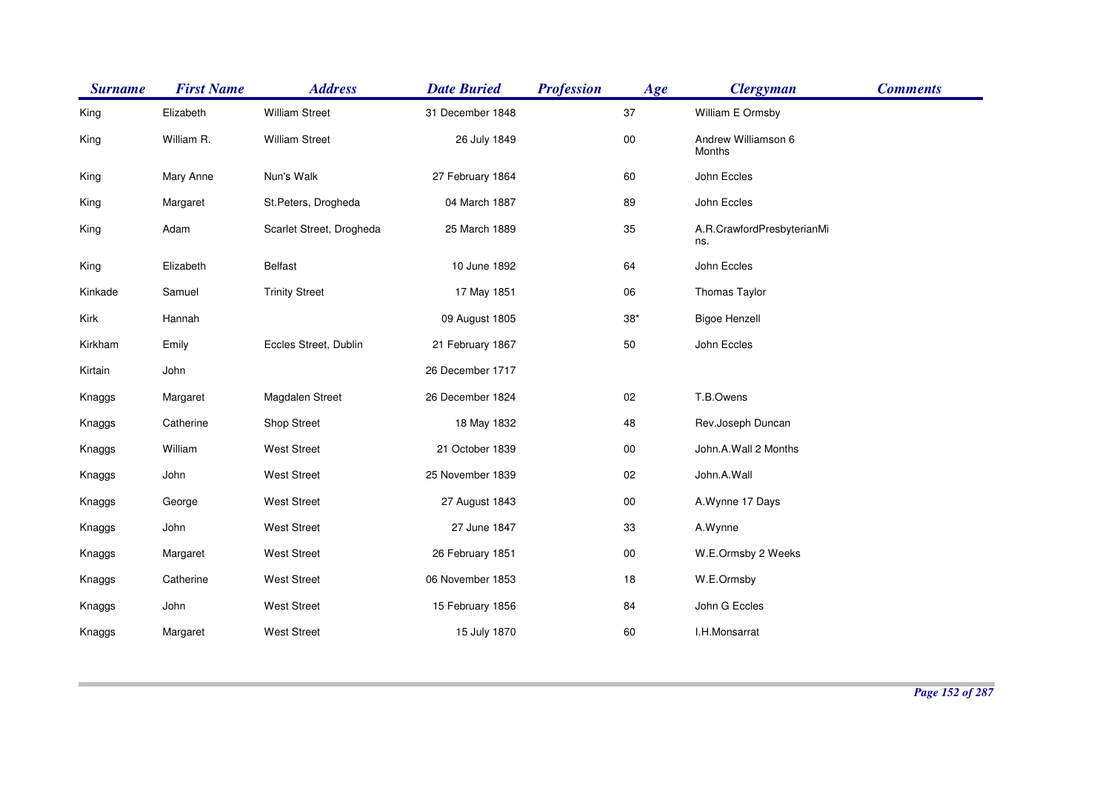| <b>Surname</b> | <b>First Name</b> | <b>Address</b>           | <b>Date Buried</b> | <b>Profession</b> | Age        | <b>Clergyman</b>                  | <b>Comments</b> |
|----------------|-------------------|--------------------------|--------------------|-------------------|------------|-----------------------------------|-----------------|
| King           | Elizabeth         | <b>William Street</b>    | 31 December 1848   |                   | 37         | William E Ormsby                  |                 |
| King           | William R.        | <b>William Street</b>    | 26 July 1849       |                   | ${\bf 00}$ | Andrew Williamson 6<br>Months     |                 |
| King           | Mary Anne         | Nun's Walk               | 27 February 1864   |                   | 60         | John Eccles                       |                 |
| King           | Margaret          | St.Peters, Drogheda      | 04 March 1887      |                   | 89         | John Eccles                       |                 |
| King           | Adam              | Scarlet Street, Drogheda | 25 March 1889      |                   | 35         | A.R.CrawfordPresbyterianMi<br>ns. |                 |
| King           | Elizabeth         | <b>Belfast</b>           | 10 June 1892       |                   | 64         | John Eccles                       |                 |
| Kinkade        | Samuel            | <b>Trinity Street</b>    | 17 May 1851        |                   | 06         | Thomas Taylor                     |                 |
| Kirk           | Hannah            |                          | 09 August 1805     |                   | $38*$      | <b>Bigoe Henzell</b>              |                 |
| Kirkham        | Emily             | Eccles Street, Dublin    | 21 February 1867   |                   | 50         | John Eccles                       |                 |
| Kirtain        | John              |                          | 26 December 1717   |                   |            |                                   |                 |
| Knaggs         | Margaret          | Magdalen Street          | 26 December 1824   |                   | 02         | T.B.Owens                         |                 |
| Knaggs         | Catherine         | Shop Street              | 18 May 1832        |                   | 48         | Rev.Joseph Duncan                 |                 |
| Knaggs         | William           | <b>West Street</b>       | 21 October 1839    |                   | $00\,$     | John.A.Wall 2 Months              |                 |
| Knaggs         | John              | West Street              | 25 November 1839   |                   | $02\,$     | John.A.Wall                       |                 |
| Knaggs         | George            | <b>West Street</b>       | 27 August 1843     |                   | $00\,$     | A.Wynne 17 Days                   |                 |
| Knaggs         | John              | <b>West Street</b>       | 27 June 1847       |                   | 33         | A.Wynne                           |                 |
| Knaggs         | Margaret          | <b>West Street</b>       | 26 February 1851   |                   | $00\,$     | W.E.Ormsby 2 Weeks                |                 |
| Knaggs         | Catherine         | <b>West Street</b>       | 06 November 1853   |                   | 18         | W.E.Ormsby                        |                 |
| Knaggs         | John              | West Street              | 15 February 1856   |                   | 84         | John G Eccles                     |                 |
| Knaggs         | Margaret          | <b>West Street</b>       | 15 July 1870       |                   | 60         | I.H.Monsarrat                     |                 |
|                |                   |                          |                    |                   |            |                                   |                 |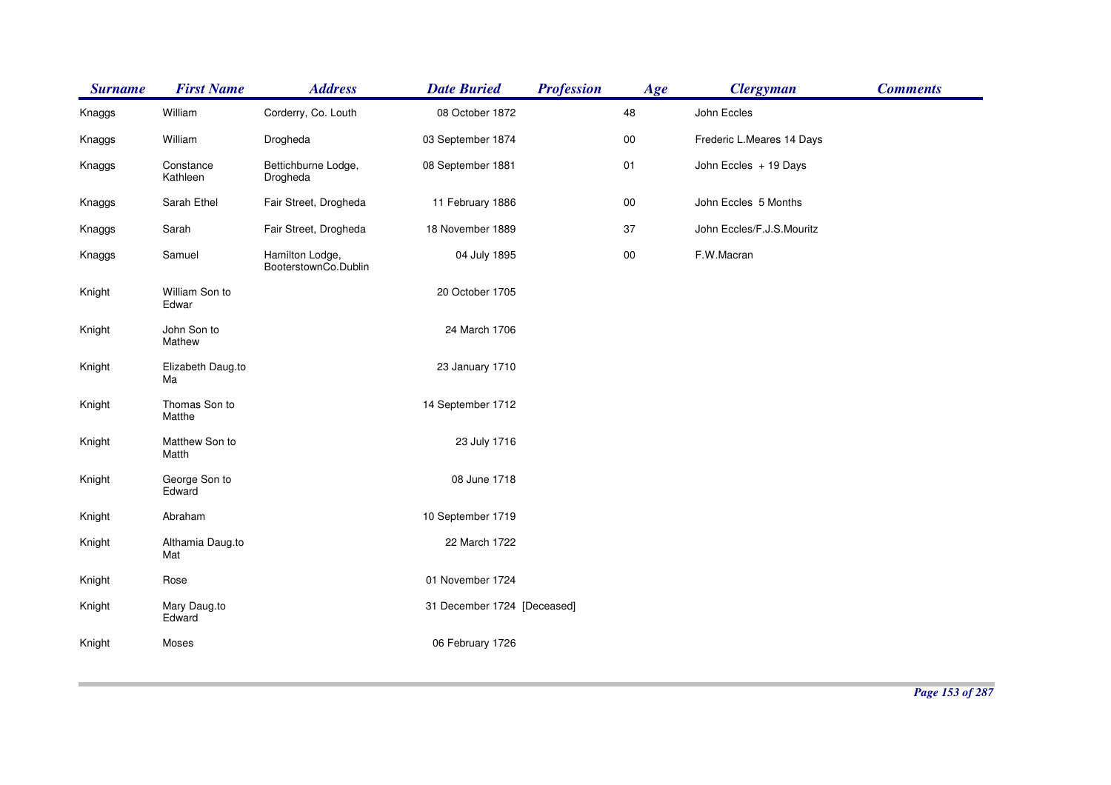| <b>Surname</b> | <b>First Name</b>       | <b>Address</b>                          | <b>Date Buried</b>          | <b>Profession</b> | Age    | <b>Clergyman</b>          | <b>Comments</b> |
|----------------|-------------------------|-----------------------------------------|-----------------------------|-------------------|--------|---------------------------|-----------------|
| Knaggs         | William                 | Corderry, Co. Louth                     | 08 October 1872             |                   | 48     | John Eccles               |                 |
| Knaggs         | William                 | Drogheda                                | 03 September 1874           |                   | $00\,$ | Frederic L.Meares 14 Days |                 |
| Knaggs         | Constance<br>Kathleen   | Bettichburne Lodge,<br>Drogheda         | 08 September 1881           |                   | 01     | John Eccles + 19 Days     |                 |
| Knaggs         | Sarah Ethel             | Fair Street, Drogheda                   | 11 February 1886            |                   | $00\,$ | John Eccles 5 Months      |                 |
| Knaggs         | Sarah                   | Fair Street, Drogheda                   | 18 November 1889            |                   | 37     | John Eccles/F.J.S.Mouritz |                 |
| Knaggs         | Samuel                  | Hamilton Lodge,<br>BooterstownCo.Dublin | 04 July 1895                |                   | $00\,$ | F.W.Macran                |                 |
| Knight         | William Son to<br>Edwar |                                         | 20 October 1705             |                   |        |                           |                 |
| Knight         | John Son to<br>Mathew   |                                         | 24 March 1706               |                   |        |                           |                 |
| Knight         | Elizabeth Daug.to<br>Ma |                                         | 23 January 1710             |                   |        |                           |                 |
| Knight         | Thomas Son to<br>Matthe |                                         | 14 September 1712           |                   |        |                           |                 |
| Knight         | Matthew Son to<br>Matth |                                         | 23 July 1716                |                   |        |                           |                 |
| Knight         | George Son to<br>Edward |                                         | 08 June 1718                |                   |        |                           |                 |
| Knight         | Abraham                 |                                         | 10 September 1719           |                   |        |                           |                 |
| Knight         | Althamia Daug.to<br>Mat |                                         | 22 March 1722               |                   |        |                           |                 |
| Knight         | Rose                    |                                         | 01 November 1724            |                   |        |                           |                 |
| Knight         | Mary Daug.to<br>Edward  |                                         | 31 December 1724 [Deceased] |                   |        |                           |                 |
| Knight         | Moses                   |                                         | 06 February 1726            |                   |        |                           |                 |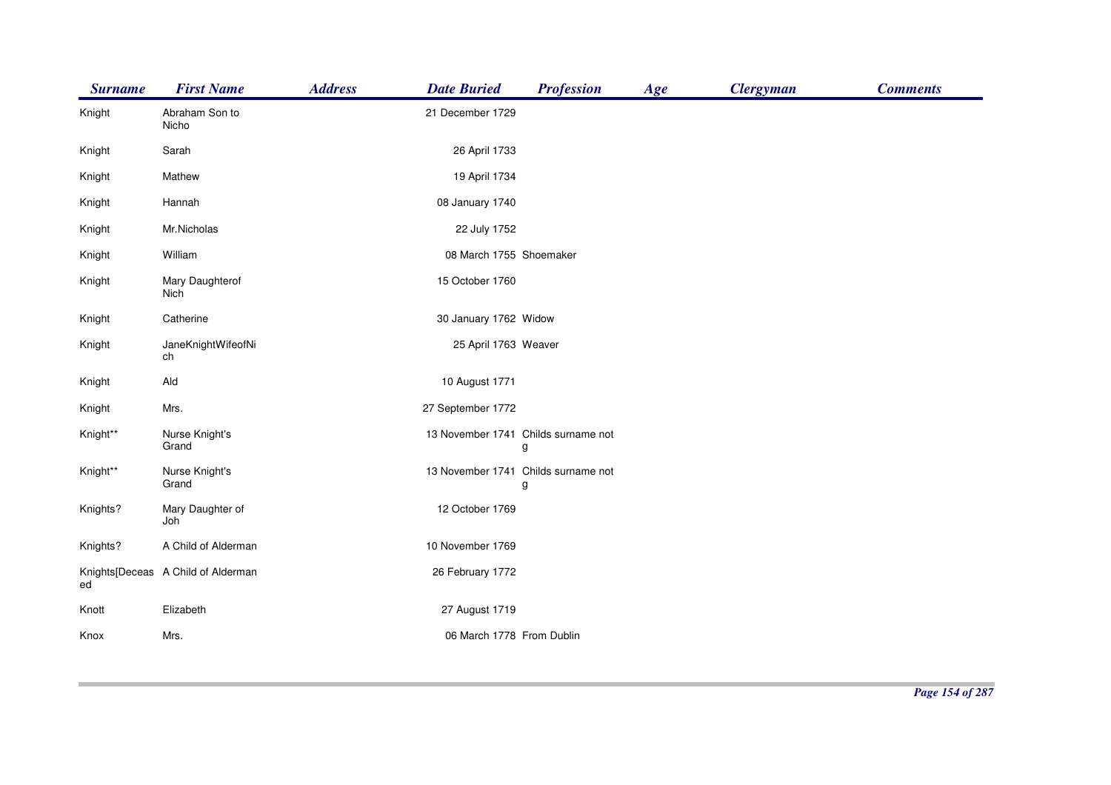| <b>Surname</b> | <b>First Name</b>                  | <b>Address</b><br><b>Date Buried</b> | <b>Profession</b>                        | Age | <b>Clergyman</b> | <b>Comments</b> |
|----------------|------------------------------------|--------------------------------------|------------------------------------------|-----|------------------|-----------------|
| Knight         | Abraham Son to<br>Nicho            | 21 December 1729                     |                                          |     |                  |                 |
| Knight         | Sarah                              |                                      | 26 April 1733                            |     |                  |                 |
| Knight         | Mathew                             |                                      | 19 April 1734                            |     |                  |                 |
| Knight         | Hannah                             | 08 January 1740                      |                                          |     |                  |                 |
| Knight         | Mr.Nicholas                        |                                      | 22 July 1752                             |     |                  |                 |
| Knight         | William                            |                                      | 08 March 1755 Shoemaker                  |     |                  |                 |
| Knight         | Mary Daughterof<br>Nich            | 15 October 1760                      |                                          |     |                  |                 |
| Knight         | Catherine                          |                                      | 30 January 1762 Widow                    |     |                  |                 |
| Knight         | JaneKnightWifeofNi<br>ch           |                                      | 25 April 1763 Weaver                     |     |                  |                 |
| Knight         | Ald                                |                                      | 10 August 1771                           |     |                  |                 |
| Knight         | Mrs.                               | 27 September 1772                    |                                          |     |                  |                 |
| Knight**       | Nurse Knight's<br>Grand            |                                      | 13 November 1741 Childs surname not<br>g |     |                  |                 |
| Knight**       | Nurse Knight's<br>Grand            |                                      | 13 November 1741 Childs surname not<br>g |     |                  |                 |
| Knights?       | Mary Daughter of<br>Joh            | 12 October 1769                      |                                          |     |                  |                 |
| Knights?       | A Child of Alderman                | 10 November 1769                     |                                          |     |                  |                 |
| ed             | Knights[Deceas A Child of Alderman | 26 February 1772                     |                                          |     |                  |                 |
| Knott          | Elizabeth                          |                                      | 27 August 1719                           |     |                  |                 |
| Knox           | Mrs.                               |                                      | 06 March 1778 From Dublin                |     |                  |                 |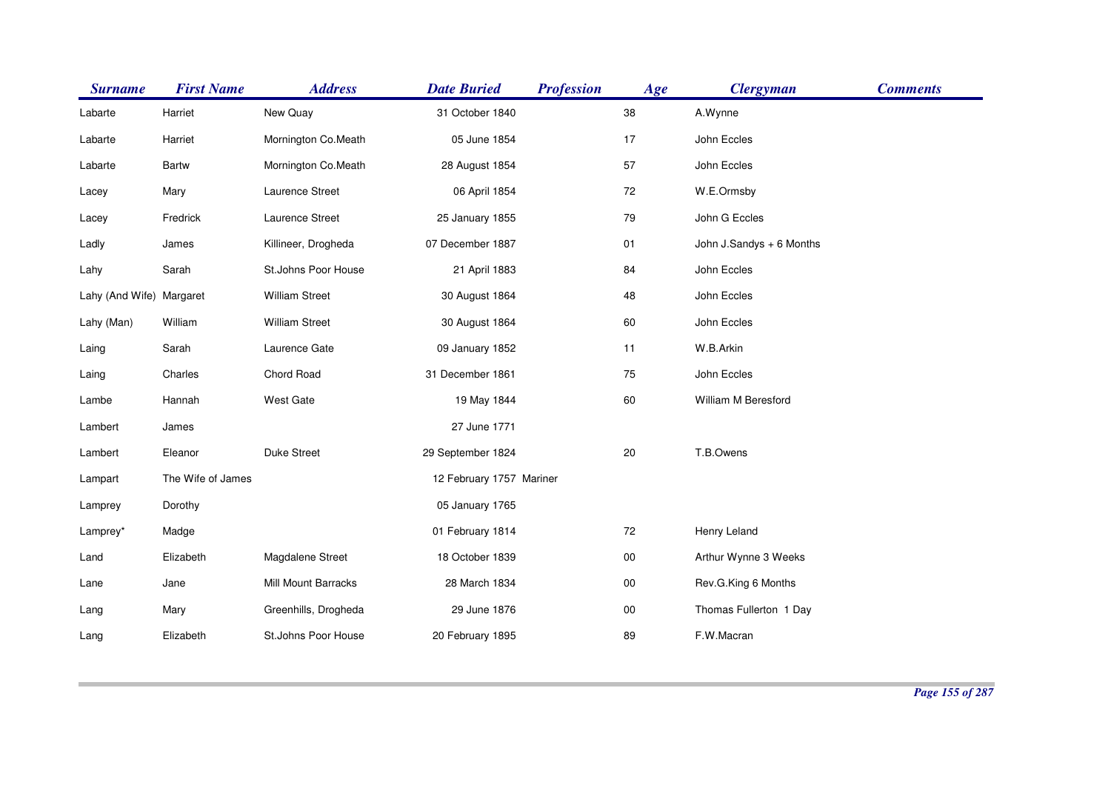| <b>Surname</b>           | <b>First Name</b> | <b>Address</b>        | <b>Date Buried</b>       | <b>Profession</b> | Age    | <b>Clergyman</b>         | <b>Comments</b> |
|--------------------------|-------------------|-----------------------|--------------------------|-------------------|--------|--------------------------|-----------------|
| Labarte                  | Harriet           | New Quay              | 31 October 1840          |                   | 38     | A.Wynne                  |                 |
| Labarte                  | Harriet           | Mornington Co.Meath   | 05 June 1854             |                   | 17     | John Eccles              |                 |
| Labarte                  | <b>Bartw</b>      | Mornington Co.Meath   | 28 August 1854           |                   | 57     | John Eccles              |                 |
| Lacey                    | Mary              | Laurence Street       | 06 April 1854            |                   | 72     | W.E.Ormsby               |                 |
| Lacey                    | Fredrick          | Laurence Street       | 25 January 1855          |                   | 79     | John G Eccles            |                 |
| Ladly                    | James             | Killineer, Drogheda   | 07 December 1887         |                   | 01     | John J.Sandys + 6 Months |                 |
| Lahy                     | Sarah             | St.Johns Poor House   | 21 April 1883            |                   | 84     | John Eccles              |                 |
| Lahy (And Wife) Margaret |                   | <b>William Street</b> | 30 August 1864           |                   | 48     | John Eccles              |                 |
| Lahy (Man)               | William           | <b>William Street</b> | 30 August 1864           |                   | 60     | John Eccles              |                 |
| Laing                    | Sarah             | Laurence Gate         | 09 January 1852          |                   | 11     | W.B.Arkin                |                 |
| Laing                    | Charles           | Chord Road            | 31 December 1861         |                   | 75     | John Eccles              |                 |
| Lambe                    | Hannah            | West Gate             | 19 May 1844              |                   | 60     | William M Beresford      |                 |
| Lambert                  | James             |                       | 27 June 1771             |                   |        |                          |                 |
| Lambert                  | Eleanor           | Duke Street           | 29 September 1824        |                   | 20     | T.B.Owens                |                 |
| Lampart                  | The Wife of James |                       | 12 February 1757 Mariner |                   |        |                          |                 |
| Lamprey                  | Dorothy           |                       | 05 January 1765          |                   |        |                          |                 |
| Lamprey*                 | Madge             |                       | 01 February 1814         |                   | 72     | Henry Leland             |                 |
| Land                     | Elizabeth         | Magdalene Street      | 18 October 1839          |                   | $00\,$ | Arthur Wynne 3 Weeks     |                 |
| Lane                     | Jane              | Mill Mount Barracks   | 28 March 1834            |                   | $00\,$ | Rev.G.King 6 Months      |                 |
| Lang                     | Mary              | Greenhills, Drogheda  | 29 June 1876             |                   | $00\,$ | Thomas Fullerton 1 Day   |                 |
| Lang                     | Elizabeth         | St.Johns Poor House   | 20 February 1895         |                   | 89     | F.W.Macran               |                 |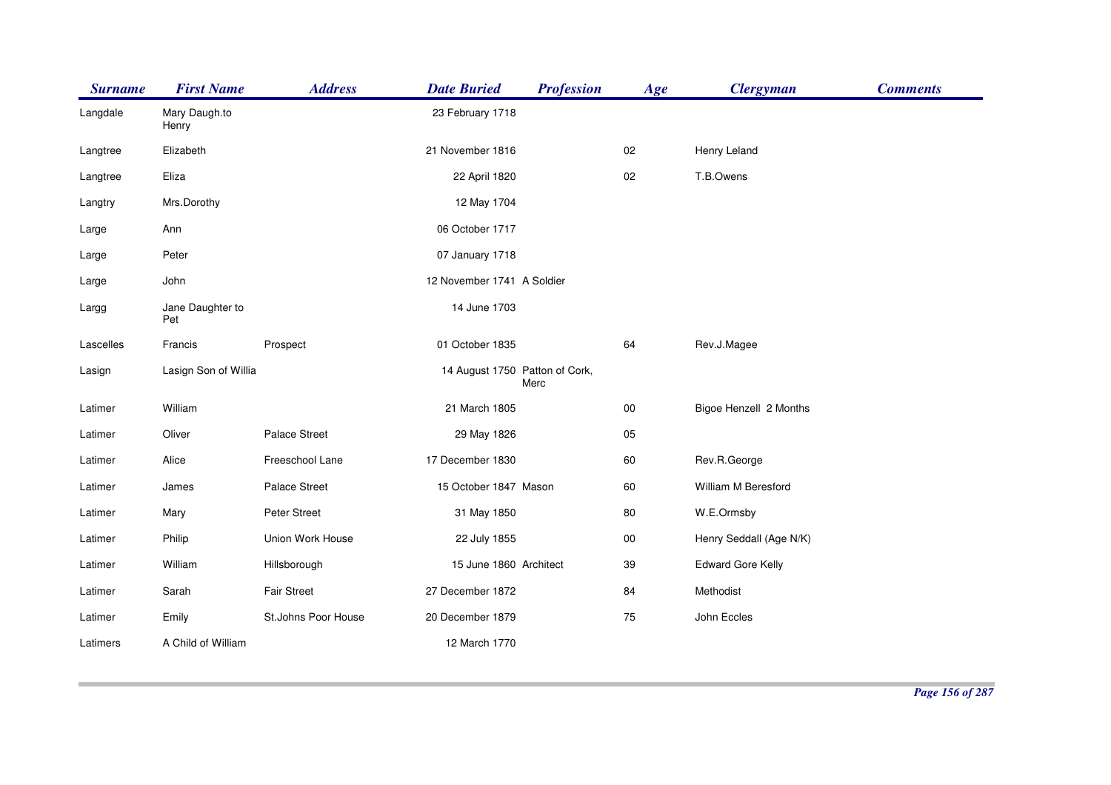| <b>Surname</b> | <b>First Name</b>       | <b>Address</b>      | <b>Date Buried</b>             | <b>Profession</b> | Age    | <b>Clergyman</b>         | <b>Comments</b> |
|----------------|-------------------------|---------------------|--------------------------------|-------------------|--------|--------------------------|-----------------|
| Langdale       | Mary Daugh.to<br>Henry  |                     | 23 February 1718               |                   |        |                          |                 |
| Langtree       | Elizabeth               |                     | 21 November 1816               |                   | 02     | Henry Leland             |                 |
| Langtree       | Eliza                   |                     | 22 April 1820                  |                   | 02     | T.B.Owens                |                 |
| Langtry        | Mrs.Dorothy             |                     | 12 May 1704                    |                   |        |                          |                 |
| Large          | Ann                     |                     | 06 October 1717                |                   |        |                          |                 |
| Large          | Peter                   |                     | 07 January 1718                |                   |        |                          |                 |
| Large          | John                    |                     | 12 November 1741 A Soldier     |                   |        |                          |                 |
| Largg          | Jane Daughter to<br>Pet |                     | 14 June 1703                   |                   |        |                          |                 |
| Lascelles      | Francis                 | Prospect            | 01 October 1835                |                   | 64     | Rev.J.Magee              |                 |
| Lasign         | Lasign Son of Willia    |                     | 14 August 1750 Patton of Cork, | Merc              |        |                          |                 |
| Latimer        | William                 |                     | 21 March 1805                  |                   | $00\,$ | Bigoe Henzell 2 Months   |                 |
| Latimer        | Oliver                  | Palace Street       | 29 May 1826                    |                   | 05     |                          |                 |
| Latimer        | Alice                   | Freeschool Lane     | 17 December 1830               |                   | 60     | Rev.R.George             |                 |
| Latimer        | James                   | Palace Street       | 15 October 1847 Mason          |                   | 60     | William M Beresford      |                 |
| Latimer        | Mary                    | Peter Street        | 31 May 1850                    |                   | 80     | W.E.Ormsby               |                 |
| Latimer        | Philip                  | Union Work House    | 22 July 1855                   |                   | $00\,$ | Henry Seddall (Age N/K)  |                 |
| Latimer        | William                 | Hillsborough        | 15 June 1860 Architect         |                   | 39     | <b>Edward Gore Kelly</b> |                 |
| Latimer        | Sarah                   | Fair Street         | 27 December 1872               |                   | 84     | Methodist                |                 |
| Latimer        | Emily                   | St.Johns Poor House | 20 December 1879               |                   | 75     | John Eccles              |                 |
| Latimers       | A Child of William      |                     | 12 March 1770                  |                   |        |                          |                 |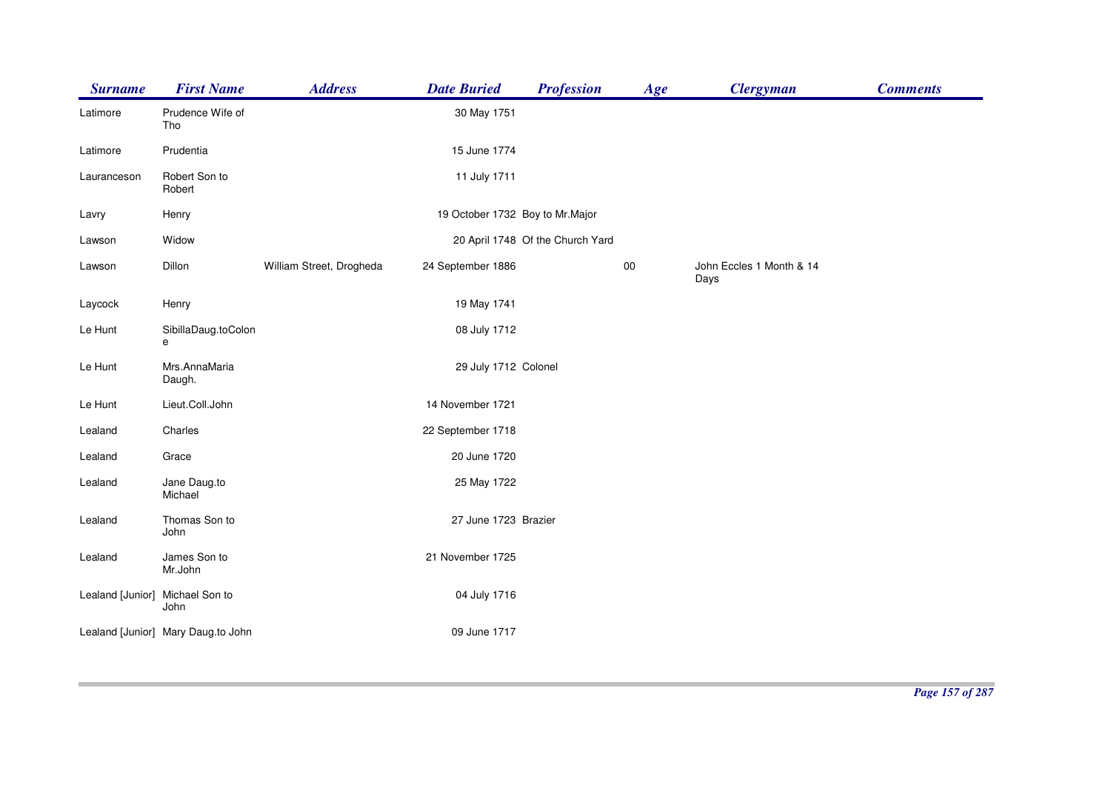| <b>Surname</b>   | <b>First Name</b>                  | <b>Address</b>           | <b>Date Buried</b>              | <b>Profession</b>                | Age    | <b>Clergyman</b>                 | <b>Comments</b> |
|------------------|------------------------------------|--------------------------|---------------------------------|----------------------------------|--------|----------------------------------|-----------------|
| Latimore         | Prudence Wife of<br>Tho            |                          | 30 May 1751                     |                                  |        |                                  |                 |
| Latimore         | Prudentia                          |                          | 15 June 1774                    |                                  |        |                                  |                 |
| Lauranceson      | Robert Son to<br>Robert            |                          | 11 July 1711                    |                                  |        |                                  |                 |
| Lavry            | Henry                              |                          | 19 October 1732 Boy to Mr.Major |                                  |        |                                  |                 |
| Lawson           | Widow                              |                          |                                 | 20 April 1748 Of the Church Yard |        |                                  |                 |
| Lawson           | Dillon                             | William Street, Drogheda | 24 September 1886               |                                  | $00\,$ | John Eccles 1 Month & 14<br>Days |                 |
| Laycock          | Henry                              |                          | 19 May 1741                     |                                  |        |                                  |                 |
| Le Hunt          | SibillaDaug.toColon<br>e           |                          | 08 July 1712                    |                                  |        |                                  |                 |
| Le Hunt          | Mrs.AnnaMaria<br>Daugh.            |                          | 29 July 1712 Colonel            |                                  |        |                                  |                 |
| Le Hunt          | Lieut.Coll.John                    |                          | 14 November 1721                |                                  |        |                                  |                 |
| Lealand          | Charles                            |                          | 22 September 1718               |                                  |        |                                  |                 |
| Lealand          | Grace                              |                          | 20 June 1720                    |                                  |        |                                  |                 |
| Lealand          | Jane Daug.to<br>Michael            |                          | 25 May 1722                     |                                  |        |                                  |                 |
| Lealand          | Thomas Son to<br>John              |                          | 27 June 1723 Brazier            |                                  |        |                                  |                 |
| Lealand          | James Son to<br>Mr.John            |                          | 21 November 1725                |                                  |        |                                  |                 |
| Lealand [Junior] | Michael Son to<br>John             |                          | 04 July 1716                    |                                  |        |                                  |                 |
|                  | Lealand [Junior] Mary Daug.to John |                          | 09 June 1717                    |                                  |        |                                  |                 |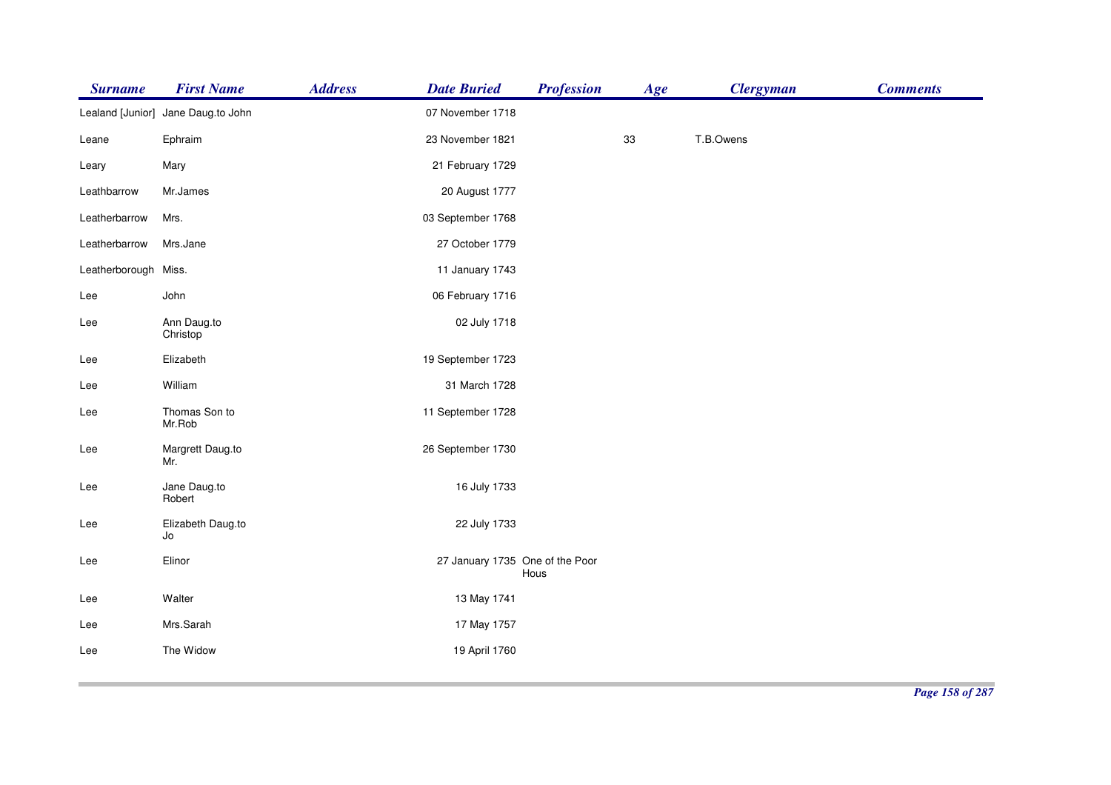| <b>Surname</b>       | <b>First Name</b>                  | <b>Address</b> | <b>Date Buried</b>              | <b>Profession</b> | Age | <b>Clergyman</b> | <b>Comments</b> |
|----------------------|------------------------------------|----------------|---------------------------------|-------------------|-----|------------------|-----------------|
|                      | Lealand [Junior] Jane Daug.to John |                | 07 November 1718                |                   |     |                  |                 |
| Leane                | Ephraim                            |                | 23 November 1821                |                   | 33  | T.B.Owens        |                 |
| Leary                | Mary                               |                | 21 February 1729                |                   |     |                  |                 |
| Leathbarrow          | Mr.James                           |                | 20 August 1777                  |                   |     |                  |                 |
| Leatherbarrow        | Mrs.                               |                | 03 September 1768               |                   |     |                  |                 |
| Leatherbarrow        | Mrs.Jane                           |                | 27 October 1779                 |                   |     |                  |                 |
| Leatherborough Miss. |                                    |                | 11 January 1743                 |                   |     |                  |                 |
| Lee                  | John                               |                | 06 February 1716                |                   |     |                  |                 |
| Lee                  | Ann Daug.to<br>Christop            |                | 02 July 1718                    |                   |     |                  |                 |
| Lee                  | Elizabeth                          |                | 19 September 1723               |                   |     |                  |                 |
| Lee                  | William                            |                | 31 March 1728                   |                   |     |                  |                 |
| Lee                  | Thomas Son to<br>Mr.Rob            |                | 11 September 1728               |                   |     |                  |                 |
| Lee                  | Margrett Daug.to<br>Mr.            |                | 26 September 1730               |                   |     |                  |                 |
| Lee                  | Jane Daug.to<br>Robert             |                | 16 July 1733                    |                   |     |                  |                 |
| Lee                  | Elizabeth Daug.to<br>Jo            |                | 22 July 1733                    |                   |     |                  |                 |
| Lee                  | Elinor                             |                | 27 January 1735 One of the Poor | Hous              |     |                  |                 |
| Lee                  | Walter                             |                | 13 May 1741                     |                   |     |                  |                 |
| Lee                  | Mrs.Sarah                          |                | 17 May 1757                     |                   |     |                  |                 |
| Lee                  | The Widow                          |                | 19 April 1760                   |                   |     |                  |                 |
|                      |                                    |                |                                 |                   |     |                  |                 |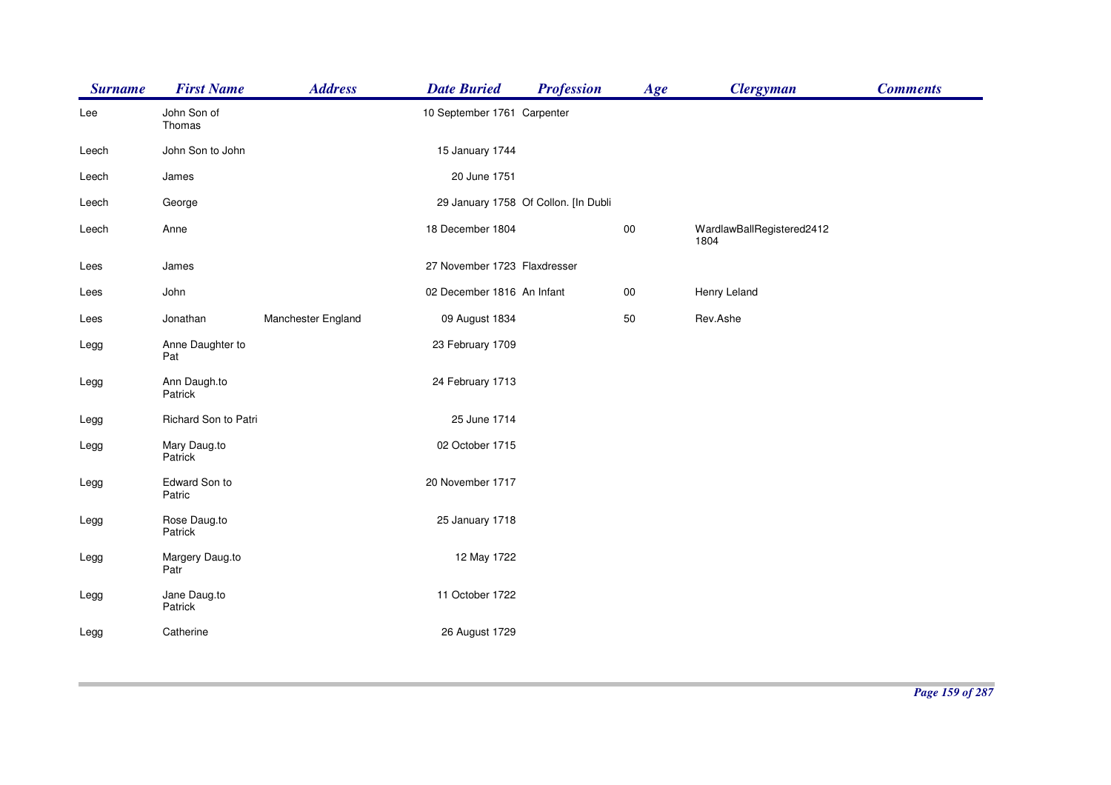| <b>Surname</b> | <b>First Name</b>       | <b>Address</b>     | <b>Date Buried</b>           | <b>Profession</b>                    | Age        | <b>Clergyman</b>                  | <b>Comments</b> |
|----------------|-------------------------|--------------------|------------------------------|--------------------------------------|------------|-----------------------------------|-----------------|
| Lee            | John Son of<br>Thomas   |                    | 10 September 1761 Carpenter  |                                      |            |                                   |                 |
| Leech          | John Son to John        |                    | 15 January 1744              |                                      |            |                                   |                 |
| Leech          | James                   |                    | 20 June 1751                 |                                      |            |                                   |                 |
| Leech          | George                  |                    |                              | 29 January 1758 Of Collon. [In Dubli |            |                                   |                 |
| Leech          | Anne                    |                    | 18 December 1804             |                                      | $00\,$     | WardlawBallRegistered2412<br>1804 |                 |
| Lees           | James                   |                    | 27 November 1723 Flaxdresser |                                      |            |                                   |                 |
| Lees           | John                    |                    | 02 December 1816 An Infant   |                                      | ${\bf 00}$ | Henry Leland                      |                 |
| Lees           | Jonathan                | Manchester England | 09 August 1834               |                                      | 50         | Rev.Ashe                          |                 |
| Legg           | Anne Daughter to<br>Pat |                    | 23 February 1709             |                                      |            |                                   |                 |
| Legg           | Ann Daugh.to<br>Patrick |                    | 24 February 1713             |                                      |            |                                   |                 |
| Legg           | Richard Son to Patri    |                    | 25 June 1714                 |                                      |            |                                   |                 |
| Legg           | Mary Daug.to<br>Patrick |                    | 02 October 1715              |                                      |            |                                   |                 |
| Legg           | Edward Son to<br>Patric |                    | 20 November 1717             |                                      |            |                                   |                 |
| Legg           | Rose Daug.to<br>Patrick |                    | 25 January 1718              |                                      |            |                                   |                 |
| Legg           | Margery Daug.to<br>Patr |                    | 12 May 1722                  |                                      |            |                                   |                 |
| Legg           | Jane Daug.to<br>Patrick |                    | 11 October 1722              |                                      |            |                                   |                 |
| Legg           | Catherine               |                    | 26 August 1729               |                                      |            |                                   |                 |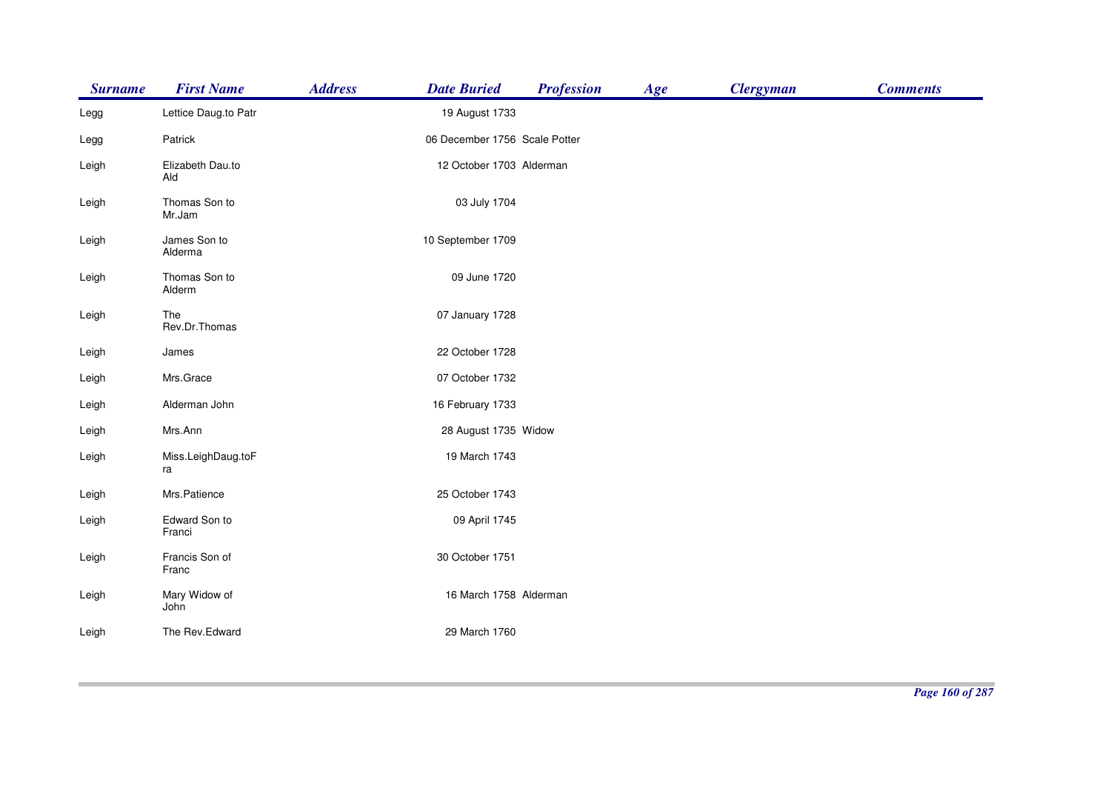| <b>Surname</b> | <b>First Name</b>        | <b>Address</b> | <b>Date Buried</b>            | <b>Profession</b> | Age | <b>Clergyman</b> | <b>Comments</b> |
|----------------|--------------------------|----------------|-------------------------------|-------------------|-----|------------------|-----------------|
| Legg           | Lettice Daug.to Patr     |                | 19 August 1733                |                   |     |                  |                 |
| Legg           | Patrick                  |                | 06 December 1756 Scale Potter |                   |     |                  |                 |
| Leigh          | Elizabeth Dau.to<br>Ald  |                | 12 October 1703 Alderman      |                   |     |                  |                 |
| Leigh          | Thomas Son to<br>Mr.Jam  |                | 03 July 1704                  |                   |     |                  |                 |
| Leigh          | James Son to<br>Alderma  |                | 10 September 1709             |                   |     |                  |                 |
| Leigh          | Thomas Son to<br>Alderm  |                | 09 June 1720                  |                   |     |                  |                 |
| Leigh          | The<br>Rev.Dr.Thomas     |                | 07 January 1728               |                   |     |                  |                 |
| Leigh          | James                    |                | 22 October 1728               |                   |     |                  |                 |
| Leigh          | Mrs.Grace                |                | 07 October 1732               |                   |     |                  |                 |
| Leigh          | Alderman John            |                | 16 February 1733              |                   |     |                  |                 |
| Leigh          | Mrs.Ann                  |                | 28 August 1735 Widow          |                   |     |                  |                 |
| Leigh          | Miss.LeighDaug.toF<br>ra |                | 19 March 1743                 |                   |     |                  |                 |
| Leigh          | Mrs.Patience             |                | 25 October 1743               |                   |     |                  |                 |
| Leigh          | Edward Son to<br>Franci  |                | 09 April 1745                 |                   |     |                  |                 |
| Leigh          | Francis Son of<br>Franc  |                | 30 October 1751               |                   |     |                  |                 |
| Leigh          | Mary Widow of<br>John    |                | 16 March 1758 Alderman        |                   |     |                  |                 |
| Leigh          | The Rev.Edward           |                | 29 March 1760                 |                   |     |                  |                 |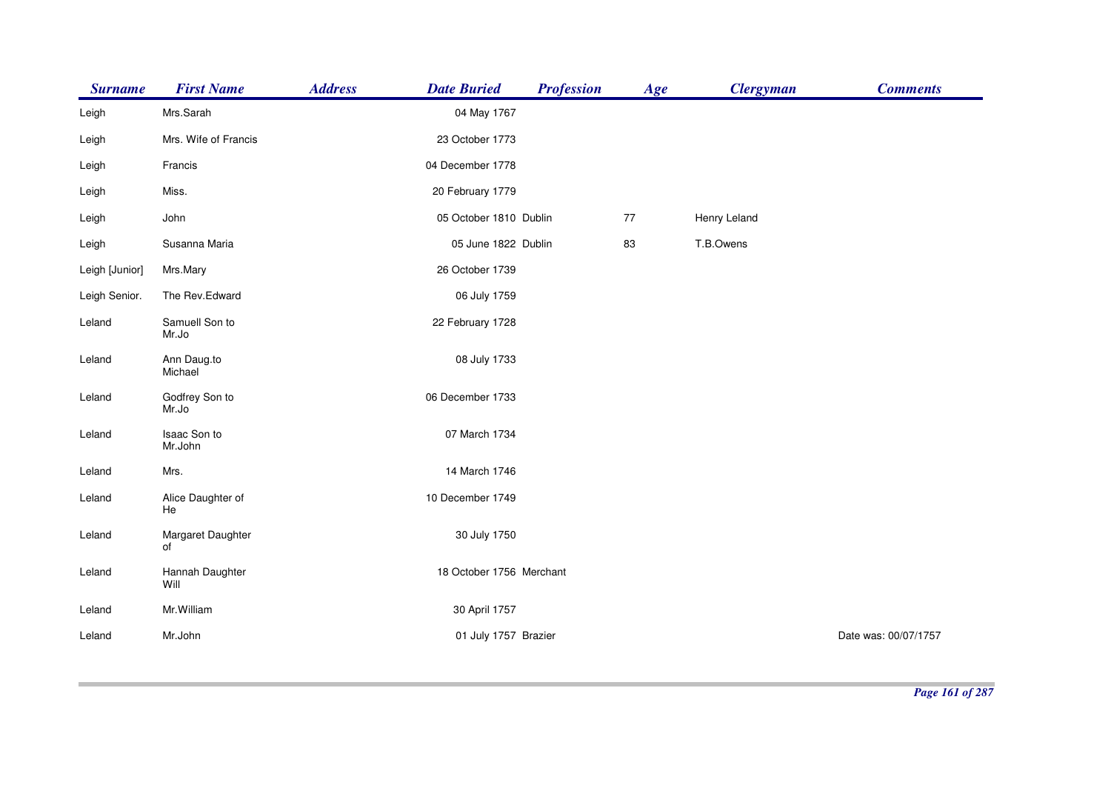| <b>Surname</b> | <b>First Name</b>       | <b>Address</b> | <b>Date Buried</b>       | <b>Profession</b> | Age | <b>Clergyman</b> | <b>Comments</b>      |
|----------------|-------------------------|----------------|--------------------------|-------------------|-----|------------------|----------------------|
| Leigh          | Mrs.Sarah               |                | 04 May 1767              |                   |     |                  |                      |
| Leigh          | Mrs. Wife of Francis    |                | 23 October 1773          |                   |     |                  |                      |
| Leigh          | Francis                 |                | 04 December 1778         |                   |     |                  |                      |
| Leigh          | Miss.                   |                | 20 February 1779         |                   |     |                  |                      |
| Leigh          | John                    |                | 05 October 1810 Dublin   |                   | 77  | Henry Leland     |                      |
| Leigh          | Susanna Maria           |                | 05 June 1822 Dublin      |                   | 83  | T.B.Owens        |                      |
| Leigh [Junior] | Mrs.Mary                |                | 26 October 1739          |                   |     |                  |                      |
| Leigh Senior.  | The Rev.Edward          |                | 06 July 1759             |                   |     |                  |                      |
| Leland         | Samuell Son to<br>Mr.Jo |                | 22 February 1728         |                   |     |                  |                      |
| Leland         | Ann Daug.to<br>Michael  |                | 08 July 1733             |                   |     |                  |                      |
| Leland         | Godfrey Son to<br>Mr.Jo |                | 06 December 1733         |                   |     |                  |                      |
| Leland         | Isaac Son to<br>Mr.John |                | 07 March 1734            |                   |     |                  |                      |
| Leland         | Mrs.                    |                | 14 March 1746            |                   |     |                  |                      |
| Leland         | Alice Daughter of<br>He |                | 10 December 1749         |                   |     |                  |                      |
| Leland         | Margaret Daughter<br>of |                | 30 July 1750             |                   |     |                  |                      |
| Leland         | Hannah Daughter<br>Will |                | 18 October 1756 Merchant |                   |     |                  |                      |
| Leland         | Mr. William             |                | 30 April 1757            |                   |     |                  |                      |
| Leland         | Mr.John                 |                | 01 July 1757 Brazier     |                   |     |                  | Date was: 00/07/1757 |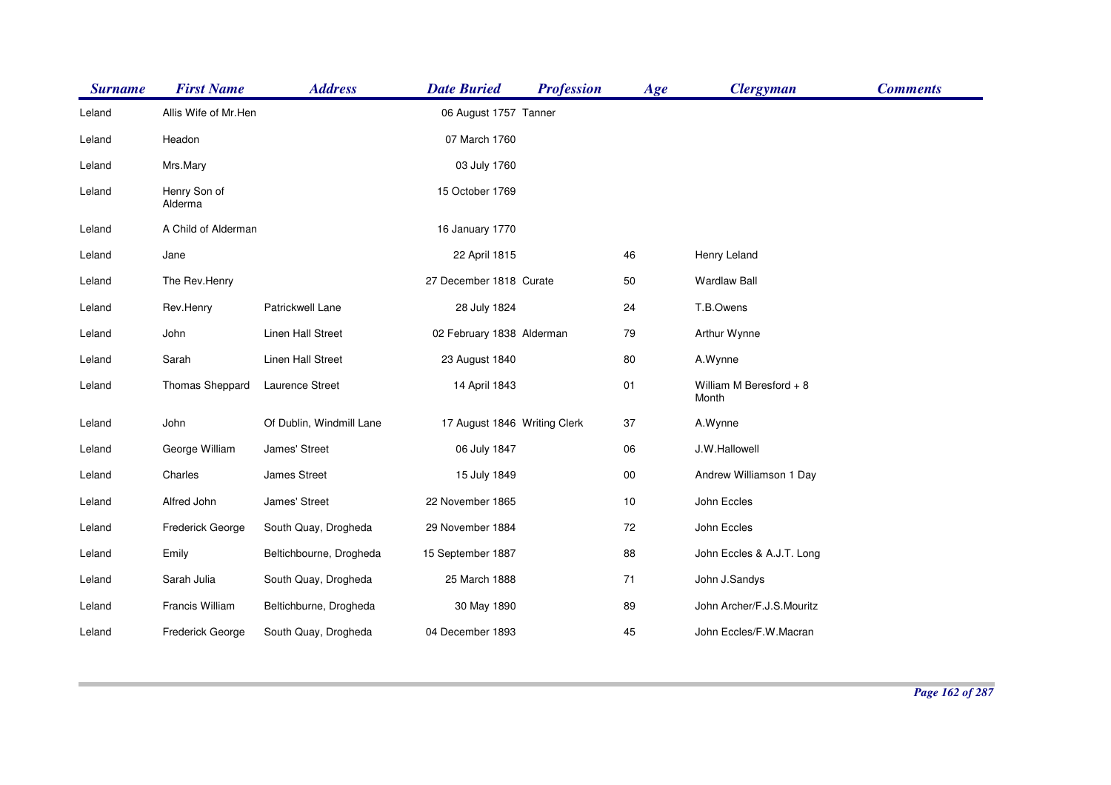| <b>Surname</b> | <b>First Name</b>       | <b>Address</b>           | <b>Date Buried</b>           | <b>Profession</b> | Age    | <b>Clergyman</b>                  | <b>Comments</b> |
|----------------|-------------------------|--------------------------|------------------------------|-------------------|--------|-----------------------------------|-----------------|
| Leland         | Allis Wife of Mr.Hen    |                          | 06 August 1757 Tanner        |                   |        |                                   |                 |
| Leland         | Headon                  |                          | 07 March 1760                |                   |        |                                   |                 |
| Leland         | Mrs.Mary                |                          | 03 July 1760                 |                   |        |                                   |                 |
| Leland         | Henry Son of<br>Alderma |                          | 15 October 1769              |                   |        |                                   |                 |
| Leland         | A Child of Alderman     |                          | 16 January 1770              |                   |        |                                   |                 |
| Leland         | Jane                    |                          | 22 April 1815                |                   | 46     | Henry Leland                      |                 |
| Leland         | The Rev.Henry           |                          | 27 December 1818 Curate      |                   | 50     | <b>Wardlaw Ball</b>               |                 |
| Leland         | Rev.Henry               | Patrickwell Lane         | 28 July 1824                 |                   | 24     | T.B.Owens                         |                 |
| Leland         | John                    | <b>Linen Hall Street</b> | 02 February 1838 Alderman    |                   | 79     | Arthur Wynne                      |                 |
| Leland         | Sarah                   | Linen Hall Street        | 23 August 1840               |                   | 80     | A.Wynne                           |                 |
| Leland         | Thomas Sheppard         | <b>Laurence Street</b>   | 14 April 1843                |                   | 01     | William M Beresford $+8$<br>Month |                 |
| Leland         | John                    | Of Dublin, Windmill Lane | 17 August 1846 Writing Clerk |                   | 37     | A.Wynne                           |                 |
| Leland         | George William          | James' Street            | 06 July 1847                 |                   | 06     | J.W.Hallowell                     |                 |
| Leland         | Charles                 | James Street             | 15 July 1849                 |                   | $00\,$ | Andrew Williamson 1 Day           |                 |
| Leland         | Alfred John             | James' Street            | 22 November 1865             |                   | 10     | John Eccles                       |                 |
| Leland         | Frederick George        | South Quay, Drogheda     | 29 November 1884             |                   | 72     | John Eccles                       |                 |
| Leland         | Emily                   | Beltichbourne, Drogheda  | 15 September 1887            |                   | 88     | John Eccles & A.J.T. Long         |                 |
| Leland         | Sarah Julia             | South Quay, Drogheda     | 25 March 1888                |                   | 71     | John J.Sandys                     |                 |
| Leland         | Francis William         | Beltichburne, Drogheda   | 30 May 1890                  |                   | 89     | John Archer/F.J.S.Mouritz         |                 |
| Leland         | Frederick George        | South Quay, Drogheda     | 04 December 1893             |                   | 45     | John Eccles/F.W.Macran            |                 |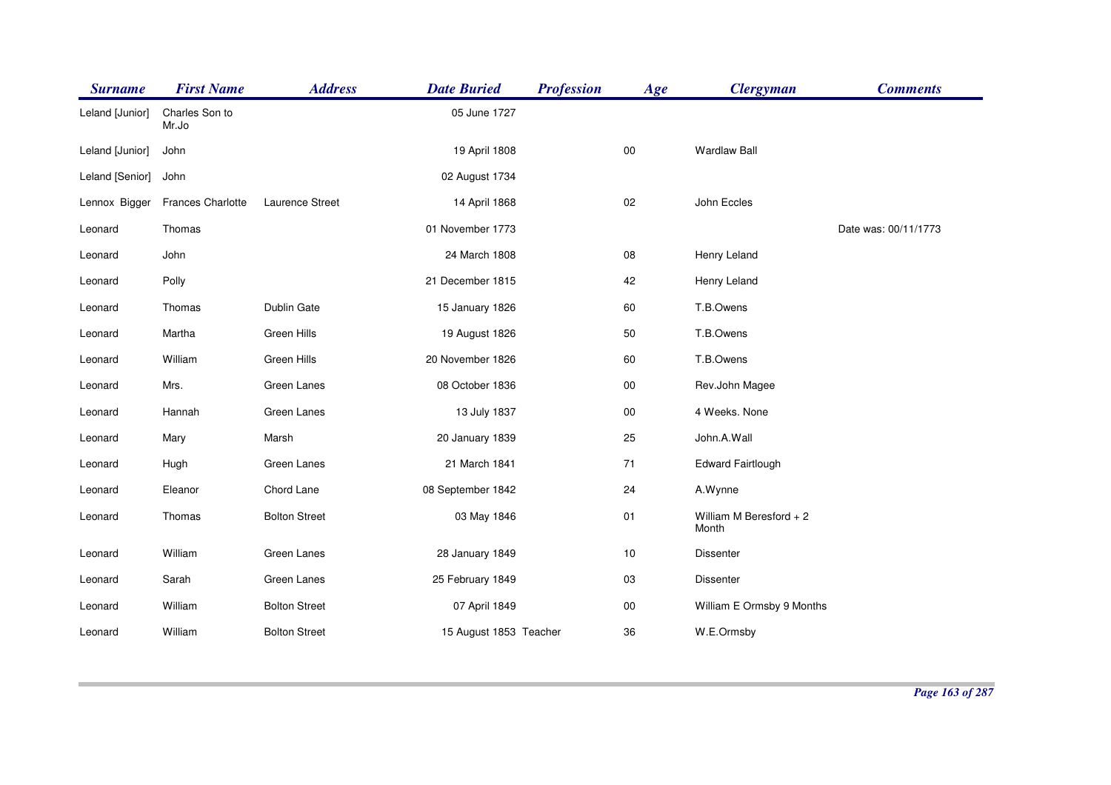| <b>Surname</b>  | <b>First Name</b>       | <b>Address</b>       | <b>Date Buried</b>     | <b>Profession</b> | Age        | <b>Clergyman</b>                  | <b>Comments</b>      |
|-----------------|-------------------------|----------------------|------------------------|-------------------|------------|-----------------------------------|----------------------|
| Leland [Junior] | Charles Son to<br>Mr.Jo |                      | 05 June 1727           |                   |            |                                   |                      |
| Leland [Junior] | John                    |                      | 19 April 1808          |                   | $00\,$     | <b>Wardlaw Ball</b>               |                      |
| Leland [Senior] | John                    |                      | 02 August 1734         |                   |            |                                   |                      |
| Lennox Bigger   | Frances Charlotte       | Laurence Street      | 14 April 1868          |                   | 02         | John Eccles                       |                      |
| Leonard         | Thomas                  |                      | 01 November 1773       |                   |            |                                   | Date was: 00/11/1773 |
| Leonard         | John                    |                      | 24 March 1808          |                   | 08         | Henry Leland                      |                      |
| Leonard         | Polly                   |                      | 21 December 1815       |                   | 42         | Henry Leland                      |                      |
| Leonard         | Thomas                  | Dublin Gate          | 15 January 1826        |                   | 60         | T.B.Owens                         |                      |
| Leonard         | Martha                  | Green Hills          | 19 August 1826         |                   | 50         | T.B.Owens                         |                      |
| Leonard         | William                 | Green Hills          | 20 November 1826       |                   | 60         | T.B.Owens                         |                      |
| Leonard         | Mrs.                    | Green Lanes          | 08 October 1836        |                   | $00\,$     | Rev.John Magee                    |                      |
| Leonard         | Hannah                  | Green Lanes          | 13 July 1837           |                   | ${\bf 00}$ | 4 Weeks. None                     |                      |
| Leonard         | Mary                    | Marsh                | 20 January 1839        |                   | 25         | John.A.Wall                       |                      |
| Leonard         | Hugh                    | Green Lanes          | 21 March 1841          |                   | 71         | <b>Edward Fairtlough</b>          |                      |
| Leonard         | Eleanor                 | Chord Lane           | 08 September 1842      |                   | 24         | A.Wynne                           |                      |
| Leonard         | Thomas                  | <b>Bolton Street</b> | 03 May 1846            |                   | 01         | William M Beresford $+2$<br>Month |                      |
| Leonard         | William                 | Green Lanes          | 28 January 1849        |                   | $10$       | <b>Dissenter</b>                  |                      |
| Leonard         | Sarah                   | Green Lanes          | 25 February 1849       |                   | 03         | <b>Dissenter</b>                  |                      |
| Leonard         | William                 | <b>Bolton Street</b> | 07 April 1849          |                   | $00\,$     | William E Ormsby 9 Months         |                      |
| Leonard         | William                 | <b>Bolton Street</b> | 15 August 1853 Teacher |                   | 36         | W.E.Ormsby                        |                      |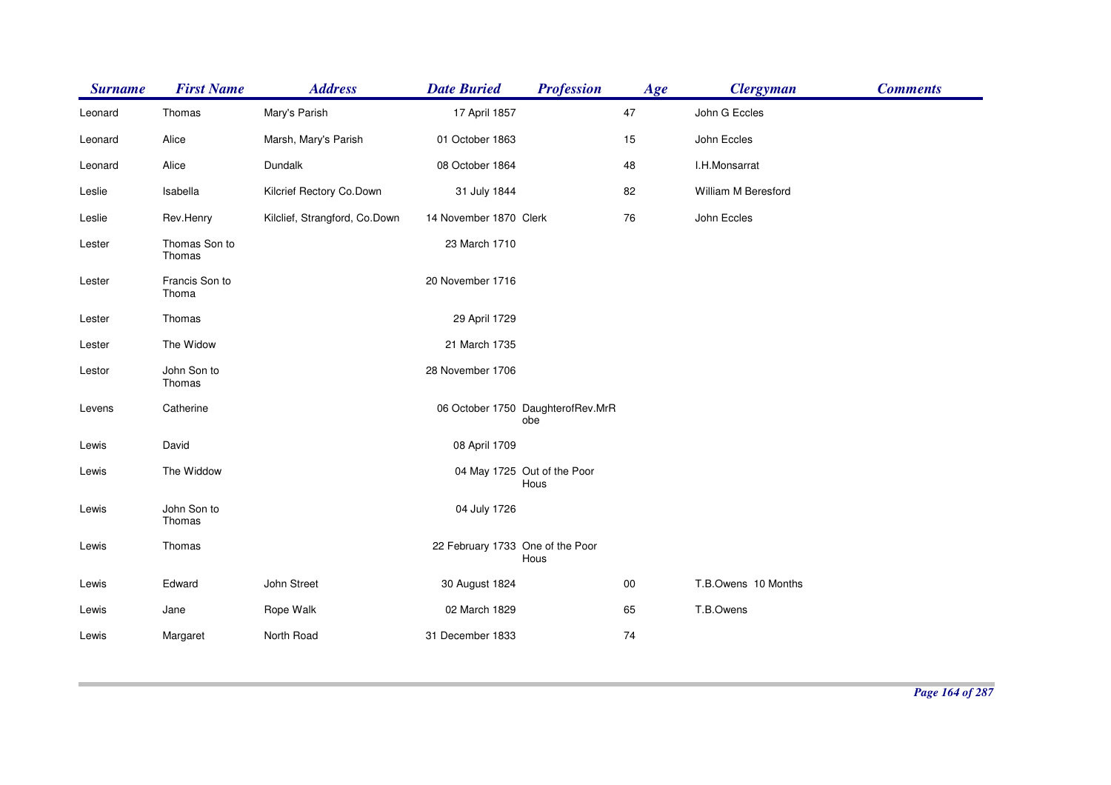| <b>Surname</b> | <b>First Name</b>       | <b>Address</b>                | <b>Date Buried</b>               | <b>Profession</b>                        | Age        | <b>Clergyman</b>    | <b>Comments</b> |
|----------------|-------------------------|-------------------------------|----------------------------------|------------------------------------------|------------|---------------------|-----------------|
| Leonard        | Thomas                  | Mary's Parish                 | 17 April 1857                    |                                          | 47         | John G Eccles       |                 |
| Leonard        | Alice                   | Marsh, Mary's Parish          | 01 October 1863                  |                                          | 15         | John Eccles         |                 |
| Leonard        | Alice                   | Dundalk                       | 08 October 1864                  |                                          | 48         | I.H.Monsarrat       |                 |
| Leslie         | Isabella                | Kilcrief Rectory Co.Down      | 31 July 1844                     |                                          | 82         | William M Beresford |                 |
| Leslie         | Rev.Henry               | Kilclief, Strangford, Co.Down | 14 November 1870 Clerk           |                                          | 76         | John Eccles         |                 |
| Lester         | Thomas Son to<br>Thomas |                               | 23 March 1710                    |                                          |            |                     |                 |
| Lester         | Francis Son to<br>Thoma |                               | 20 November 1716                 |                                          |            |                     |                 |
| Lester         | Thomas                  |                               | 29 April 1729                    |                                          |            |                     |                 |
| Lester         | The Widow               |                               | 21 March 1735                    |                                          |            |                     |                 |
| Lestor         | John Son to<br>Thomas   |                               | 28 November 1706                 |                                          |            |                     |                 |
| Levens         | Catherine               |                               |                                  | 06 October 1750 DaughterofRev.MrR<br>obe |            |                     |                 |
| Lewis          | David                   |                               | 08 April 1709                    |                                          |            |                     |                 |
| Lewis          | The Widdow              |                               |                                  | 04 May 1725 Out of the Poor<br>Hous      |            |                     |                 |
| Lewis          | John Son to<br>Thomas   |                               | 04 July 1726                     |                                          |            |                     |                 |
| Lewis          | Thomas                  |                               | 22 February 1733 One of the Poor | Hous                                     |            |                     |                 |
| Lewis          | Edward                  | John Street                   | 30 August 1824                   |                                          | ${\bf 00}$ | T.B.Owens 10 Months |                 |
| Lewis          | Jane                    | Rope Walk                     | 02 March 1829                    |                                          | 65         | T.B.Owens           |                 |
| Lewis          | Margaret                | North Road                    | 31 December 1833                 |                                          | 74         |                     |                 |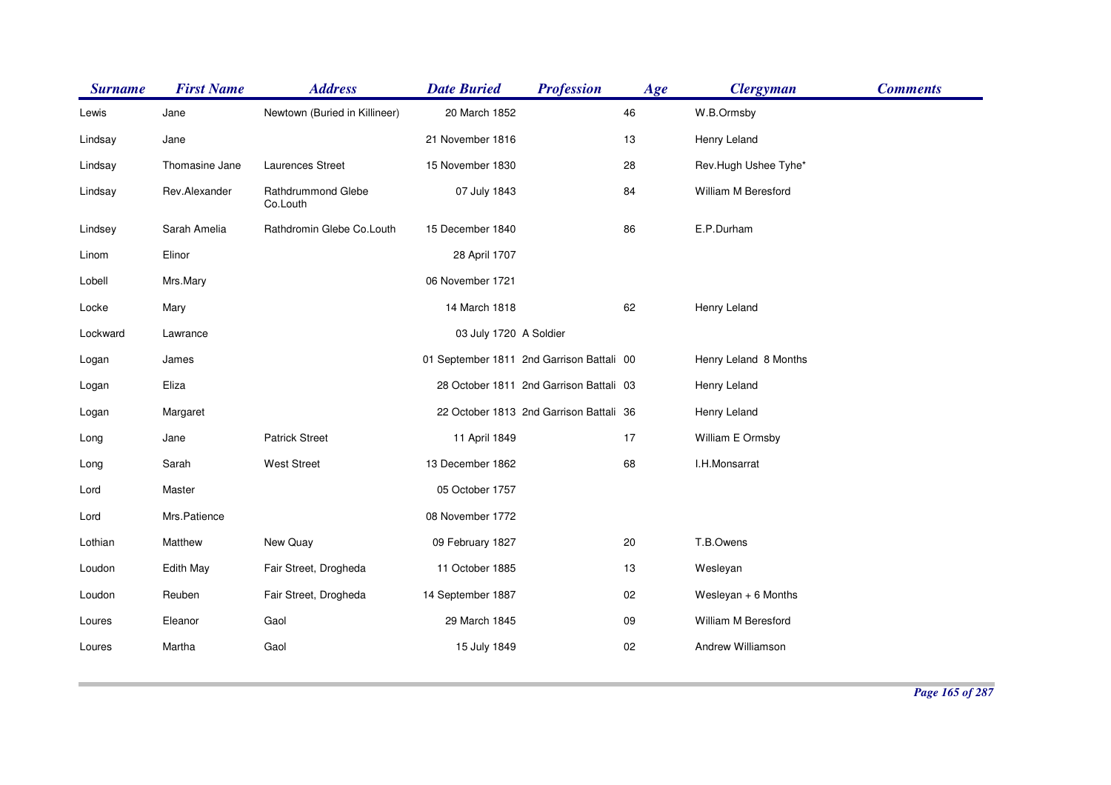| <b>Surname</b> | <b>First Name</b> | <b>Address</b>                 | <b>Date Buried</b>                        | <b>Profession</b>                       | Age | <b>Clergyman</b>      | <b>Comments</b> |
|----------------|-------------------|--------------------------------|-------------------------------------------|-----------------------------------------|-----|-----------------------|-----------------|
| Lewis          | Jane              | Newtown (Buried in Killineer)  | 20 March 1852                             |                                         | 46  | W.B.Ormsby            |                 |
| Lindsay        | Jane              |                                | 21 November 1816                          |                                         | 13  | Henry Leland          |                 |
| Lindsay        | Thomasine Jane    | Laurences Street               | 15 November 1830                          |                                         | 28  | Rev.Hugh Ushee Tyhe*  |                 |
| Lindsay        | Rev.Alexander     | Rathdrummond Glebe<br>Co.Louth | 07 July 1843                              |                                         | 84  | William M Beresford   |                 |
| Lindsey        | Sarah Amelia      | Rathdromin Glebe Co.Louth      | 15 December 1840                          |                                         | 86  | E.P.Durham            |                 |
| Linom          | Elinor            |                                | 28 April 1707                             |                                         |     |                       |                 |
| Lobell         | Mrs.Mary          |                                | 06 November 1721                          |                                         |     |                       |                 |
| Locke          | Mary              |                                | 14 March 1818                             |                                         | 62  | Henry Leland          |                 |
| Lockward       | Lawrance          |                                | 03 July 1720 A Soldier                    |                                         |     |                       |                 |
| Logan          | James             |                                | 01 September 1811 2nd Garrison Battali 00 |                                         |     | Henry Leland 8 Months |                 |
| Logan          | Eliza             |                                |                                           | 28 October 1811 2nd Garrison Battali 03 |     | Henry Leland          |                 |
| Logan          | Margaret          |                                |                                           | 22 October 1813 2nd Garrison Battali 36 |     | Henry Leland          |                 |
| Long           | Jane              | <b>Patrick Street</b>          | 11 April 1849                             |                                         | 17  | William E Ormsby      |                 |
| Long           | Sarah             | <b>West Street</b>             | 13 December 1862                          |                                         | 68  | I.H.Monsarrat         |                 |
| Lord           | Master            |                                | 05 October 1757                           |                                         |     |                       |                 |
| Lord           | Mrs.Patience      |                                | 08 November 1772                          |                                         |     |                       |                 |
| Lothian        | Matthew           | New Quay                       | 09 February 1827                          |                                         | 20  | T.B.Owens             |                 |
| Loudon         | Edith May         | Fair Street, Drogheda          | 11 October 1885                           |                                         | 13  | Wesleyan              |                 |
| Loudon         | Reuben            | Fair Street, Drogheda          | 14 September 1887                         |                                         | 02  | Wesleyan $+ 6$ Months |                 |
| Loures         | Eleanor           | Gaol                           | 29 March 1845                             |                                         | 09  | William M Beresford   |                 |
| Loures         | Martha            | Gaol                           | 15 July 1849                              |                                         | 02  | Andrew Williamson     |                 |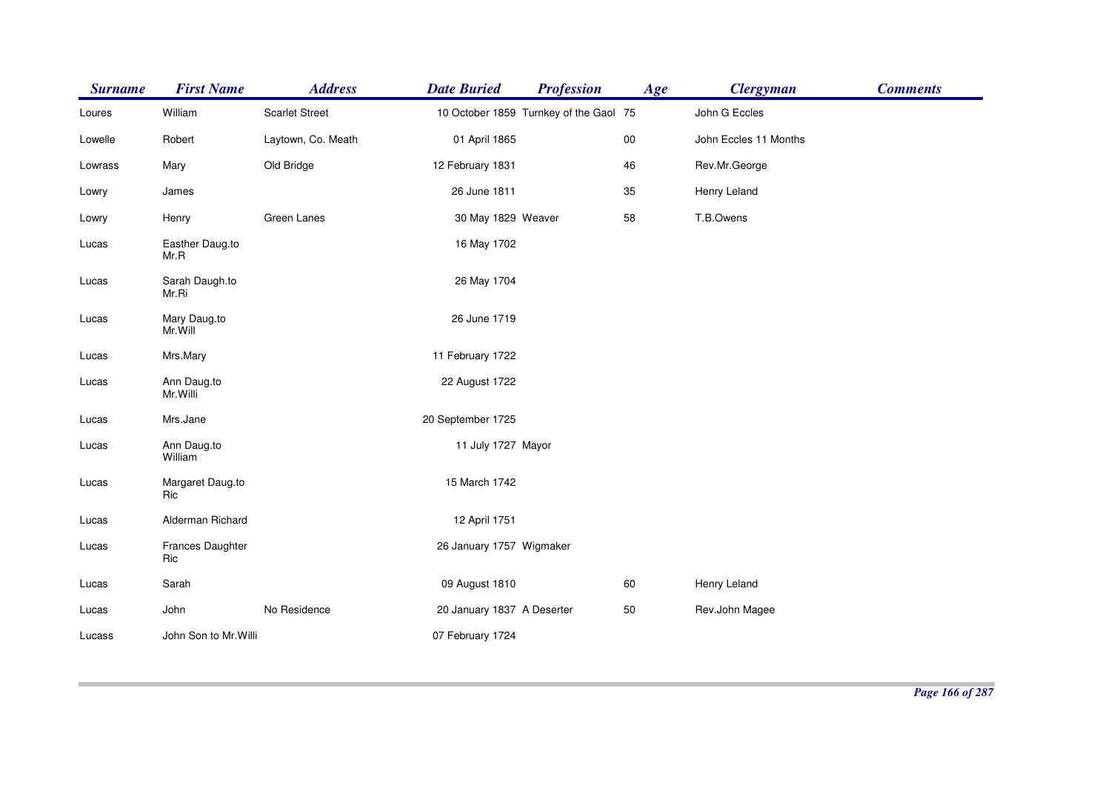| <b>Surname</b> | <b>First Name</b>        | <b>Address</b>        | <b>Date Buried</b>         | <b>Profession</b>                      | Age        | <b>Clergyman</b>      | <b>Comments</b> |
|----------------|--------------------------|-----------------------|----------------------------|----------------------------------------|------------|-----------------------|-----------------|
| Loures         | William                  | <b>Scarlet Street</b> |                            | 10 October 1859 Turnkey of the Gaol 75 |            | John G Eccles         |                 |
| Lowelle        | Robert                   | Laytown, Co. Meath    | 01 April 1865              |                                        | ${\bf 00}$ | John Eccles 11 Months |                 |
| Lowrass        | Mary                     | Old Bridge            | 12 February 1831           |                                        | 46         | Rev.Mr.George         |                 |
| Lowry          | James                    |                       | 26 June 1811               |                                        | 35         | Henry Leland          |                 |
| Lowry          | Henry                    | Green Lanes           | 30 May 1829 Weaver         |                                        | 58         | T.B.Owens             |                 |
| Lucas          | Easther Daug.to<br>Mr.R  |                       | 16 May 1702                |                                        |            |                       |                 |
| Lucas          | Sarah Daugh.to<br>Mr.Ri  |                       | 26 May 1704                |                                        |            |                       |                 |
| Lucas          | Mary Daug.to<br>Mr.Will  |                       | 26 June 1719               |                                        |            |                       |                 |
| Lucas          | Mrs.Mary                 |                       | 11 February 1722           |                                        |            |                       |                 |
| Lucas          | Ann Daug.to<br>Mr. Willi |                       | 22 August 1722             |                                        |            |                       |                 |
| Lucas          | Mrs.Jane                 |                       | 20 September 1725          |                                        |            |                       |                 |
| Lucas          | Ann Daug.to<br>William   |                       | 11 July 1727 Mayor         |                                        |            |                       |                 |
| Lucas          | Margaret Daug.to<br>Ric  |                       | 15 March 1742              |                                        |            |                       |                 |
| Lucas          | Alderman Richard         |                       | 12 April 1751              |                                        |            |                       |                 |
| Lucas          | Frances Daughter<br>Ric  |                       | 26 January 1757 Wigmaker   |                                        |            |                       |                 |
| Lucas          | Sarah                    |                       | 09 August 1810             |                                        | 60         | Henry Leland          |                 |
| Lucas          | John                     | No Residence          | 20 January 1837 A Deserter |                                        | 50         | Rev.John Magee        |                 |
| Lucass         | John Son to Mr. Willi    |                       | 07 February 1724           |                                        |            |                       |                 |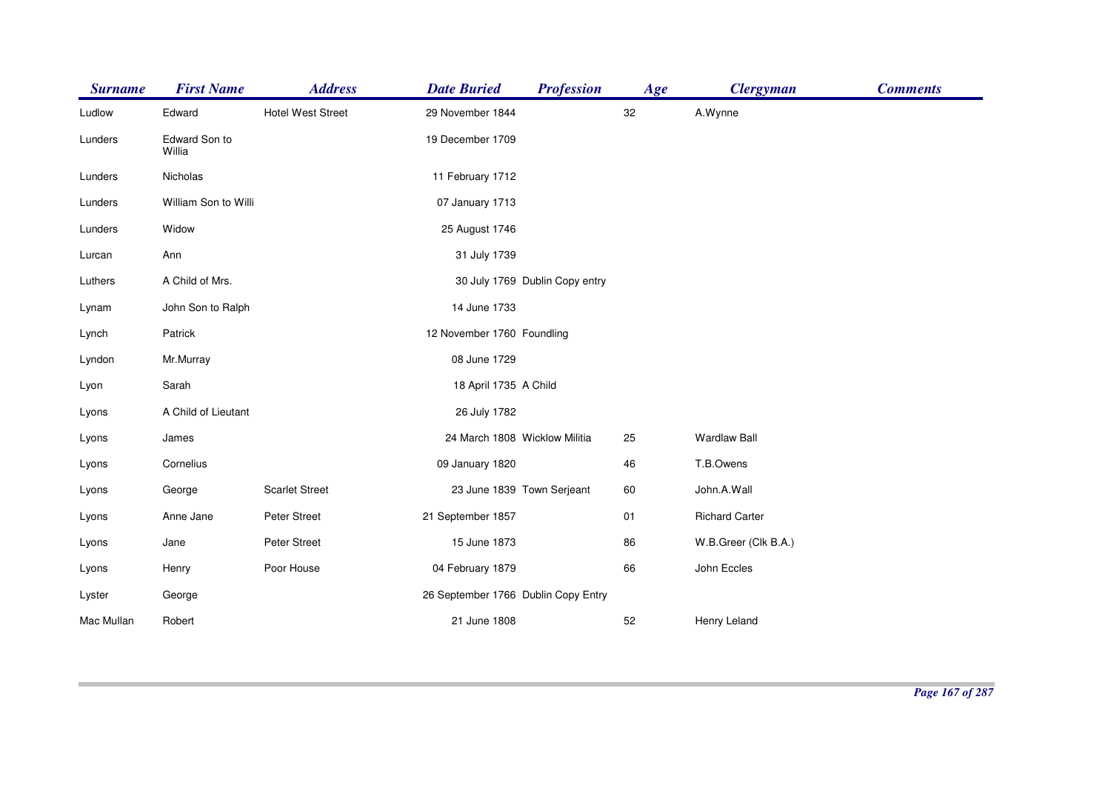| <b>Surname</b> | <b>First Name</b>       | <b>Address</b>           | <b>Date Buried</b>                  | <b>Profession</b>              | Age | <b>Clergyman</b>      | <b>Comments</b> |
|----------------|-------------------------|--------------------------|-------------------------------------|--------------------------------|-----|-----------------------|-----------------|
| Ludlow         | Edward                  | <b>Hotel West Street</b> | 29 November 1844                    |                                | 32  | A.Wynne               |                 |
| Lunders        | Edward Son to<br>Willia |                          | 19 December 1709                    |                                |     |                       |                 |
| Lunders        | Nicholas                |                          | 11 February 1712                    |                                |     |                       |                 |
| Lunders        | William Son to Willi    |                          | 07 January 1713                     |                                |     |                       |                 |
| Lunders        | Widow                   |                          | 25 August 1746                      |                                |     |                       |                 |
| Lurcan         | Ann                     |                          | 31 July 1739                        |                                |     |                       |                 |
| Luthers        | A Child of Mrs.         |                          |                                     | 30 July 1769 Dublin Copy entry |     |                       |                 |
| Lynam          | John Son to Ralph       |                          | 14 June 1733                        |                                |     |                       |                 |
| Lynch          | Patrick                 |                          | 12 November 1760 Foundling          |                                |     |                       |                 |
| Lyndon         | Mr.Murray               |                          | 08 June 1729                        |                                |     |                       |                 |
| Lyon           | Sarah                   |                          | 18 April 1735 A Child               |                                |     |                       |                 |
| Lyons          | A Child of Lieutant     |                          | 26 July 1782                        |                                |     |                       |                 |
| Lyons          | James                   |                          | 24 March 1808 Wicklow Militia       |                                | 25  | <b>Wardlaw Ball</b>   |                 |
| Lyons          | Cornelius               |                          | 09 January 1820                     |                                | 46  | T.B.Owens             |                 |
| Lyons          | George                  | <b>Scarlet Street</b>    | 23 June 1839 Town Serjeant          |                                | 60  | John.A.Wall           |                 |
| Lyons          | Anne Jane               | Peter Street             | 21 September 1857                   |                                | 01  | <b>Richard Carter</b> |                 |
| Lyons          | Jane                    | Peter Street             | 15 June 1873                        |                                | 86  | W.B.Greer (Clk B.A.)  |                 |
| Lyons          | Henry                   | Poor House               | 04 February 1879                    |                                | 66  | John Eccles           |                 |
| Lyster         | George                  |                          | 26 September 1766 Dublin Copy Entry |                                |     |                       |                 |
| Mac Mullan     | Robert                  |                          | 21 June 1808                        |                                | 52  | Henry Leland          |                 |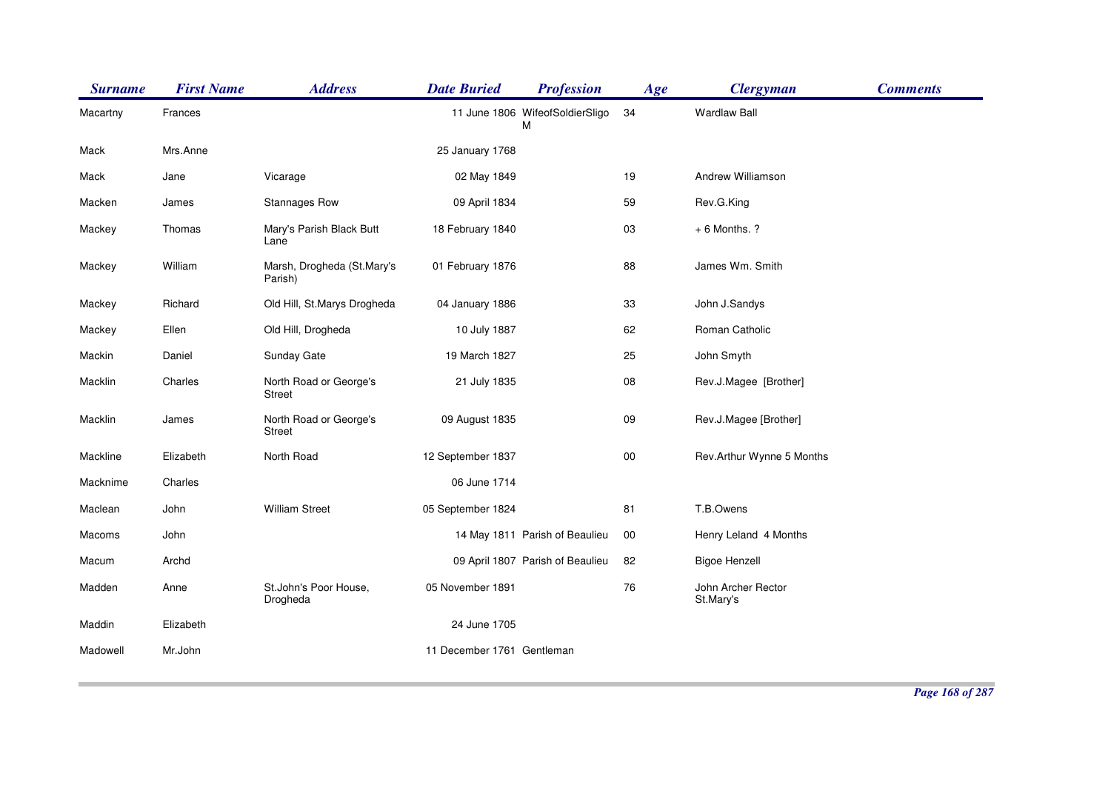| <b>Surname</b> | <b>First Name</b> | <b>Address</b>                          | <b>Date Buried</b>         | <b>Profession</b>                    | Age    | <b>Clergyman</b>                | <b>Comments</b> |
|----------------|-------------------|-----------------------------------------|----------------------------|--------------------------------------|--------|---------------------------------|-----------------|
| Macartny       | Frances           |                                         |                            | 11 June 1806 WifeofSoldierSligo<br>M | 34     | <b>Wardlaw Ball</b>             |                 |
| Mack           | Mrs.Anne          |                                         | 25 January 1768            |                                      |        |                                 |                 |
| Mack           | Jane              | Vicarage                                | 02 May 1849                |                                      | 19     | Andrew Williamson               |                 |
| Macken         | James             | Stannages Row                           | 09 April 1834              |                                      | 59     | Rev.G.King                      |                 |
| Mackey         | Thomas            | Mary's Parish Black Butt<br>Lane        | 18 February 1840           |                                      | 03     | $+6$ Months. ?                  |                 |
| Mackey         | William           | Marsh, Drogheda (St.Mary's<br>Parish)   | 01 February 1876           |                                      | 88     | James Wm. Smith                 |                 |
| Mackey         | Richard           | Old Hill, St.Marys Drogheda             | 04 January 1886            |                                      | 33     | John J.Sandys                   |                 |
| Mackey         | Ellen             | Old Hill, Drogheda                      | 10 July 1887               |                                      | 62     | Roman Catholic                  |                 |
| Mackin         | Daniel            | Sunday Gate                             | 19 March 1827              |                                      | 25     | John Smyth                      |                 |
| Macklin        | Charles           | North Road or George's<br><b>Street</b> | 21 July 1835               |                                      | 08     | Rev.J.Magee [Brother]           |                 |
| Macklin        | James             | North Road or George's<br><b>Street</b> | 09 August 1835             |                                      | 09     | Rev.J.Magee [Brother]           |                 |
| Mackline       | Elizabeth         | North Road                              | 12 September 1837          |                                      | $00\,$ | Rev.Arthur Wynne 5 Months       |                 |
| Macknime       | Charles           |                                         | 06 June 1714               |                                      |        |                                 |                 |
| Maclean        | John              | <b>William Street</b>                   | 05 September 1824          |                                      | 81     | T.B.Owens                       |                 |
| Macoms         | John              |                                         |                            | 14 May 1811 Parish of Beaulieu       | $00\,$ | Henry Leland 4 Months           |                 |
| Macum          | Archd             |                                         |                            | 09 April 1807 Parish of Beaulieu     | 82     | <b>Bigoe Henzell</b>            |                 |
| Madden         | Anne              | St.John's Poor House,<br>Drogheda       | 05 November 1891           |                                      | 76     | John Archer Rector<br>St.Mary's |                 |
| Maddin         | Elizabeth         |                                         | 24 June 1705               |                                      |        |                                 |                 |
| Madowell       | Mr.John           |                                         | 11 December 1761 Gentleman |                                      |        |                                 |                 |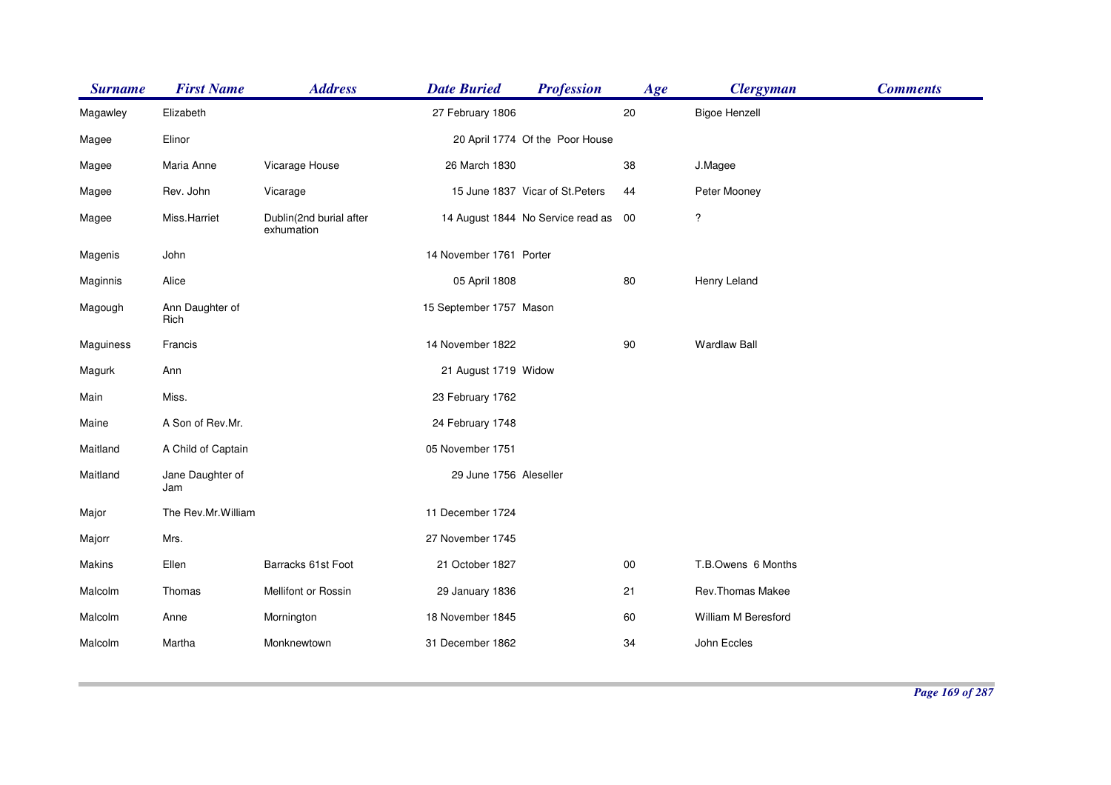| <b>Surname</b> | <b>First Name</b>       | <b>Address</b>                        | <b>Date Buried</b>      | <b>Profession</b>                 | Age    | <b>Clergyman</b>     | <b>Comments</b> |
|----------------|-------------------------|---------------------------------------|-------------------------|-----------------------------------|--------|----------------------|-----------------|
| Magawley       | Elizabeth               |                                       | 27 February 1806        |                                   | 20     | <b>Bigoe Henzell</b> |                 |
| Magee          | Elinor                  |                                       |                         | 20 April 1774 Of the Poor House   |        |                      |                 |
| Magee          | Maria Anne              | Vicarage House                        | 26 March 1830           |                                   | 38     | J.Magee              |                 |
| Magee          | Rev. John               | Vicarage                              |                         | 15 June 1837 Vicar of St. Peters  | 44     | Peter Mooney         |                 |
| Magee          | Miss.Harriet            | Dublin(2nd burial after<br>exhumation |                         | 14 August 1844 No Service read as | - 00   | ?                    |                 |
| Magenis        | John                    |                                       | 14 November 1761 Porter |                                   |        |                      |                 |
| Maginnis       | Alice                   |                                       | 05 April 1808           |                                   | 80     | Henry Leland         |                 |
| Magough        | Ann Daughter of<br>Rich |                                       | 15 September 1757 Mason |                                   |        |                      |                 |
| Maguiness      | Francis                 |                                       | 14 November 1822        |                                   | 90     | <b>Wardlaw Ball</b>  |                 |
| Magurk         | Ann                     |                                       | 21 August 1719 Widow    |                                   |        |                      |                 |
| Main           | Miss.                   |                                       | 23 February 1762        |                                   |        |                      |                 |
| Maine          | A Son of Rev.Mr.        |                                       | 24 February 1748        |                                   |        |                      |                 |
| Maitland       | A Child of Captain      |                                       | 05 November 1751        |                                   |        |                      |                 |
| Maitland       | Jane Daughter of<br>Jam |                                       | 29 June 1756 Aleseller  |                                   |        |                      |                 |
| Major          | The Rev.Mr.William      |                                       | 11 December 1724        |                                   |        |                      |                 |
| Majorr         | Mrs.                    |                                       | 27 November 1745        |                                   |        |                      |                 |
| Makins         | Ellen                   | Barracks 61st Foot                    | 21 October 1827         |                                   | $00\,$ | T.B.Owens 6 Months   |                 |
| Malcolm        | Thomas                  | Mellifont or Rossin                   | 29 January 1836         |                                   | 21     | Rev.Thomas Makee     |                 |
| Malcolm        | Anne                    | Mornington                            | 18 November 1845        |                                   | 60     | William M Beresford  |                 |
| Malcolm        | Martha                  | Monknewtown                           | 31 December 1862        |                                   | 34     | John Eccles          |                 |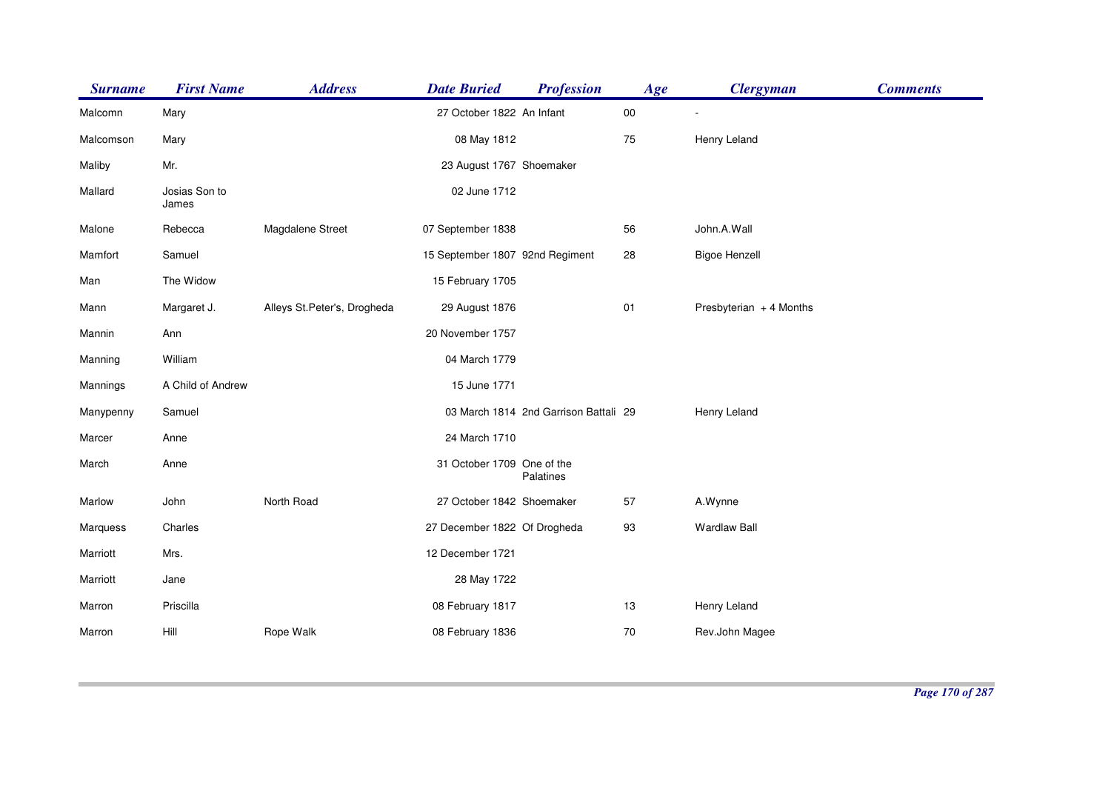| <b>Surname</b> | <b>First Name</b>      | <b>Address</b>              | <b>Date Buried</b>              | <b>Profession</b>                     | Age    | <b>Clergyman</b>        | <b>Comments</b> |
|----------------|------------------------|-----------------------------|---------------------------------|---------------------------------------|--------|-------------------------|-----------------|
| Malcomn        | Mary                   |                             | 27 October 1822 An Infant       |                                       | $00\,$ |                         |                 |
| Malcomson      | Mary                   |                             | 08 May 1812                     |                                       | 75     | Henry Leland            |                 |
| Maliby         | Mr.                    |                             | 23 August 1767 Shoemaker        |                                       |        |                         |                 |
| Mallard        | Josias Son to<br>James |                             | 02 June 1712                    |                                       |        |                         |                 |
| Malone         | Rebecca                | Magdalene Street            | 07 September 1838               |                                       | 56     | John.A.Wall             |                 |
| Mamfort        | Samuel                 |                             | 15 September 1807 92nd Regiment |                                       | 28     | <b>Bigoe Henzell</b>    |                 |
| Man            | The Widow              |                             | 15 February 1705                |                                       |        |                         |                 |
| Mann           | Margaret J.            | Alleys St.Peter's, Drogheda | 29 August 1876                  |                                       | 01     | Presbyterian + 4 Months |                 |
| Mannin         | Ann                    |                             | 20 November 1757                |                                       |        |                         |                 |
| Manning        | William                |                             | 04 March 1779                   |                                       |        |                         |                 |
| Mannings       | A Child of Andrew      |                             | 15 June 1771                    |                                       |        |                         |                 |
| Manypenny      | Samuel                 |                             |                                 | 03 March 1814 2nd Garrison Battali 29 |        | Henry Leland            |                 |
| Marcer         | Anne                   |                             | 24 March 1710                   |                                       |        |                         |                 |
| March          | Anne                   |                             | 31 October 1709 One of the      | Palatines                             |        |                         |                 |
| Marlow         | John                   | North Road                  | 27 October 1842 Shoemaker       |                                       | 57     | A.Wynne                 |                 |
| Marquess       | Charles                |                             | 27 December 1822 Of Drogheda    |                                       | 93     | <b>Wardlaw Ball</b>     |                 |
| Marriott       | Mrs.                   |                             | 12 December 1721                |                                       |        |                         |                 |
| Marriott       | Jane                   |                             | 28 May 1722                     |                                       |        |                         |                 |
| Marron         | Priscilla              |                             | 08 February 1817                |                                       | 13     | Henry Leland            |                 |
| Marron         | Hill                   | Rope Walk                   | 08 February 1836                |                                       | 70     | Rev.John Magee          |                 |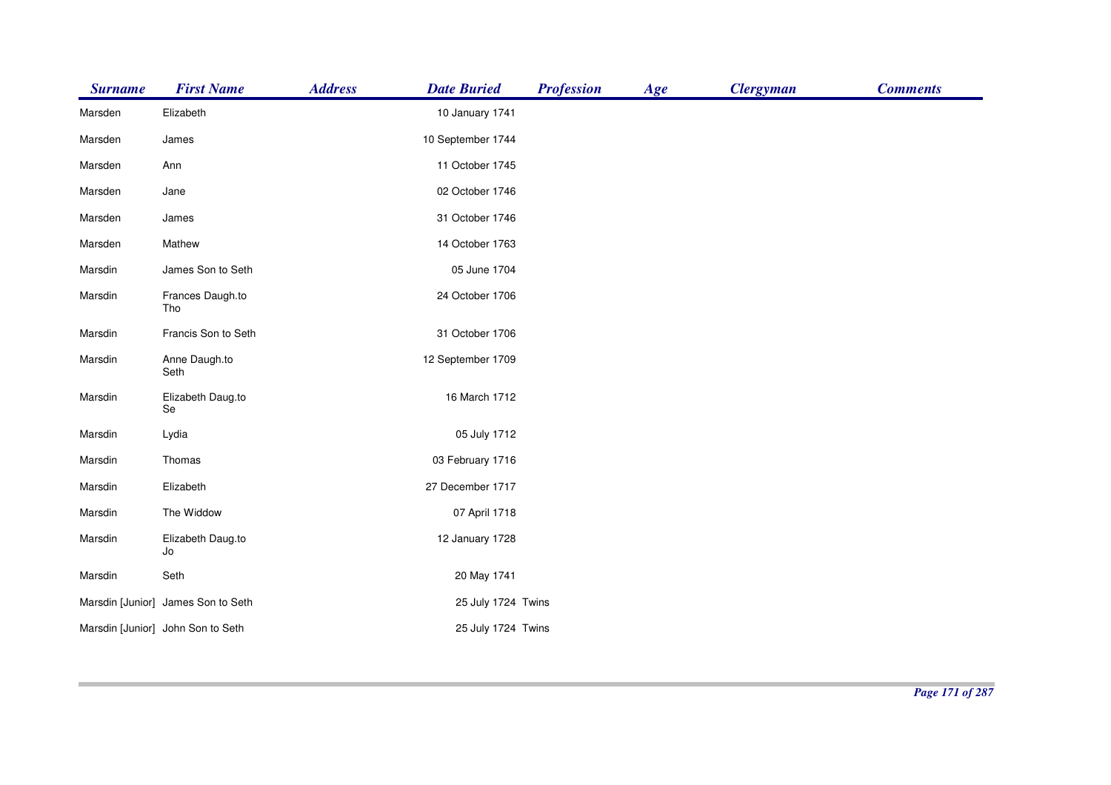| <b>Surname</b> | <b>First Name</b>                  | <b>Address</b><br><b>Date Buried</b> | <b>Profession</b>  | Age | <b>Clergyman</b> | <b>Comments</b> |
|----------------|------------------------------------|--------------------------------------|--------------------|-----|------------------|-----------------|
| Marsden        | Elizabeth                          | 10 January 1741                      |                    |     |                  |                 |
| Marsden        | James                              | 10 September 1744                    |                    |     |                  |                 |
| Marsden        | Ann                                | 11 October 1745                      |                    |     |                  |                 |
| Marsden        | Jane                               | 02 October 1746                      |                    |     |                  |                 |
| Marsden        | James                              | 31 October 1746                      |                    |     |                  |                 |
| Marsden        | Mathew                             | 14 October 1763                      |                    |     |                  |                 |
| Marsdin        | James Son to Seth                  |                                      | 05 June 1704       |     |                  |                 |
| Marsdin        | Frances Daugh.to<br>Tho            | 24 October 1706                      |                    |     |                  |                 |
| Marsdin        | Francis Son to Seth                | 31 October 1706                      |                    |     |                  |                 |
| Marsdin        | Anne Daugh.to<br>Seth              | 12 September 1709                    |                    |     |                  |                 |
| Marsdin        | Elizabeth Daug.to<br>Se            | 16 March 1712                        |                    |     |                  |                 |
| Marsdin        | Lydia                              |                                      | 05 July 1712       |     |                  |                 |
| Marsdin        | Thomas                             | 03 February 1716                     |                    |     |                  |                 |
| Marsdin        | Elizabeth                          | 27 December 1717                     |                    |     |                  |                 |
| Marsdin        | The Widdow                         |                                      | 07 April 1718      |     |                  |                 |
| Marsdin        | Elizabeth Daug.to<br>Jo            | 12 January 1728                      |                    |     |                  |                 |
| Marsdin        | Seth                               |                                      | 20 May 1741        |     |                  |                 |
|                | Marsdin [Junior] James Son to Seth |                                      | 25 July 1724 Twins |     |                  |                 |
|                | Marsdin [Junior] John Son to Seth  |                                      | 25 July 1724 Twins |     |                  |                 |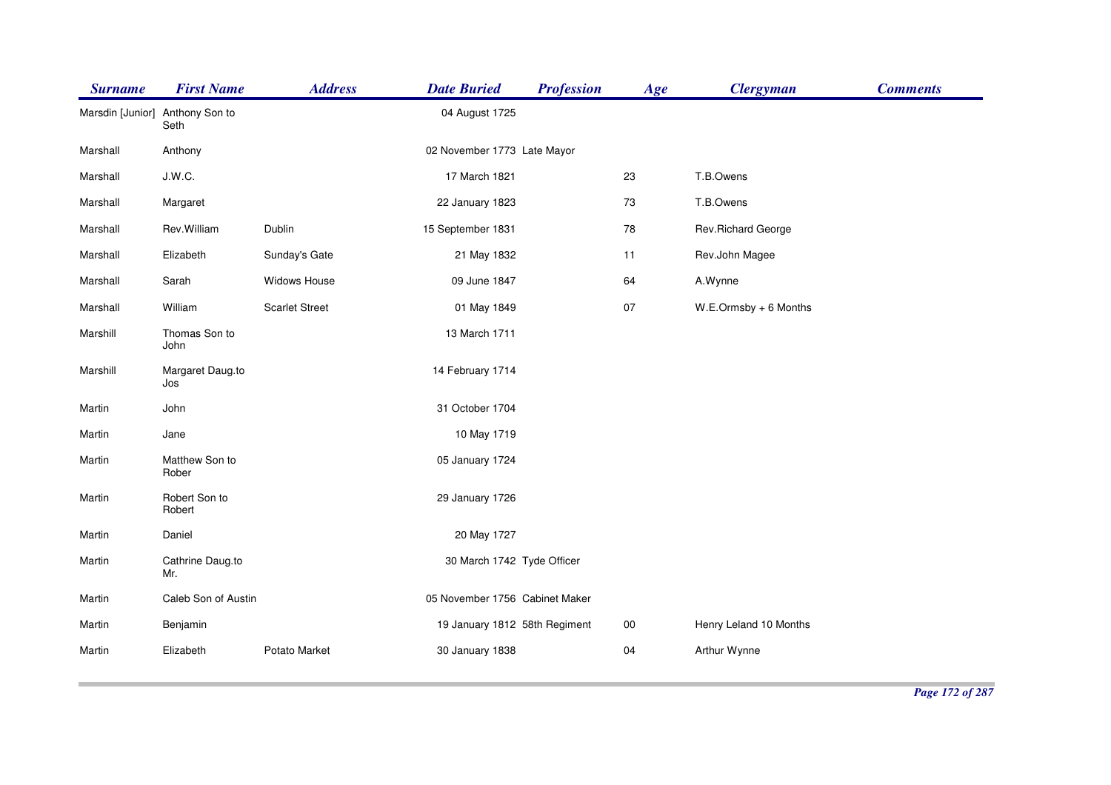| <b>Surname</b>   | <b>First Name</b>       | <b>Address</b>        | <b>Date Buried</b>             | <b>Profession</b> | Age    | <b>Clergyman</b>         | <b>Comments</b> |
|------------------|-------------------------|-----------------------|--------------------------------|-------------------|--------|--------------------------|-----------------|
| Marsdin [Junior] | Anthony Son to<br>Seth  |                       | 04 August 1725                 |                   |        |                          |                 |
| Marshall         | Anthony                 |                       | 02 November 1773 Late Mayor    |                   |        |                          |                 |
| Marshall         | J.W.C.                  |                       | 17 March 1821                  |                   | 23     | T.B.Owens                |                 |
| Marshall         | Margaret                |                       | 22 January 1823                |                   | 73     | T.B.Owens                |                 |
| Marshall         | Rev.William             | Dublin                | 15 September 1831              |                   | 78     | Rev.Richard George       |                 |
| Marshall         | Elizabeth               | Sunday's Gate         | 21 May 1832                    |                   | 11     | Rev.John Magee           |                 |
| Marshall         | Sarah                   | Widows House          | 09 June 1847                   |                   | 64     | A.Wynne                  |                 |
| Marshall         | William                 | <b>Scarlet Street</b> | 01 May 1849                    |                   | 07     | $W.E. Ormsby + 6$ Months |                 |
| Marshill         | Thomas Son to<br>John   |                       | 13 March 1711                  |                   |        |                          |                 |
| Marshill         | Margaret Daug.to<br>Jos |                       | 14 February 1714               |                   |        |                          |                 |
| Martin           | John                    |                       | 31 October 1704                |                   |        |                          |                 |
| Martin           | Jane                    |                       | 10 May 1719                    |                   |        |                          |                 |
| Martin           | Matthew Son to<br>Rober |                       | 05 January 1724                |                   |        |                          |                 |
| Martin           | Robert Son to<br>Robert |                       | 29 January 1726                |                   |        |                          |                 |
| Martin           | Daniel                  |                       | 20 May 1727                    |                   |        |                          |                 |
| Martin           | Cathrine Daug.to<br>Mr. |                       | 30 March 1742 Tyde Officer     |                   |        |                          |                 |
| Martin           | Caleb Son of Austin     |                       | 05 November 1756 Cabinet Maker |                   |        |                          |                 |
| Martin           | Benjamin                |                       | 19 January 1812 58th Regiment  |                   | $00\,$ | Henry Leland 10 Months   |                 |
| Martin           | Elizabeth               | Potato Market         | 30 January 1838                |                   | 04     | Arthur Wynne             |                 |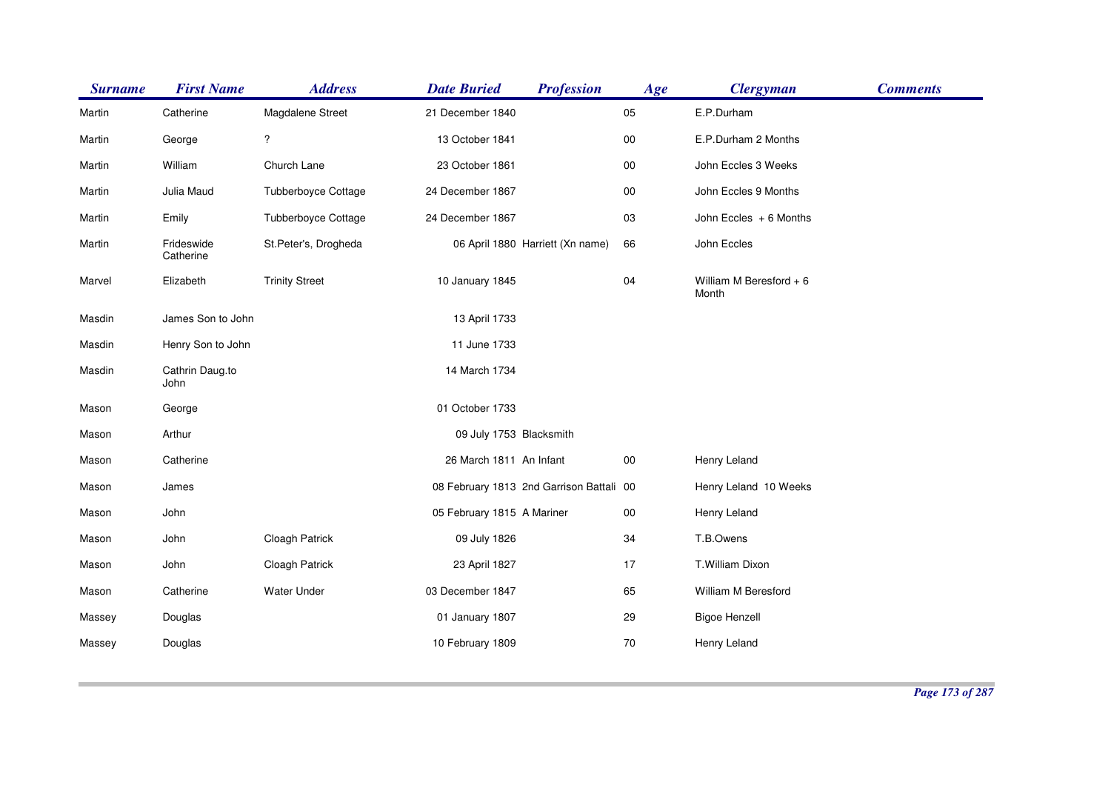| <b>Surname</b> | <b>First Name</b>       | <b>Address</b>           | <b>Date Buried</b>         | <b>Profession</b>                        | Age    | <b>Clergyman</b>                  | <b>Comments</b> |
|----------------|-------------------------|--------------------------|----------------------------|------------------------------------------|--------|-----------------------------------|-----------------|
| Martin         | Catherine               | Magdalene Street         | 21 December 1840           |                                          | 05     | E.P.Durham                        |                 |
| Martin         | George                  | $\overline{\mathcal{E}}$ | 13 October 1841            |                                          | $00\,$ | E.P.Durham 2 Months               |                 |
| Martin         | William                 | Church Lane              | 23 October 1861            |                                          | $00\,$ | John Eccles 3 Weeks               |                 |
| Martin         | Julia Maud              | Tubberboyce Cottage      | 24 December 1867           |                                          | 00     | John Eccles 9 Months              |                 |
| Martin         | Emily                   | Tubberboyce Cottage      | 24 December 1867           |                                          | 03     | John Eccles + 6 Months            |                 |
| Martin         | Frideswide<br>Catherine | St.Peter's, Drogheda     |                            | 06 April 1880 Harriett (Xn name)         | 66     | John Eccles                       |                 |
| Marvel         | Elizabeth               | <b>Trinity Street</b>    | 10 January 1845            |                                          | 04     | William M Beresford $+6$<br>Month |                 |
| Masdin         | James Son to John       |                          | 13 April 1733              |                                          |        |                                   |                 |
| Masdin         | Henry Son to John       |                          | 11 June 1733               |                                          |        |                                   |                 |
| Masdin         | Cathrin Daug.to<br>John |                          | 14 March 1734              |                                          |        |                                   |                 |
| Mason          | George                  |                          | 01 October 1733            |                                          |        |                                   |                 |
| Mason          | Arthur                  |                          | 09 July 1753 Blacksmith    |                                          |        |                                   |                 |
| Mason          | Catherine               |                          | 26 March 1811 An Infant    |                                          | 00     | Henry Leland                      |                 |
| Mason          | James                   |                          |                            | 08 February 1813 2nd Garrison Battali 00 |        | Henry Leland 10 Weeks             |                 |
| Mason          | John                    |                          | 05 February 1815 A Mariner |                                          | $00\,$ | Henry Leland                      |                 |
| Mason          | John                    | Cloagh Patrick           | 09 July 1826               |                                          | 34     | T.B.Owens                         |                 |
| Mason          | John                    | <b>Cloagh Patrick</b>    | 23 April 1827              |                                          | 17     | T.William Dixon                   |                 |
| Mason          | Catherine               | Water Under              | 03 December 1847           |                                          | 65     | William M Beresford               |                 |
| Massey         | Douglas                 |                          | 01 January 1807            |                                          | 29     | <b>Bigoe Henzell</b>              |                 |
| Massey         | Douglas                 |                          | 10 February 1809           |                                          | 70     | Henry Leland                      |                 |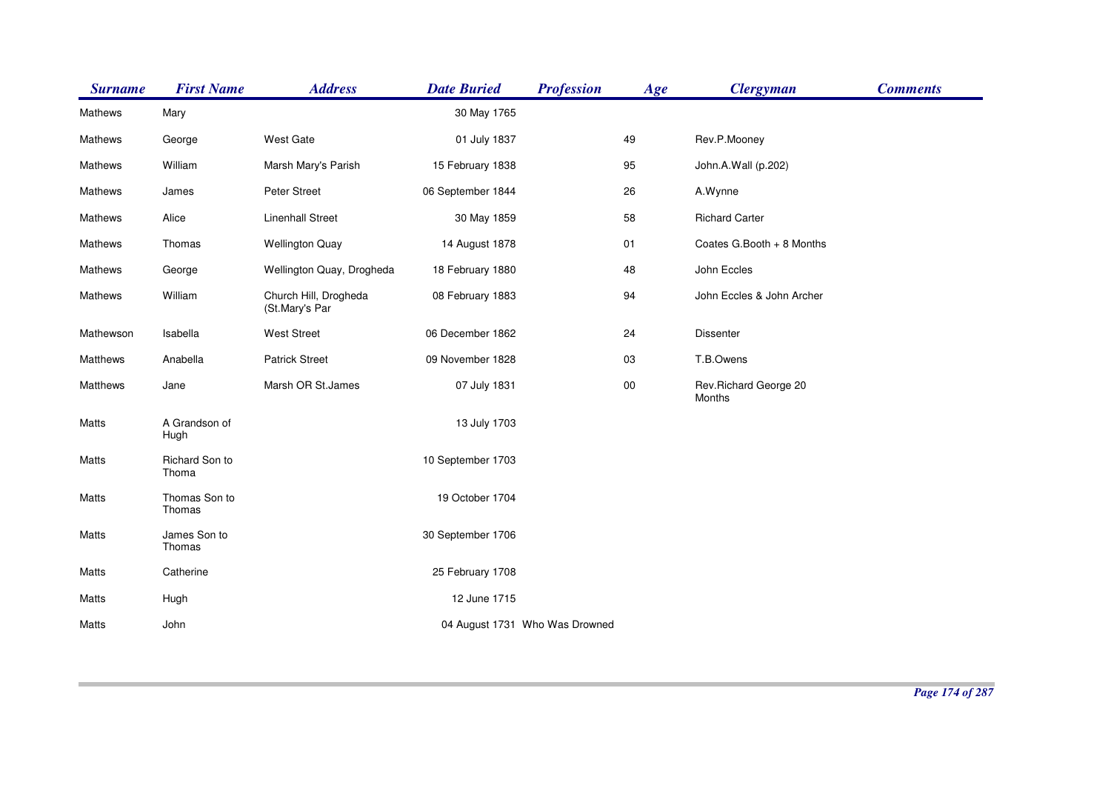| <b>Surname</b>  | <b>First Name</b>       | <b>Address</b>                          | <b>Date Buried</b> | <b>Profession</b>              | Age    | <b>Clergyman</b>                | <b>Comments</b> |
|-----------------|-------------------------|-----------------------------------------|--------------------|--------------------------------|--------|---------------------------------|-----------------|
| Mathews         | Mary                    |                                         | 30 May 1765        |                                |        |                                 |                 |
| Mathews         | George                  | <b>West Gate</b>                        | 01 July 1837       |                                | 49     | Rev.P.Mooney                    |                 |
| Mathews         | William                 | Marsh Mary's Parish                     | 15 February 1838   |                                | 95     | John.A.Wall (p.202)             |                 |
| Mathews         | James                   | Peter Street                            | 06 September 1844  |                                | 26     | A.Wynne                         |                 |
| Mathews         | Alice                   | <b>Linenhall Street</b>                 | 30 May 1859        |                                | 58     | <b>Richard Carter</b>           |                 |
| Mathews         | Thomas                  | <b>Wellington Quay</b>                  | 14 August 1878     |                                | 01     | Coates G.Booth + 8 Months       |                 |
| Mathews         | George                  | Wellington Quay, Drogheda               | 18 February 1880   |                                | 48     | John Eccles                     |                 |
| Mathews         | William                 | Church Hill, Drogheda<br>(St.Mary's Par | 08 February 1883   |                                | 94     | John Eccles & John Archer       |                 |
| Mathewson       | Isabella                | <b>West Street</b>                      | 06 December 1862   |                                | 24     | <b>Dissenter</b>                |                 |
| <b>Matthews</b> | Anabella                | <b>Patrick Street</b>                   | 09 November 1828   |                                | 03     | T.B.Owens                       |                 |
| Matthews        | Jane                    | Marsh OR St.James                       | 07 July 1831       |                                | $00\,$ | Rev.Richard George 20<br>Months |                 |
| Matts           | A Grandson of<br>Hugh   |                                         | 13 July 1703       |                                |        |                                 |                 |
| Matts           | Richard Son to<br>Thoma |                                         | 10 September 1703  |                                |        |                                 |                 |
| Matts           | Thomas Son to<br>Thomas |                                         | 19 October 1704    |                                |        |                                 |                 |
| Matts           | James Son to<br>Thomas  |                                         | 30 September 1706  |                                |        |                                 |                 |
| Matts           | Catherine               |                                         | 25 February 1708   |                                |        |                                 |                 |
| Matts           | Hugh                    |                                         | 12 June 1715       |                                |        |                                 |                 |
| Matts           | John                    |                                         |                    | 04 August 1731 Who Was Drowned |        |                                 |                 |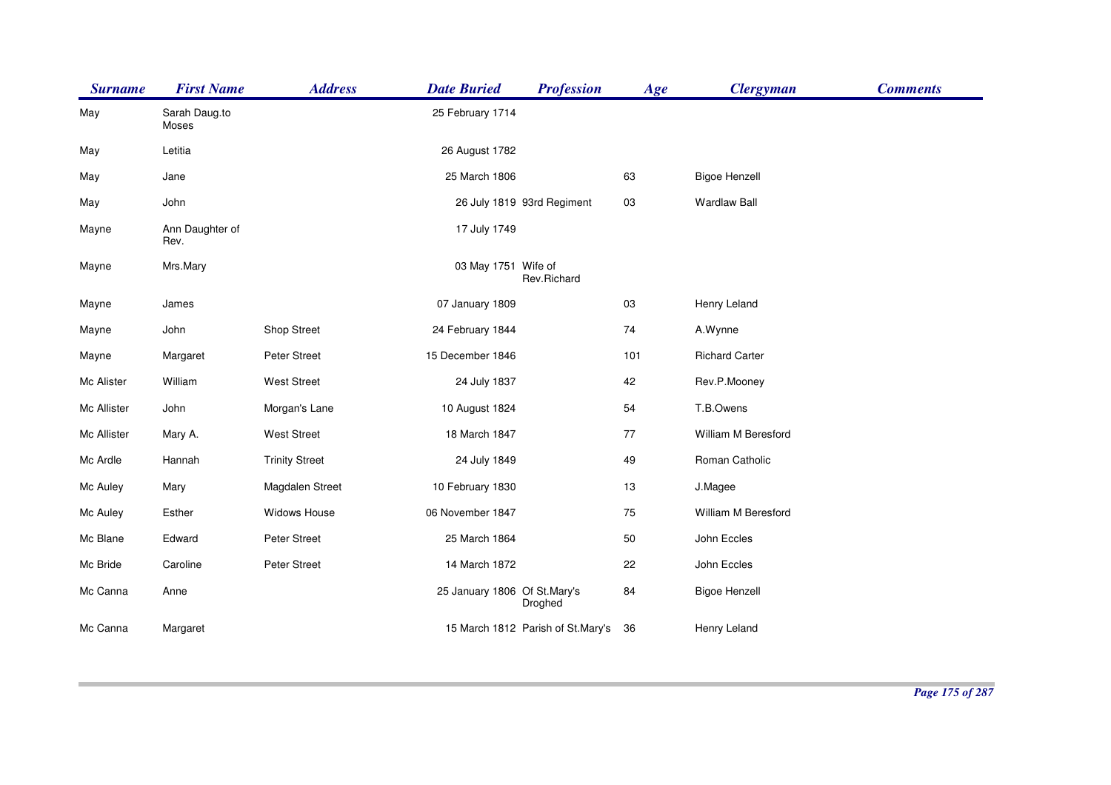| <b>Surname</b> | <b>First Name</b>       | <b>Address</b>        | <b>Date Buried</b>           | <b>Profession</b>                 | Age | <b>Clergyman</b>      | <b>Comments</b> |
|----------------|-------------------------|-----------------------|------------------------------|-----------------------------------|-----|-----------------------|-----------------|
| May            | Sarah Daug.to<br>Moses  |                       | 25 February 1714             |                                   |     |                       |                 |
| May            | Letitia                 |                       | 26 August 1782               |                                   |     |                       |                 |
| May            | Jane                    |                       | 25 March 1806                |                                   | 63  | <b>Bigoe Henzell</b>  |                 |
| May            | John                    |                       |                              | 26 July 1819 93rd Regiment        | 03  | <b>Wardlaw Ball</b>   |                 |
| Mayne          | Ann Daughter of<br>Rev. |                       | 17 July 1749                 |                                   |     |                       |                 |
| Mayne          | Mrs.Mary                |                       | 03 May 1751 Wife of          | Rev.Richard                       |     |                       |                 |
| Mayne          | James                   |                       | 07 January 1809              |                                   | 03  | Henry Leland          |                 |
| Mayne          | John                    | Shop Street           | 24 February 1844             |                                   | 74  | A.Wynne               |                 |
| Mayne          | Margaret                | Peter Street          | 15 December 1846             |                                   | 101 | <b>Richard Carter</b> |                 |
| Mc Alister     | William                 | <b>West Street</b>    | 24 July 1837                 |                                   | 42  | Rev.P.Mooney          |                 |
| Mc Allister    | John                    | Morgan's Lane         | 10 August 1824               |                                   | 54  | T.B.Owens             |                 |
| Mc Allister    | Mary A.                 | West Street           | 18 March 1847                |                                   | 77  | William M Beresford   |                 |
| Mc Ardle       | Hannah                  | <b>Trinity Street</b> | 24 July 1849                 |                                   | 49  | Roman Catholic        |                 |
| Mc Auley       | Mary                    | Magdalen Street       | 10 February 1830             |                                   | 13  | J.Magee               |                 |
| Mc Auley       | Esther                  | Widows House          | 06 November 1847             |                                   | 75  | William M Beresford   |                 |
| Mc Blane       | Edward                  | Peter Street          | 25 March 1864                |                                   | 50  | John Eccles           |                 |
| Mc Bride       | Caroline                | Peter Street          | 14 March 1872                |                                   | 22  | John Eccles           |                 |
| Mc Canna       | Anne                    |                       | 25 January 1806 Of St.Mary's | Droghed                           | 84  | <b>Bigoe Henzell</b>  |                 |
| Mc Canna       | Margaret                |                       |                              | 15 March 1812 Parish of St.Mary's | 36  | Henry Leland          |                 |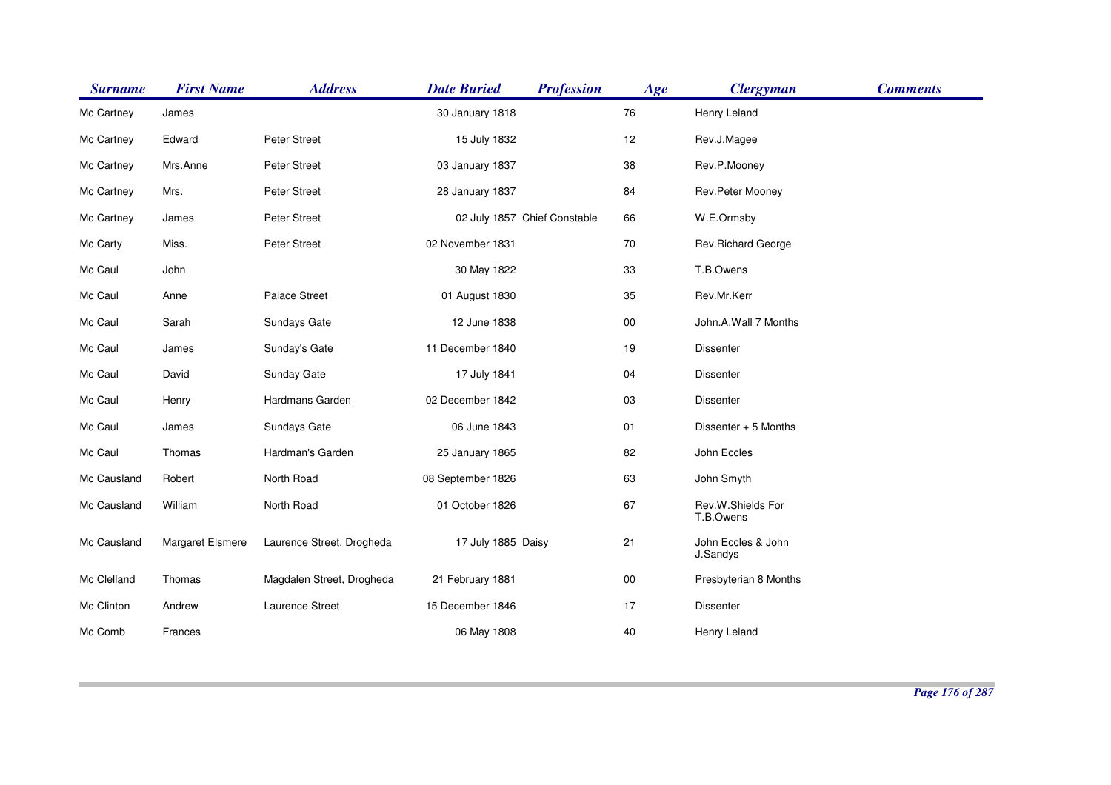| <b>Surname</b> | <b>First Name</b> | <b>Address</b>            | <b>Date Buried</b> | <b>Profession</b>            | Age    | <b>Clergyman</b>               | <b>Comments</b> |
|----------------|-------------------|---------------------------|--------------------|------------------------------|--------|--------------------------------|-----------------|
| Mc Cartney     | James             |                           | 30 January 1818    |                              | 76     | Henry Leland                   |                 |
| Mc Cartney     | Edward            | Peter Street              | 15 July 1832       |                              | 12     | Rev.J.Magee                    |                 |
| Mc Cartney     | Mrs.Anne          | Peter Street              | 03 January 1837    |                              | 38     | Rev.P.Mooney                   |                 |
| Mc Cartney     | Mrs.              | Peter Street              | 28 January 1837    |                              | 84     | Rev.Peter Mooney               |                 |
| Mc Cartney     | James             | Peter Street              |                    | 02 July 1857 Chief Constable | 66     | W.E.Ormsby                     |                 |
| Mc Carty       | Miss.             | Peter Street              | 02 November 1831   |                              | 70     | Rev.Richard George             |                 |
| Mc Caul        | John              |                           | 30 May 1822        |                              | 33     | T.B.Owens                      |                 |
| Mc Caul        | Anne              | Palace Street             | 01 August 1830     |                              | 35     | Rev.Mr.Kerr                    |                 |
| Mc Caul        | Sarah             | Sundays Gate              | 12 June 1838       |                              | 00     | John.A.Wall 7 Months           |                 |
| Mc Caul        | James             | Sunday's Gate             | 11 December 1840   |                              | 19     | <b>Dissenter</b>               |                 |
| Mc Caul        | David             | <b>Sunday Gate</b>        | 17 July 1841       |                              | 04     | <b>Dissenter</b>               |                 |
| Mc Caul        | Henry             | Hardmans Garden           | 02 December 1842   |                              | 03     | Dissenter                      |                 |
| Mc Caul        | James             | Sundays Gate              | 06 June 1843       |                              | 01     | Dissenter + 5 Months           |                 |
| Mc Caul        | Thomas            | Hardman's Garden          | 25 January 1865    |                              | 82     | John Eccles                    |                 |
| Mc Causland    | Robert            | North Road                | 08 September 1826  |                              | 63     | John Smyth                     |                 |
| Mc Causland    | William           | North Road                | 01 October 1826    |                              | 67     | Rev.W.Shields For<br>T.B.Owens |                 |
| Mc Causland    | Margaret Elsmere  | Laurence Street, Drogheda | 17 July 1885 Daisy |                              | 21     | John Eccles & John<br>J.Sandys |                 |
| Mc Clelland    | Thomas            | Magdalen Street, Drogheda | 21 February 1881   |                              | $00\,$ | Presbyterian 8 Months          |                 |
| Mc Clinton     | Andrew            | Laurence Street           | 15 December 1846   |                              | 17     | Dissenter                      |                 |
| Mc Comb        | Frances           |                           | 06 May 1808        |                              | 40     | Henry Leland                   |                 |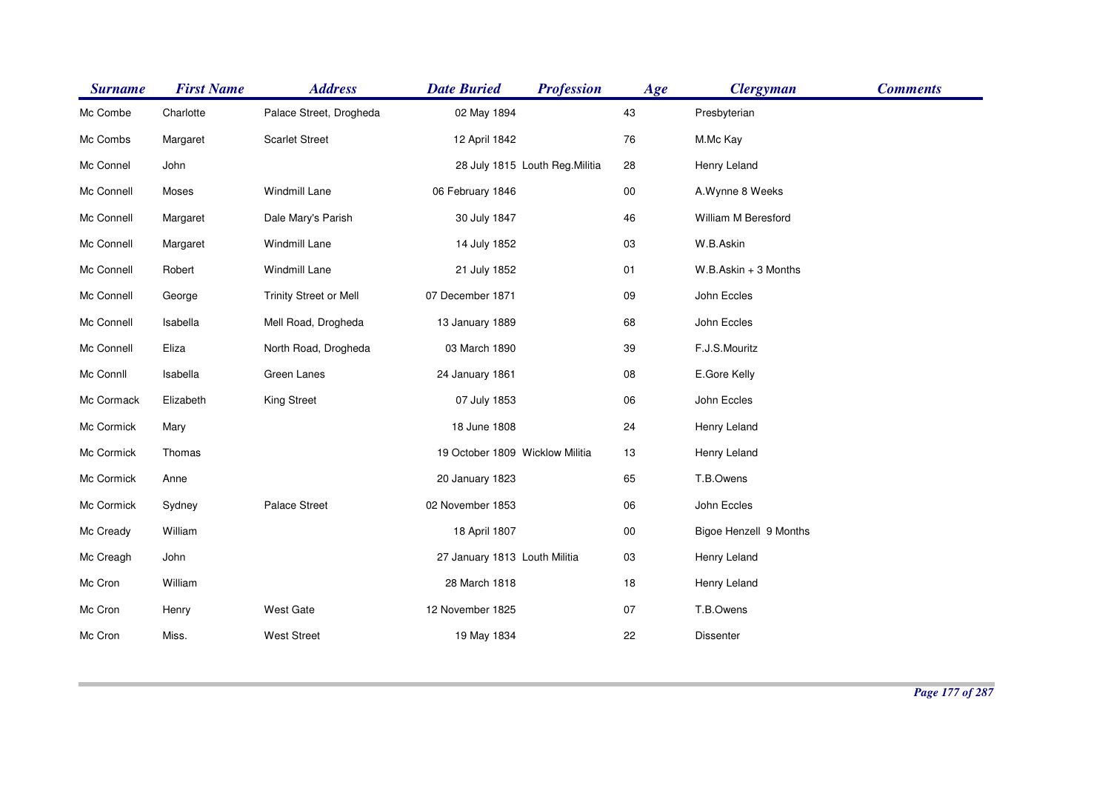| <b>Surname</b> | <b>First Name</b> | <b>Address</b>                | <b>Date Buried</b>              | <b>Profession</b>               | Age        | <b>Clergyman</b>       | <b>Comments</b> |
|----------------|-------------------|-------------------------------|---------------------------------|---------------------------------|------------|------------------------|-----------------|
| Mc Combe       | Charlotte         | Palace Street, Drogheda       | 02 May 1894                     |                                 | 43         | Presbyterian           |                 |
| Mc Combs       | Margaret          | <b>Scarlet Street</b>         | 12 April 1842                   |                                 | ${\bf 76}$ | M.Mc Kay               |                 |
| Mc Connel      | John              |                               |                                 | 28 July 1815 Louth Reg. Militia | 28         | Henry Leland           |                 |
| Mc Connell     | Moses             | Windmill Lane                 | 06 February 1846                |                                 | $00\,$     | A.Wynne 8 Weeks        |                 |
| Mc Connell     | Margaret          | Dale Mary's Parish            | 30 July 1847                    |                                 | 46         | William M Beresford    |                 |
| Mc Connell     | Margaret          | Windmill Lane                 | 14 July 1852                    |                                 | 03         | W.B.Askin              |                 |
| Mc Connell     | Robert            | Windmill Lane                 | 21 July 1852                    |                                 | 01         | $W.B.Askin + 3$ Months |                 |
| Mc Connell     | George            | <b>Trinity Street or Mell</b> | 07 December 1871                |                                 | 09         | John Eccles            |                 |
| Mc Connell     | Isabella          | Mell Road, Drogheda           | 13 January 1889                 |                                 | 68         | John Eccles            |                 |
| Mc Connell     | Eliza             | North Road, Drogheda          | 03 March 1890                   |                                 | 39         | F.J.S.Mouritz          |                 |
| Mc Connll      | Isabella          | Green Lanes                   | 24 January 1861                 |                                 | ${\bf 08}$ | E.Gore Kelly           |                 |
| Mc Cormack     | Elizabeth         | <b>King Street</b>            | 07 July 1853                    |                                 | 06         | John Eccles            |                 |
| Mc Cormick     | Mary              |                               | 18 June 1808                    |                                 | 24         | Henry Leland           |                 |
| Mc Cormick     | Thomas            |                               | 19 October 1809 Wicklow Militia |                                 | 13         | Henry Leland           |                 |
| Mc Cormick     | Anne              |                               | 20 January 1823                 |                                 | 65         | T.B.Owens              |                 |
| Mc Cormick     | Sydney            | Palace Street                 | 02 November 1853                |                                 | 06         | John Eccles            |                 |
| Mc Cready      | William           |                               | 18 April 1807                   |                                 | $00\,$     | Bigoe Henzell 9 Months |                 |
| Mc Creagh      | John              |                               | 27 January 1813 Louth Militia   |                                 | 03         | Henry Leland           |                 |
| Mc Cron        | William           |                               | 28 March 1818                   |                                 | 18         | Henry Leland           |                 |
| Mc Cron        | Henry             | West Gate                     | 12 November 1825                |                                 | 07         | T.B.Owens              |                 |
| Mc Cron        | Miss.             | <b>West Street</b>            | 19 May 1834                     |                                 | 22         | Dissenter              |                 |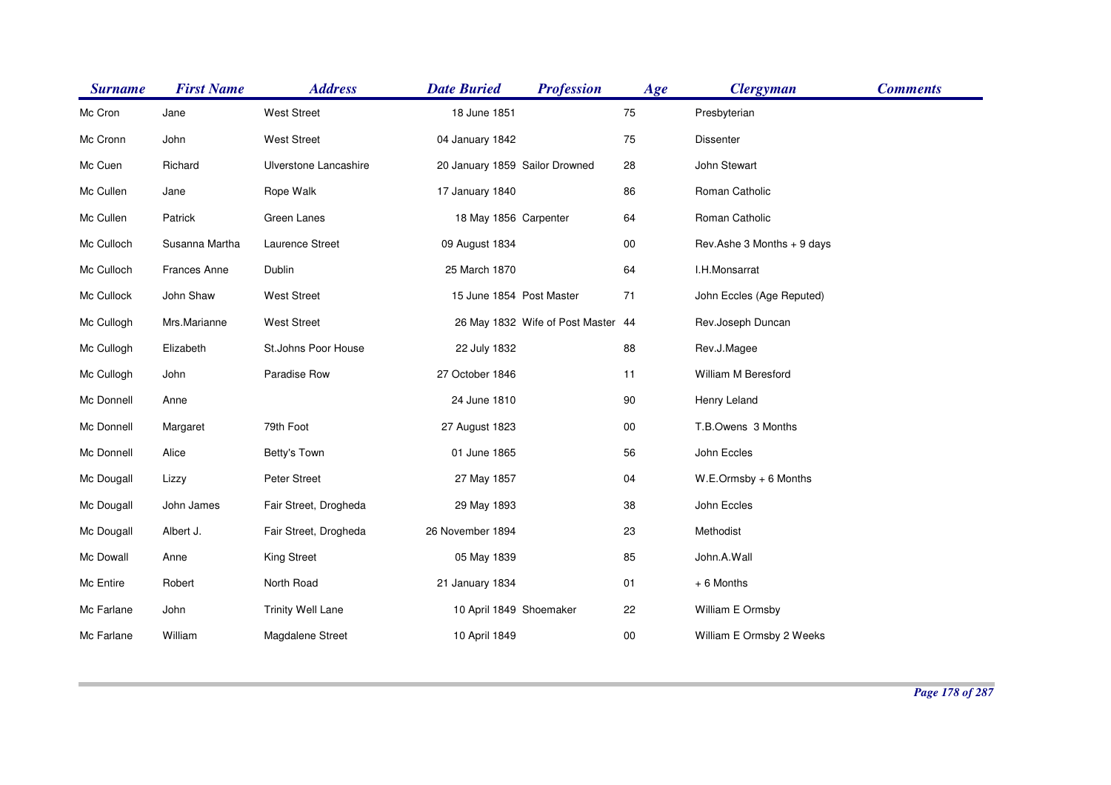| <b>Surname</b> | <b>First Name</b> | <b>Address</b>           | <b>Date Buried</b>             | <b>Profession</b>                  | Age    | <b>Clergyman</b>           | <b>Comments</b> |
|----------------|-------------------|--------------------------|--------------------------------|------------------------------------|--------|----------------------------|-----------------|
| Mc Cron        | Jane              | <b>West Street</b>       | 18 June 1851                   |                                    | 75     | Presbyterian               |                 |
| Mc Cronn       | John              | <b>West Street</b>       | 04 January 1842                |                                    | 75     | Dissenter                  |                 |
| Mc Cuen        | Richard           | Ulverstone Lancashire    | 20 January 1859 Sailor Drowned |                                    | 28     | John Stewart               |                 |
| Mc Cullen      | Jane              | Rope Walk                | 17 January 1840                |                                    | 86     | Roman Catholic             |                 |
| Mc Cullen      | Patrick           | Green Lanes              | 18 May 1856 Carpenter          |                                    | 64     | Roman Catholic             |                 |
| Mc Culloch     | Susanna Martha    | Laurence Street          | 09 August 1834                 |                                    | $00\,$ | Rev.Ashe 3 Months + 9 days |                 |
| Mc Culloch     | Frances Anne      | Dublin                   | 25 March 1870                  |                                    | 64     | I.H.Monsarrat              |                 |
| Mc Cullock     | John Shaw         | <b>West Street</b>       | 15 June 1854 Post Master       |                                    | 71     | John Eccles (Age Reputed)  |                 |
| Mc Cullogh     | Mrs.Marianne      | West Street              |                                | 26 May 1832 Wife of Post Master 44 |        | Rev.Joseph Duncan          |                 |
| Mc Cullogh     | Elizabeth         | St.Johns Poor House      | 22 July 1832                   |                                    | 88     | Rev.J.Magee                |                 |
| Mc Cullogh     | John              | Paradise Row             | 27 October 1846                |                                    | 11     | William M Beresford        |                 |
| Mc Donnell     | Anne              |                          | 24 June 1810                   |                                    | 90     | Henry Leland               |                 |
| Mc Donnell     | Margaret          | 79th Foot                | 27 August 1823                 |                                    | $00\,$ | T.B.Owens 3 Months         |                 |
| Mc Donnell     | Alice             | Betty's Town             | 01 June 1865                   |                                    | 56     | John Eccles                |                 |
| Mc Dougall     | Lizzy             | Peter Street             | 27 May 1857                    |                                    | 04     | $W.E. Ormsby + 6$ Months   |                 |
| Mc Dougall     | John James        | Fair Street, Drogheda    | 29 May 1893                    |                                    | 38     | John Eccles                |                 |
| Mc Dougall     | Albert J.         | Fair Street, Drogheda    | 26 November 1894               |                                    | 23     | Methodist                  |                 |
| Mc Dowall      | Anne              | <b>King Street</b>       | 05 May 1839                    |                                    | 85     | John.A.Wall                |                 |
| Mc Entire      | Robert            | North Road               | 21 January 1834                |                                    | 01     | + 6 Months                 |                 |
| Mc Farlane     | John              | <b>Trinity Well Lane</b> | 10 April 1849 Shoemaker        |                                    | 22     | William E Ormsby           |                 |
| Mc Farlane     | William           | Magdalene Street         | 10 April 1849                  |                                    | 00     | William E Ormsby 2 Weeks   |                 |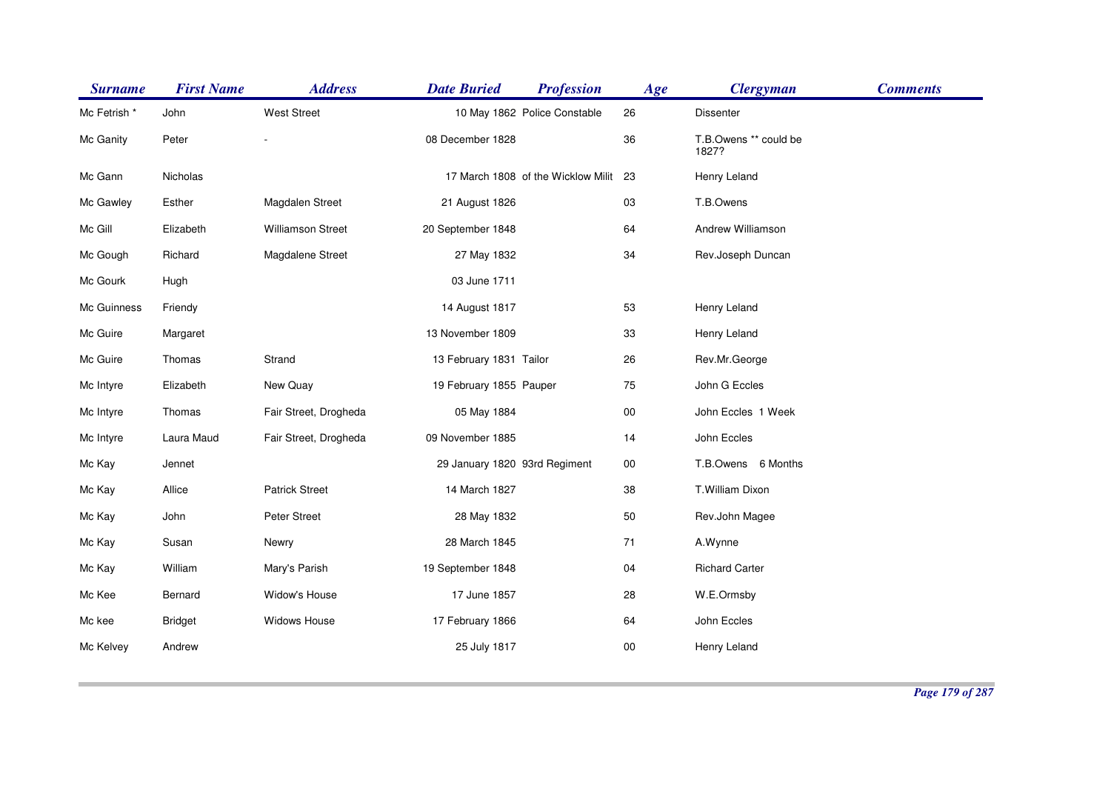| <b>Surname</b> | <b>First Name</b> | <b>Address</b>        | <b>Date Buried</b>            | <b>Profession</b>                     | Age    | <b>Clergyman</b>               | <b>Comments</b> |
|----------------|-------------------|-----------------------|-------------------------------|---------------------------------------|--------|--------------------------------|-----------------|
| Mc Fetrish *   | John              | <b>West Street</b>    |                               | 10 May 1862 Police Constable          | 26     | Dissenter                      |                 |
| Mc Ganity      | Peter             |                       | 08 December 1828              |                                       | 36     | T.B.Owens ** could be<br>1827? |                 |
| Mc Gann        | Nicholas          |                       |                               | 17 March 1808 of the Wicklow Milit 23 |        | Henry Leland                   |                 |
| Mc Gawley      | Esther            | Magdalen Street       | 21 August 1826                |                                       | 03     | T.B.Owens                      |                 |
| Mc Gill        | Elizabeth         | Williamson Street     | 20 September 1848             |                                       | 64     | Andrew Williamson              |                 |
| Mc Gough       | Richard           | Magdalene Street      | 27 May 1832                   |                                       | 34     | Rev.Joseph Duncan              |                 |
| Mc Gourk       | Hugh              |                       | 03 June 1711                  |                                       |        |                                |                 |
| Mc Guinness    | Friendy           |                       | 14 August 1817                |                                       | 53     | Henry Leland                   |                 |
| Mc Guire       | Margaret          |                       | 13 November 1809              |                                       | 33     | Henry Leland                   |                 |
| Mc Guire       | Thomas            | Strand                | 13 February 1831 Tailor       |                                       | 26     | Rev.Mr.George                  |                 |
| Mc Intyre      | Elizabeth         | New Quay              | 19 February 1855 Pauper       |                                       | 75     | John G Eccles                  |                 |
| Mc Intyre      | Thomas            | Fair Street, Drogheda | 05 May 1884                   |                                       | $00\,$ | John Eccles 1 Week             |                 |
| Mc Intyre      | Laura Maud        | Fair Street, Drogheda | 09 November 1885              |                                       | 14     | John Eccles                    |                 |
| Mc Kay         | Jennet            |                       | 29 January 1820 93rd Regiment |                                       | $00\,$ | T.B.Owens 6 Months             |                 |
| Mc Kay         | Allice            | <b>Patrick Street</b> | 14 March 1827                 |                                       | 38     | T.William Dixon                |                 |
| Mc Kay         | John              | Peter Street          | 28 May 1832                   |                                       | $50\,$ | Rev.John Magee                 |                 |
| Mc Kay         | Susan             | Newry                 | 28 March 1845                 |                                       | 71     | A.Wynne                        |                 |
| Mc Kay         | William           | Mary's Parish         | 19 September 1848             |                                       | 04     | <b>Richard Carter</b>          |                 |
| Mc Kee         | Bernard           | Widow's House         | 17 June 1857                  |                                       | 28     | W.E.Ormsby                     |                 |
| Mc kee         | <b>Bridget</b>    | Widows House          | 17 February 1866              |                                       | 64     | John Eccles                    |                 |
| Mc Kelvey      | Andrew            |                       | 25 July 1817                  |                                       | $00\,$ | Henry Leland                   |                 |
|                |                   |                       |                               |                                       |        |                                |                 |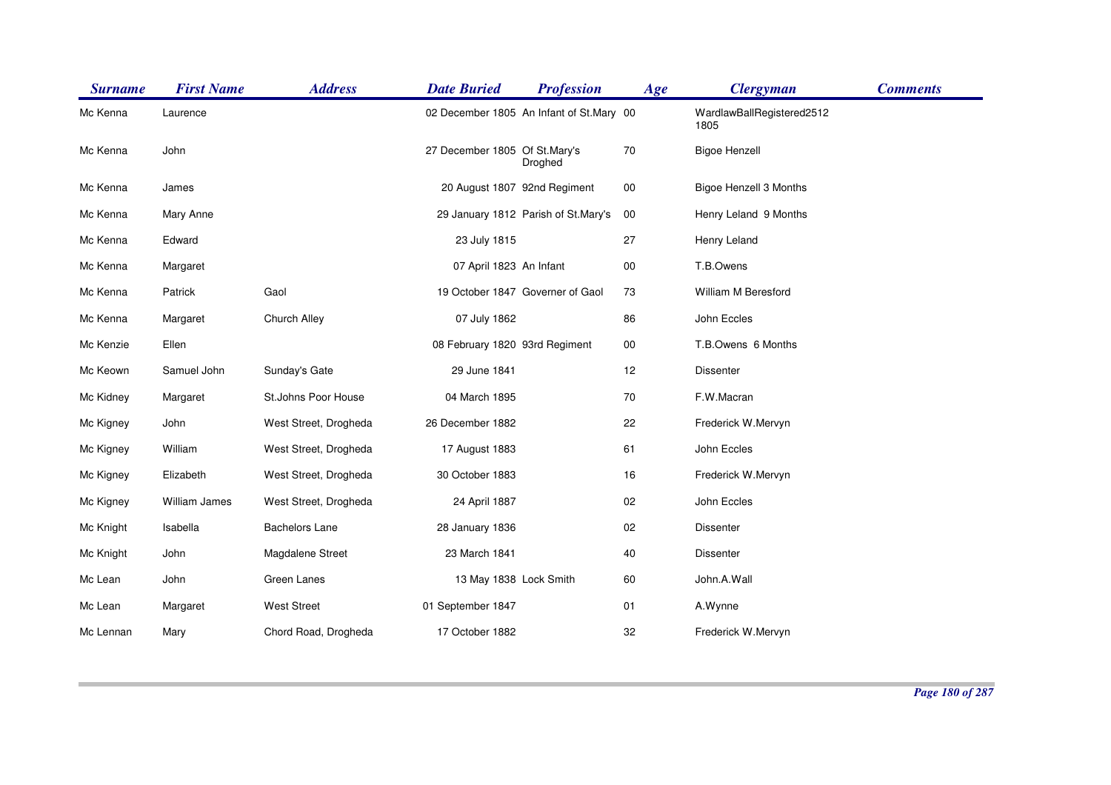| <b>Surname</b> | <b>First Name</b>    | <b>Address</b>        | <b>Date Buried</b>             | <b>Profession</b>                        | Age    | <b>Clergyman</b>                  | <b>Comments</b> |
|----------------|----------------------|-----------------------|--------------------------------|------------------------------------------|--------|-----------------------------------|-----------------|
| Mc Kenna       | Laurence             |                       |                                | 02 December 1805 An Infant of St.Mary 00 |        | WardlawBallRegistered2512<br>1805 |                 |
| Mc Kenna       | John                 |                       | 27 December 1805 Of St.Mary's  | Droghed                                  | 70     | <b>Bigoe Henzell</b>              |                 |
| Mc Kenna       | James                |                       |                                | 20 August 1807 92nd Regiment             | $00\,$ | Bigoe Henzell 3 Months            |                 |
| Mc Kenna       | Mary Anne            |                       |                                | 29 January 1812 Parish of St.Mary's      | 00     | Henry Leland 9 Months             |                 |
| Mc Kenna       | Edward               |                       | 23 July 1815                   |                                          | 27     | Henry Leland                      |                 |
| Mc Kenna       | Margaret             |                       | 07 April 1823 An Infant        |                                          | $00\,$ | T.B.Owens                         |                 |
| Mc Kenna       | Patrick              | Gaol                  |                                | 19 October 1847 Governer of Gaol         | 73     | William M Beresford               |                 |
| Mc Kenna       | Margaret             | Church Alley          | 07 July 1862                   |                                          | 86     | John Eccles                       |                 |
| Mc Kenzie      | Ellen                |                       | 08 February 1820 93rd Regiment |                                          | $00\,$ | T.B.Owens 6 Months                |                 |
| Mc Keown       | Samuel John          | Sunday's Gate         | 29 June 1841                   |                                          | 12     | <b>Dissenter</b>                  |                 |
| Mc Kidney      | Margaret             | St.Johns Poor House   | 04 March 1895                  |                                          | 70     | F.W.Macran                        |                 |
| Mc Kigney      | John                 | West Street, Drogheda | 26 December 1882               |                                          | 22     | Frederick W.Mervyn                |                 |
| Mc Kigney      | William              | West Street, Drogheda | 17 August 1883                 |                                          | 61     | John Eccles                       |                 |
| Mc Kigney      | Elizabeth            | West Street, Drogheda | 30 October 1883                |                                          | 16     | Frederick W.Mervyn                |                 |
| Mc Kigney      | <b>William James</b> | West Street, Drogheda | 24 April 1887                  |                                          | $02\,$ | John Eccles                       |                 |
| Mc Knight      | Isabella             | <b>Bachelors Lane</b> | 28 January 1836                |                                          | 02     | <b>Dissenter</b>                  |                 |
| Mc Knight      | John                 | Magdalene Street      | 23 March 1841                  |                                          | $40\,$ | <b>Dissenter</b>                  |                 |
| Mc Lean        | John                 | Green Lanes           | 13 May 1838 Lock Smith         |                                          | 60     | John.A.Wall                       |                 |
| Mc Lean        | Margaret             | <b>West Street</b>    | 01 September 1847              |                                          | 01     | A.Wynne                           |                 |
| Mc Lennan      | Mary                 | Chord Road, Drogheda  | 17 October 1882                |                                          | 32     | Frederick W.Mervyn                |                 |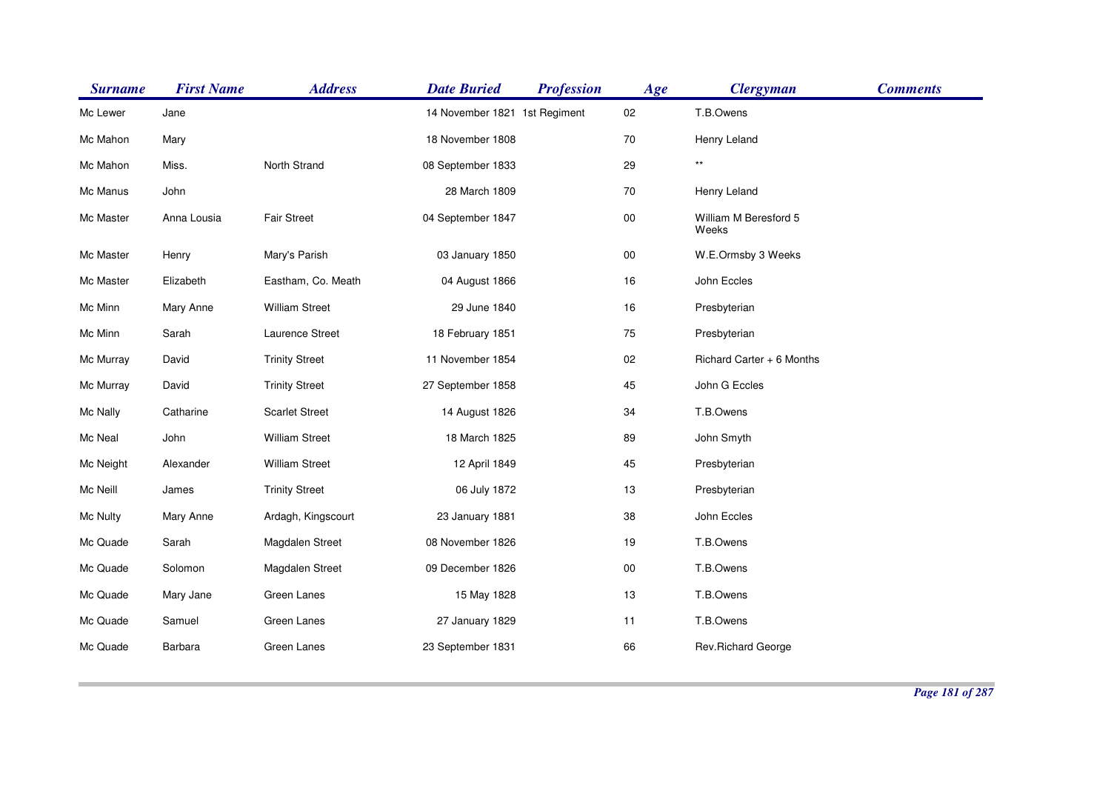| <b>Surname</b> | <b>First Name</b> | <b>Address</b>        | <b>Date Buried</b>            | <b>Profession</b> | Age        | <b>Clergyman</b>               | <b>Comments</b> |
|----------------|-------------------|-----------------------|-------------------------------|-------------------|------------|--------------------------------|-----------------|
| Mc Lewer       | Jane              |                       | 14 November 1821 1st Regiment |                   | 02         | T.B.Owens                      |                 |
| Mc Mahon       | Mary              |                       | 18 November 1808              |                   | 70         | Henry Leland                   |                 |
| Mc Mahon       | Miss.             | North Strand          | 08 September 1833             |                   | 29         | $\star\star$                   |                 |
| Mc Manus       | John              |                       | 28 March 1809                 |                   | 70         | Henry Leland                   |                 |
| Mc Master      | Anna Lousia       | Fair Street           | 04 September 1847             |                   | $00\,$     | William M Beresford 5<br>Weeks |                 |
| Mc Master      | Henry             | Mary's Parish         | 03 January 1850               |                   | ${\bf 00}$ | W.E.Ormsby 3 Weeks             |                 |
| Mc Master      | Elizabeth         | Eastham, Co. Meath    | 04 August 1866                |                   | 16         | John Eccles                    |                 |
| Mc Minn        | Mary Anne         | <b>William Street</b> | 29 June 1840                  |                   | 16         | Presbyterian                   |                 |
| Mc Minn        | Sarah             | Laurence Street       | 18 February 1851              |                   | 75         | Presbyterian                   |                 |
| Mc Murray      | David             | <b>Trinity Street</b> | 11 November 1854              |                   | $02\,$     | Richard Carter + 6 Months      |                 |
| Mc Murray      | David             | <b>Trinity Street</b> | 27 September 1858             |                   | 45         | John G Eccles                  |                 |
| Mc Nally       | Catharine         | <b>Scarlet Street</b> | 14 August 1826                |                   | 34         | T.B.Owens                      |                 |
| Mc Neal        | John              | <b>William Street</b> | 18 March 1825                 |                   | 89         | John Smyth                     |                 |
| Mc Neight      | Alexander         | <b>William Street</b> | 12 April 1849                 |                   | 45         | Presbyterian                   |                 |
| Mc Neill       | James             | <b>Trinity Street</b> | 06 July 1872                  |                   | 13         | Presbyterian                   |                 |
| Mc Nulty       | Mary Anne         | Ardagh, Kingscourt    | 23 January 1881               |                   | 38         | John Eccles                    |                 |
| Mc Quade       | Sarah             | Magdalen Street       | 08 November 1826              |                   | 19         | T.B.Owens                      |                 |
| Mc Quade       | Solomon           | Magdalen Street       | 09 December 1826              |                   | ${\bf 00}$ | T.B.Owens                      |                 |
| Mc Quade       | Mary Jane         | Green Lanes           | 15 May 1828                   |                   | 13         | T.B.Owens                      |                 |
| Mc Quade       | Samuel            | Green Lanes           | 27 January 1829               |                   | 11         | T.B.Owens                      |                 |
| Mc Quade       | Barbara           | Green Lanes           | 23 September 1831             |                   | 66         | Rev.Richard George             |                 |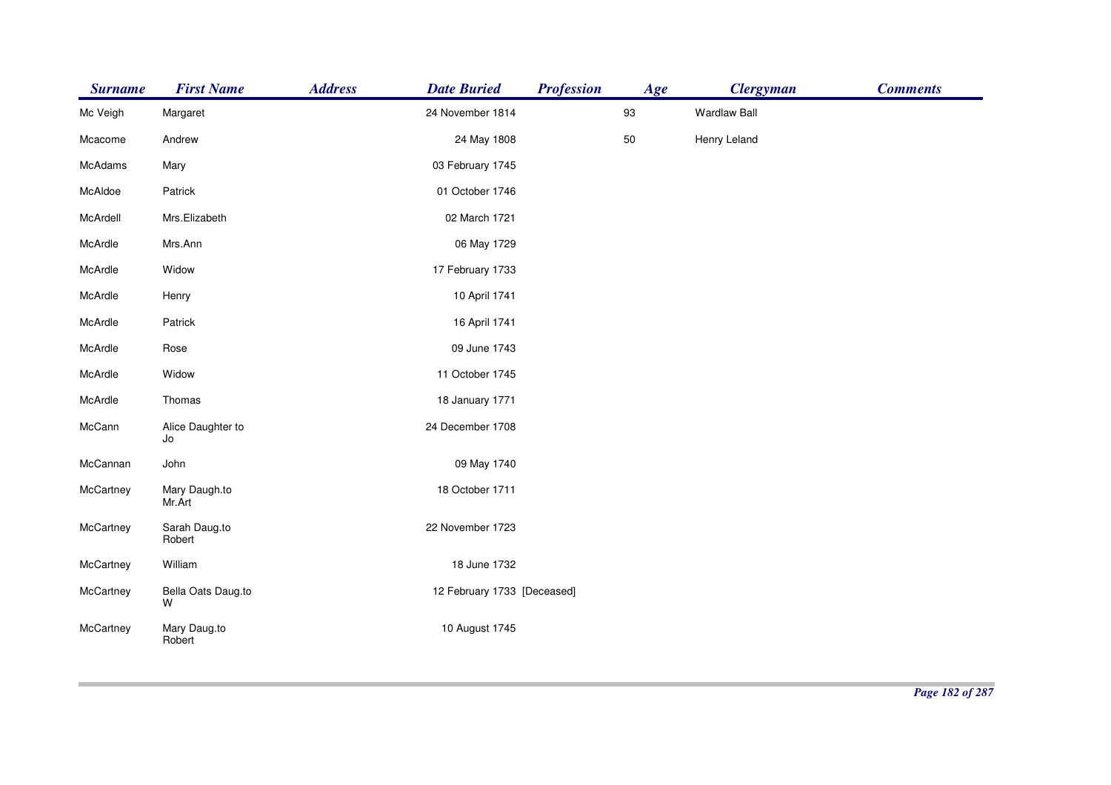| <b>Surname</b> | <b>First Name</b>       | <b>Address</b><br><b>Date Buried</b> | <b>Profession</b>           | Age | <b>Clergyman</b>    | <b>Comments</b> |
|----------------|-------------------------|--------------------------------------|-----------------------------|-----|---------------------|-----------------|
| Mc Veigh       | Margaret                | 24 November 1814                     |                             | 93  | <b>Wardlaw Ball</b> |                 |
| Mcacome        | Andrew                  | 24 May 1808                          |                             | 50  | Henry Leland        |                 |
| McAdams        | Mary                    | 03 February 1745                     |                             |     |                     |                 |
| McAldoe        | Patrick                 | 01 October 1746                      |                             |     |                     |                 |
| McArdell       | Mrs.Elizabeth           | 02 March 1721                        |                             |     |                     |                 |
| McArdle        | Mrs.Ann                 | 06 May 1729                          |                             |     |                     |                 |
| McArdle        | Widow                   | 17 February 1733                     |                             |     |                     |                 |
| McArdle        | Henry                   | 10 April 1741                        |                             |     |                     |                 |
| McArdle        | Patrick                 | 16 April 1741                        |                             |     |                     |                 |
| McArdle        | Rose                    | 09 June 1743                         |                             |     |                     |                 |
| McArdle        | Widow                   | 11 October 1745                      |                             |     |                     |                 |
| McArdle        | Thomas                  | 18 January 1771                      |                             |     |                     |                 |
| McCann         | Alice Daughter to<br>Jo | 24 December 1708                     |                             |     |                     |                 |
| McCannan       | John                    | 09 May 1740                          |                             |     |                     |                 |
| McCartney      | Mary Daugh.to<br>Mr.Art | 18 October 1711                      |                             |     |                     |                 |
| McCartney      | Sarah Daug.to<br>Robert | 22 November 1723                     |                             |     |                     |                 |
| McCartney      | William                 | 18 June 1732                         |                             |     |                     |                 |
| McCartney      | Bella Oats Daug.to<br>W |                                      | 12 February 1733 [Deceased] |     |                     |                 |
| McCartney      | Mary Daug.to<br>Robert  | 10 August 1745                       |                             |     |                     |                 |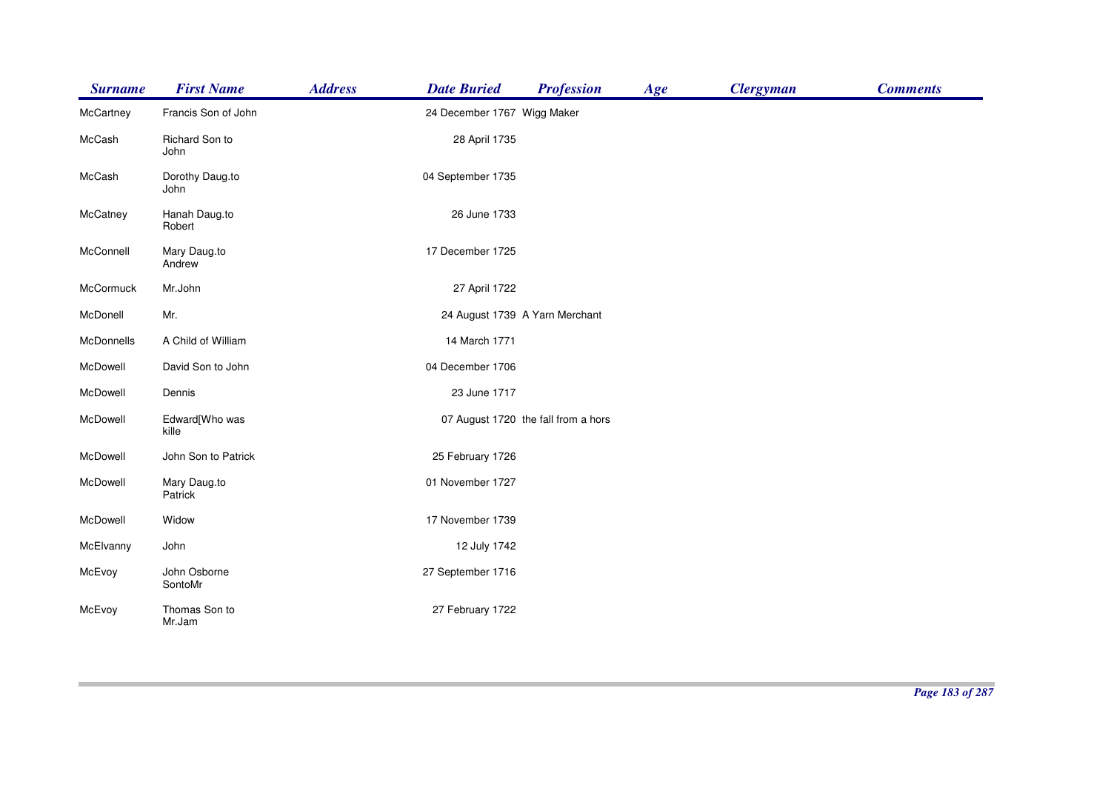| <b>Surname</b> | <b>First Name</b>       | <b>Address</b> | <b>Date Buried</b>          | <b>Profession</b>                   | Age | <b>Clergyman</b> | <b>Comments</b> |
|----------------|-------------------------|----------------|-----------------------------|-------------------------------------|-----|------------------|-----------------|
| McCartney      | Francis Son of John     |                | 24 December 1767 Wigg Maker |                                     |     |                  |                 |
| McCash         | Richard Son to<br>John  |                | 28 April 1735               |                                     |     |                  |                 |
| McCash         | Dorothy Daug.to<br>John |                | 04 September 1735           |                                     |     |                  |                 |
| McCatney       | Hanah Daug.to<br>Robert |                | 26 June 1733                |                                     |     |                  |                 |
| McConnell      | Mary Daug.to<br>Andrew  |                | 17 December 1725            |                                     |     |                  |                 |
| McCormuck      | Mr.John                 |                | 27 April 1722               |                                     |     |                  |                 |
| McDonell       | Mr.                     |                |                             | 24 August 1739 A Yarn Merchant      |     |                  |                 |
| McDonnells     | A Child of William      |                | 14 March 1771               |                                     |     |                  |                 |
| McDowell       | David Son to John       |                | 04 December 1706            |                                     |     |                  |                 |
| McDowell       | Dennis                  |                | 23 June 1717                |                                     |     |                  |                 |
| McDowell       | Edward[Who was<br>kille |                |                             | 07 August 1720 the fall from a hors |     |                  |                 |
| McDowell       | John Son to Patrick     |                | 25 February 1726            |                                     |     |                  |                 |
| McDowell       | Mary Daug.to<br>Patrick |                | 01 November 1727            |                                     |     |                  |                 |
| McDowell       | Widow                   |                | 17 November 1739            |                                     |     |                  |                 |
| McElvanny      | John                    |                | 12 July 1742                |                                     |     |                  |                 |
| McEvoy         | John Osborne<br>SontoMr |                | 27 September 1716           |                                     |     |                  |                 |
| McEvoy         | Thomas Son to<br>Mr.Jam |                | 27 February 1722            |                                     |     |                  |                 |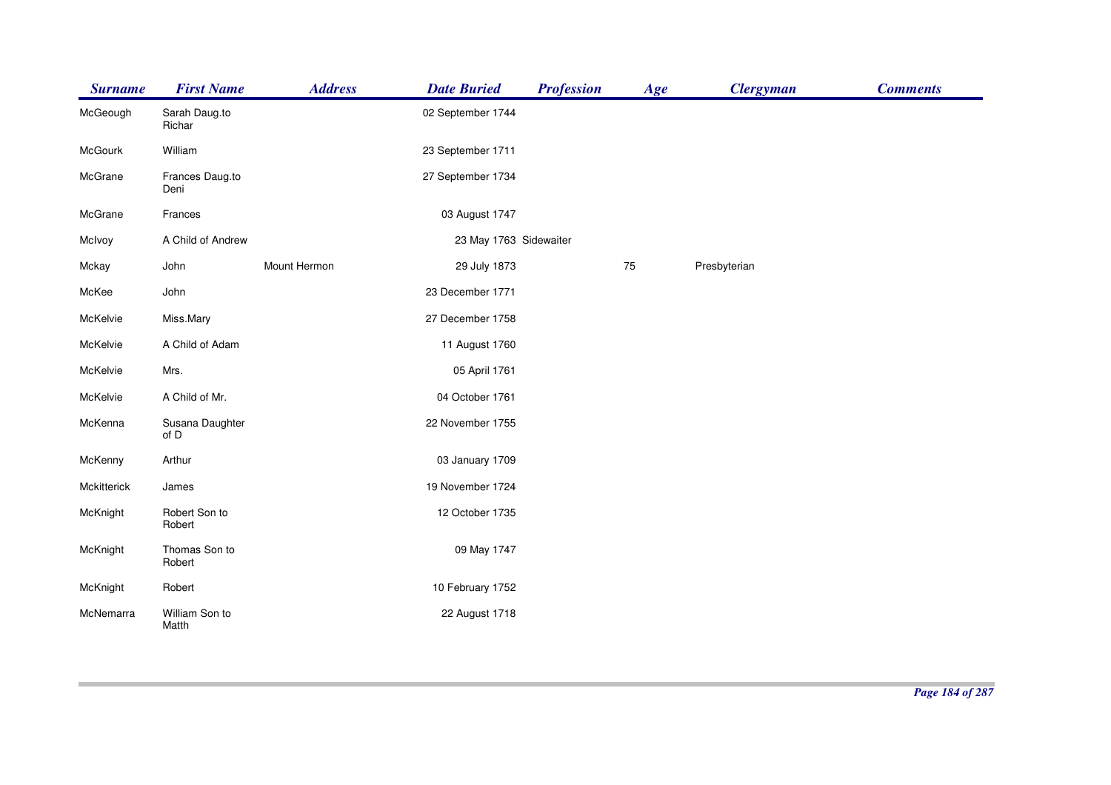| <b>Surname</b> | <b>First Name</b>       | <b>Address</b> | <b>Date Buried</b>     | <b>Profession</b> | Age | <b>Clergyman</b> | <b>Comments</b> |
|----------------|-------------------------|----------------|------------------------|-------------------|-----|------------------|-----------------|
| McGeough       | Sarah Daug.to<br>Richar |                | 02 September 1744      |                   |     |                  |                 |
| McGourk        | William                 |                | 23 September 1711      |                   |     |                  |                 |
| McGrane        | Frances Daug.to<br>Deni |                | 27 September 1734      |                   |     |                  |                 |
| McGrane        | Frances                 |                | 03 August 1747         |                   |     |                  |                 |
| McIvoy         | A Child of Andrew       |                | 23 May 1763 Sidewaiter |                   |     |                  |                 |
| Mckay          | John                    | Mount Hermon   | 29 July 1873           |                   | 75  | Presbyterian     |                 |
| McKee          | John                    |                | 23 December 1771       |                   |     |                  |                 |
| McKelvie       | Miss.Mary               |                | 27 December 1758       |                   |     |                  |                 |
| McKelvie       | A Child of Adam         |                | 11 August 1760         |                   |     |                  |                 |
| McKelvie       | Mrs.                    |                | 05 April 1761          |                   |     |                  |                 |
| McKelvie       | A Child of Mr.          |                | 04 October 1761        |                   |     |                  |                 |
| McKenna        | Susana Daughter<br>of D |                | 22 November 1755       |                   |     |                  |                 |
| McKenny        | Arthur                  |                | 03 January 1709        |                   |     |                  |                 |
| Mckitterick    | James                   |                | 19 November 1724       |                   |     |                  |                 |
| McKnight       | Robert Son to<br>Robert |                | 12 October 1735        |                   |     |                  |                 |
| McKnight       | Thomas Son to<br>Robert |                | 09 May 1747            |                   |     |                  |                 |
| McKnight       | Robert                  |                | 10 February 1752       |                   |     |                  |                 |
| McNemarra      | William Son to<br>Matth |                | 22 August 1718         |                   |     |                  |                 |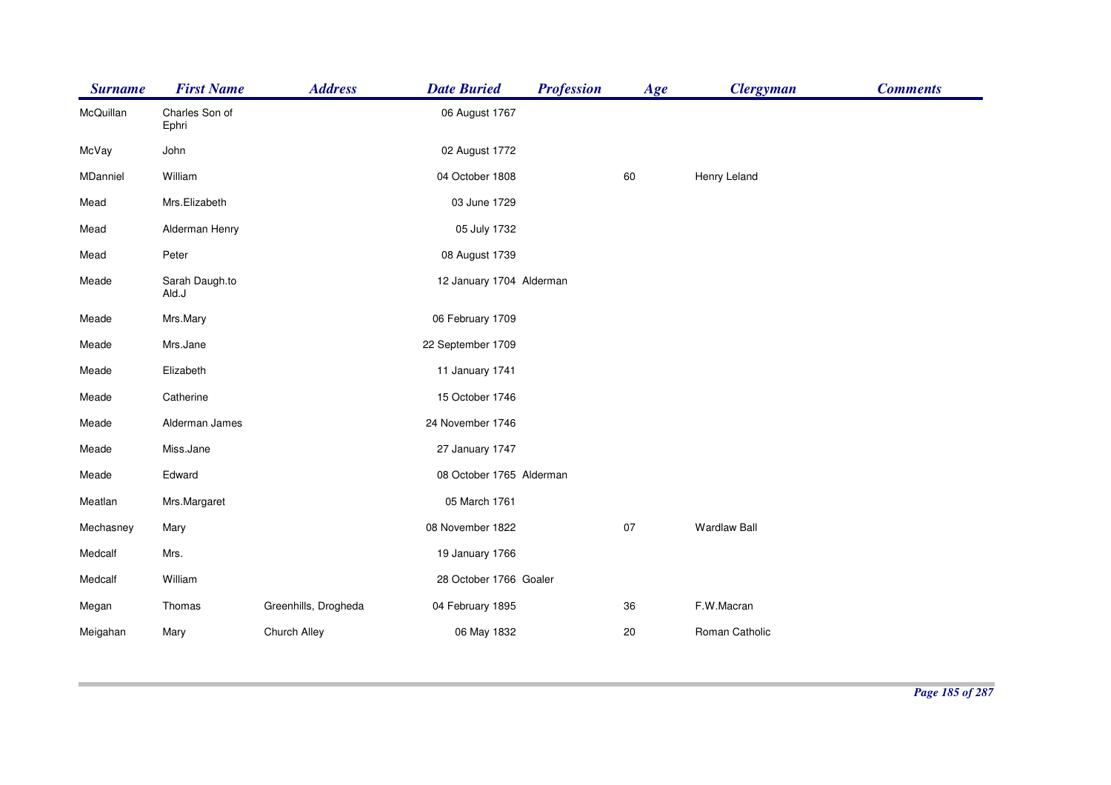| <b>Surname</b> | <b>First Name</b>       | <b>Address</b>       | <b>Date Buried</b>       | <b>Profession</b> | Age | <b>Clergyman</b>    | <b>Comments</b> |
|----------------|-------------------------|----------------------|--------------------------|-------------------|-----|---------------------|-----------------|
| McQuillan      | Charles Son of<br>Ephri |                      | 06 August 1767           |                   |     |                     |                 |
| McVay          | John                    |                      | 02 August 1772           |                   |     |                     |                 |
| MDanniel       | William                 |                      | 04 October 1808          |                   | 60  | Henry Leland        |                 |
| Mead           | Mrs.Elizabeth           |                      | 03 June 1729             |                   |     |                     |                 |
| Mead           | Alderman Henry          |                      | 05 July 1732             |                   |     |                     |                 |
| Mead           | Peter                   |                      | 08 August 1739           |                   |     |                     |                 |
| Meade          | Sarah Daugh.to<br>Ald.J |                      | 12 January 1704 Alderman |                   |     |                     |                 |
| Meade          | Mrs.Mary                |                      | 06 February 1709         |                   |     |                     |                 |
| Meade          | Mrs.Jane                |                      | 22 September 1709        |                   |     |                     |                 |
| Meade          | Elizabeth               |                      | 11 January 1741          |                   |     |                     |                 |
| Meade          | Catherine               |                      | 15 October 1746          |                   |     |                     |                 |
| Meade          | Alderman James          |                      | 24 November 1746         |                   |     |                     |                 |
| Meade          | Miss.Jane               |                      | 27 January 1747          |                   |     |                     |                 |
| Meade          | Edward                  |                      | 08 October 1765 Alderman |                   |     |                     |                 |
| Meatlan        | Mrs.Margaret            |                      | 05 March 1761            |                   |     |                     |                 |
| Mechasney      | Mary                    |                      | 08 November 1822         |                   | 07  | <b>Wardlaw Ball</b> |                 |
| Medcalf        | Mrs.                    |                      | 19 January 1766          |                   |     |                     |                 |
| Medcalf        | William                 |                      | 28 October 1766 Goaler   |                   |     |                     |                 |
| Megan          | Thomas                  | Greenhills, Drogheda | 04 February 1895         |                   | 36  | F.W.Macran          |                 |
| Meigahan       | Mary                    | Church Alley         | 06 May 1832              |                   | 20  | Roman Catholic      |                 |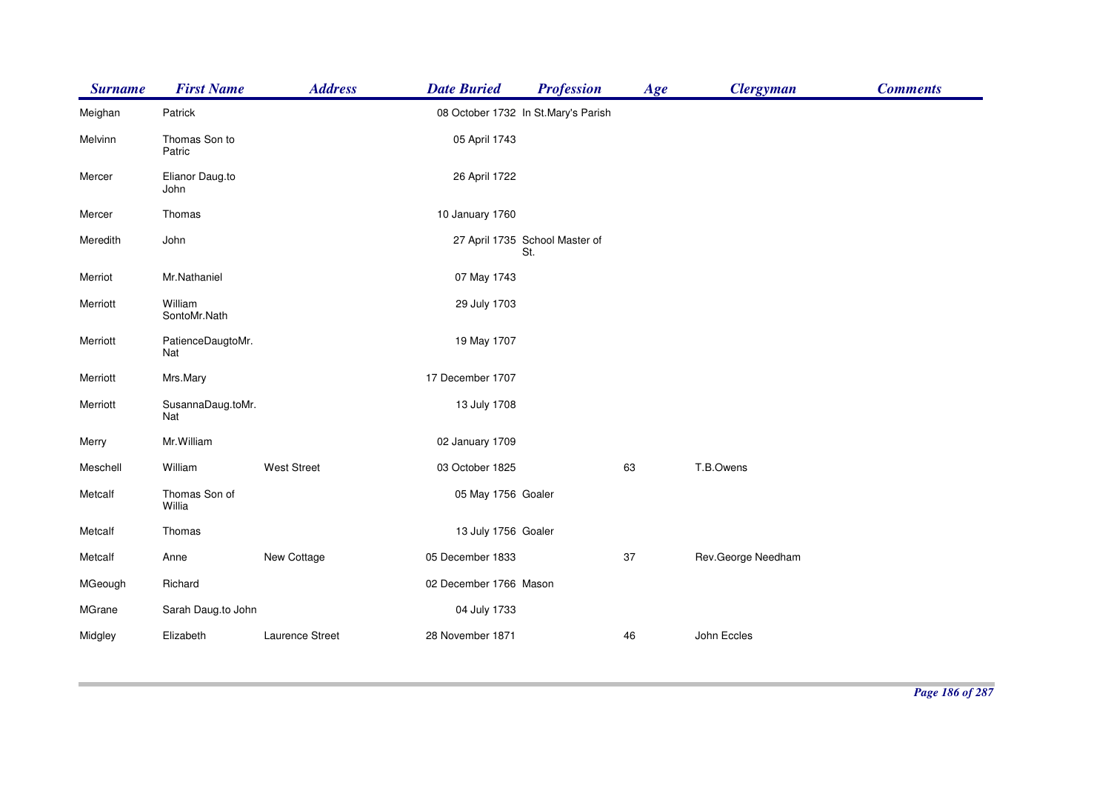| <b>Surname</b> | <b>First Name</b>        | <b>Address</b>     | <b>Date Buried</b>     | <b>Profession</b>                     | Age | <b>Clergyman</b>   | <b>Comments</b> |
|----------------|--------------------------|--------------------|------------------------|---------------------------------------|-----|--------------------|-----------------|
| Meighan        | Patrick                  |                    |                        | 08 October 1732 In St.Mary's Parish   |     |                    |                 |
| Melvinn        | Thomas Son to<br>Patric  |                    | 05 April 1743          |                                       |     |                    |                 |
| Mercer         | Elianor Daug.to<br>John  |                    | 26 April 1722          |                                       |     |                    |                 |
| Mercer         | Thomas                   |                    | 10 January 1760        |                                       |     |                    |                 |
| Meredith       | John                     |                    |                        | 27 April 1735 School Master of<br>St. |     |                    |                 |
| Merriot        | Mr.Nathaniel             |                    | 07 May 1743            |                                       |     |                    |                 |
| Merriott       | William<br>SontoMr.Nath  |                    | 29 July 1703           |                                       |     |                    |                 |
| Merriott       | PatienceDaugtoMr.<br>Nat |                    | 19 May 1707            |                                       |     |                    |                 |
| Merriott       | Mrs.Mary                 |                    | 17 December 1707       |                                       |     |                    |                 |
| Merriott       | SusannaDaug.toMr.<br>Nat |                    | 13 July 1708           |                                       |     |                    |                 |
| Merry          | Mr. William              |                    | 02 January 1709        |                                       |     |                    |                 |
| Meschell       | William                  | <b>West Street</b> | 03 October 1825        |                                       | 63  | T.B.Owens          |                 |
| Metcalf        | Thomas Son of<br>Willia  |                    | 05 May 1756 Goaler     |                                       |     |                    |                 |
| Metcalf        | Thomas                   |                    | 13 July 1756 Goaler    |                                       |     |                    |                 |
| Metcalf        | Anne                     | New Cottage        | 05 December 1833       |                                       | 37  | Rev.George Needham |                 |
| MGeough        | Richard                  |                    | 02 December 1766 Mason |                                       |     |                    |                 |
| MGrane         | Sarah Daug.to John       |                    | 04 July 1733           |                                       |     |                    |                 |
| Midgley        | Elizabeth                | Laurence Street    | 28 November 1871       |                                       | 46  | John Eccles        |                 |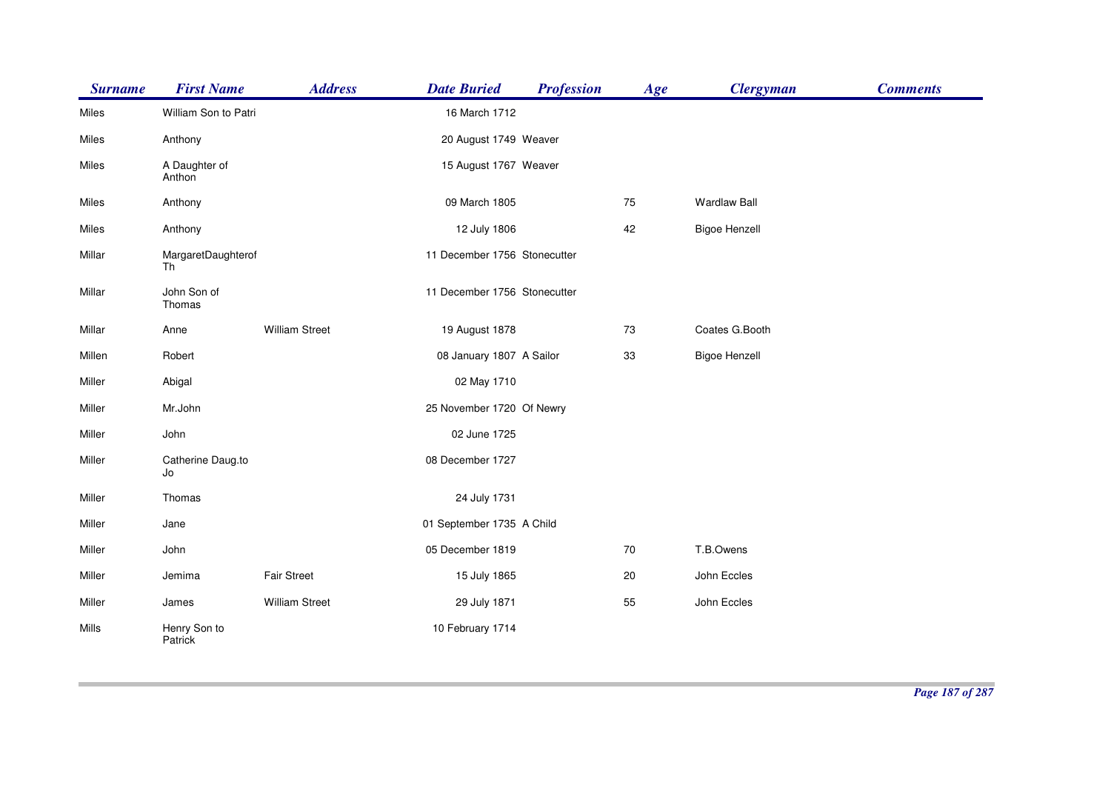| <b>Surname</b> | <b>First Name</b>        | <b>Address</b>        | <b>Date Buried</b>           | <b>Profession</b> | Age | <b>Clergyman</b>     | <b>Comments</b> |
|----------------|--------------------------|-----------------------|------------------------------|-------------------|-----|----------------------|-----------------|
| Miles          | William Son to Patri     |                       | 16 March 1712                |                   |     |                      |                 |
| Miles          | Anthony                  |                       | 20 August 1749 Weaver        |                   |     |                      |                 |
| Miles          | A Daughter of<br>Anthon  |                       | 15 August 1767 Weaver        |                   |     |                      |                 |
| Miles          | Anthony                  |                       | 09 March 1805                |                   | 75  | <b>Wardlaw Ball</b>  |                 |
| Miles          | Anthony                  |                       | 12 July 1806                 |                   | 42  | <b>Bigoe Henzell</b> |                 |
| Millar         | MargaretDaughterof<br>Th |                       | 11 December 1756 Stonecutter |                   |     |                      |                 |
| Millar         | John Son of<br>Thomas    |                       | 11 December 1756 Stonecutter |                   |     |                      |                 |
| Millar         | Anne                     | <b>William Street</b> | 19 August 1878               |                   | 73  | Coates G.Booth       |                 |
| Millen         | Robert                   |                       | 08 January 1807 A Sailor     |                   | 33  | <b>Bigoe Henzell</b> |                 |
| Miller         | Abigal                   |                       | 02 May 1710                  |                   |     |                      |                 |
| Miller         | Mr.John                  |                       | 25 November 1720 Of Newry    |                   |     |                      |                 |
| Miller         | John                     |                       | 02 June 1725                 |                   |     |                      |                 |
| Miller         | Catherine Daug.to<br>Jo  |                       | 08 December 1727             |                   |     |                      |                 |
| Miller         | Thomas                   |                       | 24 July 1731                 |                   |     |                      |                 |
| Miller         | Jane                     |                       | 01 September 1735 A Child    |                   |     |                      |                 |
| Miller         | John                     |                       | 05 December 1819             |                   | 70  | T.B.Owens            |                 |
| Miller         | Jemima                   | Fair Street           | 15 July 1865                 |                   | 20  | John Eccles          |                 |
| Miller         | James                    | <b>William Street</b> | 29 July 1871                 |                   | 55  | John Eccles          |                 |
| Mills          | Henry Son to<br>Patrick  |                       | 10 February 1714             |                   |     |                      |                 |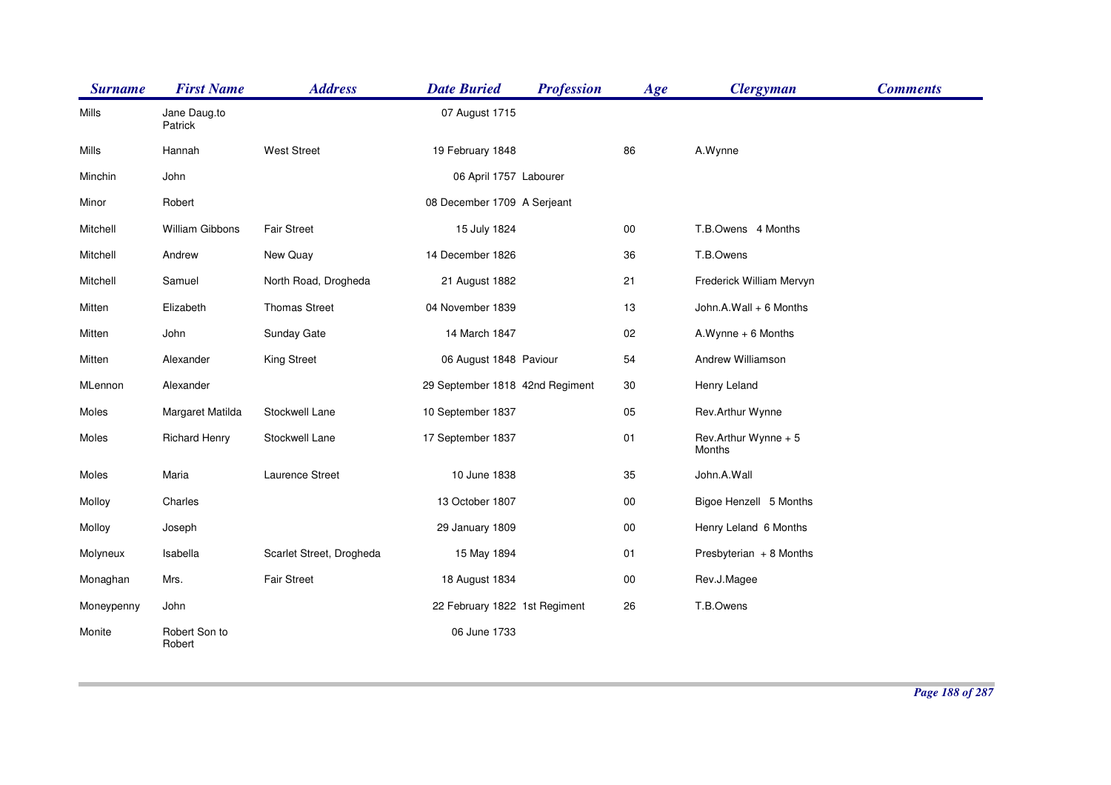| <b>Surname</b> | <b>First Name</b>       | <b>Address</b>           | <b>Date Buried</b>              | <b>Profession</b> | Age        | <b>Clergyman</b>               | <b>Comments</b> |
|----------------|-------------------------|--------------------------|---------------------------------|-------------------|------------|--------------------------------|-----------------|
| Mills          | Jane Daug.to<br>Patrick |                          | 07 August 1715                  |                   |            |                                |                 |
| Mills          | Hannah                  | <b>West Street</b>       | 19 February 1848                |                   | 86         | A.Wynne                        |                 |
| Minchin        | John                    |                          | 06 April 1757 Labourer          |                   |            |                                |                 |
| Minor          | Robert                  |                          | 08 December 1709 A Serjeant     |                   |            |                                |                 |
| Mitchell       | <b>William Gibbons</b>  | <b>Fair Street</b>       | 15 July 1824                    |                   | $00\,$     | T.B.Owens 4 Months             |                 |
| Mitchell       | Andrew                  | New Quay                 | 14 December 1826                |                   | 36         | T.B.Owens                      |                 |
| Mitchell       | Samuel                  | North Road, Drogheda     | 21 August 1882                  |                   | 21         | Frederick William Mervyn       |                 |
| Mitten         | Elizabeth               | <b>Thomas Street</b>     | 04 November 1839                |                   | 13         | John.A.Wall + 6 Months         |                 |
| Mitten         | John                    | Sunday Gate              | 14 March 1847                   |                   | 02         | A.Wynne + 6 Months             |                 |
| Mitten         | Alexander               | King Street              | 06 August 1848 Paviour          |                   | 54         | Andrew Williamson              |                 |
| MLennon        | Alexander               |                          | 29 September 1818 42nd Regiment |                   | 30         | Henry Leland                   |                 |
| Moles          | Margaret Matilda        | Stockwell Lane           | 10 September 1837               |                   | 05         | Rev.Arthur Wynne               |                 |
| Moles          | <b>Richard Henry</b>    | Stockwell Lane           | 17 September 1837               |                   | 01         | Rev.Arthur Wynne + 5<br>Months |                 |
| Moles          | Maria                   | Laurence Street          | 10 June 1838                    |                   | 35         | John.A.Wall                    |                 |
| Molloy         | Charles                 |                          | 13 October 1807                 |                   | 00         | Bigoe Henzell 5 Months         |                 |
| Molloy         | Joseph                  |                          | 29 January 1809                 |                   | ${\bf 00}$ | Henry Leland 6 Months          |                 |
| Molyneux       | Isabella                | Scarlet Street, Drogheda | 15 May 1894                     |                   | 01         | Presbyterian + 8 Months        |                 |
| Monaghan       | Mrs.                    | <b>Fair Street</b>       | 18 August 1834                  |                   | $00\,$     | Rev.J.Magee                    |                 |
| Moneypenny     | John                    |                          | 22 February 1822 1st Regiment   |                   | 26         | T.B.Owens                      |                 |
| Monite         | Robert Son to<br>Robert |                          | 06 June 1733                    |                   |            |                                |                 |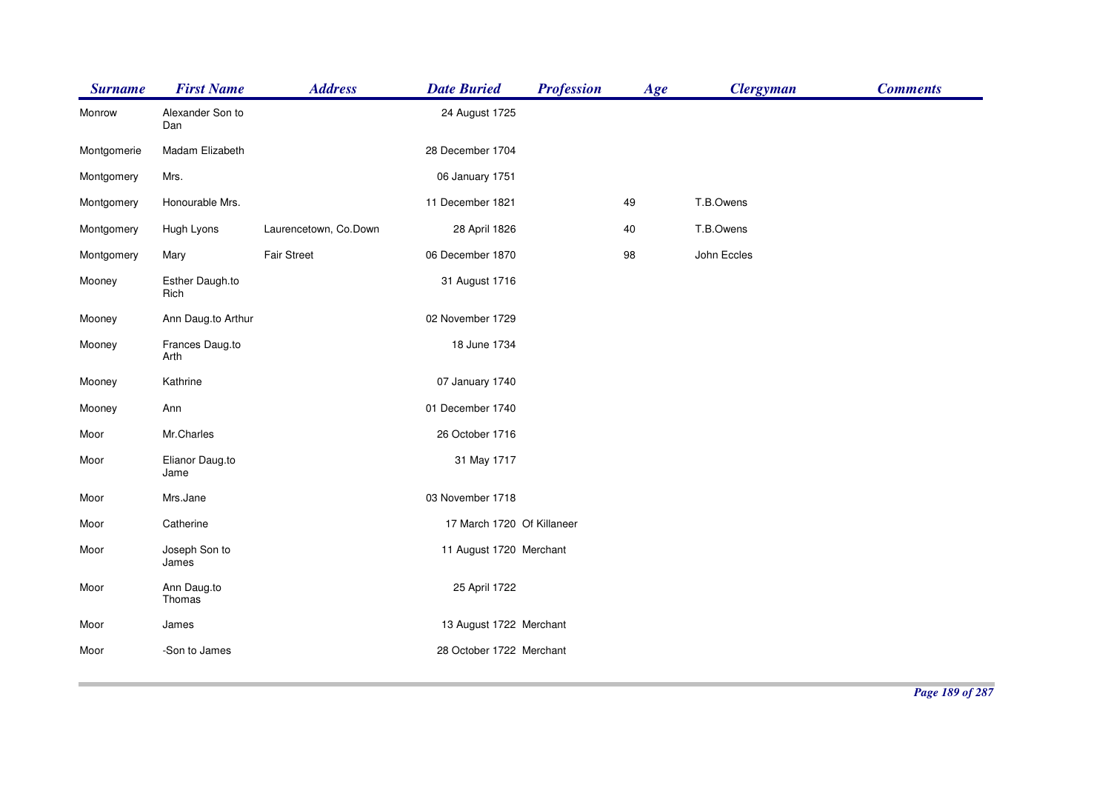| <b>Surname</b> | <b>First Name</b>       | <b>Address</b>        | <b>Date Buried</b>         | <b>Profession</b> | Age | <b>Clergyman</b> | <b>Comments</b> |
|----------------|-------------------------|-----------------------|----------------------------|-------------------|-----|------------------|-----------------|
| Monrow         | Alexander Son to<br>Dan |                       | 24 August 1725             |                   |     |                  |                 |
| Montgomerie    | Madam Elizabeth         |                       | 28 December 1704           |                   |     |                  |                 |
| Montgomery     | Mrs.                    |                       | 06 January 1751            |                   |     |                  |                 |
| Montgomery     | Honourable Mrs.         |                       | 11 December 1821           |                   | 49  | T.B.Owens        |                 |
| Montgomery     | Hugh Lyons              | Laurencetown, Co.Down | 28 April 1826              |                   | 40  | T.B.Owens        |                 |
| Montgomery     | Mary                    | <b>Fair Street</b>    | 06 December 1870           |                   | 98  | John Eccles      |                 |
| Mooney         | Esther Daugh.to<br>Rich |                       | 31 August 1716             |                   |     |                  |                 |
| Mooney         | Ann Daug.to Arthur      |                       | 02 November 1729           |                   |     |                  |                 |
| Mooney         | Frances Daug.to<br>Arth |                       | 18 June 1734               |                   |     |                  |                 |
| Mooney         | Kathrine                |                       | 07 January 1740            |                   |     |                  |                 |
| Mooney         | Ann                     |                       | 01 December 1740           |                   |     |                  |                 |
| Moor           | Mr.Charles              |                       | 26 October 1716            |                   |     |                  |                 |
| Moor           | Elianor Daug.to<br>Jame |                       | 31 May 1717                |                   |     |                  |                 |
| Moor           | Mrs.Jane                |                       | 03 November 1718           |                   |     |                  |                 |
| Moor           | Catherine               |                       | 17 March 1720 Of Killaneer |                   |     |                  |                 |
| Moor           | Joseph Son to<br>James  |                       | 11 August 1720 Merchant    |                   |     |                  |                 |
| Moor           | Ann Daug.to<br>Thomas   |                       | 25 April 1722              |                   |     |                  |                 |
| Moor           | James                   |                       | 13 August 1722 Merchant    |                   |     |                  |                 |
| Moor           | -Son to James           |                       | 28 October 1722 Merchant   |                   |     |                  |                 |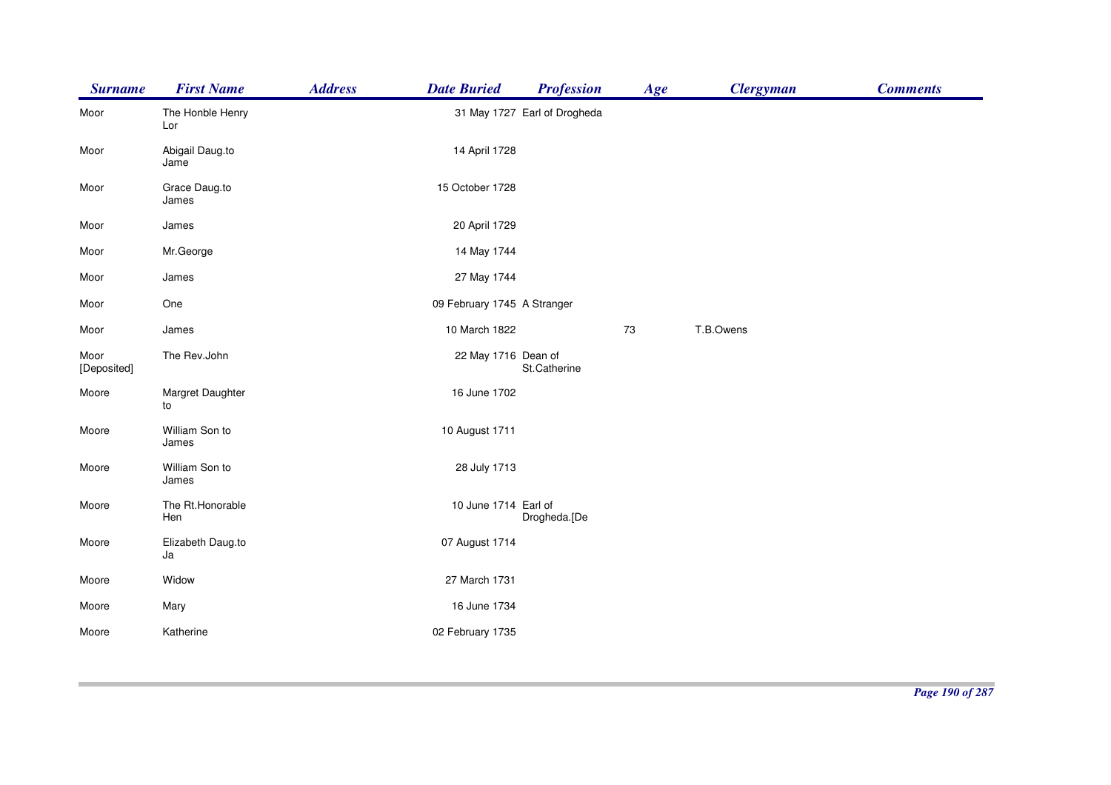| <b>Surname</b>      | <b>First Name</b>       | <b>Address</b> | <b>Date Buried</b>          | <b>Profession</b>            | Age | <b>Clergyman</b> | <b>Comments</b> |
|---------------------|-------------------------|----------------|-----------------------------|------------------------------|-----|------------------|-----------------|
| Moor                | The Honble Henry<br>Lor |                |                             | 31 May 1727 Earl of Drogheda |     |                  |                 |
| Moor                | Abigail Daug.to<br>Jame |                | 14 April 1728               |                              |     |                  |                 |
| Moor                | Grace Daug.to<br>James  |                | 15 October 1728             |                              |     |                  |                 |
| Moor                | James                   |                | 20 April 1729               |                              |     |                  |                 |
| Moor                | Mr.George               |                | 14 May 1744                 |                              |     |                  |                 |
| Moor                | James                   |                | 27 May 1744                 |                              |     |                  |                 |
| Moor                | One                     |                | 09 February 1745 A Stranger |                              |     |                  |                 |
| Moor                | James                   |                | 10 March 1822               |                              | 73  | T.B.Owens        |                 |
| Moor<br>[Deposited] | The Rev.John            |                | 22 May 1716 Dean of         | St.Catherine                 |     |                  |                 |
| Moore               | Margret Daughter<br>to  |                | 16 June 1702                |                              |     |                  |                 |
| Moore               | William Son to<br>James |                | 10 August 1711              |                              |     |                  |                 |
| Moore               | William Son to<br>James |                | 28 July 1713                |                              |     |                  |                 |
| Moore               | The Rt.Honorable<br>Hen |                | 10 June 1714 Earl of        | Drogheda.[De                 |     |                  |                 |
| Moore               | Elizabeth Daug.to<br>Ja |                | 07 August 1714              |                              |     |                  |                 |
| Moore               | Widow                   |                | 27 March 1731               |                              |     |                  |                 |
| Moore               | Mary                    |                | 16 June 1734                |                              |     |                  |                 |
| Moore               | Katherine               |                | 02 February 1735            |                              |     |                  |                 |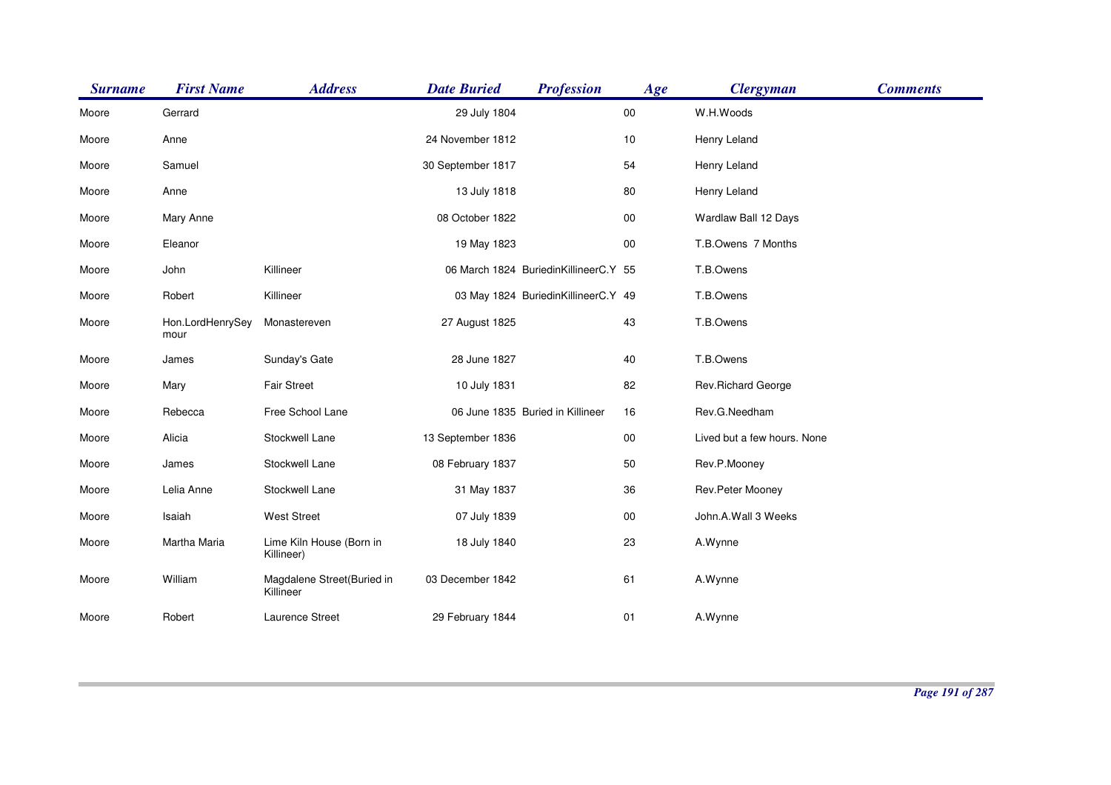| <b>Surname</b> | <b>First Name</b>        | <b>Address</b>                          | <b>Date Buried</b> | <b>Profession</b>                     | Age    | <b>Clergyman</b>            | <b>Comments</b> |
|----------------|--------------------------|-----------------------------------------|--------------------|---------------------------------------|--------|-----------------------------|-----------------|
| Moore          | Gerrard                  |                                         | 29 July 1804       |                                       | $00\,$ | W.H.Woods                   |                 |
| Moore          | Anne                     |                                         | 24 November 1812   |                                       | 10     | Henry Leland                |                 |
| Moore          | Samuel                   |                                         | 30 September 1817  |                                       | 54     | Henry Leland                |                 |
| Moore          | Anne                     |                                         | 13 July 1818       |                                       | 80     | Henry Leland                |                 |
| Moore          | Mary Anne                |                                         | 08 October 1822    |                                       | $00\,$ | Wardlaw Ball 12 Days        |                 |
| Moore          | Eleanor                  |                                         | 19 May 1823        |                                       | 00     | T.B.Owens 7 Months          |                 |
| Moore          | John                     | Killineer                               |                    | 06 March 1824 BuriedinKillineerC.Y 55 |        | T.B.Owens                   |                 |
| Moore          | Robert                   | Killineer                               |                    | 03 May 1824 BuriedinKillineerC.Y 49   |        | T.B.Owens                   |                 |
| Moore          | Hon.LordHenrySey<br>mour | Monastereven                            | 27 August 1825     |                                       | 43     | T.B.Owens                   |                 |
| Moore          | James                    | Sunday's Gate                           | 28 June 1827       |                                       | 40     | T.B.Owens                   |                 |
| Moore          | Mary                     | <b>Fair Street</b>                      | 10 July 1831       |                                       | 82     | Rev.Richard George          |                 |
| Moore          | Rebecca                  | Free School Lane                        |                    | 06 June 1835 Buried in Killineer      | 16     | Rev.G.Needham               |                 |
| Moore          | Alicia                   | Stockwell Lane                          | 13 September 1836  |                                       | $00\,$ | Lived but a few hours. None |                 |
| Moore          | James                    | Stockwell Lane                          | 08 February 1837   |                                       | 50     | Rev.P.Mooney                |                 |
| Moore          | Lelia Anne               | Stockwell Lane                          | 31 May 1837        |                                       | 36     | Rev.Peter Mooney            |                 |
| Moore          | Isaiah                   | <b>West Street</b>                      | 07 July 1839       |                                       | $00\,$ | John.A.Wall 3 Weeks         |                 |
| Moore          | Martha Maria             | Lime Kiln House (Born in<br>Killineer)  | 18 July 1840       |                                       | 23     | A.Wynne                     |                 |
| Moore          | William                  | Magdalene Street(Buried in<br>Killineer | 03 December 1842   |                                       | 61     | A.Wynne                     |                 |
| Moore          | Robert                   | Laurence Street                         | 29 February 1844   |                                       | 01     | A.Wynne                     |                 |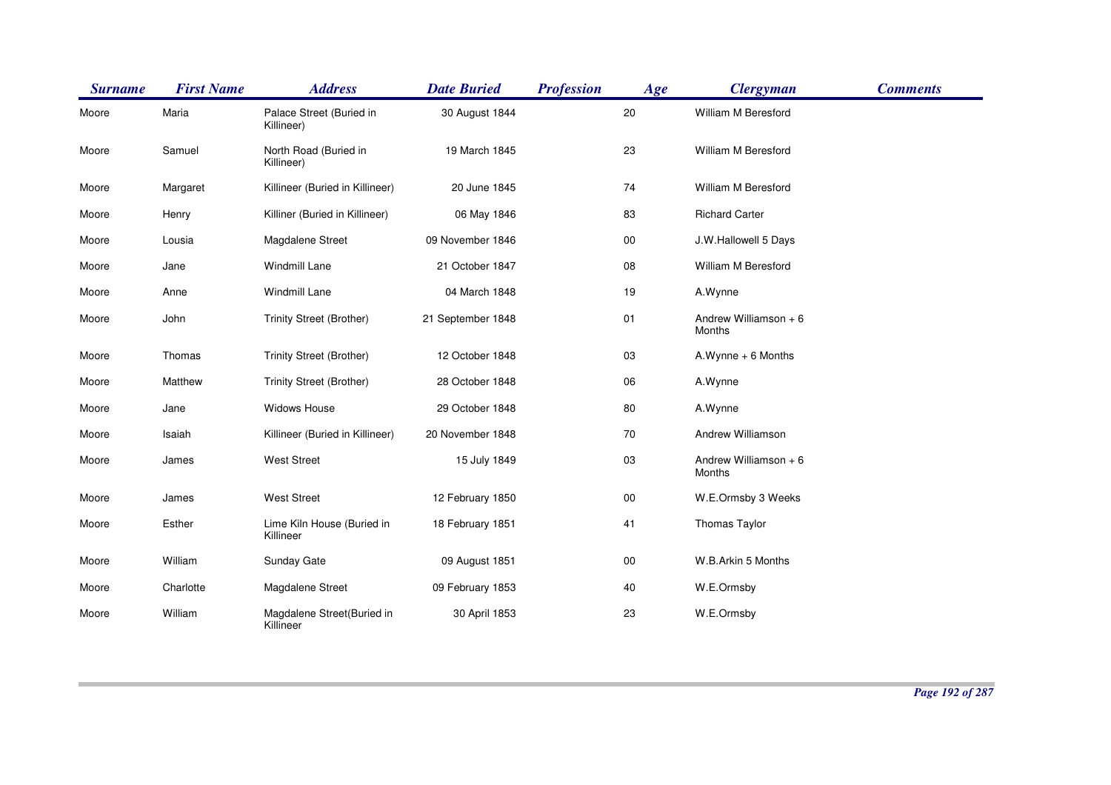| <b>Surname</b> | <b>First Name</b> | <b>Address</b>                          | <b>Date Buried</b> | <b>Profession</b> | Age    | <b>Clergyman</b>                | <b>Comments</b> |
|----------------|-------------------|-----------------------------------------|--------------------|-------------------|--------|---------------------------------|-----------------|
| Moore          | Maria             | Palace Street (Buried in<br>Killineer)  | 30 August 1844     |                   | 20     | William M Beresford             |                 |
| Moore          | Samuel            | North Road (Buried in<br>Killineer)     | 19 March 1845      |                   | 23     | William M Beresford             |                 |
| Moore          | Margaret          | Killineer (Buried in Killineer)         | 20 June 1845       |                   | 74     | William M Beresford             |                 |
| Moore          | Henry             | Killiner (Buried in Killineer)          | 06 May 1846        |                   | 83     | <b>Richard Carter</b>           |                 |
| Moore          | Lousia            | Magdalene Street                        | 09 November 1846   |                   | $00\,$ | J.W.Hallowell 5 Days            |                 |
| Moore          | Jane              | <b>Windmill Lane</b>                    | 21 October 1847    |                   | 08     | William M Beresford             |                 |
| Moore          | Anne              | <b>Windmill Lane</b>                    | 04 March 1848      |                   | 19     | A.Wynne                         |                 |
| Moore          | John              | Trinity Street (Brother)                | 21 September 1848  |                   | 01     | Andrew Williamson + 6<br>Months |                 |
| Moore          | Thomas            | Trinity Street (Brother)                | 12 October 1848    |                   | 03     | $A.Wynne + 6$ Months            |                 |
| Moore          | Matthew           | Trinity Street (Brother)                | 28 October 1848    |                   | 06     | A.Wynne                         |                 |
| Moore          | Jane              | Widows House                            | 29 October 1848    |                   | 80     | A.Wynne                         |                 |
| Moore          | Isaiah            | Killineer (Buried in Killineer)         | 20 November 1848   |                   | 70     | Andrew Williamson               |                 |
| Moore          | James             | <b>West Street</b>                      | 15 July 1849       |                   | 03     | Andrew Williamson + 6<br>Months |                 |
| Moore          | James             | <b>West Street</b>                      | 12 February 1850   |                   | $00\,$ | W.E.Ormsby 3 Weeks              |                 |
| Moore          | Esther            | Lime Kiln House (Buried in<br>Killineer | 18 February 1851   |                   | 41     | Thomas Taylor                   |                 |
| Moore          | William           | <b>Sunday Gate</b>                      | 09 August 1851     |                   | $00\,$ | W.B.Arkin 5 Months              |                 |
| Moore          | Charlotte         | Magdalene Street                        | 09 February 1853   |                   | 40     | W.E.Ormsby                      |                 |
| Moore          | William           | Magdalene Street(Buried in<br>Killineer | 30 April 1853      |                   | 23     | W.E.Ormsby                      |                 |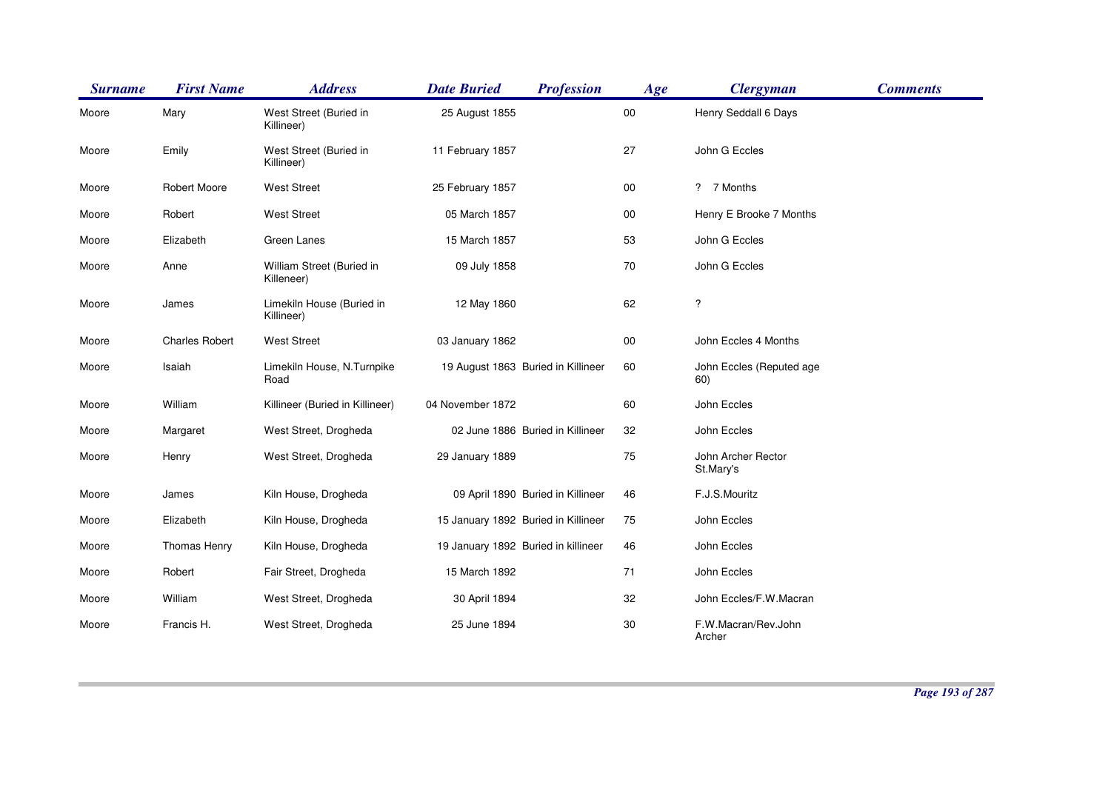| <b>Surname</b> | <b>First Name</b>     | <b>Address</b>                          | <b>Date Buried</b><br><b>Profession</b> | Age    | <b>Clergyman</b>                | <b>Comments</b> |
|----------------|-----------------------|-----------------------------------------|-----------------------------------------|--------|---------------------------------|-----------------|
| Moore          | Mary                  | West Street (Buried in<br>Killineer)    | 25 August 1855                          | $00\,$ | Henry Seddall 6 Days            |                 |
| Moore          | Emily                 | West Street (Buried in<br>Killineer)    | 11 February 1857                        | 27     | John G Eccles                   |                 |
| Moore          | <b>Robert Moore</b>   | <b>West Street</b>                      | 25 February 1857                        | 00     | ? 7 Months                      |                 |
| Moore          | Robert                | <b>West Street</b>                      | 05 March 1857                           | $00\,$ | Henry E Brooke 7 Months         |                 |
| Moore          | Elizabeth             | Green Lanes                             | 15 March 1857                           | 53     | John G Eccles                   |                 |
| Moore          | Anne                  | William Street (Buried in<br>Killeneer) | 09 July 1858                            | 70     | John G Eccles                   |                 |
| Moore          | James                 | Limekiln House (Buried in<br>Killineer) | 12 May 1860                             | 62     | ?                               |                 |
| Moore          | <b>Charles Robert</b> | <b>West Street</b>                      | 03 January 1862                         | $00\,$ | John Eccles 4 Months            |                 |
| Moore          | Isaiah                | Limekiln House, N.Turnpike<br>Road      | 19 August 1863 Buried in Killineer      | 60     | John Eccles (Reputed age<br>60) |                 |
| Moore          | William               | Killineer (Buried in Killineer)         | 04 November 1872                        | 60     | John Eccles                     |                 |
| Moore          | Margaret              | West Street, Drogheda                   | 02 June 1886 Buried in Killineer        | 32     | John Eccles                     |                 |
| Moore          | Henry                 | West Street, Drogheda                   | 29 January 1889                         | 75     | John Archer Rector<br>St.Mary's |                 |
| Moore          | James                 | Kiln House, Drogheda                    | 09 April 1890 Buried in Killineer       | 46     | F.J.S.Mouritz                   |                 |
| Moore          | Elizabeth             | Kiln House, Drogheda                    | 15 January 1892 Buried in Killineer     | 75     | John Eccles                     |                 |
| Moore          | Thomas Henry          | Kiln House, Drogheda                    | 19 January 1892 Buried in killineer     | 46     | John Eccles                     |                 |
| Moore          | Robert                | Fair Street, Drogheda                   | 15 March 1892                           | 71     | John Eccles                     |                 |
| Moore          | William               | West Street, Drogheda                   | 30 April 1894                           | 32     | John Eccles/F.W.Macran          |                 |
| Moore          | Francis H.            | West Street, Drogheda                   | 25 June 1894                            | 30     | F.W.Macran/Rev.John<br>Archer   |                 |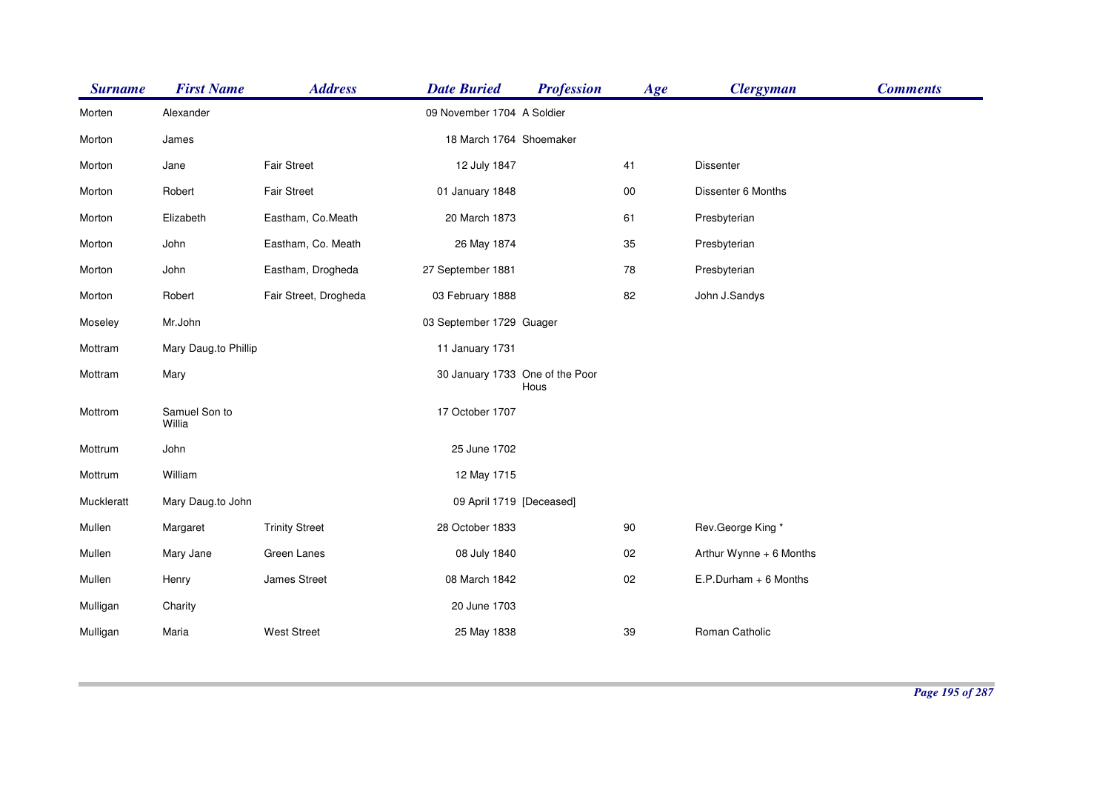| <b>Surname</b> | <b>First Name</b>       | <b>Address</b>        | <b>Date Buried</b>              | <b>Profession</b> | Age        | <b>Clergyman</b>        | <b>Comments</b> |
|----------------|-------------------------|-----------------------|---------------------------------|-------------------|------------|-------------------------|-----------------|
| Morten         | Alexander               |                       | 09 November 1704 A Soldier      |                   |            |                         |                 |
| Morton         | James                   |                       | 18 March 1764 Shoemaker         |                   |            |                         |                 |
| Morton         | Jane                    | <b>Fair Street</b>    | 12 July 1847                    |                   | 41         | Dissenter               |                 |
| Morton         | Robert                  | Fair Street           | 01 January 1848                 |                   | ${\bf 00}$ | Dissenter 6 Months      |                 |
| Morton         | Elizabeth               | Eastham, Co.Meath     | 20 March 1873                   |                   | 61         | Presbyterian            |                 |
| Morton         | John                    | Eastham, Co. Meath    | 26 May 1874                     |                   | 35         | Presbyterian            |                 |
| Morton         | John                    | Eastham, Drogheda     | 27 September 1881               |                   | 78         | Presbyterian            |                 |
| Morton         | Robert                  | Fair Street, Drogheda | 03 February 1888                |                   | 82         | John J.Sandys           |                 |
| Moseley        | Mr.John                 |                       | 03 September 1729 Guager        |                   |            |                         |                 |
| Mottram        | Mary Daug.to Phillip    |                       | 11 January 1731                 |                   |            |                         |                 |
| Mottram        | Mary                    |                       | 30 January 1733 One of the Poor | Hous              |            |                         |                 |
| Mottrom        | Samuel Son to<br>Willia |                       | 17 October 1707                 |                   |            |                         |                 |
| Mottrum        | John                    |                       | 25 June 1702                    |                   |            |                         |                 |
| Mottrum        | William                 |                       | 12 May 1715                     |                   |            |                         |                 |
| Muckleratt     | Mary Daug.to John       |                       | 09 April 1719 [Deceased]        |                   |            |                         |                 |
| Mullen         | Margaret                | <b>Trinity Street</b> | 28 October 1833                 |                   | 90         | Rev.George King*        |                 |
| Mullen         | Mary Jane               | Green Lanes           | 08 July 1840                    |                   | 02         | Arthur Wynne + 6 Months |                 |
| Mullen         | Henry                   | James Street          | 08 March 1842                   |                   | 02         | $E.P.Durham + 6$ Months |                 |
| Mulligan       | Charity                 |                       | 20 June 1703                    |                   |            |                         |                 |
| Mulligan       | Maria                   | <b>West Street</b>    | 25 May 1838                     |                   | 39         | Roman Catholic          |                 |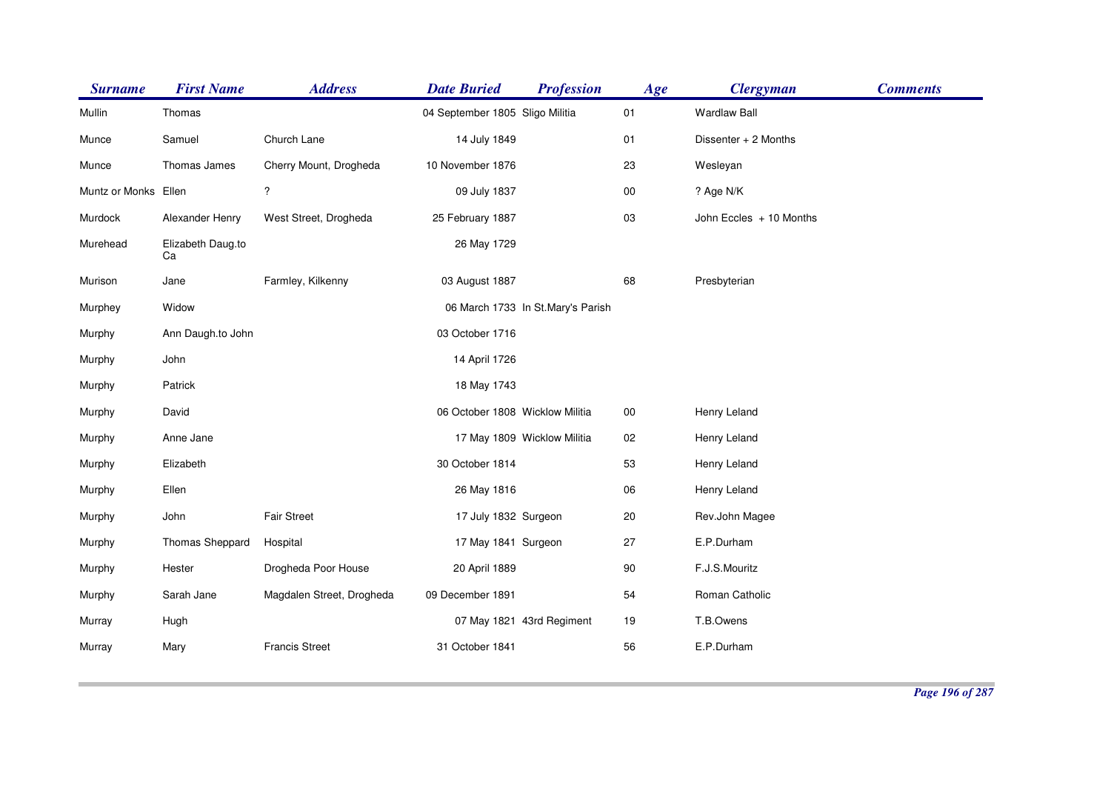| <b>Surname</b>       | <b>First Name</b>       | <b>Address</b>            | <b>Date Buried</b>              | <b>Profession</b>                 | Age    | <b>Clergyman</b>        | <b>Comments</b> |
|----------------------|-------------------------|---------------------------|---------------------------------|-----------------------------------|--------|-------------------------|-----------------|
| Mullin               | Thomas                  |                           | 04 September 1805 Sligo Militia |                                   | 01     | <b>Wardlaw Ball</b>     |                 |
| Munce                | Samuel                  | Church Lane               | 14 July 1849                    |                                   | 01     | Dissenter + 2 Months    |                 |
| Munce                | Thomas James            | Cherry Mount, Drogheda    | 10 November 1876                |                                   | 23     | Wesleyan                |                 |
| Muntz or Monks Ellen |                         | ?                         | 09 July 1837                    |                                   | $00\,$ | ? Age N/K               |                 |
| Murdock              | Alexander Henry         | West Street, Drogheda     | 25 February 1887                |                                   | 03     | John Eccles + 10 Months |                 |
| Murehead             | Elizabeth Daug.to<br>Ca |                           | 26 May 1729                     |                                   |        |                         |                 |
| Murison              | Jane                    | Farmley, Kilkenny         | 03 August 1887                  |                                   | 68     | Presbyterian            |                 |
| Murphey              | Widow                   |                           |                                 | 06 March 1733 In St.Mary's Parish |        |                         |                 |
| Murphy               | Ann Daugh.to John       |                           | 03 October 1716                 |                                   |        |                         |                 |
| Murphy               | John                    |                           | 14 April 1726                   |                                   |        |                         |                 |
| Murphy               | Patrick                 |                           | 18 May 1743                     |                                   |        |                         |                 |
| Murphy               | David                   |                           | 06 October 1808 Wicklow Militia |                                   | $00\,$ | Henry Leland            |                 |
| Murphy               | Anne Jane               |                           |                                 | 17 May 1809 Wicklow Militia       | 02     | Henry Leland            |                 |
| Murphy               | Elizabeth               |                           | 30 October 1814                 |                                   | 53     | Henry Leland            |                 |
| Murphy               | Ellen                   |                           | 26 May 1816                     |                                   | 06     | Henry Leland            |                 |
| Murphy               | John                    | <b>Fair Street</b>        | 17 July 1832 Surgeon            |                                   | 20     | Rev.John Magee          |                 |
| Murphy               | Thomas Sheppard         | Hospital                  | 17 May 1841 Surgeon             |                                   | 27     | E.P.Durham              |                 |
| Murphy               | Hester                  | Drogheda Poor House       | 20 April 1889                   |                                   | $90\,$ | F.J.S.Mouritz           |                 |
| Murphy               | Sarah Jane              | Magdalen Street, Drogheda | 09 December 1891                |                                   | 54     | Roman Catholic          |                 |
| Murray               | Hugh                    |                           |                                 | 07 May 1821 43rd Regiment         | 19     | T.B.Owens               |                 |
| Murray               | Mary                    | <b>Francis Street</b>     | 31 October 1841                 |                                   | 56     | E.P.Durham              |                 |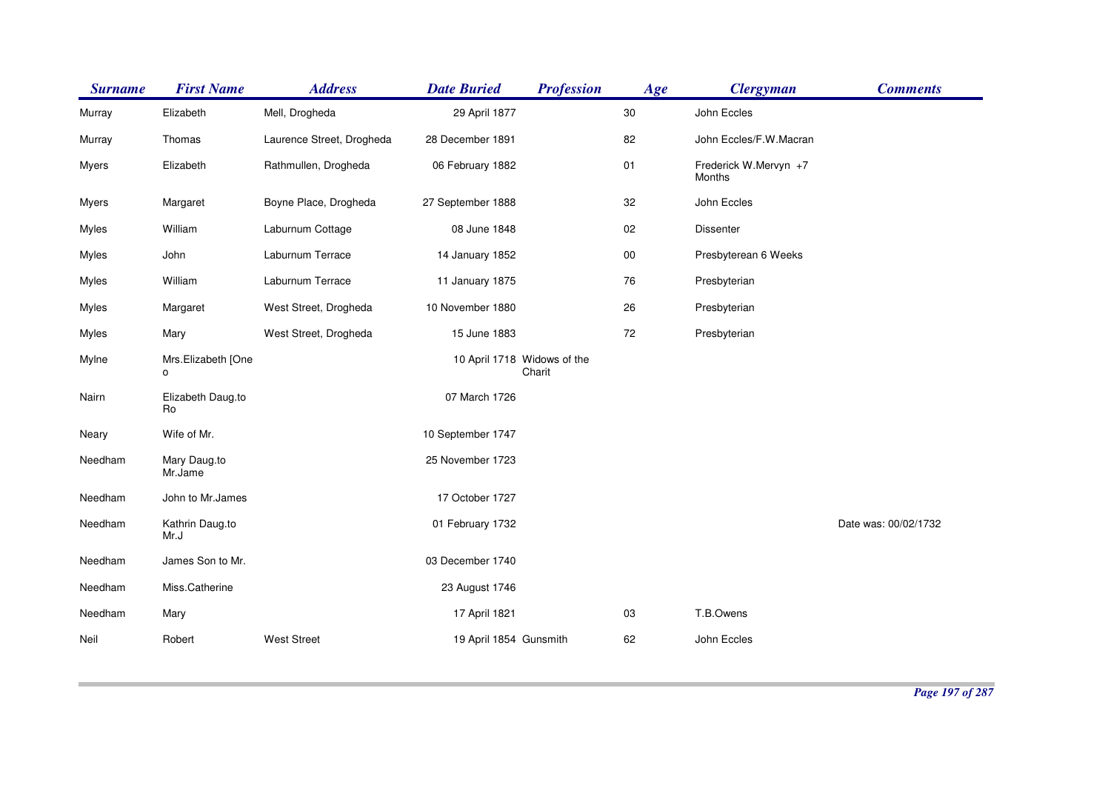| <b>Surname</b> | <b>First Name</b>                    | <b>Address</b>            | <b>Date Buried</b>          | <b>Profession</b> | Age    | <b>Clergyman</b>                | <b>Comments</b>      |
|----------------|--------------------------------------|---------------------------|-----------------------------|-------------------|--------|---------------------------------|----------------------|
| Murray         | Elizabeth                            | Mell, Drogheda            | 29 April 1877               |                   | 30     | John Eccles                     |                      |
| Murray         | Thomas                               | Laurence Street, Drogheda | 28 December 1891            |                   | 82     | John Eccles/F.W.Macran          |                      |
| Myers          | Elizabeth                            | Rathmullen, Drogheda      | 06 February 1882            |                   | 01     | Frederick W.Mervyn +7<br>Months |                      |
| <b>Myers</b>   | Margaret                             | Boyne Place, Drogheda     | 27 September 1888           |                   | 32     | John Eccles                     |                      |
| Myles          | William                              | Laburnum Cottage          | 08 June 1848                |                   | 02     | <b>Dissenter</b>                |                      |
| Myles          | John                                 | Laburnum Terrace          | 14 January 1852             |                   | $00\,$ | Presbyterean 6 Weeks            |                      |
| Myles          | William                              | Laburnum Terrace          | 11 January 1875             |                   | 76     | Presbyterian                    |                      |
| Myles          | Margaret                             | West Street, Drogheda     | 10 November 1880            |                   | 26     | Presbyterian                    |                      |
| Myles          | Mary                                 | West Street, Drogheda     | 15 June 1883                |                   | 72     | Presbyterian                    |                      |
| Mylne          | Mrs.Elizabeth [One<br>$\mathsf{o}\,$ |                           | 10 April 1718 Widows of the | Charit            |        |                                 |                      |
| Nairn          | Elizabeth Daug.to<br>Ro              |                           | 07 March 1726               |                   |        |                                 |                      |
| Neary          | Wife of Mr.                          |                           | 10 September 1747           |                   |        |                                 |                      |
| Needham        | Mary Daug.to<br>Mr.Jame              |                           | 25 November 1723            |                   |        |                                 |                      |
| Needham        | John to Mr.James                     |                           | 17 October 1727             |                   |        |                                 |                      |
| Needham        | Kathrin Daug.to<br>Mr.J              |                           | 01 February 1732            |                   |        |                                 | Date was: 00/02/1732 |
| Needham        | James Son to Mr.                     |                           | 03 December 1740            |                   |        |                                 |                      |
| Needham        | Miss.Catherine                       |                           | 23 August 1746              |                   |        |                                 |                      |
| Needham        | Mary                                 |                           | 17 April 1821               |                   | 03     | T.B.Owens                       |                      |
| Neil           | Robert                               | <b>West Street</b>        | 19 April 1854 Gunsmith      |                   | 62     | John Eccles                     |                      |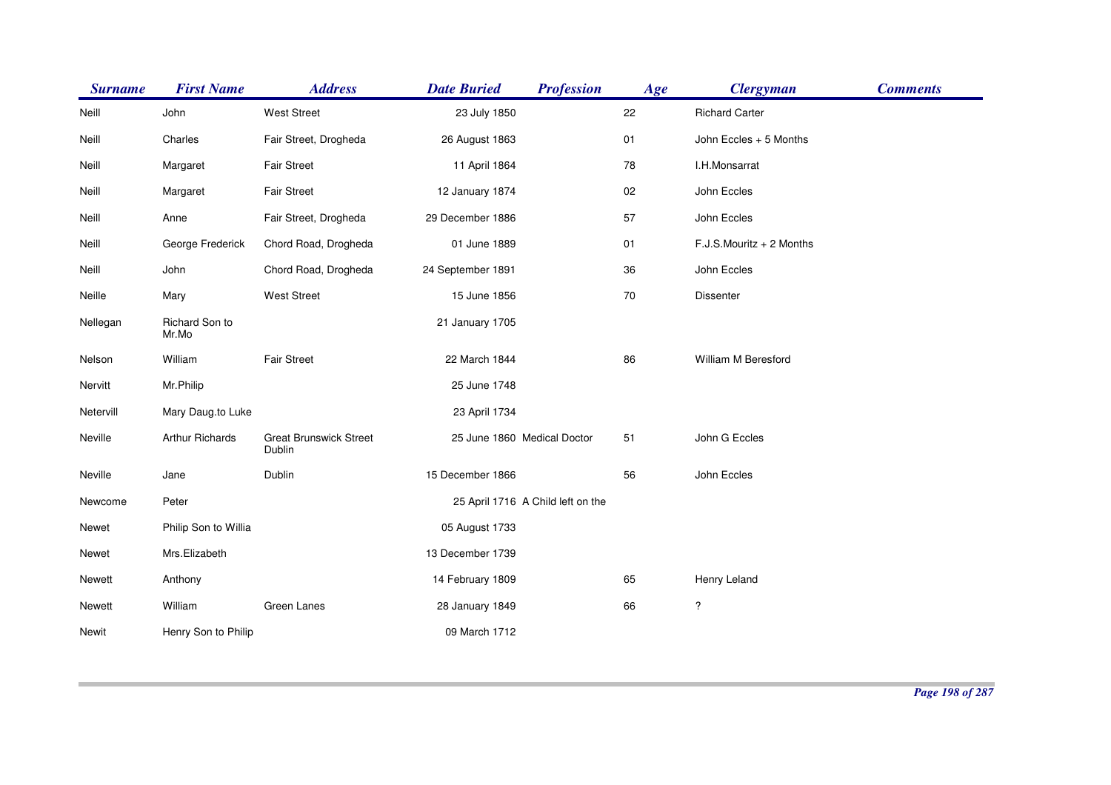| <b>Surname</b> | <b>First Name</b>       | <b>Address</b>                          | <b>Profession</b><br><b>Date Buried</b> | Age | <b>Clergyman</b>         | <b>Comments</b> |
|----------------|-------------------------|-----------------------------------------|-----------------------------------------|-----|--------------------------|-----------------|
| Neill          | John                    | <b>West Street</b>                      | 23 July 1850                            | 22  | <b>Richard Carter</b>    |                 |
| Neill          | Charles                 | Fair Street, Drogheda                   | 26 August 1863                          | 01  | John Eccles + 5 Months   |                 |
| Neill          | Margaret                | <b>Fair Street</b>                      | 11 April 1864                           | 78  | I.H.Monsarrat            |                 |
| Neill          | Margaret                | <b>Fair Street</b>                      | 12 January 1874                         | 02  | John Eccles              |                 |
| Neill          | Anne                    | Fair Street, Drogheda                   | 29 December 1886                        | 57  | John Eccles              |                 |
| Neill          | George Frederick        | Chord Road, Drogheda                    | 01 June 1889                            | 01  | F.J.S.Mouritz + 2 Months |                 |
| Neill          | John                    | Chord Road, Drogheda                    | 24 September 1891                       | 36  | John Eccles              |                 |
| Neille         | Mary                    | West Street                             | 15 June 1856                            | 70  | Dissenter                |                 |
| Nellegan       | Richard Son to<br>Mr.Mo |                                         | 21 January 1705                         |     |                          |                 |
| Nelson         | William                 | Fair Street                             | 22 March 1844                           | 86  | William M Beresford      |                 |
| Nervitt        | Mr.Philip               |                                         | 25 June 1748                            |     |                          |                 |
| Netervill      | Mary Daug.to Luke       |                                         | 23 April 1734                           |     |                          |                 |
| Neville        | Arthur Richards         | <b>Great Brunswick Street</b><br>Dublin | 25 June 1860 Medical Doctor             | 51  | John G Eccles            |                 |
| Neville        | Jane                    | Dublin                                  | 15 December 1866                        | 56  | John Eccles              |                 |
| Newcome        | Peter                   |                                         | 25 April 1716 A Child left on the       |     |                          |                 |
| Newet          | Philip Son to Willia    |                                         | 05 August 1733                          |     |                          |                 |
| Newet          | Mrs.Elizabeth           |                                         | 13 December 1739                        |     |                          |                 |
| Newett         | Anthony                 |                                         | 14 February 1809                        | 65  | Henry Leland             |                 |
| Newett         | William                 | Green Lanes                             | 28 January 1849                         | 66  | $\ddot{?}$               |                 |
| Newit          | Henry Son to Philip     |                                         | 09 March 1712                           |     |                          |                 |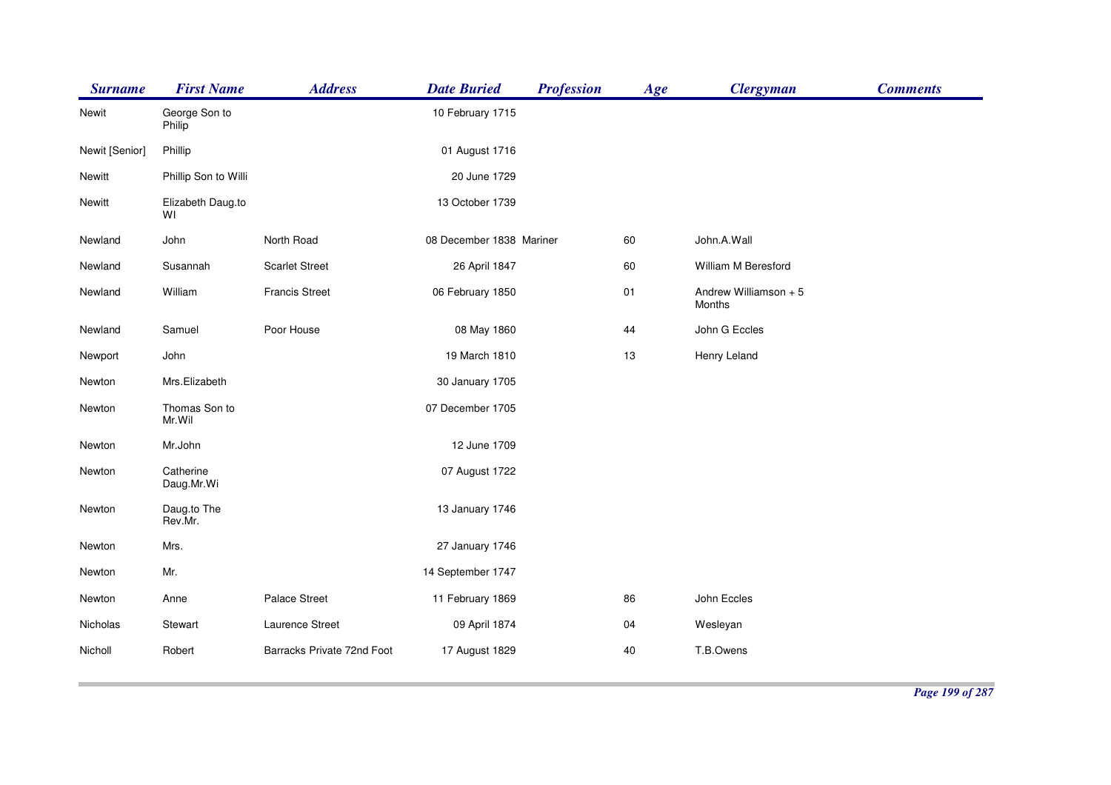| <b>Surname</b> | <b>First Name</b>       | <b>Address</b>             | <b>Date Buried</b>       | <b>Profession</b> | Age | <b>Clergyman</b>                | <b>Comments</b> |
|----------------|-------------------------|----------------------------|--------------------------|-------------------|-----|---------------------------------|-----------------|
| Newit          | George Son to<br>Philip |                            | 10 February 1715         |                   |     |                                 |                 |
| Newit [Senior] | Phillip                 |                            | 01 August 1716           |                   |     |                                 |                 |
| Newitt         | Phillip Son to Willi    |                            | 20 June 1729             |                   |     |                                 |                 |
| Newitt         | Elizabeth Daug.to<br>WI |                            | 13 October 1739          |                   |     |                                 |                 |
| Newland        | John                    | North Road                 | 08 December 1838 Mariner |                   | 60  | John.A.Wall                     |                 |
| Newland        | Susannah                | <b>Scarlet Street</b>      | 26 April 1847            |                   | 60  | William M Beresford             |                 |
| Newland        | William                 | <b>Francis Street</b>      | 06 February 1850         |                   | 01  | Andrew Williamson + 5<br>Months |                 |
| Newland        | Samuel                  | Poor House                 | 08 May 1860              |                   | 44  | John G Eccles                   |                 |
| Newport        | John                    |                            | 19 March 1810            |                   | 13  | Henry Leland                    |                 |
| Newton         | Mrs.Elizabeth           |                            | 30 January 1705          |                   |     |                                 |                 |
| Newton         | Thomas Son to<br>Mr.Wil |                            | 07 December 1705         |                   |     |                                 |                 |
| Newton         | Mr.John                 |                            | 12 June 1709             |                   |     |                                 |                 |
| Newton         | Catherine<br>Daug.Mr.Wi |                            | 07 August 1722           |                   |     |                                 |                 |
| Newton         | Daug.to The<br>Rev.Mr.  |                            | 13 January 1746          |                   |     |                                 |                 |
| Newton         | Mrs.                    |                            | 27 January 1746          |                   |     |                                 |                 |
| Newton         | Mr.                     |                            | 14 September 1747        |                   |     |                                 |                 |
| Newton         | Anne                    | Palace Street              | 11 February 1869         |                   | 86  | John Eccles                     |                 |
| Nicholas       | Stewart                 | Laurence Street            | 09 April 1874            |                   | 04  | Wesleyan                        |                 |
| Nicholl        | Robert                  | Barracks Private 72nd Foot | 17 August 1829           |                   | 40  | T.B.Owens                       |                 |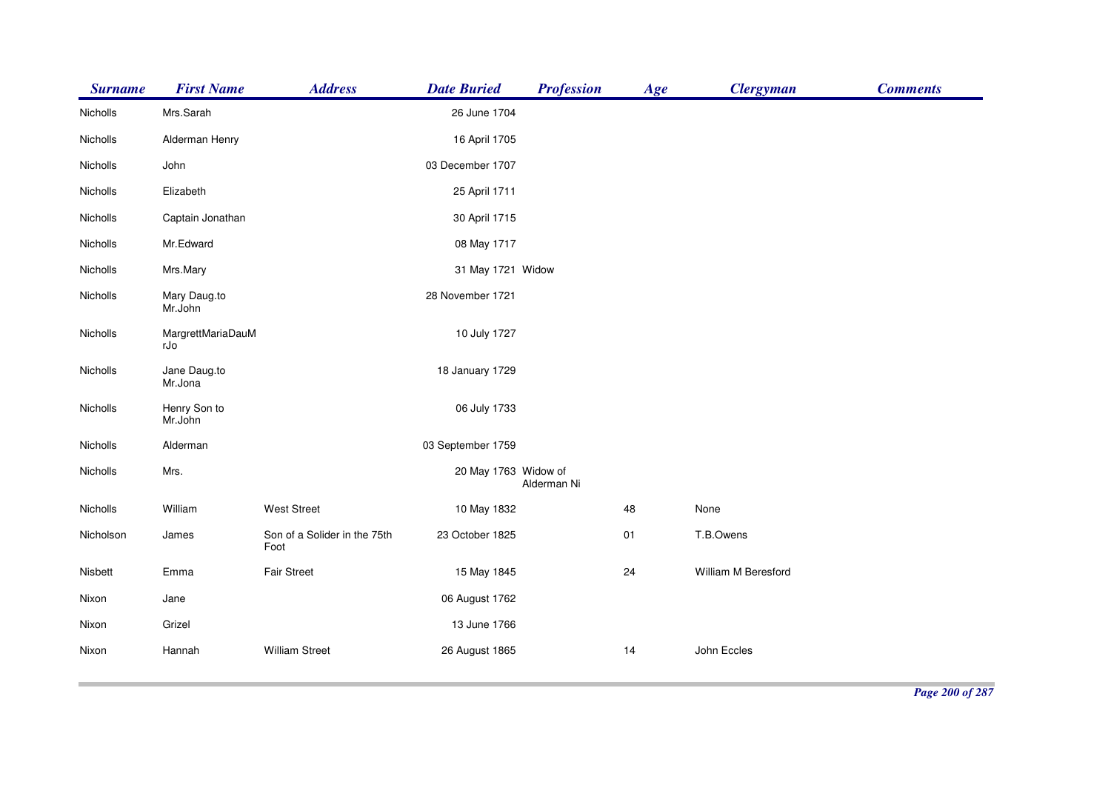| <b>Surname</b> | <b>First Name</b>        | <b>Address</b>                       | <b>Date Buried</b>   | <b>Profession</b> | Age | <b>Clergyman</b>    | <b>Comments</b> |
|----------------|--------------------------|--------------------------------------|----------------------|-------------------|-----|---------------------|-----------------|
| Nicholls       | Mrs.Sarah                |                                      | 26 June 1704         |                   |     |                     |                 |
| Nicholls       | Alderman Henry           |                                      | 16 April 1705        |                   |     |                     |                 |
| Nicholls       | John                     |                                      | 03 December 1707     |                   |     |                     |                 |
| Nicholls       | Elizabeth                |                                      | 25 April 1711        |                   |     |                     |                 |
| Nicholls       | Captain Jonathan         |                                      | 30 April 1715        |                   |     |                     |                 |
| Nicholls       | Mr.Edward                |                                      | 08 May 1717          |                   |     |                     |                 |
| Nicholls       | Mrs.Mary                 |                                      | 31 May 1721 Widow    |                   |     |                     |                 |
| Nicholls       | Mary Daug.to<br>Mr.John  |                                      | 28 November 1721     |                   |     |                     |                 |
| Nicholls       | MargrettMariaDauM<br>rJo |                                      | 10 July 1727         |                   |     |                     |                 |
| Nicholls       | Jane Daug.to<br>Mr.Jona  |                                      | 18 January 1729      |                   |     |                     |                 |
| Nicholls       | Henry Son to<br>Mr.John  |                                      | 06 July 1733         |                   |     |                     |                 |
| Nicholls       | Alderman                 |                                      | 03 September 1759    |                   |     |                     |                 |
| Nicholls       | Mrs.                     |                                      | 20 May 1763 Widow of | Alderman Ni       |     |                     |                 |
| Nicholls       | William                  | <b>West Street</b>                   | 10 May 1832          |                   | 48  | None                |                 |
| Nicholson      | James                    | Son of a Solider in the 75th<br>Foot | 23 October 1825      |                   | 01  | T.B.Owens           |                 |
| Nisbett        | Emma                     | <b>Fair Street</b>                   | 15 May 1845          |                   | 24  | William M Beresford |                 |
| Nixon          | Jane                     |                                      | 06 August 1762       |                   |     |                     |                 |
| Nixon          | Grizel                   |                                      | 13 June 1766         |                   |     |                     |                 |
| Nixon          | Hannah                   | <b>William Street</b>                | 26 August 1865       |                   | 14  | John Eccles         |                 |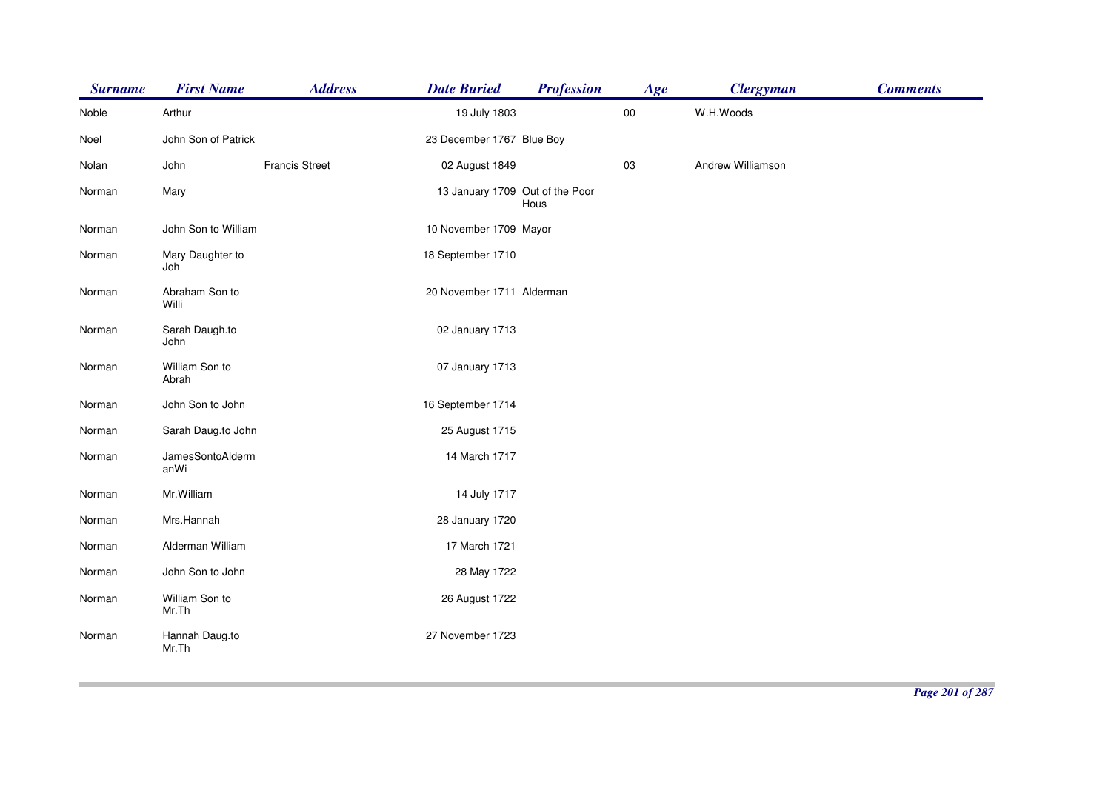| <b>Surname</b> | <b>First Name</b>        | <b>Address</b>        | <b>Date Buried</b>              | <b>Profession</b> | Age    | <b>Clergyman</b>  | <b>Comments</b> |
|----------------|--------------------------|-----------------------|---------------------------------|-------------------|--------|-------------------|-----------------|
| Noble          | Arthur                   |                       | 19 July 1803                    |                   | $00\,$ | W.H.Woods         |                 |
| Noel           | John Son of Patrick      |                       | 23 December 1767 Blue Boy       |                   |        |                   |                 |
| Nolan          | John                     | <b>Francis Street</b> | 02 August 1849                  |                   | 03     | Andrew Williamson |                 |
| Norman         | Mary                     |                       | 13 January 1709 Out of the Poor | Hous              |        |                   |                 |
| Norman         | John Son to William      |                       | 10 November 1709 Mayor          |                   |        |                   |                 |
| Norman         | Mary Daughter to<br>Joh  |                       | 18 September 1710               |                   |        |                   |                 |
| Norman         | Abraham Son to<br>Willi  |                       | 20 November 1711 Alderman       |                   |        |                   |                 |
| Norman         | Sarah Daugh.to<br>John   |                       | 02 January 1713                 |                   |        |                   |                 |
| Norman         | William Son to<br>Abrah  |                       | 07 January 1713                 |                   |        |                   |                 |
| Norman         | John Son to John         |                       | 16 September 1714               |                   |        |                   |                 |
| Norman         | Sarah Daug.to John       |                       | 25 August 1715                  |                   |        |                   |                 |
| Norman         | JamesSontoAlderm<br>anWi |                       | 14 March 1717                   |                   |        |                   |                 |
| Norman         | Mr. William              |                       | 14 July 1717                    |                   |        |                   |                 |
| Norman         | Mrs.Hannah               |                       | 28 January 1720                 |                   |        |                   |                 |
| Norman         | Alderman William         |                       | 17 March 1721                   |                   |        |                   |                 |
| Norman         | John Son to John         |                       | 28 May 1722                     |                   |        |                   |                 |
| Norman         | William Son to<br>Mr.Th  |                       | 26 August 1722                  |                   |        |                   |                 |
| Norman         | Hannah Daug.to<br>Mr.Th  |                       | 27 November 1723                |                   |        |                   |                 |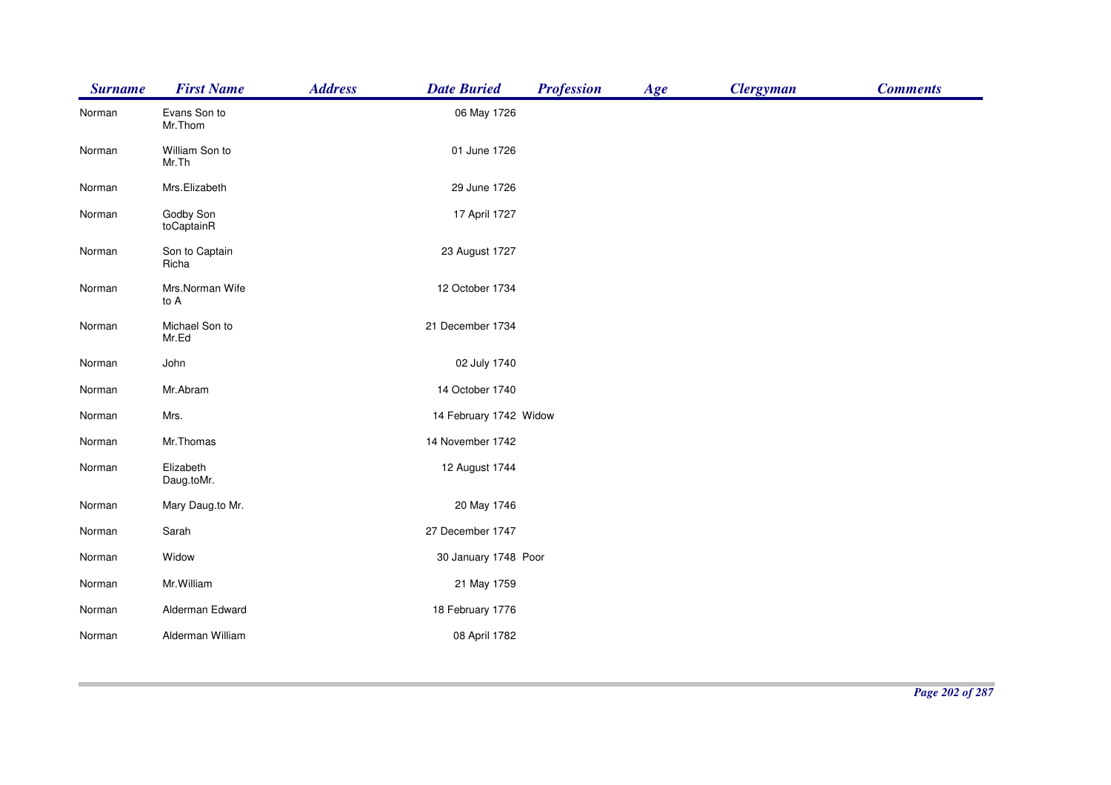| <b>Surname</b> | <b>First Name</b>       | <b>Address</b> | <b>Date Buried</b>     | <b>Profession</b> | Age | <b>Clergyman</b> | <b>Comments</b> |
|----------------|-------------------------|----------------|------------------------|-------------------|-----|------------------|-----------------|
| Norman         | Evans Son to<br>Mr.Thom |                | 06 May 1726            |                   |     |                  |                 |
| Norman         | William Son to<br>Mr.Th |                | 01 June 1726           |                   |     |                  |                 |
| Norman         | Mrs.Elizabeth           |                | 29 June 1726           |                   |     |                  |                 |
| Norman         | Godby Son<br>toCaptainR |                | 17 April 1727          |                   |     |                  |                 |
| Norman         | Son to Captain<br>Richa |                | 23 August 1727         |                   |     |                  |                 |
| Norman         | Mrs.Norman Wife<br>to A |                | 12 October 1734        |                   |     |                  |                 |
| Norman         | Michael Son to<br>Mr.Ed |                | 21 December 1734       |                   |     |                  |                 |
| Norman         | John                    |                | 02 July 1740           |                   |     |                  |                 |
| Norman         | Mr.Abram                |                | 14 October 1740        |                   |     |                  |                 |
| Norman         | Mrs.                    |                | 14 February 1742 Widow |                   |     |                  |                 |
| Norman         | Mr.Thomas               |                | 14 November 1742       |                   |     |                  |                 |
| Norman         | Elizabeth<br>Daug.toMr. |                | 12 August 1744         |                   |     |                  |                 |
| Norman         | Mary Daug.to Mr.        |                | 20 May 1746            |                   |     |                  |                 |
| Norman         | Sarah                   |                | 27 December 1747       |                   |     |                  |                 |
| Norman         | Widow                   |                | 30 January 1748 Poor   |                   |     |                  |                 |
| Norman         | Mr. William             |                | 21 May 1759            |                   |     |                  |                 |
| Norman         | Alderman Edward         |                | 18 February 1776       |                   |     |                  |                 |
| Norman         | Alderman William        |                | 08 April 1782          |                   |     |                  |                 |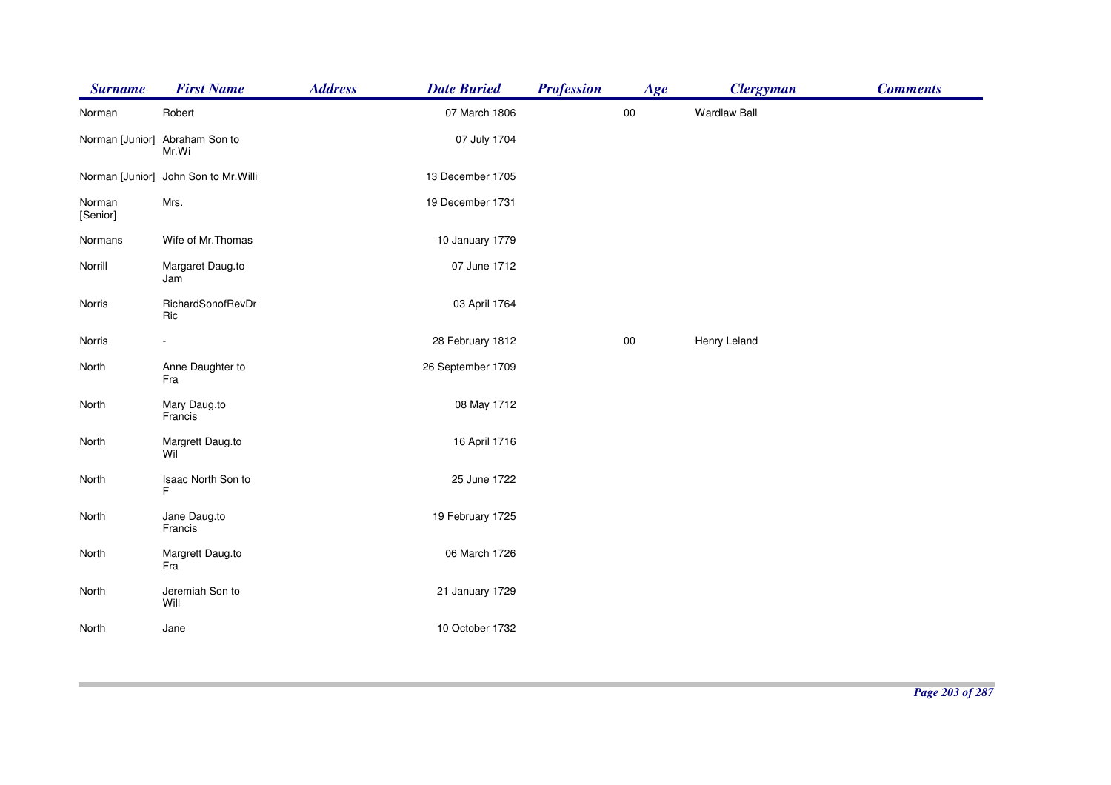| <b>Surname</b>     | <b>First Name</b>                       | <b>Address</b> | <b>Date Buried</b> | <b>Profession</b> | Age    | <b>Clergyman</b>    | <b>Comments</b> |
|--------------------|-----------------------------------------|----------------|--------------------|-------------------|--------|---------------------|-----------------|
| Norman             | Robert                                  |                | 07 March 1806      |                   | $00\,$ | <b>Wardlaw Ball</b> |                 |
|                    | Norman [Junior] Abraham Son to<br>Mr.Wi |                | 07 July 1704       |                   |        |                     |                 |
|                    | Norman [Junior] John Son to Mr. Willi   |                | 13 December 1705   |                   |        |                     |                 |
| Norman<br>[Senior] | Mrs.                                    |                | 19 December 1731   |                   |        |                     |                 |
| Normans            | Wife of Mr. Thomas                      |                | 10 January 1779    |                   |        |                     |                 |
| Norrill            | Margaret Daug.to<br>Jam                 |                | 07 June 1712       |                   |        |                     |                 |
| Norris             | RichardSonofRevDr<br>Ric                |                | 03 April 1764      |                   |        |                     |                 |
| Norris             |                                         |                | 28 February 1812   |                   | $00\,$ | Henry Leland        |                 |
| North              | Anne Daughter to<br>Fra                 |                | 26 September 1709  |                   |        |                     |                 |
| North              | Mary Daug.to<br>Francis                 |                | 08 May 1712        |                   |        |                     |                 |
| North              | Margrett Daug.to<br>Wil                 |                | 16 April 1716      |                   |        |                     |                 |
| North              | Isaac North Son to<br>F                 |                | 25 June 1722       |                   |        |                     |                 |
| North              | Jane Daug.to<br>Francis                 |                | 19 February 1725   |                   |        |                     |                 |
| North              | Margrett Daug.to<br>Fra                 |                | 06 March 1726      |                   |        |                     |                 |
| North              | Jeremiah Son to<br>Will                 |                | 21 January 1729    |                   |        |                     |                 |
| North              | Jane                                    |                | 10 October 1732    |                   |        |                     |                 |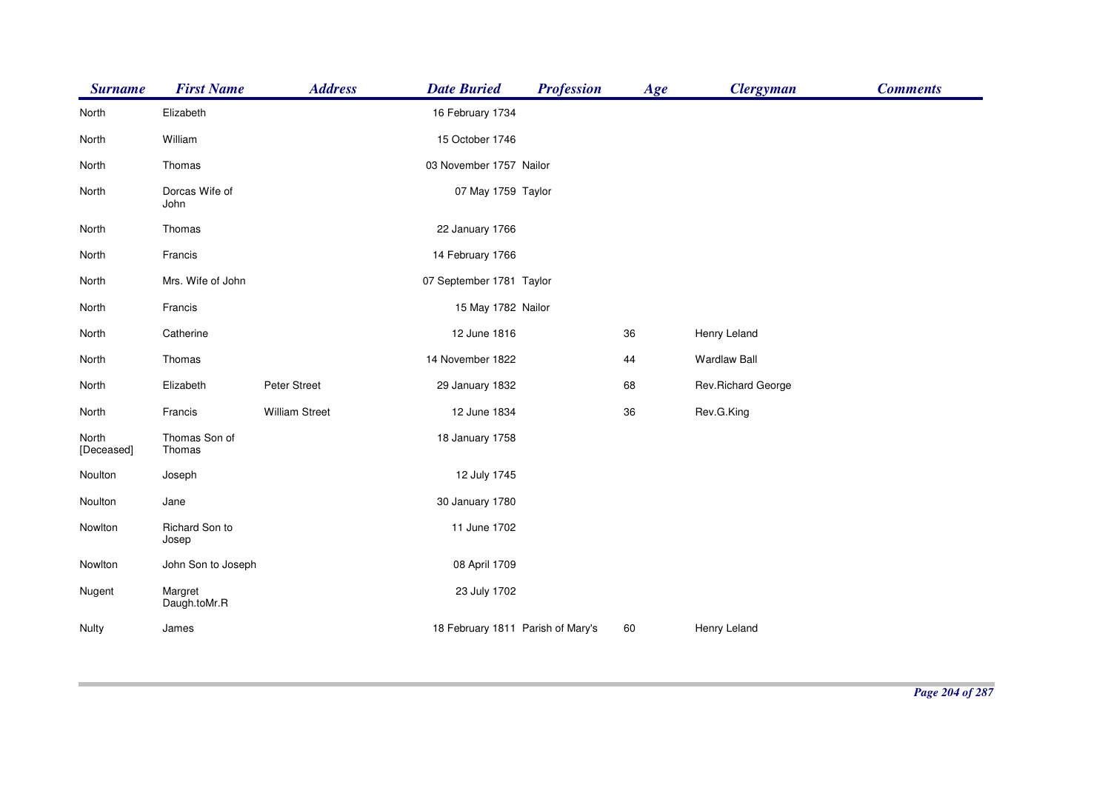| <b>Surname</b>      | <b>First Name</b>       | <b>Address</b>        | <b>Date Buried</b>                | <b>Profession</b> | Age | <b>Clergyman</b>    | <b>Comments</b> |
|---------------------|-------------------------|-----------------------|-----------------------------------|-------------------|-----|---------------------|-----------------|
| North               | Elizabeth               |                       | 16 February 1734                  |                   |     |                     |                 |
| North               | William                 |                       | 15 October 1746                   |                   |     |                     |                 |
| North               | Thomas                  |                       | 03 November 1757 Nailor           |                   |     |                     |                 |
| North               | Dorcas Wife of<br>John  |                       | 07 May 1759 Taylor                |                   |     |                     |                 |
| North               | Thomas                  |                       | 22 January 1766                   |                   |     |                     |                 |
| North               | Francis                 |                       | 14 February 1766                  |                   |     |                     |                 |
| North               | Mrs. Wife of John       |                       | 07 September 1781 Taylor          |                   |     |                     |                 |
| North               | Francis                 |                       | 15 May 1782 Nailor                |                   |     |                     |                 |
| North               | Catherine               |                       | 12 June 1816                      |                   | 36  | Henry Leland        |                 |
| North               | Thomas                  |                       | 14 November 1822                  |                   | 44  | <b>Wardlaw Ball</b> |                 |
| North               | Elizabeth               | Peter Street          | 29 January 1832                   |                   | 68  | Rev.Richard George  |                 |
| North               | Francis                 | <b>William Street</b> | 12 June 1834                      |                   | 36  | Rev.G.King          |                 |
| North<br>[Deceased] | Thomas Son of<br>Thomas |                       | 18 January 1758                   |                   |     |                     |                 |
| Noulton             | Joseph                  |                       | 12 July 1745                      |                   |     |                     |                 |
| Noulton             | Jane                    |                       | 30 January 1780                   |                   |     |                     |                 |
| Nowlton             | Richard Son to<br>Josep |                       | 11 June 1702                      |                   |     |                     |                 |
| Nowlton             | John Son to Joseph      |                       | 08 April 1709                     |                   |     |                     |                 |
| Nugent              | Margret<br>Daugh.toMr.R |                       | 23 July 1702                      |                   |     |                     |                 |
| Nulty               | James                   |                       | 18 February 1811 Parish of Mary's |                   | 60  | Henry Leland        |                 |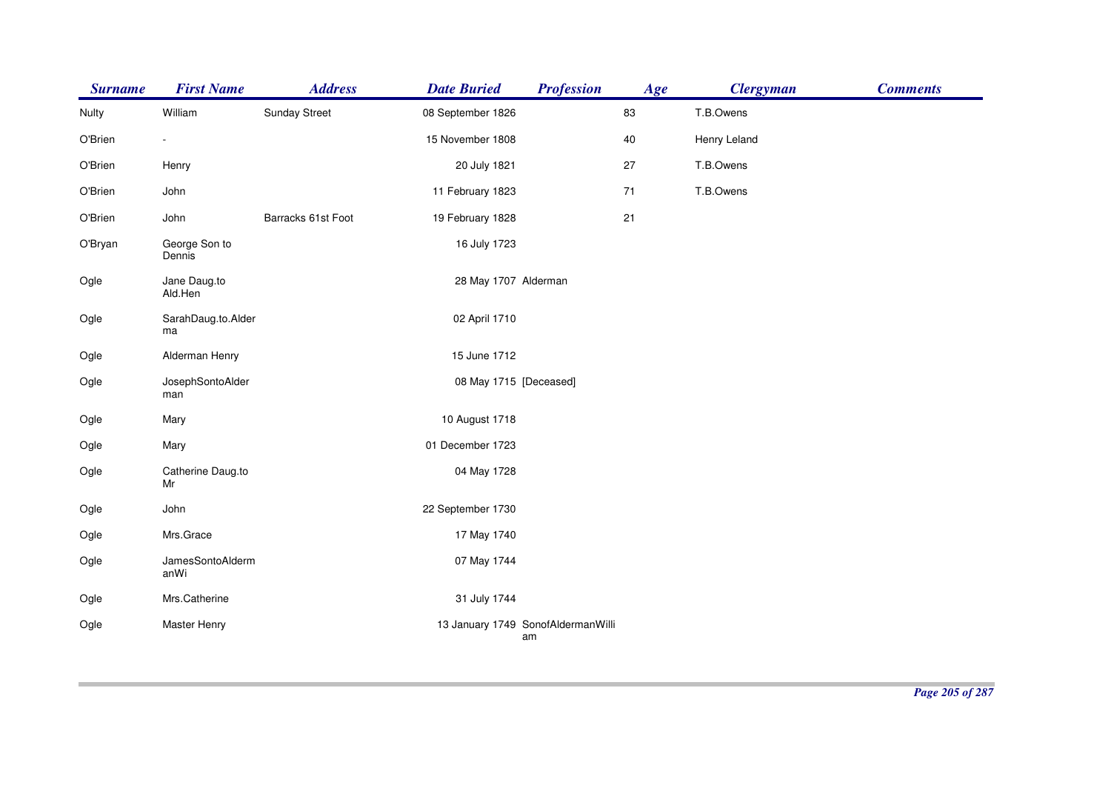| <b>Surname</b> | <b>First Name</b>        | <b>Address</b>       | <b>Date Buried</b>     | <b>Profession</b>                        | Age  | <b>Clergyman</b> | <b>Comments</b> |
|----------------|--------------------------|----------------------|------------------------|------------------------------------------|------|------------------|-----------------|
| Nulty          | William                  | <b>Sunday Street</b> | 08 September 1826      |                                          | 83   | T.B.Owens        |                 |
| O'Brien        |                          |                      | 15 November 1808       |                                          | 40   | Henry Leland     |                 |
| O'Brien        | Henry                    |                      | 20 July 1821           |                                          | 27   | T.B.Owens        |                 |
| O'Brien        | John                     |                      | 11 February 1823       |                                          | $71$ | T.B.Owens        |                 |
| O'Brien        | John                     | Barracks 61st Foot   | 19 February 1828       |                                          | 21   |                  |                 |
| O'Bryan        | George Son to<br>Dennis  |                      | 16 July 1723           |                                          |      |                  |                 |
| Ogle           | Jane Daug.to<br>Ald.Hen  |                      | 28 May 1707 Alderman   |                                          |      |                  |                 |
| Ogle           | SarahDaug.to.Alder<br>ma |                      | 02 April 1710          |                                          |      |                  |                 |
| Ogle           | Alderman Henry           |                      | 15 June 1712           |                                          |      |                  |                 |
| Ogle           | JosephSontoAlder<br>man  |                      | 08 May 1715 [Deceased] |                                          |      |                  |                 |
| Ogle           | Mary                     |                      | 10 August 1718         |                                          |      |                  |                 |
| Ogle           | Mary                     |                      | 01 December 1723       |                                          |      |                  |                 |
| Ogle           | Catherine Daug.to<br>Mr  |                      | 04 May 1728            |                                          |      |                  |                 |
| Ogle           | John                     |                      | 22 September 1730      |                                          |      |                  |                 |
| Ogle           | Mrs.Grace                |                      | 17 May 1740            |                                          |      |                  |                 |
| Ogle           | JamesSontoAlderm<br>anWi |                      | 07 May 1744            |                                          |      |                  |                 |
| Ogle           | Mrs.Catherine            |                      | 31 July 1744           |                                          |      |                  |                 |
| Ogle           | Master Henry             |                      |                        | 13 January 1749 SonofAldermanWilli<br>am |      |                  |                 |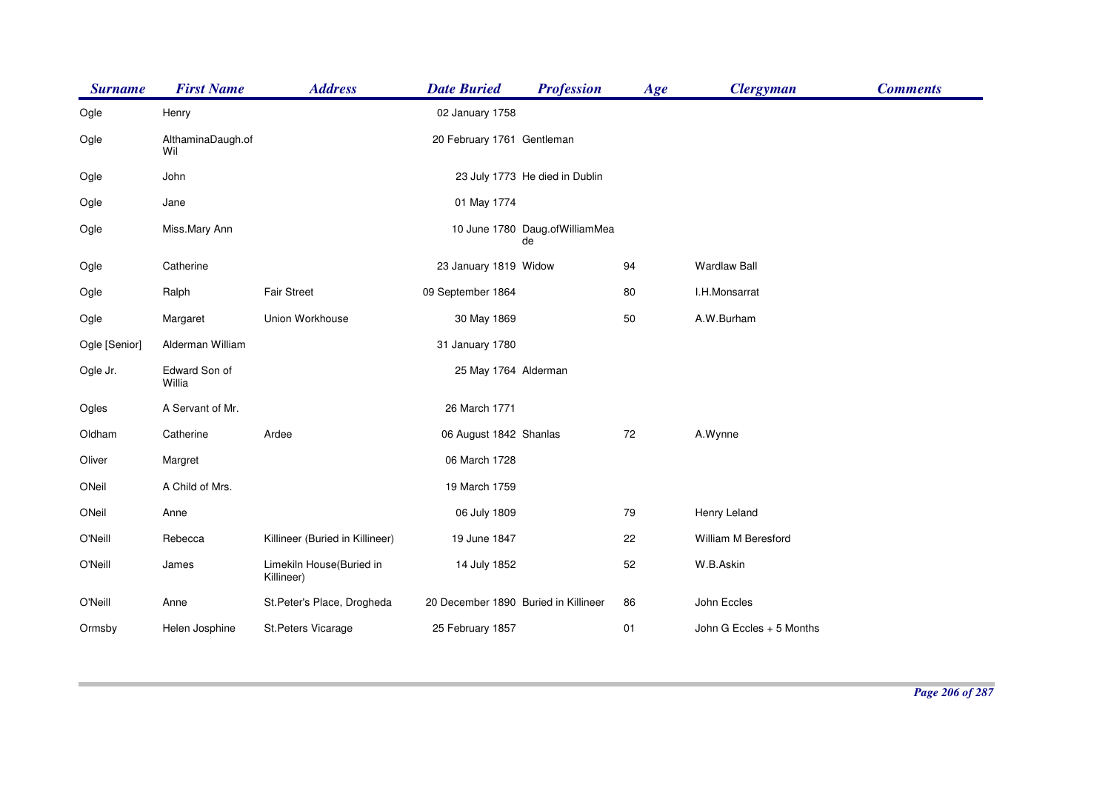| <b>Surname</b> | <b>First Name</b>        | <b>Address</b>                         | <b>Date Buried</b>                   | <b>Profession</b>                    | Age | <b>Clergyman</b>         | <b>Comments</b> |
|----------------|--------------------------|----------------------------------------|--------------------------------------|--------------------------------------|-----|--------------------------|-----------------|
| Ogle           | Henry                    |                                        | 02 January 1758                      |                                      |     |                          |                 |
| Ogle           | AlthaminaDaugh.of<br>Wil |                                        | 20 February 1761 Gentleman           |                                      |     |                          |                 |
| Ogle           | John                     |                                        |                                      | 23 July 1773 He died in Dublin       |     |                          |                 |
| Ogle           | Jane                     |                                        | 01 May 1774                          |                                      |     |                          |                 |
| Ogle           | Miss.Mary Ann            |                                        |                                      | 10 June 1780 Daug.ofWilliamMea<br>de |     |                          |                 |
| Ogle           | Catherine                |                                        | 23 January 1819 Widow                |                                      | 94  | <b>Wardlaw Ball</b>      |                 |
| Ogle           | Ralph                    | <b>Fair Street</b>                     | 09 September 1864                    |                                      | 80  | I.H.Monsarrat            |                 |
| Ogle           | Margaret                 | Union Workhouse                        | 30 May 1869                          |                                      | 50  | A.W.Burham               |                 |
| Ogle [Senior]  | Alderman William         |                                        | 31 January 1780                      |                                      |     |                          |                 |
| Ogle Jr.       | Edward Son of<br>Willia  |                                        | 25 May 1764 Alderman                 |                                      |     |                          |                 |
| Ogles          | A Servant of Mr.         |                                        | 26 March 1771                        |                                      |     |                          |                 |
| Oldham         | Catherine                | Ardee                                  | 06 August 1842 Shanlas               |                                      | 72  | A.Wynne                  |                 |
| Oliver         | Margret                  |                                        | 06 March 1728                        |                                      |     |                          |                 |
| ONeil          | A Child of Mrs.          |                                        | 19 March 1759                        |                                      |     |                          |                 |
| ONeil          | Anne                     |                                        | 06 July 1809                         |                                      | 79  | Henry Leland             |                 |
| O'Neill        | Rebecca                  | Killineer (Buried in Killineer)        | 19 June 1847                         |                                      | 22  | William M Beresford      |                 |
| O'Neill        | James                    | Limekiln House(Buried in<br>Killineer) | 14 July 1852                         |                                      | 52  | W.B.Askin                |                 |
| O'Neill        | Anne                     | St.Peter's Place, Drogheda             | 20 December 1890 Buried in Killineer |                                      | 86  | John Eccles              |                 |
| Ormsby         | Helen Josphine           | St.Peters Vicarage                     | 25 February 1857                     |                                      | 01  | John G Eccles + 5 Months |                 |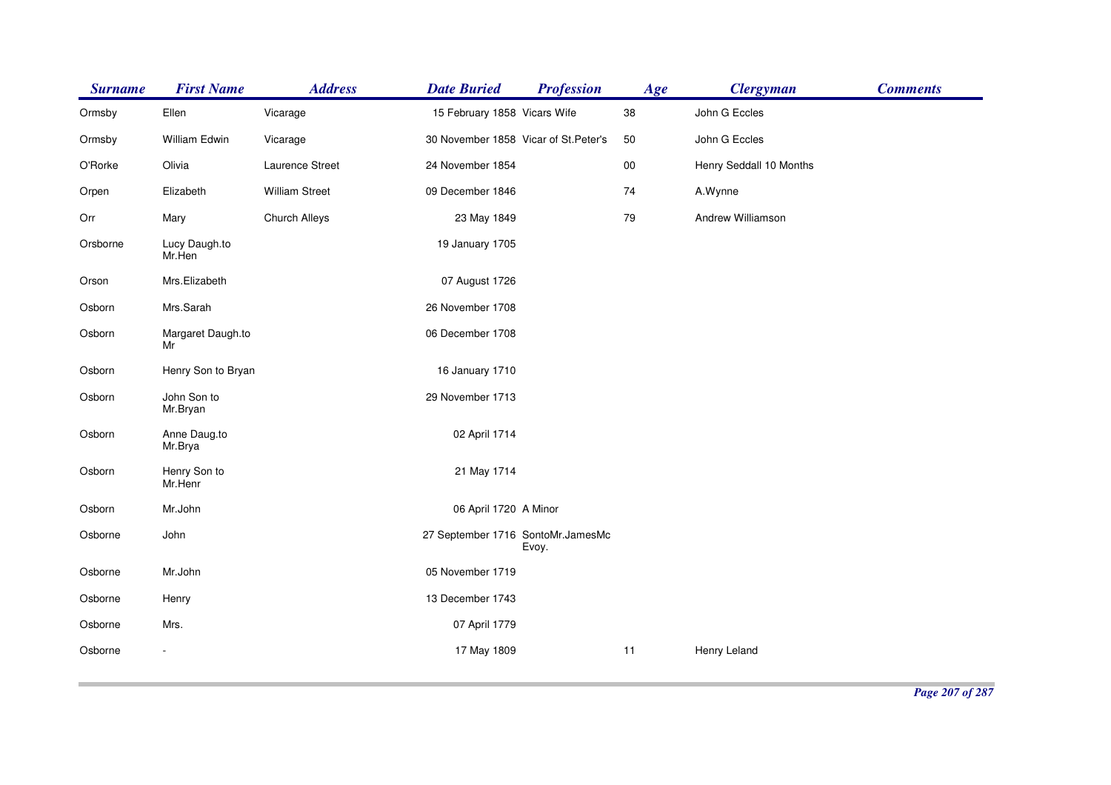| <b>Surname</b> | <b>First Name</b>       | <b>Address</b>        | <b>Date Buried</b>                    | <b>Profession</b> | Age    | <b>Clergyman</b>        | <b>Comments</b> |
|----------------|-------------------------|-----------------------|---------------------------------------|-------------------|--------|-------------------------|-----------------|
| Ormsby         | Ellen                   | Vicarage              | 15 February 1858 Vicars Wife          |                   | 38     | John G Eccles           |                 |
| Ormsby         | William Edwin           | Vicarage              | 30 November 1858 Vicar of St. Peter's |                   | 50     | John G Eccles           |                 |
| O'Rorke        | Olivia                  | Laurence Street       | 24 November 1854                      |                   | $00\,$ | Henry Seddall 10 Months |                 |
| Orpen          | Elizabeth               | <b>William Street</b> | 09 December 1846                      |                   | 74     | A.Wynne                 |                 |
| Orr            | Mary                    | <b>Church Alleys</b>  | 23 May 1849                           |                   | 79     | Andrew Williamson       |                 |
| Orsborne       | Lucy Daugh.to<br>Mr.Hen |                       | 19 January 1705                       |                   |        |                         |                 |
| Orson          | Mrs.Elizabeth           |                       | 07 August 1726                        |                   |        |                         |                 |
| Osborn         | Mrs.Sarah               |                       | 26 November 1708                      |                   |        |                         |                 |
| Osborn         | Margaret Daugh.to<br>Mr |                       | 06 December 1708                      |                   |        |                         |                 |
| Osborn         | Henry Son to Bryan      |                       | 16 January 1710                       |                   |        |                         |                 |
| Osborn         | John Son to<br>Mr.Bryan |                       | 29 November 1713                      |                   |        |                         |                 |
| Osborn         | Anne Daug.to<br>Mr.Brya |                       | 02 April 1714                         |                   |        |                         |                 |
| Osborn         | Henry Son to<br>Mr.Henr |                       | 21 May 1714                           |                   |        |                         |                 |
| Osborn         | Mr.John                 |                       | 06 April 1720 A Minor                 |                   |        |                         |                 |
| Osborne        | John                    |                       | 27 September 1716 SontoMr.JamesMc     | Evoy.             |        |                         |                 |
| Osborne        | Mr.John                 |                       | 05 November 1719                      |                   |        |                         |                 |
| Osborne        | Henry                   |                       | 13 December 1743                      |                   |        |                         |                 |
| Osborne        | Mrs.                    |                       | 07 April 1779                         |                   |        |                         |                 |
| Osborne        |                         |                       | 17 May 1809                           |                   | 11     | Henry Leland            |                 |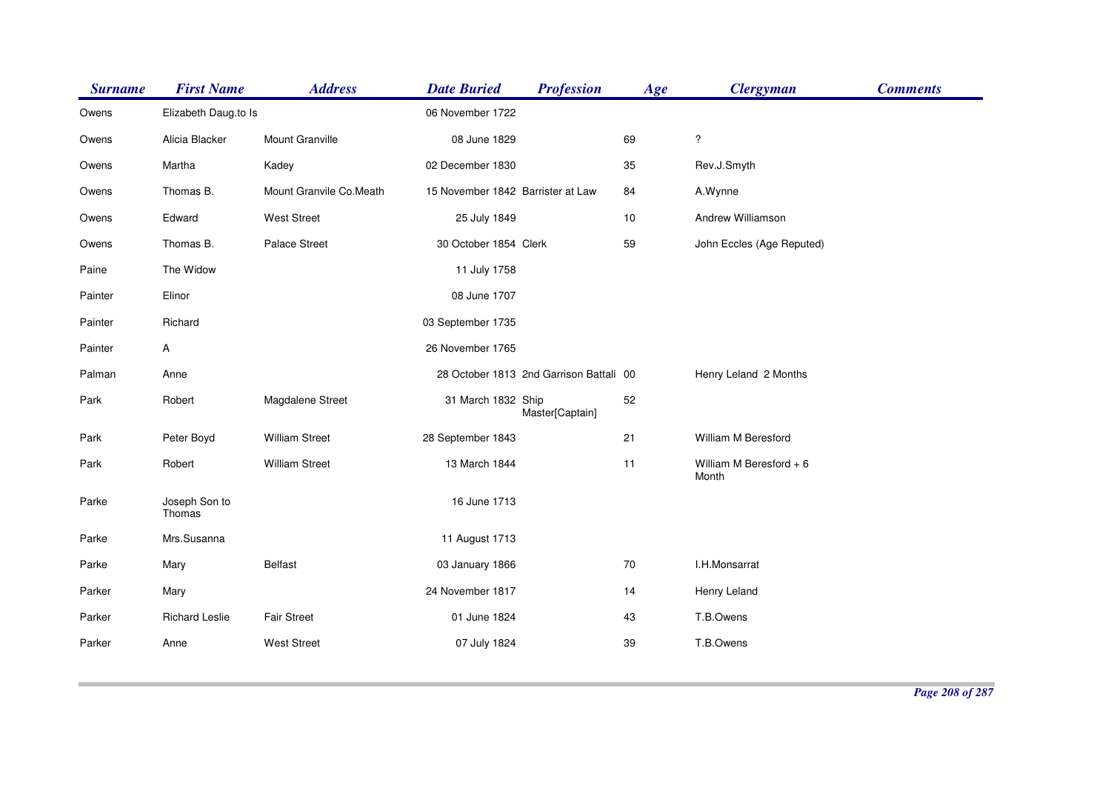| <b>Surname</b> | <b>First Name</b>       | <b>Address</b>          | <b>Date Buried</b>                | <b>Profession</b>                       | Age | <b>Clergyman</b>                 | <b>Comments</b> |
|----------------|-------------------------|-------------------------|-----------------------------------|-----------------------------------------|-----|----------------------------------|-----------------|
| Owens          | Elizabeth Daug.to Is    |                         | 06 November 1722                  |                                         |     |                                  |                 |
| Owens          | Alicia Blacker          | Mount Granville         | 08 June 1829                      |                                         | 69  | $\ddot{?}$                       |                 |
| Owens          | Martha                  | Kadey                   | 02 December 1830                  |                                         | 35  | Rev.J.Smyth                      |                 |
| Owens          | Thomas B.               | Mount Granvile Co.Meath | 15 November 1842 Barrister at Law |                                         | 84  | A.Wynne                          |                 |
| Owens          | Edward                  | <b>West Street</b>      | 25 July 1849                      |                                         | 10  | Andrew Williamson                |                 |
| Owens          | Thomas B.               | Palace Street           | 30 October 1854 Clerk             |                                         | 59  | John Eccles (Age Reputed)        |                 |
| Paine          | The Widow               |                         | 11 July 1758                      |                                         |     |                                  |                 |
| Painter        | Elinor                  |                         | 08 June 1707                      |                                         |     |                                  |                 |
| Painter        | Richard                 |                         | 03 September 1735                 |                                         |     |                                  |                 |
| Painter        | Α                       |                         | 26 November 1765                  |                                         |     |                                  |                 |
| Palman         | Anne                    |                         |                                   | 28 October 1813 2nd Garrison Battali 00 |     | Henry Leland 2 Months            |                 |
| Park           | Robert                  | Magdalene Street        | 31 March 1832 Ship                | Master[Captain]                         | 52  |                                  |                 |
| Park           | Peter Boyd              | <b>William Street</b>   | 28 September 1843                 |                                         | 21  | William M Beresford              |                 |
| Park           | Robert                  | <b>William Street</b>   | 13 March 1844                     |                                         | 11  | William M Beresford + 6<br>Month |                 |
| Parke          | Joseph Son to<br>Thomas |                         | 16 June 1713                      |                                         |     |                                  |                 |
| Parke          | Mrs.Susanna             |                         | 11 August 1713                    |                                         |     |                                  |                 |
| Parke          | Mary                    | <b>Belfast</b>          | 03 January 1866                   |                                         | 70  | I.H.Monsarrat                    |                 |
| Parker         | Mary                    |                         | 24 November 1817                  |                                         | 14  | Henry Leland                     |                 |
| Parker         | <b>Richard Leslie</b>   | <b>Fair Street</b>      | 01 June 1824                      |                                         | 43  | T.B.Owens                        |                 |
| Parker         | Anne                    | <b>West Street</b>      | 07 July 1824                      |                                         | 39  | T.B.Owens                        |                 |
|                |                         |                         |                                   |                                         |     |                                  |                 |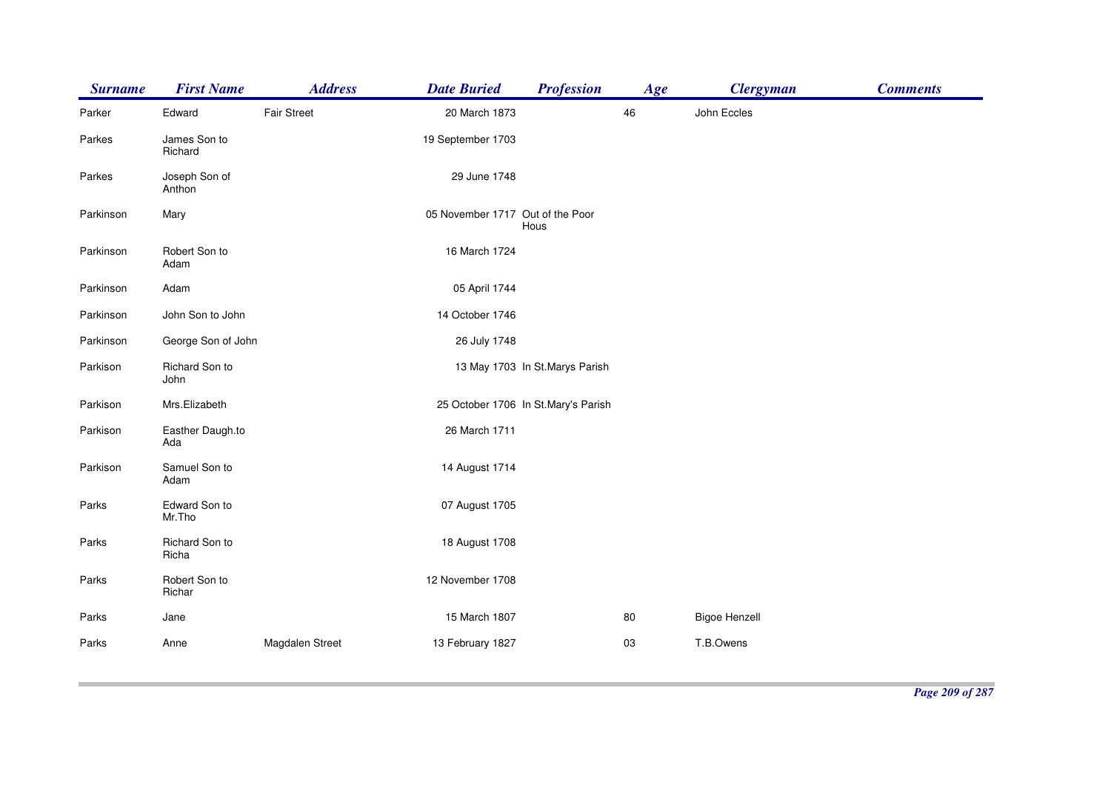| <b>Surname</b> | <b>First Name</b>       | <b>Address</b>     | <b>Date Buried</b>               | <b>Profession</b>                   | Age | <b>Clergyman</b>     | <b>Comments</b> |
|----------------|-------------------------|--------------------|----------------------------------|-------------------------------------|-----|----------------------|-----------------|
| Parker         | Edward                  | <b>Fair Street</b> | 20 March 1873                    |                                     | 46  | John Eccles          |                 |
| Parkes         | James Son to<br>Richard |                    | 19 September 1703                |                                     |     |                      |                 |
| Parkes         | Joseph Son of<br>Anthon |                    | 29 June 1748                     |                                     |     |                      |                 |
| Parkinson      | Mary                    |                    | 05 November 1717 Out of the Poor | Hous                                |     |                      |                 |
| Parkinson      | Robert Son to<br>Adam   |                    | 16 March 1724                    |                                     |     |                      |                 |
| Parkinson      | Adam                    |                    | 05 April 1744                    |                                     |     |                      |                 |
| Parkinson      | John Son to John        |                    | 14 October 1746                  |                                     |     |                      |                 |
| Parkinson      | George Son of John      |                    | 26 July 1748                     |                                     |     |                      |                 |
| Parkison       | Richard Son to<br>John  |                    |                                  | 13 May 1703 In St. Marys Parish     |     |                      |                 |
| Parkison       | Mrs.Elizabeth           |                    |                                  | 25 October 1706 In St.Mary's Parish |     |                      |                 |
| Parkison       | Easther Daugh.to<br>Ada |                    | 26 March 1711                    |                                     |     |                      |                 |
| Parkison       | Samuel Son to<br>Adam   |                    | 14 August 1714                   |                                     |     |                      |                 |
| Parks          | Edward Son to<br>Mr.Tho |                    | 07 August 1705                   |                                     |     |                      |                 |
| Parks          | Richard Son to<br>Richa |                    | 18 August 1708                   |                                     |     |                      |                 |
| Parks          | Robert Son to<br>Richar |                    | 12 November 1708                 |                                     |     |                      |                 |
| Parks          | Jane                    |                    | 15 March 1807                    |                                     | 80  | <b>Bigoe Henzell</b> |                 |
| Parks          | Anne                    | Magdalen Street    | 13 February 1827                 |                                     | 03  | T.B.Owens            |                 |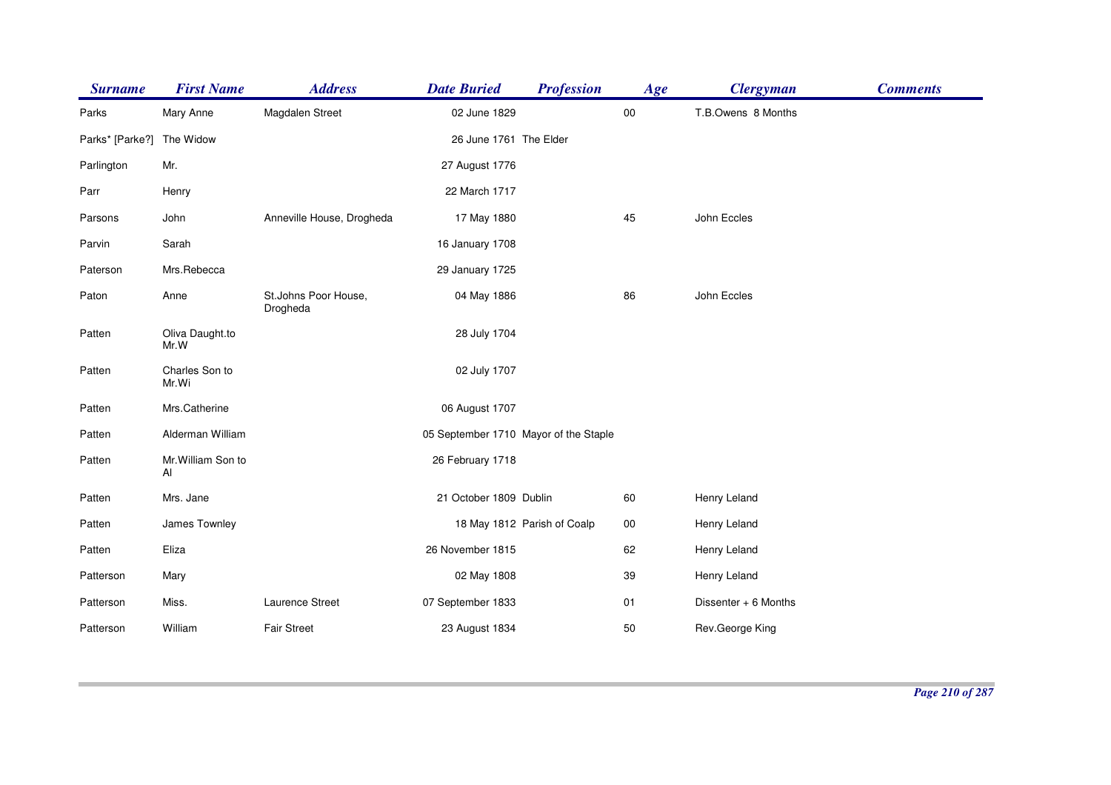| <b>Surname</b>  | <b>First Name</b>        | <b>Address</b>                   | <b>Date Buried</b>                    | <b>Profession</b>           | Age        | <b>Clergyman</b>     | <b>Comments</b> |
|-----------------|--------------------------|----------------------------------|---------------------------------------|-----------------------------|------------|----------------------|-----------------|
| Parks           | Mary Anne                | Magdalen Street                  | 02 June 1829                          |                             | ${\bf 00}$ | T.B.Owens 8 Months   |                 |
| Parks* [Parke?] | The Widow                |                                  | 26 June 1761 The Elder                |                             |            |                      |                 |
| Parlington      | Mr.                      |                                  | 27 August 1776                        |                             |            |                      |                 |
| Parr            | Henry                    |                                  | 22 March 1717                         |                             |            |                      |                 |
| Parsons         | John                     | Anneville House, Drogheda        | 17 May 1880                           |                             | 45         | John Eccles          |                 |
| Parvin          | Sarah                    |                                  | 16 January 1708                       |                             |            |                      |                 |
| Paterson        | Mrs.Rebecca              |                                  | 29 January 1725                       |                             |            |                      |                 |
| Paton           | Anne                     | St.Johns Poor House,<br>Drogheda | 04 May 1886                           |                             | 86         | John Eccles          |                 |
| Patten          | Oliva Daught.to<br>Mr.W  |                                  | 28 July 1704                          |                             |            |                      |                 |
| Patten          | Charles Son to<br>Mr.Wi  |                                  | 02 July 1707                          |                             |            |                      |                 |
| Patten          | Mrs.Catherine            |                                  | 06 August 1707                        |                             |            |                      |                 |
| Patten          | Alderman William         |                                  | 05 September 1710 Mayor of the Staple |                             |            |                      |                 |
| Patten          | Mr. William Son to<br>AI |                                  | 26 February 1718                      |                             |            |                      |                 |
| Patten          | Mrs. Jane                |                                  | 21 October 1809 Dublin                |                             | 60         | Henry Leland         |                 |
| Patten          | James Townley            |                                  |                                       | 18 May 1812 Parish of Coalp | 00         | Henry Leland         |                 |
| Patten          | Eliza                    |                                  | 26 November 1815                      |                             | 62         | Henry Leland         |                 |
| Patterson       | Mary                     |                                  | 02 May 1808                           |                             | 39         | Henry Leland         |                 |
| Patterson       | Miss.                    | Laurence Street                  | 07 September 1833                     |                             | 01         | Dissenter + 6 Months |                 |
| Patterson       | William                  | <b>Fair Street</b>               | 23 August 1834                        |                             | 50         | Rev.George King      |                 |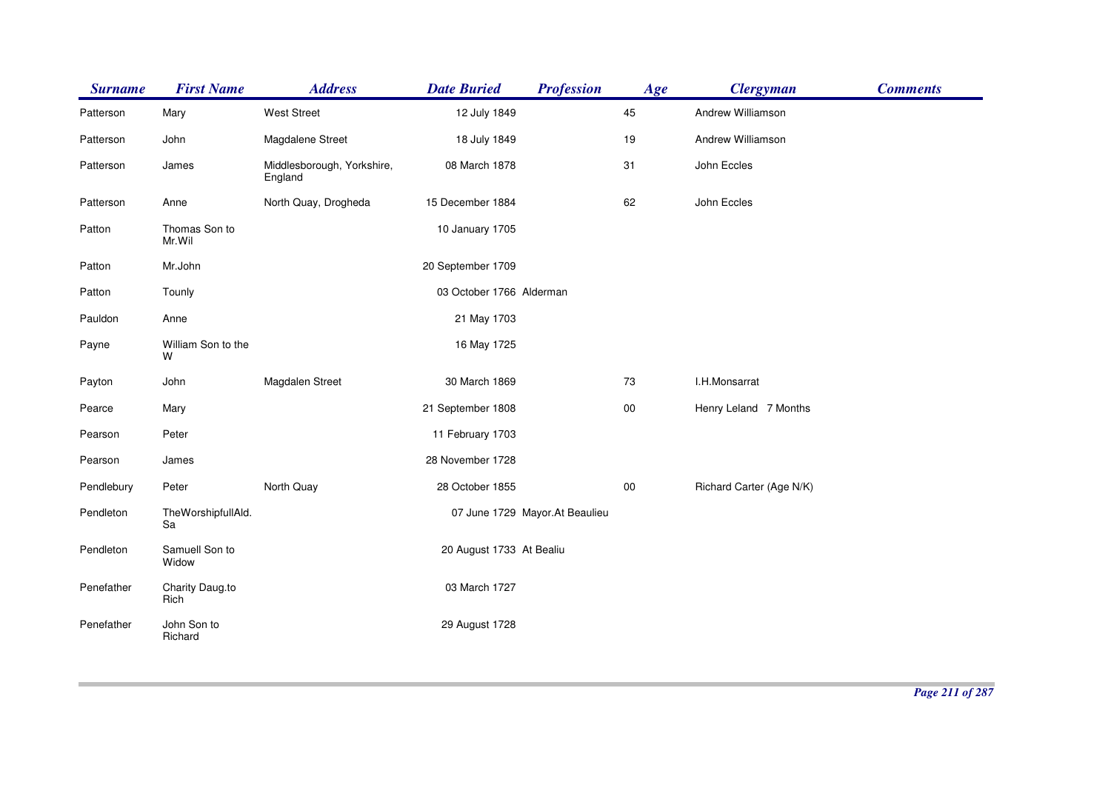| <b>Surname</b> | <b>First Name</b>        | <b>Address</b>                        | <b>Date Buried</b>       | <b>Profession</b>               | Age        | <b>Clergyman</b>         | <b>Comments</b> |
|----------------|--------------------------|---------------------------------------|--------------------------|---------------------------------|------------|--------------------------|-----------------|
| Patterson      | Mary                     | <b>West Street</b>                    | 12 July 1849             |                                 | 45         | Andrew Williamson        |                 |
| Patterson      | John                     | Magdalene Street                      | 18 July 1849             |                                 | 19         | Andrew Williamson        |                 |
| Patterson      | James                    | Middlesborough, Yorkshire,<br>England | 08 March 1878            |                                 | 31         | John Eccles              |                 |
| Patterson      | Anne                     | North Quay, Drogheda                  | 15 December 1884         |                                 | 62         | John Eccles              |                 |
| Patton         | Thomas Son to<br>Mr.Wil  |                                       | 10 January 1705          |                                 |            |                          |                 |
| Patton         | Mr.John                  |                                       | 20 September 1709        |                                 |            |                          |                 |
| Patton         | Tounly                   |                                       | 03 October 1766 Alderman |                                 |            |                          |                 |
| Pauldon        | Anne                     |                                       | 21 May 1703              |                                 |            |                          |                 |
| Payne          | William Son to the<br>W  |                                       | 16 May 1725              |                                 |            |                          |                 |
| Payton         | John                     | Magdalen Street                       | 30 March 1869            |                                 | 73         | I.H.Monsarrat            |                 |
| Pearce         | Mary                     |                                       | 21 September 1808        |                                 | ${\bf 00}$ | Henry Leland 7 Months    |                 |
| Pearson        | Peter                    |                                       | 11 February 1703         |                                 |            |                          |                 |
| Pearson        | James                    |                                       | 28 November 1728         |                                 |            |                          |                 |
| Pendlebury     | Peter                    | North Quay                            | 28 October 1855          |                                 | $00\,$     | Richard Carter (Age N/K) |                 |
| Pendleton      | TheWorshipfullAld.<br>Sa |                                       |                          | 07 June 1729 Mayor. At Beaulieu |            |                          |                 |
| Pendleton      | Samuell Son to<br>Widow  |                                       | 20 August 1733 At Bealiu |                                 |            |                          |                 |
| Penefather     | Charity Daug.to<br>Rich  |                                       | 03 March 1727            |                                 |            |                          |                 |
| Penefather     | John Son to<br>Richard   |                                       | 29 August 1728           |                                 |            |                          |                 |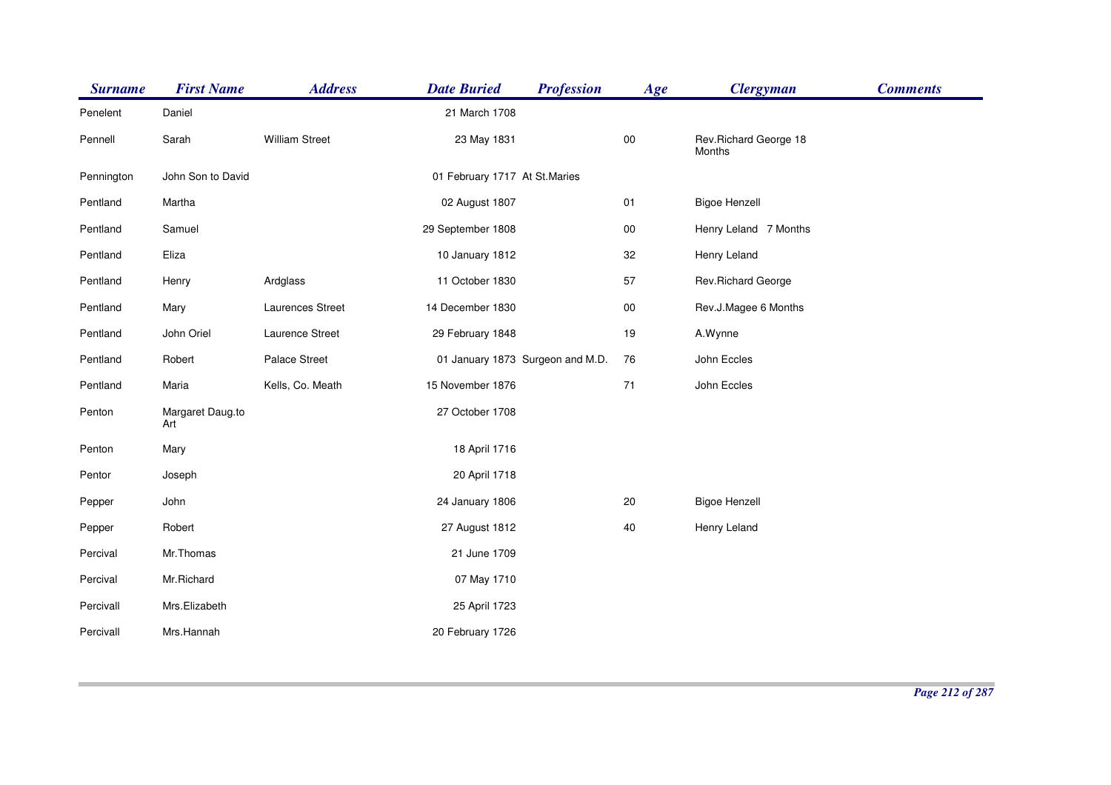| <b>Surname</b> | <b>First Name</b>       | <b>Address</b>        | <b>Date Buried</b>               | <b>Profession</b> | Age    | <b>Clergyman</b>                | <b>Comments</b> |
|----------------|-------------------------|-----------------------|----------------------------------|-------------------|--------|---------------------------------|-----------------|
| Penelent       | Daniel                  |                       | 21 March 1708                    |                   |        |                                 |                 |
| Pennell        | Sarah                   | <b>William Street</b> | 23 May 1831                      |                   | $00\,$ | Rev.Richard George 18<br>Months |                 |
| Pennington     | John Son to David       |                       | 01 February 1717 At St. Maries   |                   |        |                                 |                 |
| Pentland       | Martha                  |                       | 02 August 1807                   |                   | $01$   | <b>Bigoe Henzell</b>            |                 |
| Pentland       | Samuel                  |                       | 29 September 1808                |                   | $00\,$ | Henry Leland 7 Months           |                 |
| Pentland       | Eliza                   |                       | 10 January 1812                  |                   | 32     | Henry Leland                    |                 |
| Pentland       | Henry                   | Ardglass              | 11 October 1830                  |                   | 57     | Rev.Richard George              |                 |
| Pentland       | Mary                    | Laurences Street      | 14 December 1830                 |                   | $00\,$ | Rev.J.Magee 6 Months            |                 |
| Pentland       | John Oriel              | Laurence Street       | 29 February 1848                 |                   | 19     | A.Wynne                         |                 |
| Pentland       | Robert                  | Palace Street         | 01 January 1873 Surgeon and M.D. |                   | 76     | John Eccles                     |                 |
| Pentland       | Maria                   | Kells, Co. Meath      | 15 November 1876                 |                   | 71     | John Eccles                     |                 |
| Penton         | Margaret Daug.to<br>Art |                       | 27 October 1708                  |                   |        |                                 |                 |
| Penton         | Mary                    |                       | 18 April 1716                    |                   |        |                                 |                 |
| Pentor         | Joseph                  |                       | 20 April 1718                    |                   |        |                                 |                 |
| Pepper         | John                    |                       | 24 January 1806                  |                   | 20     | <b>Bigoe Henzell</b>            |                 |
| Pepper         | Robert                  |                       | 27 August 1812                   |                   | 40     | Henry Leland                    |                 |
| Percival       | Mr.Thomas               |                       | 21 June 1709                     |                   |        |                                 |                 |
| Percival       | Mr.Richard              |                       | 07 May 1710                      |                   |        |                                 |                 |
| Percivall      | Mrs.Elizabeth           |                       | 25 April 1723                    |                   |        |                                 |                 |
| Percivall      | Mrs.Hannah              |                       | 20 February 1726                 |                   |        |                                 |                 |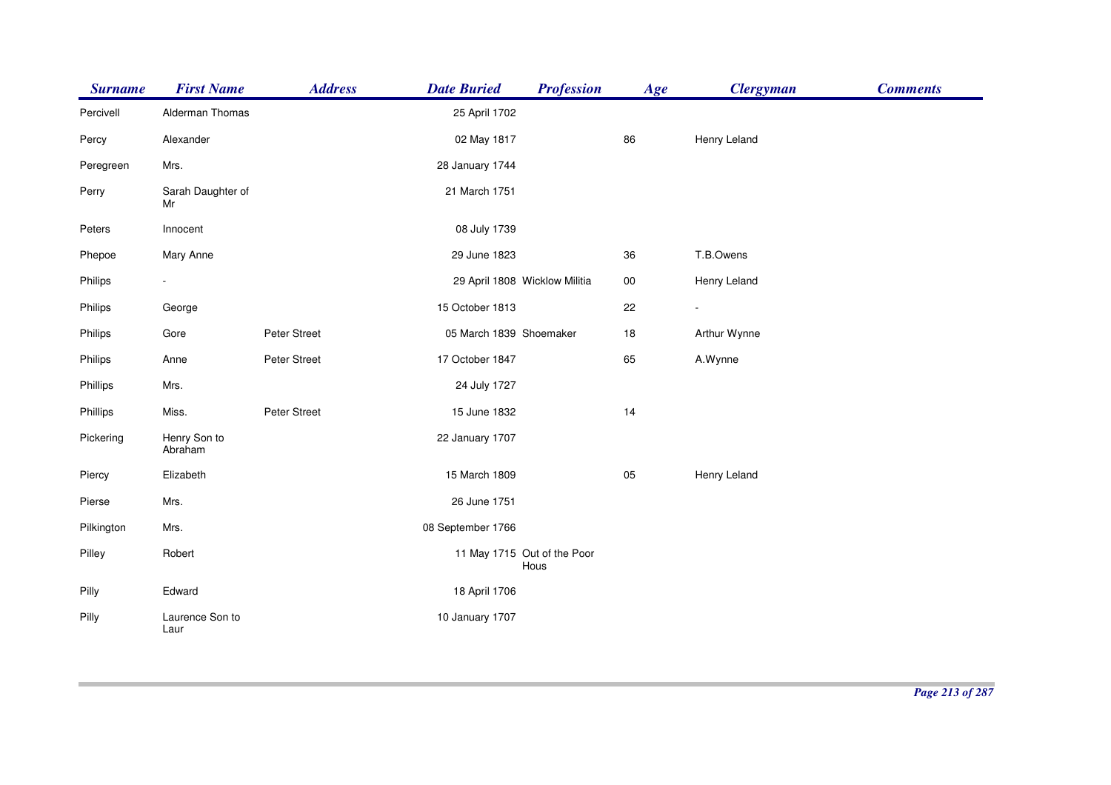| <b>Surname</b> | <b>First Name</b>       | <b>Address</b> | <b>Date Buried</b>      | <b>Profession</b>                   | Age    | <b>Clergyman</b> | <b>Comments</b> |
|----------------|-------------------------|----------------|-------------------------|-------------------------------------|--------|------------------|-----------------|
| Percivell      | Alderman Thomas         |                | 25 April 1702           |                                     |        |                  |                 |
| Percy          | Alexander               |                | 02 May 1817             |                                     | 86     | Henry Leland     |                 |
| Peregreen      | Mrs.                    |                | 28 January 1744         |                                     |        |                  |                 |
| Perry          | Sarah Daughter of<br>Mr |                | 21 March 1751           |                                     |        |                  |                 |
| Peters         | Innocent                |                | 08 July 1739            |                                     |        |                  |                 |
| Phepoe         | Mary Anne               |                | 29 June 1823            |                                     | 36     | T.B.Owens        |                 |
| Philips        |                         |                |                         | 29 April 1808 Wicklow Militia       | $00\,$ | Henry Leland     |                 |
| Philips        | George                  |                | 15 October 1813         |                                     | 22     | ÷.               |                 |
| Philips        | Gore                    | Peter Street   | 05 March 1839 Shoemaker |                                     | 18     | Arthur Wynne     |                 |
| Philips        | Anne                    | Peter Street   | 17 October 1847         |                                     | 65     | A.Wynne          |                 |
| Phillips       | Mrs.                    |                | 24 July 1727            |                                     |        |                  |                 |
| Phillips       | Miss.                   | Peter Street   | 15 June 1832            |                                     | 14     |                  |                 |
| Pickering      | Henry Son to<br>Abraham |                | 22 January 1707         |                                     |        |                  |                 |
| Piercy         | Elizabeth               |                | 15 March 1809           |                                     | 05     | Henry Leland     |                 |
| Pierse         | Mrs.                    |                | 26 June 1751            |                                     |        |                  |                 |
| Pilkington     | Mrs.                    |                | 08 September 1766       |                                     |        |                  |                 |
| Pilley         | Robert                  |                |                         | 11 May 1715 Out of the Poor<br>Hous |        |                  |                 |
| Pilly          | Edward                  |                | 18 April 1706           |                                     |        |                  |                 |
| Pilly          | Laurence Son to<br>Laur |                | 10 January 1707         |                                     |        |                  |                 |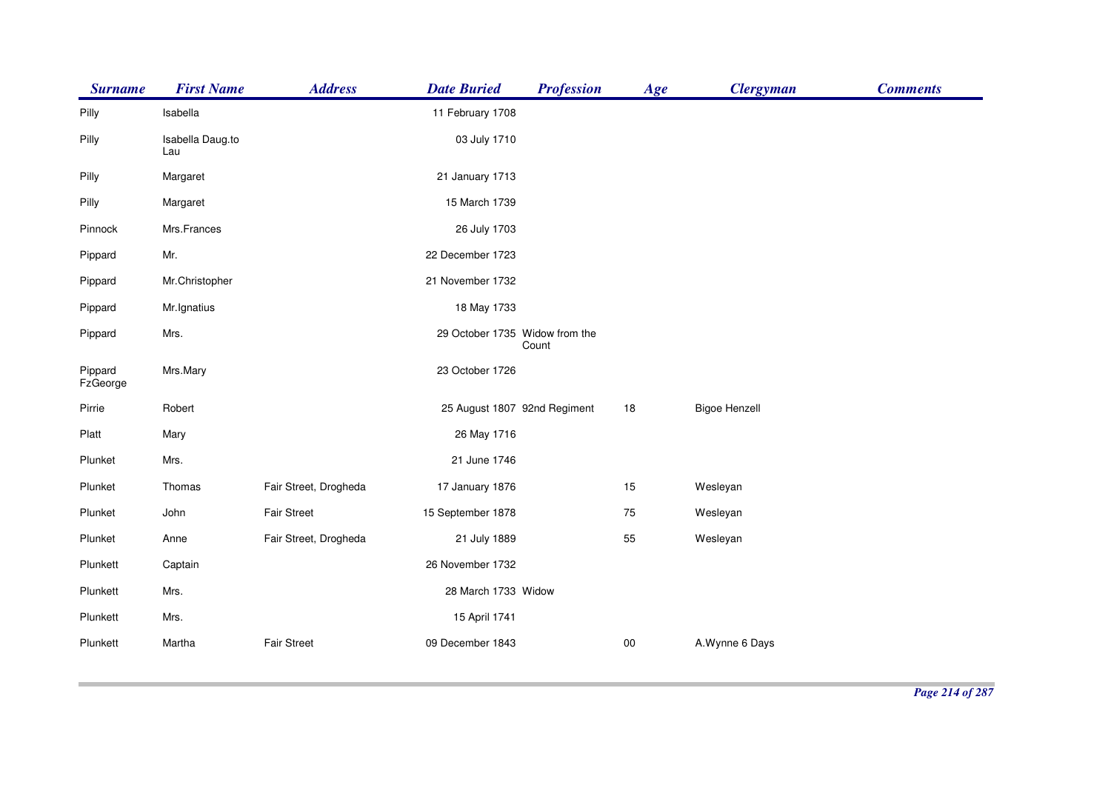| <b>Surname</b>      | <b>First Name</b>       | <b>Address</b>        | <b>Date Buried</b>             | <b>Profession</b> | Age | <b>Clergyman</b>     | <b>Comments</b> |
|---------------------|-------------------------|-----------------------|--------------------------------|-------------------|-----|----------------------|-----------------|
| Pilly               | Isabella                |                       | 11 February 1708               |                   |     |                      |                 |
| Pilly               | Isabella Daug.to<br>Lau |                       | 03 July 1710                   |                   |     |                      |                 |
| Pilly               | Margaret                |                       | 21 January 1713                |                   |     |                      |                 |
| Pilly               | Margaret                |                       | 15 March 1739                  |                   |     |                      |                 |
| Pinnock             | Mrs.Frances             |                       | 26 July 1703                   |                   |     |                      |                 |
| Pippard             | Mr.                     |                       | 22 December 1723               |                   |     |                      |                 |
| Pippard             | Mr.Christopher          |                       | 21 November 1732               |                   |     |                      |                 |
| Pippard             | Mr. Ignatius            |                       | 18 May 1733                    |                   |     |                      |                 |
| Pippard             | Mrs.                    |                       | 29 October 1735 Widow from the | Count             |     |                      |                 |
| Pippard<br>FzGeorge | Mrs.Mary                |                       | 23 October 1726                |                   |     |                      |                 |
| Pirrie              | Robert                  |                       | 25 August 1807 92nd Regiment   |                   | 18  | <b>Bigoe Henzell</b> |                 |
| Platt               | Mary                    |                       | 26 May 1716                    |                   |     |                      |                 |
| Plunket             | Mrs.                    |                       | 21 June 1746                   |                   |     |                      |                 |
| Plunket             | Thomas                  | Fair Street, Drogheda | 17 January 1876                |                   | 15  | Wesleyan             |                 |
| Plunket             | John                    | <b>Fair Street</b>    | 15 September 1878              |                   | 75  | Wesleyan             |                 |
| Plunket             | Anne                    | Fair Street, Drogheda | 21 July 1889                   |                   | 55  | Wesleyan             |                 |
| Plunkett            | Captain                 |                       | 26 November 1732               |                   |     |                      |                 |
| Plunkett            | Mrs.                    |                       | 28 March 1733 Widow            |                   |     |                      |                 |
| Plunkett            | Mrs.                    |                       | 15 April 1741                  |                   |     |                      |                 |
| Plunkett            | Martha                  | <b>Fair Street</b>    | 09 December 1843               |                   | 00  | A.Wynne 6 Days       |                 |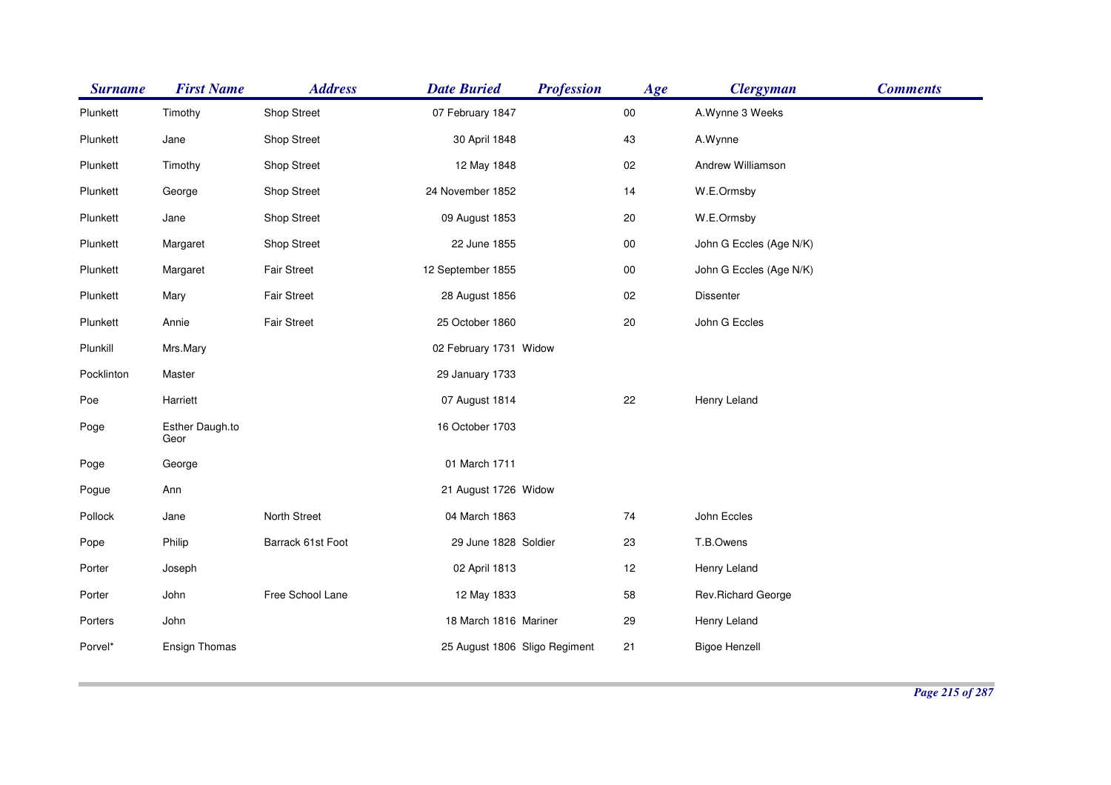| <b>Surname</b> | <b>First Name</b>       | <b>Address</b>     | <b>Date Buried</b>            | <b>Profession</b> | Age    | <b>Clergyman</b>        | <b>Comments</b> |
|----------------|-------------------------|--------------------|-------------------------------|-------------------|--------|-------------------------|-----------------|
| Plunkett       | Timothy                 | Shop Street        | 07 February 1847              |                   | $00\,$ | A.Wynne 3 Weeks         |                 |
| Plunkett       | Jane                    | <b>Shop Street</b> | 30 April 1848                 |                   | 43     | A.Wynne                 |                 |
| Plunkett       | Timothy                 | <b>Shop Street</b> | 12 May 1848                   |                   | $02\,$ | Andrew Williamson       |                 |
| Plunkett       | George                  | Shop Street        | 24 November 1852              |                   | 14     | W.E.Ormsby              |                 |
| Plunkett       | Jane                    | Shop Street        | 09 August 1853                |                   | 20     | W.E.Ormsby              |                 |
| Plunkett       | Margaret                | Shop Street        | 22 June 1855                  |                   | $00\,$ | John G Eccles (Age N/K) |                 |
| Plunkett       | Margaret                | <b>Fair Street</b> | 12 September 1855             |                   | $00\,$ | John G Eccles (Age N/K) |                 |
| Plunkett       | Mary                    | <b>Fair Street</b> | 28 August 1856                |                   | $02\,$ | Dissenter               |                 |
| Plunkett       | Annie                   | Fair Street        | 25 October 1860               |                   | 20     | John G Eccles           |                 |
| Plunkill       | Mrs.Mary                |                    | 02 February 1731 Widow        |                   |        |                         |                 |
| Pocklinton     | Master                  |                    | 29 January 1733               |                   |        |                         |                 |
| Poe            | Harriett                |                    | 07 August 1814                |                   | 22     | Henry Leland            |                 |
| Poge           | Esther Daugh.to<br>Geor |                    | 16 October 1703               |                   |        |                         |                 |
| Poge           | George                  |                    | 01 March 1711                 |                   |        |                         |                 |
| Pogue          | Ann                     |                    | 21 August 1726 Widow          |                   |        |                         |                 |
| Pollock        | Jane                    | North Street       | 04 March 1863                 |                   | $74\,$ | John Eccles             |                 |
| Pope           | Philip                  | Barrack 61st Foot  | 29 June 1828 Soldier          |                   | 23     | T.B.Owens               |                 |
| Porter         | Joseph                  |                    | 02 April 1813                 |                   | 12     | Henry Leland            |                 |
| Porter         | John                    | Free School Lane   | 12 May 1833                   |                   | 58     | Rev.Richard George      |                 |
| Porters        | John                    |                    | 18 March 1816 Mariner         |                   | 29     | Henry Leland            |                 |
| Porvel*        | Ensign Thomas           |                    | 25 August 1806 Sligo Regiment |                   | 21     | <b>Bigoe Henzell</b>    |                 |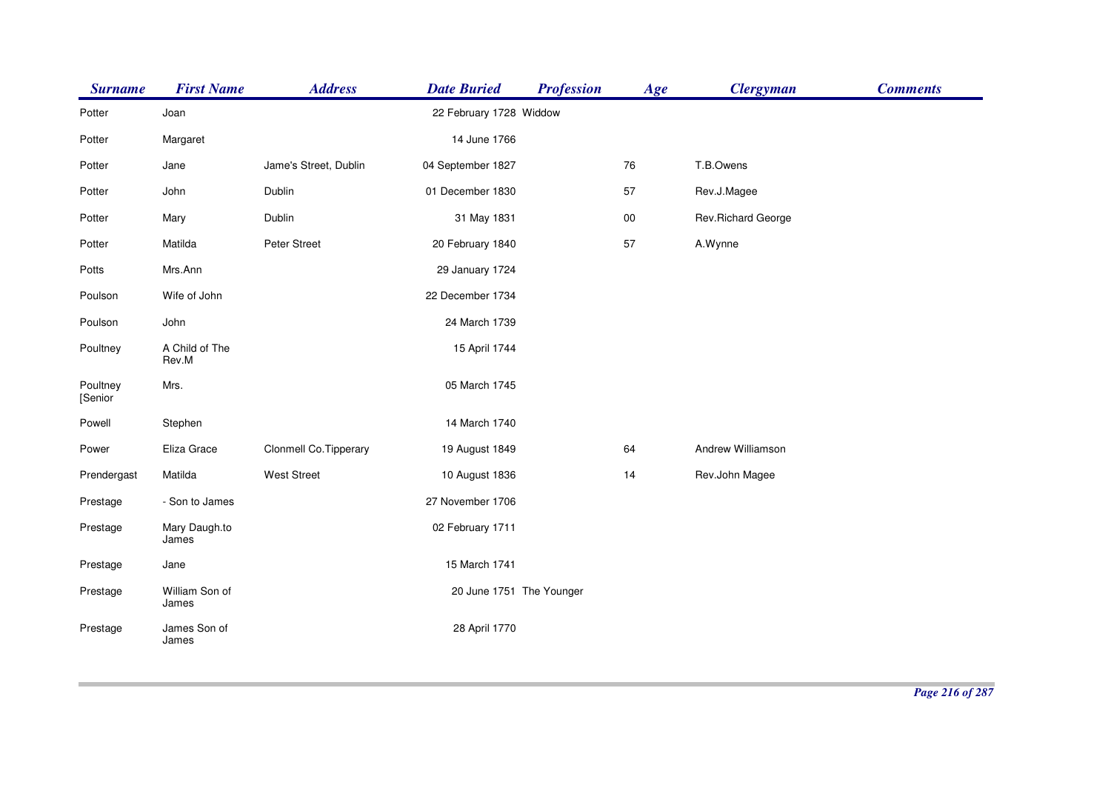| <b>Surname</b>      | <b>First Name</b>       | <b>Address</b>         | <b>Date Buried</b>       | <b>Profession</b> | Age    | <b>Clergyman</b>    | <b>Comments</b> |
|---------------------|-------------------------|------------------------|--------------------------|-------------------|--------|---------------------|-----------------|
| Potter              | Joan                    |                        | 22 February 1728 Widdow  |                   |        |                     |                 |
| Potter              | Margaret                |                        | 14 June 1766             |                   |        |                     |                 |
| Potter              | Jane                    | Jame's Street, Dublin  | 04 September 1827        |                   | 76     | T.B.Owens           |                 |
| Potter              | John                    | Dublin                 | 01 December 1830         |                   | 57     | Rev.J.Magee         |                 |
| Potter              | Mary                    | Dublin                 | 31 May 1831              |                   | $00\,$ | Rev. Richard George |                 |
| Potter              | Matilda                 | Peter Street           | 20 February 1840         |                   | 57     | A.Wynne             |                 |
| Potts               | Mrs.Ann                 |                        | 29 January 1724          |                   |        |                     |                 |
| Poulson             | Wife of John            |                        | 22 December 1734         |                   |        |                     |                 |
| Poulson             | John                    |                        | 24 March 1739            |                   |        |                     |                 |
| Poultney            | A Child of The<br>Rev.M |                        | 15 April 1744            |                   |        |                     |                 |
| Poultney<br>[Senior | Mrs.                    |                        | 05 March 1745            |                   |        |                     |                 |
| Powell              | Stephen                 |                        | 14 March 1740            |                   |        |                     |                 |
| Power               | Eliza Grace             | Clonmell Co. Tipperary | 19 August 1849           |                   | 64     | Andrew Williamson   |                 |
| Prendergast         | Matilda                 | <b>West Street</b>     | 10 August 1836           |                   | 14     | Rev.John Magee      |                 |
| Prestage            | - Son to James          |                        | 27 November 1706         |                   |        |                     |                 |
| Prestage            | Mary Daugh.to<br>James  |                        | 02 February 1711         |                   |        |                     |                 |
| Prestage            | Jane                    |                        | 15 March 1741            |                   |        |                     |                 |
| Prestage            | William Son of<br>James |                        | 20 June 1751 The Younger |                   |        |                     |                 |
| Prestage            | James Son of<br>James   |                        | 28 April 1770            |                   |        |                     |                 |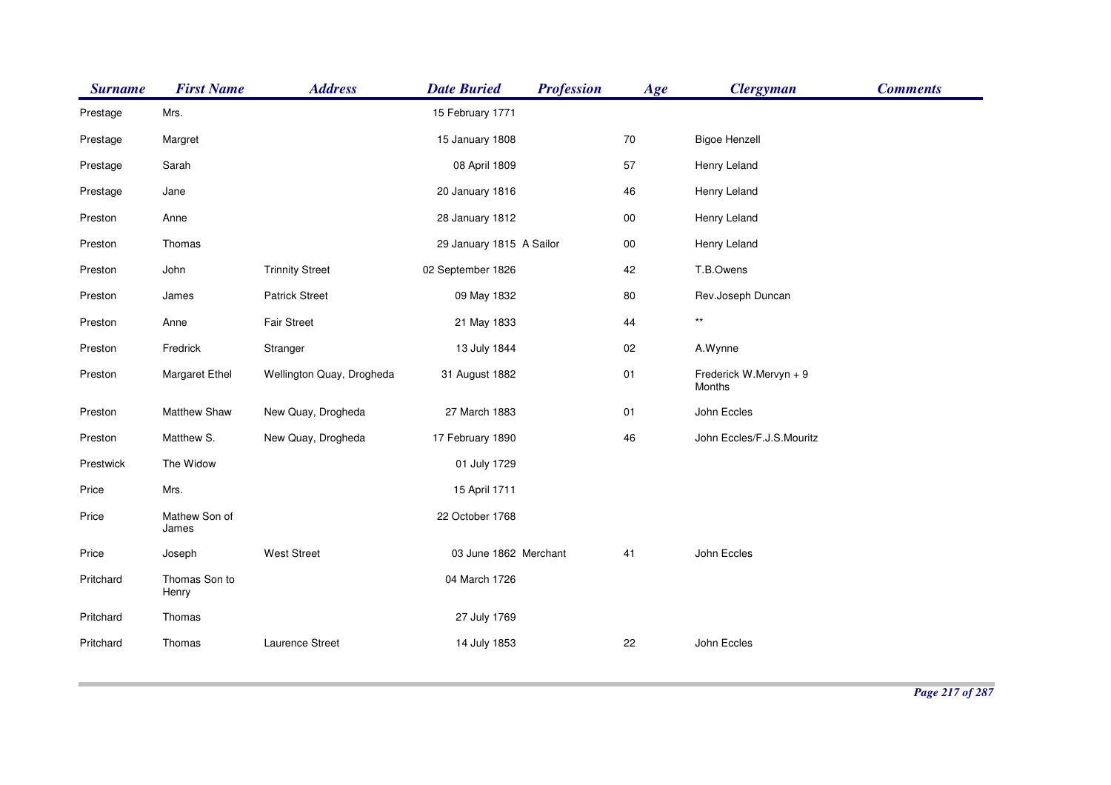| <b>Surname</b> | <b>First Name</b>      | <b>Address</b>            | <b>Date Buried</b>       | <b>Profession</b> | Age        | <b>Clergyman</b>                 | <b>Comments</b> |
|----------------|------------------------|---------------------------|--------------------------|-------------------|------------|----------------------------------|-----------------|
| Prestage       | Mrs.                   |                           | 15 February 1771         |                   |            |                                  |                 |
| Prestage       | Margret                |                           | 15 January 1808          |                   | $70\,$     | <b>Bigoe Henzell</b>             |                 |
| Prestage       | Sarah                  |                           | 08 April 1809            |                   | 57         | Henry Leland                     |                 |
| Prestage       | Jane                   |                           | 20 January 1816          |                   | 46         | Henry Leland                     |                 |
| Preston        | Anne                   |                           | 28 January 1812          |                   | ${\bf 00}$ | Henry Leland                     |                 |
| Preston        | Thomas                 |                           | 29 January 1815 A Sailor |                   | $00\,$     | Henry Leland                     |                 |
| Preston        | John                   | <b>Trinnity Street</b>    | 02 September 1826        |                   | 42         | T.B.Owens                        |                 |
| Preston        | James                  | <b>Patrick Street</b>     | 09 May 1832              |                   | 80         | Rev.Joseph Duncan                |                 |
| Preston        | Anne                   | <b>Fair Street</b>        | 21 May 1833              |                   | 44         | $^{\star\star}$                  |                 |
| Preston        | Fredrick               | Stranger                  | 13 July 1844             |                   | 02         | A.Wynne                          |                 |
| Preston        | Margaret Ethel         | Wellington Quay, Drogheda | 31 August 1882           |                   | $01$       | Frederick W.Mervyn + 9<br>Months |                 |
| Preston        | Matthew Shaw           | New Quay, Drogheda        | 27 March 1883            |                   | 01         | John Eccles                      |                 |
| Preston        | Matthew S.             | New Quay, Drogheda        | 17 February 1890         |                   | 46         | John Eccles/F.J.S.Mouritz        |                 |
| Prestwick      | The Widow              |                           | 01 July 1729             |                   |            |                                  |                 |
| Price          | Mrs.                   |                           | 15 April 1711            |                   |            |                                  |                 |
| Price          | Mathew Son of<br>James |                           | 22 October 1768          |                   |            |                                  |                 |
| Price          | Joseph                 | <b>West Street</b>        | 03 June 1862 Merchant    |                   | 41         | John Eccles                      |                 |
| Pritchard      | Thomas Son to<br>Henry |                           | 04 March 1726            |                   |            |                                  |                 |
| Pritchard      | Thomas                 |                           | 27 July 1769             |                   |            |                                  |                 |
| Pritchard      | Thomas                 | Laurence Street           | 14 July 1853             |                   | 22         | John Eccles                      |                 |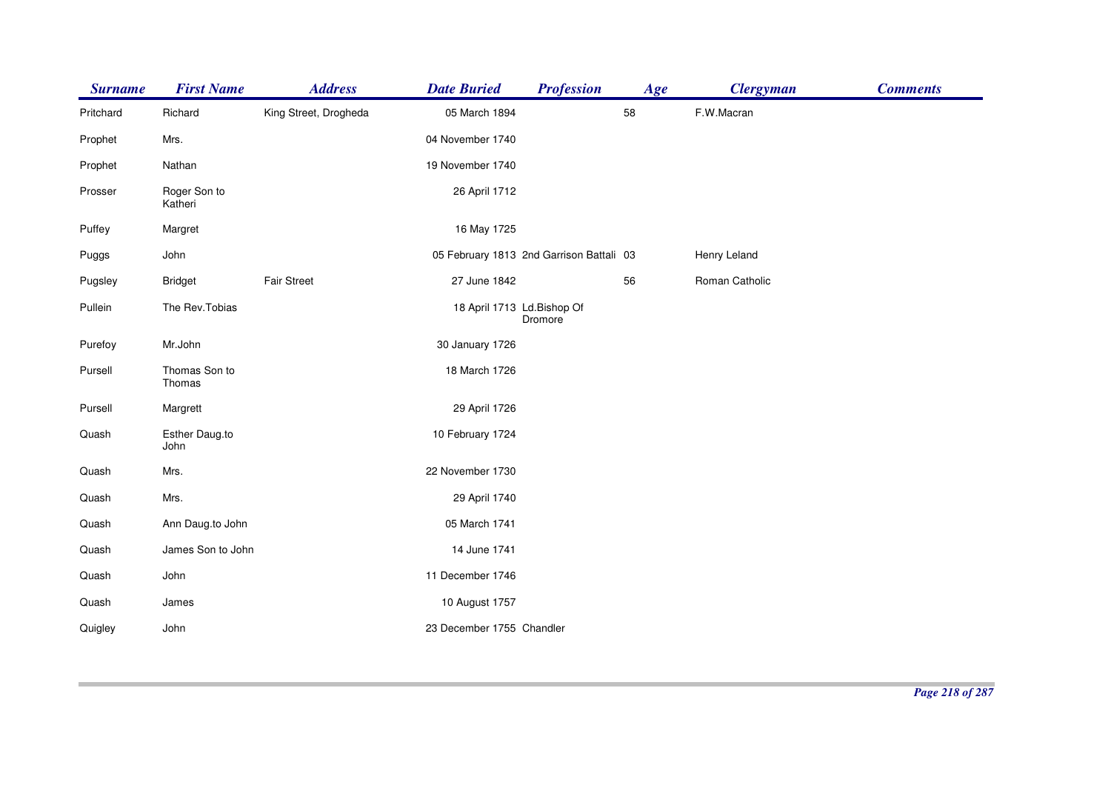| <b>Surname</b> | <b>First Name</b>       | <b>Address</b>        | <b>Date Buried</b>        | <b>Profession</b>                        | Age | <b>Clergyman</b> | <b>Comments</b> |
|----------------|-------------------------|-----------------------|---------------------------|------------------------------------------|-----|------------------|-----------------|
| Pritchard      | Richard                 | King Street, Drogheda | 05 March 1894             |                                          | 58  | F.W.Macran       |                 |
| Prophet        | Mrs.                    |                       | 04 November 1740          |                                          |     |                  |                 |
| Prophet        | Nathan                  |                       | 19 November 1740          |                                          |     |                  |                 |
| Prosser        | Roger Son to<br>Katheri |                       | 26 April 1712             |                                          |     |                  |                 |
| Puffey         | Margret                 |                       | 16 May 1725               |                                          |     |                  |                 |
| Puggs          | John                    |                       |                           | 05 February 1813 2nd Garrison Battali 03 |     | Henry Leland     |                 |
| Pugsley        | <b>Bridget</b>          | <b>Fair Street</b>    | 27 June 1842              |                                          | 56  | Roman Catholic   |                 |
| Pullein        | The Rev. Tobias         |                       |                           | 18 April 1713 Ld.Bishop Of<br>Dromore    |     |                  |                 |
| Purefoy        | Mr.John                 |                       | 30 January 1726           |                                          |     |                  |                 |
| Pursell        | Thomas Son to<br>Thomas |                       | 18 March 1726             |                                          |     |                  |                 |
| Pursell        | Margrett                |                       | 29 April 1726             |                                          |     |                  |                 |
| Quash          | Esther Daug.to<br>John  |                       | 10 February 1724          |                                          |     |                  |                 |
| Quash          | Mrs.                    |                       | 22 November 1730          |                                          |     |                  |                 |
| Quash          | Mrs.                    |                       | 29 April 1740             |                                          |     |                  |                 |
| Quash          | Ann Daug.to John        |                       | 05 March 1741             |                                          |     |                  |                 |
| Quash          | James Son to John       |                       | 14 June 1741              |                                          |     |                  |                 |
| Quash          | John                    |                       | 11 December 1746          |                                          |     |                  |                 |
| Quash          | James                   |                       | 10 August 1757            |                                          |     |                  |                 |
| Quigley        | John                    |                       | 23 December 1755 Chandler |                                          |     |                  |                 |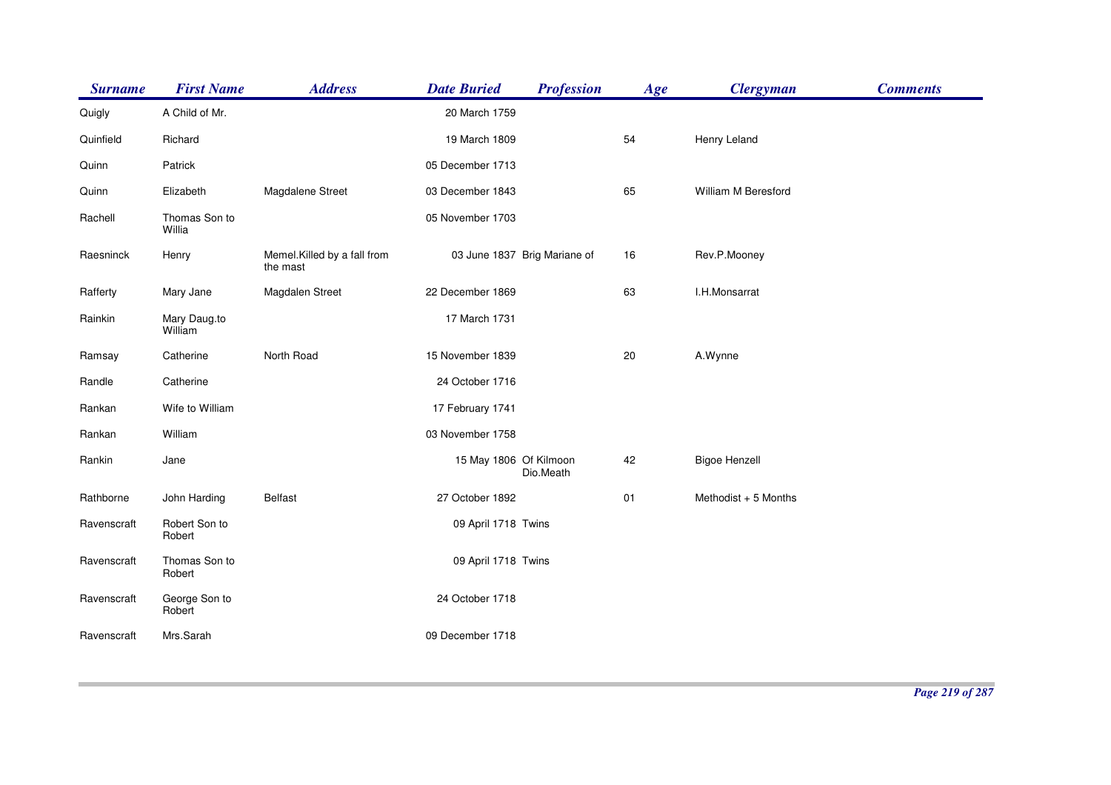| <b>Surname</b> | <b>First Name</b>       | <b>Address</b>                          | <b>Date Buried</b>     | <b>Profession</b>            | Age | <b>Clergyman</b>     | <b>Comments</b> |
|----------------|-------------------------|-----------------------------------------|------------------------|------------------------------|-----|----------------------|-----------------|
| Quigly         | A Child of Mr.          |                                         | 20 March 1759          |                              |     |                      |                 |
| Quinfield      | Richard                 |                                         | 19 March 1809          |                              | 54  | Henry Leland         |                 |
| Quinn          | Patrick                 |                                         | 05 December 1713       |                              |     |                      |                 |
| Quinn          | Elizabeth               | Magdalene Street                        | 03 December 1843       |                              | 65  | William M Beresford  |                 |
| Rachell        | Thomas Son to<br>Willia |                                         | 05 November 1703       |                              |     |                      |                 |
| Raesninck      | Henry                   | Memel.Killed by a fall from<br>the mast |                        | 03 June 1837 Brig Mariane of | 16  | Rev.P.Mooney         |                 |
| Rafferty       | Mary Jane               | Magdalen Street                         | 22 December 1869       |                              | 63  | I.H.Monsarrat        |                 |
| Rainkin        | Mary Daug.to<br>William |                                         | 17 March 1731          |                              |     |                      |                 |
| Ramsay         | Catherine               | North Road                              | 15 November 1839       |                              | 20  | A.Wynne              |                 |
| Randle         | Catherine               |                                         | 24 October 1716        |                              |     |                      |                 |
| Rankan         | Wife to William         |                                         | 17 February 1741       |                              |     |                      |                 |
| Rankan         | William                 |                                         | 03 November 1758       |                              |     |                      |                 |
| Rankin         | Jane                    |                                         | 15 May 1806 Of Kilmoon | Dio.Meath                    | 42  | <b>Bigoe Henzell</b> |                 |
| Rathborne      | John Harding            | <b>Belfast</b>                          | 27 October 1892        |                              | 01  | Methodist + 5 Months |                 |
| Ravenscraft    | Robert Son to<br>Robert |                                         | 09 April 1718 Twins    |                              |     |                      |                 |
| Ravenscraft    | Thomas Son to<br>Robert |                                         | 09 April 1718 Twins    |                              |     |                      |                 |
| Ravenscraft    | George Son to<br>Robert |                                         | 24 October 1718        |                              |     |                      |                 |
| Ravenscraft    | Mrs.Sarah               |                                         | 09 December 1718       |                              |     |                      |                 |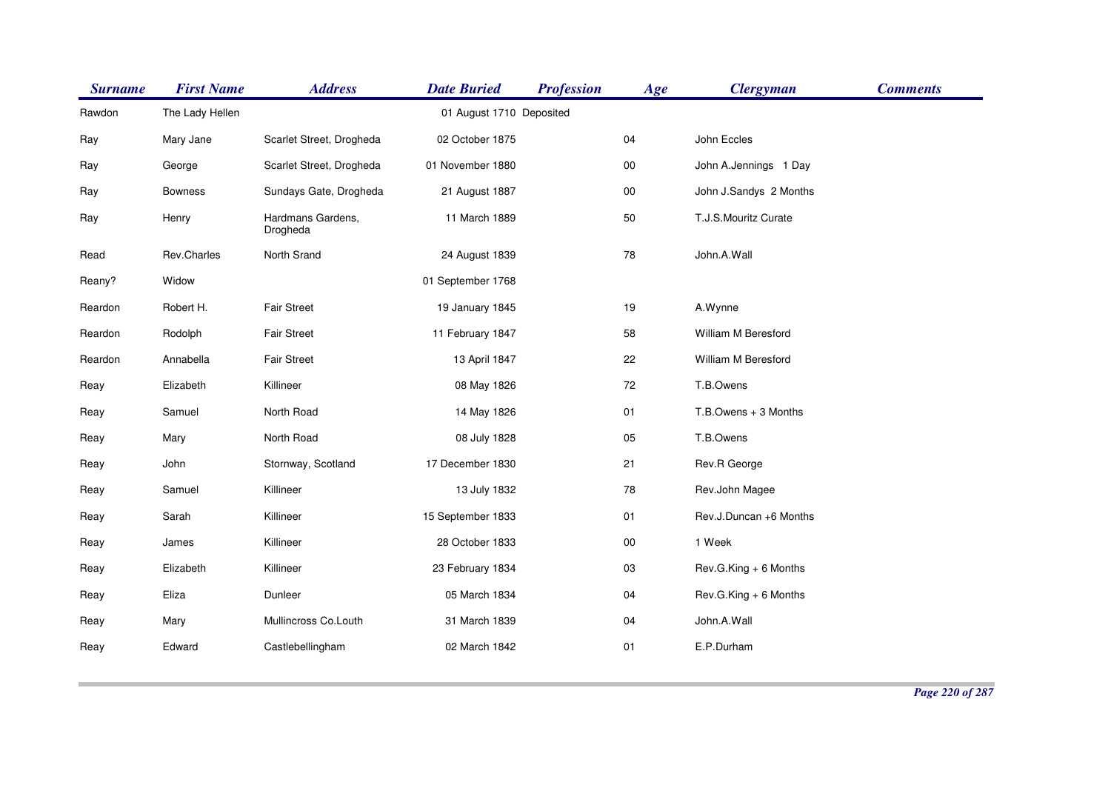| <b>Surname</b> | <b>First Name</b> | <b>Address</b>                | <b>Date Buried</b>       | <b>Profession</b> | Age        | <b>Clergyman</b>       | <b>Comments</b> |
|----------------|-------------------|-------------------------------|--------------------------|-------------------|------------|------------------------|-----------------|
| Rawdon         | The Lady Hellen   |                               | 01 August 1710 Deposited |                   |            |                        |                 |
| Ray            | Mary Jane         | Scarlet Street, Drogheda      | 02 October 1875          |                   | 04         | John Eccles            |                 |
| Ray            | George            | Scarlet Street, Drogheda      | 01 November 1880         |                   | 00         | John A.Jennings 1 Day  |                 |
| Ray            | <b>Bowness</b>    | Sundays Gate, Drogheda        | 21 August 1887           |                   | ${\bf 00}$ | John J.Sandys 2 Months |                 |
| Ray            | Henry             | Hardmans Gardens,<br>Drogheda | 11 March 1889            |                   | 50         | T.J.S.Mouritz Curate   |                 |
| Read           | Rev.Charles       | North Srand                   | 24 August 1839           |                   | 78         | John.A.Wall            |                 |
| Reany?         | Widow             |                               | 01 September 1768        |                   |            |                        |                 |
| Reardon        | Robert H.         | <b>Fair Street</b>            | 19 January 1845          |                   | 19         | A.Wynne                |                 |
| Reardon        | Rodolph           | <b>Fair Street</b>            | 11 February 1847         |                   | 58         | William M Beresford    |                 |
| Reardon        | Annabella         | <b>Fair Street</b>            | 13 April 1847            |                   | 22         | William M Beresford    |                 |
| Reay           | Elizabeth         | Killineer                     | 08 May 1826              |                   | 72         | T.B.Owens              |                 |
| Reay           | Samuel            | North Road                    | 14 May 1826              |                   | 01         | T.B.Owens + 3 Months   |                 |
| Reay           | Mary              | North Road                    | 08 July 1828             |                   | 05         | T.B.Owens              |                 |
| Reay           | John              | Stornway, Scotland            | 17 December 1830         |                   | 21         | Rev.R George           |                 |
| Reay           | Samuel            | Killineer                     | 13 July 1832             |                   | 78         | Rev.John Magee         |                 |
| Reay           | Sarah             | Killineer                     | 15 September 1833        |                   | 01         | Rev.J.Duncan +6 Months |                 |
| Reay           | James             | Killineer                     | 28 October 1833          |                   | 00         | 1 Week                 |                 |
| Reay           | Elizabeth         | Killineer                     | 23 February 1834         |                   | 03         | Rev.G.King + 6 Months  |                 |
| Reay           | Eliza             | Dunleer                       | 05 March 1834            |                   | 04         | Rev.G.King + 6 Months  |                 |
| Reay           | Mary              | Mullincross Co.Louth          | 31 March 1839            |                   | 04         | John.A.Wall            |                 |
| Reay           | Edward            | Castlebellingham              | 02 March 1842            |                   | 01         | E.P.Durham             |                 |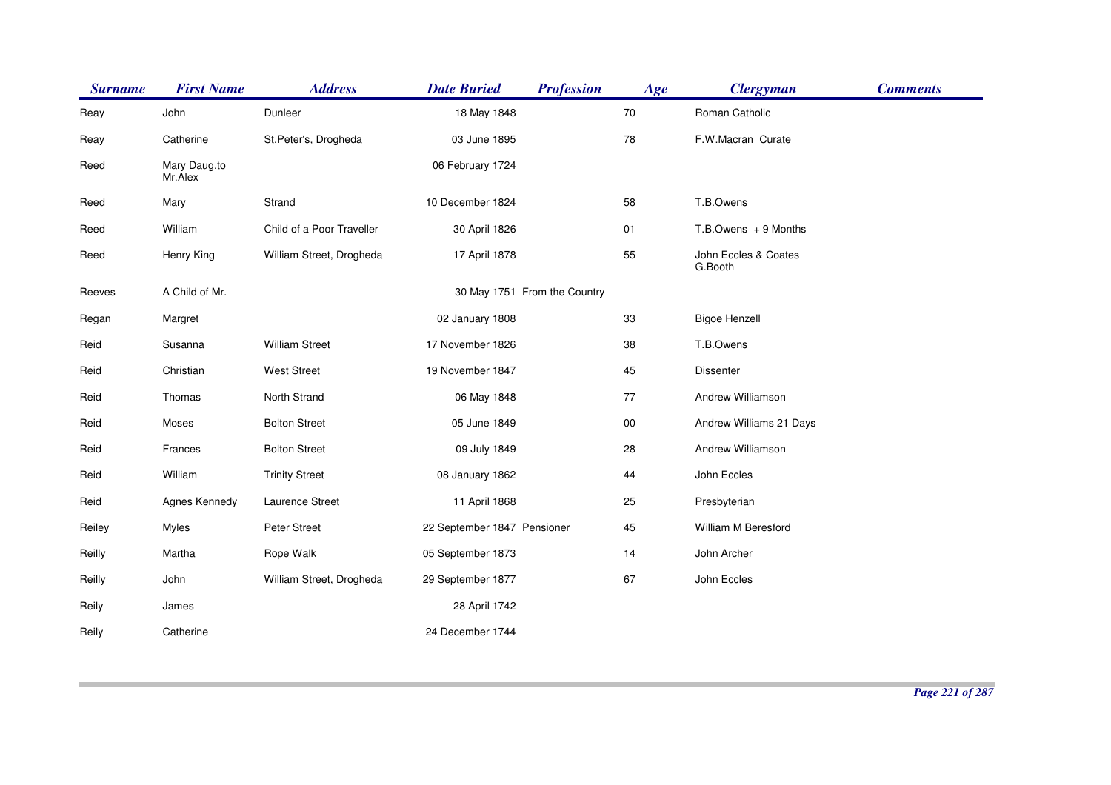| <b>Surname</b> | <b>First Name</b>       | <b>Address</b>            | <b>Date Buried</b>          | <b>Profession</b>            | Age    | <b>Clergyman</b>                | <b>Comments</b> |
|----------------|-------------------------|---------------------------|-----------------------------|------------------------------|--------|---------------------------------|-----------------|
| Reay           | John                    | Dunleer                   | 18 May 1848                 |                              | 70     | Roman Catholic                  |                 |
| Reay           | Catherine               | St.Peter's, Drogheda      | 03 June 1895                |                              | 78     | F.W.Macran Curate               |                 |
| Reed           | Mary Daug.to<br>Mr.Alex |                           | 06 February 1724            |                              |        |                                 |                 |
| Reed           | Mary                    | Strand                    | 10 December 1824            |                              | 58     | T.B.Owens                       |                 |
| Reed           | William                 | Child of a Poor Traveller | 30 April 1826               |                              | 01     | $T.B.$ Owens $+9$ Months        |                 |
| Reed           | Henry King              | William Street, Drogheda  | 17 April 1878               |                              | 55     | John Eccles & Coates<br>G.Booth |                 |
| Reeves         | A Child of Mr.          |                           |                             | 30 May 1751 From the Country |        |                                 |                 |
| Regan          | Margret                 |                           | 02 January 1808             |                              | 33     | <b>Bigoe Henzell</b>            |                 |
| Reid           | Susanna                 | <b>William Street</b>     | 17 November 1826            |                              | 38     | T.B.Owens                       |                 |
| Reid           | Christian               | <b>West Street</b>        | 19 November 1847            |                              | 45     | <b>Dissenter</b>                |                 |
| Reid           | Thomas                  | North Strand              | 06 May 1848                 |                              | 77     | Andrew Williamson               |                 |
| Reid           | Moses                   | <b>Bolton Street</b>      | 05 June 1849                |                              | $00\,$ | Andrew Williams 21 Days         |                 |
| Reid           | Frances                 | <b>Bolton Street</b>      | 09 July 1849                |                              | 28     | Andrew Williamson               |                 |
| Reid           | William                 | <b>Trinity Street</b>     | 08 January 1862             |                              | 44     | John Eccles                     |                 |
| Reid           | Agnes Kennedy           | Laurence Street           | 11 April 1868               |                              | 25     | Presbyterian                    |                 |
| Reiley         | <b>Myles</b>            | Peter Street              | 22 September 1847 Pensioner |                              | 45     | William M Beresford             |                 |
| Reilly         | Martha                  | Rope Walk                 | 05 September 1873           |                              | 14     | John Archer                     |                 |
| Reilly         | John                    | William Street, Drogheda  | 29 September 1877           |                              | 67     | John Eccles                     |                 |
| Reily          | James                   |                           | 28 April 1742               |                              |        |                                 |                 |
| Reily          | Catherine               |                           | 24 December 1744            |                              |        |                                 |                 |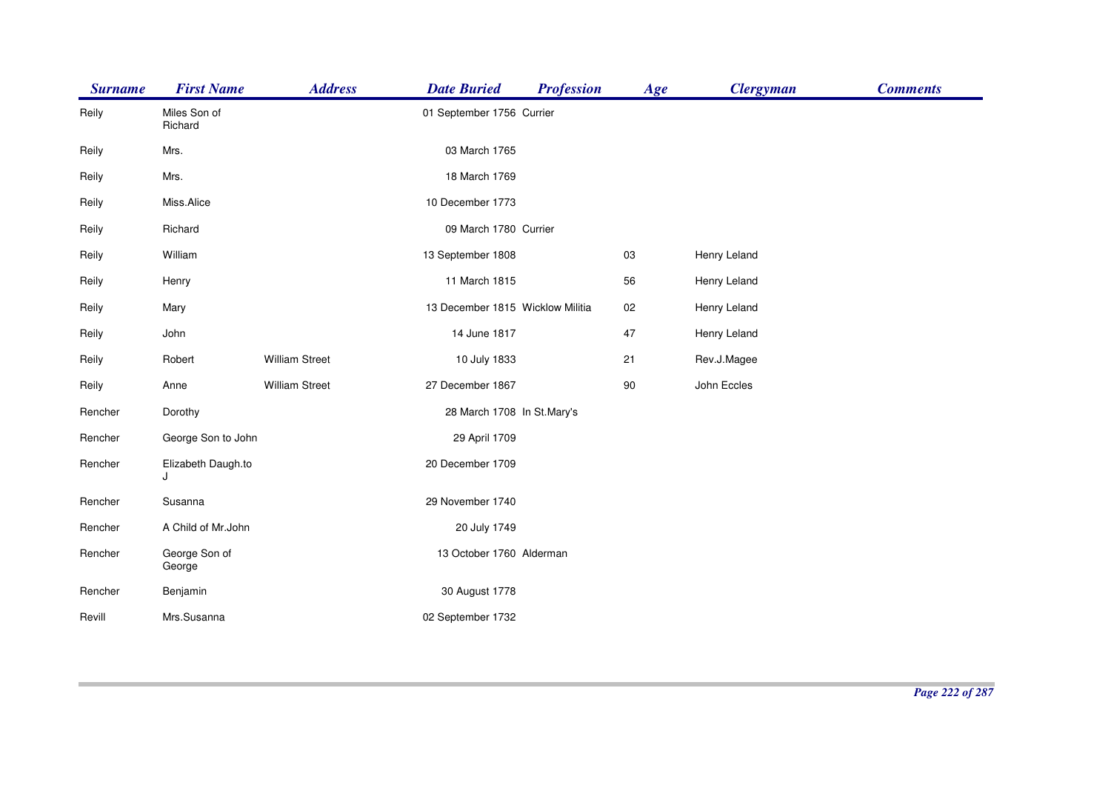| <b>Surname</b> | <b>First Name</b>       | <b>Address</b>        | <b>Date Buried</b>               | <b>Profession</b> | Age | <b>Clergyman</b> | <b>Comments</b> |
|----------------|-------------------------|-----------------------|----------------------------------|-------------------|-----|------------------|-----------------|
| Reily          | Miles Son of<br>Richard |                       | 01 September 1756 Currier        |                   |     |                  |                 |
| Reily          | Mrs.                    |                       | 03 March 1765                    |                   |     |                  |                 |
| Reily          | Mrs.                    |                       | 18 March 1769                    |                   |     |                  |                 |
| Reily          | Miss.Alice              |                       | 10 December 1773                 |                   |     |                  |                 |
| Reily          | Richard                 |                       | 09 March 1780 Currier            |                   |     |                  |                 |
| Reily          | William                 |                       | 13 September 1808                |                   | 03  | Henry Leland     |                 |
| Reily          | Henry                   |                       | 11 March 1815                    |                   | 56  | Henry Leland     |                 |
| Reily          | Mary                    |                       | 13 December 1815 Wicklow Militia |                   | 02  | Henry Leland     |                 |
| Reily          | John                    |                       | 14 June 1817                     |                   | 47  | Henry Leland     |                 |
| Reily          | Robert                  | <b>William Street</b> | 10 July 1833                     |                   | 21  | Rev.J.Magee      |                 |
| Reily          | Anne                    | <b>William Street</b> | 27 December 1867                 |                   | 90  | John Eccles      |                 |
| Rencher        | Dorothy                 |                       | 28 March 1708 In St.Mary's       |                   |     |                  |                 |
| Rencher        | George Son to John      |                       | 29 April 1709                    |                   |     |                  |                 |
| Rencher        | Elizabeth Daugh.to<br>J |                       | 20 December 1709                 |                   |     |                  |                 |
| Rencher        | Susanna                 |                       | 29 November 1740                 |                   |     |                  |                 |
| Rencher        | A Child of Mr.John      |                       | 20 July 1749                     |                   |     |                  |                 |
| Rencher        | George Son of<br>George |                       | 13 October 1760 Alderman         |                   |     |                  |                 |
| Rencher        | Benjamin                |                       | 30 August 1778                   |                   |     |                  |                 |
| Revill         | Mrs.Susanna             |                       | 02 September 1732                |                   |     |                  |                 |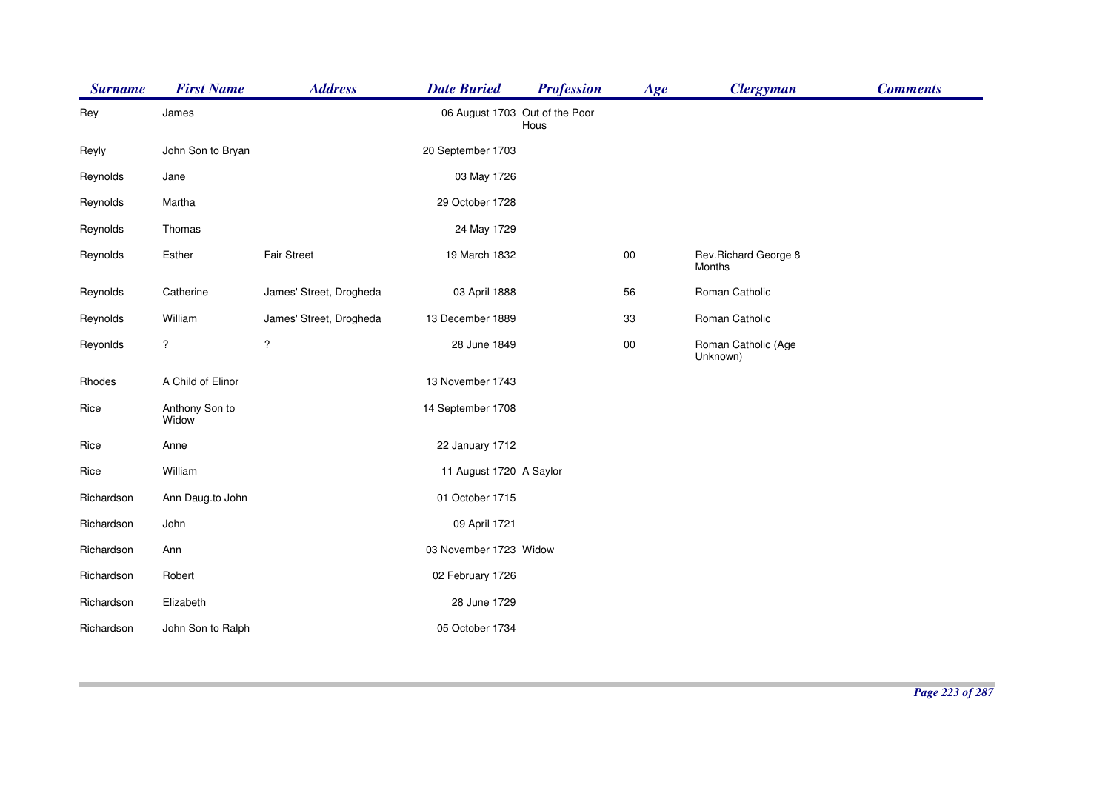| <b>Surname</b> | <b>First Name</b>       | <b>Address</b>          | <b>Date Buried</b>             | <b>Profession</b> | Age        | <b>Clergyman</b>                | <b>Comments</b> |
|----------------|-------------------------|-------------------------|--------------------------------|-------------------|------------|---------------------------------|-----------------|
| Rey            | James                   |                         | 06 August 1703 Out of the Poor | Hous              |            |                                 |                 |
| Reyly          | John Son to Bryan       |                         | 20 September 1703              |                   |            |                                 |                 |
| Reynolds       | Jane                    |                         | 03 May 1726                    |                   |            |                                 |                 |
| Reynolds       | Martha                  |                         | 29 October 1728                |                   |            |                                 |                 |
| Reynolds       | Thomas                  |                         | 24 May 1729                    |                   |            |                                 |                 |
| Reynolds       | Esther                  | <b>Fair Street</b>      | 19 March 1832                  |                   | $00\,$     | Rev. Richard George 8<br>Months |                 |
| Reynolds       | Catherine               | James' Street, Drogheda | 03 April 1888                  |                   | 56         | Roman Catholic                  |                 |
| Reynolds       | William                 | James' Street, Drogheda | 13 December 1889               |                   | 33         | Roman Catholic                  |                 |
| Reyonlds       | ?                       | $\overline{\mathbf{?}}$ | 28 June 1849                   |                   | ${\bf 00}$ | Roman Catholic (Age<br>Unknown) |                 |
| Rhodes         | A Child of Elinor       |                         | 13 November 1743               |                   |            |                                 |                 |
| Rice           | Anthony Son to<br>Widow |                         | 14 September 1708              |                   |            |                                 |                 |
| Rice           | Anne                    |                         | 22 January 1712                |                   |            |                                 |                 |
| Rice           | William                 |                         | 11 August 1720 A Saylor        |                   |            |                                 |                 |
| Richardson     | Ann Daug.to John        |                         | 01 October 1715                |                   |            |                                 |                 |
| Richardson     | John                    |                         | 09 April 1721                  |                   |            |                                 |                 |
| Richardson     | Ann                     |                         | 03 November 1723 Widow         |                   |            |                                 |                 |
| Richardson     | Robert                  |                         | 02 February 1726               |                   |            |                                 |                 |
| Richardson     | Elizabeth               |                         | 28 June 1729                   |                   |            |                                 |                 |
| Richardson     | John Son to Ralph       |                         | 05 October 1734                |                   |            |                                 |                 |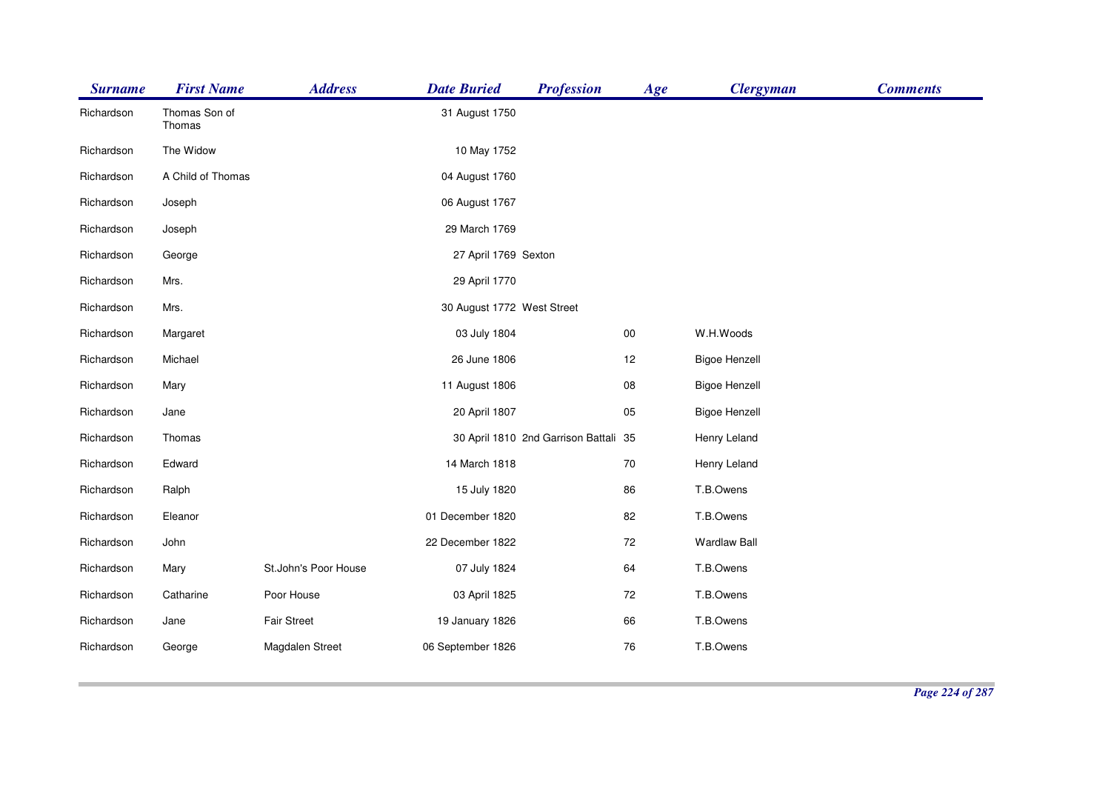| <b>Surname</b> | <b>First Name</b>       | <b>Address</b>       | <b>Date Buried</b>         | <b>Profession</b>                     | Age    | <b>Clergyman</b>     | <b>Comments</b> |
|----------------|-------------------------|----------------------|----------------------------|---------------------------------------|--------|----------------------|-----------------|
| Richardson     | Thomas Son of<br>Thomas |                      | 31 August 1750             |                                       |        |                      |                 |
| Richardson     | The Widow               |                      | 10 May 1752                |                                       |        |                      |                 |
| Richardson     | A Child of Thomas       |                      | 04 August 1760             |                                       |        |                      |                 |
| Richardson     | Joseph                  |                      | 06 August 1767             |                                       |        |                      |                 |
| Richardson     | Joseph                  |                      | 29 March 1769              |                                       |        |                      |                 |
| Richardson     | George                  |                      | 27 April 1769 Sexton       |                                       |        |                      |                 |
| Richardson     | Mrs.                    |                      | 29 April 1770              |                                       |        |                      |                 |
| Richardson     | Mrs.                    |                      | 30 August 1772 West Street |                                       |        |                      |                 |
| Richardson     | Margaret                |                      | 03 July 1804               |                                       | $00\,$ | W.H.Woods            |                 |
| Richardson     | Michael                 |                      | 26 June 1806               |                                       | 12     | <b>Bigoe Henzell</b> |                 |
| Richardson     | Mary                    |                      | 11 August 1806             |                                       | 08     | <b>Bigoe Henzell</b> |                 |
| Richardson     | Jane                    |                      | 20 April 1807              |                                       | 05     | <b>Bigoe Henzell</b> |                 |
| Richardson     | Thomas                  |                      |                            | 30 April 1810 2nd Garrison Battali 35 |        | Henry Leland         |                 |
| Richardson     | Edward                  |                      | 14 March 1818              |                                       | 70     | Henry Leland         |                 |
| Richardson     | Ralph                   |                      | 15 July 1820               |                                       | 86     | T.B.Owens            |                 |
| Richardson     | Eleanor                 |                      | 01 December 1820           |                                       | 82     | T.B.Owens            |                 |
| Richardson     | John                    |                      | 22 December 1822           |                                       | 72     | <b>Wardlaw Ball</b>  |                 |
| Richardson     | Mary                    | St.John's Poor House | 07 July 1824               |                                       | 64     | T.B.Owens            |                 |
| Richardson     | Catharine               | Poor House           | 03 April 1825              |                                       | 72     | T.B.Owens            |                 |
| Richardson     | Jane                    | <b>Fair Street</b>   | 19 January 1826            |                                       | 66     | T.B.Owens            |                 |
| Richardson     | George                  | Magdalen Street      | 06 September 1826          |                                       | 76     | T.B.Owens            |                 |
|                |                         |                      |                            |                                       |        |                      |                 |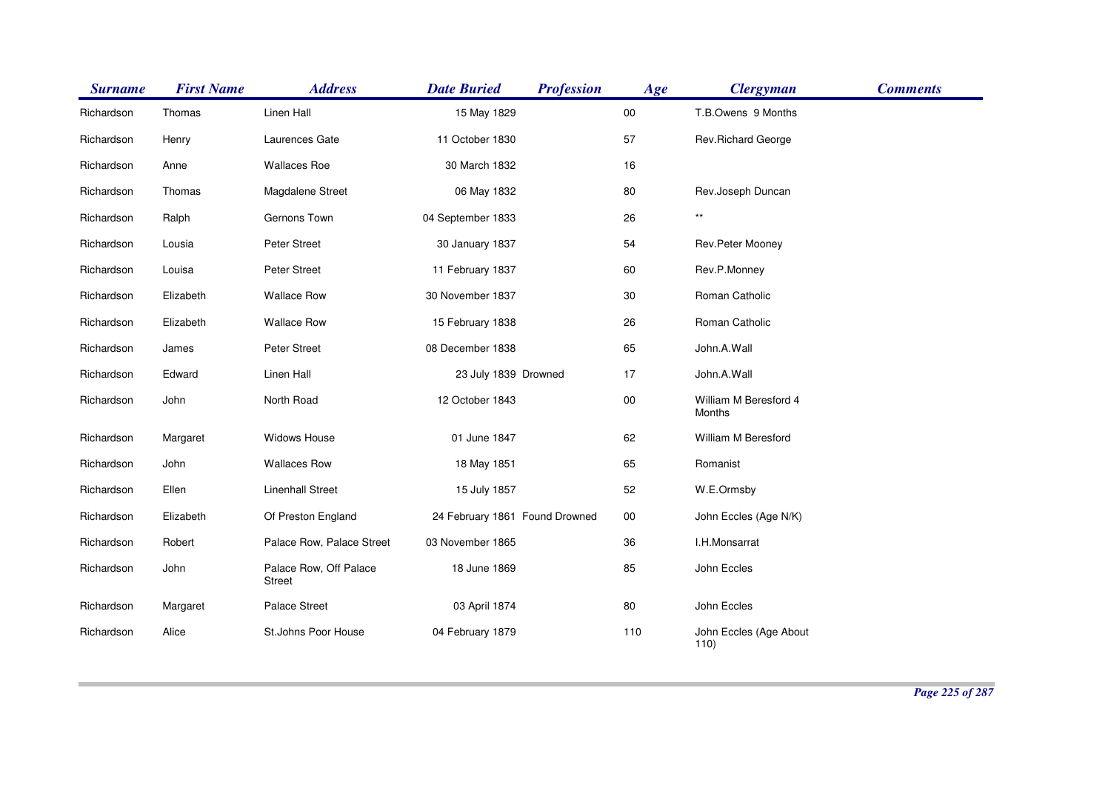| <b>Surname</b> | <b>First Name</b> | <b>Address</b>                   | <b>Date Buried</b>             | <b>Profession</b> | Age    | <b>Clergyman</b>                | <b>Comments</b> |
|----------------|-------------------|----------------------------------|--------------------------------|-------------------|--------|---------------------------------|-----------------|
| Richardson     | Thomas            | Linen Hall                       | 15 May 1829                    |                   | $00\,$ | T.B.Owens 9 Months              |                 |
| Richardson     | Henry             | Laurences Gate                   | 11 October 1830                |                   | 57     | Rev.Richard George              |                 |
| Richardson     | Anne              | <b>Wallaces Roe</b>              | 30 March 1832                  |                   | 16     |                                 |                 |
| Richardson     | Thomas            | Magdalene Street                 | 06 May 1832                    |                   | 80     | Rev.Joseph Duncan               |                 |
| Richardson     | Ralph             | Gernons Town                     | 04 September 1833              |                   | 26     | $^{\star\star}$                 |                 |
| Richardson     | Lousia            | Peter Street                     | 30 January 1837                |                   | 54     | Rev.Peter Mooney                |                 |
| Richardson     | Louisa            | Peter Street                     | 11 February 1837               |                   | 60     | Rev.P.Monney                    |                 |
| Richardson     | Elizabeth         | <b>Wallace Row</b>               | 30 November 1837               |                   | 30     | Roman Catholic                  |                 |
| Richardson     | Elizabeth         | <b>Wallace Row</b>               | 15 February 1838               |                   | 26     | Roman Catholic                  |                 |
| Richardson     | James             | Peter Street                     | 08 December 1838               |                   | 65     | John.A.Wall                     |                 |
| Richardson     | Edward            | Linen Hall                       | 23 July 1839 Drowned           |                   | 17     | John.A.Wall                     |                 |
| Richardson     | John              | North Road                       | 12 October 1843                |                   | $00\,$ | William M Beresford 4<br>Months |                 |
| Richardson     | Margaret          | Widows House                     | 01 June 1847                   |                   | 62     | William M Beresford             |                 |
| Richardson     | John              | <b>Wallaces Row</b>              | 18 May 1851                    |                   | 65     | Romanist                        |                 |
| Richardson     | Ellen             | <b>Linenhall Street</b>          | 15 July 1857                   |                   | 52     | W.E.Ormsby                      |                 |
| Richardson     | Elizabeth         | Of Preston England               | 24 February 1861 Found Drowned |                   | $00\,$ | John Eccles (Age N/K)           |                 |
| Richardson     | Robert            | Palace Row, Palace Street        | 03 November 1865               |                   | 36     | I.H.Monsarrat                   |                 |
| Richardson     | John              | Palace Row, Off Palace<br>Street | 18 June 1869                   |                   | 85     | John Eccles                     |                 |
| Richardson     | Margaret          | Palace Street                    | 03 April 1874                  |                   | 80     | John Eccles                     |                 |
| Richardson     | Alice             | St.Johns Poor House              | 04 February 1879               |                   | 110    | John Eccles (Age About<br>110)  |                 |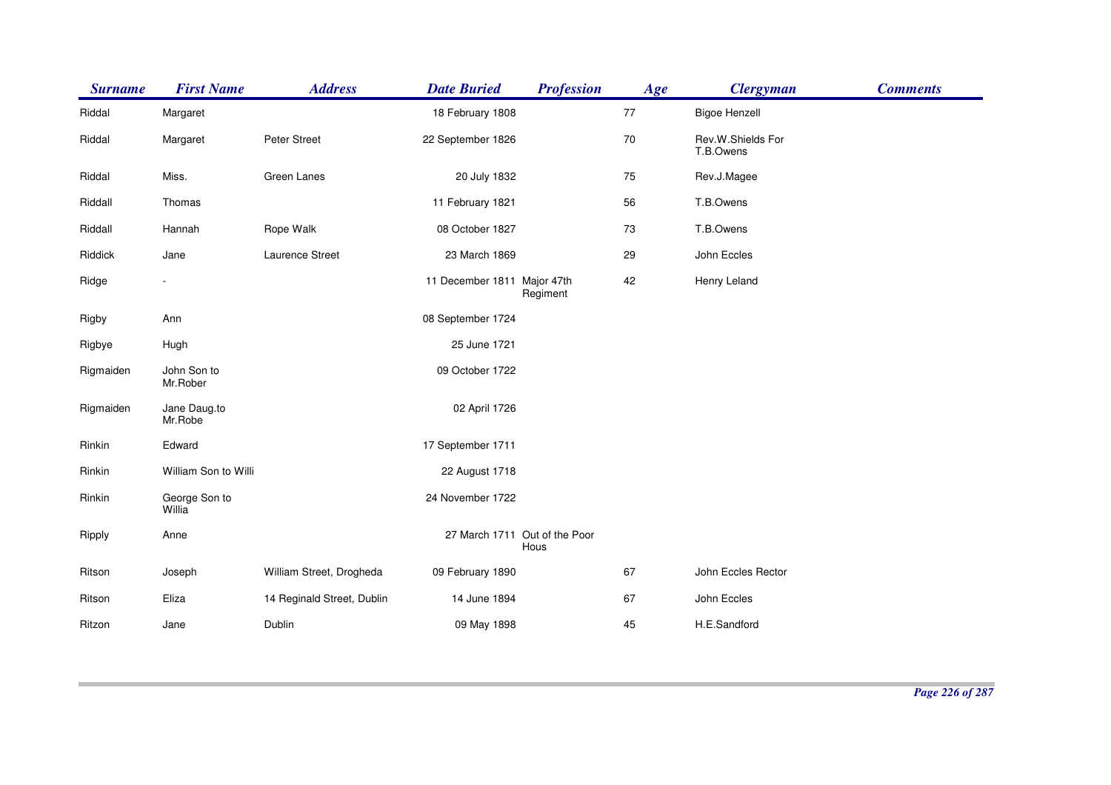| <b>Surname</b> | <b>First Name</b>       | <b>Address</b>             | <b>Date Buried</b>          | <b>Profession</b>                     | Age | <b>Clergyman</b>               | <b>Comments</b> |
|----------------|-------------------------|----------------------------|-----------------------------|---------------------------------------|-----|--------------------------------|-----------------|
| Riddal         | Margaret                |                            | 18 February 1808            |                                       | 77  | <b>Bigoe Henzell</b>           |                 |
| Riddal         | Margaret                | Peter Street               | 22 September 1826           |                                       | 70  | Rev.W.Shields For<br>T.B.Owens |                 |
| Riddal         | Miss.                   | Green Lanes                | 20 July 1832                |                                       | 75  | Rev.J.Magee                    |                 |
| Riddall        | Thomas                  |                            | 11 February 1821            |                                       | 56  | T.B.Owens                      |                 |
| Riddall        | Hannah                  | Rope Walk                  | 08 October 1827             |                                       | 73  | T.B.Owens                      |                 |
| Riddick        | Jane                    | Laurence Street            | 23 March 1869               |                                       | 29  | John Eccles                    |                 |
| Ridge          |                         |                            | 11 December 1811 Major 47th | Regiment                              | 42  | Henry Leland                   |                 |
| Rigby          | Ann                     |                            | 08 September 1724           |                                       |     |                                |                 |
| Rigbye         | Hugh                    |                            | 25 June 1721                |                                       |     |                                |                 |
| Rigmaiden      | John Son to<br>Mr.Rober |                            | 09 October 1722             |                                       |     |                                |                 |
| Rigmaiden      | Jane Daug.to<br>Mr.Robe |                            | 02 April 1726               |                                       |     |                                |                 |
| Rinkin         | Edward                  |                            | 17 September 1711           |                                       |     |                                |                 |
| Rinkin         | William Son to Willi    |                            | 22 August 1718              |                                       |     |                                |                 |
| Rinkin         | George Son to<br>Willia |                            | 24 November 1722            |                                       |     |                                |                 |
| Ripply         | Anne                    |                            |                             | 27 March 1711 Out of the Poor<br>Hous |     |                                |                 |
| Ritson         | Joseph                  | William Street, Drogheda   | 09 February 1890            |                                       | 67  | John Eccles Rector             |                 |
| Ritson         | Eliza                   | 14 Reginald Street, Dublin | 14 June 1894                |                                       | 67  | John Eccles                    |                 |
| Ritzon         | Jane                    | Dublin                     | 09 May 1898                 |                                       | 45  | H.E.Sandford                   |                 |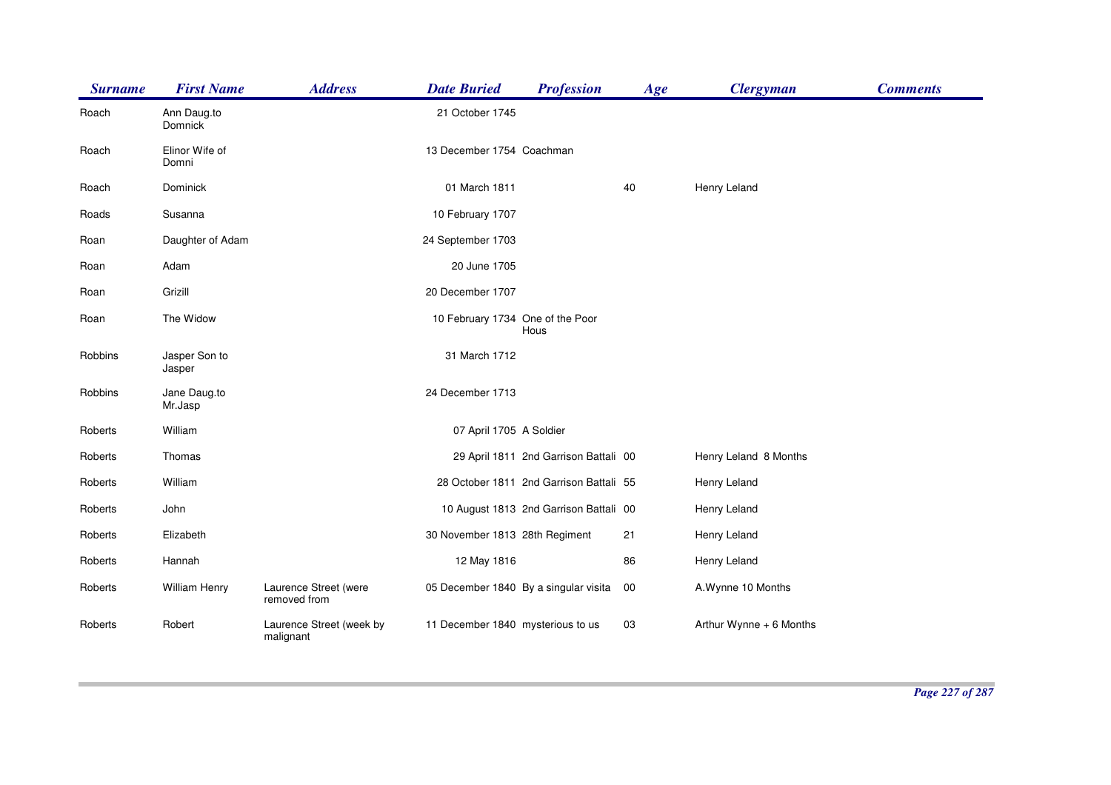| <b>Surname</b> | <b>First Name</b>       | <b>Address</b>                        | <b>Date Buried</b>                    | <b>Profession</b>                       | Age | <b>Clergyman</b>        | <b>Comments</b> |
|----------------|-------------------------|---------------------------------------|---------------------------------------|-----------------------------------------|-----|-------------------------|-----------------|
| Roach          | Ann Daug.to<br>Domnick  |                                       | 21 October 1745                       |                                         |     |                         |                 |
| Roach          | Elinor Wife of<br>Domni |                                       | 13 December 1754 Coachman             |                                         |     |                         |                 |
| Roach          | Dominick                |                                       | 01 March 1811                         |                                         | 40  | Henry Leland            |                 |
| Roads          | Susanna                 |                                       | 10 February 1707                      |                                         |     |                         |                 |
| Roan           | Daughter of Adam        |                                       | 24 September 1703                     |                                         |     |                         |                 |
| Roan           | Adam                    |                                       | 20 June 1705                          |                                         |     |                         |                 |
| Roan           | Grizill                 |                                       | 20 December 1707                      |                                         |     |                         |                 |
| Roan           | The Widow               |                                       | 10 February 1734 One of the Poor      | Hous                                    |     |                         |                 |
| Robbins        | Jasper Son to<br>Jasper |                                       | 31 March 1712                         |                                         |     |                         |                 |
| Robbins        | Jane Daug.to<br>Mr.Jasp |                                       | 24 December 1713                      |                                         |     |                         |                 |
| Roberts        | William                 |                                       | 07 April 1705 A Soldier               |                                         |     |                         |                 |
| Roberts        | Thomas                  |                                       |                                       | 29 April 1811 2nd Garrison Battali 00   |     | Henry Leland 8 Months   |                 |
| Roberts        | William                 |                                       |                                       | 28 October 1811 2nd Garrison Battali 55 |     | Henry Leland            |                 |
| Roberts        | John                    |                                       |                                       | 10 August 1813 2nd Garrison Battali 00  |     | Henry Leland            |                 |
| Roberts        | Elizabeth               |                                       | 30 November 1813 28th Regiment        |                                         | 21  | Henry Leland            |                 |
| Roberts        | Hannah                  |                                       | 12 May 1816                           |                                         | 86  | Henry Leland            |                 |
| Roberts        | William Henry           | Laurence Street (were<br>removed from | 05 December 1840 By a singular visita |                                         | 00  | A.Wynne 10 Months       |                 |
| Roberts        | Robert                  | Laurence Street (week by<br>malignant | 11 December 1840 mysterious to us     |                                         | 03  | Arthur Wynne + 6 Months |                 |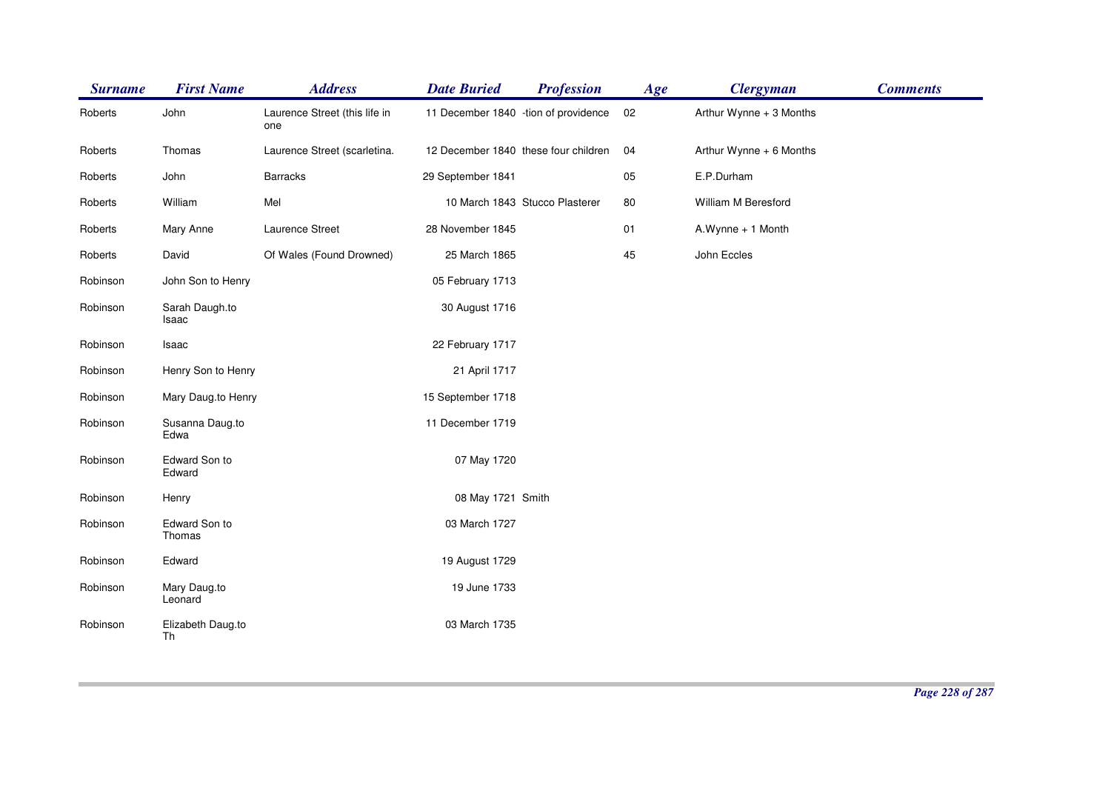| <b>Surname</b> | <b>First Name</b>       | <b>Address</b>                       | <b>Date Buried</b>                   | <b>Profession</b>              | Age | <b>Clergyman</b>        | <b>Comments</b> |
|----------------|-------------------------|--------------------------------------|--------------------------------------|--------------------------------|-----|-------------------------|-----------------|
| Roberts        | John                    | Laurence Street (this life in<br>one | 11 December 1840 -tion of providence |                                | 02  | Arthur Wynne + 3 Months |                 |
| Roberts        | Thomas                  | Laurence Street (scarletina.         | 12 December 1840 these four children |                                | 04  | Arthur Wynne + 6 Months |                 |
| Roberts        | John                    | <b>Barracks</b>                      | 29 September 1841                    |                                | 05  | E.P.Durham              |                 |
| Roberts        | William                 | Mel                                  |                                      | 10 March 1843 Stucco Plasterer | 80  | William M Beresford     |                 |
| Roberts        | Mary Anne               | Laurence Street                      | 28 November 1845                     |                                | 01  | A.Wynne + 1 Month       |                 |
| Roberts        | David                   | Of Wales (Found Drowned)             | 25 March 1865                        |                                | 45  | John Eccles             |                 |
| Robinson       | John Son to Henry       |                                      | 05 February 1713                     |                                |     |                         |                 |
| Robinson       | Sarah Daugh.to<br>Isaac |                                      | 30 August 1716                       |                                |     |                         |                 |
| Robinson       | Isaac                   |                                      | 22 February 1717                     |                                |     |                         |                 |
| Robinson       | Henry Son to Henry      |                                      | 21 April 1717                        |                                |     |                         |                 |
| Robinson       | Mary Daug.to Henry      |                                      | 15 September 1718                    |                                |     |                         |                 |
| Robinson       | Susanna Daug.to<br>Edwa |                                      | 11 December 1719                     |                                |     |                         |                 |
| Robinson       | Edward Son to<br>Edward |                                      | 07 May 1720                          |                                |     |                         |                 |
| Robinson       | Henry                   |                                      | 08 May 1721 Smith                    |                                |     |                         |                 |
| Robinson       | Edward Son to<br>Thomas |                                      | 03 March 1727                        |                                |     |                         |                 |
| Robinson       | Edward                  |                                      | 19 August 1729                       |                                |     |                         |                 |
| Robinson       | Mary Daug.to<br>Leonard |                                      | 19 June 1733                         |                                |     |                         |                 |
| Robinson       | Elizabeth Daug.to<br>Th |                                      | 03 March 1735                        |                                |     |                         |                 |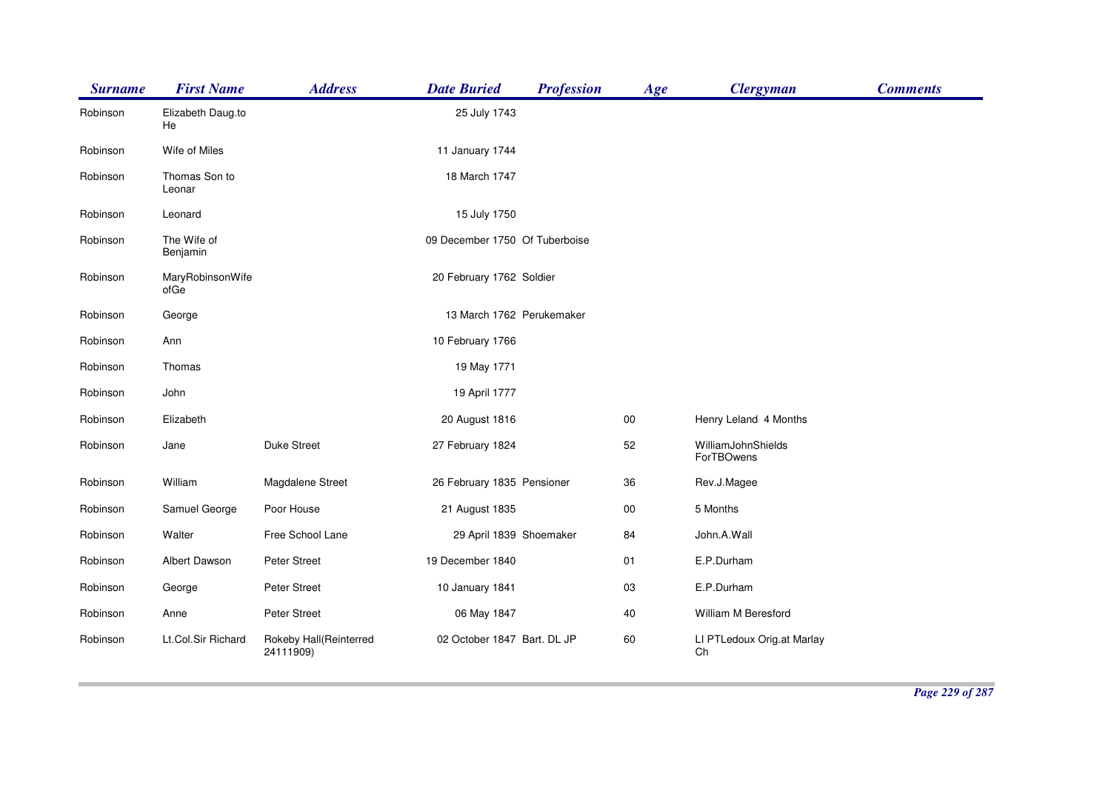| <b>Surname</b> | <b>First Name</b>        | <b>Address</b>                      | <b>Date Buried</b>             | <b>Profession</b> | Age    | <b>Clergyman</b>                 | <b>Comments</b> |
|----------------|--------------------------|-------------------------------------|--------------------------------|-------------------|--------|----------------------------------|-----------------|
| Robinson       | Elizabeth Daug.to<br>He  |                                     | 25 July 1743                   |                   |        |                                  |                 |
| Robinson       | Wife of Miles            |                                     | 11 January 1744                |                   |        |                                  |                 |
| Robinson       | Thomas Son to<br>Leonar  |                                     | 18 March 1747                  |                   |        |                                  |                 |
| Robinson       | Leonard                  |                                     | 15 July 1750                   |                   |        |                                  |                 |
| Robinson       | The Wife of<br>Benjamin  |                                     | 09 December 1750 Of Tuberboise |                   |        |                                  |                 |
| Robinson       | MaryRobinsonWife<br>ofGe |                                     | 20 February 1762 Soldier       |                   |        |                                  |                 |
| Robinson       | George                   |                                     | 13 March 1762 Perukemaker      |                   |        |                                  |                 |
| Robinson       | Ann                      |                                     | 10 February 1766               |                   |        |                                  |                 |
| Robinson       | Thomas                   |                                     | 19 May 1771                    |                   |        |                                  |                 |
| Robinson       | John                     |                                     | 19 April 1777                  |                   |        |                                  |                 |
| Robinson       | Elizabeth                |                                     | 20 August 1816                 |                   | $00\,$ | Henry Leland 4 Months            |                 |
| Robinson       | Jane                     | <b>Duke Street</b>                  | 27 February 1824               |                   | 52     | WilliamJohnShields<br>ForTBOwens |                 |
| Robinson       | William                  | Magdalene Street                    | 26 February 1835 Pensioner     |                   | 36     | Rev.J.Magee                      |                 |
| Robinson       | Samuel George            | Poor House                          | 21 August 1835                 |                   | $00\,$ | 5 Months                         |                 |
| Robinson       | Walter                   | Free School Lane                    | 29 April 1839 Shoemaker        |                   | 84     | John.A.Wall                      |                 |
| Robinson       | Albert Dawson            | Peter Street                        | 19 December 1840               |                   | 01     | E.P.Durham                       |                 |
| Robinson       | George                   | Peter Street                        | 10 January 1841                |                   | 03     | E.P.Durham                       |                 |
| Robinson       | Anne                     | Peter Street                        | 06 May 1847                    |                   | 40     | William M Beresford              |                 |
| Robinson       | Lt.Col.Sir Richard       | Rokeby Hall(Reinterred<br>24111909) | 02 October 1847 Bart. DL JP    |                   | 60     | LI PTLedoux Orig.at Marlay<br>Ch |                 |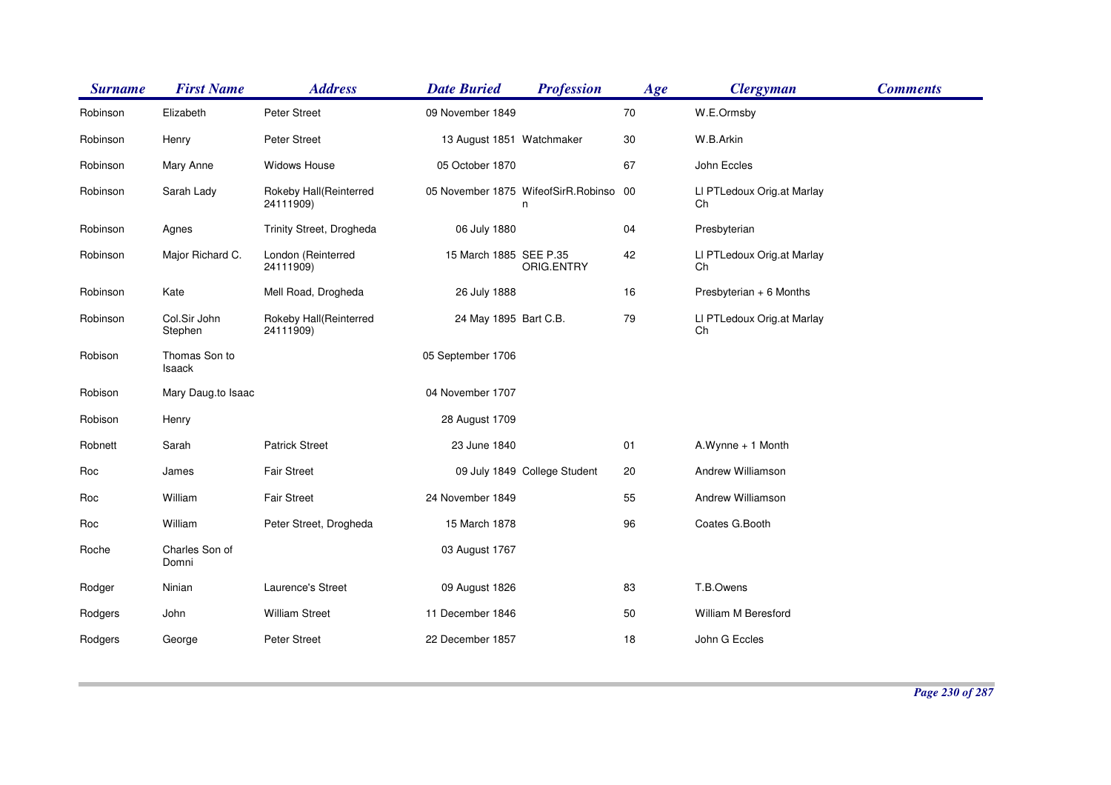| <b>Surname</b> | <b>First Name</b>       | <b>Address</b>                      | <b>Date Buried</b>        | <b>Profession</b>                           | Age | <b>Clergyman</b>                 | <b>Comments</b> |
|----------------|-------------------------|-------------------------------------|---------------------------|---------------------------------------------|-----|----------------------------------|-----------------|
| Robinson       | Elizabeth               | Peter Street                        | 09 November 1849          |                                             | 70  | W.E.Ormsby                       |                 |
| Robinson       | Henry                   | Peter Street                        | 13 August 1851 Watchmaker |                                             | 30  | W.B.Arkin                        |                 |
| Robinson       | Mary Anne               | Widows House                        | 05 October 1870           |                                             | 67  | John Eccles                      |                 |
| Robinson       | Sarah Lady              | Rokeby Hall(Reinterred<br>24111909) |                           | 05 November 1875 WifeofSirR.Robinso 00<br>n |     | LI PTLedoux Orig.at Marlay<br>Ch |                 |
| Robinson       | Agnes                   | Trinity Street, Drogheda            | 06 July 1880              |                                             | 04  | Presbyterian                     |                 |
| Robinson       | Major Richard C.        | London (Reinterred<br>24111909)     | 15 March 1885 SEE P.35    | ORIG.ENTRY                                  | 42  | LI PTLedoux Orig.at Marlay<br>Ch |                 |
| Robinson       | Kate                    | Mell Road, Drogheda                 | 26 July 1888              |                                             | 16  | Presbyterian + 6 Months          |                 |
| Robinson       | Col.Sir John<br>Stephen | Rokeby Hall(Reinterred<br>24111909) | 24 May 1895 Bart C.B.     |                                             | 79  | LI PTLedoux Orig.at Marlay<br>Ch |                 |
| Robison        | Thomas Son to<br>Isaack |                                     | 05 September 1706         |                                             |     |                                  |                 |
| Robison        | Mary Daug.to Isaac      |                                     | 04 November 1707          |                                             |     |                                  |                 |
| Robison        | Henry                   |                                     | 28 August 1709            |                                             |     |                                  |                 |
| Robnett        | Sarah                   | <b>Patrick Street</b>               | 23 June 1840              |                                             | 01  | A.Wynne + 1 Month                |                 |
| Roc            | James                   | <b>Fair Street</b>                  |                           | 09 July 1849 College Student                | 20  | Andrew Williamson                |                 |
| Roc            | William                 | <b>Fair Street</b>                  | 24 November 1849          |                                             | 55  | Andrew Williamson                |                 |
| Roc            | William                 | Peter Street, Drogheda              | 15 March 1878             |                                             | 96  | Coates G.Booth                   |                 |
| Roche          | Charles Son of<br>Domni |                                     | 03 August 1767            |                                             |     |                                  |                 |
| Rodger         | Ninian                  | Laurence's Street                   | 09 August 1826            |                                             | 83  | T.B.Owens                        |                 |
| Rodgers        | John                    | <b>William Street</b>               | 11 December 1846          |                                             | 50  | William M Beresford              |                 |
| Rodgers        | George                  | <b>Peter Street</b>                 | 22 December 1857          |                                             | 18  | John G Eccles                    |                 |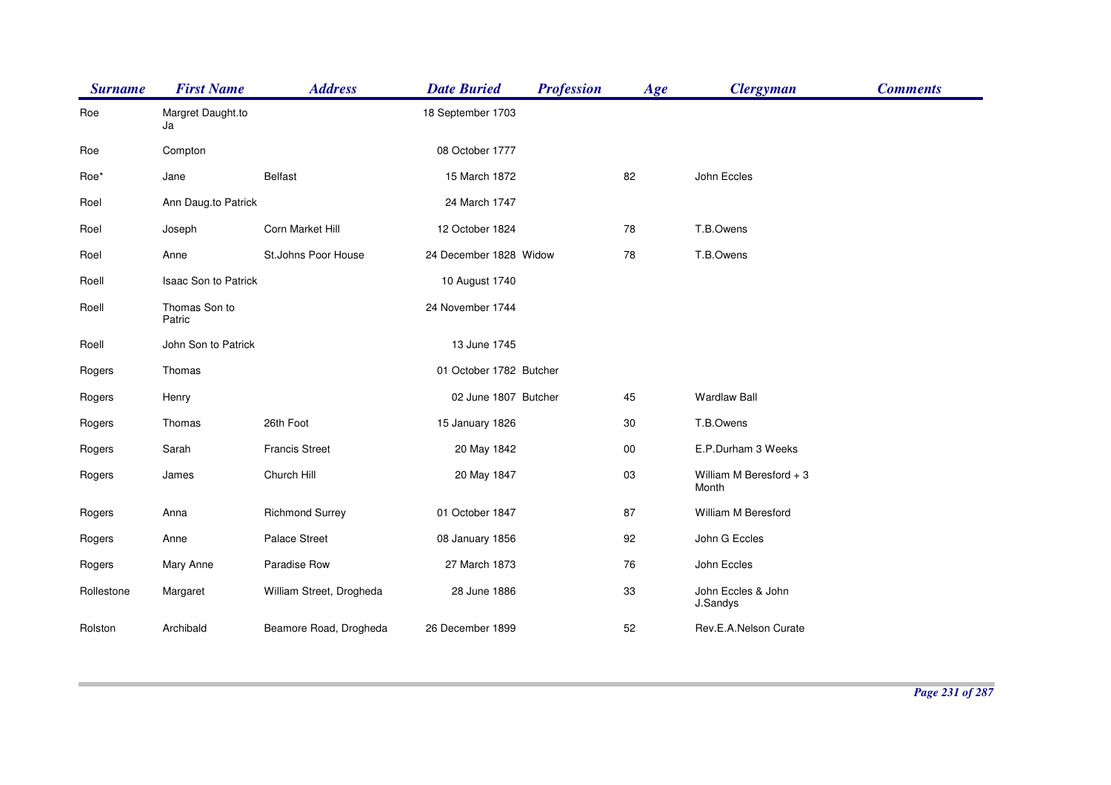| <b>Surname</b> | <b>First Name</b>           | <b>Address</b>           | <b>Date Buried</b>      | <b>Profession</b> | Age    | <b>Clergyman</b>                 | <b>Comments</b> |
|----------------|-----------------------------|--------------------------|-------------------------|-------------------|--------|----------------------------------|-----------------|
| Roe            | Margret Daught.to<br>Ja     |                          | 18 September 1703       |                   |        |                                  |                 |
| Roe            | Compton                     |                          | 08 October 1777         |                   |        |                                  |                 |
| Roe*           | Jane                        | <b>Belfast</b>           | 15 March 1872           |                   | 82     | John Eccles                      |                 |
| Roel           | Ann Daug.to Patrick         |                          | 24 March 1747           |                   |        |                                  |                 |
| Roel           | Joseph                      | Corn Market Hill         | 12 October 1824         |                   | 78     | T.B.Owens                        |                 |
| Roel           | Anne                        | St.Johns Poor House      | 24 December 1828 Widow  |                   | 78     | T.B.Owens                        |                 |
| Roell          | <b>Isaac Son to Patrick</b> |                          | 10 August 1740          |                   |        |                                  |                 |
| Roell          | Thomas Son to<br>Patric     |                          | 24 November 1744        |                   |        |                                  |                 |
| Roell          | John Son to Patrick         |                          | 13 June 1745            |                   |        |                                  |                 |
| Rogers         | Thomas                      |                          | 01 October 1782 Butcher |                   |        |                                  |                 |
| Rogers         | Henry                       |                          | 02 June 1807 Butcher    |                   | 45     | <b>Wardlaw Ball</b>              |                 |
| Rogers         | Thomas                      | 26th Foot                | 15 January 1826         |                   | 30     | T.B.Owens                        |                 |
| Rogers         | Sarah                       | <b>Francis Street</b>    | 20 May 1842             |                   | $00\,$ | E.P.Durham 3 Weeks               |                 |
| Rogers         | James                       | Church Hill              | 20 May 1847             |                   | 03     | William M Beresford + 3<br>Month |                 |
| Rogers         | Anna                        | <b>Richmond Surrey</b>   | 01 October 1847         |                   | 87     | William M Beresford              |                 |
| Rogers         | Anne                        | Palace Street            | 08 January 1856         |                   | 92     | John G Eccles                    |                 |
| Rogers         | Mary Anne                   | Paradise Row             | 27 March 1873           |                   | 76     | John Eccles                      |                 |
| Rollestone     | Margaret                    | William Street, Drogheda | 28 June 1886            |                   | 33     | John Eccles & John<br>J.Sandys   |                 |
| Rolston        | Archibald                   | Beamore Road, Drogheda   | 26 December 1899        |                   | 52     | Rev.E.A.Nelson Curate            |                 |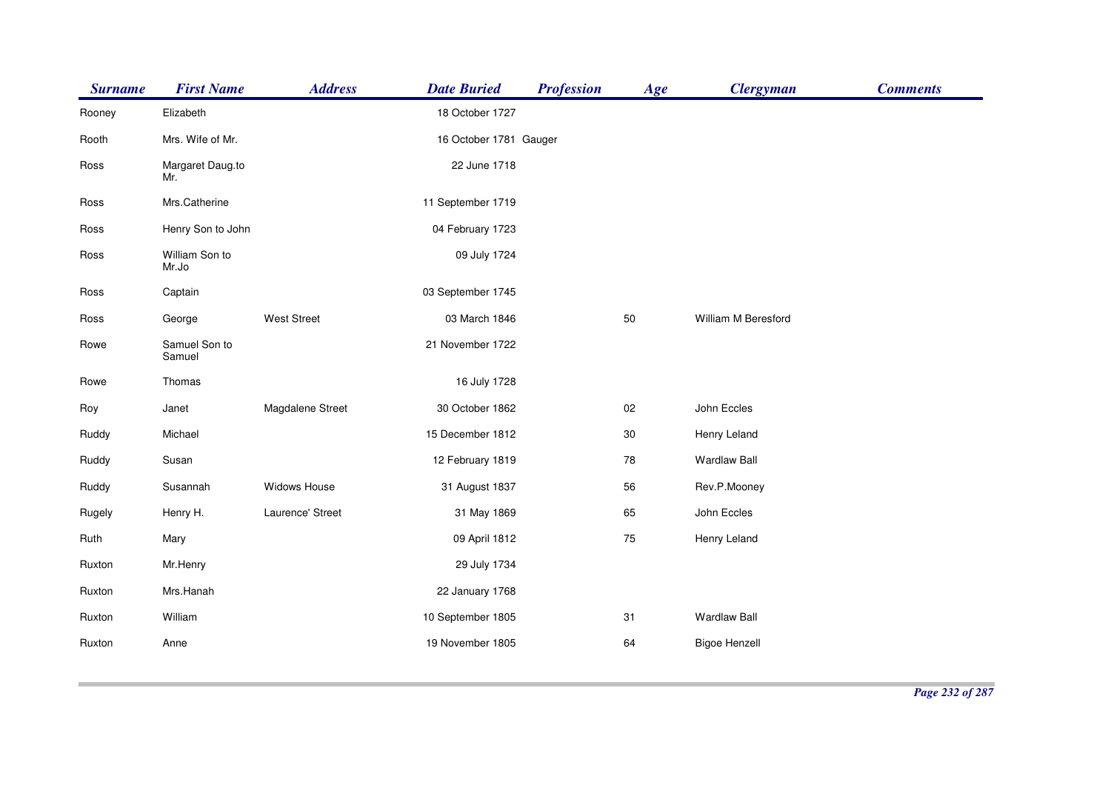| <b>Surname</b> | <b>First Name</b>       | <b>Address</b>     | <b>Date Buried</b>     | <b>Profession</b> | Age    | <b>Clergyman</b>     | <b>Comments</b> |
|----------------|-------------------------|--------------------|------------------------|-------------------|--------|----------------------|-----------------|
| Rooney         | Elizabeth               |                    | 18 October 1727        |                   |        |                      |                 |
| Rooth          | Mrs. Wife of Mr.        |                    | 16 October 1781 Gauger |                   |        |                      |                 |
| Ross           | Margaret Daug.to<br>Mr. |                    | 22 June 1718           |                   |        |                      |                 |
| Ross           | Mrs.Catherine           |                    | 11 September 1719      |                   |        |                      |                 |
| Ross           | Henry Son to John       |                    | 04 February 1723       |                   |        |                      |                 |
| Ross           | William Son to<br>Mr.Jo |                    | 09 July 1724           |                   |        |                      |                 |
| Ross           | Captain                 |                    | 03 September 1745      |                   |        |                      |                 |
| Ross           | George                  | <b>West Street</b> | 03 March 1846          |                   | 50     | William M Beresford  |                 |
| Rowe           | Samuel Son to<br>Samuel |                    | 21 November 1722       |                   |        |                      |                 |
| Rowe           | Thomas                  |                    | 16 July 1728           |                   |        |                      |                 |
| Roy            | Janet                   | Magdalene Street   | 30 October 1862        |                   | $02\,$ | John Eccles          |                 |
| Ruddy          | Michael                 |                    | 15 December 1812       |                   | 30     | Henry Leland         |                 |
| Ruddy          | Susan                   |                    | 12 February 1819       |                   | 78     | <b>Wardlaw Ball</b>  |                 |
| Ruddy          | Susannah                | Widows House       | 31 August 1837         |                   | 56     | Rev.P.Mooney         |                 |
| Rugely         | Henry H.                | Laurence' Street   | 31 May 1869            |                   | 65     | John Eccles          |                 |
| Ruth           | Mary                    |                    | 09 April 1812          |                   | 75     | Henry Leland         |                 |
| Ruxton         | Mr.Henry                |                    | 29 July 1734           |                   |        |                      |                 |
| Ruxton         | Mrs.Hanah               |                    | 22 January 1768        |                   |        |                      |                 |
| Ruxton         | William                 |                    | 10 September 1805      |                   | 31     | <b>Wardlaw Ball</b>  |                 |
| Ruxton         | Anne                    |                    | 19 November 1805       |                   | 64     | <b>Bigoe Henzell</b> |                 |
|                |                         |                    |                        |                   |        |                      |                 |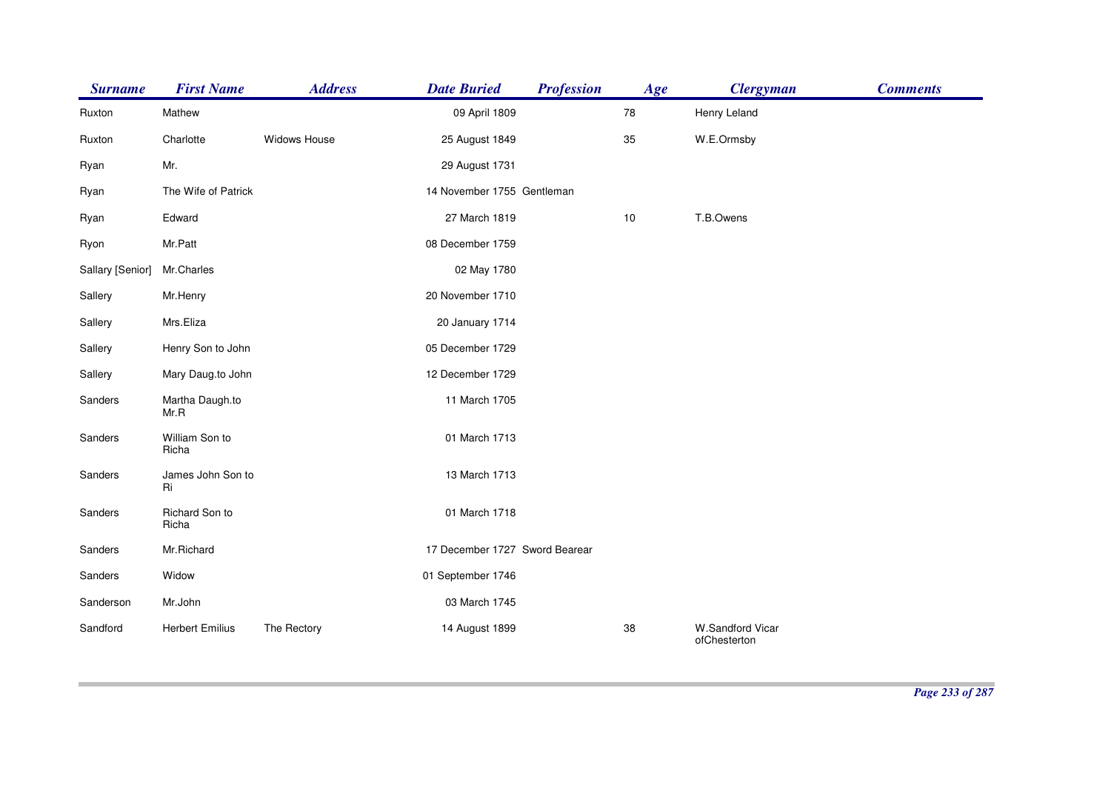| <b>Surname</b>   | <b>First Name</b>       | <b>Address</b> | <b>Date Buried</b>             | <b>Profession</b> | Age  | <b>Clergyman</b>                 | <b>Comments</b> |
|------------------|-------------------------|----------------|--------------------------------|-------------------|------|----------------------------------|-----------------|
| Ruxton           | Mathew                  |                | 09 April 1809                  |                   | 78   | Henry Leland                     |                 |
| Ruxton           | Charlotte               | Widows House   | 25 August 1849                 |                   | 35   | W.E.Ormsby                       |                 |
| Ryan             | Mr.                     |                | 29 August 1731                 |                   |      |                                  |                 |
| Ryan             | The Wife of Patrick     |                | 14 November 1755 Gentleman     |                   |      |                                  |                 |
| Ryan             | Edward                  |                | 27 March 1819                  |                   | $10$ | T.B.Owens                        |                 |
| Ryon             | Mr.Patt                 |                | 08 December 1759               |                   |      |                                  |                 |
| Sallary [Senior] | Mr.Charles              |                | 02 May 1780                    |                   |      |                                  |                 |
| Sallery          | Mr.Henry                |                | 20 November 1710               |                   |      |                                  |                 |
| Sallery          | Mrs.Eliza               |                | 20 January 1714                |                   |      |                                  |                 |
| Sallery          | Henry Son to John       |                | 05 December 1729               |                   |      |                                  |                 |
| Sallery          | Mary Daug.to John       |                | 12 December 1729               |                   |      |                                  |                 |
| Sanders          | Martha Daugh.to<br>Mr.R |                | 11 March 1705                  |                   |      |                                  |                 |
| Sanders          | William Son to<br>Richa |                | 01 March 1713                  |                   |      |                                  |                 |
| Sanders          | James John Son to<br>Ri |                | 13 March 1713                  |                   |      |                                  |                 |
| Sanders          | Richard Son to<br>Richa |                | 01 March 1718                  |                   |      |                                  |                 |
| Sanders          | Mr.Richard              |                | 17 December 1727 Sword Bearear |                   |      |                                  |                 |
| Sanders          | Widow                   |                | 01 September 1746              |                   |      |                                  |                 |
| Sanderson        | Mr.John                 |                | 03 March 1745                  |                   |      |                                  |                 |
| Sandford         | <b>Herbert Emilius</b>  | The Rectory    | 14 August 1899                 |                   | 38   | W.Sandford Vicar<br>ofChesterton |                 |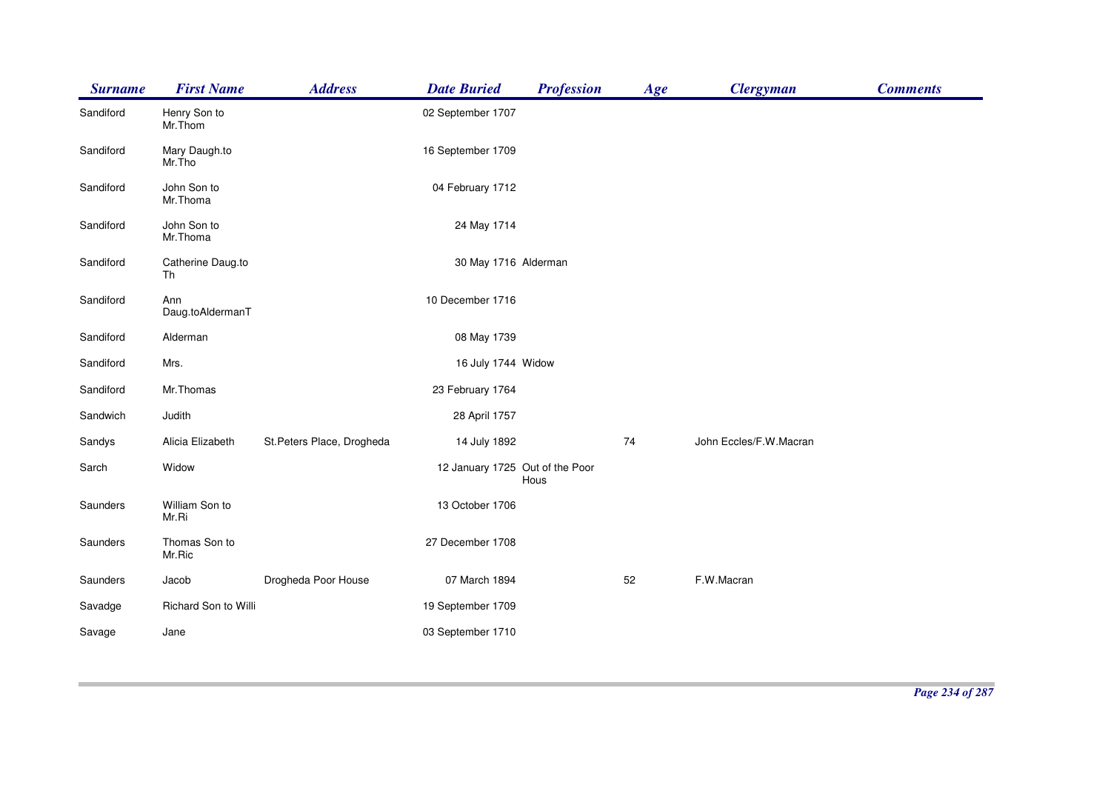| <b>Surname</b> | <b>First Name</b>       | <b>Address</b>             | <b>Date Buried</b>              | <b>Profession</b> | Age | <b>Clergyman</b>       | <b>Comments</b> |
|----------------|-------------------------|----------------------------|---------------------------------|-------------------|-----|------------------------|-----------------|
| Sandiford      | Henry Son to<br>Mr.Thom |                            | 02 September 1707               |                   |     |                        |                 |
| Sandiford      | Mary Daugh.to<br>Mr.Tho |                            | 16 September 1709               |                   |     |                        |                 |
| Sandiford      | John Son to<br>Mr.Thoma |                            | 04 February 1712                |                   |     |                        |                 |
| Sandiford      | John Son to<br>Mr.Thoma |                            | 24 May 1714                     |                   |     |                        |                 |
| Sandiford      | Catherine Daug.to<br>Th |                            | 30 May 1716 Alderman            |                   |     |                        |                 |
| Sandiford      | Ann<br>Daug.toAldermanT |                            | 10 December 1716                |                   |     |                        |                 |
| Sandiford      | Alderman                |                            | 08 May 1739                     |                   |     |                        |                 |
| Sandiford      | Mrs.                    |                            | 16 July 1744 Widow              |                   |     |                        |                 |
| Sandiford      | Mr.Thomas               |                            | 23 February 1764                |                   |     |                        |                 |
| Sandwich       | Judith                  |                            | 28 April 1757                   |                   |     |                        |                 |
| Sandys         | Alicia Elizabeth        | St. Peters Place, Drogheda | 14 July 1892                    |                   | 74  | John Eccles/F.W.Macran |                 |
| Sarch          | Widow                   |                            | 12 January 1725 Out of the Poor | Hous              |     |                        |                 |
| Saunders       | William Son to<br>Mr.Ri |                            | 13 October 1706                 |                   |     |                        |                 |
| Saunders       | Thomas Son to<br>Mr.Ric |                            | 27 December 1708                |                   |     |                        |                 |
| Saunders       | Jacob                   | Drogheda Poor House        | 07 March 1894                   |                   | 52  | F.W.Macran             |                 |
| Savadge        | Richard Son to Willi    |                            | 19 September 1709               |                   |     |                        |                 |
| Savage         | Jane                    |                            | 03 September 1710               |                   |     |                        |                 |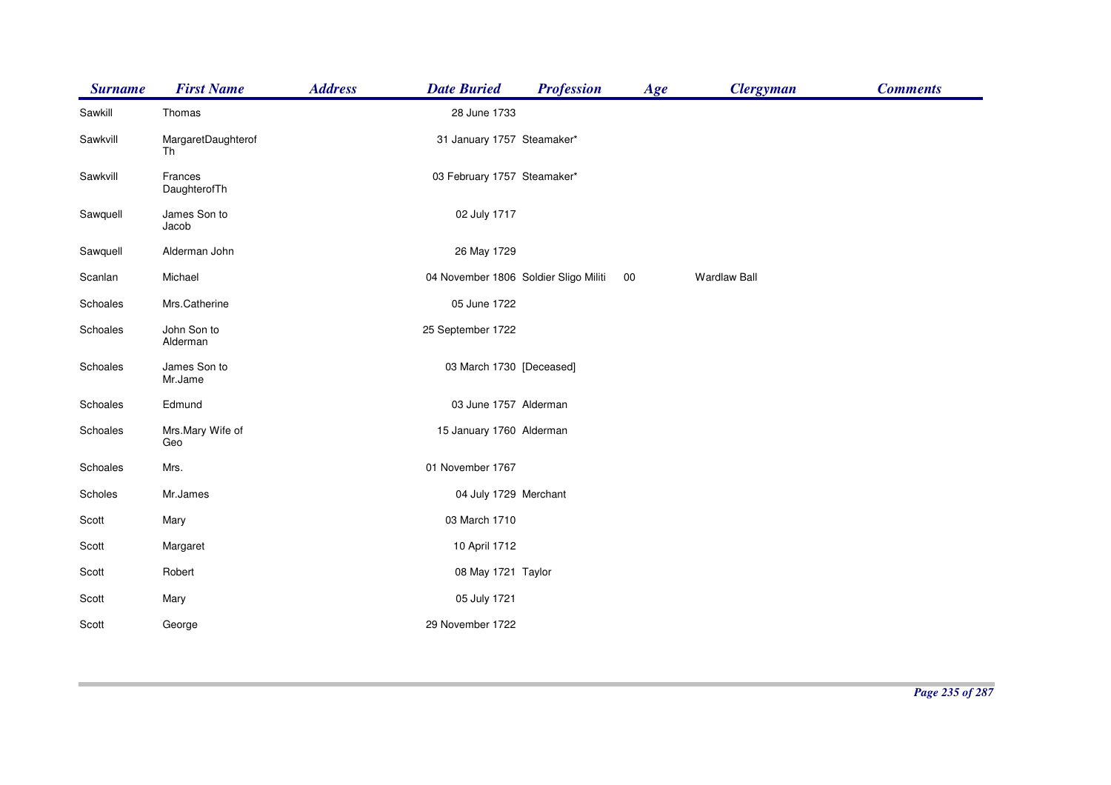| <b>Surname</b> | <b>First Name</b>        | <b>Address</b> | <b>Date Buried</b>                    | <b>Profession</b> | Age    | <b>Clergyman</b>    | <b>Comments</b> |
|----------------|--------------------------|----------------|---------------------------------------|-------------------|--------|---------------------|-----------------|
| Sawkill        | Thomas                   |                | 28 June 1733                          |                   |        |                     |                 |
| Sawkvill       | MargaretDaughterof<br>Th |                | 31 January 1757 Steamaker*            |                   |        |                     |                 |
| Sawkvill       | Frances<br>DaughterofTh  |                | 03 February 1757 Steamaker*           |                   |        |                     |                 |
| Sawquell       | James Son to<br>Jacob    |                | 02 July 1717                          |                   |        |                     |                 |
| Sawquell       | Alderman John            |                | 26 May 1729                           |                   |        |                     |                 |
| Scanlan        | Michael                  |                | 04 November 1806 Soldier Sligo Militi |                   | $00\,$ | <b>Wardlaw Ball</b> |                 |
| Schoales       | Mrs.Catherine            |                | 05 June 1722                          |                   |        |                     |                 |
| Schoales       | John Son to<br>Alderman  |                | 25 September 1722                     |                   |        |                     |                 |
| Schoales       | James Son to<br>Mr.Jame  |                | 03 March 1730 [Deceased]              |                   |        |                     |                 |
| Schoales       | Edmund                   |                | 03 June 1757 Alderman                 |                   |        |                     |                 |
| Schoales       | Mrs.Mary Wife of<br>Geo  |                | 15 January 1760 Alderman              |                   |        |                     |                 |
| Schoales       | Mrs.                     |                | 01 November 1767                      |                   |        |                     |                 |
| Scholes        | Mr.James                 |                | 04 July 1729 Merchant                 |                   |        |                     |                 |
| Scott          | Mary                     |                | 03 March 1710                         |                   |        |                     |                 |
| Scott          | Margaret                 |                | 10 April 1712                         |                   |        |                     |                 |
| Scott          | Robert                   |                | 08 May 1721 Taylor                    |                   |        |                     |                 |
| Scott          | Mary                     |                | 05 July 1721                          |                   |        |                     |                 |
| Scott          | George                   |                | 29 November 1722                      |                   |        |                     |                 |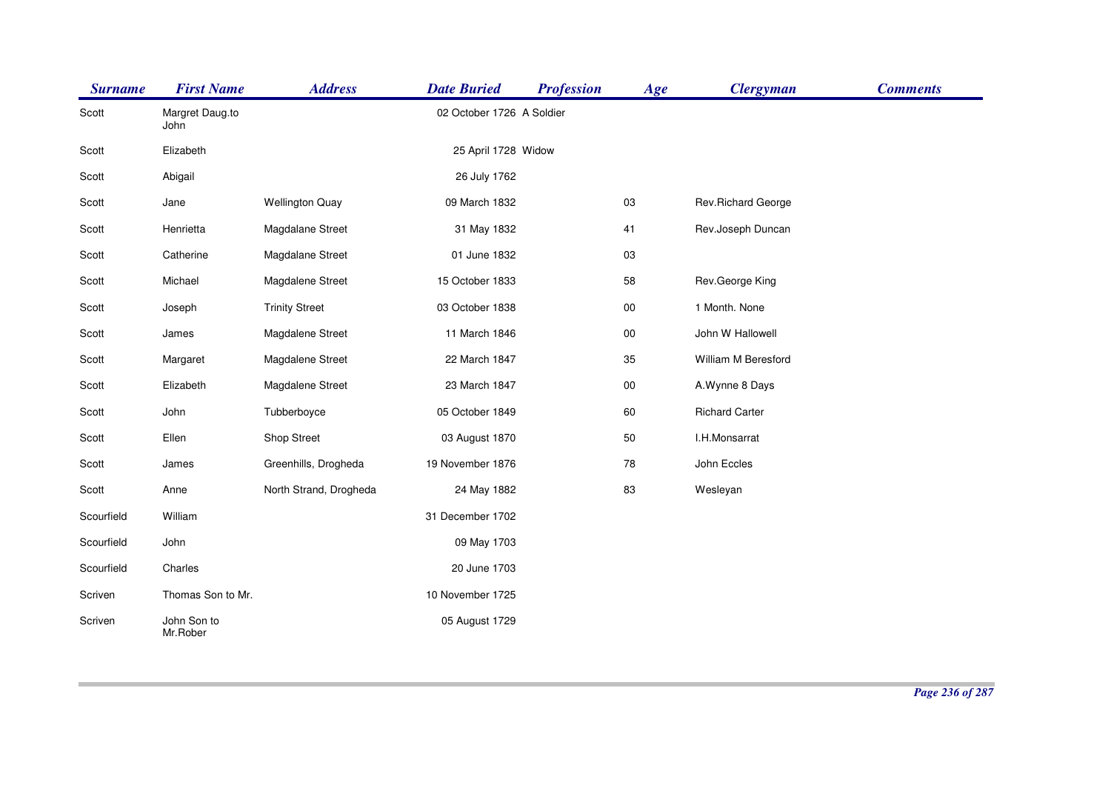| <b>Surname</b> | <b>First Name</b>       | <b>Address</b>         | <b>Date Buried</b>        | <b>Profession</b> | Age    | <b>Clergyman</b>      | <b>Comments</b> |
|----------------|-------------------------|------------------------|---------------------------|-------------------|--------|-----------------------|-----------------|
| Scott          | Margret Daug.to<br>John |                        | 02 October 1726 A Soldier |                   |        |                       |                 |
| Scott          | Elizabeth               |                        | 25 April 1728 Widow       |                   |        |                       |                 |
| Scott          | Abigail                 |                        | 26 July 1762              |                   |        |                       |                 |
| Scott          | Jane                    | <b>Wellington Quay</b> | 09 March 1832             |                   | 03     | Rev.Richard George    |                 |
| Scott          | Henrietta               | Magdalane Street       | 31 May 1832               |                   | 41     | Rev.Joseph Duncan     |                 |
| Scott          | Catherine               | Magdalane Street       | 01 June 1832              |                   | 03     |                       |                 |
| Scott          | Michael                 | Magdalene Street       | 15 October 1833           |                   | 58     | Rev.George King       |                 |
| Scott          | Joseph                  | <b>Trinity Street</b>  | 03 October 1838           |                   | 00     | 1 Month. None         |                 |
| Scott          | James                   | Magdalene Street       | 11 March 1846             |                   | $00\,$ | John W Hallowell      |                 |
| Scott          | Margaret                | Magdalene Street       | 22 March 1847             |                   | 35     | William M Beresford   |                 |
| Scott          | Elizabeth               | Magdalene Street       | 23 March 1847             |                   | $00\,$ | A.Wynne 8 Days        |                 |
| Scott          | John                    | Tubberboyce            | 05 October 1849           |                   | 60     | <b>Richard Carter</b> |                 |
| Scott          | Ellen                   | Shop Street            | 03 August 1870            |                   | 50     | I.H.Monsarrat         |                 |
| Scott          | James                   | Greenhills, Drogheda   | 19 November 1876          |                   | 78     | John Eccles           |                 |
| Scott          | Anne                    | North Strand, Drogheda | 24 May 1882               |                   | 83     | Wesleyan              |                 |
| Scourfield     | William                 |                        | 31 December 1702          |                   |        |                       |                 |
| Scourfield     | John                    |                        | 09 May 1703               |                   |        |                       |                 |
| Scourfield     | Charles                 |                        | 20 June 1703              |                   |        |                       |                 |
| Scriven        | Thomas Son to Mr.       |                        | 10 November 1725          |                   |        |                       |                 |
| Scriven        | John Son to<br>Mr.Rober |                        | 05 August 1729            |                   |        |                       |                 |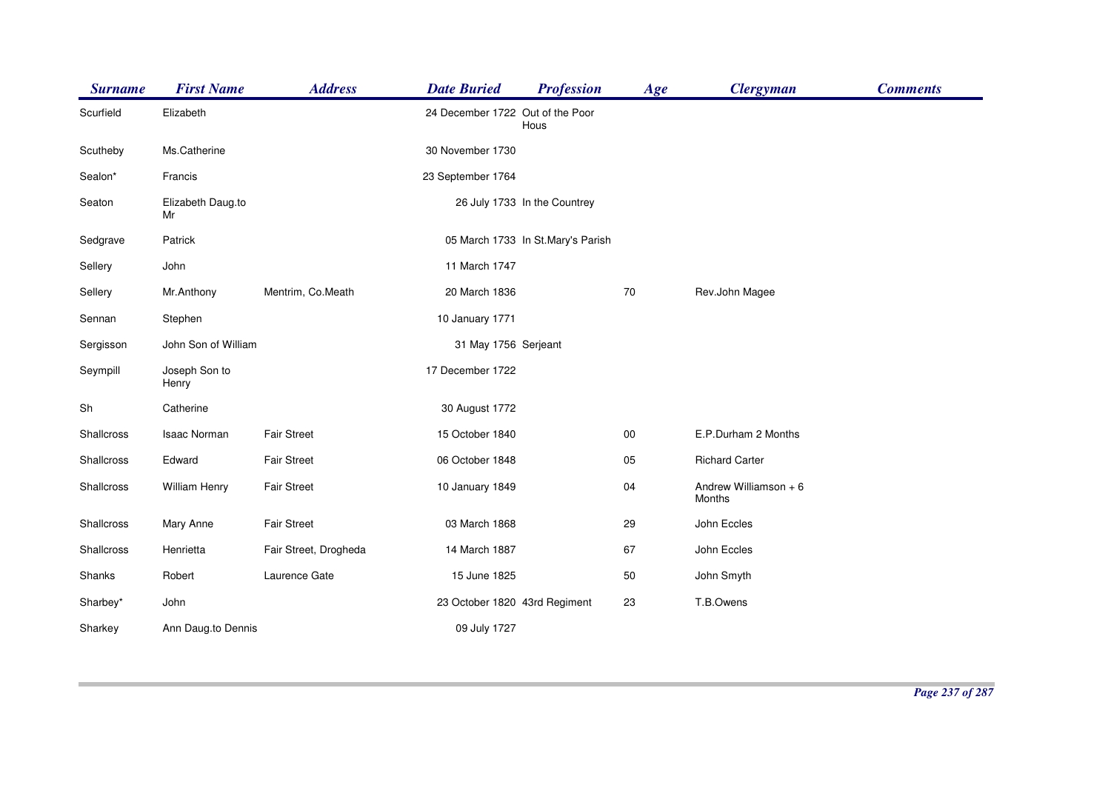| <b>Surname</b> | <b>First Name</b>       | <b>Address</b>        | <b>Date Buried</b>               | <b>Profession</b>                 | Age    | <b>Clergyman</b>                | <b>Comments</b> |
|----------------|-------------------------|-----------------------|----------------------------------|-----------------------------------|--------|---------------------------------|-----------------|
| Scurfield      | Elizabeth               |                       | 24 December 1722 Out of the Poor | Hous                              |        |                                 |                 |
| Scutheby       | Ms.Catherine            |                       | 30 November 1730                 |                                   |        |                                 |                 |
| Sealon*        | Francis                 |                       | 23 September 1764                |                                   |        |                                 |                 |
| Seaton         | Elizabeth Daug.to<br>Mr |                       |                                  | 26 July 1733 In the Countrey      |        |                                 |                 |
| Sedgrave       | Patrick                 |                       |                                  | 05 March 1733 In St.Mary's Parish |        |                                 |                 |
| Sellery        | John                    |                       | 11 March 1747                    |                                   |        |                                 |                 |
| Sellery        | Mr.Anthony              | Mentrim, Co.Meath     | 20 March 1836                    |                                   | $70\,$ | Rev.John Magee                  |                 |
| Sennan         | Stephen                 |                       | 10 January 1771                  |                                   |        |                                 |                 |
| Sergisson      | John Son of William     |                       | 31 May 1756 Serjeant             |                                   |        |                                 |                 |
| Seympill       | Joseph Son to<br>Henry  |                       | 17 December 1722                 |                                   |        |                                 |                 |
| Sh             | Catherine               |                       | 30 August 1772                   |                                   |        |                                 |                 |
| Shallcross     | <b>Isaac Norman</b>     | <b>Fair Street</b>    | 15 October 1840                  |                                   | $00\,$ | E.P.Durham 2 Months             |                 |
| Shallcross     | Edward                  | <b>Fair Street</b>    | 06 October 1848                  |                                   | 05     | <b>Richard Carter</b>           |                 |
| Shallcross     | William Henry           | <b>Fair Street</b>    | 10 January 1849                  |                                   | 04     | Andrew Williamson + 6<br>Months |                 |
| Shallcross     | Mary Anne               | <b>Fair Street</b>    | 03 March 1868                    |                                   | 29     | John Eccles                     |                 |
| Shallcross     | Henrietta               | Fair Street, Drogheda | 14 March 1887                    |                                   | 67     | John Eccles                     |                 |
| Shanks         | Robert                  | Laurence Gate         | 15 June 1825                     |                                   | 50     | John Smyth                      |                 |
| Sharbey*       | John                    |                       | 23 October 1820 43rd Regiment    |                                   | 23     | T.B.Owens                       |                 |
| Sharkey        | Ann Daug.to Dennis      |                       | 09 July 1727                     |                                   |        |                                 |                 |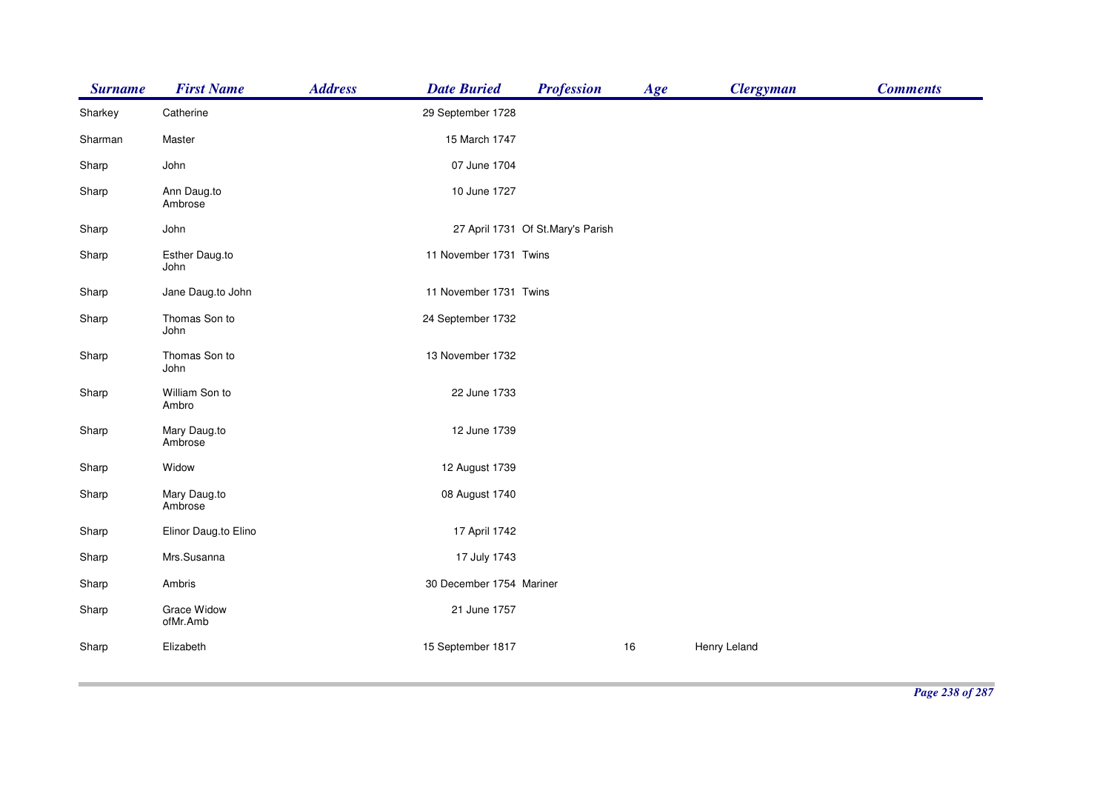| <b>Surname</b> | <b>First Name</b>       | <b>Address</b> | <b>Date Buried</b>       | <b>Profession</b>                 | Age | <b>Clergyman</b> | <b>Comments</b> |
|----------------|-------------------------|----------------|--------------------------|-----------------------------------|-----|------------------|-----------------|
| Sharkey        | Catherine               |                | 29 September 1728        |                                   |     |                  |                 |
| Sharman        | Master                  |                | 15 March 1747            |                                   |     |                  |                 |
| Sharp          | John                    |                | 07 June 1704             |                                   |     |                  |                 |
| Sharp          | Ann Daug.to<br>Ambrose  |                | 10 June 1727             |                                   |     |                  |                 |
| Sharp          | John                    |                |                          | 27 April 1731 Of St.Mary's Parish |     |                  |                 |
| Sharp          | Esther Daug.to<br>John  |                | 11 November 1731 Twins   |                                   |     |                  |                 |
| Sharp          | Jane Daug.to John       |                | 11 November 1731 Twins   |                                   |     |                  |                 |
| Sharp          | Thomas Son to<br>John   |                | 24 September 1732        |                                   |     |                  |                 |
| Sharp          | Thomas Son to<br>John   |                | 13 November 1732         |                                   |     |                  |                 |
| Sharp          | William Son to<br>Ambro |                | 22 June 1733             |                                   |     |                  |                 |
| Sharp          | Mary Daug.to<br>Ambrose |                | 12 June 1739             |                                   |     |                  |                 |
| Sharp          | Widow                   |                | 12 August 1739           |                                   |     |                  |                 |
| Sharp          | Mary Daug.to<br>Ambrose |                | 08 August 1740           |                                   |     |                  |                 |
| Sharp          | Elinor Daug.to Elino    |                | 17 April 1742            |                                   |     |                  |                 |
| Sharp          | Mrs.Susanna             |                | 17 July 1743             |                                   |     |                  |                 |
| Sharp          | Ambris                  |                | 30 December 1754 Mariner |                                   |     |                  |                 |
| Sharp          | Grace Widow<br>ofMr.Amb |                | 21 June 1757             |                                   |     |                  |                 |
| Sharp          | Elizabeth               |                | 15 September 1817        |                                   | 16  | Henry Leland     |                 |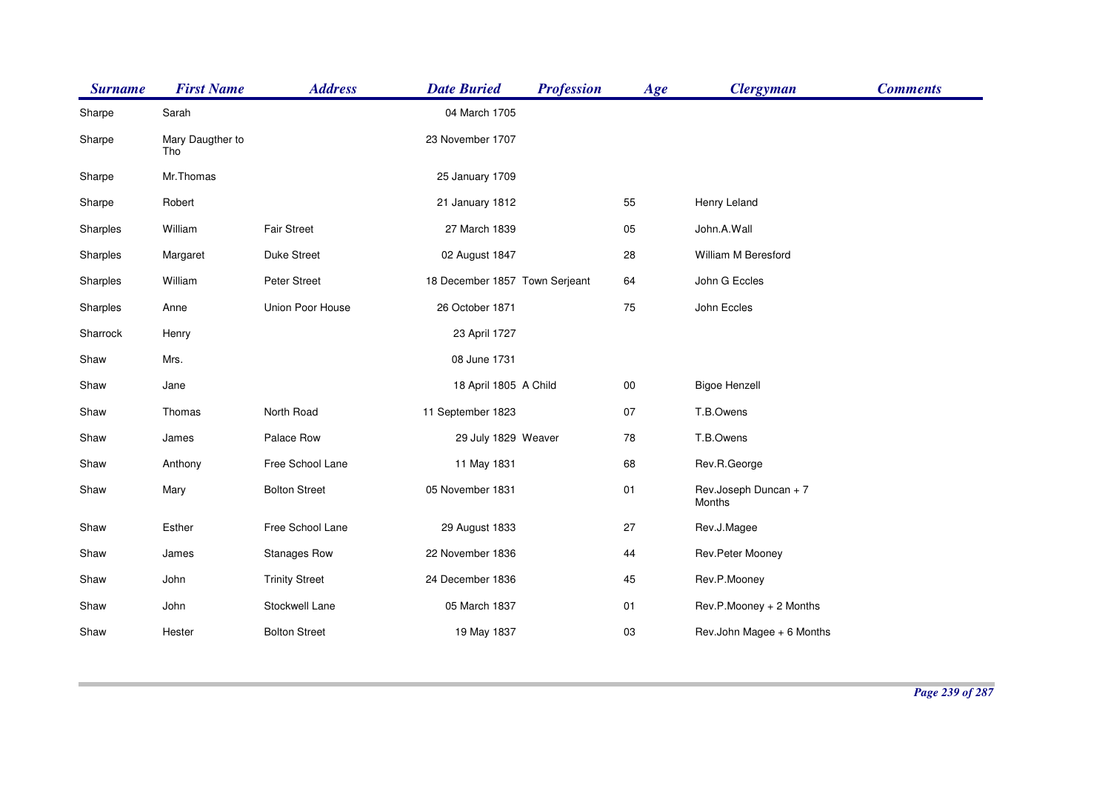| <b>Surname</b> | <b>First Name</b>       | <b>Address</b>        | <b>Date Buried</b>             | <b>Profession</b> | Age    | <b>Clergyman</b>                | <b>Comments</b> |
|----------------|-------------------------|-----------------------|--------------------------------|-------------------|--------|---------------------------------|-----------------|
| Sharpe         | Sarah                   |                       | 04 March 1705                  |                   |        |                                 |                 |
| Sharpe         | Mary Daugther to<br>Tho |                       | 23 November 1707               |                   |        |                                 |                 |
| Sharpe         | Mr.Thomas               |                       | 25 January 1709                |                   |        |                                 |                 |
| Sharpe         | Robert                  |                       | 21 January 1812                |                   | 55     | Henry Leland                    |                 |
| Sharples       | William                 | <b>Fair Street</b>    | 27 March 1839                  |                   | 05     | John.A.Wall                     |                 |
| Sharples       | Margaret                | <b>Duke Street</b>    | 02 August 1847                 |                   | 28     | <b>William M Beresford</b>      |                 |
| Sharples       | William                 | Peter Street          | 18 December 1857 Town Serjeant |                   | 64     | John G Eccles                   |                 |
| Sharples       | Anne                    | Union Poor House      | 26 October 1871                |                   | 75     | John Eccles                     |                 |
| Sharrock       | Henry                   |                       | 23 April 1727                  |                   |        |                                 |                 |
| Shaw           | Mrs.                    |                       | 08 June 1731                   |                   |        |                                 |                 |
| Shaw           | Jane                    |                       | 18 April 1805 A Child          |                   | $00\,$ | <b>Bigoe Henzell</b>            |                 |
| Shaw           | Thomas                  | North Road            | 11 September 1823              |                   | 07     | T.B.Owens                       |                 |
| Shaw           | James                   | Palace Row            | 29 July 1829 Weaver            |                   | 78     | T.B.Owens                       |                 |
| Shaw           | Anthony                 | Free School Lane      | 11 May 1831                    |                   | 68     | Rev.R.George                    |                 |
| Shaw           | Mary                    | <b>Bolton Street</b>  | 05 November 1831               |                   | 01     | Rev.Joseph Duncan + 7<br>Months |                 |
| Shaw           | Esther                  | Free School Lane      | 29 August 1833                 |                   | 27     | Rev.J.Magee                     |                 |
| Shaw           | James                   | <b>Stanages Row</b>   | 22 November 1836               |                   | 44     | Rev.Peter Mooney                |                 |
| Shaw           | John                    | <b>Trinity Street</b> | 24 December 1836               |                   | 45     | Rev.P.Mooney                    |                 |
| Shaw           | John                    | Stockwell Lane        | 05 March 1837                  |                   | 01     | Rev.P.Mooney + 2 Months         |                 |
| Shaw           | Hester                  | <b>Bolton Street</b>  | 19 May 1837                    |                   | 03     | Rev.John Magee + 6 Months       |                 |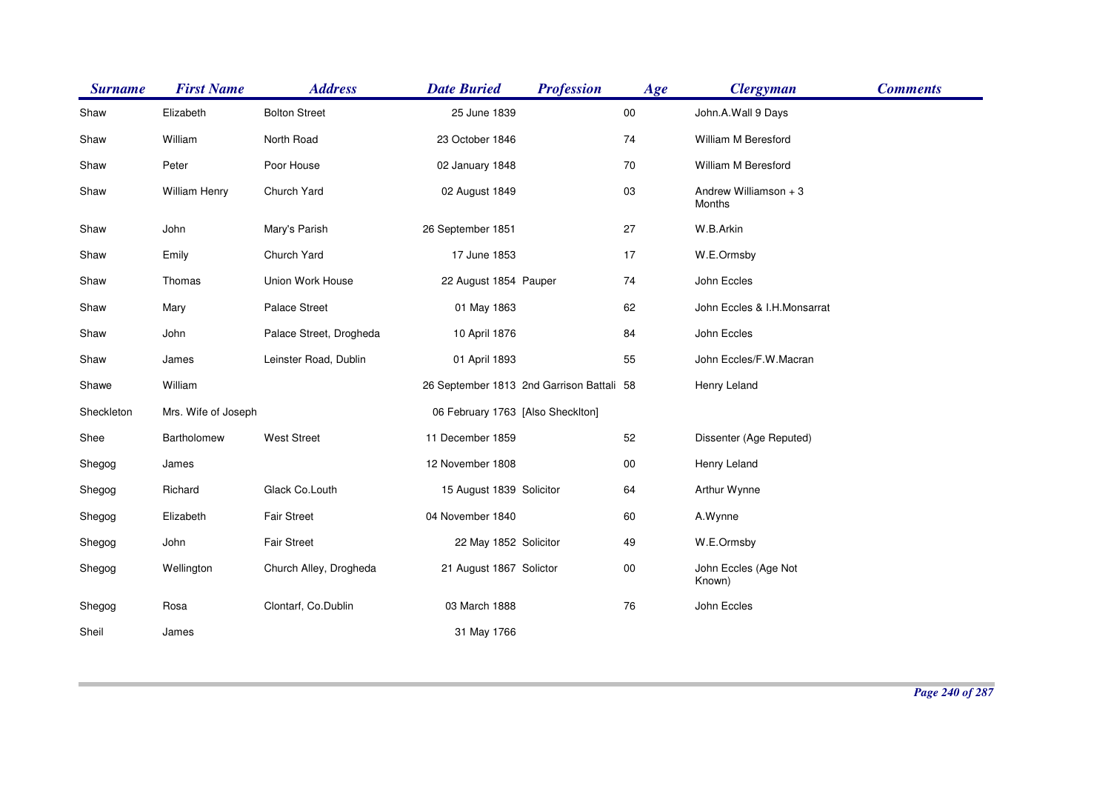| <b>Surname</b> | <b>First Name</b>   | <b>Address</b>          | <b>Date Buried</b>                        | <b>Profession</b> | Age        | <b>Clergyman</b>                | <b>Comments</b> |
|----------------|---------------------|-------------------------|-------------------------------------------|-------------------|------------|---------------------------------|-----------------|
| Shaw           | Elizabeth           | <b>Bolton Street</b>    | 25 June 1839                              |                   | $00\,$     | John.A.Wall 9 Days              |                 |
| Shaw           | William             | North Road              | 23 October 1846                           |                   | 74         | William M Beresford             |                 |
| Shaw           | Peter               | Poor House              | 02 January 1848                           |                   | 70         | William M Beresford             |                 |
| Shaw           | William Henry       | Church Yard             | 02 August 1849                            |                   | 03         | Andrew Williamson + 3<br>Months |                 |
| Shaw           | John                | Mary's Parish           | 26 September 1851                         |                   | 27         | W.B.Arkin                       |                 |
| Shaw           | Emily               | Church Yard             | 17 June 1853                              |                   | 17         | W.E.Ormsby                      |                 |
| Shaw           | Thomas              | Union Work House        | 22 August 1854 Pauper                     |                   | 74         | John Eccles                     |                 |
| Shaw           | Mary                | <b>Palace Street</b>    | 01 May 1863                               |                   | 62         | John Eccles & I.H.Monsarrat     |                 |
| Shaw           | John                | Palace Street, Drogheda | 10 April 1876                             |                   | 84         | John Eccles                     |                 |
| Shaw           | James               | Leinster Road, Dublin   | 01 April 1893                             |                   | 55         | John Eccles/F.W.Macran          |                 |
| Shawe          | William             |                         | 26 September 1813 2nd Garrison Battali 58 |                   |            | Henry Leland                    |                 |
| Sheckleton     | Mrs. Wife of Joseph |                         | 06 February 1763 [Also Shecklton]         |                   |            |                                 |                 |
| Shee           | Bartholomew         | <b>West Street</b>      | 11 December 1859                          |                   | 52         | Dissenter (Age Reputed)         |                 |
| Shegog         | James               |                         | 12 November 1808                          |                   | 00         | Henry Leland                    |                 |
| Shegog         | Richard             | Glack Co.Louth          | 15 August 1839 Solicitor                  |                   | 64         | Arthur Wynne                    |                 |
| Shegog         | Elizabeth           | <b>Fair Street</b>      | 04 November 1840                          |                   | 60         | A.Wynne                         |                 |
| Shegog         | John                | <b>Fair Street</b>      | 22 May 1852 Solicitor                     |                   | 49         | W.E.Ormsby                      |                 |
| Shegog         | Wellington          | Church Alley, Drogheda  | 21 August 1867 Solictor                   |                   | $00\,$     | John Eccles (Age Not<br>Known)  |                 |
| Shegog         | Rosa                | Clontarf, Co.Dublin     | 03 March 1888                             |                   | ${\bf 76}$ | John Eccles                     |                 |
| Sheil          | James               |                         | 31 May 1766                               |                   |            |                                 |                 |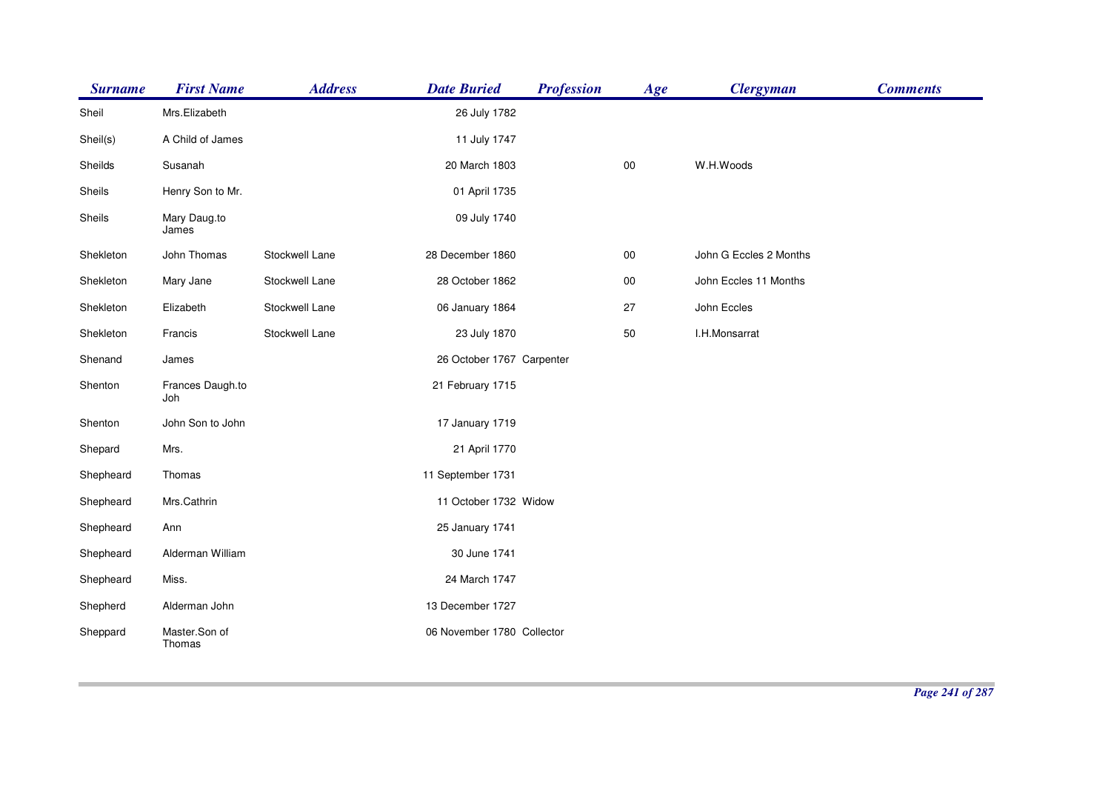| <b>Surname</b> | <b>First Name</b>       | <b>Address</b> | <b>Date Buried</b>         | <b>Profession</b> | Age        | <b>Clergyman</b>       | <b>Comments</b> |
|----------------|-------------------------|----------------|----------------------------|-------------------|------------|------------------------|-----------------|
| Sheil          | Mrs.Elizabeth           |                | 26 July 1782               |                   |            |                        |                 |
| Sheil(s)       | A Child of James        |                | 11 July 1747               |                   |            |                        |                 |
| Sheilds        | Susanah                 |                | 20 March 1803              |                   | $00\,$     | W.H.Woods              |                 |
| Sheils         | Henry Son to Mr.        |                | 01 April 1735              |                   |            |                        |                 |
| Sheils         | Mary Daug.to<br>James   |                | 09 July 1740               |                   |            |                        |                 |
| Shekleton      | John Thomas             | Stockwell Lane | 28 December 1860           |                   | ${\bf 00}$ | John G Eccles 2 Months |                 |
| Shekleton      | Mary Jane               | Stockwell Lane | 28 October 1862            |                   | $00\,$     | John Eccles 11 Months  |                 |
| Shekleton      | Elizabeth               | Stockwell Lane | 06 January 1864            |                   | 27         | John Eccles            |                 |
| Shekleton      | Francis                 | Stockwell Lane | 23 July 1870               |                   | 50         | I.H.Monsarrat          |                 |
| Shenand        | James                   |                | 26 October 1767 Carpenter  |                   |            |                        |                 |
| Shenton        | Frances Daugh.to<br>Joh |                | 21 February 1715           |                   |            |                        |                 |
| Shenton        | John Son to John        |                | 17 January 1719            |                   |            |                        |                 |
| Shepard        | Mrs.                    |                | 21 April 1770              |                   |            |                        |                 |
| Shepheard      | Thomas                  |                | 11 September 1731          |                   |            |                        |                 |
| Shepheard      | Mrs.Cathrin             |                | 11 October 1732 Widow      |                   |            |                        |                 |
| Shepheard      | Ann                     |                | 25 January 1741            |                   |            |                        |                 |
| Shepheard      | Alderman William        |                | 30 June 1741               |                   |            |                        |                 |
| Shepheard      | Miss.                   |                | 24 March 1747              |                   |            |                        |                 |
| Shepherd       | Alderman John           |                | 13 December 1727           |                   |            |                        |                 |
| Sheppard       | Master.Son of<br>Thomas |                | 06 November 1780 Collector |                   |            |                        |                 |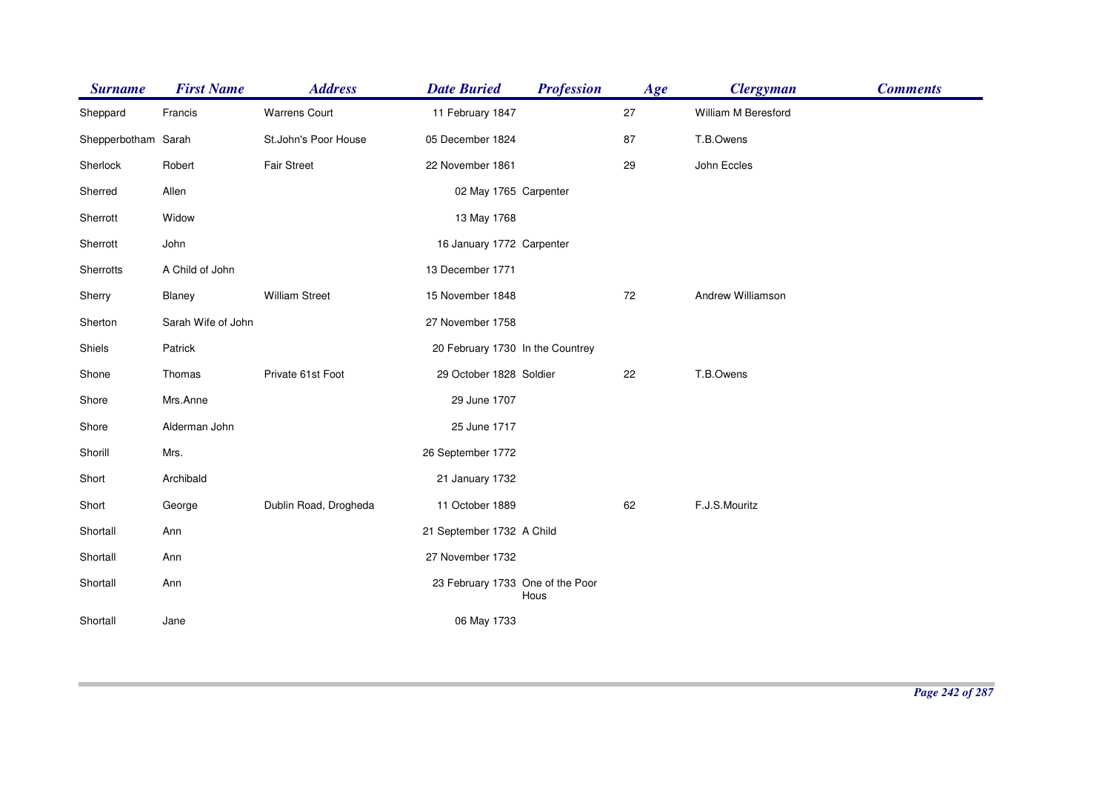| <b>Surname</b>      | <b>First Name</b>  | <b>Address</b>        | <b>Date Buried</b>               | <b>Profession</b> | Age | <b>Clergyman</b>    | <b>Comments</b> |
|---------------------|--------------------|-----------------------|----------------------------------|-------------------|-----|---------------------|-----------------|
| Sheppard            | Francis            | <b>Warrens Court</b>  | 11 February 1847                 |                   | 27  | William M Beresford |                 |
| Shepperbotham Sarah |                    | St.John's Poor House  | 05 December 1824                 |                   | 87  | T.B.Owens           |                 |
| Sherlock            | Robert             | <b>Fair Street</b>    | 22 November 1861                 |                   | 29  | John Eccles         |                 |
| Sherred             | Allen              |                       | 02 May 1765 Carpenter            |                   |     |                     |                 |
| Sherrott            | Widow              |                       | 13 May 1768                      |                   |     |                     |                 |
| Sherrott            | John               |                       | 16 January 1772 Carpenter        |                   |     |                     |                 |
| Sherrotts           | A Child of John    |                       | 13 December 1771                 |                   |     |                     |                 |
| Sherry              | Blaney             | <b>William Street</b> | 15 November 1848                 |                   | 72  | Andrew Williamson   |                 |
| Sherton             | Sarah Wife of John |                       | 27 November 1758                 |                   |     |                     |                 |
| Shiels              | Patrick            |                       | 20 February 1730 In the Countrey |                   |     |                     |                 |
| Shone               | Thomas             | Private 61st Foot     | 29 October 1828 Soldier          |                   | 22  | T.B.Owens           |                 |
| Shore               | Mrs.Anne           |                       | 29 June 1707                     |                   |     |                     |                 |
| Shore               | Alderman John      |                       | 25 June 1717                     |                   |     |                     |                 |
| Shorill             | Mrs.               |                       | 26 September 1772                |                   |     |                     |                 |
| Short               | Archibald          |                       | 21 January 1732                  |                   |     |                     |                 |
| Short               | George             | Dublin Road, Drogheda | 11 October 1889                  |                   | 62  | F.J.S.Mouritz       |                 |
| Shortall            | Ann                |                       | 21 September 1732 A Child        |                   |     |                     |                 |
| Shortall            | Ann                |                       | 27 November 1732                 |                   |     |                     |                 |
| Shortall            | Ann                |                       | 23 February 1733 One of the Poor | Hous              |     |                     |                 |
| Shortall            | Jane               |                       | 06 May 1733                      |                   |     |                     |                 |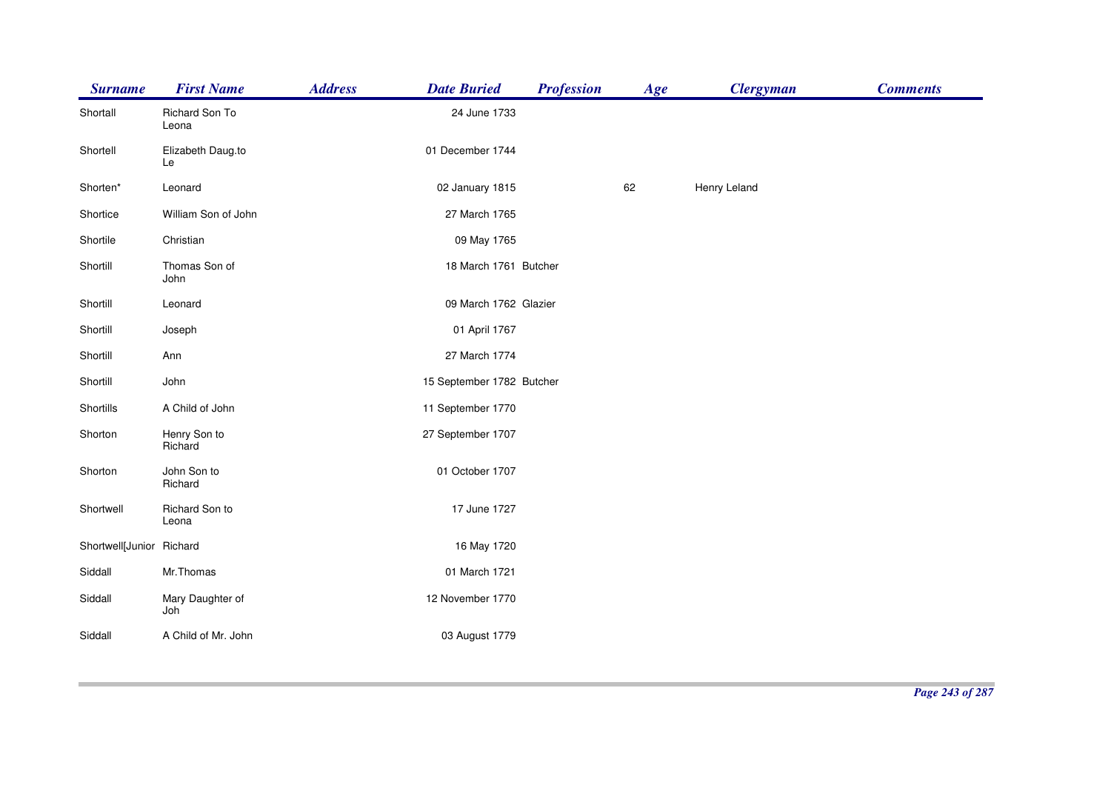| <b>Surname</b>           | <b>First Name</b>       | <b>Address</b> | <b>Date Buried</b>        | <b>Profession</b> | Age | <b>Clergyman</b> | <b>Comments</b> |
|--------------------------|-------------------------|----------------|---------------------------|-------------------|-----|------------------|-----------------|
| Shortall                 | Richard Son To<br>Leona |                | 24 June 1733              |                   |     |                  |                 |
| Shortell                 | Elizabeth Daug.to<br>Le |                | 01 December 1744          |                   |     |                  |                 |
| Shorten*                 | Leonard                 |                | 02 January 1815           |                   | 62  | Henry Leland     |                 |
| Shortice                 | William Son of John     |                | 27 March 1765             |                   |     |                  |                 |
| Shortile                 | Christian               |                | 09 May 1765               |                   |     |                  |                 |
| Shortill                 | Thomas Son of<br>John   |                | 18 March 1761 Butcher     |                   |     |                  |                 |
| Shortill                 | Leonard                 |                | 09 March 1762 Glazier     |                   |     |                  |                 |
| Shortill                 | Joseph                  |                | 01 April 1767             |                   |     |                  |                 |
| Shortill                 | Ann                     |                | 27 March 1774             |                   |     |                  |                 |
| Shortill                 | John                    |                | 15 September 1782 Butcher |                   |     |                  |                 |
| Shortills                | A Child of John         |                | 11 September 1770         |                   |     |                  |                 |
| Shorton                  | Henry Son to<br>Richard |                | 27 September 1707         |                   |     |                  |                 |
| Shorton                  | John Son to<br>Richard  |                | 01 October 1707           |                   |     |                  |                 |
| Shortwell                | Richard Son to<br>Leona |                | 17 June 1727              |                   |     |                  |                 |
| Shortwell[Junior Richard |                         |                | 16 May 1720               |                   |     |                  |                 |
| Siddall                  | Mr.Thomas               |                | 01 March 1721             |                   |     |                  |                 |
| Siddall                  | Mary Daughter of<br>Joh |                | 12 November 1770          |                   |     |                  |                 |
| Siddall                  | A Child of Mr. John     |                | 03 August 1779            |                   |     |                  |                 |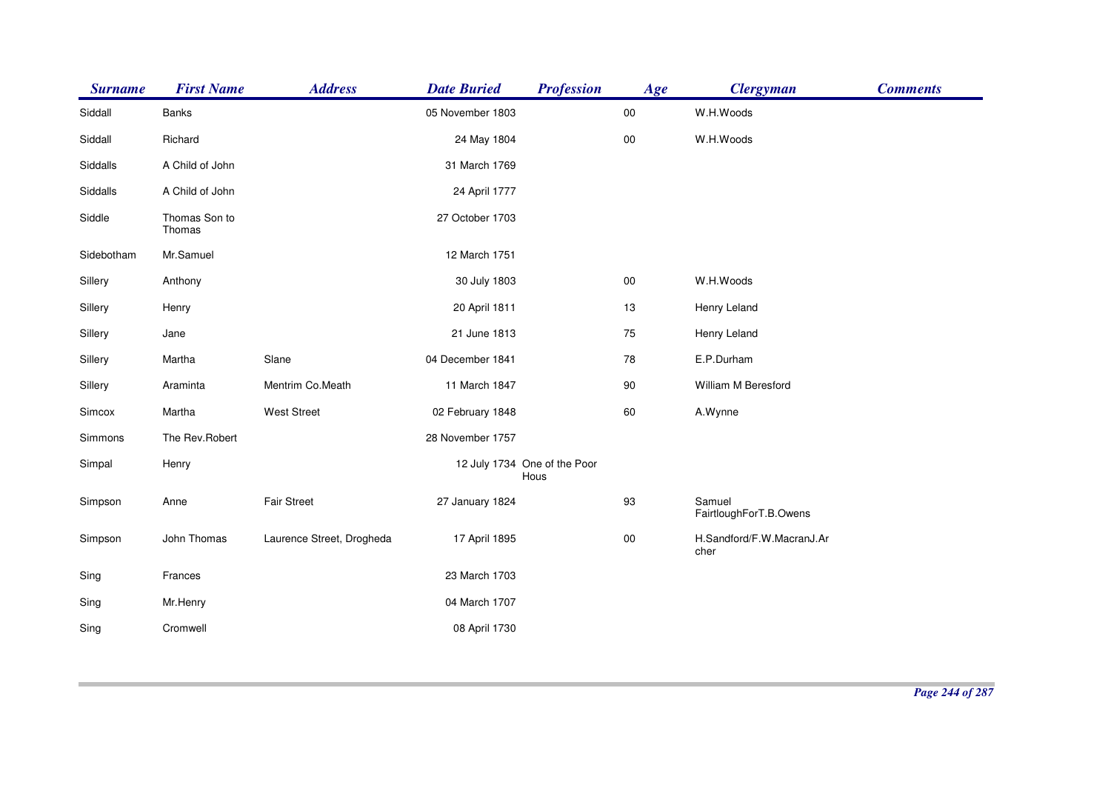| <b>Surname</b> | <b>First Name</b>       | <b>Address</b>            | <b>Date Buried</b> | <b>Profession</b>                    | Age        | <b>Clergyman</b>                  | <b>Comments</b> |
|----------------|-------------------------|---------------------------|--------------------|--------------------------------------|------------|-----------------------------------|-----------------|
| Siddall        | Banks                   |                           | 05 November 1803   |                                      | $00\,$     | W.H.Woods                         |                 |
| Siddall        | Richard                 |                           | 24 May 1804        |                                      | $00\,$     | W.H.Woods                         |                 |
| Siddalls       | A Child of John         |                           | 31 March 1769      |                                      |            |                                   |                 |
| Siddalls       | A Child of John         |                           | 24 April 1777      |                                      |            |                                   |                 |
| Siddle         | Thomas Son to<br>Thomas |                           | 27 October 1703    |                                      |            |                                   |                 |
| Sidebotham     | Mr.Samuel               |                           | 12 March 1751      |                                      |            |                                   |                 |
| Sillery        | Anthony                 |                           | 30 July 1803       |                                      | $00\,$     | W.H.Woods                         |                 |
| Sillery        | Henry                   |                           | 20 April 1811      |                                      | 13         | Henry Leland                      |                 |
| Sillery        | Jane                    |                           | 21 June 1813       |                                      | 75         | Henry Leland                      |                 |
| Sillery        | Martha                  | Slane                     | 04 December 1841   |                                      | 78         | E.P.Durham                        |                 |
| Sillery        | Araminta                | Mentrim Co.Meath          | 11 March 1847      |                                      | 90         | William M Beresford               |                 |
| Simcox         | Martha                  | <b>West Street</b>        | 02 February 1848   |                                      | 60         | A.Wynne                           |                 |
| Simmons        | The Rev.Robert          |                           | 28 November 1757   |                                      |            |                                   |                 |
| Simpal         | Henry                   |                           |                    | 12 July 1734 One of the Poor<br>Hous |            |                                   |                 |
| Simpson        | Anne                    | <b>Fair Street</b>        | 27 January 1824    |                                      | 93         | Samuel<br>FairtloughForT.B.Owens  |                 |
| Simpson        | John Thomas             | Laurence Street, Drogheda | 17 April 1895      |                                      | ${\bf 00}$ | H.Sandford/F.W.MacranJ.Ar<br>cher |                 |
| Sing           | Frances                 |                           | 23 March 1703      |                                      |            |                                   |                 |
| Sing           | Mr.Henry                |                           | 04 March 1707      |                                      |            |                                   |                 |
| Sing           | Cromwell                |                           | 08 April 1730      |                                      |            |                                   |                 |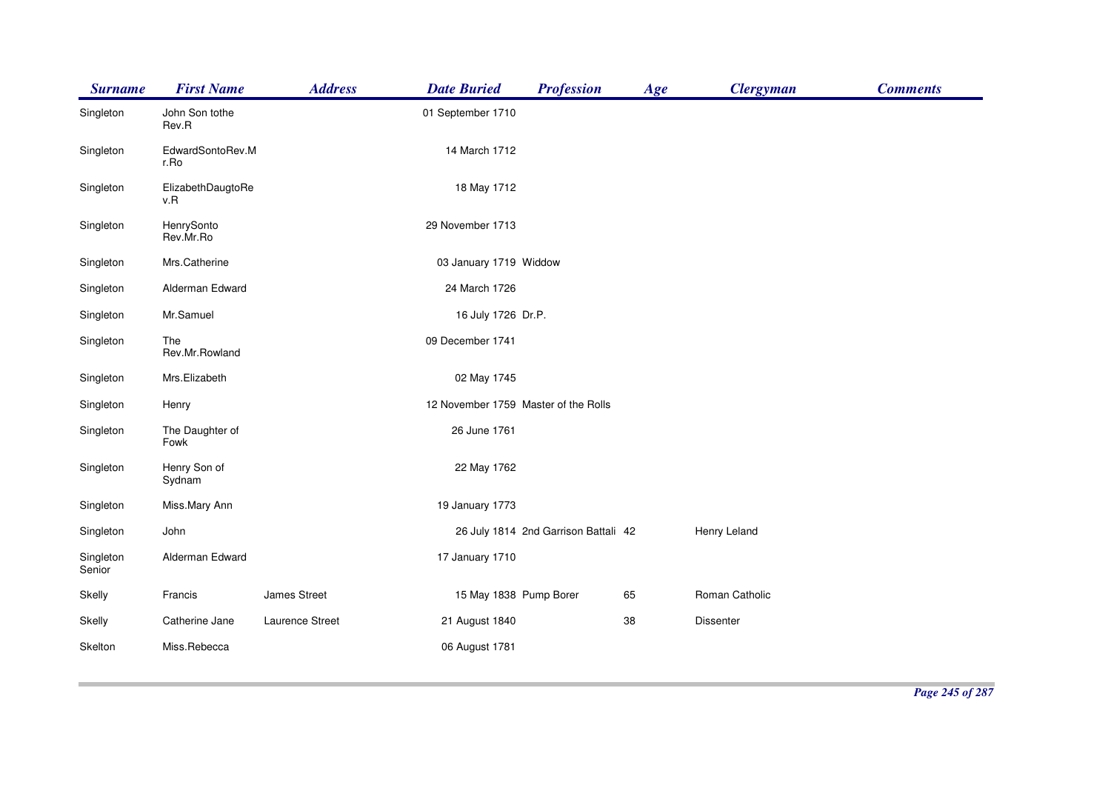| <b>Surname</b>      | <b>First Name</b>        | <b>Address</b>  | <b>Date Buried</b>                   | <b>Profession</b>                    | Age | <b>Clergyman</b> | <b>Comments</b> |
|---------------------|--------------------------|-----------------|--------------------------------------|--------------------------------------|-----|------------------|-----------------|
| Singleton           | John Son tothe<br>Rev.R  |                 | 01 September 1710                    |                                      |     |                  |                 |
| Singleton           | EdwardSontoRev.M<br>r.Ro |                 | 14 March 1712                        |                                      |     |                  |                 |
| Singleton           | ElizabethDaugtoRe<br>v.R |                 | 18 May 1712                          |                                      |     |                  |                 |
| Singleton           | HenrySonto<br>Rev.Mr.Ro  |                 | 29 November 1713                     |                                      |     |                  |                 |
| Singleton           | Mrs.Catherine            |                 | 03 January 1719 Widdow               |                                      |     |                  |                 |
| Singleton           | Alderman Edward          |                 | 24 March 1726                        |                                      |     |                  |                 |
| Singleton           | Mr.Samuel                |                 | 16 July 1726 Dr.P.                   |                                      |     |                  |                 |
| Singleton           | The<br>Rev.Mr.Rowland    |                 | 09 December 1741                     |                                      |     |                  |                 |
| Singleton           | Mrs.Elizabeth            |                 | 02 May 1745                          |                                      |     |                  |                 |
| Singleton           | Henry                    |                 | 12 November 1759 Master of the Rolls |                                      |     |                  |                 |
| Singleton           | The Daughter of<br>Fowk  |                 | 26 June 1761                         |                                      |     |                  |                 |
| Singleton           | Henry Son of<br>Sydnam   |                 | 22 May 1762                          |                                      |     |                  |                 |
| Singleton           | Miss.Mary Ann            |                 | 19 January 1773                      |                                      |     |                  |                 |
| Singleton           | John                     |                 |                                      | 26 July 1814 2nd Garrison Battali 42 |     | Henry Leland     |                 |
| Singleton<br>Senior | Alderman Edward          |                 | 17 January 1710                      |                                      |     |                  |                 |
| Skelly              | Francis                  | James Street    | 15 May 1838 Pump Borer               |                                      | 65  | Roman Catholic   |                 |
| Skelly              | Catherine Jane           | Laurence Street | 21 August 1840                       |                                      | 38  | Dissenter        |                 |
| Skelton             | Miss.Rebecca             |                 | 06 August 1781                       |                                      |     |                  |                 |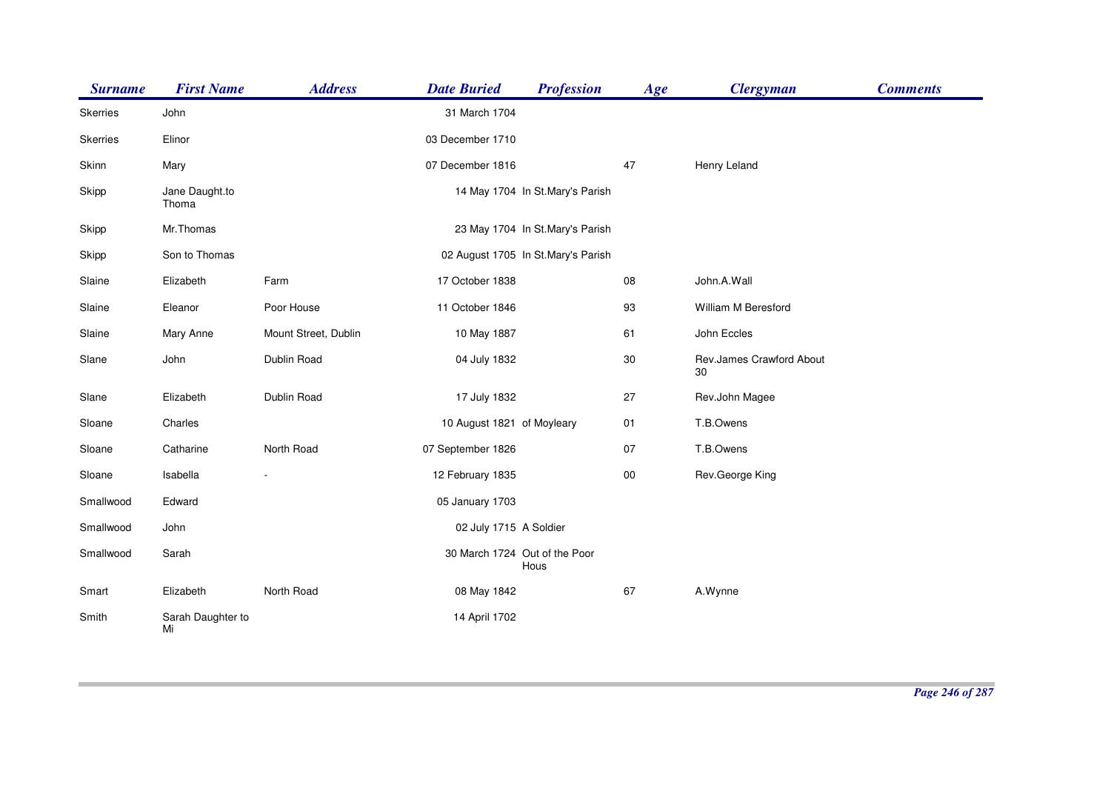| <b>Surname</b> | <b>First Name</b>       | <b>Address</b>       | <b>Date Buried</b>         | <b>Profession</b>                     | Age    | <b>Clergyman</b>               | <b>Comments</b> |
|----------------|-------------------------|----------------------|----------------------------|---------------------------------------|--------|--------------------------------|-----------------|
| Skerries       | John                    |                      | 31 March 1704              |                                       |        |                                |                 |
| Skerries       | Elinor                  |                      | 03 December 1710           |                                       |        |                                |                 |
| Skinn          | Mary                    |                      | 07 December 1816           |                                       | 47     | Henry Leland                   |                 |
| Skipp          | Jane Daught.to<br>Thoma |                      |                            | 14 May 1704 In St.Mary's Parish       |        |                                |                 |
| Skipp          | Mr.Thomas               |                      |                            | 23 May 1704 In St.Mary's Parish       |        |                                |                 |
| Skipp          | Son to Thomas           |                      |                            | 02 August 1705 In St.Mary's Parish    |        |                                |                 |
| Slaine         | Elizabeth               | Farm                 | 17 October 1838            |                                       | 08     | John.A.Wall                    |                 |
| Slaine         | Eleanor                 | Poor House           | 11 October 1846            |                                       | 93     | William M Beresford            |                 |
| Slaine         | Mary Anne               | Mount Street, Dublin | 10 May 1887                |                                       | 61     | John Eccles                    |                 |
| Slane          | John                    | Dublin Road          | 04 July 1832               |                                       | 30     | Rev.James Crawford About<br>30 |                 |
| Slane          | Elizabeth               | Dublin Road          | 17 July 1832               |                                       | 27     | Rev.John Magee                 |                 |
| Sloane         | Charles                 |                      | 10 August 1821 of Moyleary |                                       | 01     | T.B.Owens                      |                 |
| Sloane         | Catharine               | North Road           | 07 September 1826          |                                       | 07     | T.B.Owens                      |                 |
| Sloane         | Isabella                |                      | 12 February 1835           |                                       | $00\,$ | Rev.George King                |                 |
| Smallwood      | Edward                  |                      | 05 January 1703            |                                       |        |                                |                 |
| Smallwood      | John                    |                      | 02 July 1715 A Soldier     |                                       |        |                                |                 |
| Smallwood      | Sarah                   |                      |                            | 30 March 1724 Out of the Poor<br>Hous |        |                                |                 |
| Smart          | Elizabeth               | North Road           | 08 May 1842                |                                       | 67     | A.Wynne                        |                 |
| Smith          | Sarah Daughter to<br>Mi |                      | 14 April 1702              |                                       |        |                                |                 |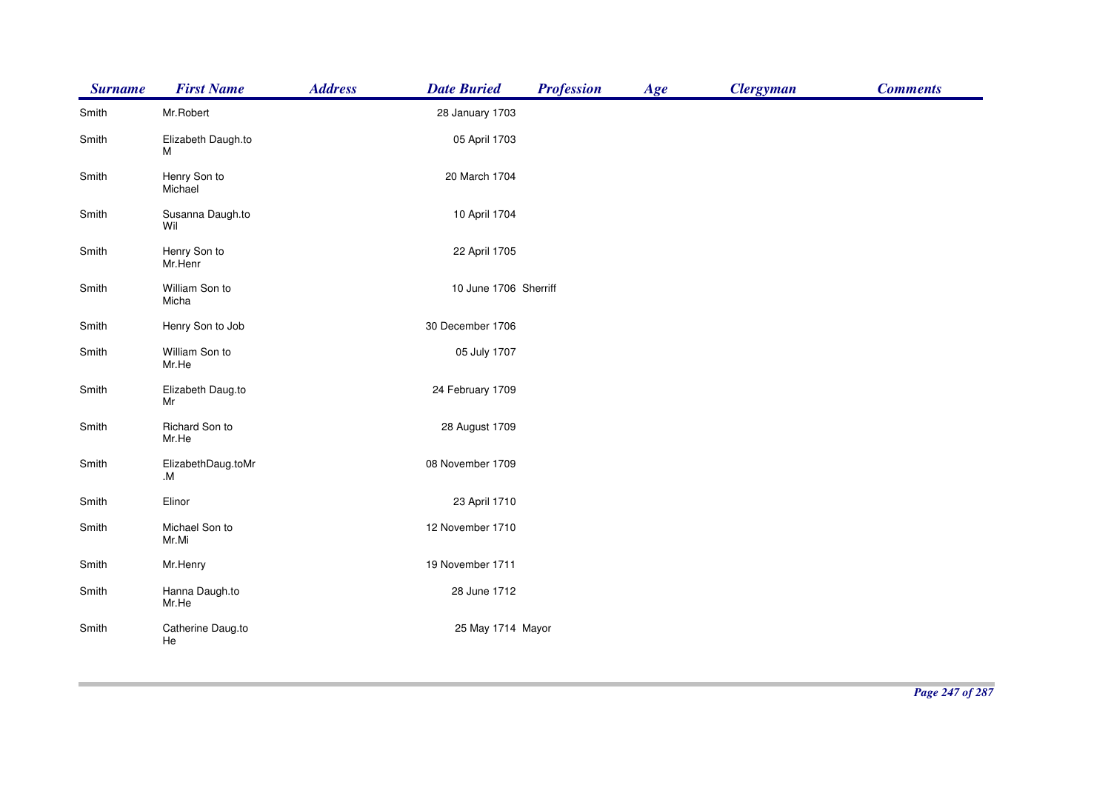| <b>Surname</b> | <b>First Name</b>        | <b>Address</b> | <b>Date Buried</b>    | <b>Profession</b> | Age | <b>Clergyman</b> | <b>Comments</b> |
|----------------|--------------------------|----------------|-----------------------|-------------------|-----|------------------|-----------------|
| Smith          | Mr.Robert                |                | 28 January 1703       |                   |     |                  |                 |
| Smith          | Elizabeth Daugh.to<br>м  |                | 05 April 1703         |                   |     |                  |                 |
| Smith          | Henry Son to<br>Michael  |                | 20 March 1704         |                   |     |                  |                 |
| Smith          | Susanna Daugh.to<br>Wil  |                | 10 April 1704         |                   |     |                  |                 |
| Smith          | Henry Son to<br>Mr.Henr  |                | 22 April 1705         |                   |     |                  |                 |
| Smith          | William Son to<br>Micha  |                | 10 June 1706 Sherriff |                   |     |                  |                 |
| Smith          | Henry Son to Job         |                | 30 December 1706      |                   |     |                  |                 |
| Smith          | William Son to<br>Mr.He  |                | 05 July 1707          |                   |     |                  |                 |
| Smith          | Elizabeth Daug.to<br>Mr  |                | 24 February 1709      |                   |     |                  |                 |
| Smith          | Richard Son to<br>Mr.He  |                | 28 August 1709        |                   |     |                  |                 |
| Smith          | ElizabethDaug.toMr<br>.M |                | 08 November 1709      |                   |     |                  |                 |
| Smith          | Elinor                   |                | 23 April 1710         |                   |     |                  |                 |
| Smith          | Michael Son to<br>Mr.Mi  |                | 12 November 1710      |                   |     |                  |                 |
| Smith          | Mr.Henry                 |                | 19 November 1711      |                   |     |                  |                 |
| Smith          | Hanna Daugh.to<br>Mr.He  |                | 28 June 1712          |                   |     |                  |                 |
| Smith          | Catherine Daug.to<br>He  |                | 25 May 1714 Mayor     |                   |     |                  |                 |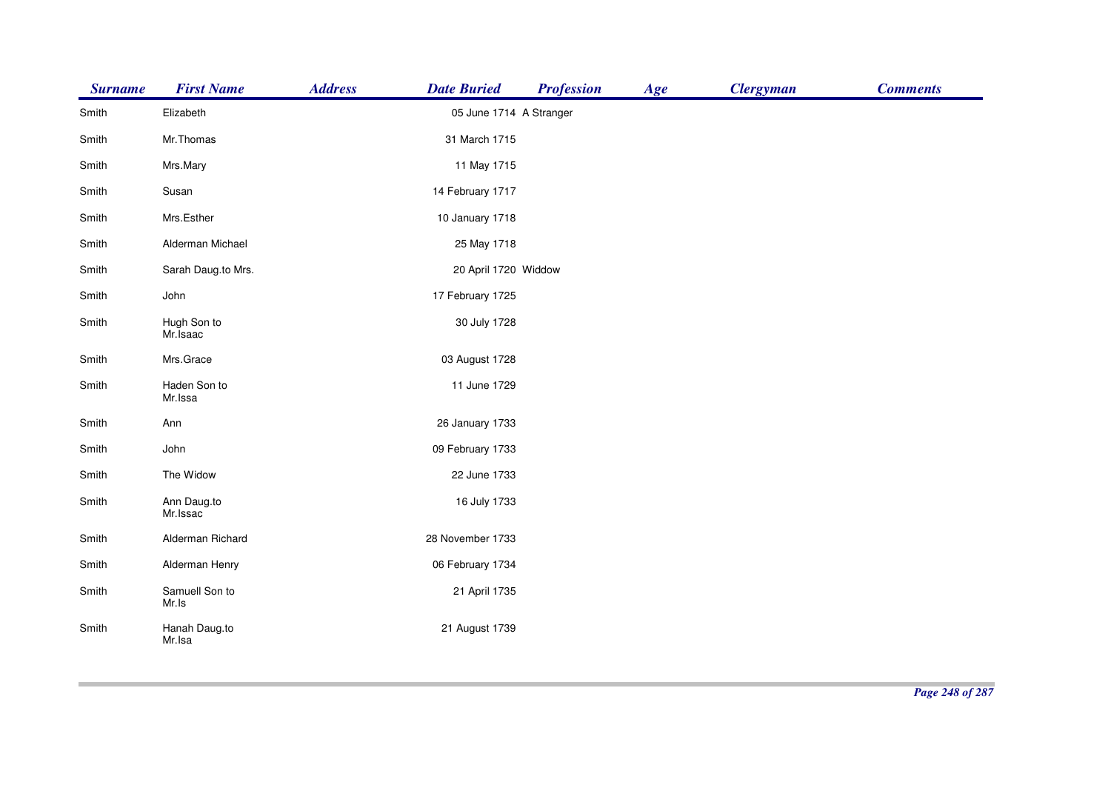| <b>Surname</b> | <b>First Name</b>       | <b>Address</b> | <b>Date Buried</b>      | <b>Profession</b> | Age | <b>Clergyman</b> | <b>Comments</b> |
|----------------|-------------------------|----------------|-------------------------|-------------------|-----|------------------|-----------------|
| Smith          | Elizabeth               |                | 05 June 1714 A Stranger |                   |     |                  |                 |
| Smith          | Mr.Thomas               |                | 31 March 1715           |                   |     |                  |                 |
| Smith          | Mrs.Mary                |                | 11 May 1715             |                   |     |                  |                 |
| Smith          | Susan                   |                | 14 February 1717        |                   |     |                  |                 |
| Smith          | Mrs.Esther              |                | 10 January 1718         |                   |     |                  |                 |
| Smith          | Alderman Michael        |                | 25 May 1718             |                   |     |                  |                 |
| Smith          | Sarah Daug.to Mrs.      |                | 20 April 1720 Widdow    |                   |     |                  |                 |
| Smith          | John                    |                | 17 February 1725        |                   |     |                  |                 |
| Smith          | Hugh Son to<br>Mr.Isaac |                | 30 July 1728            |                   |     |                  |                 |
| Smith          | Mrs.Grace               |                | 03 August 1728          |                   |     |                  |                 |
| Smith          | Haden Son to<br>Mr.Issa |                | 11 June 1729            |                   |     |                  |                 |
| Smith          | Ann                     |                | 26 January 1733         |                   |     |                  |                 |
| Smith          | John                    |                | 09 February 1733        |                   |     |                  |                 |
| Smith          | The Widow               |                | 22 June 1733            |                   |     |                  |                 |
| Smith          | Ann Daug.to<br>Mr.Issac |                | 16 July 1733            |                   |     |                  |                 |
| Smith          | Alderman Richard        |                | 28 November 1733        |                   |     |                  |                 |
| Smith          | Alderman Henry          |                | 06 February 1734        |                   |     |                  |                 |
| Smith          | Samuell Son to<br>Mr.Is |                | 21 April 1735           |                   |     |                  |                 |
| Smith          | Hanah Daug.to<br>Mr.Isa |                | 21 August 1739          |                   |     |                  |                 |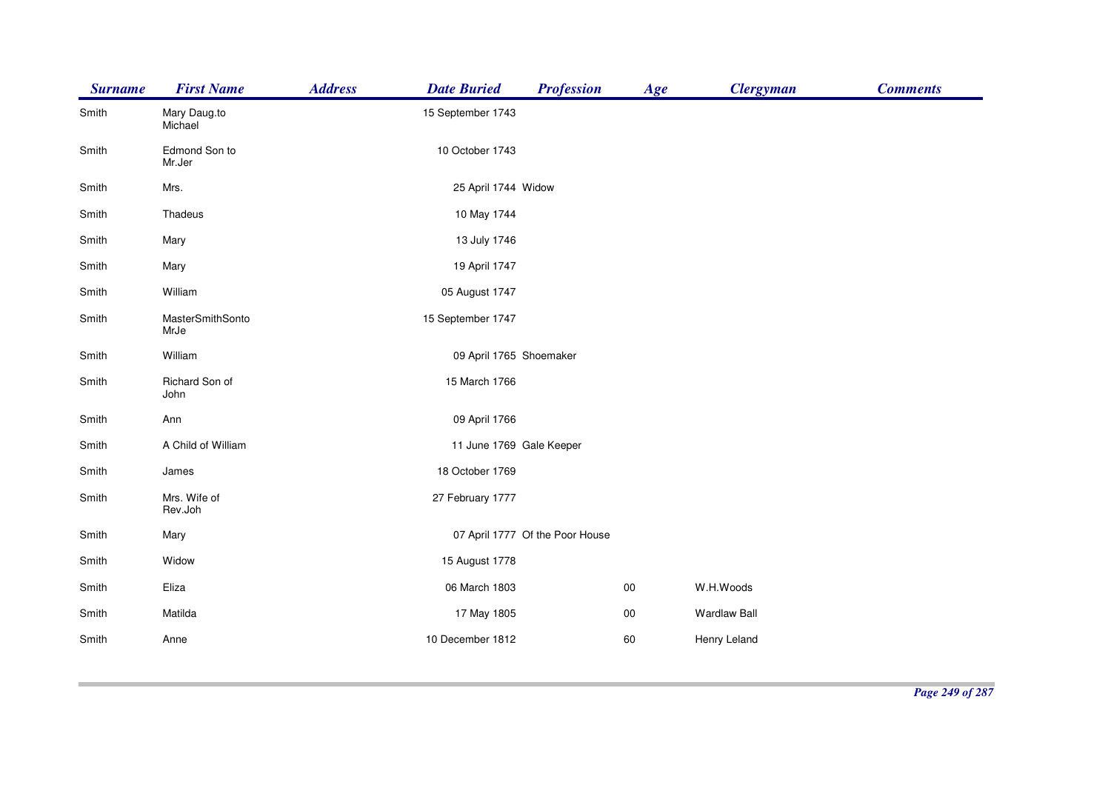| <b>Surname</b> | <b>First Name</b>        | <b>Address</b><br><b>Date Buried</b> | <b>Profession</b>               | Age    | <b>Clergyman</b>    | <b>Comments</b> |
|----------------|--------------------------|--------------------------------------|---------------------------------|--------|---------------------|-----------------|
| Smith          | Mary Daug.to<br>Michael  | 15 September 1743                    |                                 |        |                     |                 |
| Smith          | Edmond Son to<br>Mr.Jer  | 10 October 1743                      |                                 |        |                     |                 |
| Smith          | Mrs.                     | 25 April 1744 Widow                  |                                 |        |                     |                 |
| Smith          | Thadeus                  | 10 May 1744                          |                                 |        |                     |                 |
| Smith          | Mary                     | 13 July 1746                         |                                 |        |                     |                 |
| Smith          | Mary                     | 19 April 1747                        |                                 |        |                     |                 |
| Smith          | William                  | 05 August 1747                       |                                 |        |                     |                 |
| Smith          | MasterSmithSonto<br>MrJe | 15 September 1747                    |                                 |        |                     |                 |
| Smith          | William                  | 09 April 1765 Shoemaker              |                                 |        |                     |                 |
| Smith          | Richard Son of<br>John   | 15 March 1766                        |                                 |        |                     |                 |
| Smith          | Ann                      | 09 April 1766                        |                                 |        |                     |                 |
| Smith          | A Child of William       |                                      | 11 June 1769 Gale Keeper        |        |                     |                 |
| Smith          | James                    | 18 October 1769                      |                                 |        |                     |                 |
| Smith          | Mrs. Wife of<br>Rev.Joh  | 27 February 1777                     |                                 |        |                     |                 |
| Smith          | Mary                     |                                      | 07 April 1777 Of the Poor House |        |                     |                 |
| Smith          | Widow                    | 15 August 1778                       |                                 |        |                     |                 |
| Smith          | Eliza                    | 06 March 1803                        |                                 | $00\,$ | W.H.Woods           |                 |
| Smith          | Matilda                  | 17 May 1805                          |                                 | $00\,$ | <b>Wardlaw Ball</b> |                 |
| Smith          | Anne                     | 10 December 1812                     |                                 | 60     | Henry Leland        |                 |
|                |                          |                                      |                                 |        |                     |                 |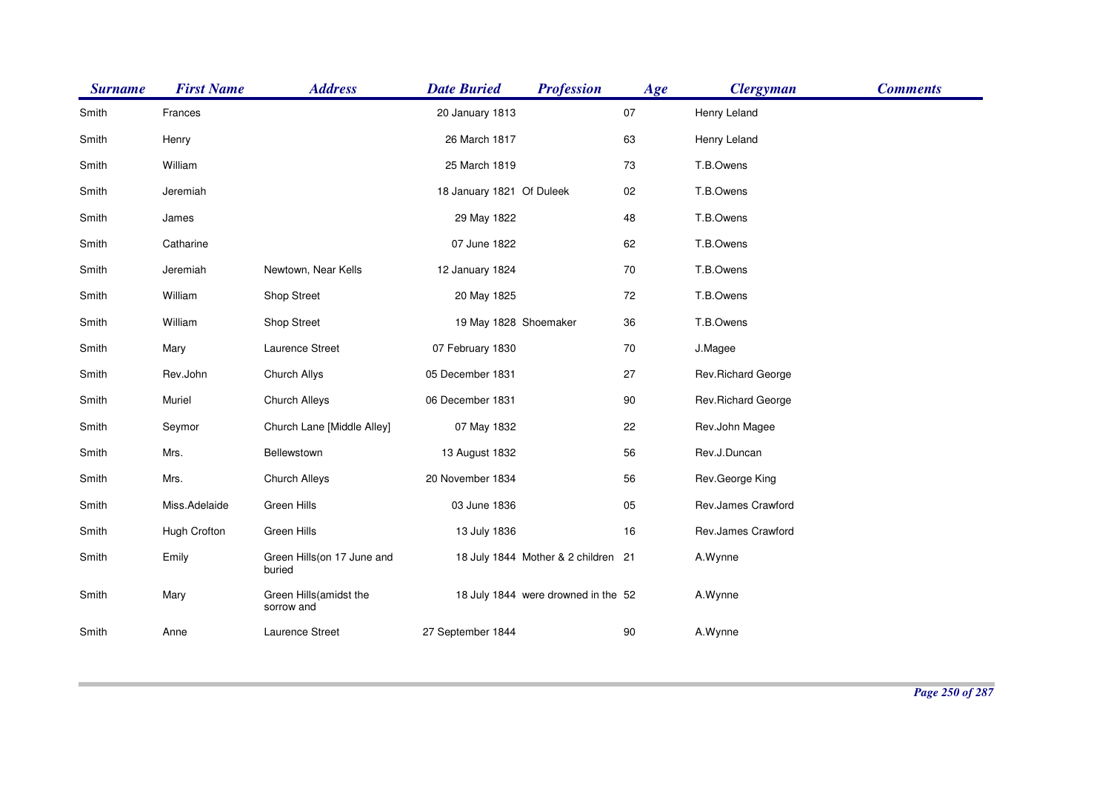| <b>Surname</b> | <b>First Name</b> | <b>Address</b>                       | <b>Date Buried</b>        | <b>Profession</b>                   | Age    | <b>Clergyman</b>   | <b>Comments</b> |
|----------------|-------------------|--------------------------------------|---------------------------|-------------------------------------|--------|--------------------|-----------------|
| Smith          | Frances           |                                      | 20 January 1813           |                                     | 07     | Henry Leland       |                 |
| Smith          | Henry             |                                      | 26 March 1817             |                                     | 63     | Henry Leland       |                 |
| Smith          | William           |                                      | 25 March 1819             |                                     | 73     | T.B.Owens          |                 |
| Smith          | Jeremiah          |                                      | 18 January 1821 Of Duleek |                                     | $02\,$ | T.B.Owens          |                 |
| Smith          | James             |                                      | 29 May 1822               |                                     | 48     | T.B.Owens          |                 |
| Smith          | Catharine         |                                      | 07 June 1822              |                                     | 62     | T.B.Owens          |                 |
| Smith          | Jeremiah          | Newtown, Near Kells                  | 12 January 1824           |                                     | 70     | T.B.Owens          |                 |
| Smith          | William           | Shop Street                          | 20 May 1825               |                                     | 72     | T.B.Owens          |                 |
| Smith          | William           | Shop Street                          | 19 May 1828 Shoemaker     |                                     | 36     | T.B.Owens          |                 |
| Smith          | Mary              | Laurence Street                      | 07 February 1830          |                                     | 70     | J.Magee            |                 |
| Smith          | Rev.John          | Church Allys                         | 05 December 1831          |                                     | 27     | Rev.Richard George |                 |
| Smith          | Muriel            | Church Alleys                        | 06 December 1831          |                                     | 90     | Rev.Richard George |                 |
| Smith          | Seymor            | Church Lane [Middle Alley]           | 07 May 1832               |                                     | 22     | Rev.John Magee     |                 |
| Smith          | Mrs.              | Bellewstown                          | 13 August 1832            |                                     | 56     | Rev.J.Duncan       |                 |
| Smith          | Mrs.              | Church Alleys                        | 20 November 1834          |                                     | 56     | Rev.George King    |                 |
| Smith          | Miss.Adelaide     | Green Hills                          | 03 June 1836              |                                     | 05     | Rev.James Crawford |                 |
| Smith          | Hugh Crofton      | Green Hills                          | 13 July 1836              |                                     | 16     | Rev.James Crawford |                 |
| Smith          | Emily             | Green Hills(on 17 June and<br>buried |                           | 18 July 1844 Mother & 2 children 21 |        | A.Wynne            |                 |
| Smith          | Mary              | Green Hills(amidst the<br>sorrow and |                           | 18 July 1844 were drowned in the 52 |        | A.Wynne            |                 |
| Smith          | Anne              | Laurence Street                      | 27 September 1844         |                                     | 90     | A.Wynne            |                 |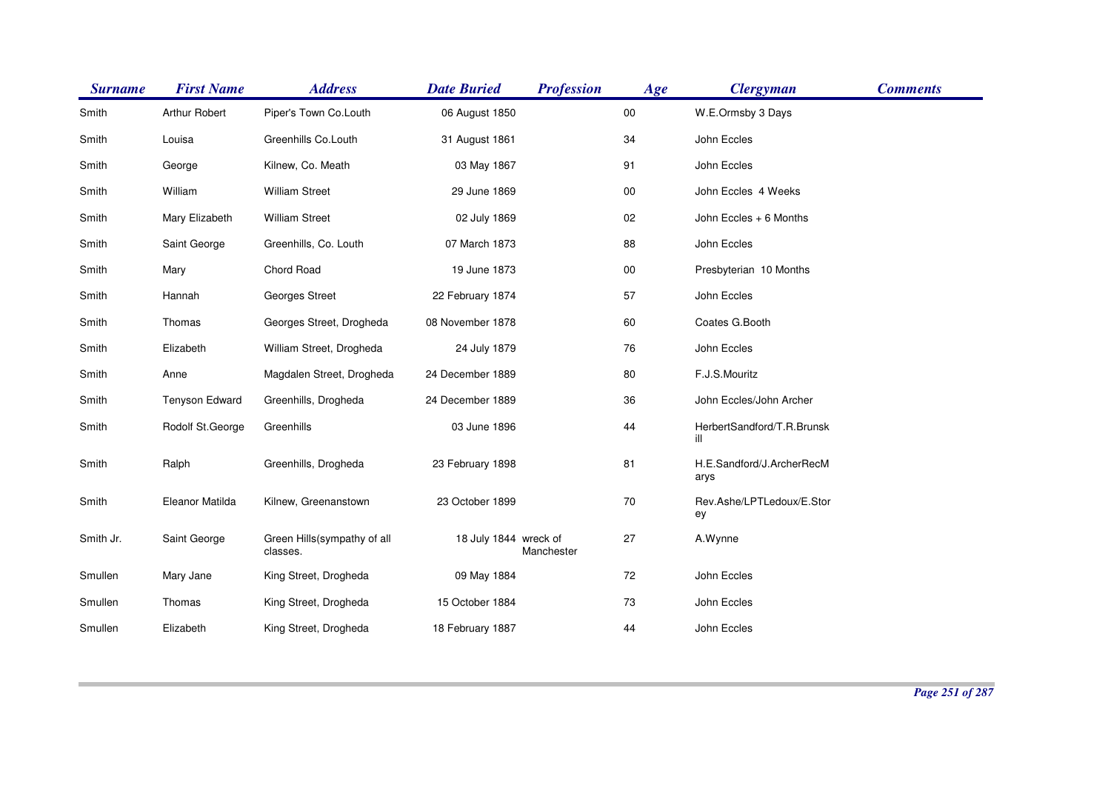| <b>Surname</b> | <b>First Name</b>     | <b>Address</b>                          | <b>Date Buried</b>    | <b>Profession</b> | Age    | <b>Clergyman</b>                  | <b>Comments</b> |
|----------------|-----------------------|-----------------------------------------|-----------------------|-------------------|--------|-----------------------------------|-----------------|
| Smith          | Arthur Robert         | Piper's Town Co.Louth                   | 06 August 1850        |                   | $00\,$ | W.E.Ormsby 3 Days                 |                 |
| Smith          | Louisa                | Greenhills Co.Louth                     | 31 August 1861        |                   | 34     | John Eccles                       |                 |
| Smith          | George                | Kilnew, Co. Meath                       | 03 May 1867           |                   | 91     | John Eccles                       |                 |
| Smith          | William               | <b>William Street</b>                   | 29 June 1869          |                   | $00\,$ | John Eccles 4 Weeks               |                 |
| Smith          | Mary Elizabeth        | <b>William Street</b>                   | 02 July 1869          |                   | 02     | John Eccles + 6 Months            |                 |
| Smith          | Saint George          | Greenhills, Co. Louth                   | 07 March 1873         |                   | 88     | John Eccles                       |                 |
| Smith          | Mary                  | Chord Road                              | 19 June 1873          |                   | $00\,$ | Presbyterian 10 Months            |                 |
| Smith          | Hannah                | Georges Street                          | 22 February 1874      |                   | 57     | John Eccles                       |                 |
| Smith          | Thomas                | Georges Street, Drogheda                | 08 November 1878      |                   | 60     | Coates G.Booth                    |                 |
| Smith          | Elizabeth             | William Street, Drogheda                | 24 July 1879          |                   | 76     | John Eccles                       |                 |
| Smith          | Anne                  | Magdalen Street, Drogheda               | 24 December 1889      |                   | 80     | F.J.S.Mouritz                     |                 |
| Smith          | <b>Tenyson Edward</b> | Greenhills, Drogheda                    | 24 December 1889      |                   | 36     | John Eccles/John Archer           |                 |
| Smith          | Rodolf St.George      | Greenhills                              | 03 June 1896          |                   | 44     | HerbertSandford/T.R.Brunsk<br>ill |                 |
| Smith          | Ralph                 | Greenhills, Drogheda                    | 23 February 1898      |                   | 81     | H.E.Sandford/J.ArcherRecM<br>arys |                 |
| Smith          | Eleanor Matilda       | Kilnew, Greenanstown                    | 23 October 1899       |                   | 70     | Rev.Ashe/LPTLedoux/E.Stor<br>ey   |                 |
| Smith Jr.      | Saint George          | Green Hills(sympathy of all<br>classes. | 18 July 1844 wreck of | Manchester        | 27     | A.Wynne                           |                 |
| Smullen        | Mary Jane             | King Street, Drogheda                   | 09 May 1884           |                   | 72     | John Eccles                       |                 |
| Smullen        | Thomas                | King Street, Drogheda                   | 15 October 1884       |                   | 73     | John Eccles                       |                 |
| Smullen        | Elizabeth             | King Street, Drogheda                   | 18 February 1887      |                   | 44     | John Eccles                       |                 |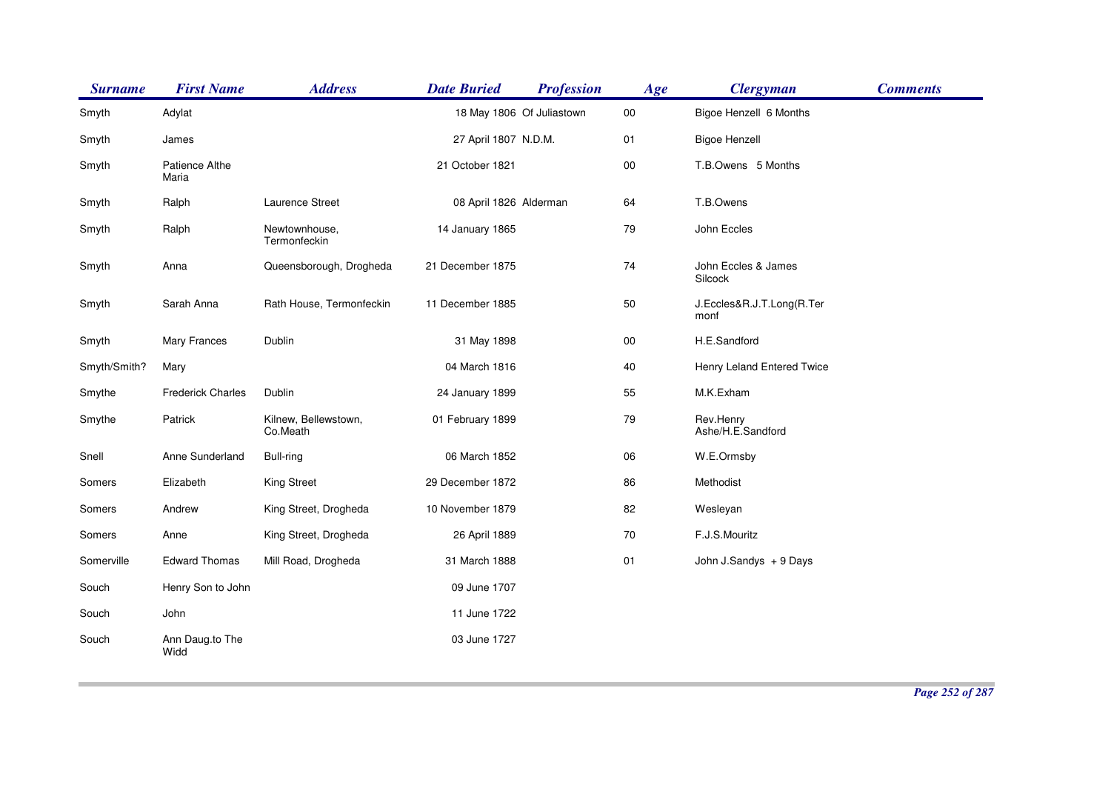| <b>Surname</b> | <b>First Name</b>        | <b>Address</b>                   | <b>Date Buried</b>        | <b>Profession</b> | Age    | <b>Clergyman</b>                  | <b>Comments</b> |
|----------------|--------------------------|----------------------------------|---------------------------|-------------------|--------|-----------------------------------|-----------------|
| Smyth          | Adylat                   |                                  | 18 May 1806 Of Juliastown |                   | $00\,$ | Bigoe Henzell 6 Months            |                 |
| Smyth          | James                    |                                  | 27 April 1807 N.D.M.      |                   | 01     | <b>Bigoe Henzell</b>              |                 |
| Smyth          | Patience Althe<br>Maria  |                                  | 21 October 1821           |                   | $00\,$ | T.B.Owens 5 Months                |                 |
| Smyth          | Ralph                    | Laurence Street                  | 08 April 1826 Alderman    |                   | 64     | T.B.Owens                         |                 |
| Smyth          | Ralph                    | Newtownhouse,<br>Termonfeckin    | 14 January 1865           |                   | 79     | John Eccles                       |                 |
| Smyth          | Anna                     | Queensborough, Drogheda          | 21 December 1875          |                   | 74     | John Eccles & James<br>Silcock    |                 |
| Smyth          | Sarah Anna               | Rath House, Termonfeckin         | 11 December 1885          |                   | 50     | J.Eccles&R.J.T.Long(R.Ter<br>monf |                 |
| Smyth          | Mary Frances             | Dublin                           | 31 May 1898               |                   | $00\,$ | H.E.Sandford                      |                 |
| Smyth/Smith?   | Mary                     |                                  | 04 March 1816             |                   | 40     | Henry Leland Entered Twice        |                 |
| Smythe         | <b>Frederick Charles</b> | Dublin                           | 24 January 1899           |                   | 55     | M.K.Exham                         |                 |
| Smythe         | Patrick                  | Kilnew, Bellewstown,<br>Co.Meath | 01 February 1899          |                   | 79     | Rev.Henry<br>Ashe/H.E.Sandford    |                 |
| Snell          | Anne Sunderland          | Bull-ring                        | 06 March 1852             |                   | 06     | W.E.Ormsby                        |                 |
| Somers         | Elizabeth                | <b>King Street</b>               | 29 December 1872          |                   | 86     | Methodist                         |                 |
| Somers         | Andrew                   | King Street, Drogheda            | 10 November 1879          |                   | 82     | Wesleyan                          |                 |
| Somers         | Anne                     | King Street, Drogheda            | 26 April 1889             |                   | 70     | F.J.S.Mouritz                     |                 |
| Somerville     | <b>Edward Thomas</b>     | Mill Road, Drogheda              | 31 March 1888             |                   | 01     | John J.Sandys + 9 Days            |                 |
| Souch          | Henry Son to John        |                                  | 09 June 1707              |                   |        |                                   |                 |
| Souch          | John                     |                                  | 11 June 1722              |                   |        |                                   |                 |
| Souch          | Ann Daug.to The<br>Widd  |                                  | 03 June 1727              |                   |        |                                   |                 |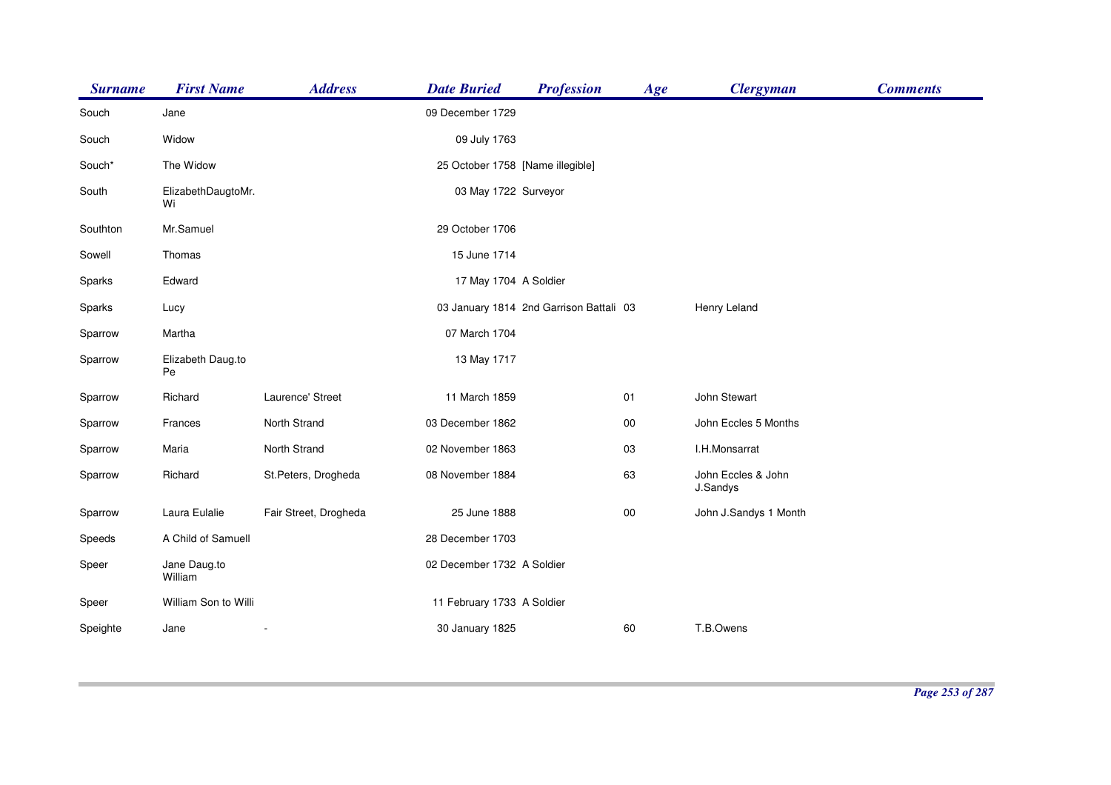| <b>Surname</b> | <b>First Name</b>        | <b>Address</b>        | <b>Date Buried</b>               | <b>Profession</b>                       | Age    | <b>Clergyman</b>               | <b>Comments</b> |
|----------------|--------------------------|-----------------------|----------------------------------|-----------------------------------------|--------|--------------------------------|-----------------|
| Souch          | Jane                     |                       | 09 December 1729                 |                                         |        |                                |                 |
| Souch          | Widow                    |                       | 09 July 1763                     |                                         |        |                                |                 |
| Souch*         | The Widow                |                       | 25 October 1758 [Name illegible] |                                         |        |                                |                 |
| South          | ElizabethDaugtoMr.<br>Wi |                       | 03 May 1722 Surveyor             |                                         |        |                                |                 |
| Southton       | Mr.Samuel                |                       | 29 October 1706                  |                                         |        |                                |                 |
| Sowell         | Thomas                   |                       | 15 June 1714                     |                                         |        |                                |                 |
| Sparks         | Edward                   |                       | 17 May 1704 A Soldier            |                                         |        |                                |                 |
| Sparks         | Lucy                     |                       |                                  | 03 January 1814 2nd Garrison Battali 03 |        | Henry Leland                   |                 |
| Sparrow        | Martha                   |                       | 07 March 1704                    |                                         |        |                                |                 |
| Sparrow        | Elizabeth Daug.to<br>Pe  |                       | 13 May 1717                      |                                         |        |                                |                 |
| Sparrow        | Richard                  | Laurence' Street      | 11 March 1859                    |                                         | 01     | John Stewart                   |                 |
| Sparrow        | Frances                  | North Strand          | 03 December 1862                 |                                         | 00     | John Eccles 5 Months           |                 |
| Sparrow        | Maria                    | North Strand          | 02 November 1863                 |                                         | 03     | I.H.Monsarrat                  |                 |
| Sparrow        | Richard                  | St.Peters, Drogheda   | 08 November 1884                 |                                         | 63     | John Eccles & John<br>J.Sandys |                 |
| Sparrow        | Laura Eulalie            | Fair Street, Drogheda | 25 June 1888                     |                                         | $00\,$ | John J.Sandys 1 Month          |                 |
| Speeds         | A Child of Samuell       |                       | 28 December 1703                 |                                         |        |                                |                 |
| Speer          | Jane Daug.to<br>William  |                       | 02 December 1732 A Soldier       |                                         |        |                                |                 |
| Speer          | William Son to Willi     |                       | 11 February 1733 A Soldier       |                                         |        |                                |                 |
| Speighte       | Jane                     |                       | 30 January 1825                  |                                         | 60     | T.B.Owens                      |                 |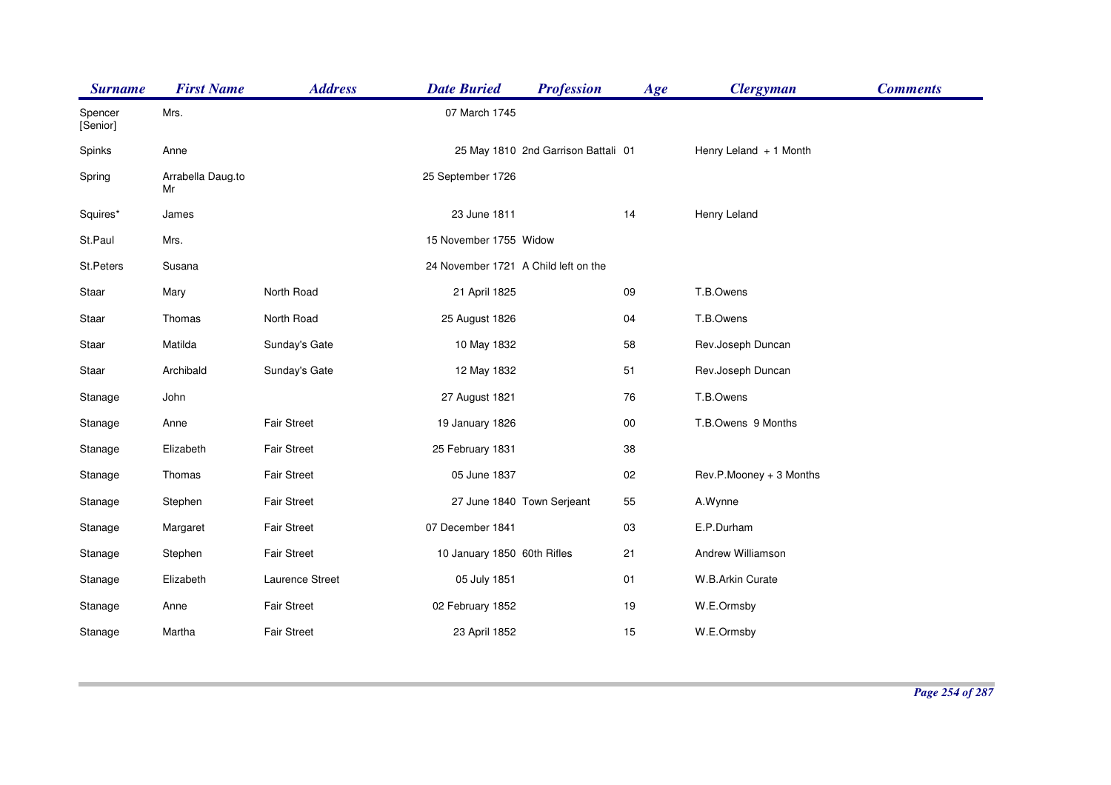| <b>Surname</b>      | <b>First Name</b>       | <b>Address</b>     | <b>Date Buried</b>                   | <b>Profession</b>                   | Age    | <b>Clergyman</b>        | <b>Comments</b> |
|---------------------|-------------------------|--------------------|--------------------------------------|-------------------------------------|--------|-------------------------|-----------------|
| Spencer<br>[Senior] | Mrs.                    |                    | 07 March 1745                        |                                     |        |                         |                 |
| Spinks              | Anne                    |                    |                                      | 25 May 1810 2nd Garrison Battali 01 |        | Henry Leland $+1$ Month |                 |
| Spring              | Arrabella Daug.to<br>Mr |                    | 25 September 1726                    |                                     |        |                         |                 |
| Squires*            | James                   |                    | 23 June 1811                         |                                     | 14     | Henry Leland            |                 |
| St.Paul             | Mrs.                    |                    | 15 November 1755 Widow               |                                     |        |                         |                 |
| St.Peters           | Susana                  |                    | 24 November 1721 A Child left on the |                                     |        |                         |                 |
| Staar               | Mary                    | North Road         | 21 April 1825                        |                                     | 09     | T.B.Owens               |                 |
| Staar               | Thomas                  | North Road         | 25 August 1826                       |                                     | 04     | T.B.Owens               |                 |
| Staar               | Matilda                 | Sunday's Gate      | 10 May 1832                          |                                     | 58     | Rev.Joseph Duncan       |                 |
| Staar               | Archibald               | Sunday's Gate      | 12 May 1832                          |                                     | 51     | Rev.Joseph Duncan       |                 |
| Stanage             | John                    |                    | 27 August 1821                       |                                     | 76     | T.B.Owens               |                 |
| Stanage             | Anne                    | <b>Fair Street</b> | 19 January 1826                      |                                     | $00\,$ | T.B.Owens 9 Months      |                 |
| Stanage             | Elizabeth               | <b>Fair Street</b> | 25 February 1831                     |                                     | 38     |                         |                 |
| Stanage             | Thomas                  | <b>Fair Street</b> | 05 June 1837                         |                                     | 02     | Rev.P.Mooney + 3 Months |                 |
| Stanage             | Stephen                 | <b>Fair Street</b> |                                      | 27 June 1840 Town Serjeant          | 55     | A.Wynne                 |                 |
| Stanage             | Margaret                | <b>Fair Street</b> | 07 December 1841                     |                                     | 03     | E.P.Durham              |                 |
| Stanage             | Stephen                 | <b>Fair Street</b> | 10 January 1850 60th Rifles          |                                     | 21     | Andrew Williamson       |                 |
| Stanage             | Elizabeth               | Laurence Street    | 05 July 1851                         |                                     | 01     | W.B.Arkin Curate        |                 |
| Stanage             | Anne                    | <b>Fair Street</b> | 02 February 1852                     |                                     | 19     | W.E.Ormsby              |                 |
| Stanage             | Martha                  | <b>Fair Street</b> | 23 April 1852                        |                                     | 15     | W.E.Ormsby              |                 |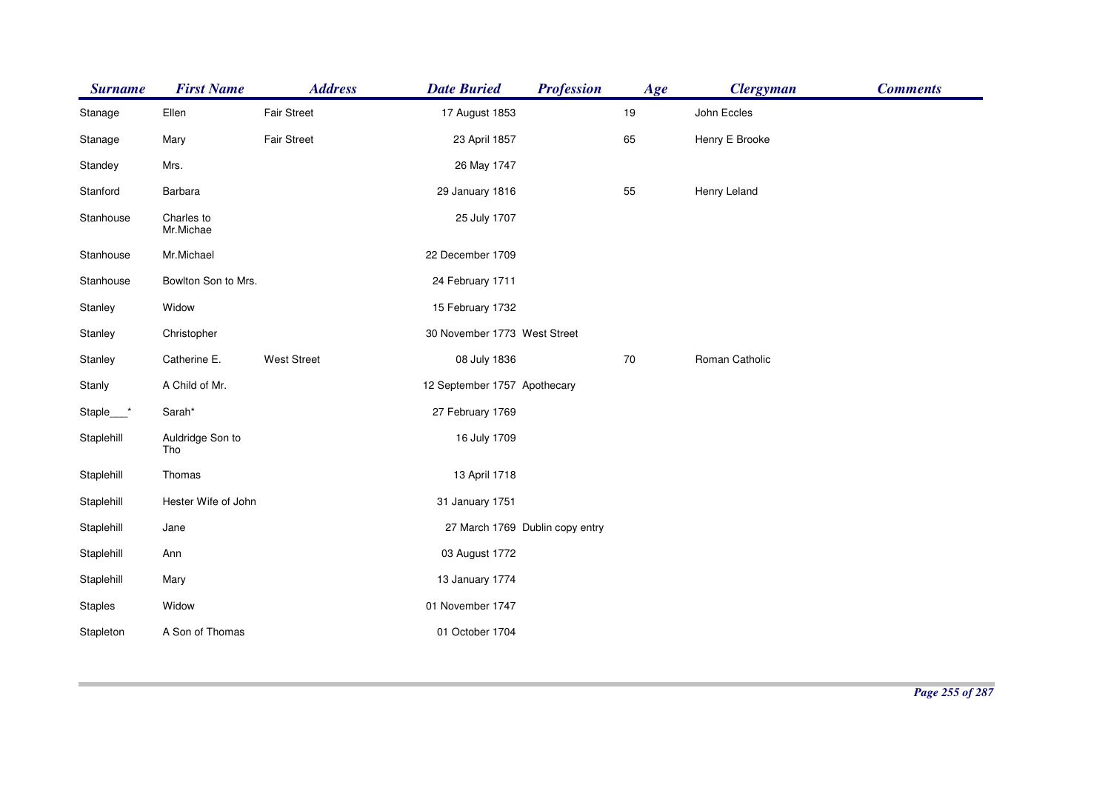| <b>Surname</b> | <b>First Name</b>       | <b>Address</b>     | <b>Date Buried</b>           | <b>Profession</b>               | Age    | <b>Clergyman</b> | <b>Comments</b> |
|----------------|-------------------------|--------------------|------------------------------|---------------------------------|--------|------------------|-----------------|
| Stanage        | Ellen                   | <b>Fair Street</b> | 17 August 1853               |                                 | 19     | John Eccles      |                 |
| Stanage        | Mary                    | Fair Street        | 23 April 1857                |                                 | 65     | Henry E Brooke   |                 |
| Standey        | Mrs.                    |                    | 26 May 1747                  |                                 |        |                  |                 |
| Stanford       | Barbara                 |                    | 29 January 1816              |                                 | 55     | Henry Leland     |                 |
| Stanhouse      | Charles to<br>Mr.Michae |                    | 25 July 1707                 |                                 |        |                  |                 |
| Stanhouse      | Mr.Michael              |                    | 22 December 1709             |                                 |        |                  |                 |
| Stanhouse      | Bowlton Son to Mrs.     |                    | 24 February 1711             |                                 |        |                  |                 |
| Stanley        | Widow                   |                    | 15 February 1732             |                                 |        |                  |                 |
| Stanley        | Christopher             |                    | 30 November 1773 West Street |                                 |        |                  |                 |
| Stanley        | Catherine E.            | <b>West Street</b> | 08 July 1836                 |                                 | $70\,$ | Roman Catholic   |                 |
| Stanly         | A Child of Mr.          |                    | 12 September 1757 Apothecary |                                 |        |                  |                 |
| Staple___*     | Sarah*                  |                    | 27 February 1769             |                                 |        |                  |                 |
| Staplehill     | Auldridge Son to<br>Tho |                    | 16 July 1709                 |                                 |        |                  |                 |
| Staplehill     | Thomas                  |                    | 13 April 1718                |                                 |        |                  |                 |
| Staplehill     | Hester Wife of John     |                    | 31 January 1751              |                                 |        |                  |                 |
| Staplehill     | Jane                    |                    |                              | 27 March 1769 Dublin copy entry |        |                  |                 |
| Staplehill     | Ann                     |                    | 03 August 1772               |                                 |        |                  |                 |
| Staplehill     | Mary                    |                    | 13 January 1774              |                                 |        |                  |                 |
| <b>Staples</b> | Widow                   |                    | 01 November 1747             |                                 |        |                  |                 |
| Stapleton      | A Son of Thomas         |                    | 01 October 1704              |                                 |        |                  |                 |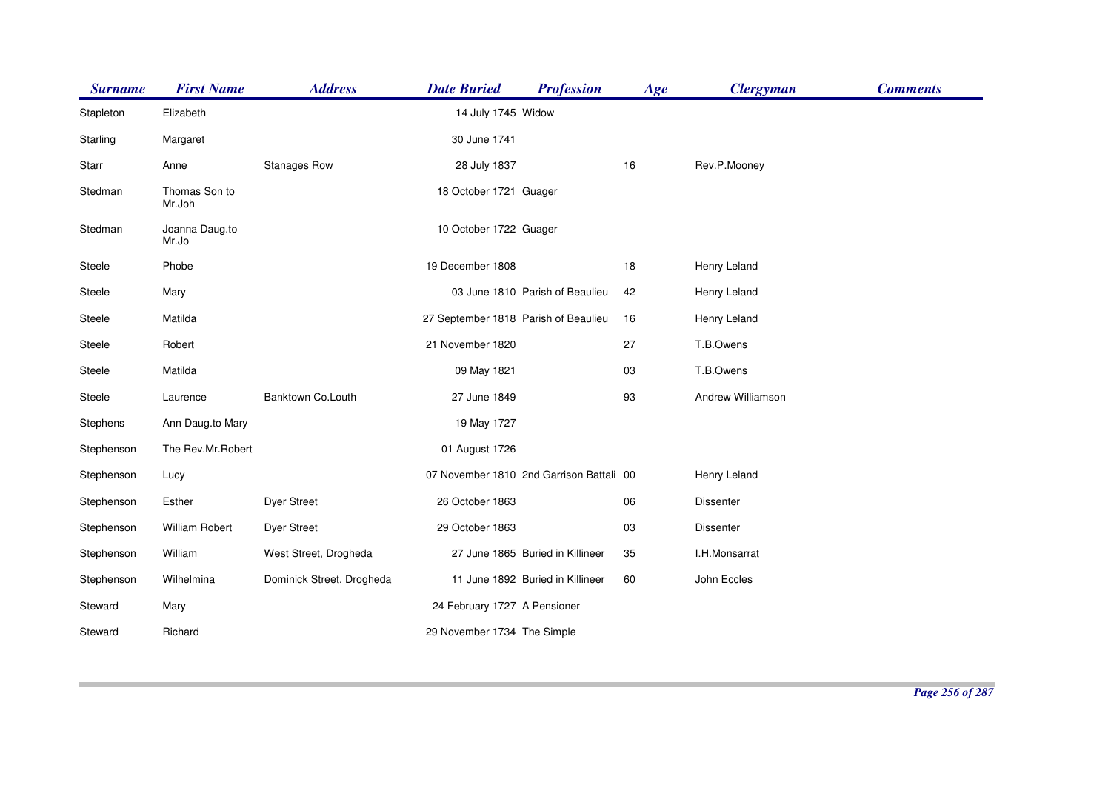| <b>Surname</b> | <b>First Name</b>       | <b>Address</b>            | <b>Date Buried</b>                   | <b>Profession</b>                        | Age | <b>Clergyman</b>  | <b>Comments</b> |
|----------------|-------------------------|---------------------------|--------------------------------------|------------------------------------------|-----|-------------------|-----------------|
| Stapleton      | Elizabeth               |                           | 14 July 1745 Widow                   |                                          |     |                   |                 |
| Starling       | Margaret                |                           | 30 June 1741                         |                                          |     |                   |                 |
| Starr          | Anne                    | <b>Stanages Row</b>       | 28 July 1837                         |                                          | 16  | Rev.P.Mooney      |                 |
| Stedman        | Thomas Son to<br>Mr.Joh |                           | 18 October 1721 Guager               |                                          |     |                   |                 |
| Stedman        | Joanna Daug.to<br>Mr.Jo |                           | 10 October 1722 Guager               |                                          |     |                   |                 |
| Steele         | Phobe                   |                           | 19 December 1808                     |                                          | 18  | Henry Leland      |                 |
| Steele         | Mary                    |                           |                                      | 03 June 1810 Parish of Beaulieu          | 42  | Henry Leland      |                 |
| Steele         | Matilda                 |                           | 27 September 1818 Parish of Beaulieu |                                          | 16  | Henry Leland      |                 |
| Steele         | Robert                  |                           | 21 November 1820                     |                                          | 27  | T.B.Owens         |                 |
| Steele         | Matilda                 |                           | 09 May 1821                          |                                          | 03  | T.B.Owens         |                 |
| Steele         | Laurence                | Banktown Co.Louth         | 27 June 1849                         |                                          | 93  | Andrew Williamson |                 |
| Stephens       | Ann Daug.to Mary        |                           | 19 May 1727                          |                                          |     |                   |                 |
| Stephenson     | The Rev.Mr.Robert       |                           | 01 August 1726                       |                                          |     |                   |                 |
| Stephenson     | Lucy                    |                           |                                      | 07 November 1810 2nd Garrison Battali 00 |     | Henry Leland      |                 |
| Stephenson     | Esther                  | <b>Dyer Street</b>        | 26 October 1863                      |                                          | 06  | Dissenter         |                 |
| Stephenson     | William Robert          | <b>Dyer Street</b>        | 29 October 1863                      |                                          | 03  | <b>Dissenter</b>  |                 |
| Stephenson     | William                 | West Street, Drogheda     |                                      | 27 June 1865 Buried in Killineer         | 35  | I.H.Monsarrat     |                 |
| Stephenson     | Wilhelmina              | Dominick Street, Drogheda |                                      | 11 June 1892 Buried in Killineer         | 60  | John Eccles       |                 |
| Steward        | Mary                    |                           | 24 February 1727 A Pensioner         |                                          |     |                   |                 |
| Steward        | Richard                 |                           | 29 November 1734 The Simple          |                                          |     |                   |                 |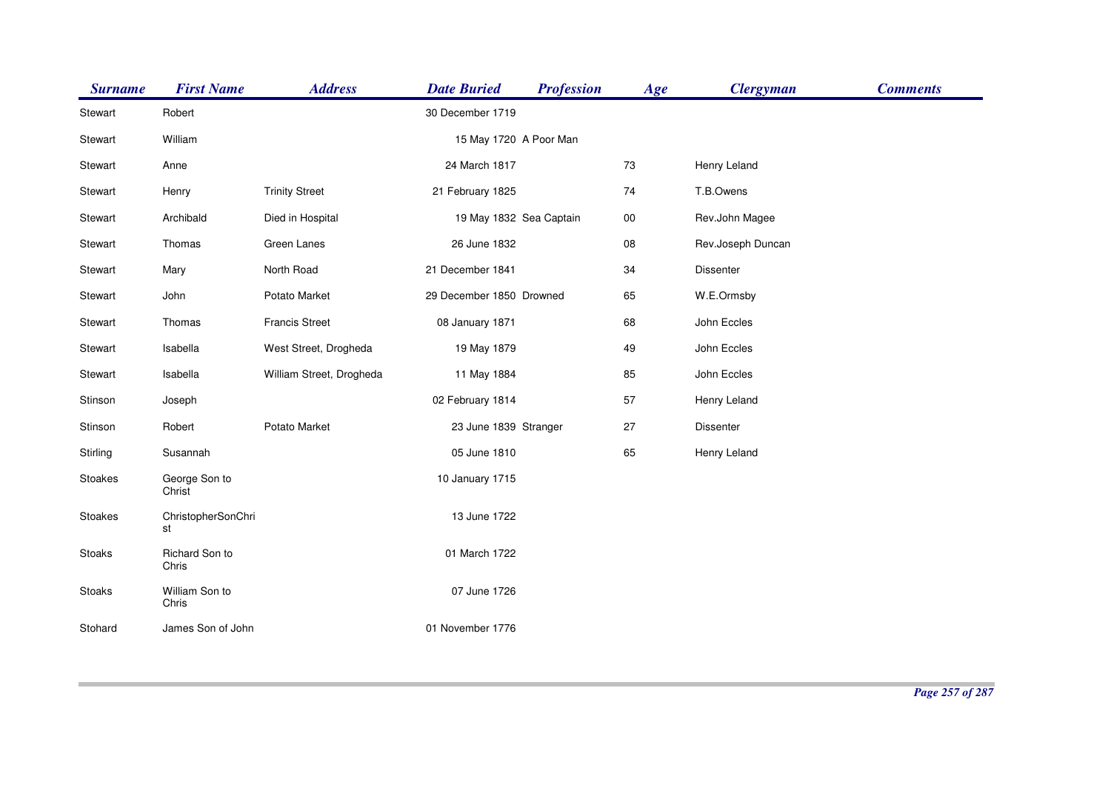| <b>Surname</b> | <b>First Name</b>        | <b>Address</b>           | <b>Date Buried</b>       | <b>Profession</b> | Age    | <b>Clergyman</b>  | <b>Comments</b> |
|----------------|--------------------------|--------------------------|--------------------------|-------------------|--------|-------------------|-----------------|
| Stewart        | Robert                   |                          | 30 December 1719         |                   |        |                   |                 |
| Stewart        | William                  |                          | 15 May 1720 A Poor Man   |                   |        |                   |                 |
| Stewart        | Anne                     |                          | 24 March 1817            |                   | 73     | Henry Leland      |                 |
| Stewart        | Henry                    | <b>Trinity Street</b>    | 21 February 1825         |                   | 74     | T.B.Owens         |                 |
| Stewart        | Archibald                | Died in Hospital         | 19 May 1832 Sea Captain  |                   | $00\,$ | Rev.John Magee    |                 |
| Stewart        | Thomas                   | Green Lanes              | 26 June 1832             |                   | 08     | Rev.Joseph Duncan |                 |
| Stewart        | Mary                     | North Road               | 21 December 1841         |                   | 34     | Dissenter         |                 |
| Stewart        | John                     | Potato Market            | 29 December 1850 Drowned |                   | 65     | W.E.Ormsby        |                 |
| Stewart        | Thomas                   | <b>Francis Street</b>    | 08 January 1871          |                   | 68     | John Eccles       |                 |
| Stewart        | Isabella                 | West Street, Drogheda    | 19 May 1879              |                   | 49     | John Eccles       |                 |
| Stewart        | Isabella                 | William Street, Drogheda | 11 May 1884              |                   | 85     | John Eccles       |                 |
| Stinson        | Joseph                   |                          | 02 February 1814         |                   | 57     | Henry Leland      |                 |
| Stinson        | Robert                   | Potato Market            | 23 June 1839 Stranger    |                   | 27     | Dissenter         |                 |
| Stirling       | Susannah                 |                          | 05 June 1810             |                   | 65     | Henry Leland      |                 |
| Stoakes        | George Son to<br>Christ  |                          | 10 January 1715          |                   |        |                   |                 |
| Stoakes        | ChristopherSonChri<br>st |                          | 13 June 1722             |                   |        |                   |                 |
| Stoaks         | Richard Son to<br>Chris  |                          | 01 March 1722            |                   |        |                   |                 |
| Stoaks         | William Son to<br>Chris  |                          | 07 June 1726             |                   |        |                   |                 |
| Stohard        | James Son of John        |                          | 01 November 1776         |                   |        |                   |                 |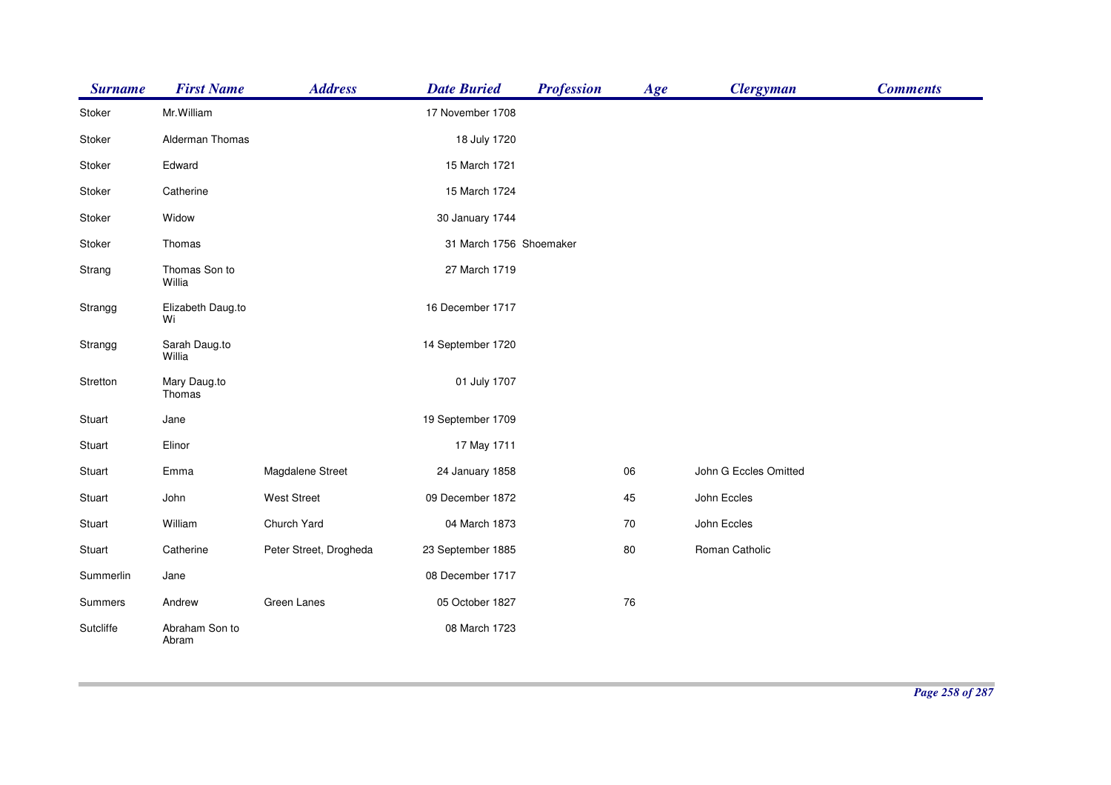| <b>Surname</b> | <b>First Name</b>       | <b>Address</b>         | <b>Date Buried</b>      | <b>Profession</b> | Age        | <b>Clergyman</b>      | <b>Comments</b> |
|----------------|-------------------------|------------------------|-------------------------|-------------------|------------|-----------------------|-----------------|
| Stoker         | Mr.William              |                        | 17 November 1708        |                   |            |                       |                 |
| Stoker         | Alderman Thomas         |                        | 18 July 1720            |                   |            |                       |                 |
| Stoker         | Edward                  |                        | 15 March 1721           |                   |            |                       |                 |
| Stoker         | Catherine               |                        | 15 March 1724           |                   |            |                       |                 |
| Stoker         | Widow                   |                        | 30 January 1744         |                   |            |                       |                 |
| Stoker         | Thomas                  |                        | 31 March 1756 Shoemaker |                   |            |                       |                 |
| Strang         | Thomas Son to<br>Willia |                        | 27 March 1719           |                   |            |                       |                 |
| Strangg        | Elizabeth Daug.to<br>Wi |                        | 16 December 1717        |                   |            |                       |                 |
| Strangg        | Sarah Daug.to<br>Willia |                        | 14 September 1720       |                   |            |                       |                 |
| Stretton       | Mary Daug.to<br>Thomas  |                        | 01 July 1707            |                   |            |                       |                 |
| Stuart         | Jane                    |                        | 19 September 1709       |                   |            |                       |                 |
| Stuart         | Elinor                  |                        | 17 May 1711             |                   |            |                       |                 |
| Stuart         | Emma                    | Magdalene Street       | 24 January 1858         |                   | 06         | John G Eccles Omitted |                 |
| Stuart         | John                    | <b>West Street</b>     | 09 December 1872        |                   | 45         | John Eccles           |                 |
| Stuart         | William                 | Church Yard            | 04 March 1873           |                   | 70         | John Eccles           |                 |
| Stuart         | Catherine               | Peter Street, Drogheda | 23 September 1885       |                   | 80         | Roman Catholic        |                 |
| Summerlin      | Jane                    |                        | 08 December 1717        |                   |            |                       |                 |
| Summers        | Andrew                  | Green Lanes            | 05 October 1827         |                   | ${\bf 76}$ |                       |                 |
| Sutcliffe      | Abraham Son to<br>Abram |                        | 08 March 1723           |                   |            |                       |                 |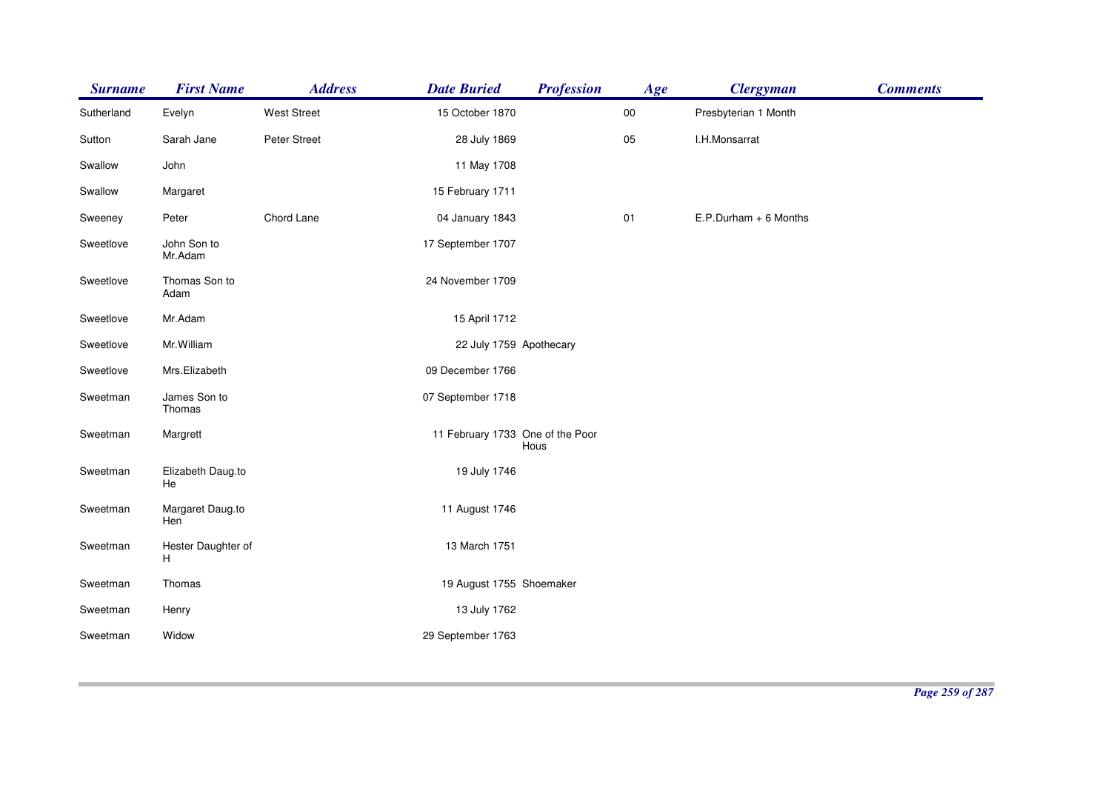| <b>Surname</b> | <b>First Name</b>       | <b>Address</b>     | <b>Date Buried</b>               | <b>Profession</b> | Age        | <b>Clergyman</b>        | <b>Comments</b> |
|----------------|-------------------------|--------------------|----------------------------------|-------------------|------------|-------------------------|-----------------|
| Sutherland     | Evelyn                  | <b>West Street</b> | 15 October 1870                  |                   | ${\bf 00}$ | Presbyterian 1 Month    |                 |
| Sutton         | Sarah Jane              | Peter Street       | 28 July 1869                     |                   | 05         | I.H.Monsarrat           |                 |
| Swallow        | John                    |                    | 11 May 1708                      |                   |            |                         |                 |
| Swallow        | Margaret                |                    | 15 February 1711                 |                   |            |                         |                 |
| Sweeney        | Peter                   | Chord Lane         | 04 January 1843                  |                   | 01         | $E.P.Durham + 6$ Months |                 |
| Sweetlove      | John Son to<br>Mr.Adam  |                    | 17 September 1707                |                   |            |                         |                 |
| Sweetlove      | Thomas Son to<br>Adam   |                    | 24 November 1709                 |                   |            |                         |                 |
| Sweetlove      | Mr.Adam                 |                    | 15 April 1712                    |                   |            |                         |                 |
| Sweetlove      | Mr. William             |                    | 22 July 1759 Apothecary          |                   |            |                         |                 |
| Sweetlove      | Mrs.Elizabeth           |                    | 09 December 1766                 |                   |            |                         |                 |
| Sweetman       | James Son to<br>Thomas  |                    | 07 September 1718                |                   |            |                         |                 |
| Sweetman       | Margrett                |                    | 11 February 1733 One of the Poor | Hous              |            |                         |                 |
| Sweetman       | Elizabeth Daug.to<br>He |                    | 19 July 1746                     |                   |            |                         |                 |
| Sweetman       | Margaret Daug.to<br>Hen |                    | 11 August 1746                   |                   |            |                         |                 |
| Sweetman       | Hester Daughter of<br>н |                    | 13 March 1751                    |                   |            |                         |                 |
| Sweetman       | Thomas                  |                    | 19 August 1755 Shoemaker         |                   |            |                         |                 |
| Sweetman       | Henry                   |                    | 13 July 1762                     |                   |            |                         |                 |
| Sweetman       | Widow                   |                    | 29 September 1763                |                   |            |                         |                 |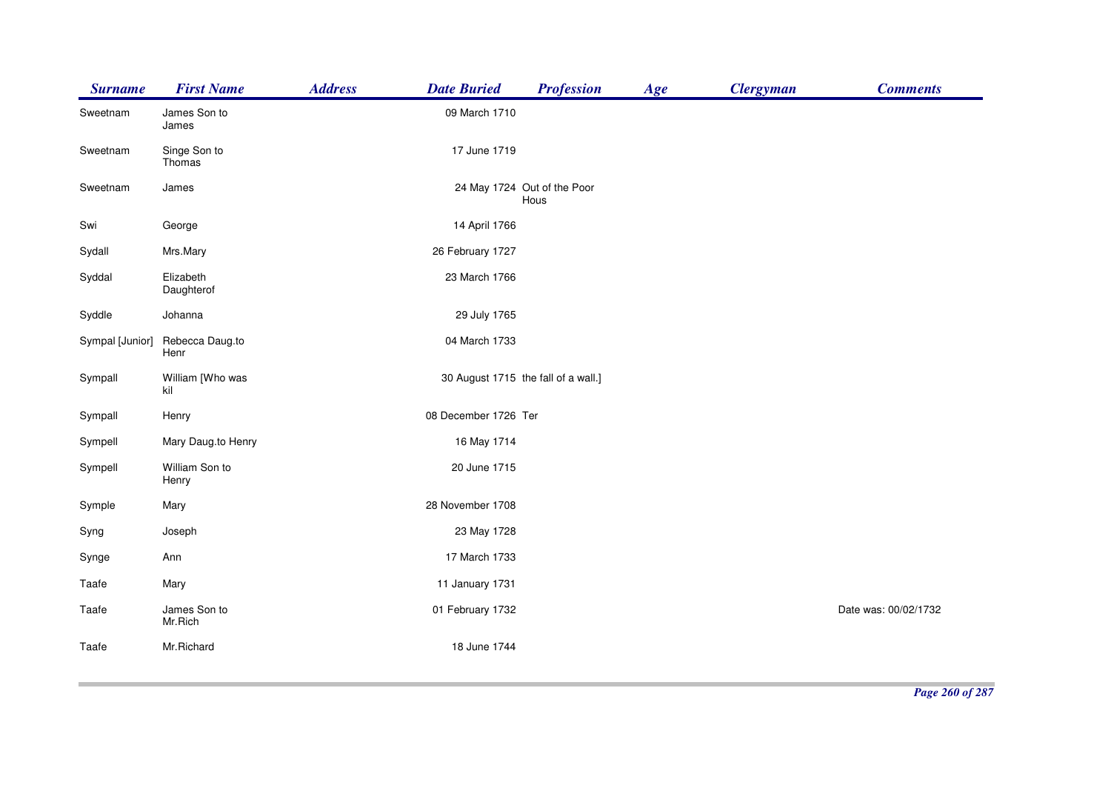| <b>Surname</b>  | <b>First Name</b>       | <b>Address</b><br><b>Date Buried</b> | <b>Profession</b>                   | Age | <b>Clergyman</b> | <b>Comments</b>      |
|-----------------|-------------------------|--------------------------------------|-------------------------------------|-----|------------------|----------------------|
| Sweetnam        | James Son to<br>James   | 09 March 1710                        |                                     |     |                  |                      |
| Sweetnam        | Singe Son to<br>Thomas  |                                      | 17 June 1719                        |     |                  |                      |
| Sweetnam        | James                   |                                      | 24 May 1724 Out of the Poor<br>Hous |     |                  |                      |
| Swi             | George                  |                                      | 14 April 1766                       |     |                  |                      |
| Sydall          | Mrs.Mary                | 26 February 1727                     |                                     |     |                  |                      |
| Syddal          | Elizabeth<br>Daughterof | 23 March 1766                        |                                     |     |                  |                      |
| Syddle          | Johanna                 |                                      | 29 July 1765                        |     |                  |                      |
| Sympal [Junior] | Rebecca Daug.to<br>Henr | 04 March 1733                        |                                     |     |                  |                      |
| Sympall         | William [Who was<br>kil |                                      | 30 August 1715 the fall of a wall.] |     |                  |                      |
| Sympall         | Henry                   | 08 December 1726 Ter                 |                                     |     |                  |                      |
| Sympell         | Mary Daug.to Henry      |                                      | 16 May 1714                         |     |                  |                      |
| Sympell         | William Son to<br>Henry |                                      | 20 June 1715                        |     |                  |                      |
| Symple          | Mary                    | 28 November 1708                     |                                     |     |                  |                      |
| Syng            | Joseph                  |                                      | 23 May 1728                         |     |                  |                      |
| Synge           | Ann                     | 17 March 1733                        |                                     |     |                  |                      |
| Taafe           | Mary                    | 11 January 1731                      |                                     |     |                  |                      |
| Taafe           | James Son to<br>Mr.Rich | 01 February 1732                     |                                     |     |                  | Date was: 00/02/1732 |
| Taafe           | Mr.Richard              |                                      | 18 June 1744                        |     |                  |                      |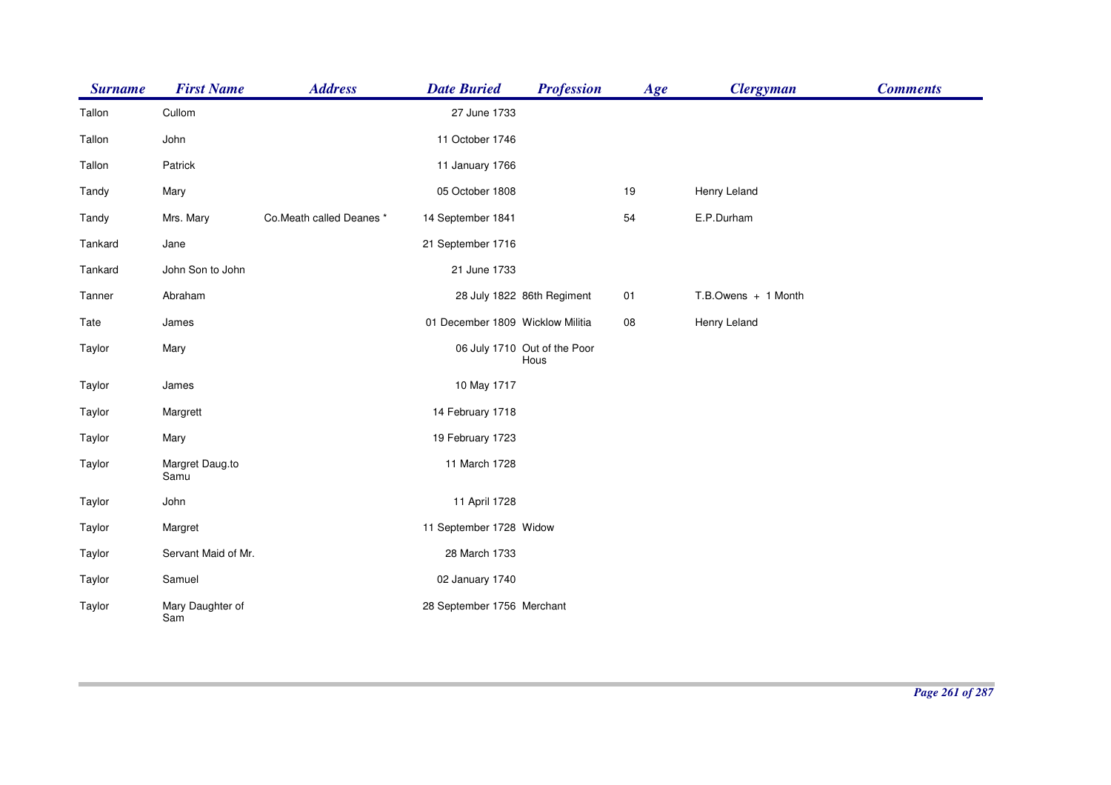| <b>Surname</b> | <b>First Name</b>       | <b>Address</b>           | <b>Date Buried</b>               | <b>Profession</b>                    | Age | <b>Clergyman</b>    | <b>Comments</b> |
|----------------|-------------------------|--------------------------|----------------------------------|--------------------------------------|-----|---------------------|-----------------|
| Tallon         | Cullom                  |                          | 27 June 1733                     |                                      |     |                     |                 |
| Tallon         | John                    |                          | 11 October 1746                  |                                      |     |                     |                 |
| Tallon         | Patrick                 |                          | 11 January 1766                  |                                      |     |                     |                 |
| Tandy          | Mary                    |                          | 05 October 1808                  |                                      | 19  | Henry Leland        |                 |
| Tandy          | Mrs. Mary               | Co.Meath called Deanes * | 14 September 1841                |                                      | 54  | E.P.Durham          |                 |
| Tankard        | Jane                    |                          | 21 September 1716                |                                      |     |                     |                 |
| Tankard        | John Son to John        |                          | 21 June 1733                     |                                      |     |                     |                 |
| Tanner         | Abraham                 |                          |                                  | 28 July 1822 86th Regiment           | 01  | T.B.Owens + 1 Month |                 |
| Tate           | James                   |                          | 01 December 1809 Wicklow Militia |                                      | 08  | Henry Leland        |                 |
| Taylor         | Mary                    |                          |                                  | 06 July 1710 Out of the Poor<br>Hous |     |                     |                 |
| Taylor         | James                   |                          | 10 May 1717                      |                                      |     |                     |                 |
| Taylor         | Margrett                |                          | 14 February 1718                 |                                      |     |                     |                 |
| Taylor         | Mary                    |                          | 19 February 1723                 |                                      |     |                     |                 |
| Taylor         | Margret Daug.to<br>Samu |                          | 11 March 1728                    |                                      |     |                     |                 |
| Taylor         | John                    |                          | 11 April 1728                    |                                      |     |                     |                 |
| Taylor         | Margret                 |                          | 11 September 1728 Widow          |                                      |     |                     |                 |
| Taylor         | Servant Maid of Mr.     |                          | 28 March 1733                    |                                      |     |                     |                 |
| Taylor         | Samuel                  |                          | 02 January 1740                  |                                      |     |                     |                 |
| Taylor         | Mary Daughter of<br>Sam |                          | 28 September 1756 Merchant       |                                      |     |                     |                 |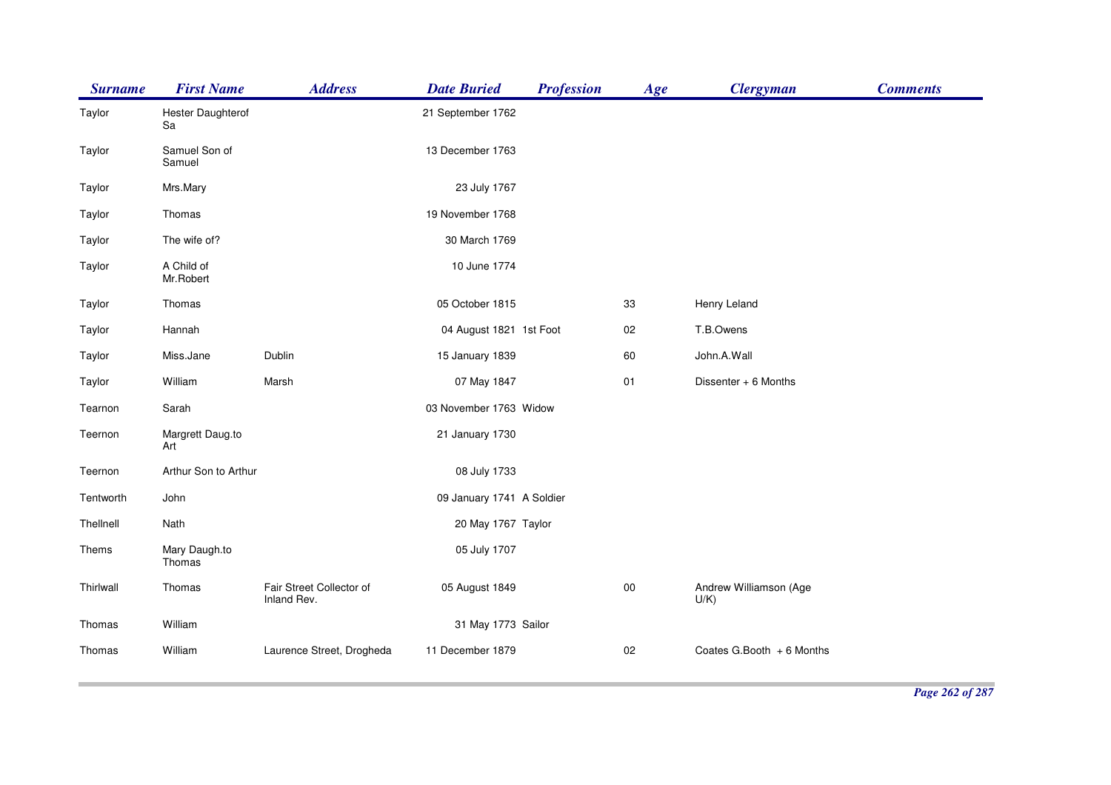| <b>Surname</b> | <b>First Name</b>       | <b>Address</b>                          | <b>Date Buried</b>        | <b>Profession</b> | Age    | <b>Clergyman</b>                  | <b>Comments</b> |
|----------------|-------------------------|-----------------------------------------|---------------------------|-------------------|--------|-----------------------------------|-----------------|
| Taylor         | Hester Daughterof<br>Sa |                                         | 21 September 1762         |                   |        |                                   |                 |
| Taylor         | Samuel Son of<br>Samuel |                                         | 13 December 1763          |                   |        |                                   |                 |
| Taylor         | Mrs.Mary                |                                         | 23 July 1767              |                   |        |                                   |                 |
| Taylor         | Thomas                  |                                         | 19 November 1768          |                   |        |                                   |                 |
| Taylor         | The wife of?            |                                         | 30 March 1769             |                   |        |                                   |                 |
| Taylor         | A Child of<br>Mr.Robert |                                         | 10 June 1774              |                   |        |                                   |                 |
| Taylor         | Thomas                  |                                         | 05 October 1815           |                   | 33     | Henry Leland                      |                 |
| Taylor         | Hannah                  |                                         | 04 August 1821 1st Foot   |                   | 02     | T.B.Owens                         |                 |
| Taylor         | Miss.Jane               | Dublin                                  | 15 January 1839           |                   | 60     | John.A.Wall                       |                 |
| Taylor         | William                 | Marsh                                   | 07 May 1847               |                   | 01     | Dissenter + 6 Months              |                 |
| Tearnon        | Sarah                   |                                         | 03 November 1763 Widow    |                   |        |                                   |                 |
| Teernon        | Margrett Daug.to<br>Art |                                         | 21 January 1730           |                   |        |                                   |                 |
| Teernon        | Arthur Son to Arthur    |                                         | 08 July 1733              |                   |        |                                   |                 |
| Tentworth      | John                    |                                         | 09 January 1741 A Soldier |                   |        |                                   |                 |
| Thellnell      | Nath                    |                                         | 20 May 1767 Taylor        |                   |        |                                   |                 |
| Thems          | Mary Daugh.to<br>Thomas |                                         | 05 July 1707              |                   |        |                                   |                 |
| Thirlwall      | Thomas                  | Fair Street Collector of<br>Inland Rev. | 05 August 1849            |                   | $00\,$ | Andrew Williamson (Age<br>$U/K$ ) |                 |
| Thomas         | William                 |                                         | 31 May 1773 Sailor        |                   |        |                                   |                 |
| Thomas         | William                 | Laurence Street, Drogheda               | 11 December 1879          |                   | 02     | Coates G.Booth + 6 Months         |                 |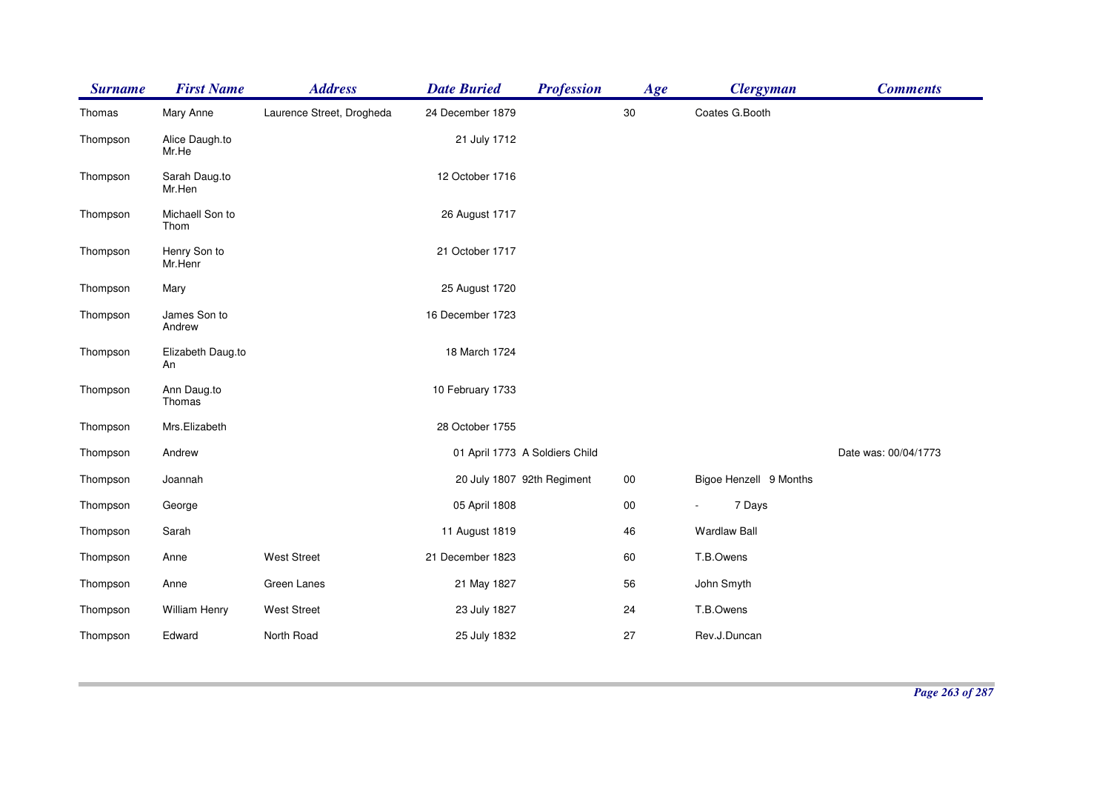| <b>Surname</b> | <b>First Name</b>       | <b>Address</b>            | <b>Date Buried</b>             | <b>Profession</b> | Age    | <b>Clergyman</b>       | <b>Comments</b>      |
|----------------|-------------------------|---------------------------|--------------------------------|-------------------|--------|------------------------|----------------------|
| Thomas         | Mary Anne               | Laurence Street, Drogheda | 24 December 1879               |                   | $30\,$ | Coates G.Booth         |                      |
| Thompson       | Alice Daugh.to<br>Mr.He |                           | 21 July 1712                   |                   |        |                        |                      |
| Thompson       | Sarah Daug.to<br>Mr.Hen |                           | 12 October 1716                |                   |        |                        |                      |
| Thompson       | Michaell Son to<br>Thom |                           | 26 August 1717                 |                   |        |                        |                      |
| Thompson       | Henry Son to<br>Mr.Henr |                           | 21 October 1717                |                   |        |                        |                      |
| Thompson       | Mary                    |                           | 25 August 1720                 |                   |        |                        |                      |
| Thompson       | James Son to<br>Andrew  |                           | 16 December 1723               |                   |        |                        |                      |
| Thompson       | Elizabeth Daug.to<br>An |                           | 18 March 1724                  |                   |        |                        |                      |
| Thompson       | Ann Daug.to<br>Thomas   |                           | 10 February 1733               |                   |        |                        |                      |
| Thompson       | Mrs.Elizabeth           |                           | 28 October 1755                |                   |        |                        |                      |
| Thompson       | Andrew                  |                           | 01 April 1773 A Soldiers Child |                   |        |                        | Date was: 00/04/1773 |
| Thompson       | Joannah                 |                           | 20 July 1807 92th Regiment     |                   | $00\,$ | Bigoe Henzell 9 Months |                      |
| Thompson       | George                  |                           | 05 April 1808                  |                   | $00\,$ | 7 Days                 |                      |
| Thompson       | Sarah                   |                           | 11 August 1819                 |                   | 46     | <b>Wardlaw Ball</b>    |                      |
| Thompson       | Anne                    | <b>West Street</b>        | 21 December 1823               |                   | 60     | T.B.Owens              |                      |
| Thompson       | Anne                    | Green Lanes               | 21 May 1827                    |                   | 56     | John Smyth             |                      |
| Thompson       | William Henry           | <b>West Street</b>        | 23 July 1827                   |                   | 24     | T.B.Owens              |                      |
| Thompson       | Edward                  | North Road                | 25 July 1832                   |                   | 27     | Rev.J.Duncan           |                      |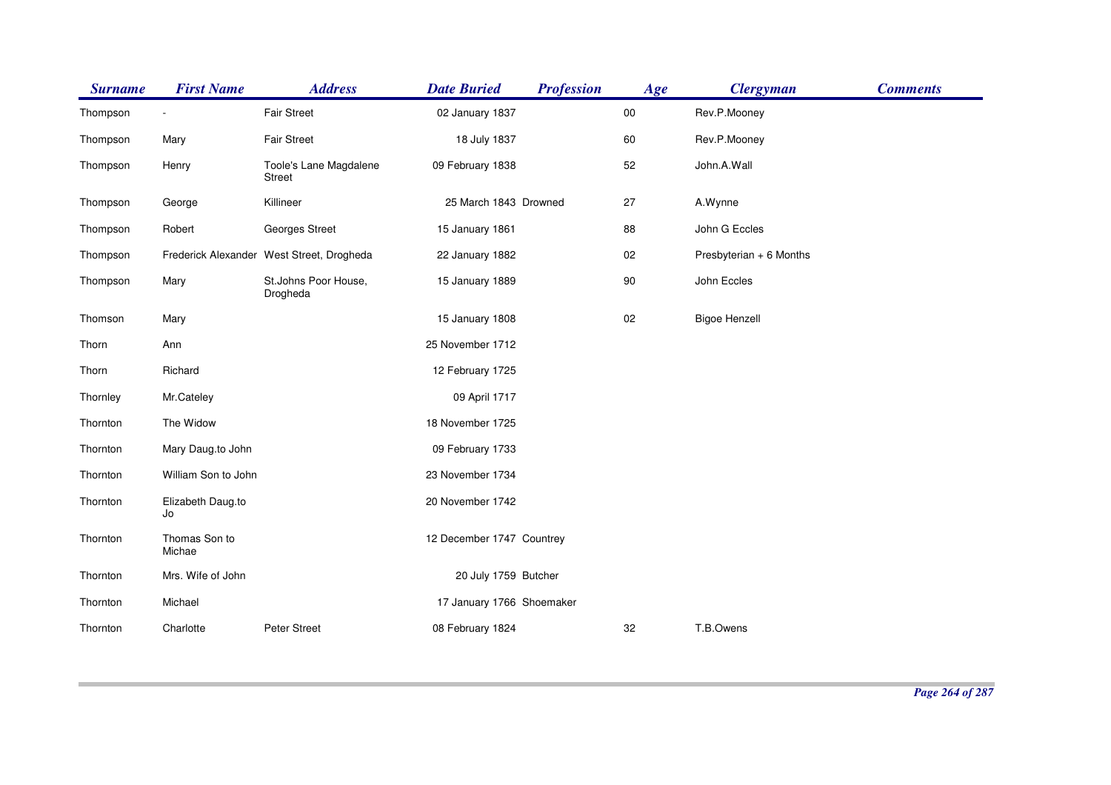| <b>Surname</b> | <b>First Name</b>       | <b>Address</b>                            | <b>Date Buried</b>        | <b>Profession</b> | Age    | <b>Clergyman</b>        | <b>Comments</b> |
|----------------|-------------------------|-------------------------------------------|---------------------------|-------------------|--------|-------------------------|-----------------|
| Thompson       |                         | <b>Fair Street</b>                        | 02 January 1837           |                   | $00\,$ | Rev.P.Mooney            |                 |
| Thompson       | Mary                    | <b>Fair Street</b>                        | 18 July 1837              |                   | 60     | Rev.P.Mooney            |                 |
| Thompson       | Henry                   | Toole's Lane Magdalene<br><b>Street</b>   | 09 February 1838          |                   | 52     | John.A.Wall             |                 |
| Thompson       | George                  | Killineer                                 | 25 March 1843 Drowned     |                   | 27     | A.Wynne                 |                 |
| Thompson       | Robert                  | Georges Street                            | 15 January 1861           |                   | 88     | John G Eccles           |                 |
| Thompson       |                         | Frederick Alexander West Street, Drogheda | 22 January 1882           |                   | 02     | Presbyterian + 6 Months |                 |
| Thompson       | Mary                    | St.Johns Poor House,<br>Drogheda          | 15 January 1889           |                   | 90     | John Eccles             |                 |
| Thomson        | Mary                    |                                           | 15 January 1808           |                   | 02     | <b>Bigoe Henzell</b>    |                 |
| Thorn          | Ann                     |                                           | 25 November 1712          |                   |        |                         |                 |
| Thorn          | Richard                 |                                           | 12 February 1725          |                   |        |                         |                 |
| Thornley       | Mr.Cateley              |                                           | 09 April 1717             |                   |        |                         |                 |
| Thornton       | The Widow               |                                           | 18 November 1725          |                   |        |                         |                 |
| Thornton       | Mary Daug.to John       |                                           | 09 February 1733          |                   |        |                         |                 |
| Thornton       | William Son to John     |                                           | 23 November 1734          |                   |        |                         |                 |
| Thornton       | Elizabeth Daug.to<br>Jo |                                           | 20 November 1742          |                   |        |                         |                 |
| Thornton       | Thomas Son to<br>Michae |                                           | 12 December 1747 Countrey |                   |        |                         |                 |
| Thornton       | Mrs. Wife of John       |                                           | 20 July 1759 Butcher      |                   |        |                         |                 |
| Thornton       | Michael                 |                                           | 17 January 1766 Shoemaker |                   |        |                         |                 |
| Thornton       | Charlotte               | Peter Street                              | 08 February 1824          |                   | 32     | T.B.Owens               |                 |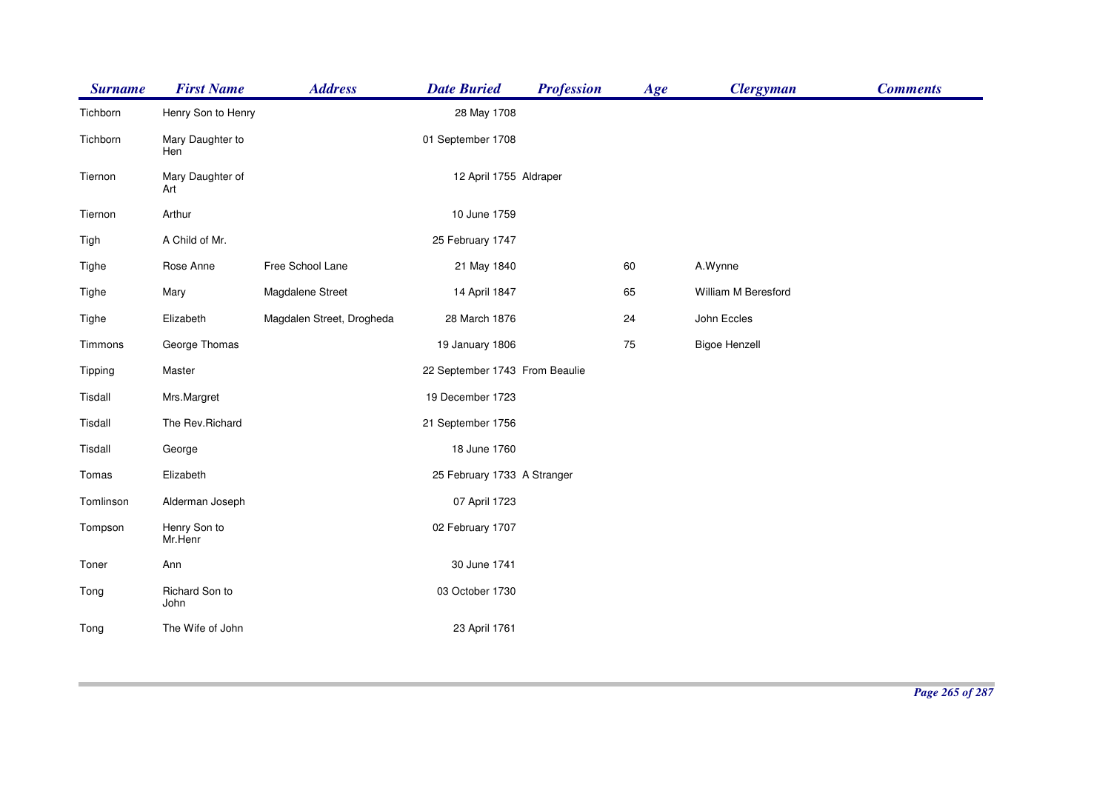| <b>Surname</b> | <b>First Name</b>       | <b>Address</b>            | <b>Date Buried</b>             | <b>Profession</b> | Age | <b>Clergyman</b>     | <b>Comments</b> |
|----------------|-------------------------|---------------------------|--------------------------------|-------------------|-----|----------------------|-----------------|
| Tichborn       | Henry Son to Henry      |                           | 28 May 1708                    |                   |     |                      |                 |
| Tichborn       | Mary Daughter to<br>Hen |                           | 01 September 1708              |                   |     |                      |                 |
| Tiernon        | Mary Daughter of<br>Art |                           | 12 April 1755 Aldraper         |                   |     |                      |                 |
| Tiernon        | Arthur                  |                           | 10 June 1759                   |                   |     |                      |                 |
| Tigh           | A Child of Mr.          |                           | 25 February 1747               |                   |     |                      |                 |
| Tighe          | Rose Anne               | Free School Lane          | 21 May 1840                    |                   | 60  | A.Wynne              |                 |
| Tighe          | Mary                    | Magdalene Street          | 14 April 1847                  |                   | 65  | William M Beresford  |                 |
| Tighe          | Elizabeth               | Magdalen Street, Drogheda | 28 March 1876                  |                   | 24  | John Eccles          |                 |
| Timmons        | George Thomas           |                           | 19 January 1806                |                   | 75  | <b>Bigoe Henzell</b> |                 |
| Tipping        | Master                  |                           | 22 September 1743 From Beaulie |                   |     |                      |                 |
| Tisdall        | Mrs.Margret             |                           | 19 December 1723               |                   |     |                      |                 |
| Tisdall        | The Rev.Richard         |                           | 21 September 1756              |                   |     |                      |                 |
| Tisdall        | George                  |                           | 18 June 1760                   |                   |     |                      |                 |
| Tomas          | Elizabeth               |                           | 25 February 1733 A Stranger    |                   |     |                      |                 |
| Tomlinson      | Alderman Joseph         |                           | 07 April 1723                  |                   |     |                      |                 |
| Tompson        | Henry Son to<br>Mr.Henr |                           | 02 February 1707               |                   |     |                      |                 |
| Toner          | Ann                     |                           | 30 June 1741                   |                   |     |                      |                 |
| Tong           | Richard Son to<br>John  |                           | 03 October 1730                |                   |     |                      |                 |
| Tong           | The Wife of John        |                           | 23 April 1761                  |                   |     |                      |                 |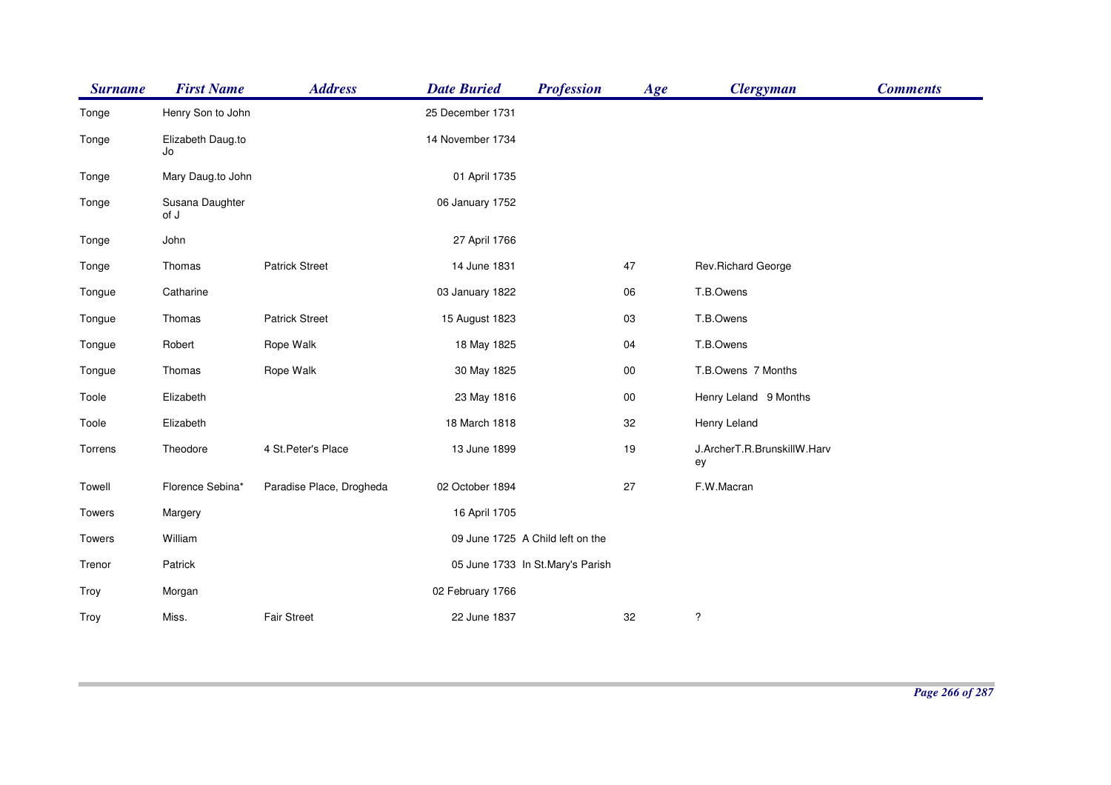| <b>Surname</b> | <b>First Name</b>       | <b>Address</b>           | <b>Date Buried</b> | <b>Profession</b>                | Age    | <b>Clergyman</b>                  | <b>Comments</b> |
|----------------|-------------------------|--------------------------|--------------------|----------------------------------|--------|-----------------------------------|-----------------|
| Tonge          | Henry Son to John       |                          | 25 December 1731   |                                  |        |                                   |                 |
| Tonge          | Elizabeth Daug.to<br>Jo |                          | 14 November 1734   |                                  |        |                                   |                 |
| Tonge          | Mary Daug.to John       |                          | 01 April 1735      |                                  |        |                                   |                 |
| Tonge          | Susana Daughter<br>of J |                          | 06 January 1752    |                                  |        |                                   |                 |
| Tonge          | John                    |                          | 27 April 1766      |                                  |        |                                   |                 |
| Tonge          | Thomas                  | <b>Patrick Street</b>    | 14 June 1831       |                                  | 47     | Rev.Richard George                |                 |
| Tongue         | Catharine               |                          | 03 January 1822    |                                  | 06     | T.B.Owens                         |                 |
| Tongue         | Thomas                  | <b>Patrick Street</b>    | 15 August 1823     |                                  | 03     | T.B.Owens                         |                 |
| Tongue         | Robert                  | Rope Walk                | 18 May 1825        |                                  | 04     | T.B.Owens                         |                 |
| Tongue         | Thomas                  | Rope Walk                | 30 May 1825        |                                  | $00\,$ | T.B.Owens 7 Months                |                 |
| Toole          | Elizabeth               |                          | 23 May 1816        |                                  | $00\,$ | Henry Leland 9 Months             |                 |
| Toole          | Elizabeth               |                          | 18 March 1818      |                                  | 32     | Henry Leland                      |                 |
| Torrens        | Theodore                | 4 St. Peter's Place      | 13 June 1899       |                                  | 19     | J.ArcherT.R.BrunskillW.Harv<br>ey |                 |
| Towell         | Florence Sebina*        | Paradise Place, Drogheda | 02 October 1894    |                                  | 27     | F.W.Macran                        |                 |
| Towers         | Margery                 |                          | 16 April 1705      |                                  |        |                                   |                 |
| Towers         | William                 |                          |                    | 09 June 1725 A Child left on the |        |                                   |                 |
| Trenor         | Patrick                 |                          |                    | 05 June 1733 In St.Mary's Parish |        |                                   |                 |
| Troy           | Morgan                  |                          | 02 February 1766   |                                  |        |                                   |                 |
| Troy           | Miss.                   | <b>Fair Street</b>       | 22 June 1837       |                                  | 32     | ?                                 |                 |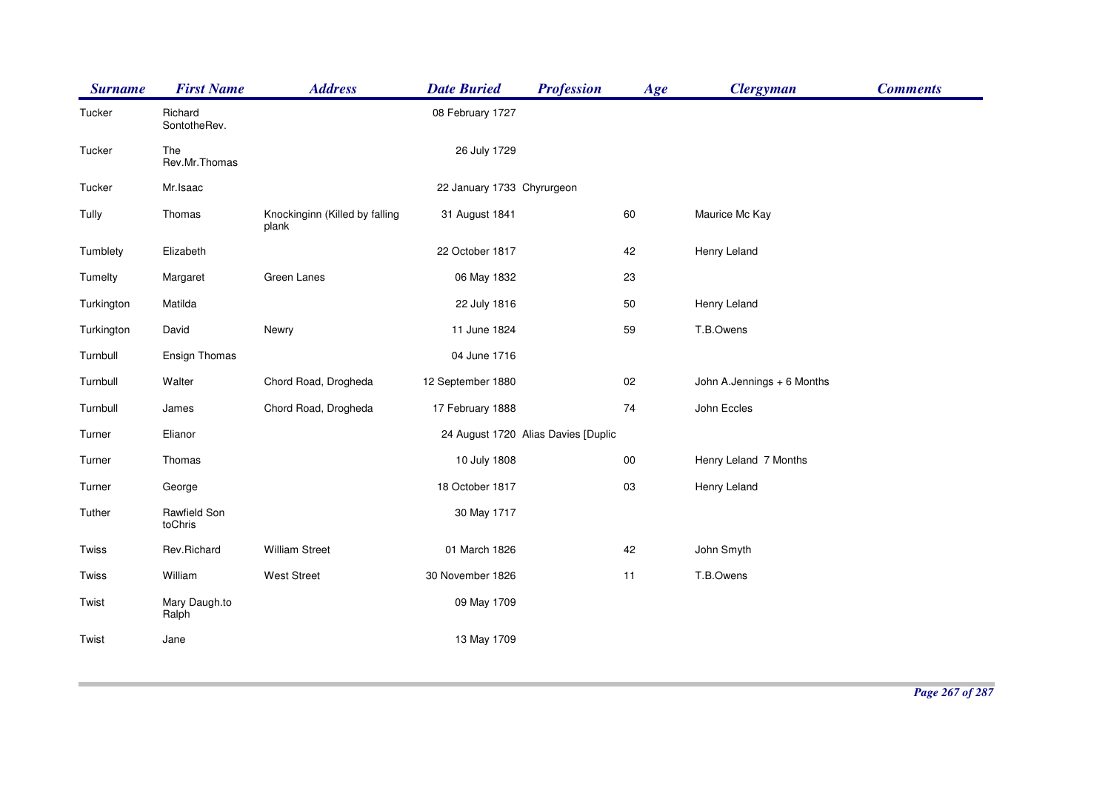| <b>Surname</b> | <b>First Name</b>       | <b>Address</b>                          | <b>Date Buried</b>         | <b>Profession</b>                   | Age    | <b>Clergyman</b>           | <b>Comments</b> |
|----------------|-------------------------|-----------------------------------------|----------------------------|-------------------------------------|--------|----------------------------|-----------------|
| Tucker         | Richard<br>SontotheRev. |                                         | 08 February 1727           |                                     |        |                            |                 |
| Tucker         | The<br>Rev.Mr.Thomas    |                                         | 26 July 1729               |                                     |        |                            |                 |
| Tucker         | Mr.Isaac                |                                         | 22 January 1733 Chyrurgeon |                                     |        |                            |                 |
| Tully          | Thomas                  | Knockinginn (Killed by falling<br>plank | 31 August 1841             |                                     | 60     | Maurice Mc Kay             |                 |
| Tumblety       | Elizabeth               |                                         | 22 October 1817            |                                     | 42     | Henry Leland               |                 |
| Tumelty        | Margaret                | Green Lanes                             | 06 May 1832                |                                     | 23     |                            |                 |
| Turkington     | Matilda                 |                                         | 22 July 1816               |                                     | 50     | Henry Leland               |                 |
| Turkington     | David                   | Newry                                   | 11 June 1824               |                                     | 59     | T.B.Owens                  |                 |
| Turnbull       | Ensign Thomas           |                                         | 04 June 1716               |                                     |        |                            |                 |
| Turnbull       | Walter                  | Chord Road, Drogheda                    | 12 September 1880          |                                     | 02     | John A.Jennings + 6 Months |                 |
| Turnbull       | James                   | Chord Road, Drogheda                    | 17 February 1888           |                                     | 74     | John Eccles                |                 |
| Turner         | Elianor                 |                                         |                            | 24 August 1720 Alias Davies [Duplic |        |                            |                 |
| Turner         | Thomas                  |                                         | 10 July 1808               |                                     | $00\,$ | Henry Leland 7 Months      |                 |
| Turner         | George                  |                                         | 18 October 1817            |                                     | 03     | Henry Leland               |                 |
| Tuther         | Rawfield Son<br>toChris |                                         | 30 May 1717                |                                     |        |                            |                 |
| Twiss          | Rev.Richard             | <b>William Street</b>                   | 01 March 1826              |                                     | 42     | John Smyth                 |                 |
| Twiss          | William                 | <b>West Street</b>                      | 30 November 1826           |                                     | 11     | T.B.Owens                  |                 |
| Twist          | Mary Daugh.to<br>Ralph  |                                         | 09 May 1709                |                                     |        |                            |                 |
| Twist          | Jane                    |                                         | 13 May 1709                |                                     |        |                            |                 |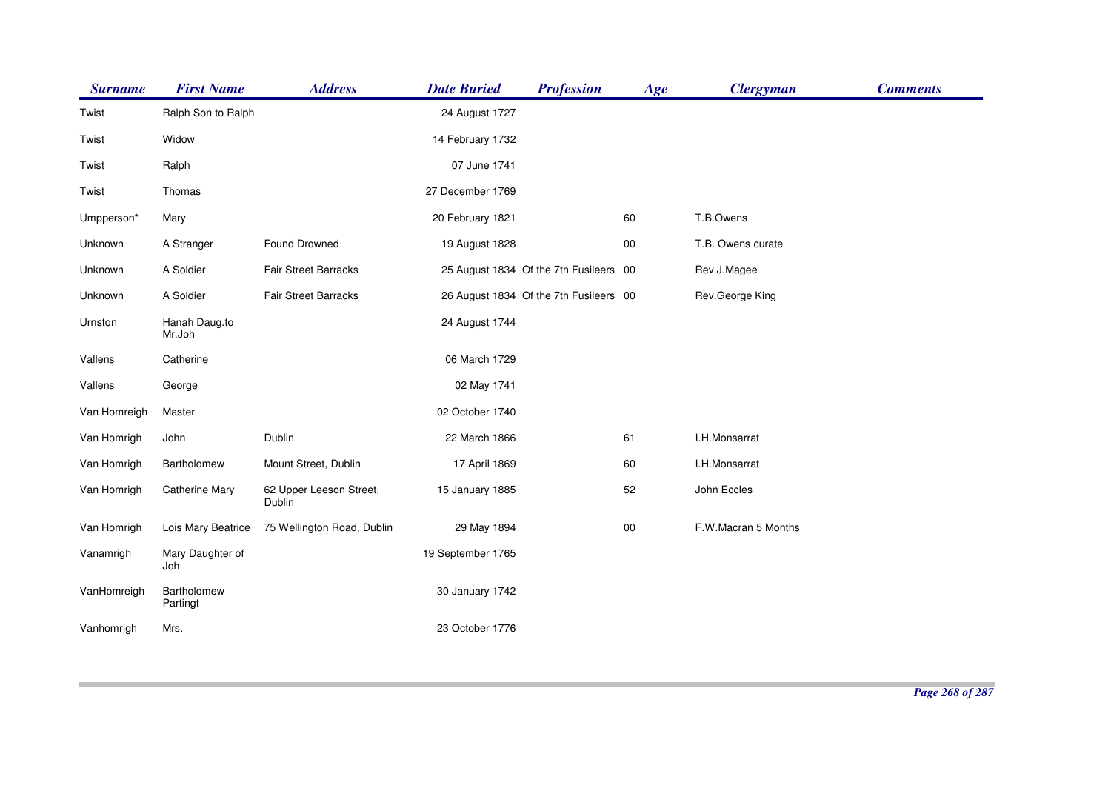| <b>Surname</b> | <b>First Name</b>       | <b>Address</b>                    | <b>Date Buried</b> | <b>Profession</b>                      | Age        | <b>Clergyman</b>    | <b>Comments</b> |
|----------------|-------------------------|-----------------------------------|--------------------|----------------------------------------|------------|---------------------|-----------------|
| Twist          | Ralph Son to Ralph      |                                   | 24 August 1727     |                                        |            |                     |                 |
| Twist          | Widow                   |                                   | 14 February 1732   |                                        |            |                     |                 |
| Twist          | Ralph                   |                                   | 07 June 1741       |                                        |            |                     |                 |
| Twist          | Thomas                  |                                   | 27 December 1769   |                                        |            |                     |                 |
| Umpperson*     | Mary                    |                                   | 20 February 1821   |                                        | 60         | T.B.Owens           |                 |
| Unknown        | A Stranger              | Found Drowned                     | 19 August 1828     |                                        | $00\,$     | T.B. Owens curate   |                 |
| Unknown        | A Soldier               | Fair Street Barracks              |                    | 25 August 1834 Of the 7th Fusileers 00 |            | Rev.J.Magee         |                 |
| Unknown        | A Soldier               | Fair Street Barracks              |                    | 26 August 1834 Of the 7th Fusileers 00 |            | Rev.George King     |                 |
| Urnston        | Hanah Daug.to<br>Mr.Joh |                                   | 24 August 1744     |                                        |            |                     |                 |
| Vallens        | Catherine               |                                   | 06 March 1729      |                                        |            |                     |                 |
| Vallens        | George                  |                                   | 02 May 1741        |                                        |            |                     |                 |
| Van Homreigh   | Master                  |                                   | 02 October 1740    |                                        |            |                     |                 |
| Van Homrigh    | John                    | Dublin                            | 22 March 1866      |                                        | 61         | I.H.Monsarrat       |                 |
| Van Homrigh    | Bartholomew             | Mount Street, Dublin              | 17 April 1869      |                                        | 60         | I.H.Monsarrat       |                 |
| Van Homrigh    | <b>Catherine Mary</b>   | 62 Upper Leeson Street,<br>Dublin | 15 January 1885    |                                        | 52         | John Eccles         |                 |
| Van Homrigh    | Lois Mary Beatrice      | 75 Wellington Road, Dublin        | 29 May 1894        |                                        | ${\bf 00}$ | F.W.Macran 5 Months |                 |
| Vanamrigh      | Mary Daughter of<br>Joh |                                   | 19 September 1765  |                                        |            |                     |                 |
| VanHomreigh    | Bartholomew<br>Partingt |                                   | 30 January 1742    |                                        |            |                     |                 |
| Vanhomrigh     | Mrs.                    |                                   | 23 October 1776    |                                        |            |                     |                 |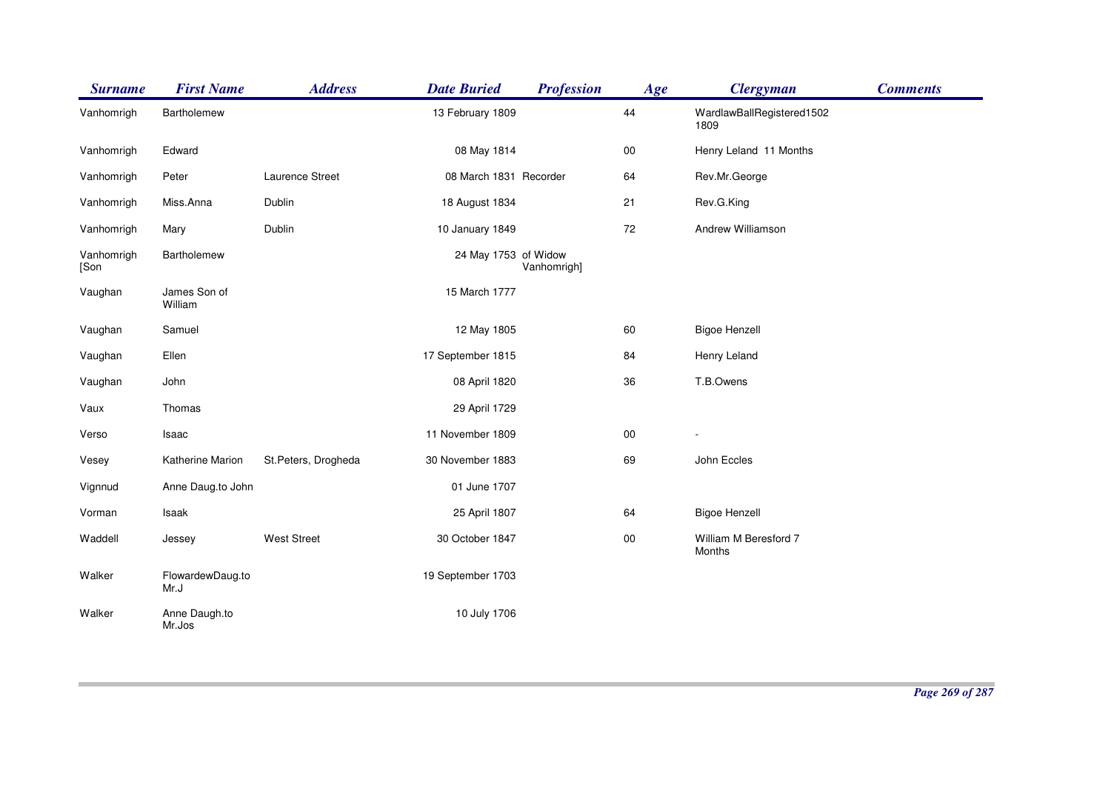| <b>Surname</b>     | <b>First Name</b>        | <b>Address</b>      | <b>Date Buried</b>     | <b>Profession</b> | Age        | <b>Clergyman</b>                  | <b>Comments</b> |
|--------------------|--------------------------|---------------------|------------------------|-------------------|------------|-----------------------------------|-----------------|
| Vanhomrigh         | Bartholemew              |                     | 13 February 1809       |                   | 44         | WardlawBallRegistered1502<br>1809 |                 |
| Vanhomrigh         | Edward                   |                     | 08 May 1814            |                   | $00\,$     | Henry Leland 11 Months            |                 |
| Vanhomrigh         | Peter                    | Laurence Street     | 08 March 1831 Recorder |                   | 64         | Rev.Mr.George                     |                 |
| Vanhomrigh         | Miss.Anna                | Dublin              | 18 August 1834         |                   | 21         | Rev.G.King                        |                 |
| Vanhomrigh         | Mary                     | Dublin              | 10 January 1849        |                   | 72         | Andrew Williamson                 |                 |
| Vanhomrigh<br>[Son | Bartholemew              |                     | 24 May 1753 of Widow   | Vanhomrigh]       |            |                                   |                 |
| Vaughan            | James Son of<br>William  |                     | 15 March 1777          |                   |            |                                   |                 |
| Vaughan            | Samuel                   |                     | 12 May 1805            |                   | 60         | <b>Bigoe Henzell</b>              |                 |
| Vaughan            | Ellen                    |                     | 17 September 1815      |                   | 84         | Henry Leland                      |                 |
| Vaughan            | John                     |                     | 08 April 1820          |                   | 36         | T.B.Owens                         |                 |
| Vaux               | Thomas                   |                     | 29 April 1729          |                   |            |                                   |                 |
| Verso              | Isaac                    |                     | 11 November 1809       |                   | $00\,$     |                                   |                 |
| Vesey              | Katherine Marion         | St.Peters, Drogheda | 30 November 1883       |                   | 69         | John Eccles                       |                 |
| Vignnud            | Anne Daug.to John        |                     | 01 June 1707           |                   |            |                                   |                 |
| Vorman             | Isaak                    |                     | 25 April 1807          |                   | 64         | <b>Bigoe Henzell</b>              |                 |
| Waddell            | Jessey                   | <b>West Street</b>  | 30 October 1847        |                   | ${\bf 00}$ | William M Beresford 7<br>Months   |                 |
| Walker             | FlowardewDaug.to<br>Mr.J |                     | 19 September 1703      |                   |            |                                   |                 |
| Walker             | Anne Daugh.to<br>Mr.Jos  |                     | 10 July 1706           |                   |            |                                   |                 |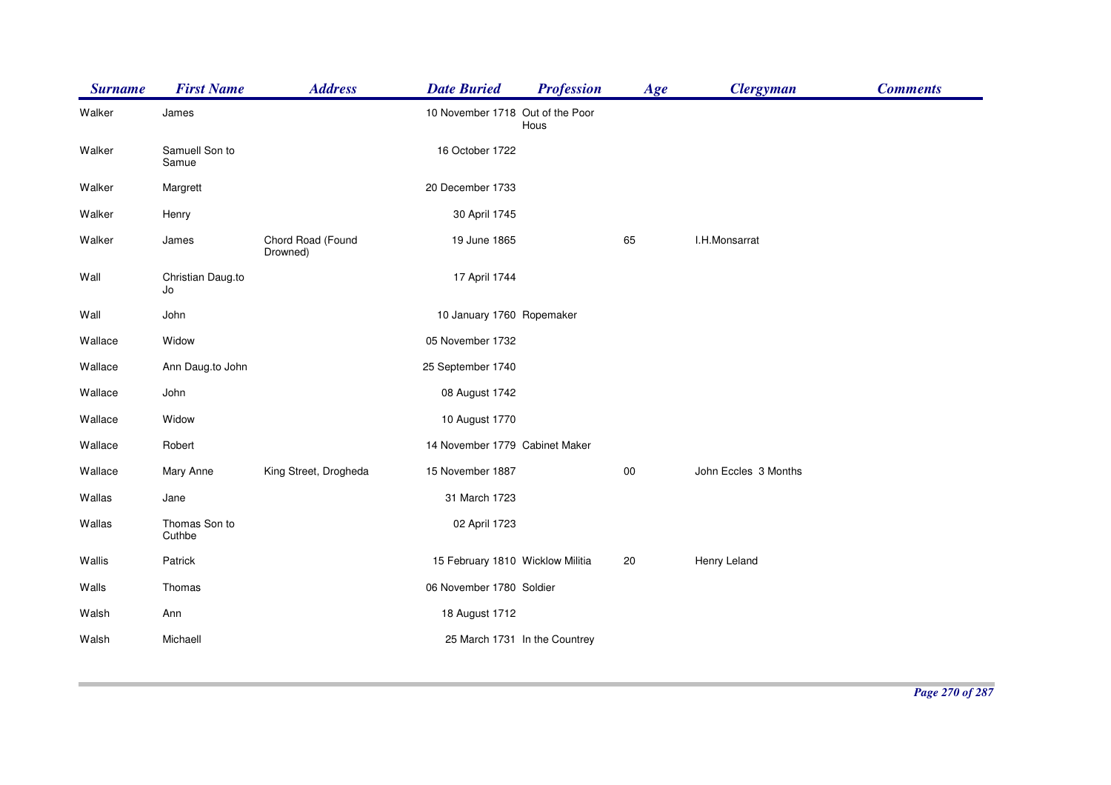| <b>Surname</b> | <b>First Name</b>       | <b>Address</b>                | <b>Date Buried</b>               | <b>Profession</b>             | Age    | <b>Clergyman</b>     | <b>Comments</b> |
|----------------|-------------------------|-------------------------------|----------------------------------|-------------------------------|--------|----------------------|-----------------|
| Walker         | James                   |                               | 10 November 1718 Out of the Poor | Hous                          |        |                      |                 |
| Walker         | Samuell Son to<br>Samue |                               | 16 October 1722                  |                               |        |                      |                 |
| Walker         | Margrett                |                               | 20 December 1733                 |                               |        |                      |                 |
| Walker         | Henry                   |                               | 30 April 1745                    |                               |        |                      |                 |
| Walker         | James                   | Chord Road (Found<br>Drowned) | 19 June 1865                     |                               | 65     | I.H.Monsarrat        |                 |
| Wall           | Christian Daug.to<br>Jo |                               | 17 April 1744                    |                               |        |                      |                 |
| Wall           | John                    |                               | 10 January 1760 Ropemaker        |                               |        |                      |                 |
| Wallace        | Widow                   |                               | 05 November 1732                 |                               |        |                      |                 |
| Wallace        | Ann Daug.to John        |                               | 25 September 1740                |                               |        |                      |                 |
| Wallace        | John                    |                               | 08 August 1742                   |                               |        |                      |                 |
| Wallace        | Widow                   |                               | 10 August 1770                   |                               |        |                      |                 |
| Wallace        | Robert                  |                               | 14 November 1779 Cabinet Maker   |                               |        |                      |                 |
| Wallace        | Mary Anne               | King Street, Drogheda         | 15 November 1887                 |                               | $00\,$ | John Eccles 3 Months |                 |
| Wallas         | Jane                    |                               | 31 March 1723                    |                               |        |                      |                 |
| Wallas         | Thomas Son to<br>Cuthbe |                               | 02 April 1723                    |                               |        |                      |                 |
| Wallis         | Patrick                 |                               | 15 February 1810 Wicklow Militia |                               | 20     | Henry Leland         |                 |
| Walls          | Thomas                  |                               | 06 November 1780 Soldier         |                               |        |                      |                 |
| Walsh          | Ann                     |                               | 18 August 1712                   |                               |        |                      |                 |
| Walsh          | Michaell                |                               |                                  | 25 March 1731 In the Countrey |        |                      |                 |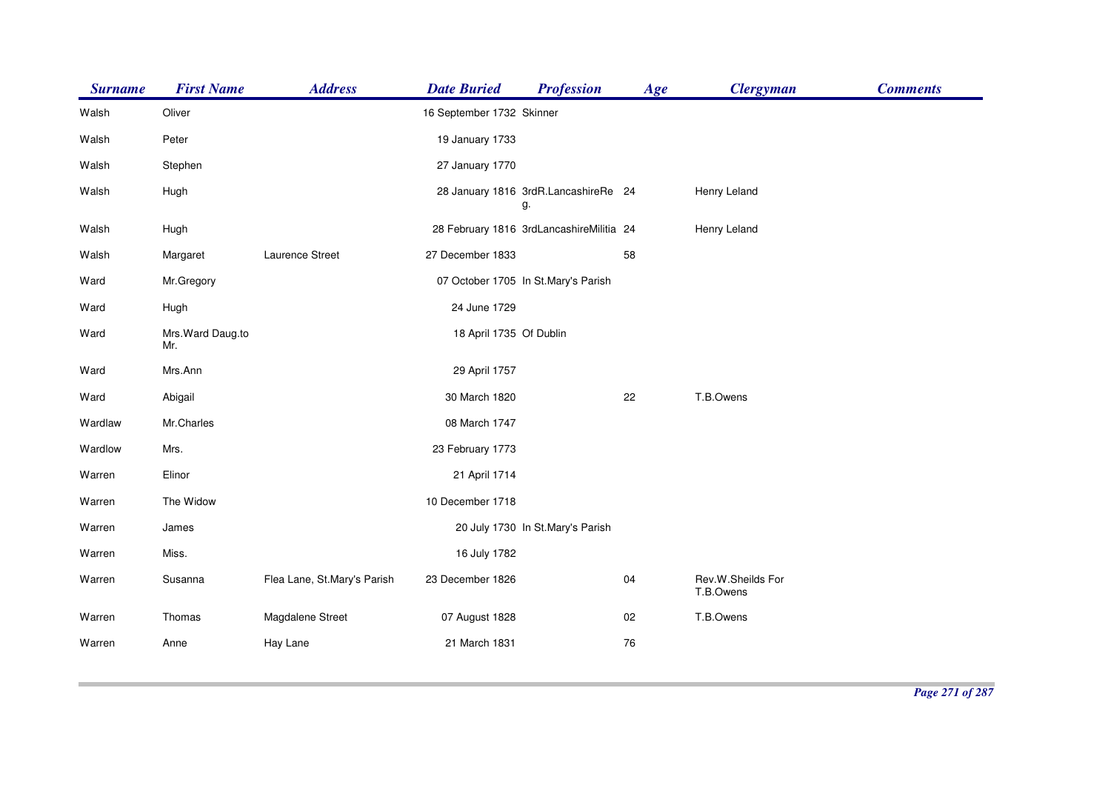| <b>Surname</b> | <b>First Name</b>        | <b>Address</b>              | <b>Date Buried</b>        | <b>Profession</b>                          | Age | <b>Clergyman</b>               | <b>Comments</b> |
|----------------|--------------------------|-----------------------------|---------------------------|--------------------------------------------|-----|--------------------------------|-----------------|
| Walsh          | Oliver                   |                             | 16 September 1732 Skinner |                                            |     |                                |                 |
| Walsh          | Peter                    |                             | 19 January 1733           |                                            |     |                                |                 |
| Walsh          | Stephen                  |                             | 27 January 1770           |                                            |     |                                |                 |
| Walsh          | Hugh                     |                             |                           | 28 January 1816 3rdR.LancashireRe 24<br>g. |     | Henry Leland                   |                 |
| Walsh          | Hugh                     |                             |                           | 28 February 1816 3rdLancashireMilitia 24   |     | Henry Leland                   |                 |
| Walsh          | Margaret                 | Laurence Street             | 27 December 1833          |                                            | 58  |                                |                 |
| Ward           | Mr.Gregory               |                             |                           | 07 October 1705 In St.Mary's Parish        |     |                                |                 |
| Ward           | Hugh                     |                             | 24 June 1729              |                                            |     |                                |                 |
| Ward           | Mrs. Ward Daug.to<br>Mr. |                             | 18 April 1735 Of Dublin   |                                            |     |                                |                 |
| Ward           | Mrs.Ann                  |                             | 29 April 1757             |                                            |     |                                |                 |
| Ward           | Abigail                  |                             | 30 March 1820             |                                            | 22  | T.B.Owens                      |                 |
| Wardlaw        | Mr.Charles               |                             | 08 March 1747             |                                            |     |                                |                 |
| Wardlow        | Mrs.                     |                             | 23 February 1773          |                                            |     |                                |                 |
| Warren         | Elinor                   |                             | 21 April 1714             |                                            |     |                                |                 |
| Warren         | The Widow                |                             | 10 December 1718          |                                            |     |                                |                 |
| Warren         | James                    |                             |                           | 20 July 1730 In St.Mary's Parish           |     |                                |                 |
| Warren         | Miss.                    |                             | 16 July 1782              |                                            |     |                                |                 |
| Warren         | Susanna                  | Flea Lane, St.Mary's Parish | 23 December 1826          |                                            | 04  | Rev.W.Sheilds For<br>T.B.Owens |                 |
| Warren         | Thomas                   | Magdalene Street            | 07 August 1828            |                                            | 02  | T.B.Owens                      |                 |
| Warren         | Anne                     | Hay Lane                    | 21 March 1831             |                                            | 76  |                                |                 |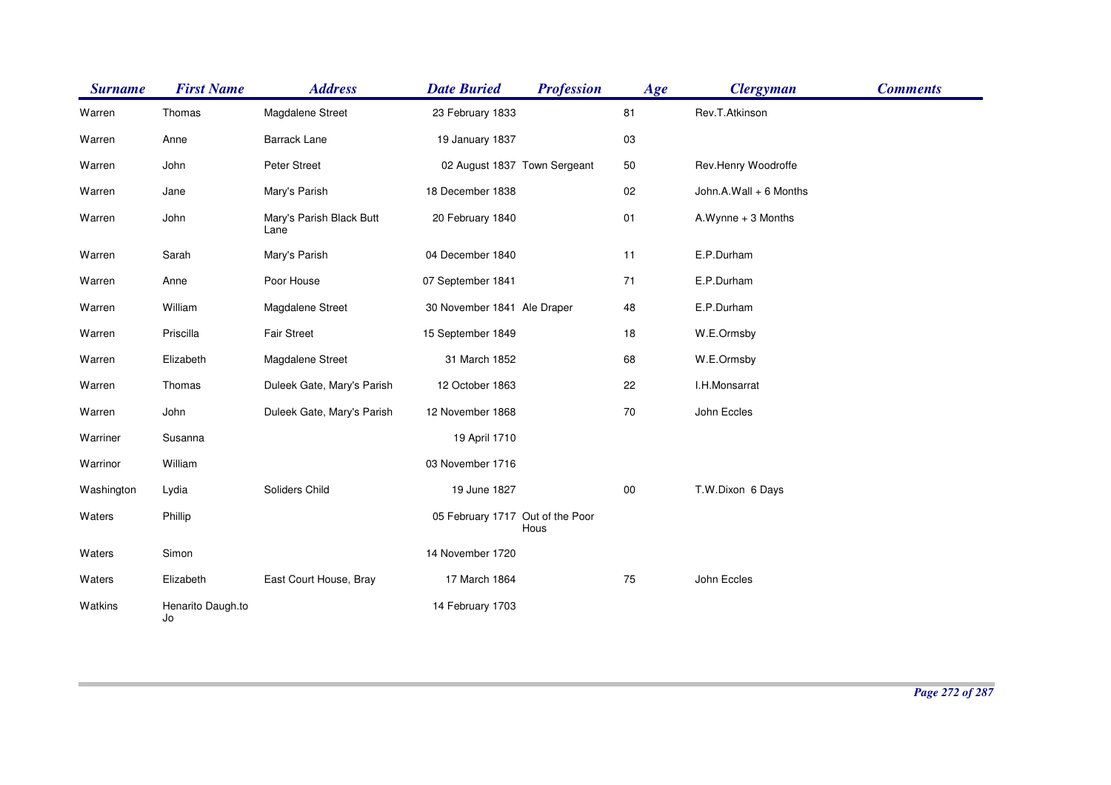| <b>Surname</b> | <b>First Name</b>       | <b>Address</b>                   | <b>Date Buried</b>               | <b>Profession</b>            | Age    | <b>Clergyman</b>       | <b>Comments</b> |
|----------------|-------------------------|----------------------------------|----------------------------------|------------------------------|--------|------------------------|-----------------|
| Warren         | Thomas                  | Magdalene Street                 | 23 February 1833                 |                              | 81     | Rev.T.Atkinson         |                 |
| Warren         | Anne                    | <b>Barrack Lane</b>              | 19 January 1837                  |                              | 03     |                        |                 |
| Warren         | John                    | Peter Street                     |                                  | 02 August 1837 Town Sergeant | 50     | Rev.Henry Woodroffe    |                 |
| Warren         | Jane                    | Mary's Parish                    | 18 December 1838                 |                              | 02     | John.A.Wall + 6 Months |                 |
| Warren         | John                    | Mary's Parish Black Butt<br>Lane | 20 February 1840                 |                              | 01     | A.Wynne + 3 Months     |                 |
| Warren         | Sarah                   | Mary's Parish                    | 04 December 1840                 |                              | 11     | E.P.Durham             |                 |
| Warren         | Anne                    | Poor House                       | 07 September 1841                |                              | 71     | E.P.Durham             |                 |
| Warren         | William                 | Magdalene Street                 | 30 November 1841 Ale Draper      |                              | 48     | E.P.Durham             |                 |
| Warren         | Priscilla               | <b>Fair Street</b>               | 15 September 1849                |                              | 18     | W.E.Ormsby             |                 |
| Warren         | Elizabeth               | Magdalene Street                 | 31 March 1852                    |                              | 68     | W.E.Ormsby             |                 |
| Warren         | Thomas                  | Duleek Gate, Mary's Parish       | 12 October 1863                  |                              | 22     | I.H.Monsarrat          |                 |
| Warren         | John                    | Duleek Gate, Mary's Parish       | 12 November 1868                 |                              | $70\,$ | John Eccles            |                 |
| Warriner       | Susanna                 |                                  | 19 April 1710                    |                              |        |                        |                 |
| Warrinor       | William                 |                                  | 03 November 1716                 |                              |        |                        |                 |
| Washington     | Lydia                   | Soliders Child                   | 19 June 1827                     |                              | $00\,$ | T.W.Dixon 6 Days       |                 |
| Waters         | Phillip                 |                                  | 05 February 1717 Out of the Poor | Hous                         |        |                        |                 |
| Waters         | Simon                   |                                  | 14 November 1720                 |                              |        |                        |                 |
| Waters         | Elizabeth               | East Court House, Bray           | 17 March 1864                    |                              | 75     | John Eccles            |                 |
| Watkins        | Henarito Daugh.to<br>Jo |                                  | 14 February 1703                 |                              |        |                        |                 |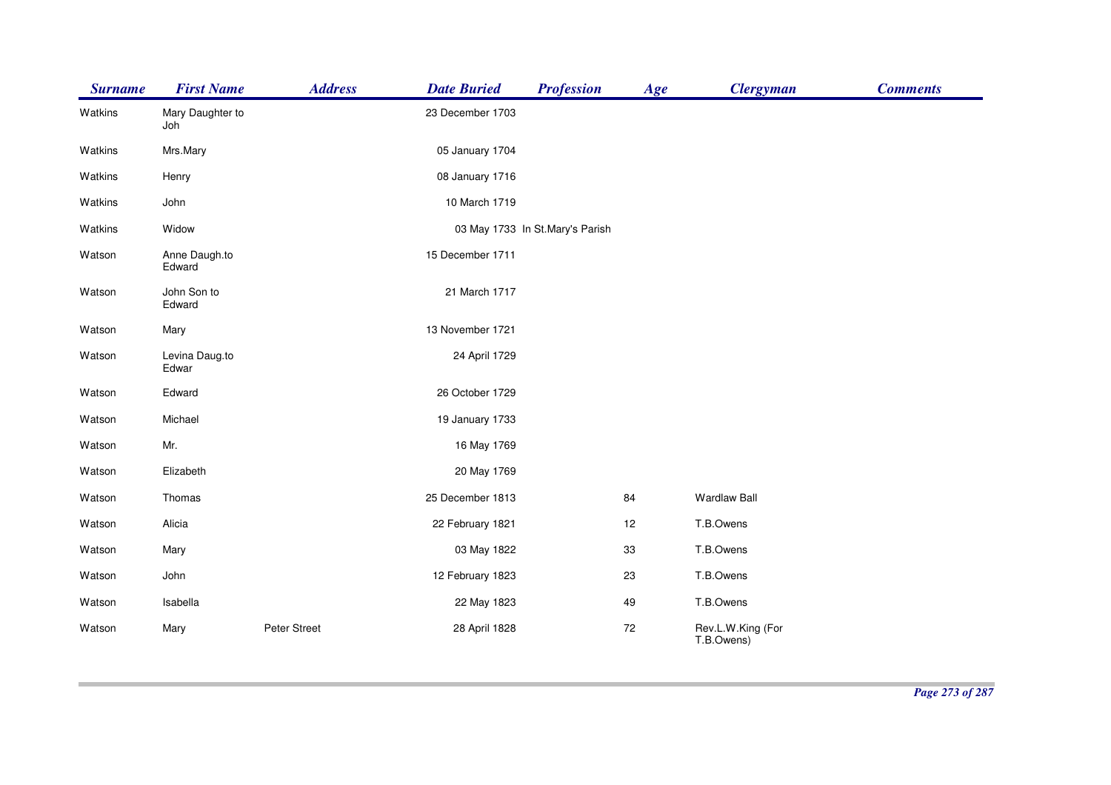| <b>Surname</b> | <b>First Name</b>       | <b>Address</b> | <b>Date Buried</b> | <b>Profession</b>               | Age | <b>Clergyman</b>                | <b>Comments</b> |
|----------------|-------------------------|----------------|--------------------|---------------------------------|-----|---------------------------------|-----------------|
| Watkins        | Mary Daughter to<br>Joh |                | 23 December 1703   |                                 |     |                                 |                 |
| Watkins        | Mrs.Mary                |                | 05 January 1704    |                                 |     |                                 |                 |
| Watkins        | Henry                   |                | 08 January 1716    |                                 |     |                                 |                 |
| Watkins        | John                    |                | 10 March 1719      |                                 |     |                                 |                 |
| Watkins        | Widow                   |                |                    | 03 May 1733 In St.Mary's Parish |     |                                 |                 |
| Watson         | Anne Daugh.to<br>Edward |                | 15 December 1711   |                                 |     |                                 |                 |
| Watson         | John Son to<br>Edward   |                | 21 March 1717      |                                 |     |                                 |                 |
| Watson         | Mary                    |                | 13 November 1721   |                                 |     |                                 |                 |
| Watson         | Levina Daug.to<br>Edwar |                | 24 April 1729      |                                 |     |                                 |                 |
| Watson         | Edward                  |                | 26 October 1729    |                                 |     |                                 |                 |
| Watson         | Michael                 |                | 19 January 1733    |                                 |     |                                 |                 |
| Watson         | Mr.                     |                | 16 May 1769        |                                 |     |                                 |                 |
| Watson         | Elizabeth               |                | 20 May 1769        |                                 |     |                                 |                 |
| Watson         | Thomas                  |                | 25 December 1813   |                                 | 84  | <b>Wardlaw Ball</b>             |                 |
| Watson         | Alicia                  |                | 22 February 1821   |                                 | 12  | T.B.Owens                       |                 |
| Watson         | Mary                    |                | 03 May 1822        |                                 | 33  | T.B.Owens                       |                 |
| Watson         | John                    |                | 12 February 1823   |                                 | 23  | T.B.Owens                       |                 |
| Watson         | Isabella                |                | 22 May 1823        |                                 | 49  | T.B.Owens                       |                 |
| Watson         | Mary                    | Peter Street   | 28 April 1828      |                                 | 72  | Rev.L.W.King (For<br>T.B.Owens) |                 |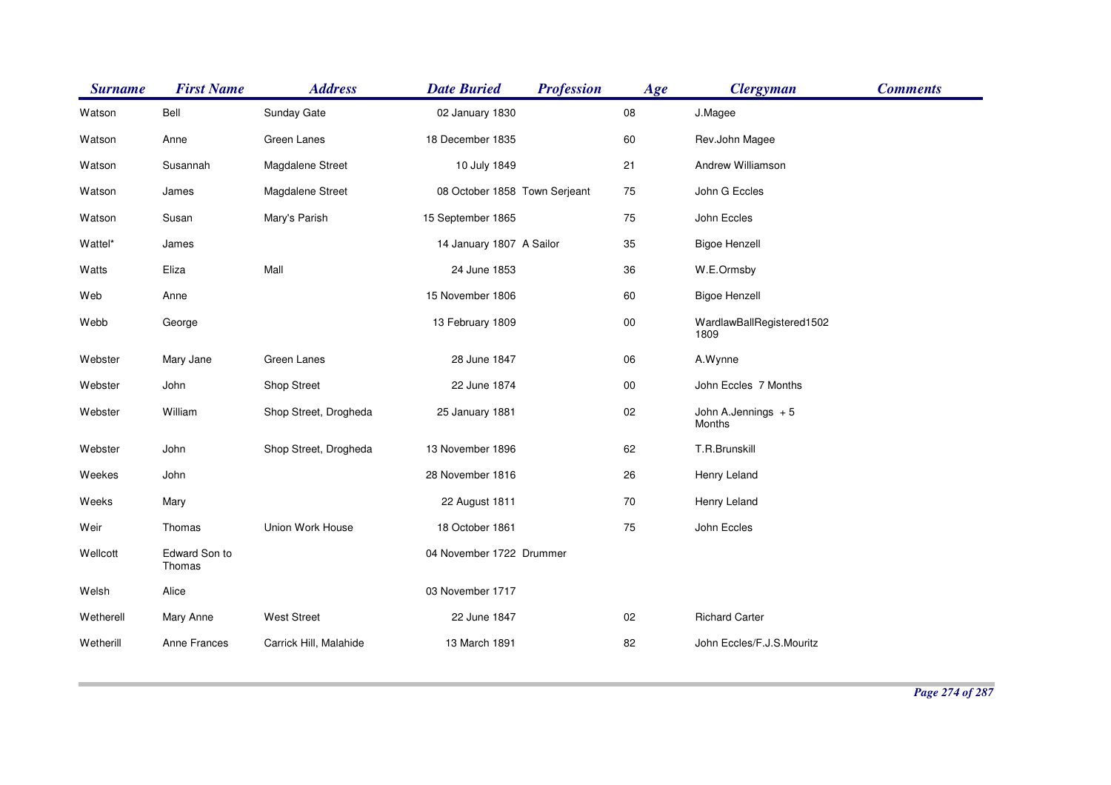| <b>Surname</b> | <b>First Name</b>       | <b>Address</b>         | <b>Date Buried</b>            | <b>Profession</b> | Age        | <b>Clergyman</b>                  | <b>Comments</b> |
|----------------|-------------------------|------------------------|-------------------------------|-------------------|------------|-----------------------------------|-----------------|
| Watson         | Bell                    | Sunday Gate            | 02 January 1830               |                   | ${\bf 08}$ | J.Magee                           |                 |
| Watson         | Anne                    | Green Lanes            | 18 December 1835              |                   | 60         | Rev.John Magee                    |                 |
| Watson         | Susannah                | Magdalene Street       | 10 July 1849                  |                   | 21         | Andrew Williamson                 |                 |
| Watson         | James                   | Magdalene Street       | 08 October 1858 Town Serjeant |                   | 75         | John G Eccles                     |                 |
| Watson         | Susan                   | Mary's Parish          | 15 September 1865             |                   | 75         | John Eccles                       |                 |
| Wattel*        | James                   |                        | 14 January 1807 A Sailor      |                   | 35         | <b>Bigoe Henzell</b>              |                 |
| Watts          | Eliza                   | Mall                   | 24 June 1853                  |                   | 36         | W.E.Ormsby                        |                 |
| Web            | Anne                    |                        | 15 November 1806              |                   | 60         | <b>Bigoe Henzell</b>              |                 |
| Webb           | George                  |                        | 13 February 1809              |                   | ${\bf 00}$ | WardlawBallRegistered1502<br>1809 |                 |
| Webster        | Mary Jane               | Green Lanes            | 28 June 1847                  |                   | 06         | A.Wynne                           |                 |
| Webster        | John                    | Shop Street            | 22 June 1874                  |                   | ${\bf 00}$ | John Eccles 7 Months              |                 |
| Webster        | William                 | Shop Street, Drogheda  | 25 January 1881               |                   | 02         | John A.Jennings + 5<br>Months     |                 |
| Webster        | John                    | Shop Street, Drogheda  | 13 November 1896              |                   | 62         | T.R.Brunskill                     |                 |
| Weekes         | John                    |                        | 28 November 1816              |                   | 26         | Henry Leland                      |                 |
| Weeks          | Mary                    |                        | 22 August 1811                |                   | 70         | Henry Leland                      |                 |
| Weir           | Thomas                  | Union Work House       | 18 October 1861               |                   | 75         | John Eccles                       |                 |
| Wellcott       | Edward Son to<br>Thomas |                        | 04 November 1722 Drummer      |                   |            |                                   |                 |
| Welsh          | Alice                   |                        | 03 November 1717              |                   |            |                                   |                 |
| Wetherell      | Mary Anne               | <b>West Street</b>     | 22 June 1847                  |                   | 02         | <b>Richard Carter</b>             |                 |
| Wetherill      | Anne Frances            | Carrick Hill, Malahide | 13 March 1891                 |                   | 82         | John Eccles/F.J.S.Mouritz         |                 |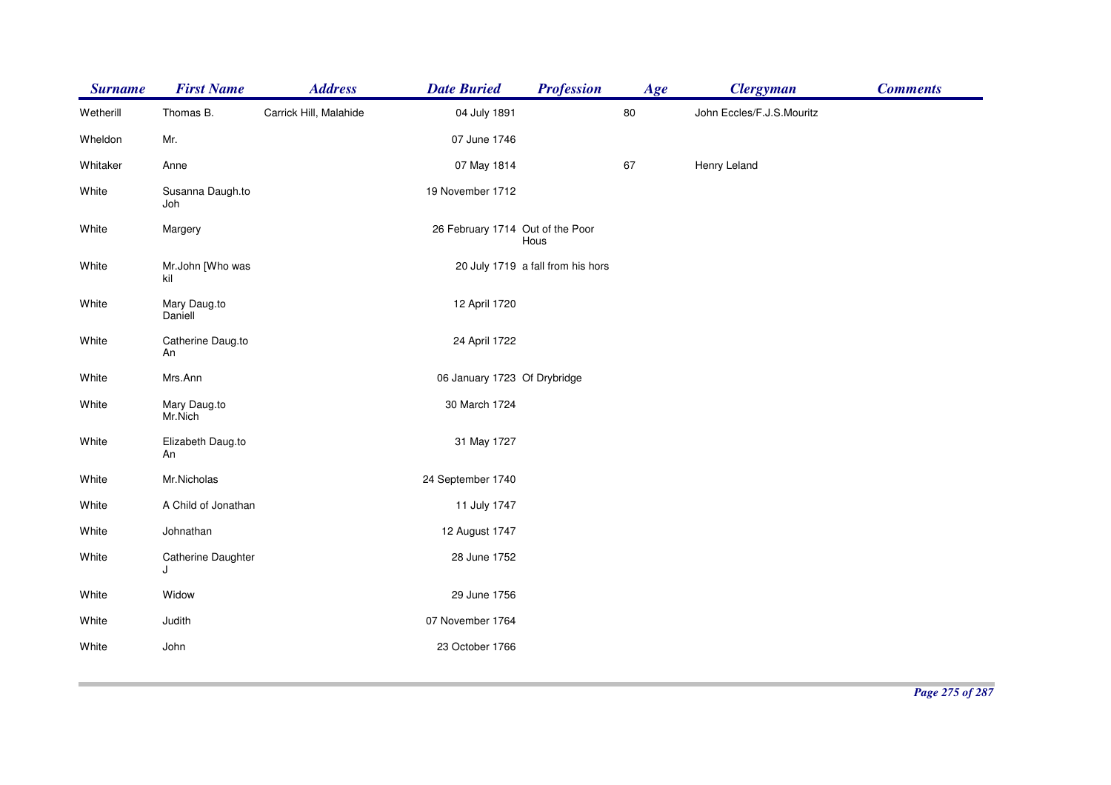| <b>Surname</b> | <b>First Name</b>        | <b>Address</b>         | <b>Date Buried</b>               | <b>Profession</b>                 | Age    | <b>Clergyman</b>          | <b>Comments</b> |
|----------------|--------------------------|------------------------|----------------------------------|-----------------------------------|--------|---------------------------|-----------------|
| Wetherill      | Thomas B.                | Carrick Hill, Malahide | 04 July 1891                     |                                   | $80\,$ | John Eccles/F.J.S.Mouritz |                 |
| Wheldon        | Mr.                      |                        | 07 June 1746                     |                                   |        |                           |                 |
| Whitaker       | Anne                     |                        | 07 May 1814                      |                                   | 67     | Henry Leland              |                 |
| White          | Susanna Daugh.to<br>Joh  |                        | 19 November 1712                 |                                   |        |                           |                 |
| White          | Margery                  |                        | 26 February 1714 Out of the Poor | Hous                              |        |                           |                 |
| White          | Mr.John [Who was<br>kil  |                        |                                  | 20 July 1719 a fall from his hors |        |                           |                 |
| White          | Mary Daug.to<br>Daniell  |                        | 12 April 1720                    |                                   |        |                           |                 |
| White          | Catherine Daug.to<br>An  |                        | 24 April 1722                    |                                   |        |                           |                 |
| White          | Mrs.Ann                  |                        | 06 January 1723 Of Drybridge     |                                   |        |                           |                 |
| White          | Mary Daug.to<br>Mr.Nich  |                        | 30 March 1724                    |                                   |        |                           |                 |
| White          | Elizabeth Daug.to<br>An  |                        | 31 May 1727                      |                                   |        |                           |                 |
| White          | Mr.Nicholas              |                        | 24 September 1740                |                                   |        |                           |                 |
| White          | A Child of Jonathan      |                        | 11 July 1747                     |                                   |        |                           |                 |
| White          | Johnathan                |                        | 12 August 1747                   |                                   |        |                           |                 |
| White          | Catherine Daughter<br>۱. |                        | 28 June 1752                     |                                   |        |                           |                 |
| White          | Widow                    |                        | 29 June 1756                     |                                   |        |                           |                 |
| White          | Judith                   |                        | 07 November 1764                 |                                   |        |                           |                 |
| White          | John                     |                        | 23 October 1766                  |                                   |        |                           |                 |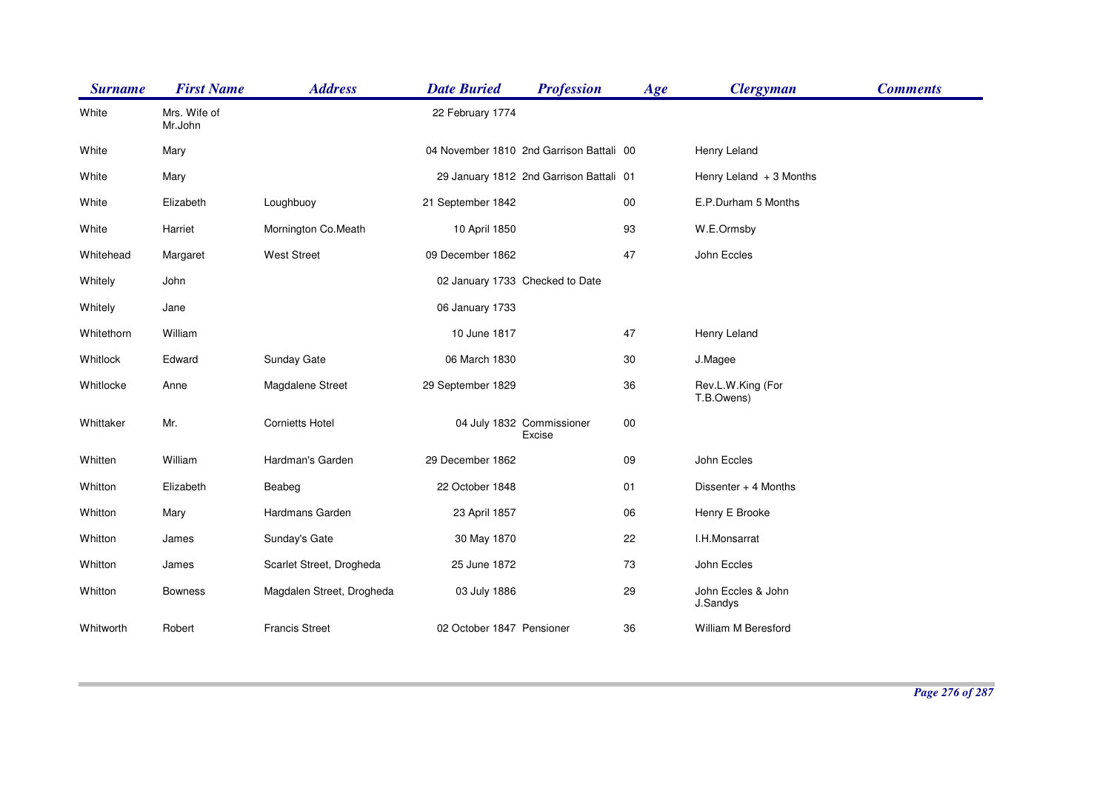| <b>Surname</b> | <b>First Name</b>       | <b>Address</b>            | <b>Date Buried</b>        | <b>Profession</b>                        | Age    | <b>Clergyman</b>                | <b>Comments</b> |
|----------------|-------------------------|---------------------------|---------------------------|------------------------------------------|--------|---------------------------------|-----------------|
| White          | Mrs. Wife of<br>Mr.John |                           | 22 February 1774          |                                          |        |                                 |                 |
| White          | Mary                    |                           |                           | 04 November 1810 2nd Garrison Battali 00 |        | Henry Leland                    |                 |
| White          | Mary                    |                           |                           | 29 January 1812 2nd Garrison Battali 01  |        | Henry Leland $+3$ Months        |                 |
| White          | Elizabeth               | Loughbuoy                 | 21 September 1842         |                                          | $00\,$ | E.P.Durham 5 Months             |                 |
| White          | Harriet                 | Mornington Co.Meath       | 10 April 1850             |                                          | 93     | W.E.Ormsby                      |                 |
| Whitehead      | Margaret                | <b>West Street</b>        | 09 December 1862          |                                          | 47     | John Eccles                     |                 |
| Whitely        | John                    |                           |                           | 02 January 1733 Checked to Date          |        |                                 |                 |
| Whitely        | Jane                    |                           | 06 January 1733           |                                          |        |                                 |                 |
| Whitethorn     | William                 |                           | 10 June 1817              |                                          | 47     | Henry Leland                    |                 |
| Whitlock       | Edward                  | Sunday Gate               | 06 March 1830             |                                          | 30     | J.Magee                         |                 |
| Whitlocke      | Anne                    | Magdalene Street          | 29 September 1829         |                                          | 36     | Rev.L.W.King (For<br>T.B.Owens) |                 |
| Whittaker      | Mr.                     | <b>Cornietts Hotel</b>    |                           | 04 July 1832 Commissioner<br>Excise      | 00     |                                 |                 |
| Whitten        | William                 | Hardman's Garden          | 29 December 1862          |                                          | 09     | John Eccles                     |                 |
| Whitton        | Elizabeth               | Beabeg                    | 22 October 1848           |                                          | 01     | Dissenter + 4 Months            |                 |
| Whitton        | Mary                    | Hardmans Garden           | 23 April 1857             |                                          | 06     | Henry E Brooke                  |                 |
| Whitton        | James                   | Sunday's Gate             | 30 May 1870               |                                          | 22     | I.H.Monsarrat                   |                 |
| Whitton        | James                   | Scarlet Street, Drogheda  | 25 June 1872              |                                          | 73     | John Eccles                     |                 |
| Whitton        | <b>Bowness</b>          | Magdalen Street, Drogheda | 03 July 1886              |                                          | 29     | John Eccles & John<br>J.Sandys  |                 |
| Whitworth      | Robert                  | <b>Francis Street</b>     | 02 October 1847 Pensioner |                                          | 36     | William M Beresford             |                 |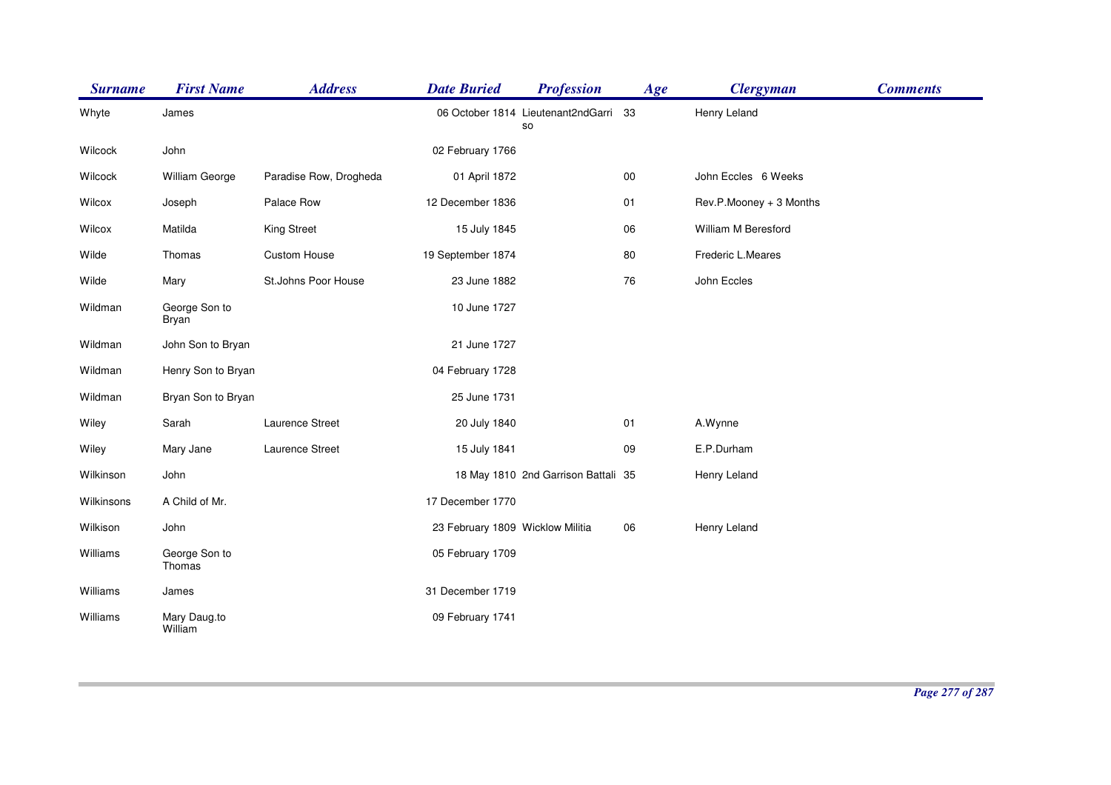| <b>Surname</b> | <b>First Name</b>       | <b>Address</b>         | <b>Date Buried</b>               | <b>Profession</b>                        | Age | <b>Clergyman</b>        | <b>Comments</b> |
|----------------|-------------------------|------------------------|----------------------------------|------------------------------------------|-----|-------------------------|-----------------|
| Whyte          | James                   |                        |                                  | 06 October 1814 Lieutenant2ndGarri<br>so | -33 | Henry Leland            |                 |
| Wilcock        | John                    |                        | 02 February 1766                 |                                          |     |                         |                 |
| Wilcock        | William George          | Paradise Row, Drogheda | 01 April 1872                    |                                          | 00  | John Eccles 6 Weeks     |                 |
| Wilcox         | Joseph                  | Palace Row             | 12 December 1836                 |                                          | 01  | Rev.P.Mooney + 3 Months |                 |
| Wilcox         | Matilda                 | <b>King Street</b>     | 15 July 1845                     |                                          | 06  | William M Beresford     |                 |
| Wilde          | Thomas                  | Custom House           | 19 September 1874                |                                          | 80  | Frederic L.Meares       |                 |
| Wilde          | Mary                    | St.Johns Poor House    | 23 June 1882                     |                                          | 76  | John Eccles             |                 |
| Wildman        | George Son to<br>Bryan  |                        | 10 June 1727                     |                                          |     |                         |                 |
| Wildman        | John Son to Bryan       |                        | 21 June 1727                     |                                          |     |                         |                 |
| Wildman        | Henry Son to Bryan      |                        | 04 February 1728                 |                                          |     |                         |                 |
| Wildman        | Bryan Son to Bryan      |                        | 25 June 1731                     |                                          |     |                         |                 |
| Wiley          | Sarah                   | Laurence Street        | 20 July 1840                     |                                          | 01  | A.Wynne                 |                 |
| Wiley          | Mary Jane               | Laurence Street        | 15 July 1841                     |                                          | 09  | E.P.Durham              |                 |
| Wilkinson      | John                    |                        |                                  | 18 May 1810 2nd Garrison Battali 35      |     | Henry Leland            |                 |
| Wilkinsons     | A Child of Mr.          |                        | 17 December 1770                 |                                          |     |                         |                 |
| Wilkison       | John                    |                        | 23 February 1809 Wicklow Militia |                                          | 06  | Henry Leland            |                 |
| Williams       | George Son to<br>Thomas |                        | 05 February 1709                 |                                          |     |                         |                 |
| Williams       | James                   |                        | 31 December 1719                 |                                          |     |                         |                 |
| Williams       | Mary Daug.to<br>William |                        | 09 February 1741                 |                                          |     |                         |                 |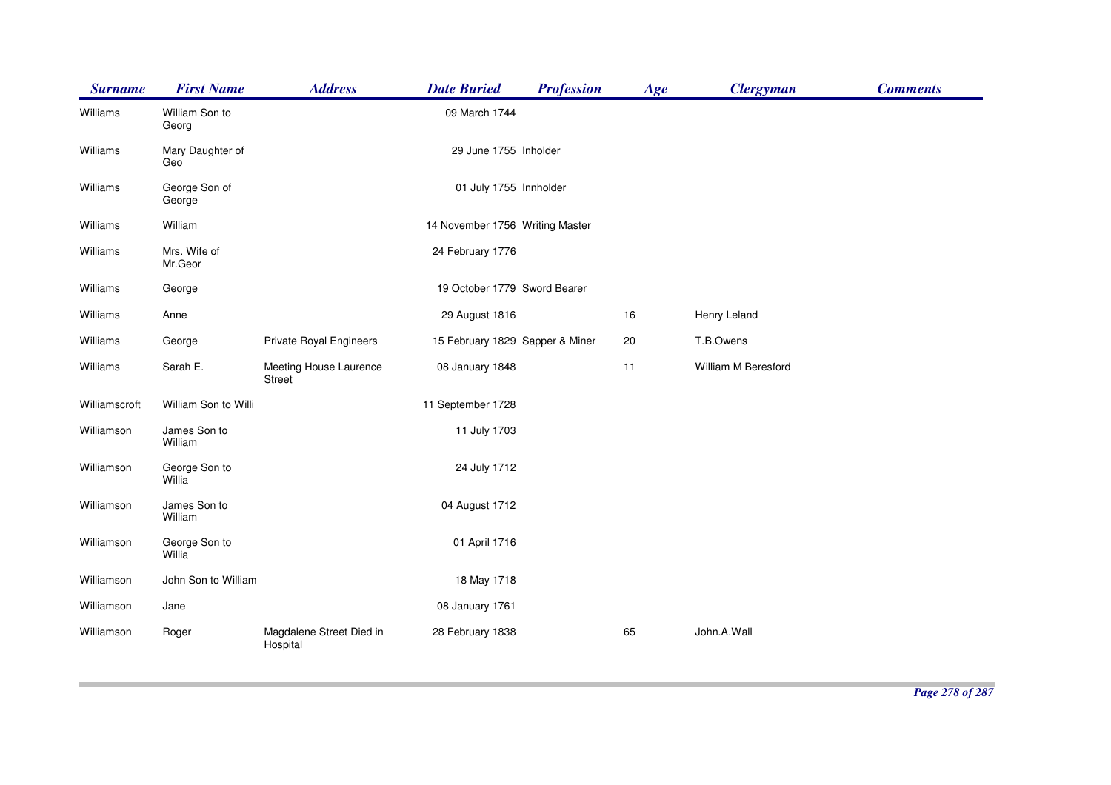| <b>Surname</b> | <b>First Name</b>       | <b>Address</b>                          | <b>Date Buried</b>              | <b>Profession</b> | Age | <b>Clergyman</b>    | <b>Comments</b> |
|----------------|-------------------------|-----------------------------------------|---------------------------------|-------------------|-----|---------------------|-----------------|
| Williams       | William Son to<br>Georg |                                         | 09 March 1744                   |                   |     |                     |                 |
| Williams       | Mary Daughter of<br>Geo |                                         | 29 June 1755 Inholder           |                   |     |                     |                 |
| Williams       | George Son of<br>George |                                         | 01 July 1755 Innholder          |                   |     |                     |                 |
| Williams       | William                 |                                         | 14 November 1756 Writing Master |                   |     |                     |                 |
| Williams       | Mrs. Wife of<br>Mr.Geor |                                         | 24 February 1776                |                   |     |                     |                 |
| Williams       | George                  |                                         | 19 October 1779 Sword Bearer    |                   |     |                     |                 |
| Williams       | Anne                    |                                         | 29 August 1816                  |                   | 16  | Henry Leland        |                 |
| Williams       | George                  | Private Royal Engineers                 | 15 February 1829 Sapper & Miner |                   | 20  | T.B.Owens           |                 |
| Williams       | Sarah E.                | Meeting House Laurence<br><b>Street</b> | 08 January 1848                 |                   | 11  | William M Beresford |                 |
| Williamscroft  | William Son to Willi    |                                         | 11 September 1728               |                   |     |                     |                 |
| Williamson     | James Son to<br>William |                                         | 11 July 1703                    |                   |     |                     |                 |
| Williamson     | George Son to<br>Willia |                                         | 24 July 1712                    |                   |     |                     |                 |
| Williamson     | James Son to<br>William |                                         | 04 August 1712                  |                   |     |                     |                 |
| Williamson     | George Son to<br>Willia |                                         | 01 April 1716                   |                   |     |                     |                 |
| Williamson     | John Son to William     |                                         | 18 May 1718                     |                   |     |                     |                 |
| Williamson     | Jane                    |                                         | 08 January 1761                 |                   |     |                     |                 |
| Williamson     | Roger                   | Magdalene Street Died in<br>Hospital    | 28 February 1838                |                   | 65  | John.A.Wall         |                 |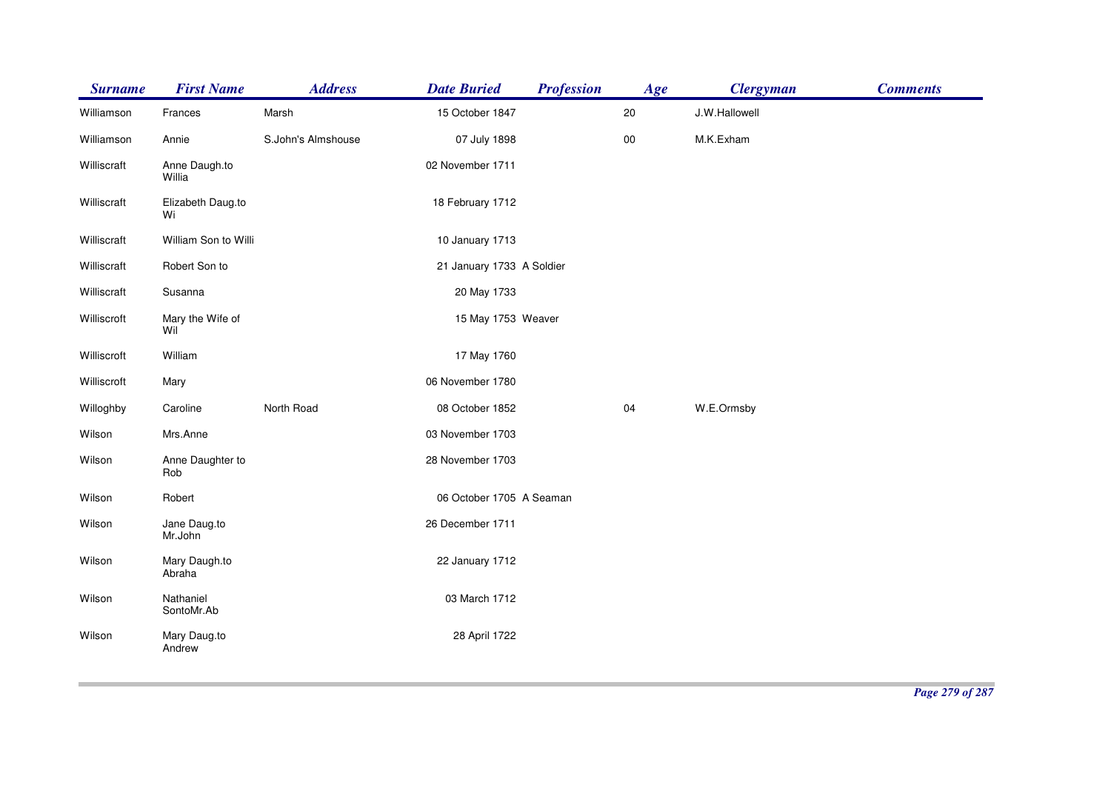| <b>Surname</b> | <b>First Name</b>       | <b>Address</b>     | <b>Date Buried</b>        | <b>Profession</b> | Age        | <b>Clergyman</b> | <b>Comments</b> |
|----------------|-------------------------|--------------------|---------------------------|-------------------|------------|------------------|-----------------|
| Williamson     | Frances                 | Marsh              | 15 October 1847           |                   | 20         | J.W.Hallowell    |                 |
| Williamson     | Annie                   | S.John's Almshouse | 07 July 1898              |                   | ${\bf 00}$ | M.K.Exham        |                 |
| Williscraft    | Anne Daugh.to<br>Willia |                    | 02 November 1711          |                   |            |                  |                 |
| Williscraft    | Elizabeth Daug.to<br>Wi |                    | 18 February 1712          |                   |            |                  |                 |
| Williscraft    | William Son to Willi    |                    | 10 January 1713           |                   |            |                  |                 |
| Williscraft    | Robert Son to           |                    | 21 January 1733 A Soldier |                   |            |                  |                 |
| Williscraft    | Susanna                 |                    | 20 May 1733               |                   |            |                  |                 |
| Williscroft    | Mary the Wife of<br>Wil |                    | 15 May 1753 Weaver        |                   |            |                  |                 |
| Williscroft    | William                 |                    | 17 May 1760               |                   |            |                  |                 |
| Williscroft    | Mary                    |                    | 06 November 1780          |                   |            |                  |                 |
| Willoghby      | Caroline                | North Road         | 08 October 1852           |                   | 04         | W.E.Ormsby       |                 |
| Wilson         | Mrs.Anne                |                    | 03 November 1703          |                   |            |                  |                 |
| Wilson         | Anne Daughter to<br>Rob |                    | 28 November 1703          |                   |            |                  |                 |
| Wilson         | Robert                  |                    | 06 October 1705 A Seaman  |                   |            |                  |                 |
| Wilson         | Jane Daug.to<br>Mr.John |                    | 26 December 1711          |                   |            |                  |                 |
| Wilson         | Mary Daugh.to<br>Abraha |                    | 22 January 1712           |                   |            |                  |                 |
| Wilson         | Nathaniel<br>SontoMr.Ab |                    | 03 March 1712             |                   |            |                  |                 |
| Wilson         | Mary Daug.to<br>Andrew  |                    | 28 April 1722             |                   |            |                  |                 |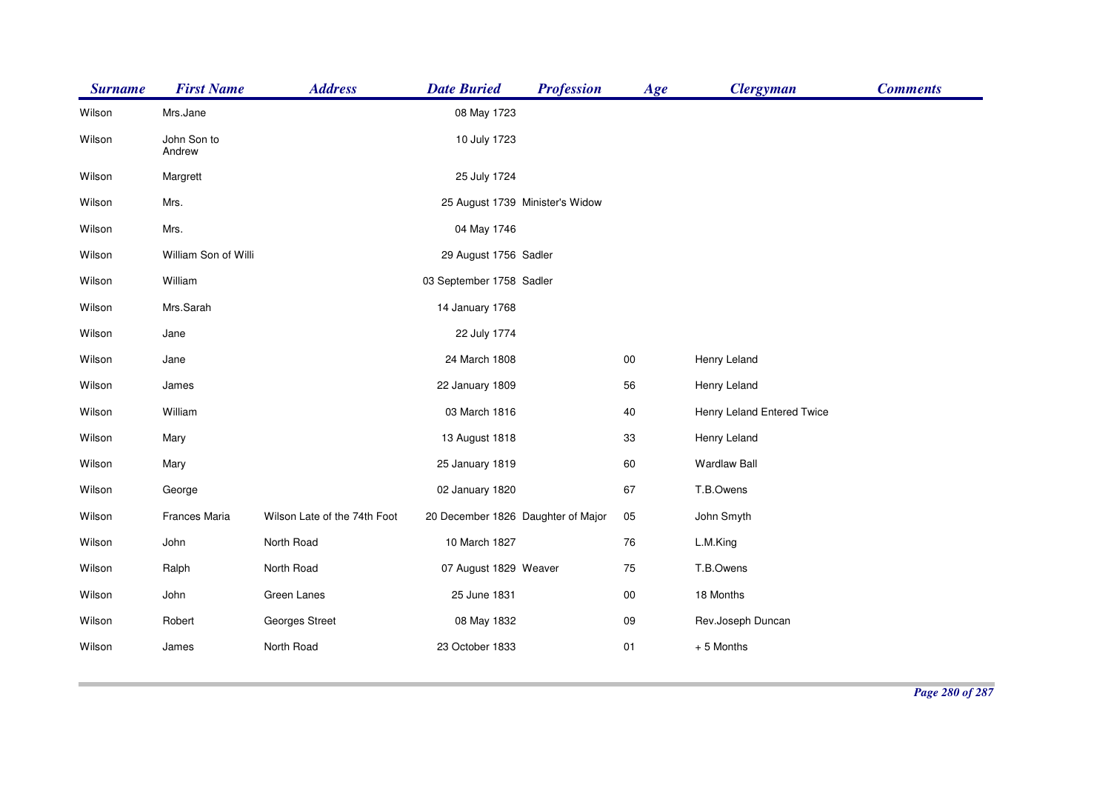| <b>Surname</b> | <b>First Name</b>     | <b>Address</b>               | <b>Date Buried</b>                 | <b>Profession</b>               | Age        | <b>Clergyman</b>           | <b>Comments</b> |
|----------------|-----------------------|------------------------------|------------------------------------|---------------------------------|------------|----------------------------|-----------------|
| Wilson         | Mrs.Jane              |                              | 08 May 1723                        |                                 |            |                            |                 |
| Wilson         | John Son to<br>Andrew |                              | 10 July 1723                       |                                 |            |                            |                 |
| Wilson         | Margrett              |                              | 25 July 1724                       |                                 |            |                            |                 |
| Wilson         | Mrs.                  |                              |                                    | 25 August 1739 Minister's Widow |            |                            |                 |
| Wilson         | Mrs.                  |                              | 04 May 1746                        |                                 |            |                            |                 |
| Wilson         | William Son of Willi  |                              | 29 August 1756 Sadler              |                                 |            |                            |                 |
| Wilson         | William               |                              | 03 September 1758 Sadler           |                                 |            |                            |                 |
| Wilson         | Mrs.Sarah             |                              | 14 January 1768                    |                                 |            |                            |                 |
| Wilson         | Jane                  |                              | 22 July 1774                       |                                 |            |                            |                 |
| Wilson         | Jane                  |                              | 24 March 1808                      |                                 | ${\bf 00}$ | Henry Leland               |                 |
| Wilson         | James                 |                              | 22 January 1809                    |                                 | 56         | Henry Leland               |                 |
| Wilson         | William               |                              | 03 March 1816                      |                                 | 40         | Henry Leland Entered Twice |                 |
| Wilson         | Mary                  |                              | 13 August 1818                     |                                 | 33         | Henry Leland               |                 |
| Wilson         | Mary                  |                              | 25 January 1819                    |                                 | 60         | <b>Wardlaw Ball</b>        |                 |
| Wilson         | George                |                              | 02 January 1820                    |                                 | 67         | T.B.Owens                  |                 |
| Wilson         | Frances Maria         | Wilson Late of the 74th Foot | 20 December 1826 Daughter of Major |                                 | 05         | John Smyth                 |                 |
| Wilson         | John                  | North Road                   | 10 March 1827                      |                                 | 76         | L.M.King                   |                 |
| Wilson         | Ralph                 | North Road                   | 07 August 1829 Weaver              |                                 | 75         | T.B.Owens                  |                 |
| Wilson         | John                  | Green Lanes                  | 25 June 1831                       |                                 | $00\,$     | 18 Months                  |                 |
| Wilson         | Robert                | Georges Street               | 08 May 1832                        |                                 | 09         | Rev.Joseph Duncan          |                 |
| Wilson         | James                 | North Road                   | 23 October 1833                    |                                 | 01         | +5 Months                  |                 |
|                |                       |                              |                                    |                                 |            |                            |                 |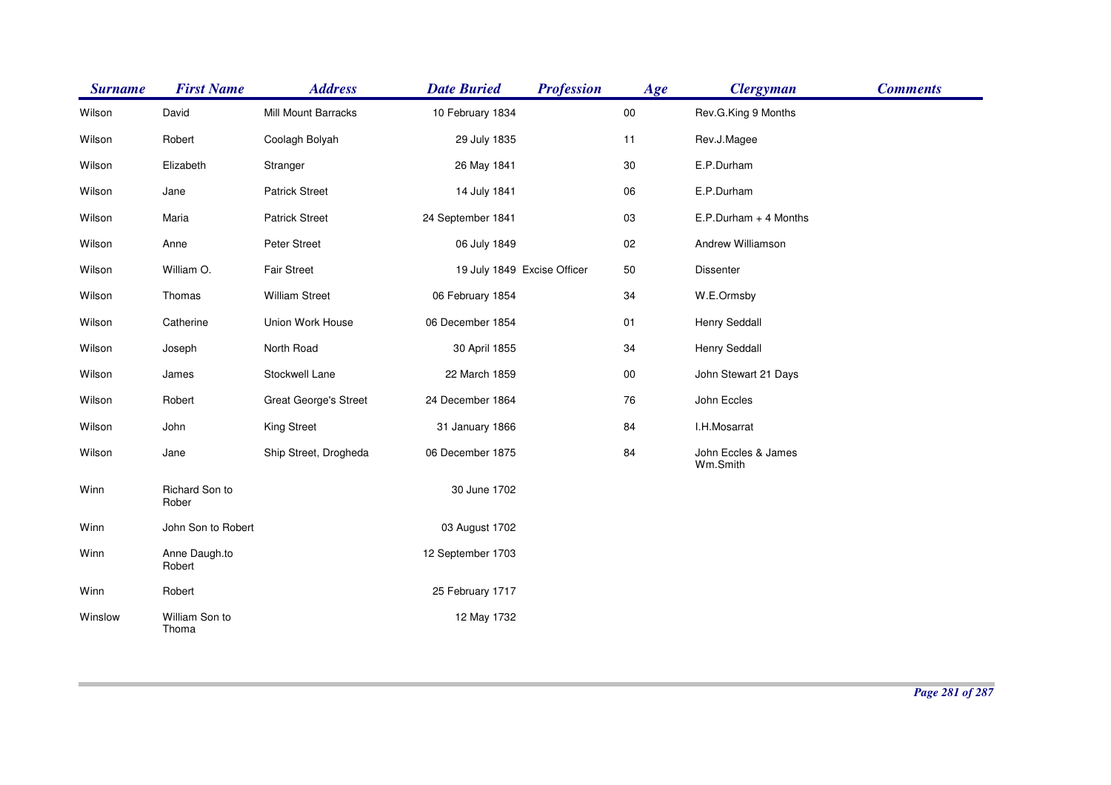| <b>Surname</b> | <b>First Name</b>       | <b>Address</b>               | <b>Date Buried</b>          | <b>Profession</b> | Age        | <b>Clergyman</b>                | <b>Comments</b> |
|----------------|-------------------------|------------------------------|-----------------------------|-------------------|------------|---------------------------------|-----------------|
| Wilson         | David                   | Mill Mount Barracks          | 10 February 1834            |                   | ${\bf 00}$ | Rev.G.King 9 Months             |                 |
| Wilson         | Robert                  | Coolagh Bolyah               | 29 July 1835                |                   | 11         | Rev.J.Magee                     |                 |
| Wilson         | Elizabeth               | Stranger                     | 26 May 1841                 |                   | $30\,$     | E.P.Durham                      |                 |
| Wilson         | Jane                    | <b>Patrick Street</b>        | 14 July 1841                |                   | 06         | E.P.Durham                      |                 |
| Wilson         | Maria                   | <b>Patrick Street</b>        | 24 September 1841           |                   | $03\,$     | E.P.Durham + 4 Months           |                 |
| Wilson         | Anne                    | Peter Street                 | 06 July 1849                |                   | 02         | Andrew Williamson               |                 |
| Wilson         | William O.              | <b>Fair Street</b>           | 19 July 1849 Excise Officer |                   | 50         | Dissenter                       |                 |
| Wilson         | Thomas                  | <b>William Street</b>        | 06 February 1854            |                   | 34         | W.E.Ormsby                      |                 |
| Wilson         | Catherine               | Union Work House             | 06 December 1854            |                   | 01         | <b>Henry Seddall</b>            |                 |
| Wilson         | Joseph                  | North Road                   | 30 April 1855               |                   | 34         | Henry Seddall                   |                 |
| Wilson         | James                   | Stockwell Lane               | 22 March 1859               |                   | ${\bf 00}$ | John Stewart 21 Days            |                 |
| Wilson         | Robert                  | <b>Great George's Street</b> | 24 December 1864            |                   | 76         | John Eccles                     |                 |
| Wilson         | John                    | King Street                  | 31 January 1866             |                   | 84         | I.H.Mosarrat                    |                 |
| Wilson         | Jane                    | Ship Street, Drogheda        | 06 December 1875            |                   | 84         | John Eccles & James<br>Wm.Smith |                 |
| Winn           | Richard Son to<br>Rober |                              | 30 June 1702                |                   |            |                                 |                 |
| Winn           | John Son to Robert      |                              | 03 August 1702              |                   |            |                                 |                 |
| Winn           | Anne Daugh.to<br>Robert |                              | 12 September 1703           |                   |            |                                 |                 |
| Winn           | Robert                  |                              | 25 February 1717            |                   |            |                                 |                 |
| Winslow        | William Son to<br>Thoma |                              | 12 May 1732                 |                   |            |                                 |                 |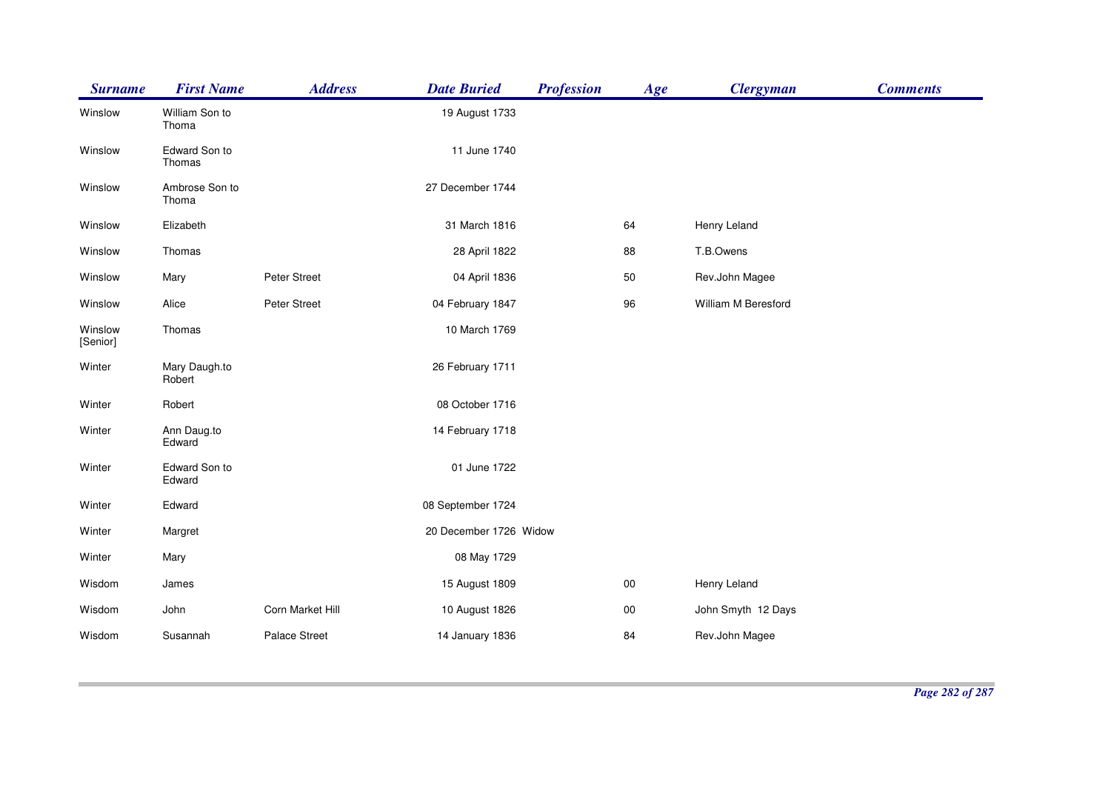| <b>Surname</b>      | <b>First Name</b>       | <b>Address</b>   | <b>Date Buried</b>     | <b>Profession</b> | Age    | <b>Clergyman</b>    | <b>Comments</b> |
|---------------------|-------------------------|------------------|------------------------|-------------------|--------|---------------------|-----------------|
| Winslow             | William Son to<br>Thoma |                  | 19 August 1733         |                   |        |                     |                 |
| Winslow             | Edward Son to<br>Thomas |                  | 11 June 1740           |                   |        |                     |                 |
| Winslow             | Ambrose Son to<br>Thoma |                  | 27 December 1744       |                   |        |                     |                 |
| Winslow             | Elizabeth               |                  | 31 March 1816          |                   | 64     | Henry Leland        |                 |
| Winslow             | Thomas                  |                  | 28 April 1822          |                   | 88     | T.B.Owens           |                 |
| Winslow             | Mary                    | Peter Street     | 04 April 1836          |                   | 50     | Rev.John Magee      |                 |
| Winslow             | Alice                   | Peter Street     | 04 February 1847       |                   | 96     | William M Beresford |                 |
| Winslow<br>[Senior] | Thomas                  |                  | 10 March 1769          |                   |        |                     |                 |
| Winter              | Mary Daugh.to<br>Robert |                  | 26 February 1711       |                   |        |                     |                 |
| Winter              | Robert                  |                  | 08 October 1716        |                   |        |                     |                 |
| Winter              | Ann Daug.to<br>Edward   |                  | 14 February 1718       |                   |        |                     |                 |
| Winter              | Edward Son to<br>Edward |                  | 01 June 1722           |                   |        |                     |                 |
| Winter              | Edward                  |                  | 08 September 1724      |                   |        |                     |                 |
| Winter              | Margret                 |                  | 20 December 1726 Widow |                   |        |                     |                 |
| Winter              | Mary                    |                  | 08 May 1729            |                   |        |                     |                 |
| Wisdom              | James                   |                  | 15 August 1809         |                   | $00\,$ | Henry Leland        |                 |
| Wisdom              | John                    | Corn Market Hill | 10 August 1826         |                   | $00\,$ | John Smyth 12 Days  |                 |
| Wisdom              | Susannah                | Palace Street    | 14 January 1836        |                   | 84     | Rev.John Magee      |                 |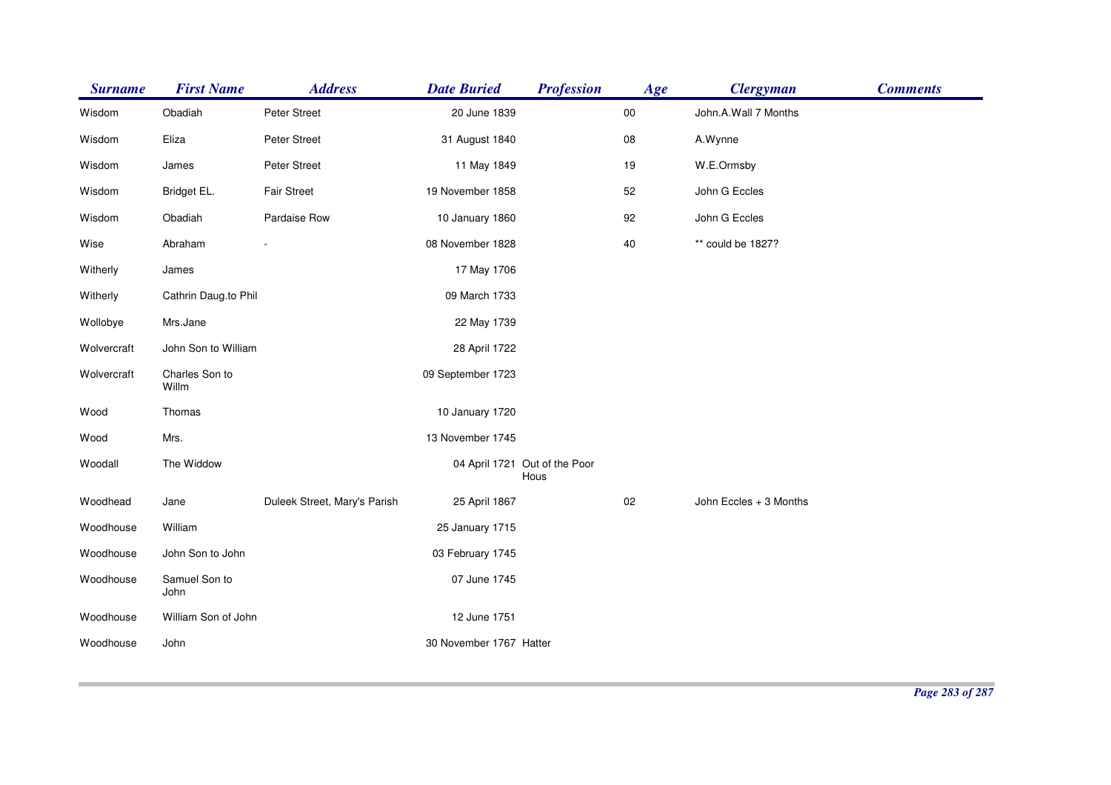| <b>Surname</b> | <b>First Name</b>       | <b>Address</b>               | <b>Date Buried</b>      | <b>Profession</b>                     | Age        | <b>Clergyman</b>       | <b>Comments</b> |
|----------------|-------------------------|------------------------------|-------------------------|---------------------------------------|------------|------------------------|-----------------|
| Wisdom         | Obadiah                 | Peter Street                 | 20 June 1839            |                                       | ${\bf 00}$ | John.A.Wall 7 Months   |                 |
| Wisdom         | Eliza                   | Peter Street                 | 31 August 1840          |                                       | ${\bf 08}$ | A.Wynne                |                 |
| Wisdom         | James                   | Peter Street                 | 11 May 1849             |                                       | 19         | W.E.Ormsby             |                 |
| Wisdom         | Bridget EL.             | <b>Fair Street</b>           | 19 November 1858        |                                       | 52         | John G Eccles          |                 |
| Wisdom         | Obadiah                 | Pardaise Row                 | 10 January 1860         |                                       | 92         | John G Eccles          |                 |
| Wise           | Abraham                 |                              | 08 November 1828        |                                       | $40\,$     | ** could be 1827?      |                 |
| Witherly       | James                   |                              | 17 May 1706             |                                       |            |                        |                 |
| Witherly       | Cathrin Daug.to Phil    |                              | 09 March 1733           |                                       |            |                        |                 |
| Wollobye       | Mrs.Jane                |                              | 22 May 1739             |                                       |            |                        |                 |
| Wolvercraft    | John Son to William     |                              | 28 April 1722           |                                       |            |                        |                 |
| Wolvercraft    | Charles Son to<br>Willm |                              | 09 September 1723       |                                       |            |                        |                 |
| Wood           | Thomas                  |                              | 10 January 1720         |                                       |            |                        |                 |
| Wood           | Mrs.                    |                              | 13 November 1745        |                                       |            |                        |                 |
| Woodall        | The Widdow              |                              |                         | 04 April 1721 Out of the Poor<br>Hous |            |                        |                 |
| Woodhead       | Jane                    | Duleek Street, Mary's Parish | 25 April 1867           |                                       | $02\,$     | John Eccles + 3 Months |                 |
| Woodhouse      | William                 |                              | 25 January 1715         |                                       |            |                        |                 |
| Woodhouse      | John Son to John        |                              | 03 February 1745        |                                       |            |                        |                 |
| Woodhouse      | Samuel Son to<br>John   |                              | 07 June 1745            |                                       |            |                        |                 |
| Woodhouse      | William Son of John     |                              | 12 June 1751            |                                       |            |                        |                 |
| Woodhouse      | John                    |                              | 30 November 1767 Hatter |                                       |            |                        |                 |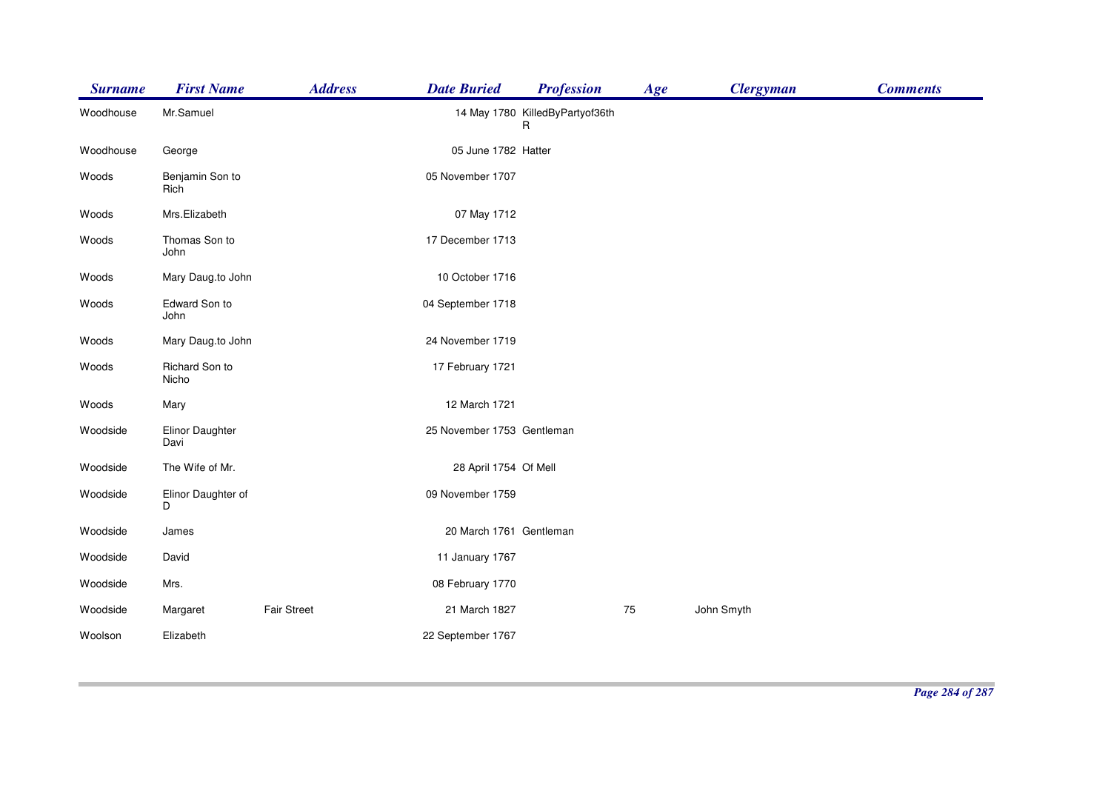| <b>Surname</b> | <b>First Name</b>       | <b>Address</b> | <b>Date Buried</b>         | <b>Profession</b>                    | Age | <b>Clergyman</b> | <b>Comments</b> |
|----------------|-------------------------|----------------|----------------------------|--------------------------------------|-----|------------------|-----------------|
| Woodhouse      | Mr.Samuel               |                |                            | 14 May 1780 KilledByPartyof36th<br>R |     |                  |                 |
| Woodhouse      | George                  |                | 05 June 1782 Hatter        |                                      |     |                  |                 |
| Woods          | Benjamin Son to<br>Rich |                | 05 November 1707           |                                      |     |                  |                 |
| Woods          | Mrs.Elizabeth           |                | 07 May 1712                |                                      |     |                  |                 |
| Woods          | Thomas Son to<br>John   |                | 17 December 1713           |                                      |     |                  |                 |
| Woods          | Mary Daug.to John       |                | 10 October 1716            |                                      |     |                  |                 |
| Woods          | Edward Son to<br>John   |                | 04 September 1718          |                                      |     |                  |                 |
| Woods          | Mary Daug.to John       |                | 24 November 1719           |                                      |     |                  |                 |
| Woods          | Richard Son to<br>Nicho |                | 17 February 1721           |                                      |     |                  |                 |
| Woods          | Mary                    |                | 12 March 1721              |                                      |     |                  |                 |
| Woodside       | Elinor Daughter<br>Davi |                | 25 November 1753 Gentleman |                                      |     |                  |                 |
| Woodside       | The Wife of Mr.         |                | 28 April 1754 Of Mell      |                                      |     |                  |                 |
| Woodside       | Elinor Daughter of<br>D |                | 09 November 1759           |                                      |     |                  |                 |
| Woodside       | James                   |                | 20 March 1761 Gentleman    |                                      |     |                  |                 |
| Woodside       | David                   |                | 11 January 1767            |                                      |     |                  |                 |
| Woodside       | Mrs.                    |                | 08 February 1770           |                                      |     |                  |                 |
| Woodside       | Margaret                | Fair Street    | 21 March 1827              |                                      | 75  | John Smyth       |                 |
| Woolson        | Elizabeth               |                | 22 September 1767          |                                      |     |                  |                 |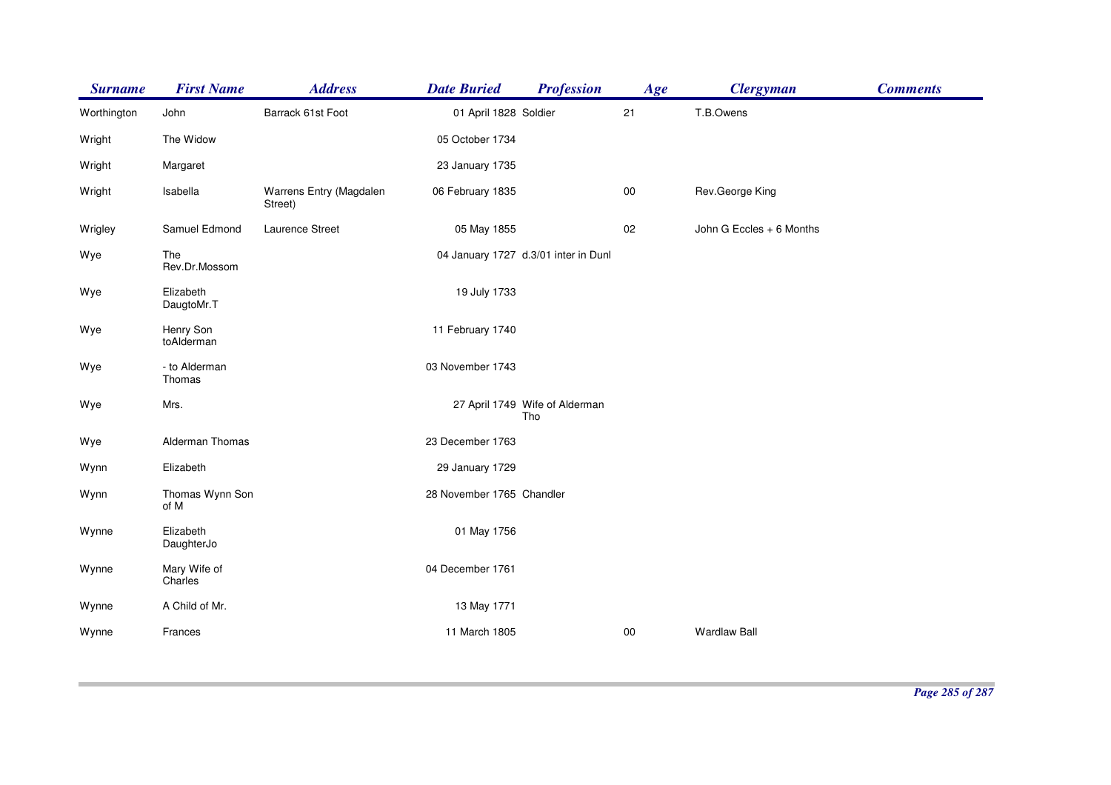| <b>Surname</b> | <b>First Name</b>       | <b>Address</b>                     | <b>Date Buried</b>        | <b>Profession</b>                     | Age        | <b>Clergyman</b>         | <b>Comments</b> |
|----------------|-------------------------|------------------------------------|---------------------------|---------------------------------------|------------|--------------------------|-----------------|
| Worthington    | John                    | Barrack 61st Foot                  | 01 April 1828 Soldier     |                                       | 21         | T.B.Owens                |                 |
| Wright         | The Widow               |                                    | 05 October 1734           |                                       |            |                          |                 |
| Wright         | Margaret                |                                    | 23 January 1735           |                                       |            |                          |                 |
| Wright         | Isabella                | Warrens Entry (Magdalen<br>Street) | 06 February 1835          |                                       | ${\bf 00}$ | Rev.George King          |                 |
| Wrigley        | Samuel Edmond           | Laurence Street                    | 05 May 1855               |                                       | $02\,$     | John G Eccles + 6 Months |                 |
| Wye            | The<br>Rev.Dr.Mossom    |                                    |                           | 04 January 1727 d.3/01 inter in Dunl  |            |                          |                 |
| Wye            | Elizabeth<br>DaugtoMr.T |                                    | 19 July 1733              |                                       |            |                          |                 |
| Wye            | Henry Son<br>toAlderman |                                    | 11 February 1740          |                                       |            |                          |                 |
| Wye            | - to Alderman<br>Thomas |                                    | 03 November 1743          |                                       |            |                          |                 |
| Wye            | Mrs.                    |                                    |                           | 27 April 1749 Wife of Alderman<br>Tho |            |                          |                 |
| Wye            | Alderman Thomas         |                                    | 23 December 1763          |                                       |            |                          |                 |
| Wynn           | Elizabeth               |                                    | 29 January 1729           |                                       |            |                          |                 |
| Wynn           | Thomas Wynn Son<br>of M |                                    | 28 November 1765 Chandler |                                       |            |                          |                 |
| Wynne          | Elizabeth<br>DaughterJo |                                    | 01 May 1756               |                                       |            |                          |                 |
| Wynne          | Mary Wife of<br>Charles |                                    | 04 December 1761          |                                       |            |                          |                 |
| Wynne          | A Child of Mr.          |                                    | 13 May 1771               |                                       |            |                          |                 |
| Wynne          | Frances                 |                                    | 11 March 1805             |                                       | $00\,$     | <b>Wardlaw Ball</b>      |                 |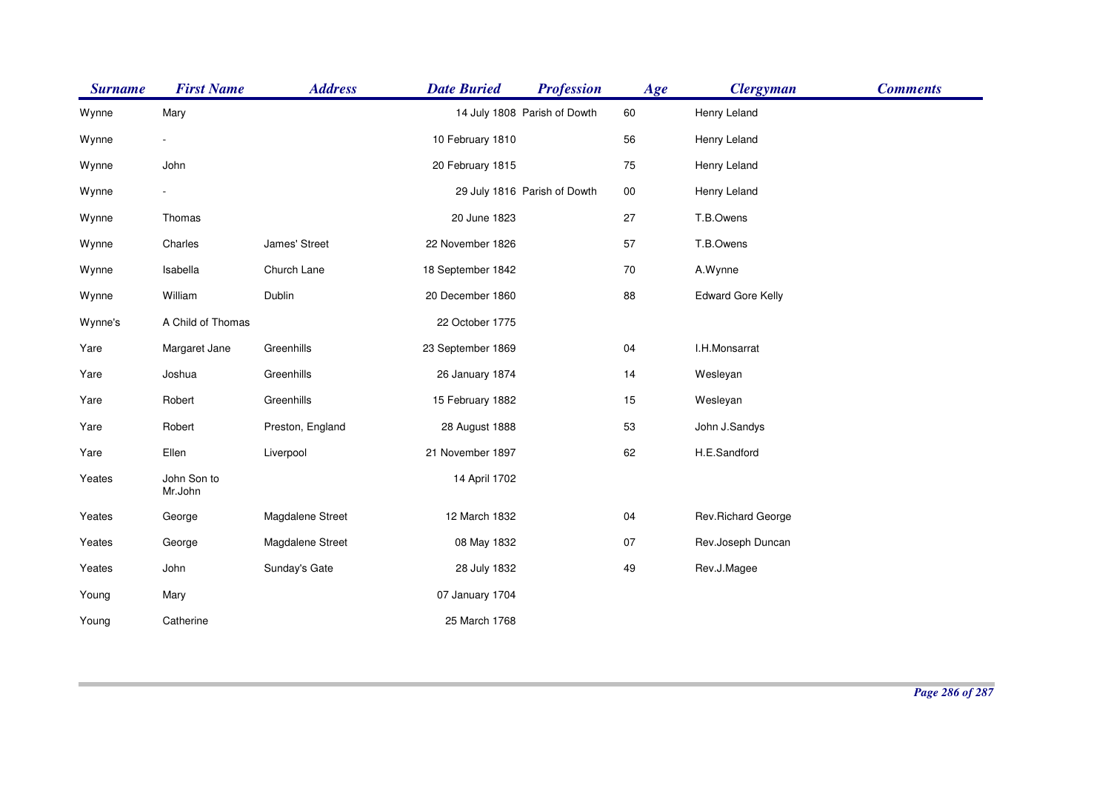| <b>Surname</b> | <b>First Name</b>      | <b>Address</b>   | <b>Date Buried</b> | <b>Profession</b>            | Age    | <b>Clergyman</b>         | <b>Comments</b> |
|----------------|------------------------|------------------|--------------------|------------------------------|--------|--------------------------|-----------------|
| Wynne          | Mary                   |                  |                    | 14 July 1808 Parish of Dowth | 60     | Henry Leland             |                 |
| Wynne          |                        |                  | 10 February 1810   |                              | 56     | Henry Leland             |                 |
| Wynne          | John                   |                  | 20 February 1815   |                              | $75\,$ | Henry Leland             |                 |
| Wynne          |                        |                  |                    | 29 July 1816 Parish of Dowth | $00\,$ | Henry Leland             |                 |
| Wynne          | Thomas                 |                  | 20 June 1823       |                              | 27     | T.B.Owens                |                 |
| Wynne          | Charles                | James' Street    | 22 November 1826   |                              | 57     | T.B.Owens                |                 |
| Wynne          | Isabella               | Church Lane      | 18 September 1842  |                              | $70\,$ | A.Wynne                  |                 |
| Wynne          | William                | Dublin           | 20 December 1860   |                              | 88     | <b>Edward Gore Kelly</b> |                 |
| Wynne's        | A Child of Thomas      |                  | 22 October 1775    |                              |        |                          |                 |
| Yare           | Margaret Jane          | Greenhills       | 23 September 1869  |                              | $04\,$ | I.H.Monsarrat            |                 |
| Yare           | Joshua                 | Greenhills       | 26 January 1874    |                              | 14     | Wesleyan                 |                 |
| Yare           | Robert                 | Greenhills       | 15 February 1882   |                              | 15     | Wesleyan                 |                 |
| Yare           | Robert                 | Preston, England | 28 August 1888     |                              | 53     | John J.Sandys            |                 |
| Yare           | Ellen                  | Liverpool        | 21 November 1897   |                              | 62     | H.E.Sandford             |                 |
| Yeates         | John Son to<br>Mr.John |                  | 14 April 1702      |                              |        |                          |                 |
| Yeates         | George                 | Magdalene Street | 12 March 1832      |                              | 04     | Rev. Richard George      |                 |
| Yeates         | George                 | Magdalene Street | 08 May 1832        |                              | 07     | Rev.Joseph Duncan        |                 |
| Yeates         | John                   | Sunday's Gate    | 28 July 1832       |                              | 49     | Rev.J.Magee              |                 |
| Young          | Mary                   |                  | 07 January 1704    |                              |        |                          |                 |
| Young          | Catherine              |                  | 25 March 1768      |                              |        |                          |                 |